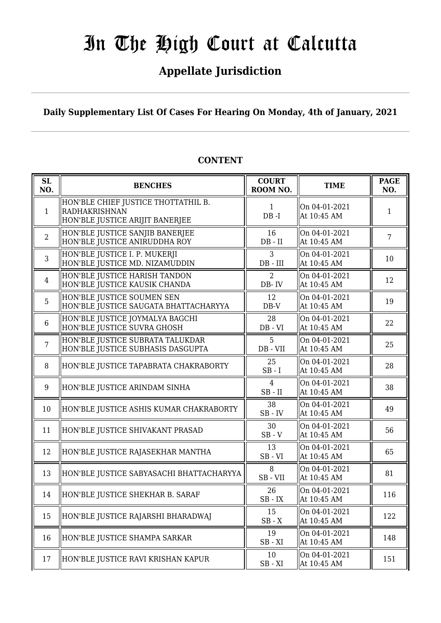# **Appellate Jurisdiction**

**Daily Supplementary List Of Cases For Hearing On Monday, 4th of January, 2021**

| SL<br>NO.      | <b>BENCHES</b>                                                                          | <b>COURT</b><br>ROOM NO.      | <b>TIME</b>                  | <b>PAGE</b><br>NO. |
|----------------|-----------------------------------------------------------------------------------------|-------------------------------|------------------------------|--------------------|
| $\mathbf{1}$   | HON'BLE CHIEF JUSTICE THOTTATHIL B.<br>RADHAKRISHNAN<br>HON'BLE JUSTICE ARIJIT BANERJEE | $\mathbf{1}$<br>$DB - I$      | On 04-01-2021<br>At 10:45 AM | $\mathbf{1}$       |
| $\overline{2}$ | HON'BLE JUSTICE SANJIB BANERJEE<br>HON'BLE JUSTICE ANIRUDDHA ROY                        | 16<br>$DB - II$               | On 04-01-2021<br>At 10:45 AM | $\overline{7}$     |
| 3              | HON'BLE JUSTICE I. P. MUKERJI<br>HON'BLE JUSTICE MD. NIZAMUDDIN                         | 3<br>$DB$ - $III$             | On 04-01-2021<br>At 10:45 AM | 10                 |
| $\overline{4}$ | HON'BLE JUSTICE HARISH TANDON<br>HON'BLE JUSTICE KAUSIK CHANDA                          | $\overline{2}$<br>DB-IV       | On 04-01-2021<br>At 10:45 AM | 12                 |
| 5              | HON'BLE JUSTICE SOUMEN SEN<br>HON'BLE JUSTICE SAUGATA BHATTACHARYYA                     | 12<br>DB-V                    | On 04-01-2021<br>At 10:45 AM | 19                 |
| 6              | HON'BLE JUSTICE JOYMALYA BAGCHI<br>HON'BLE JUSTICE SUVRA GHOSH                          | 28<br>$DB - VI$               | On 04-01-2021<br>At 10:45 AM | 22                 |
| $\overline{7}$ | HON'BLE JUSTICE SUBRATA TALUKDAR<br>HON'BLE JUSTICE SUBHASIS DASGUPTA                   | 5<br>DB - VII                 | On 04-01-2021<br>At 10:45 AM | 25                 |
| 8              | HON'BLE JUSTICE TAPABRATA CHAKRABORTY                                                   | 25<br>$SB-I$                  | On 04-01-2021<br>At 10:45 AM | 28                 |
| 9              | HON'BLE JUSTICE ARINDAM SINHA                                                           | $\overline{4}$<br>$SB$ - $II$ | On 04-01-2021<br>At 10:45 AM | 38                 |
| 10             | HON'BLE JUSTICE ASHIS KUMAR CHAKRABORTY                                                 | 38<br>$SB$ - $IV$             | On 04-01-2021<br>At 10:45 AM | 49                 |
| 11             | HON'BLE JUSTICE SHIVAKANT PRASAD                                                        | 30<br>$SB - V$                | On 04-01-2021<br>At 10:45 AM | 56                 |
| 12             | HON'BLE JUSTICE RAJASEKHAR MANTHA                                                       | 13<br>$SB - VI$               | On 04-01-2021<br>At 10:45 AM | 65                 |
| 13             | HON'BLE JUSTICE SABYASACHI BHATTACHARYYA                                                | 8<br>SB-VII                   | On 04-01-2021<br>At 10:45 AM | 81                 |
| 14             | HON'BLE JUSTICE SHEKHAR B. SARAF                                                        | 26<br>$SB$ - $IX$             | On 04-01-2021<br>At 10:45 AM | 116                |
| 15             | HON'BLE JUSTICE RAJARSHI BHARADWAJ                                                      | 15<br>$SB - X$                | On 04-01-2021<br>At 10:45 AM | 122                |
| 16             | HON'BLE JUSTICE SHAMPA SARKAR                                                           | 19<br>$SB - XI$               | On 04-01-2021<br>At 10:45 AM | 148                |
| 17             | HON'BLE JUSTICE RAVI KRISHAN KAPUR                                                      | 10<br>$SB - XI$               | On 04-01-2021<br>At 10:45 AM | 151                |

## **CONTENT**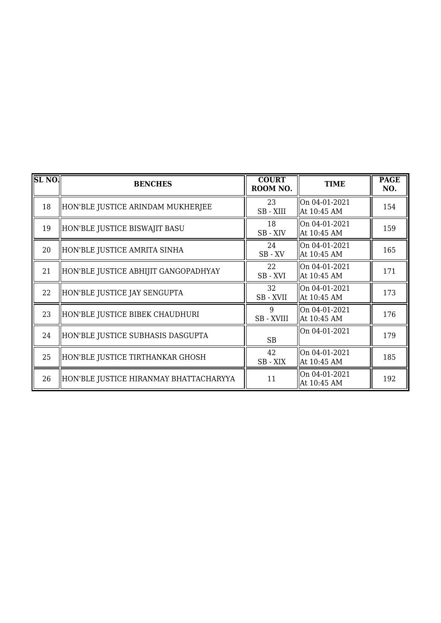| <b>SL NO.</b> | <b>BENCHES</b>                         | <b>COURT</b><br>ROOM NO. | <b>TIME</b>                  | <b>PAGE</b><br>NO. |
|---------------|----------------------------------------|--------------------------|------------------------------|--------------------|
| 18            | HON'BLE JUSTICE ARINDAM MUKHERJEE      | 23<br>SB-XIII            | On 04-01-2021<br>At 10:45 AM | 154                |
| 19            | HON'BLE JUSTICE BISWAJIT BASU          | 18<br>SB - XIV           | On 04-01-2021<br>At 10:45 AM | 159                |
| 20            | HON'BLE JUSTICE AMRITA SINHA           | 24<br>$SB$ - $XV$        | On 04-01-2021<br>At 10:45 AM | 165                |
| 21            | HON'BLE JUSTICE ABHIJIT GANGOPADHYAY   | 22<br>SB-XVI             | On 04-01-2021<br>At 10:45 AM | 171                |
| 22            | HON'BLE JUSTICE JAY SENGUPTA           | 32<br>SB-XVII            | On 04-01-2021<br>At 10:45 AM | 173                |
| 23            | HON'BLE JUSTICE BIBEK CHAUDHURI        | 9<br>SB - XVIII          | On 04-01-2021<br>At 10:45 AM | 176                |
| 24            | HON'BLE JUSTICE SUBHASIS DASGUPTA      | SB                       | On 04-01-2021                | 179                |
| 25            | HON'BLE JUSTICE TIRTHANKAR GHOSH       | 42<br>SB-XIX             | On 04-01-2021<br>At 10:45 AM | 185                |
| 26            | HON'BLE JUSTICE HIRANMAY BHATTACHARYYA | 11                       | On 04-01-2021<br>At 10:45 AM | 192                |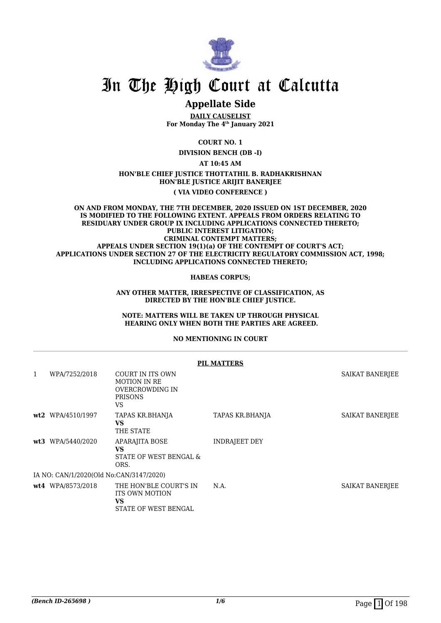

## **Appellate Side**

**DAILY CAUSELIST For Monday The 4th January 2021**

**COURT NO. 1**

**DIVISION BENCH (DB -I)**

**AT 10:45 AM**

### **HON'BLE CHIEF JUSTICE THOTTATHIL B. RADHAKRISHNAN HON'BLE JUSTICE ARIJIT BANERJEE**

**( VIA VIDEO CONFERENCE )**

#### **ON AND FROM MONDAY, THE 7TH DECEMBER, 2020 ISSUED ON 1ST DECEMBER, 2020 IS MODIFIED TO THE FOLLOWING EXTENT. APPEALS FROM ORDERS RELATING TO RESIDUARY UNDER GROUP IX INCLUDING APPLICATIONS CONNECTED THERETO; PUBLIC INTEREST LITIGATION; CRIMINAL CONTEMPT MATTERS; APPEALS UNDER SECTION 19(1)(a) OF THE CONTEMPT OF COURT'S ACT; APPLICATIONS UNDER SECTION 27 OF THE ELECTRICITY REGULATORY COMMISSION ACT, 1998; INCLUDING APPLICATIONS CONNECTED THERETO;**

**HABEAS CORPUS;**

**ANY OTHER MATTER, IRRESPECTIVE OF CLASSIFICATION, AS DIRECTED BY THE HON'BLE CHIEF JUSTICE.**

**NOTE: MATTERS WILL BE TAKEN UP THROUGH PHYSICAL HEARING ONLY WHEN BOTH THE PARTIES ARE AGREED.**

### **NO MENTIONING IN COURT**

|     |                                         |                                                                                    | <b>PIL MATTERS</b>   |                 |
|-----|-----------------------------------------|------------------------------------------------------------------------------------|----------------------|-----------------|
| 1   | WPA/7252/2018                           | COURT IN ITS OWN<br><b>MOTION IN RE</b><br>OVERCROWDING IN<br><b>PRISONS</b><br>VS |                      | SAIKAT BANERJEE |
| wt2 | WPA/4510/1997                           | TAPAS KR.BHANJA<br><b>VS</b><br>THE STATE                                          | TAPAS KR.BHANJA      | SAIKAT BANERJEE |
| wt3 | WPA/5440/2020                           | APARAJITA BOSE<br><b>VS</b><br>STATE OF WEST BENGAL &<br>ORS.                      | <b>INDRAJEET DEY</b> |                 |
|     | IA NO: CAN/1/2020(Old No:CAN/3147/2020) |                                                                                    |                      |                 |
|     | wt4 WPA/8573/2018                       | THE HON'BLE COURT'S IN<br><b>ITS OWN MOTION</b><br>VS<br>STATE OF WEST BENGAL      | N.A.                 | SAIKAT BANERJEE |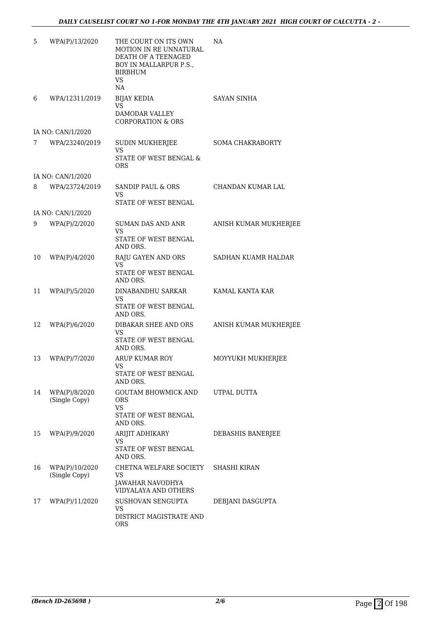| 5  | WPA(P)/13/2020                  | THE COURT ON ITS OWN<br>MOTION IN RE UNNATURAL<br>DEATH OF A TEENAGED<br>BOY IN MALLARPUR P.S.,<br><b>BIRBHUM</b><br><b>VS</b><br>NA | NA                      |
|----|---------------------------------|--------------------------------------------------------------------------------------------------------------------------------------|-------------------------|
| 6  | WPA/12311/2019                  | <b>BIJAY KEDIA</b><br>VS<br>DAMODAR VALLEY<br><b>CORPORATION &amp; ORS</b>                                                           | <b>SAYAN SINHA</b>      |
|    | IA NO: CAN/1/2020               |                                                                                                                                      |                         |
| 7  | WPA/23240/2019                  | <b>SUDIN MUKHERJEE</b><br>VS<br>STATE OF WEST BENGAL &                                                                               | <b>SOMA CHAKRABORTY</b> |
|    | IA NO: CAN/1/2020               | <b>ORS</b>                                                                                                                           |                         |
| 8  | WPA/23724/2019                  | SANDIP PAUL & ORS<br>VS<br>STATE OF WEST BENGAL                                                                                      | CHANDAN KUMAR LAL       |
|    | IA NO: CAN/1/2020               |                                                                                                                                      |                         |
| 9  | WPA(P)/2/2020                   | <b>SUMAN DAS AND ANR</b><br>VS                                                                                                       | ANISH KUMAR MUKHERJEE   |
|    |                                 | STATE OF WEST BENGAL<br>AND ORS.                                                                                                     |                         |
| 10 | WPA(P)/4/2020                   | RAJU GAYEN AND ORS<br>VS.                                                                                                            | SADHAN KUAMR HALDAR     |
|    |                                 | STATE OF WEST BENGAL<br>AND ORS.                                                                                                     |                         |
| 11 | WPA(P)/5/2020                   | DINABANDHU SARKAR<br>VS<br>STATE OF WEST BENGAL<br>AND ORS.                                                                          | KAMAL KANTA KAR         |
| 12 | WPA(P)/6/2020                   | DIBAKAR SHEE AND ORS<br><b>VS</b><br>STATE OF WEST BENGAL<br>AND ORS.                                                                | ANISH KUMAR MUKHERJEE   |
| 13 | WPA(P)/7/2020                   | ARUP KUMAR ROY<br>VS<br>STATE OF WEST BENGAL                                                                                         | MOYYUKH MUKHERJEE       |
| 14 |                                 | AND ORS.<br><b>GOUTAM BHOWMICK AND</b>                                                                                               | UTPAL DUTTA             |
|    | WPA(P)/8/2020<br>(Single Copy)  | <b>ORS</b><br><b>VS</b><br>STATE OF WEST BENGAL                                                                                      |                         |
|    |                                 | AND ORS.                                                                                                                             |                         |
| 15 | WPA(P)/9/2020                   | ARIJIT ADHIKARY<br>VS.<br>STATE OF WEST BENGAL<br>AND ORS.                                                                           | DEBASHIS BANERJEE       |
| 16 | WPA(P)/10/2020<br>(Single Copy) | CHETNA WELFARE SOCIETY<br>VS<br>JAWAHAR NAVODHYA<br>VIDYALAYA AND OTHERS                                                             | <b>SHASHI KIRAN</b>     |
| 17 | WPA(P)/11/2020                  | SUSHOVAN SENGUPTA<br><b>VS</b><br>DISTRICT MAGISTRATE AND<br><b>ORS</b>                                                              | DEBJANI DASGUPTA        |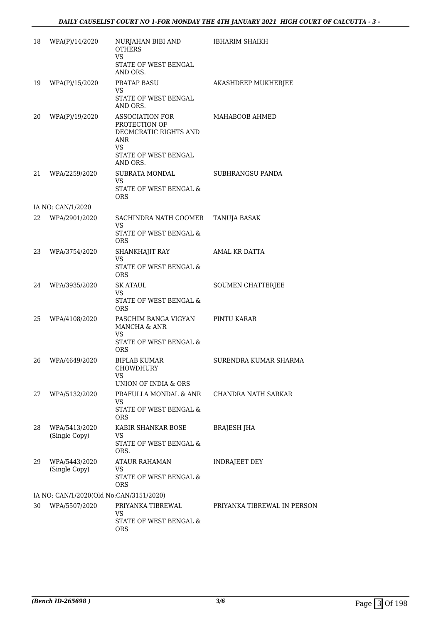| 18  | WPA(P)/14/2020                          | NURJAHAN BIBI AND<br><b>OTHERS</b><br>VS                                                       | <b>IBHARIM SHAIKH</b>       |
|-----|-----------------------------------------|------------------------------------------------------------------------------------------------|-----------------------------|
|     |                                         | STATE OF WEST BENGAL<br>AND ORS.                                                               |                             |
| 19  | WPA(P)/15/2020                          | <b>PRATAP BASU</b><br>VS                                                                       | AKASHDEEP MUKHERJEE         |
|     |                                         | STATE OF WEST BENGAL<br>AND ORS.                                                               |                             |
| 20  | WPA(P)/19/2020                          | ASSOCIATION FOR<br>PROTECTION OF<br>DECMCRATIC RIGHTS AND<br>ANR<br>VS<br>STATE OF WEST BENGAL | MAHABOOB AHMED              |
|     |                                         | AND ORS.                                                                                       |                             |
| 21  | WPA/2259/2020                           | SUBRATA MONDAL<br>VS<br>STATE OF WEST BENGAL &                                                 | SUBHRANGSU PANDA            |
|     |                                         | <b>ORS</b>                                                                                     |                             |
| 22. | IA NO: CAN/1/2020<br>WPA/2901/2020      | SACHINDRA NATH COOMER                                                                          | TANUJA BASAK                |
|     |                                         | VS<br>STATE OF WEST BENGAL &<br><b>ORS</b>                                                     |                             |
| 23  | WPA/3754/2020                           | SHANKHAJIT RAY                                                                                 | AMAL KR DATTA               |
|     |                                         | VS<br>STATE OF WEST BENGAL &<br><b>ORS</b>                                                     |                             |
| 24  | WPA/3935/2020                           | <b>SK ATAUL</b><br>VS                                                                          | SOUMEN CHATTERJEE           |
|     |                                         | STATE OF WEST BENGAL &<br><b>ORS</b>                                                           |                             |
| 25  | WPA/4108/2020                           | PASCHIM BANGA VIGYAN<br>MANCHA & ANR<br><b>VS</b>                                              | PINTU KARAR                 |
|     |                                         | STATE OF WEST BENGAL &<br>ORS                                                                  |                             |
| 26  | WPA/4649/2020                           | BIPLAB KUMAR<br>CHOWDHURY<br>VS                                                                | SURENDRA KUMAR SHARMA       |
|     |                                         | UNION OF INDIA & ORS                                                                           |                             |
| 27  | WPA/5132/2020                           | PRAFULLA MONDAL & ANR<br>VS                                                                    | CHANDRA NATH SARKAR         |
|     |                                         | STATE OF WEST BENGAL &<br>ORS                                                                  |                             |
| 28  | WPA/5413/2020<br>(Single Copy)          | KABIR SHANKAR BOSE<br>VS                                                                       | <b>BRAJESH JHA</b>          |
|     |                                         | STATE OF WEST BENGAL &<br>ORS.                                                                 |                             |
| 29  | WPA/5443/2020<br>(Single Copy)          | <b>ATAUR RAHAMAN</b><br>VS                                                                     | <b>INDRAJEET DEY</b>        |
|     |                                         | STATE OF WEST BENGAL &<br><b>ORS</b>                                                           |                             |
|     | IA NO: CAN/1/2020(Old No:CAN/3151/2020) |                                                                                                |                             |
| 30  | WPA/5507/2020                           | PRIYANKA TIBREWAL<br><b>VS</b><br>STATE OF WEST BENGAL &                                       | PRIYANKA TIBREWAL IN PERSON |
|     |                                         | <b>ORS</b>                                                                                     |                             |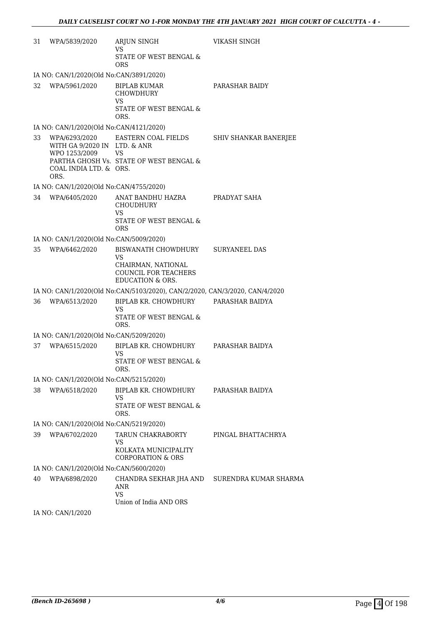| 31 | WPA/5839/2020                                                           | ARJUN SINGH<br>VS                                                                                                    | <b>VIKASH SINGH</b>          |
|----|-------------------------------------------------------------------------|----------------------------------------------------------------------------------------------------------------------|------------------------------|
|    |                                                                         | STATE OF WEST BENGAL &<br><b>ORS</b>                                                                                 |                              |
|    | IA NO: CAN/1/2020(Old No:CAN/3891/2020)                                 |                                                                                                                      |                              |
| 32 | WPA/5961/2020                                                           | <b>BIPLAB KUMAR</b><br><b>CHOWDHURY</b><br><b>VS</b><br>STATE OF WEST BENGAL &<br>ORS.                               | PARASHAR BAIDY               |
|    | IA NO: CAN/1/2020(Old No:CAN/4121/2020)                                 |                                                                                                                      |                              |
| 33 | WITH GA 9/2020 IN LTD. & ANR<br>WPO 1253/2009<br>COAL INDIA LTD. & ORS. | WPA/6293/2020 EASTERN COAL FIELDS<br><b>VS</b><br>PARTHA GHOSH Vs. STATE OF WEST BENGAL &                            | <b>SHIV SHANKAR BANERJEE</b> |
|    | ORS.                                                                    |                                                                                                                      |                              |
| 34 | IA NO: CAN/1/2020(Old No:CAN/4755/2020)<br>WPA/6405/2020                | ANAT BANDHU HAZRA<br>CHOUDHURY<br><b>VS</b>                                                                          | PRADYAT SAHA                 |
|    |                                                                         | STATE OF WEST BENGAL &<br><b>ORS</b>                                                                                 |                              |
|    | IA NO: CAN/1/2020(Old No:CAN/5009/2020)                                 |                                                                                                                      |                              |
| 35 | WPA/6462/2020                                                           | BISWANATH CHOWDHURY<br><b>VS</b><br>CHAIRMAN, NATIONAL<br><b>COUNCIL FOR TEACHERS</b><br><b>EDUCATION &amp; ORS.</b> | <b>SURYANEEL DAS</b>         |
|    |                                                                         | IA NO: CAN/1/2020(Old No:CAN/5103/2020), CAN/2/2020, CAN/3/2020, CAN/4/2020                                          |                              |
| 36 | WPA/6513/2020                                                           | BIPLAB KR. CHOWDHURY PARASHAR BAIDYA<br><b>VS</b><br>STATE OF WEST BENGAL &<br>ORS.                                  |                              |
|    | IA NO: CAN/1/2020(Old No:CAN/5209/2020)                                 |                                                                                                                      |                              |
| 37 | WPA/6515/2020                                                           | BIPLAB KR. CHOWDHURY<br><b>VS</b><br>STATE OF WEST BENGAL &<br>ORS.                                                  | PARASHAR BAIDYA              |
|    | IA NO: CAN/1/2020(Old No:CAN/5215/2020)                                 |                                                                                                                      |                              |
| 38 | WPA/6518/2020                                                           | BIPLAB KR. CHOWDHURY<br>VS<br>STATE OF WEST BENGAL &<br>ORS.                                                         | PARASHAR BAIDYA              |
|    | IA NO: CAN/1/2020(Old No:CAN/5219/2020)                                 |                                                                                                                      |                              |
| 39 | WPA/6702/2020                                                           | TARUN CHAKRABORTY<br>VS<br>KOLKATA MUNICIPALITY<br><b>CORPORATION &amp; ORS</b>                                      | PINGAL BHATTACHRYA           |
|    | IA NO: CAN/1/2020(Old No:CAN/5600/2020)                                 |                                                                                                                      |                              |
| 40 | WPA/6898/2020                                                           | CHANDRA SEKHAR JHA AND<br><b>ANR</b><br>VS<br>Union of India AND ORS                                                 | SURENDRA KUMAR SHARMA        |
|    |                                                                         |                                                                                                                      |                              |

IA NO: CAN/1/2020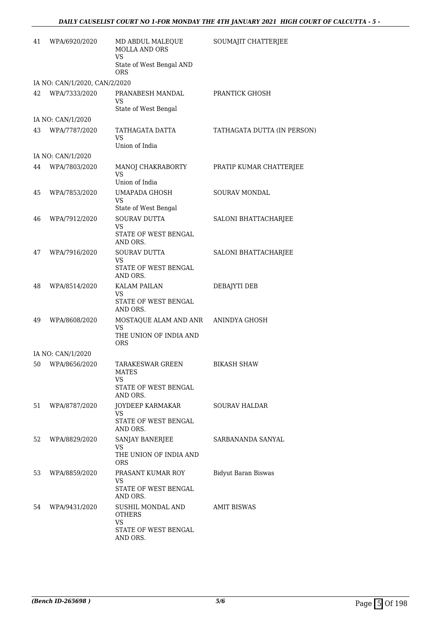| 41 | WPA/6920/2020                 | MD ABDUL MALEQUE<br><b>MOLLA AND ORS</b><br><b>VS</b>                      | SOUMAJIT CHATTERJEE         |
|----|-------------------------------|----------------------------------------------------------------------------|-----------------------------|
|    |                               | State of West Bengal AND<br>ORS                                            |                             |
|    | IA NO: CAN/1/2020, CAN/2/2020 |                                                                            |                             |
| 42 | WPA/7333/2020                 | PRANABESH MANDAL<br>VS<br>State of West Bengal                             | PRANTICK GHOSH              |
|    | IA NO: CAN/1/2020             |                                                                            |                             |
| 43 | WPA/7787/2020                 | TATHAGATA DATTA<br>VS<br>Union of India                                    | TATHAGATA DUTTA (IN PERSON) |
|    | IA NO: CAN/1/2020             |                                                                            |                             |
| 44 | WPA/7803/2020                 | MANOJ CHAKRABORTY                                                          | PRATIP KUMAR CHATTERJEE     |
|    |                               | VS<br>Union of India                                                       |                             |
| 45 | WPA/7853/2020                 | <b>UMAPADA GHOSH</b><br><b>VS</b>                                          | <b>SOURAV MONDAL</b>        |
|    |                               | State of West Bengal                                                       |                             |
| 46 | WPA/7912/2020                 | <b>SOURAV DUTTA</b><br>VS<br>STATE OF WEST BENGAL<br>AND ORS.              | SALONI BHATTACHARJEE        |
| 47 | WPA/7916/2020                 | <b>SOURAV DUTTA</b>                                                        | SALONI BHATTACHARJEE        |
|    |                               | VS<br>STATE OF WEST BENGAL<br>AND ORS.                                     |                             |
| 48 | WPA/8514/2020                 | KALAM PAILAN<br>VS<br>STATE OF WEST BENGAL<br>AND ORS.                     | DEBAJYTI DEB                |
| 49 | WPA/8608/2020                 | MOSTAQUE ALAM AND ANR ANINDYA GHOSH<br><b>VS</b><br>THE UNION OF INDIA AND |                             |
|    |                               | <b>ORS</b>                                                                 |                             |
|    | IA NO: CAN/1/2020             |                                                                            |                             |
| 50 | WPA/8656/2020                 | TARAKESWAR GREEN<br>MATES<br>VS.                                           | <b>BIKASH SHAW</b>          |
|    |                               | STATE OF WEST BENGAL<br>AND ORS.                                           |                             |
| 51 | WPA/8787/2020                 | JOYDEEP KARMAKAR<br>VS<br>STATE OF WEST BENGAL                             | <b>SOURAV HALDAR</b>        |
|    |                               | AND ORS.                                                                   |                             |
| 52 | WPA/8829/2020                 | SANJAY BANERJEE<br>VS.                                                     | SARBANANDA SANYAL           |
|    |                               | THE UNION OF INDIA AND<br>ORS.                                             |                             |
| 53 | WPA/8859/2020                 | PRASANT KUMAR ROY<br>VS                                                    | Bidyut Baran Biswas         |
|    |                               | STATE OF WEST BENGAL<br>AND ORS.                                           |                             |
| 54 | WPA/9431/2020                 | SUSHIL MONDAL AND<br><b>OTHERS</b>                                         | AMIT BISWAS                 |
|    |                               | VS<br>STATE OF WEST BENGAL<br>AND ORS.                                     |                             |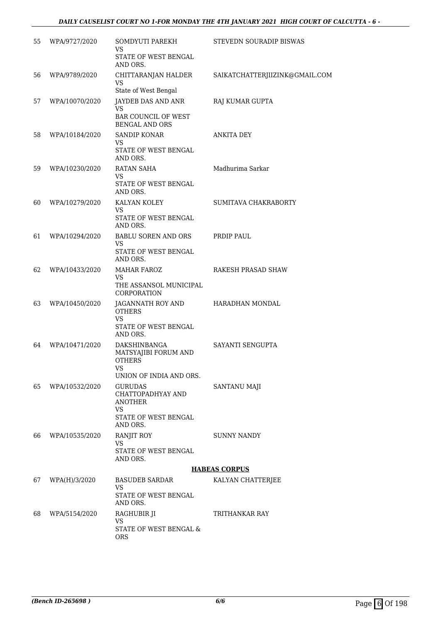## *DAILY CAUSELIST COURT NO 1-FOR MONDAY THE 4TH JANUARY 2021 HIGH COURT OF CALCUTTA - 6 -*

| 55 | WPA/9727/2020  | SOMDYUTI PAREKH<br>VS                                                                                          | STEVEDN SOURADIP BISWAS        |
|----|----------------|----------------------------------------------------------------------------------------------------------------|--------------------------------|
|    |                | STATE OF WEST BENGAL<br>AND ORS.                                                                               |                                |
| 56 | WPA/9789/2020  | CHITTARANJAN HALDER<br><b>VS</b>                                                                               | SAIKATCHATTERJIIZINK@GMAIL.COM |
|    |                | State of West Bengal                                                                                           |                                |
| 57 | WPA/10070/2020 | JAYDEB DAS AND ANR<br><b>VS</b><br><b>BAR COUNCIL OF WEST</b><br><b>BENGAL AND ORS</b>                         | RAJ KUMAR GUPTA                |
| 58 | WPA/10184/2020 | <b>SANDIP KONAR</b><br><b>VS</b><br>STATE OF WEST BENGAL<br>AND ORS.                                           | ANKITA DEY                     |
| 59 | WPA/10230/2020 | <b>RATAN SAHA</b><br><b>VS</b><br>STATE OF WEST BENGAL<br>AND ORS.                                             | Madhurima Sarkar               |
| 60 | WPA/10279/2020 | KALYAN KOLEY<br>VS.<br>STATE OF WEST BENGAL<br>AND ORS.                                                        | SUMITAVA CHAKRABORTY           |
| 61 | WPA/10294/2020 | BABLU SOREN AND ORS                                                                                            | PRDIP PAUL                     |
|    |                | VS<br>STATE OF WEST BENGAL<br>AND ORS.                                                                         |                                |
| 62 | WPA/10433/2020 | <b>MAHAR FAROZ</b><br>VS.<br>THE ASSANSOL MUNICIPAL                                                            | RAKESH PRASAD SHAW             |
| 63 | WPA/10450/2020 | CORPORATION<br>JAGANNATH ROY AND<br><b>OTHERS</b><br><b>VS</b><br>STATE OF WEST BENGAL                         | HARADHAN MONDAL                |
| 64 | WPA/10471/2020 | AND ORS.<br>DAKSHINBANGA<br>MATSYAJIBI FORUM AND<br><b>OTHERS</b><br>VS                                        | SAYANTI SENGUPTA               |
| 65 | WPA/10532/2020 | UNION OF INDIA AND ORS.<br><b>GURUDAS</b><br>CHATTOPADHYAY AND<br><b>ANOTHER</b><br>VS<br>STATE OF WEST BENGAL | SANTANU MAJI                   |
| 66 | WPA/10535/2020 | AND ORS.<br>RANJIT ROY<br>VS<br>STATE OF WEST BENGAL<br>AND ORS.                                               | <b>SUNNY NANDY</b>             |
|    |                |                                                                                                                | <b>HABEAS CORPUS</b>           |
| 67 | WPA(H)/3/2020  | BASUDEB SARDAR<br>VS<br>STATE OF WEST BENGAL                                                                   | KALYAN CHATTERJEE              |
|    |                | AND ORS.                                                                                                       |                                |
| 68 | WPA/5154/2020  | RAGHUBIR JI<br><b>VS</b><br>STATE OF WEST BENGAL &<br>ORS                                                      | TRITHANKAR RAY                 |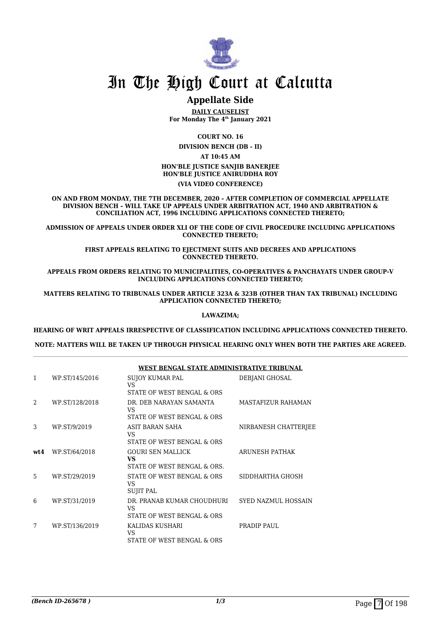

## **Appellate Side**

**DAILY CAUSELIST For Monday The 4th January 2021**

**COURT NO. 16**

**DIVISION BENCH (DB - II) AT 10:45 AM HON'BLE JUSTICE SANJIB BANERJEE HON'BLE JUSTICE ANIRUDDHA ROY**

### **(VIA VIDEO CONFERENCE)**

**ON AND FROM MONDAY, THE 7TH DECEMBER, 2020 – AFTER COMPLETION OF COMMERCIAL APPELLATE DIVISION BENCH – WILL TAKE UP APPEALS UNDER ARBITRATION ACT, 1940 AND ARBITRATION & CONCILIATION ACT, 1996 INCLUDING APPLICATIONS CONNECTED THERETO;**

**ADMISSION OF APPEALS UNDER ORDER XLI OF THE CODE OF CIVIL PROCEDURE INCLUDING APPLICATIONS CONNECTED THERETO;**

> **FIRST APPEALS RELATING TO EIECTMENT SUITS AND DECREES AND APPLICATIONS CONNECTED THERETO.**

**APPEALS FROM ORDERS RELATING TO MUNICIPALITIES, CO-OPERATIVES & PANCHAYATS UNDER GROUP-V INCLUDING APPLICATIONS CONNECTED THERETO;**

**MATTERS RELATING TO TRIBUNALS UNDER ARTICLE 323A & 323B (OTHER THAN TAX TRIBUNAL) INCLUDING APPLICATION CONNECTED THERETO;**

#### **LAWAZIMA;**

**HEARING OF WRIT APPEALS IRRESPECTIVE OF CLASSIFICATION INCLUDING APPLICATIONS CONNECTED THERETO.**

**NOTE: MATTERS WILL BE TAKEN UP THROUGH PHYSICAL HEARING ONLY WHEN BOTH THE PARTIES ARE AGREED.**

|                |                | WEST BENGAL STATE ADMINISTRATIVE TRIBUNAL                      |                            |
|----------------|----------------|----------------------------------------------------------------|----------------------------|
| 1              | WP.ST/145/2016 | <b>SUJOY KUMAR PAL</b><br>VS<br>STATE OF WEST BENGAL & ORS     | DEBJANI GHOSAL             |
| $\mathfrak{D}$ | WP.ST/128/2018 | DR. DEB NARAYAN SAMANTA<br>VS<br>STATE OF WEST BENGAL & ORS    | <b>MASTAFIZUR RAHAMAN</b>  |
| 3              | WP.ST/9/2019   | ASIT BARAN SAHA<br>VS.<br>STATE OF WEST BENGAL & ORS           | NIRBANESH CHATTERJEE       |
| wt4            | WP.ST/64/2018  | <b>GOURI SEN MALLICK</b><br>VS<br>STATE OF WEST BENGAL & ORS.  | ARUNESH PATHAK             |
| 5              | WP.ST/29/2019  | STATE OF WEST BENGAL & ORS<br>VS<br><b>SUJIT PAL</b>           | SIDDHARTHA GHOSH           |
| 6              | WP.ST/31/2019  | DR. PRANAB KUMAR CHOUDHURI<br>VS<br>STATE OF WEST BENGAL & ORS | <b>SYED NAZMUL HOSSAIN</b> |
| 7              | WP.ST/136/2019 | KALIDAS KUSHARI<br>VS<br>STATE OF WEST BENGAL & ORS            | PRADIP PAUL                |

### **WEST BENGAL STATE ADMINISTRATIVE TRIBUNAL**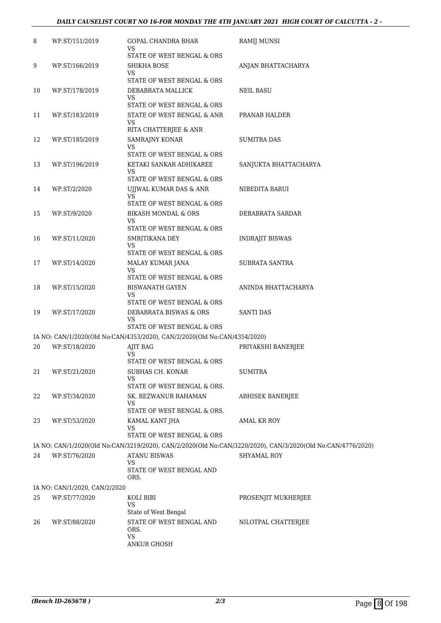### *DAILY CAUSELIST COURT NO 16-FOR MONDAY THE 4TH JANUARY 2021 HIGH COURT OF CALCUTTA - 2 -*

| 8  | WP.ST/151/2019                | GOPAL CHANDRA BHAR<br>VS                                                  | RAMIJ MUNSI                                                                                                 |
|----|-------------------------------|---------------------------------------------------------------------------|-------------------------------------------------------------------------------------------------------------|
|    |                               | STATE OF WEST BENGAL & ORS                                                |                                                                                                             |
| 9  | WP.ST/166/2019                | SHIKHA BOSE<br>VS                                                         | ANJAN BHATTACHARYA                                                                                          |
|    |                               | STATE OF WEST BENGAL & ORS                                                |                                                                                                             |
| 10 | WP.ST/178/2019                | DEBABRATA MALLICK                                                         | <b>NEIL BASU</b>                                                                                            |
|    |                               | VS<br>STATE OF WEST BENGAL & ORS                                          |                                                                                                             |
| 11 | WP.ST/183/2019                | STATE OF WEST BENGAL & ANR<br>VS                                          | PRANAB HALDER                                                                                               |
|    |                               | RITA CHATTERJEE & ANR                                                     |                                                                                                             |
| 12 | WP.ST/185/2019                | SAMRAJNY KONAR<br>VS                                                      | SUMITRA DAS                                                                                                 |
|    |                               | STATE OF WEST BENGAL & ORS                                                |                                                                                                             |
| 13 | WP.ST/196/2019                | KETAKI SANKAR ADHIKAREE                                                   | SANJUKTA BHATTACHARYA                                                                                       |
|    |                               | VS<br>STATE OF WEST BENGAL & ORS                                          |                                                                                                             |
| 14 | WP.ST/2/2020                  | UJJWAL KUMAR DAS & ANR<br>VS                                              | NIBEDITA BARUI                                                                                              |
|    |                               | STATE OF WEST BENGAL & ORS                                                |                                                                                                             |
| 15 | WP.ST/9/2020                  | <b>BIKASH MONDAL &amp; ORS</b><br>VS                                      | DEBABRATA SARDAR                                                                                            |
|    |                               | STATE OF WEST BENGAL & ORS                                                |                                                                                                             |
| 16 | WP.ST/11/2020                 | SMRITIKANA DEY                                                            | INDRAJIT BISWAS                                                                                             |
|    |                               | VS<br>STATE OF WEST BENGAL & ORS                                          |                                                                                                             |
| 17 | WP.ST/14/2020                 | MALAY KUMAR JANA                                                          | SUBRATA SANTRA                                                                                              |
|    |                               | VS<br>STATE OF WEST BENGAL & ORS                                          |                                                                                                             |
| 18 | WP.ST/15/2020                 | <b>BISWANATH GAYEN</b>                                                    | ANINDA BHATTACHARYA                                                                                         |
|    |                               | VS                                                                        |                                                                                                             |
| 19 | WP.ST/17/2020                 | STATE OF WEST BENGAL & ORS<br>DEBABRATA BISWAS & ORS                      | SANTI DAS                                                                                                   |
|    |                               | VS                                                                        |                                                                                                             |
|    |                               | STATE OF WEST BENGAL & ORS                                                |                                                                                                             |
|    |                               | IA NO: CAN/1/2020(Old No:CAN/4353/2020), CAN/2/2020(Old No:CAN/4354/2020) |                                                                                                             |
| 20 | WP.ST/18/2020                 | AJIT BAG<br>VS                                                            | PRIYAKSHI BANERJEE                                                                                          |
|    |                               | STATE OF WEST BENGAL & ORS                                                |                                                                                                             |
| 21 | WP.ST/21/2020                 | SUBHAS CH. KONAR<br>VS                                                    | <b>SUMITRA</b>                                                                                              |
|    |                               | STATE OF WEST BENGAL & ORS.                                               |                                                                                                             |
| 22 | WP.ST/34/2020                 | SK. REZWANUR RAHAMAN<br>VS                                                | ABHISEK BANERJEE                                                                                            |
|    |                               | STATE OF WEST BENGAL & ORS.                                               |                                                                                                             |
| 23 | WP.ST/53/2020                 | KAMAL KANT JHA<br>VS                                                      | AMAL KR ROY                                                                                                 |
|    |                               | STATE OF WEST BENGAL & ORS                                                |                                                                                                             |
|    |                               |                                                                           | IA NO: CAN/1/2020(Old No:CAN/3219/2020), CAN/2/2020(Old No:CAN/3220/2020), CAN/3/2020(Old No:CAN/4776/2020) |
| 24 | WP.ST/76/2020                 | <b>ATANU BISWAS</b><br>VS                                                 | <b>SHYAMAL ROY</b>                                                                                          |
|    |                               | STATE OF WEST BENGAL AND<br>ORS.                                          |                                                                                                             |
|    | IA NO: CAN/1/2020, CAN/2/2020 |                                                                           |                                                                                                             |
| 25 | WP.ST/77/2020                 | KOLI BIBI                                                                 | PROSENJIT MUKHERJEE                                                                                         |
|    |                               | VS<br>State of West Bengal                                                |                                                                                                             |
| 26 | WP.ST/88/2020                 | STATE OF WEST BENGAL AND<br>ORS.                                          | NILOTPAL CHATTERJEE                                                                                         |
|    |                               | VS<br>ANKUR GHOSH                                                         |                                                                                                             |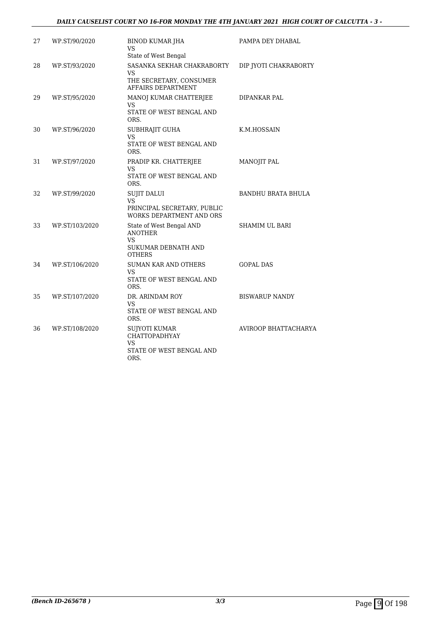### *DAILY CAUSELIST COURT NO 16-FOR MONDAY THE 4TH JANUARY 2021 HIGH COURT OF CALCUTTA - 3 -*

| 27 | WP.ST/90/2020  | <b>BINOD KUMAR JHA</b><br><b>VS</b><br>State of West Bengal                                     | PAMPA DEY DHABAL          |
|----|----------------|-------------------------------------------------------------------------------------------------|---------------------------|
| 28 | WP.ST/93/2020  | SASANKA SEKHAR CHAKRABORTY<br><b>VS</b><br>THE SECRETARY, CONSUMER<br>AFFAIRS DEPARTMENT        | DIP JYOTI CHAKRABORTY     |
| 29 | WP.ST/95/2020  | MANOJ KUMAR CHATTERJEE<br>VS<br>STATE OF WEST BENGAL AND<br>ORS.                                | DIPANKAR PAL              |
| 30 | WP.ST/96/2020  | SUBHRAJIT GUHA<br><b>VS</b><br>STATE OF WEST BENGAL AND<br>ORS.                                 | K.M.HOSSAIN               |
| 31 | WP.ST/97/2020  | PRADIP KR. CHATTERJEE<br><b>VS</b><br>STATE OF WEST BENGAL AND<br>ORS.                          | MANOJIT PAL               |
| 32 | WP.ST/99/2020  | <b>SUJIT DALUI</b><br>VS<br>PRINCIPAL SECRETARY, PUBLIC<br>WORKS DEPARTMENT AND ORS             | <b>BANDHU BRATA BHULA</b> |
| 33 | WP.ST/103/2020 | State of West Bengal AND<br><b>ANOTHER</b><br><b>VS</b><br>SUKUMAR DEBNATH AND<br><b>OTHERS</b> | <b>SHAMIM UL BARI</b>     |
| 34 | WP.ST/106/2020 | <b>SUMAN KAR AND OTHERS</b><br><b>VS</b><br>STATE OF WEST BENGAL AND<br>ORS.                    | <b>GOPAL DAS</b>          |
| 35 | WP.ST/107/2020 | DR. ARINDAM ROY<br>VS<br>STATE OF WEST BENGAL AND<br>ORS.                                       | <b>BISWARUP NANDY</b>     |
| 36 | WP.ST/108/2020 | SUJYOTI KUMAR<br><b>CHATTOPADHYAY</b><br><b>VS</b><br>STATE OF WEST BENGAL AND<br>ORS.          | AVIROOP BHATTACHARYA      |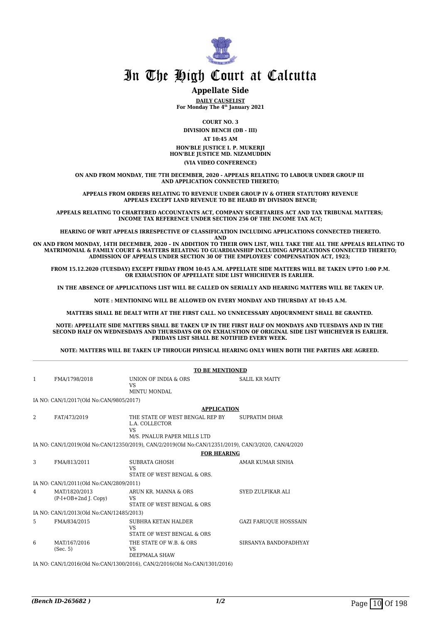

### **Appellate Side**

**DAILY CAUSELIST For Monday The 4th January 2021**

**COURT NO. 3**

**DIVISION BENCH (DB - III)**

**AT 10:45 AM**

**HON'BLE JUSTICE I. P. MUKERJI HON'BLE JUSTICE MD. NIZAMUDDIN**

**(VIA VIDEO CONFERENCE)**

**ON AND FROM MONDAY, THE 7TH DECEMBER, 2020 - APPEALS RELATING TO LABOUR UNDER GROUP III AND APPLICATION CONNECTED THERETO;**

**APPEALS FROM ORDERS RELATING TO REVENUE UNDER GROUP IV & OTHER STATUTORY REVENUE APPEALS EXCEPT LAND REVENUE TO BE HEARD BY DIVISION BENCH;**

**APPEALS RELATING TO CHARTERED ACCOUNTANTS ACT, COMPANY SECRETARIES ACT AND TAX TRIBUNAL MATTERS; INCOME TAX REFERENCE UNDER SECTION 256 OF THE INCOME TAX ACT;**

**HEARING OF WRIT APPEALS IRRESPECTIVE OF CLASSIFICATION INCLUDING APPLICATIONS CONNECTED THERETO.**

**AND**

**ON AND FROM MONDAY, 14TH DECEMBER, 2020 – IN ADDITION TO THEIR OWN LIST, WILL TAKE THE ALL THE APPEALS RELATING TO MATRIMONIAL & FAMILY COURT & MATTERS RELATING TO GUARDIANSHIP INCLUDING APPLICATIONS CONNECTED THERETO; ADMISSION OF APPEALS UNDER SECTION 30 OF THE EMPLOYEES' COMPENSATION ACT, 1923;** 

**FROM 15.12.2020 (TUESDAY) EXCEPT FRIDAY FROM 10:45 A.M. APPELLATE SIDE MATTERS WILL BE TAKEN UPTO 1:00 P.M. OR EXHAUSTION OF APPELLATE SIDE LIST WHICHEVER IS EARLIER.** 

**IN THE ABSENCE OF APPLICATIONS LIST WILL BE CALLED ON SERIALLY AND HEARING MATTERS WILL BE TAKEN UP.**

**NOTE : MENTIONING WILL BE ALLOWED ON EVERY MONDAY AND THURSDAY AT 10:45 A.M.**

**MATTERS SHALL BE DEALT WITH AT THE FIRST CALL. NO UNNECESSARY ADJOURNMENT SHALL BE GRANTED.** 

**NOTE: APPELLATE SIDE MATTERS SHALL BE TAKEN UP IN THE FIRST HALF ON MONDAYS AND TUESDAYS AND IN THE SECOND HALF ON WEDNESDAYS AND THURSDAYS OR ON EXHAUSTION OF ORIGINAL SIDE LIST WHICHEVER IS EARLIER. FRIDAYS LIST SHALL BE NOTIFIED EVERY WEEK.** 

**NOTE: MATTERS WILL BE TAKEN UP THROUGH PHYSICAL HEARING ONLY WHEN BOTH THE PARTIES ARE AGREED.** 

|   |                                          | <b>TO BE MENTIONED</b>                                                                              |                              |
|---|------------------------------------------|-----------------------------------------------------------------------------------------------------|------------------------------|
| 1 | FMA/1798/2018                            | UNION OF INDIA & ORS<br><b>VS</b><br>MINTU MONDAL                                                   | <b>SALIL KR MAITY</b>        |
|   | IA NO: CAN/1/2017(Old No:CAN/9805/2017)  |                                                                                                     |                              |
|   |                                          | <b>APPLICATION</b>                                                                                  |                              |
| 2 | FAT/473/2019                             | THE STATE OF WEST BENGAL REP BY<br>L.A. COLLECTOR<br><b>VS</b>                                      | SUPRATIM DHAR                |
|   |                                          | M/S. PNALUR PAPER MILLS LTD                                                                         |                              |
|   |                                          | IA NO: CAN/1/2019(Old No:CAN/12350/2019), CAN/2/2019(Old No:CAN/12351/2019), CAN/3/2020, CAN/4/2020 |                              |
|   |                                          | <b>FOR HEARING</b>                                                                                  |                              |
| 3 | FMA/813/2011                             | <b>SUBRATA GHOSH</b><br>VS.<br>STATE OF WEST BENGAL & ORS.                                          | AMAR KUMAR SINHA             |
|   | IA NO: CAN/1/2011(Old No:CAN/2809/2011)  |                                                                                                     |                              |
| 4 | MAT/1820/2013<br>$(P-I+OB+2nd$ J. Copy)  | ARUN KR. MANNA & ORS<br><b>VS</b><br>STATE OF WEST BENGAL & ORS                                     | SYED ZULFIKAR ALI            |
|   | IA NO: CAN/1/2013(Old No:CAN/12485/2013) |                                                                                                     |                              |
| 5 | FMA/834/2015                             | SUBHRA KETAN HALDER<br><b>VS</b><br>STATE OF WEST BENGAL & ORS                                      | <b>GAZI FARUQUE HOSSSAIN</b> |
| 6 | MAT/167/2016<br>(Sec. 5)                 | THE STATE OF W.B. & ORS<br><b>VS</b><br><b>DEEPMALA SHAW</b>                                        | SIRSANYA BANDOPADHYAY        |
|   |                                          | IA NO. CANILIZALE (OLL No. CANILIZADIZALE) CANIZIZALE (OLL No. CANILIZALIZALE)                      |                              |

IA NO: CAN/1/2016(Old No:CAN/1300/2016), CAN/2/2016(Old No:CAN/1301/2016)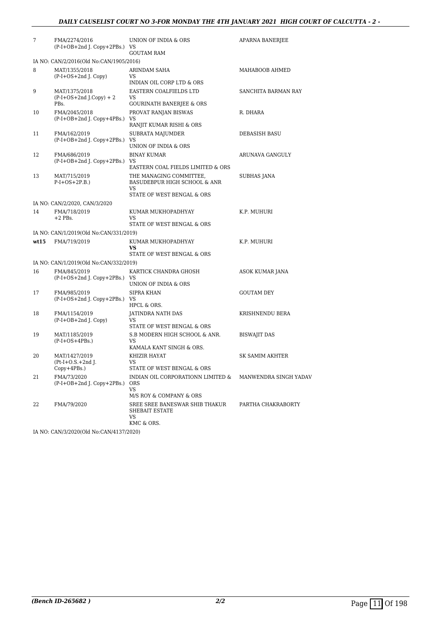| 7    | FMA/2274/2016<br>(P-I+OB+2nd J. Copy+2PBs.) VS     | UNION OF INDIA & ORS<br><b>GOUTAM RAM</b>                                         | APARNA BANERJEE       |
|------|----------------------------------------------------|-----------------------------------------------------------------------------------|-----------------------|
|      | IA NO: CAN/2/2016(Old No:CAN/1905/2016)            |                                                                                   |                       |
| 8    | MAT/1355/2018<br>$(P-I+OS+2nd J. Copy)$            | ARINDAM SAHA<br>VS.<br>INDIAN OIL CORP LTD & ORS                                  | MAHABOOB AHMED        |
| 9    | MAT/1375/2018<br>$(P-I+OS+2nd J.Copy) + 2$<br>PBs. | EASTERN COALFIELDS LTD<br><b>VS</b><br>GOURINATH BANERJEE & ORS                   | SANCHITA BARMAN RAY   |
| 10   | FMA/2045/2018<br>$(P-I+OB+2nd I. Copy+4PBs.)$      | PROVAT RANJAN BISWAS<br>VS<br>RANJIT KUMAR RISHI & ORS                            | R. DHARA              |
| 11   | FMA/162/2019<br>(P-I+OB+2nd J. Copy+2PBs.) VS      | SUBRATA MAJUMDER<br>UNION OF INDIA & ORS                                          | DEBASISH BASU         |
| 12   | FMA/686/2019<br>(P-I+OB+2nd J. Copy+2PBs.) VS      | <b>BINAY KUMAR</b><br>EASTERN COAL FIELDS LIMITED & ORS                           | ARUNAVA GANGULY       |
| 13   | MAT/715/2019<br>$P-I+OS+2P.B.)$                    | THE MANAGING COMMITTEE,<br>BASUDEBPUR HIGH SCHOOL & ANR<br>VS                     | SUBHAS JANA           |
|      |                                                    | STATE OF WEST BENGAL & ORS                                                        |                       |
|      | IA NO: CAN/2/2020, CAN/3/2020                      |                                                                                   |                       |
| 14   | FMA/718/2019<br>$+2$ PBs.                          | KUMAR MUKHOPADHYAY<br>VS.<br>STATE OF WEST BENGAL & ORS                           | K.P. MUHURI           |
|      | IA NO: CAN/1/2019(Old No:CAN/331/2019)             |                                                                                   |                       |
| wt15 | FMA/719/2019                                       | KUMAR MUKHOPADHYAY<br>VS<br>STATE OF WEST BENGAL & ORS                            | K.P. MUHURI           |
|      | IA NO: CAN/1/2019(Old No:CAN/332/2019)             |                                                                                   |                       |
| 16   | FMA/845/2019<br>(P-I+OS+2nd J. Copy+2PBs.) VS      | KARTICK CHANDRA GHOSH<br>UNION OF INDIA & ORS                                     | ASOK KUMAR JANA       |
| 17   | FMA/985/2019<br>(P-I+OS+2nd J. Copy+2PBs.) VS      | <b>SIPRA KHAN</b><br>HPCL & ORS.                                                  | <b>GOUTAM DEY</b>     |
| 18   | FMA/1154/2019<br>(P-I+OB+2nd J. Copy)              | JATINDRA NATH DAS<br>VS.<br>STATE OF WEST BENGAL & ORS                            | KRISHNENDU BERA       |
| 19   | MAT/1185/2019<br>$(P-I+OS+4PBs.)$                  | S.B MODERN HIGH SCHOOL & ANR.<br>VS.<br>KAMALA KANT SINGH & ORS.                  | <b>BISWAJIT DAS</b>   |
| 20   | MAT/1427/2019<br>(Pt-I+O.S.+2nd J.<br>Copy+4PBs.)  | KHIZIR HAYAT<br>VS<br>STATE OF WEST BENGAL & ORS                                  | SK SAMIM AKHTER       |
| 21   | FMA/73/2020<br>$(P-I+OB+2nd$ J. Copy $+2PBs$ .)    | INDIAN OIL CORPORATIONN LIMITED &<br><b>ORS</b><br>VS.<br>M/S ROY & COMPANY & ORS | MANWENDRA SINGH YADAV |
| 22   | FMA/79/2020                                        | SREE SREE BANESWAR SHIB THAKUR<br>SHEBAIT ESTATE<br>VS<br>KMC & ORS.              | PARTHA CHAKRABORTY    |

IA NO: CAN/3/2020(Old No:CAN/4137/2020)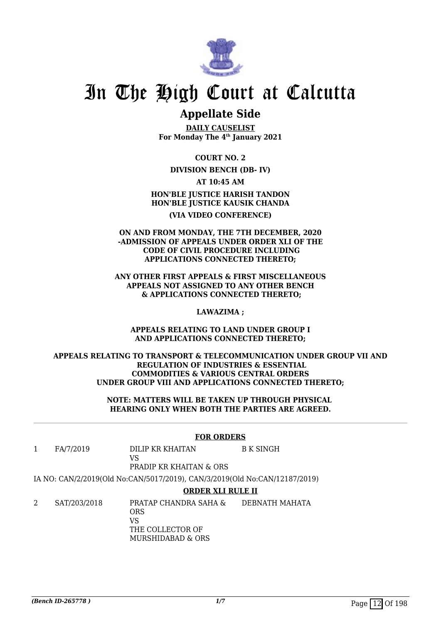

## **Appellate Side**

**DAILY CAUSELIST For Monday The 4th January 2021**

**COURT NO. 2**

## **DIVISION BENCH (DB- IV)**

**AT 10:45 AM**

**HON'BLE JUSTICE HARISH TANDON HON'BLE JUSTICE KAUSIK CHANDA (VIA VIDEO CONFERENCE)**

**ON AND FROM MONDAY, THE 7TH DECEMBER, 2020 -ADMISSION OF APPEALS UNDER ORDER XLI OF THE CODE OF CIVIL PROCEDURE INCLUDING APPLICATIONS CONNECTED THERETO;**

**ANY OTHER FIRST APPEALS & FIRST MISCELLANEOUS APPEALS NOT ASSIGNED TO ANY OTHER BENCH & APPLICATIONS CONNECTED THERETO;**

**LAWAZIMA ;**

**APPEALS RELATING TO LAND UNDER GROUP I AND APPLICATIONS CONNECTED THERETO;**

**APPEALS RELATING TO TRANSPORT & TELECOMMUNICATION UNDER GROUP VII AND REGULATION OF INDUSTRIES & ESSENTIAL COMMODITIES & VARIOUS CENTRAL ORDERS UNDER GROUP VIII AND APPLICATIONS CONNECTED THERETO;**

> **NOTE: MATTERS WILL BE TAKEN UP THROUGH PHYSICAL HEARING ONLY WHEN BOTH THE PARTIES ARE AGREED.**

### **FOR ORDERS**

1 FA/7/2019 DILIP KR KHAITAN  $V<sup>Q</sup>$ B K SINGH

PRADIP KR KHAITAN & ORS

IA NO: CAN/2/2019(Old No:CAN/5017/2019), CAN/3/2019(Old No:CAN/12187/2019)

### **ORDER XLI RULE II**

2 SAT/203/2018 PRATAP CHANDRA SAHA & ORS VS THE COLLECTOR OF MURSHIDABAD & ORS DEBNATH MAHATA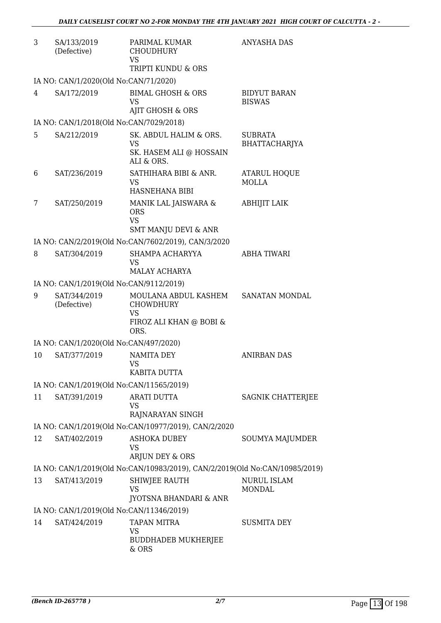| 3  | SA/133/2019<br>(Defective)              | PARIMAL KUMAR<br><b>CHOUDHURY</b><br><b>VS</b><br>TRIPTI KUNDU & ORS                     | <b>ANYASHA DAS</b>                   |
|----|-----------------------------------------|------------------------------------------------------------------------------------------|--------------------------------------|
|    | IA NO: CAN/1/2020(Old No:CAN/71/2020)   |                                                                                          |                                      |
| 4  | SA/172/2019                             | <b>BIMAL GHOSH &amp; ORS</b><br><b>VS</b><br>AJIT GHOSH & ORS                            | <b>BIDYUT BARAN</b><br><b>BISWAS</b> |
|    | IA NO: CAN/1/2018(Old No:CAN/7029/2018) |                                                                                          |                                      |
| 5  | SA/212/2019                             | SK. ABDUL HALIM & ORS.<br><b>VS</b><br>SK. HASEM ALI @ HOSSAIN<br>ALI & ORS.             | <b>SUBRATA</b><br>BHATTACHARJYA      |
| 6  | SAT/236/2019                            | SATHIHARA BIBI & ANR.<br><b>VS</b><br>HASNEHANA BIBI                                     | <b>ATARUL HOQUE</b><br><b>MOLLA</b>  |
| 7  | SAT/250/2019                            | MANIK LAL JAISWARA &<br><b>ORS</b><br><b>VS</b><br><b>SMT MANJU DEVI &amp; ANR</b>       | <b>ABHIJIT LAIK</b>                  |
|    |                                         | IA NO: CAN/2/2019(Old No:CAN/7602/2019), CAN/3/2020                                      |                                      |
| 8  | SAT/304/2019                            | SHAMPA ACHARYYA<br><b>VS</b><br><b>MALAY ACHARYA</b>                                     | ABHA TIWARI                          |
|    | IA NO: CAN/1/2019(Old No:CAN/9112/2019) |                                                                                          |                                      |
| 9  | SAT/344/2019<br>(Defective)             | MOULANA ABDUL KASHEM<br><b>CHOWDHURY</b><br><b>VS</b><br>FIROZ ALI KHAN @ BOBI &<br>ORS. | SANATAN MONDAL                       |
|    | IA NO: CAN/1/2020(Old No:CAN/497/2020)  |                                                                                          |                                      |
| 10 | SAT/377/2019                            | <b>NAMITA DEY</b><br>VS<br>KABITA DUTTA                                                  | <b>ANIRBAN DAS</b>                   |
|    |                                         | IA NO: CAN/1/2019(Old No:CAN/11565/2019)                                                 |                                      |
| 11 | SAT/391/2019                            | <b>ARATI DUTTA</b><br><b>VS</b><br>RAJNARAYAN SINGH                                      | SAGNIK CHATTERJEE                    |
|    |                                         | IA NO: CAN/1/2019(Old No:CAN/10977/2019), CAN/2/2020                                     |                                      |
| 12 | SAT/402/2019                            | <b>ASHOKA DUBEY</b><br><b>VS</b><br>ARJUN DEY & ORS                                      | SOUMYA MAJUMDER                      |
|    |                                         | IA NO: CAN/1/2019(Old No:CAN/10983/2019), CAN/2/2019(Old No:CAN/10985/2019)              |                                      |
| 13 | SAT/413/2019                            | SHIWJEE RAUTH<br><b>VS</b><br>JYOTSNA BHANDARI & ANR                                     | <b>NURUL ISLAM</b><br><b>MONDAL</b>  |
|    |                                         | IA NO: CAN/1/2019(Old No:CAN/11346/2019)                                                 |                                      |
| 14 | SAT/424/2019                            | <b>TAPAN MITRA</b><br><b>VS</b><br><b>BUDDHADEB MUKHERJEE</b>                            | <b>SUSMITA DEY</b>                   |
|    |                                         | & ORS                                                                                    |                                      |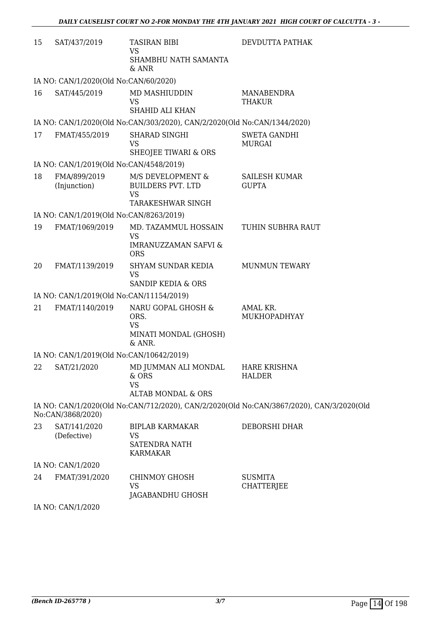| 15 | SAT/437/2019                             | <b>TASIRAN BIBI</b><br><b>VS</b>                                                                     | DEVDUTTA PATHAK                                                                          |
|----|------------------------------------------|------------------------------------------------------------------------------------------------------|------------------------------------------------------------------------------------------|
|    |                                          | SHAMBHU NATH SAMANTA<br>& ANR                                                                        |                                                                                          |
|    | IA NO: CAN/1/2020(Old No:CAN/60/2020)    |                                                                                                      |                                                                                          |
| 16 | SAT/445/2019                             | MD MASHIUDDIN<br>VS<br><b>SHAHID ALI KHAN</b>                                                        | MANABENDRA<br>THAKUR                                                                     |
|    |                                          | IA NO: CAN/1/2020(Old No:CAN/303/2020), CAN/2/2020(Old No:CAN/1344/2020)                             |                                                                                          |
| 17 | FMAT/455/2019                            | SHARAD SINGHI<br><b>VS</b>                                                                           | <b>SWETA GANDHI</b><br><b>MURGAI</b>                                                     |
|    | IA NO: CAN/1/2019(Old No:CAN/4548/2019)  | SHEOJEE TIWARI & ORS                                                                                 |                                                                                          |
| 18 | FMA/899/2019<br>(Injunction)             | M/S DEVELOPMENT &<br><b>BUILDERS PVT. LTD</b><br><b>VS</b><br><b>TARAKESHWAR SINGH</b>               | <b>SAILESH KUMAR</b><br><b>GUPTA</b>                                                     |
|    | IA NO: CAN/1/2019(Old No:CAN/8263/2019)  |                                                                                                      |                                                                                          |
| 19 | FMAT/1069/2019                           | MD. TAZAMMUL HOSSAIN<br><b>VS</b><br><b>IMRANUZZAMAN SAFVI &amp;</b><br><b>ORS</b>                   | TUHIN SUBHRA RAUT                                                                        |
| 20 | FMAT/1139/2019                           | SHYAM SUNDAR KEDIA<br><b>VS</b><br><b>SANDIP KEDIA &amp; ORS</b>                                     | <b>MUNMUN TEWARY</b>                                                                     |
|    | IA NO: CAN/1/2019(Old No:CAN/11154/2019) |                                                                                                      |                                                                                          |
| 21 | FMAT/1140/2019                           | NARU GOPAL GHOSH &<br>ORS.<br><b>VS</b><br>MINATI MONDAL (GHOSH)<br>& ANR.                           | AMAL KR.<br>MUKHOPADHYAY                                                                 |
|    | IA NO: CAN/1/2019(Old No:CAN/10642/2019) |                                                                                                      |                                                                                          |
| 22 |                                          | SAT/21/2020 MD JUMMAN ALI MONDAL HARE KRISHNA<br>& ORS<br><b>VS</b><br><b>ALTAB MONDAL &amp; ORS</b> | <b>HALDER</b>                                                                            |
|    | No:CAN/3868/2020)                        |                                                                                                      | IA NO: CAN/1/2020(Old No:CAN/712/2020), CAN/2/2020(Old No:CAN/3867/2020), CAN/3/2020(Old |
| 23 | SAT/141/2020<br>(Defective)              | <b>BIPLAB KARMAKAR</b><br><b>VS</b><br><b>SATENDRA NATH</b><br><b>KARMAKAR</b>                       | DEBORSHI DHAR                                                                            |
|    | IA NO: CAN/1/2020                        |                                                                                                      |                                                                                          |
| 24 | FMAT/391/2020                            | CHINMOY GHOSH<br><b>VS</b><br>JAGABANDHU GHOSH                                                       | <b>SUSMITA</b><br><b>CHATTERJEE</b>                                                      |

IA NO: CAN/1/2020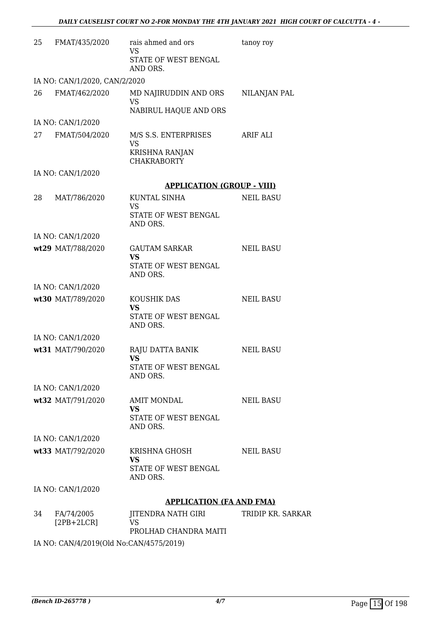| 25 | FMAT/435/2020                 | rais ahmed and ors<br>VS             | tanoy roy         |
|----|-------------------------------|--------------------------------------|-------------------|
|    |                               | STATE OF WEST BENGAL<br>AND ORS.     |                   |
|    | IA NO: CAN/1/2020, CAN/2/2020 |                                      |                   |
| 26 | FMAT/462/2020                 | MD NAJIRUDDIN AND ORS                | NILANJAN PAL      |
|    |                               | VS<br>NABIRUL HAQUE AND ORS          |                   |
|    | IA NO: CAN/1/2020             |                                      |                   |
| 27 | FMAT/504/2020                 | M/S S.S. ENTERPRISES                 | ARIF ALI          |
|    |                               | <b>VS</b>                            |                   |
|    |                               | KRISHNA RANJAN<br><b>CHAKRABORTY</b> |                   |
|    | IA NO: CAN/1/2020             |                                      |                   |
|    |                               | <b>APPLICATION (GROUP - VIII)</b>    |                   |
| 28 | MAT/786/2020                  | <b>KUNTAL SINHA</b><br><b>VS</b>     | <b>NEIL BASU</b>  |
|    |                               | STATE OF WEST BENGAL<br>AND ORS.     |                   |
|    | IA NO: CAN/1/2020             |                                      |                   |
|    | wt29 MAT/788/2020             | <b>GAUTAM SARKAR</b><br><b>VS</b>    | <b>NEIL BASU</b>  |
|    |                               | STATE OF WEST BENGAL<br>AND ORS.     |                   |
|    | IA NO: CAN/1/2020             |                                      |                   |
|    | wt30 MAT/789/2020             | KOUSHIK DAS                          | <b>NEIL BASU</b>  |
|    |                               | <b>VS</b><br>STATE OF WEST BENGAL    |                   |
|    |                               | AND ORS.                             |                   |
|    | IA NO: CAN/1/2020             | RAJU DATTA BANIK                     |                   |
|    | wt31 MAT/790/2020             | <b>VS</b>                            | <b>NEIL BASU</b>  |
|    |                               | STATE OF WEST BENGAL<br>AND ORS.     |                   |
|    | IA NO: CAN/1/2020             |                                      |                   |
|    | wt32 MAT/791/2020             | <b>AMIT MONDAL</b><br>VS             | NEIL BASU         |
|    |                               | STATE OF WEST BENGAL                 |                   |
|    |                               | AND ORS.                             |                   |
|    | IA NO: CAN/1/2020             |                                      |                   |
|    | wt33 MAT/792/2020             | KRISHNA GHOSH<br><b>VS</b>           | <b>NEIL BASU</b>  |
|    |                               | STATE OF WEST BENGAL<br>AND ORS.     |                   |
|    | IA NO: CAN/1/2020             |                                      |                   |
|    |                               | <b>APPLICATION (FA AND FMA)</b>      |                   |
| 34 | FA/74/2005<br>$[2PB+2LCR]$    | JITENDRA NATH GIRI<br>VS.            | TRIDIP KR. SARKAR |
|    |                               | PROLHAD CHANDRA MAITI                |                   |

IA NO: CAN/4/2019(Old No:CAN/4575/2019)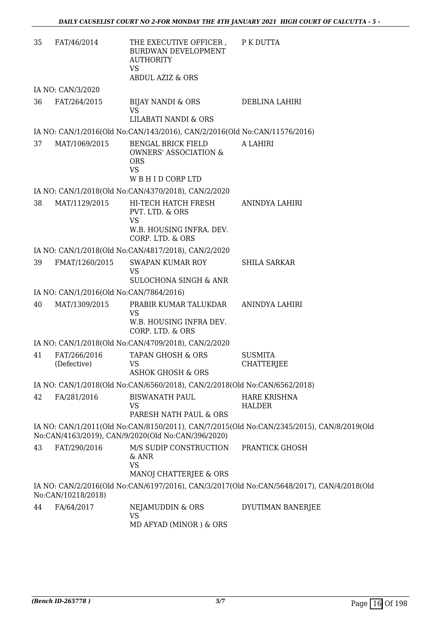| 35 | FAT/46/2014                             | THE EXECUTIVE OFFICER ,<br><b>BURDWAN DEVELOPMENT</b><br><b>AUTHORITY</b><br><b>VS</b>                   | P K DUTTA                                                                                 |
|----|-----------------------------------------|----------------------------------------------------------------------------------------------------------|-------------------------------------------------------------------------------------------|
|    |                                         | <b>ABDUL AZIZ &amp; ORS</b>                                                                              |                                                                                           |
|    | IA NO: CAN/3/2020                       |                                                                                                          |                                                                                           |
| 36 | FAT/264/2015                            | BIJAY NANDI & ORS<br><b>VS</b><br><b>LILABATI NANDI &amp; ORS</b>                                        | DEBLINA LAHIRI                                                                            |
|    |                                         |                                                                                                          |                                                                                           |
|    |                                         | IA NO: CAN/1/2016(Old No:CAN/143/2016), CAN/2/2016(Old No:CAN/11576/2016)                                |                                                                                           |
| 37 | MAT/1069/2015                           | <b>BENGAL BRICK FIELD</b><br><b>OWNERS' ASSOCIATION &amp;</b><br><b>ORS</b><br><b>VS</b><br>WBHIDCORPLTD | A LAHIRI                                                                                  |
|    |                                         |                                                                                                          |                                                                                           |
|    |                                         | IA NO: CAN/1/2018(Old No:CAN/4370/2018), CAN/2/2020                                                      |                                                                                           |
| 38 | MAT/1129/2015                           | HI-TECH HATCH FRESH<br>PVT. LTD. & ORS<br><b>VS</b><br>W.B. HOUSING INFRA. DEV.<br>CORP. LTD. & ORS      | ANINDYA LAHIRI                                                                            |
|    |                                         |                                                                                                          |                                                                                           |
|    |                                         | IA NO: CAN/1/2018(Old No:CAN/4817/2018), CAN/2/2020                                                      |                                                                                           |
| 39 | FMAT/1260/2015                          | <b>SWAPAN KUMAR ROY</b><br><b>VS</b><br><b>SULOCHONA SINGH &amp; ANR</b>                                 | <b>SHILA SARKAR</b>                                                                       |
|    | IA NO: CAN/1/2016(Old No:CAN/7864/2016) |                                                                                                          |                                                                                           |
| 40 | MAT/1309/2015                           | PRABIR KUMAR TALUKDAR                                                                                    | ANINDYA LAHIRI                                                                            |
|    |                                         | <b>VS</b><br>W.B. HOUSING INFRA DEV.<br>CORP. LTD. & ORS                                                 |                                                                                           |
|    |                                         | IA NO: CAN/1/2018(Old No:CAN/4709/2018), CAN/2/2020                                                      |                                                                                           |
| 41 | FAT/266/2016<br>(Defective)             | <b>TAPAN GHOSH &amp; ORS</b><br>VS<br><b>ASHOK GHOSH &amp; ORS</b>                                       | <b>SUSMITA</b><br><b>CHATTERIEE</b>                                                       |
|    |                                         |                                                                                                          |                                                                                           |
|    |                                         | IA NO: CAN/1/2018(Old No:CAN/6560/2018), CAN/2/2018(Old No:CAN/6562/2018)                                |                                                                                           |
| 42 | FA/281/2016                             | <b>BISWANATH PAUL</b><br><b>VS</b>                                                                       | <b>HARE KRISHNA</b><br><b>HALDER</b>                                                      |
|    |                                         | PARESH NATH PAUL & ORS                                                                                   |                                                                                           |
|    |                                         | No:CAN/4163/2019), CAN/9/2020(Old No:CAN/396/2020)                                                       | IA NO: CAN/1/2011(Old No:CAN/8150/2011), CAN/7/2015(Old No:CAN/2345/2015), CAN/8/2019(Old |
| 43 | FAT/290/2016                            | M/S SUDIP CONSTRUCTION<br>$&$ ANR<br><b>VS</b>                                                           | PRANTICK GHOSH                                                                            |
|    |                                         | MANOJ CHATTERJEE & ORS                                                                                   |                                                                                           |
|    | No:CAN/10218/2018)                      |                                                                                                          | IA NO: CAN/2/2016(Old No:CAN/6197/2016), CAN/3/2017(Old No:CAN/5648/2017), CAN/4/2018(Old |
| 44 | FA/64/2017                              | NEJAMUDDIN & ORS<br><b>VS</b>                                                                            | DYUTIMAN BANERJEE                                                                         |
|    |                                         | MD AFYAD (MINOR) & ORS                                                                                   |                                                                                           |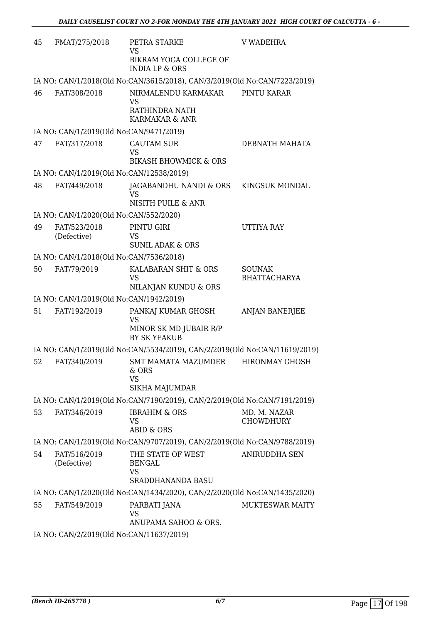| 45 | FMAT/275/2018                            | PETRA STARKE<br>VS                                                         | <b>V WADEHRA</b>                     |
|----|------------------------------------------|----------------------------------------------------------------------------|--------------------------------------|
|    |                                          | BIKRAM YOGA COLLEGE OF<br><b>INDIA LP &amp; ORS</b>                        |                                      |
|    |                                          | IA NO: CAN/1/2018(Old No:CAN/3615/2018), CAN/3/2019(Old No:CAN/7223/2019)  |                                      |
| 46 | FAT/308/2018                             | NIRMALENDU KARMAKAR<br><b>VS</b>                                           | PINTU KARAR                          |
|    |                                          | RATHINDRA NATH<br>KARMAKAR & ANR                                           |                                      |
|    | IA NO: CAN/1/2019(Old No:CAN/9471/2019)  |                                                                            |                                      |
| 47 | FAT/317/2018                             | <b>GAUTAM SUR</b><br>VS<br><b>BIKASH BHOWMICK &amp; ORS</b>                | DEBNATH MAHATA                       |
|    | IA NO: CAN/1/2019(Old No:CAN/12538/2019) |                                                                            |                                      |
| 48 | FAT/449/2018                             | JAGABANDHU NANDI & ORS                                                     | KINGSUK MONDAL                       |
|    |                                          | VS<br>NISITH PUILE & ANR                                                   |                                      |
|    | IA NO: CAN/1/2020(Old No:CAN/552/2020)   |                                                                            |                                      |
| 49 | FAT/523/2018                             | PINTU GIRI                                                                 | <b>UTTIYA RAY</b>                    |
|    | (Defective)                              | <b>VS</b><br><b>SUNIL ADAK &amp; ORS</b>                                   |                                      |
|    | IA NO: CAN/1/2018(Old No:CAN/7536/2018)  |                                                                            |                                      |
| 50 | FAT/79/2019                              | KALABARAN SHIT & ORS<br><b>VS</b><br>NILANJAN KUNDU & ORS                  | <b>SOUNAK</b><br><b>BHATTACHARYA</b> |
|    | IA NO: CAN/1/2019(Old No:CAN/1942/2019)  |                                                                            |                                      |
| 51 | FAT/192/2019                             | PANKAJ KUMAR GHOSH                                                         | <b>ANJAN BANERJEE</b>                |
|    |                                          | <b>VS</b><br>MINOR SK MD JUBAIR R/P<br><b>BY SK YEAKUB</b>                 |                                      |
|    |                                          | IA NO: CAN/1/2019(Old No:CAN/5534/2019), CAN/2/2019(Old No:CAN/11619/2019) |                                      |
| 52 | FAT/340/2019                             | <b>SMT MAMATA MAZUMDER</b><br>& ORS                                        | <b>HIRONMAY GHOSH</b>                |
|    |                                          | <b>VS</b><br>SIKHA MAJUMDAR                                                |                                      |
|    |                                          | IA NO: CAN/1/2019(Old No:CAN/7190/2019), CAN/2/2019(Old No:CAN/7191/2019)  |                                      |
| 53 | FAT/346/2019                             | <b>IBRAHIM &amp; ORS</b>                                                   | MD. M. NAZAR                         |
|    |                                          | VS<br><b>ABID &amp; ORS</b>                                                | <b>CHOWDHURY</b>                     |
|    |                                          | IA NO: CAN/1/2019(Old No:CAN/9707/2019), CAN/2/2019(Old No:CAN/9788/2019)  |                                      |
| 54 | FAT/516/2019<br>(Defective)              | THE STATE OF WEST<br><b>BENGAL</b>                                         | ANIRUDDHA SEN                        |
|    |                                          | VS<br><b>SRADDHANANDA BASU</b>                                             |                                      |
|    |                                          | IA NO: CAN/1/2020(Old No:CAN/1434/2020), CAN/2/2020(Old No:CAN/1435/2020)  |                                      |
| 55 | FAT/549/2019                             | PARBATI JANA<br>VS                                                         | <b>MUKTESWAR MAITY</b>               |
|    |                                          | ANUPAMA SAHOO & ORS.                                                       |                                      |
|    |                                          |                                                                            |                                      |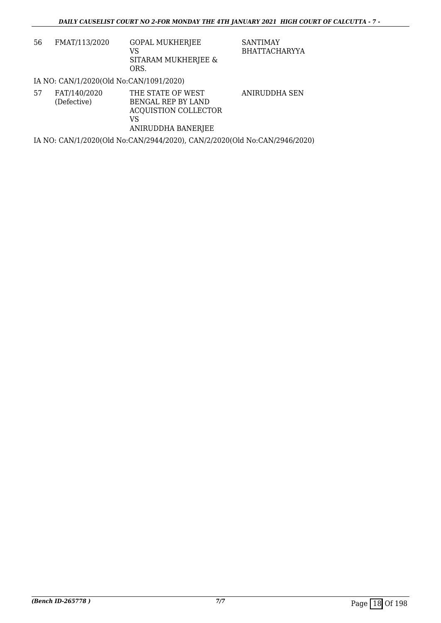| 56 | FMAT/113/2020 | <b>GOPAL MUKHERJEE</b><br>VS |
|----|---------------|------------------------------|
|    |               | SITARAM MUKHERJEE &<br>ORS.  |

SANTIMAY BHATTACHARYYA

## IA NO: CAN/1/2020(Old No:CAN/1091/2020)

| 57 | FAT/140/2020 | THE STATE OF WEST    | ANIRUDDHA SEN |
|----|--------------|----------------------|---------------|
|    | (Defective)  | BENGAL REP BY LAND   |               |
|    |              | ACOUISTION COLLECTOR |               |
|    |              | VS                   |               |
|    |              | ANIRUDDHA BANERJEE   |               |
|    |              |                      |               |

IA NO: CAN/1/2020(Old No:CAN/2944/2020), CAN/2/2020(Old No:CAN/2946/2020)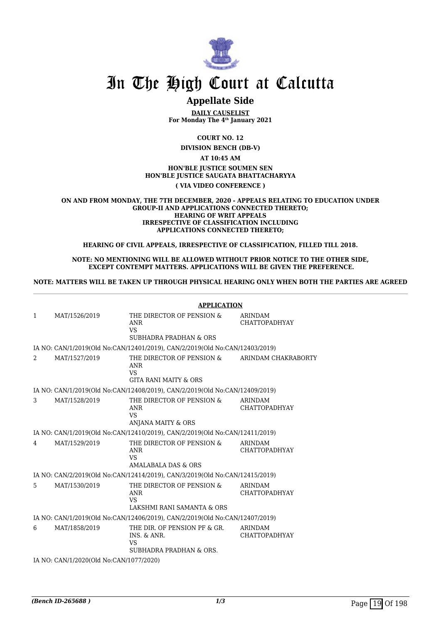

## **Appellate Side**

**DAILY CAUSELIST For Monday The 4th January 2021**

**COURT NO. 12**

**DIVISION BENCH (DB-V)**

### **AT 10:45 AM HON'BLE JUSTICE SOUMEN SEN HON'BLE JUSTICE SAUGATA BHATTACHARYYA ( VIA VIDEO CONFERENCE )**

#### **ON AND FROM MONDAY, THE 7TH DECEMBER, 2020 - APPEALS RELATING TO EDUCATION UNDER GROUP-II AND APPLICATIONS CONNECTED THERETO; HEARING OF WRIT APPEALS IRRESPECTIVE OF CLASSIFICATION INCLUDING APPLICATIONS CONNECTED THERETO;**

**HEARING OF CIVIL APPEALS, IRRESPECTIVE OF CLASSIFICATION, FILLED TILL 2018.**

**NOTE: NO MENTIONING WILL BE ALLOWED WITHOUT PRIOR NOTICE TO THE OTHER SIDE, EXCEPT CONTEMPT MATTERS. APPLICATIONS WILL BE GIVEN THE PREFERENCE.**

**NOTE: MATTERS WILL BE TAKEN UP THROUGH PHYSICAL HEARING ONLY WHEN BOTH THE PARTIES ARE AGREED**

|   |                                         | <b>APPLICATION</b>                                                                  |                                        |
|---|-----------------------------------------|-------------------------------------------------------------------------------------|----------------------------------------|
| 1 | MAT/1526/2019                           | THE DIRECTOR OF PENSION &<br><b>ANR</b><br><b>VS</b>                                | <b>ARINDAM</b><br><b>CHATTOPADHYAY</b> |
|   |                                         | SUBHADRA PRADHAN & ORS                                                              |                                        |
|   |                                         | IA NO: CAN/1/2019(Old No:CAN/12401/2019), CAN/2/2019(Old No:CAN/12403/2019)         |                                        |
| 2 | MAT/1527/2019                           | THE DIRECTOR OF PENSION &<br><b>ANR</b><br><b>VS</b><br>GITA RANI MAITY & ORS       | ARINDAM CHAKRABORTY                    |
|   |                                         | IA NO: CAN/1/2019(Old No:CAN/12408/2019), CAN/2/2019(Old No:CAN/12409/2019)         |                                        |
| 3 | MAT/1528/2019                           | THE DIRECTOR OF PENSION &<br>ANR<br><b>VS</b><br>ANJANA MAITY & ORS                 | <b>ARINDAM</b><br><b>CHATTOPADHYAY</b> |
|   |                                         | IA NO: CAN/1/2019(Old No:CAN/12410/2019), CAN/2/2019(Old No:CAN/12411/2019)         |                                        |
| 4 | MAT/1529/2019                           | THE DIRECTOR OF PENSION &<br><b>ANR</b><br><b>VS</b><br>AMALABALA DAS & ORS         | <b>ARINDAM</b><br><b>CHATTOPADHYAY</b> |
|   |                                         | IA NO: CAN/2/2019(Old No:CAN/12414/2019), CAN/3/2019(Old No:CAN/12415/2019)         |                                        |
| 5 | MAT/1530/2019                           | THE DIRECTOR OF PENSION &<br>ANR<br><b>VS</b><br>LAKSHMI RANI SAMANTA & ORS         | <b>ARINDAM</b><br><b>CHATTOPADHYAY</b> |
|   |                                         | IA NO: CAN/1/2019(Old No:CAN/12406/2019), CAN/2/2019(Old No:CAN/12407/2019)         |                                        |
| 6 | MAT/1858/2019                           | THE DIR. OF PENSION PF & GR.<br>INS. & ANR.<br><b>VS</b><br>SUBHADRA PRADHAN & ORS. | <b>ARINDAM</b><br><b>CHATTOPADHYAY</b> |
|   | IA NO: CAN/1/2020(Old No:CAN/1077/2020) |                                                                                     |                                        |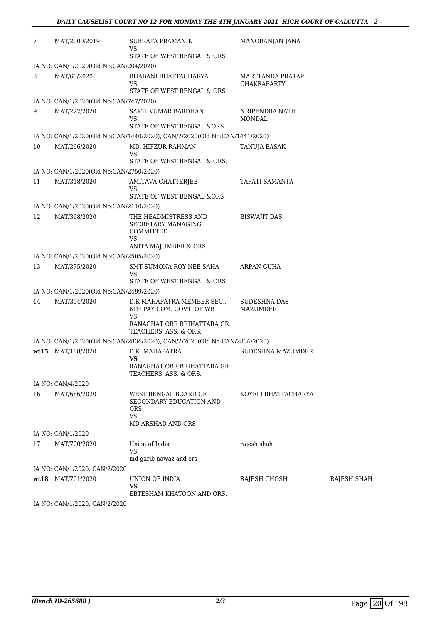| 7  | MAT/2000/2019                           | SUBRATA PRAMANIK<br>VS<br>STATE OF WEST BENGAL & ORS                                     | MANORANJAN JANA                        |             |
|----|-----------------------------------------|------------------------------------------------------------------------------------------|----------------------------------------|-------------|
|    | IA NO: CAN/1/2020(Old No:CAN/204/2020)  |                                                                                          |                                        |             |
| 8  | MAT/60/2020                             | BHABANI BHATTACHARYA<br>VS                                                               | MARTTANDA PRATAP<br><b>CHAKRABARTY</b> |             |
|    |                                         | STATE OF WEST BENGAL & ORS                                                               |                                        |             |
|    | IA NO: CAN/1/2020(Old No:CAN/747/2020)  |                                                                                          |                                        |             |
| 9  | MAT/222/2020                            | SAKTI KUMAR BARDHAN<br>VS<br>STATE OF WEST BENGAL &ORS                                   | NRIPENDRA NATH<br><b>MONDAL</b>        |             |
|    |                                         | IA NO: CAN/1/2020(Old No:CAN/1440/2020), CAN/2/2020(Old No:CAN/1441/2020)                |                                        |             |
| 10 | MAT/266/2020                            | MD. HIFZUR RAHMAN<br><b>VS</b><br>STATE OF WEST BENGAL & ORS.                            | TANUJA BASAK                           |             |
|    | IA NO: CAN/1/2020(Old No:CAN/2750/2020) |                                                                                          |                                        |             |
| 11 | MAT/318/2020                            | AMITAVA CHATTERJEE<br>VS                                                                 | TAPATI SAMANTA                         |             |
|    |                                         | STATE OF WEST BENGAL &ORS                                                                |                                        |             |
|    | IA NO: CAN/1/2020(Old No:CAN/2110/2020) |                                                                                          |                                        |             |
| 12 | MAT/368/2020                            | THE HEADMISTRESS AND<br>SECRETARY, MANAGING<br><b>COMMITTEE</b><br>VS                    | <b>BISWAJIT DAS</b>                    |             |
|    |                                         | ANITA MAJUMDER & ORS                                                                     |                                        |             |
|    | IA NO: CAN/1/2020(Old No:CAN/2505/2020) |                                                                                          |                                        |             |
| 13 | MAT/375/2020                            | SMT SUMONA ROY NEE SAHA<br>VS<br>STATE OF WEST BENGAL & ORS                              | ARPAN GUHA                             |             |
|    | IA NO: CAN/1/2020(Old No:CAN/2499/2020) |                                                                                          |                                        |             |
| 14 | MAT/394/2020                            | D.K MAHAPATRA MEMBER SEC.,<br>6TH PAY COM. GOVT. OF WB                                   | SUDESHNA DAS<br>MAZUMDER               |             |
|    |                                         | VS<br>RANAGHAT OBR BRIHATTARA GR.<br>TEACHERS' ASS. & ORS.                               |                                        |             |
|    |                                         | IA NO: CAN/1/2020(Old No:CAN/2834/2020), CAN/2/2020(Old No:CAN/2836/2020)                |                                        |             |
|    | wt15 MAT/188/2020                       | D.K. MAHAPATRA<br>VS<br>RANAGHAT OBR BRIHATTARA GR.<br>TEACHERS' ASS. & ORS.             | SUDESHNA MAZUMDER                      |             |
|    | IA NO: CAN/4/2020                       |                                                                                          |                                        |             |
| 16 | MAT/686/2020                            | WEST BENGAL BOARD OF<br>SECONDARY EDUCATION AND<br>ORS<br><b>VS</b><br>MD ARSHAD AND ORS | KOYELI BHATTACHARYA                    |             |
|    | IA NO: CAN/1/2020                       |                                                                                          |                                        |             |
| 17 | MAT/700/2020                            | Union of India<br><b>VS</b>                                                              | rajesh shah                            |             |
|    |                                         | md garib nawaz and ors                                                                   |                                        |             |
|    | IA NO: CAN/1/2020, CAN/2/2020           |                                                                                          |                                        |             |
|    | wt18 MAT/701/2020                       | UNION OF INDIA<br><b>VS</b><br>EBTESHAM KHATOON AND ORS.                                 | RAJESH GHOSH                           | RAJESH SHAH |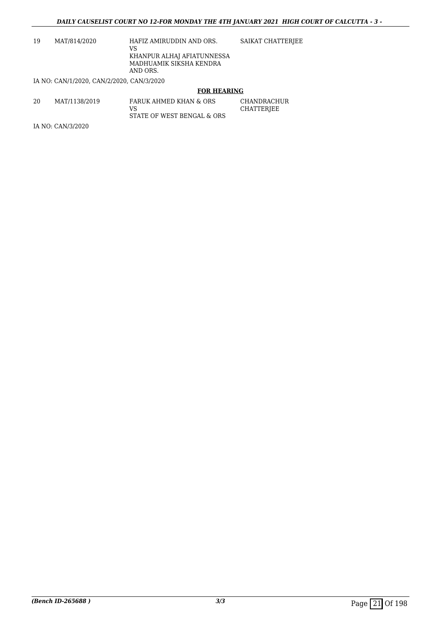19 MAT/814/2020 HAFIZ AMIRUDDIN AND ORS. VS KHANPUR ALHAJ AFIATUNNESSA MADHUAMIK SIKSHA KENDRA AND ORS. SAIKAT CHATTERJEE

IA NO: CAN/1/2020, CAN/2/2020, CAN/3/2020

#### **FOR HEARING**

| 20 | MAT/1138/2019 | FARUK AHMED KHAN & ORS     | CHANDRACHUR |
|----|---------------|----------------------------|-------------|
|    |               | VS.                        | CHATTERJEE  |
|    |               | STATE OF WEST BENGAL & ORS |             |

IA NO: CAN/3/2020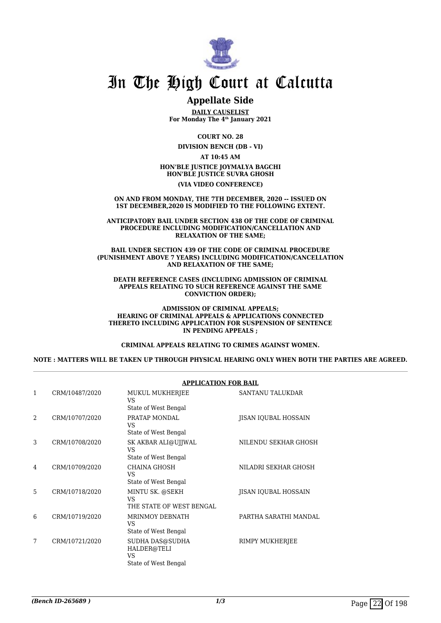

## **Appellate Side**

**DAILY CAUSELIST For Monday The 4th January 2021**

**COURT NO. 28**

**DIVISION BENCH (DB - VI)**

**AT 10:45 AM HON'BLE JUSTICE JOYMALYA BAGCHI**

**HON'BLE JUSTICE SUVRA GHOSH**

**(VIA VIDEO CONFERENCE)**

**ON AND FROM MONDAY, THE 7TH DECEMBER, 2020 -- ISSUED ON 1ST DECEMBER,2020 IS MODIFIED TO THE FOLLOWING EXTENT.**

**ANTICIPATORY BAIL UNDER SECTION 438 OF THE CODE OF CRIMINAL PROCEDURE INCLUDING MODIFICATION/CANCELLATION AND RELAXATION OF THE SAME;**

**BAIL UNDER SECTION 439 OF THE CODE OF CRIMINAL PROCEDURE (PUNISHMENT ABOVE 7 YEARS) INCLUDING MODIFICATION/CANCELLATION AND RELAXATION OF THE SAME;**

**DEATH REFERENCE CASES (INCLUDING ADMISSION OF CRIMINAL APPEALS RELATING TO SUCH REFERENCE AGAINST THE SAME CONVICTION ORDER);**

**ADMISSION OF CRIMINAL APPEALS; HEARING OF CRIMINAL APPEALS & APPLICATIONS CONNECTED THERETO INCLUDING APPLICATION FOR SUSPENSION OF SENTENCE IN PENDING APPEALS ;**

**CRIMINAL APPEALS RELATING TO CRIMES AGAINST WOMEN.**

**NOTE : MATTERS WILL BE TAKEN UP THROUGH PHYSICAL HEARING ONLY WHEN BOTH THE PARTIES ARE AGREED.**

|                |                | <b>APPLICATION FOR BAIL</b>                                  |                             |  |
|----------------|----------------|--------------------------------------------------------------|-----------------------------|--|
| 1              | CRM/10487/2020 | MUKUL MUKHERJEE<br>VS<br>State of West Bengal                | SANTANU TALUKDAR            |  |
| $\overline{a}$ | CRM/10707/2020 | PRATAP MONDAL<br>VS.<br>State of West Bengal                 | <b>JISAN IQUBAL HOSSAIN</b> |  |
| 3              | CRM/10708/2020 | SK AKBAR ALI@UJJWAL<br>VS.<br>State of West Bengal           | NILENDU SEKHAR GHOSH        |  |
| 4              | CRM/10709/2020 | CHAINA GHOSH<br>VS.<br>State of West Bengal                  | NILADRI SEKHAR GHOSH        |  |
| 5              | CRM/10718/2020 | MINTU SK. @SEKH<br>VS<br>THE STATE OF WEST BENGAL            | <b>JISAN IQUBAL HOSSAIN</b> |  |
| 6              | CRM/10719/2020 | <b>MRINMOY DEBNATH</b><br>VS.<br>State of West Bengal        | PARTHA SARATHI MANDAL       |  |
| 7              | CRM/10721/2020 | SUDHA DAS@SUDHA<br>HALDER@TELI<br>VS<br>State of West Bengal | RIMPY MUKHERJEE             |  |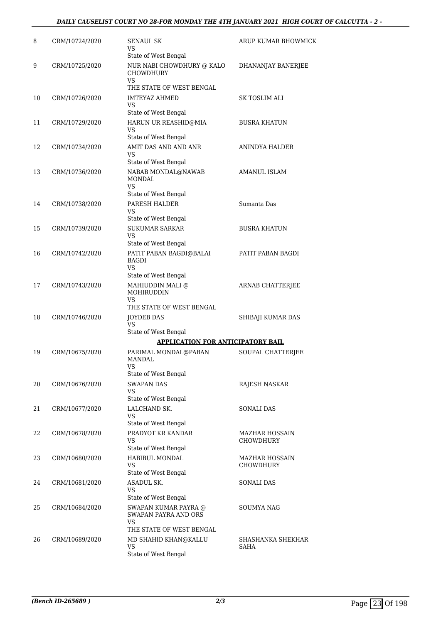## *DAILY CAUSELIST COURT NO 28-FOR MONDAY THE 4TH JANUARY 2021 HIGH COURT OF CALCUTTA - 2 -*

| 8  | CRM/10724/2020 | SENAUL SK<br>VS<br>State of West Bengal                                          | ARUP KUMAR BHOWMICK                |
|----|----------------|----------------------------------------------------------------------------------|------------------------------------|
| 9  | CRM/10725/2020 | NUR NABI CHOWDHURY @ KALO<br><b>CHOWDHURY</b><br>VS.<br>THE STATE OF WEST BENGAL | DHANANJAY BANERJEE                 |
| 10 | CRM/10726/2020 | <b>IMTEYAZ AHMED</b><br>VS.<br>State of West Bengal                              | SK TOSLIM ALI                      |
| 11 | CRM/10729/2020 | HARUN UR REASHID@MIA<br><b>VS</b><br>State of West Bengal                        | <b>BUSRA KHATUN</b>                |
| 12 | CRM/10734/2020 | AMIT DAS AND AND ANR<br>VS<br>State of West Bengal                               | ANINDYA HALDER                     |
| 13 | CRM/10736/2020 | NABAB MONDAL@NAWAB<br><b>MONDAL</b><br>VS.<br>State of West Bengal               | AMANUL ISLAM                       |
| 14 | CRM/10738/2020 | PARESH HALDER<br>VS.<br>State of West Bengal                                     | Sumanta Das                        |
| 15 | CRM/10739/2020 | <b>SUKUMAR SARKAR</b><br>VS<br>State of West Bengal                              | <b>BUSRA KHATUN</b>                |
| 16 | CRM/10742/2020 | PATIT PABAN BAGDI@BALAI<br>BAGDI<br>VS<br>State of West Bengal                   | PATIT PABAN BAGDI                  |
| 17 | CRM/10743/2020 | MAHIUDDIN MALI @<br>MOHIRUDDIN<br>VS<br>THE STATE OF WEST BENGAL                 | ARNAB CHATTERJEE                   |
| 18 | CRM/10746/2020 | JOYDEB DAS<br>VS<br>State of West Bengal                                         | SHIBAJI KUMAR DAS                  |
|    |                | APPLICATION FOR ANTICIPATORY BAIL                                                |                                    |
| 19 | CRM/10675/2020 | PARIMAL MONDAL@PABAN<br>MANDAL<br><b>VS</b><br>State of West Bengal              | SOUPAL CHATTERJEE                  |
| 20 | CRM/10676/2020 | <b>SWAPAN DAS</b><br>VS<br>State of West Bengal                                  | RAJESH NASKAR                      |
| 21 | CRM/10677/2020 | LALCHAND SK.<br>VS<br>State of West Bengal                                       | <b>SONALI DAS</b>                  |
| 22 | CRM/10678/2020 | PRADYOT KR KANDAR<br>VS<br>State of West Bengal                                  | <b>MAZHAR HOSSAIN</b><br>CHOWDHURY |
| 23 | CRM/10680/2020 | HABIBUL MONDAL<br>VS<br>State of West Bengal                                     | MAZHAR HOSSAIN<br>CHOWDHURY        |
| 24 | CRM/10681/2020 | ASADUL SK.<br>VS<br>State of West Bengal                                         | <b>SONALI DAS</b>                  |
| 25 | CRM/10684/2020 | SWAPAN KUMAR PAYRA @<br>SWAPAN PAYRA AND ORS<br>VS<br>THE STATE OF WEST BENGAL   | SOUMYA NAG                         |
| 26 | CRM/10689/2020 | MD SHAHID KHAN@KALLU<br><b>VS</b><br>State of West Bengal                        | SHASHANKA SHEKHAR<br>SAHA          |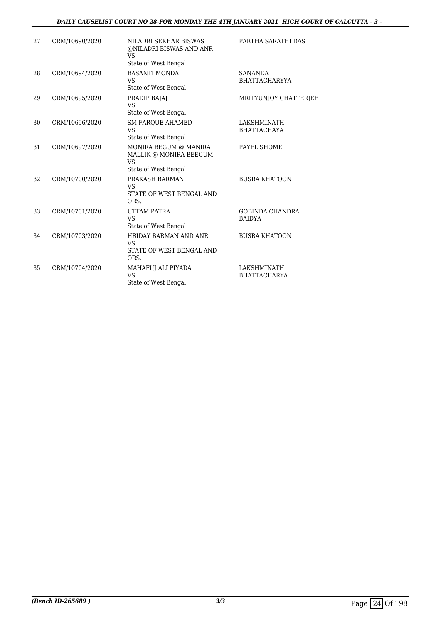## *DAILY CAUSELIST COURT NO 28-FOR MONDAY THE 4TH JANUARY 2021 HIGH COURT OF CALCUTTA - 3 -*

| 27 | CRM/10690/2020 | NILADRI SEKHAR BISWAS<br>@NILADRI BISWAS AND ANR<br>VS<br>State of West Bengal       | PARTHA SARATHI DAS                      |
|----|----------------|--------------------------------------------------------------------------------------|-----------------------------------------|
| 28 | CRM/10694/2020 | <b>BASANTI MONDAL</b><br><b>VS</b><br>State of West Bengal                           | <b>SANANDA</b><br><b>BHATTACHARYYA</b>  |
| 29 | CRM/10695/2020 | PRADIP BAJAJ<br><b>VS</b><br>State of West Bengal                                    | <b>MRITYUNJOY CHATTERIEE</b>            |
| 30 | CRM/10696/2020 | <b>SM FAROUE AHAMED</b><br><b>VS</b><br>State of West Bengal                         | LAKSHMINATH<br><b>BHATTACHAYA</b>       |
| 31 | CRM/10697/2020 | MONIRA BEGUM @ MANIRA<br>MALLIK @ MONIRA BEEGUM<br><b>VS</b><br>State of West Bengal | PAYEL SHOME                             |
| 32 | CRM/10700/2020 | PRAKASH BARMAN<br><b>VS</b><br>STATE OF WEST BENGAL AND<br>ORS.                      | <b>BUSRA KHATOON</b>                    |
| 33 | CRM/10701/2020 | UTTAM PATRA<br><b>VS</b><br>State of West Bengal                                     | <b>GOBINDA CHANDRA</b><br><b>BAIDYA</b> |
| 34 | CRM/10703/2020 | HRIDAY BARMAN AND ANR<br><b>VS</b><br>STATE OF WEST BENGAL AND<br>ORS.               | <b>BUSRA KHATOON</b>                    |
| 35 | CRM/10704/2020 | MAHAFUJ ALI PIYADA<br><b>VS</b><br>State of West Bengal                              | LAKSHMINATH<br><b>BHATTACHARYA</b>      |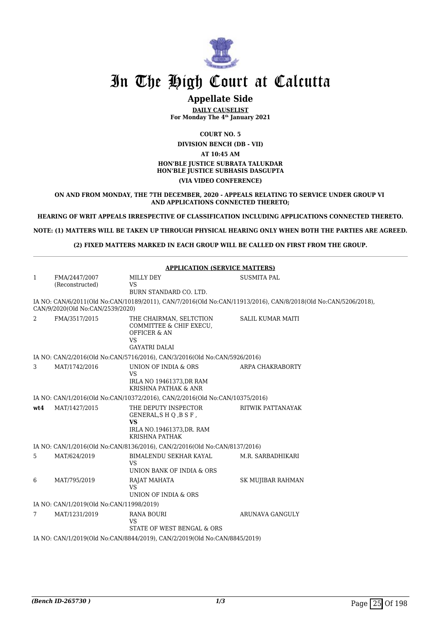

## **Appellate Side**

**DAILY CAUSELIST For Monday The 4th January 2021**

**COURT NO. 5**

**DIVISION BENCH (DB - VII) AT 10:45 AM HON'BLE JUSTICE SUBRATA TALUKDAR HON'BLE JUSTICE SUBHASIS DASGUPTA (VIA VIDEO CONFERENCE)**

**ON AND FROM MONDAY, THE 7TH DECEMBER, 2020 - APPEALS RELATING TO SERVICE UNDER GROUP VI AND APPLICATIONS CONNECTED THERETO;**

**HEARING OF WRIT APPEALS IRRESPECTIVE OF CLASSIFICATION INCLUDING APPLICATIONS CONNECTED THERETO.**

**NOTE: (1) MATTERS WILL BE TAKEN UP THROUGH PHYSICAL HEARING ONLY WHEN BOTH THE PARTIES ARE AGREED.**

**(2) FIXED MATTERS MARKED IN EACH GROUP WILL BE CALLED ON FIRST FROM THE GROUP.**

|                 |                                                                           | <b>APPLICATION (SERVICE MATTERS)</b>                                                                          |                                                                                                                |  |  |
|-----------------|---------------------------------------------------------------------------|---------------------------------------------------------------------------------------------------------------|----------------------------------------------------------------------------------------------------------------|--|--|
| 1               | FMA/2447/2007<br>(Reconstructed)                                          | MILLY DEY<br><b>VS</b><br>BURN STANDARD CO. LTD.                                                              | <b>SUSMITA PAL</b>                                                                                             |  |  |
|                 | CAN/9/2020(Old No:CAN/2539/2020)                                          |                                                                                                               | IA NO: CAN/6/2011(Old No:CAN/10189/2011), CAN/7/2016(Old No:CAN/11913/2016), CAN/8/2018(Old No:CAN/5206/2018), |  |  |
| 2               | FMA/3517/2015                                                             | THE CHAIRMAN, SELTCTION<br>COMMITTEE & CHIF EXECU.<br><b>OFFICER &amp; AN</b><br>VS<br><b>GAYATRI DALAI</b>   | <b>SALIL KUMAR MAITI</b>                                                                                       |  |  |
|                 |                                                                           | IA NO: CAN/2/2016(Old No:CAN/5716/2016), CAN/3/2016(Old No:CAN/5926/2016)                                     |                                                                                                                |  |  |
| 3               | MAT/1742/2016                                                             | UNION OF INDIA & ORS<br>VS<br>IRLA NO 19461373, DR RAM<br><b>KRISHNA PATHAK &amp; ANR</b>                     | ARPA CHAKRABORTY                                                                                               |  |  |
|                 |                                                                           | IA NO: CAN/1/2016(Old No:CAN/10372/2016), CAN/2/2016(Old No:CAN/10375/2016)                                   |                                                                                                                |  |  |
| wt4             | MAT/1427/2015                                                             | THE DEPUTY INSPECTOR<br>GENERAL, SHQ, BSF,<br><b>VS</b><br>IRLA NO.19461373, DR. RAM<br><b>KRISHNA PATHAK</b> | RITWIK PATTANAYAK                                                                                              |  |  |
|                 |                                                                           | IA NO: CAN/1/2016(Old No:CAN/8136/2016), CAN/2/2016(Old No:CAN/8137/2016)                                     |                                                                                                                |  |  |
| 5               | MAT/624/2019                                                              | BIMALENDU SEKHAR KAYAL<br><b>VS</b><br>UNION BANK OF INDIA & ORS                                              | M.R. SARBADHIKARI                                                                                              |  |  |
| 6               | MAT/795/2019                                                              | RAJAT MAHATA<br>VS<br>UNION OF INDIA & ORS                                                                    | <b>SK MUJIBAR RAHMAN</b>                                                                                       |  |  |
|                 | IA NO: CAN/1/2019(Old No:CAN/11998/2019)                                  |                                                                                                               |                                                                                                                |  |  |
| $7\phantom{.0}$ | MAT/1231/2019                                                             | <b>RANA BOURI</b><br><b>VS</b><br>STATE OF WEST BENGAL & ORS                                                  | <b>ARUNAVA GANGULY</b>                                                                                         |  |  |
|                 | IA NO: CAN/1/2019(Old No:CAN/8844/2019), CAN/2/2019(Old No:CAN/8845/2019) |                                                                                                               |                                                                                                                |  |  |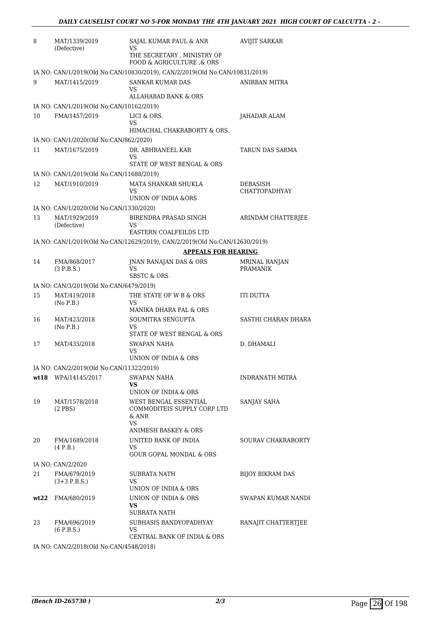| 8                      | MAT/1339/2019<br>(Defective)                                                                                                                                                                                                                                                                                              | SAJAL KUMAR PAUL & ANR<br>VS                                                                                                                                                                                                                                                                        | <b>AVIJIT SARKAR</b>                                                                        |
|------------------------|---------------------------------------------------------------------------------------------------------------------------------------------------------------------------------------------------------------------------------------------------------------------------------------------------------------------------|-----------------------------------------------------------------------------------------------------------------------------------------------------------------------------------------------------------------------------------------------------------------------------------------------------|---------------------------------------------------------------------------------------------|
|                        |                                                                                                                                                                                                                                                                                                                           | THE SECRETARY , MINISTRY OF<br>FOOD & AGRICULTURE & ORS                                                                                                                                                                                                                                             |                                                                                             |
|                        |                                                                                                                                                                                                                                                                                                                           | IA NO: CAN/1/2019(Old No:CAN/10830/2019), CAN/2/2019(Old No:CAN/10831/2019)                                                                                                                                                                                                                         |                                                                                             |
| 9                      | MAT/1415/2019                                                                                                                                                                                                                                                                                                             | <b>SANKAR KUMAR DAS</b><br>VS                                                                                                                                                                                                                                                                       | ANIRBAN MITRA                                                                               |
|                        |                                                                                                                                                                                                                                                                                                                           | ALLAHABAD BANK & ORS                                                                                                                                                                                                                                                                                |                                                                                             |
|                        | IA NO: CAN/1/2019(Old No:CAN/10162/2019)                                                                                                                                                                                                                                                                                  |                                                                                                                                                                                                                                                                                                     |                                                                                             |
| 10                     | FMA/1457/2019                                                                                                                                                                                                                                                                                                             | LICI & ORS.<br>VS<br>HIMACHAL CHAKRABORTY & ORS.                                                                                                                                                                                                                                                    | JAHADAR ALAM                                                                                |
|                        | IA NO: CAN/1/2020(Old No:CAN/862/2020)                                                                                                                                                                                                                                                                                    |                                                                                                                                                                                                                                                                                                     |                                                                                             |
| 11                     | MAT/1675/2019                                                                                                                                                                                                                                                                                                             | DR. ABHRANEEL KAR<br>VS<br>STATE OF WEST BENGAL & ORS                                                                                                                                                                                                                                               | TARUN DAS SARMA                                                                             |
|                        |                                                                                                                                                                                                                                                                                                                           |                                                                                                                                                                                                                                                                                                     |                                                                                             |
|                        |                                                                                                                                                                                                                                                                                                                           |                                                                                                                                                                                                                                                                                                     |                                                                                             |
|                        |                                                                                                                                                                                                                                                                                                                           | VS                                                                                                                                                                                                                                                                                                  | CHATTOPADHYAY                                                                               |
|                        |                                                                                                                                                                                                                                                                                                                           |                                                                                                                                                                                                                                                                                                     |                                                                                             |
| 13                     | MAT/1929/2019                                                                                                                                                                                                                                                                                                             | BIRENDRA PRASAD SINGH                                                                                                                                                                                                                                                                               | ARINDAM CHATTERJEE                                                                          |
|                        |                                                                                                                                                                                                                                                                                                                           | EASTERN COALFEILDS LTD                                                                                                                                                                                                                                                                              |                                                                                             |
|                        |                                                                                                                                                                                                                                                                                                                           | IA NO: CAN/1/2019(Old No:CAN/12629/2019), CAN/2/2019(Old No:CAN/12630/2019)                                                                                                                                                                                                                         |                                                                                             |
|                        |                                                                                                                                                                                                                                                                                                                           | <b>APPEALS FOR HEARING</b>                                                                                                                                                                                                                                                                          |                                                                                             |
| 14                     | FMA/868/2017                                                                                                                                                                                                                                                                                                              | JNAN RANAJAN DAS & ORS                                                                                                                                                                                                                                                                              | <b>MRINAL RANJAN</b>                                                                        |
|                        |                                                                                                                                                                                                                                                                                                                           |                                                                                                                                                                                                                                                                                                     |                                                                                             |
|                        |                                                                                                                                                                                                                                                                                                                           |                                                                                                                                                                                                                                                                                                     |                                                                                             |
| 15                     | MAT/419/2018                                                                                                                                                                                                                                                                                                              | THE STATE OF W B & ORS                                                                                                                                                                                                                                                                              | ITI DUTTA                                                                                   |
|                        | (No P.B.)                                                                                                                                                                                                                                                                                                                 | <b>VS</b><br>MANIKA DHARA PAL & ORS                                                                                                                                                                                                                                                                 |                                                                                             |
| 16                     | MAT/423/2018                                                                                                                                                                                                                                                                                                              | SOUMITRA SENGUPTA                                                                                                                                                                                                                                                                                   | SASTHI CHARAN DHARA                                                                         |
|                        |                                                                                                                                                                                                                                                                                                                           |                                                                                                                                                                                                                                                                                                     |                                                                                             |
| 17                     | MAT/435/2018                                                                                                                                                                                                                                                                                                              | SWAPAN NAHA                                                                                                                                                                                                                                                                                         | D. DHAMALI                                                                                  |
|                        |                                                                                                                                                                                                                                                                                                                           | VS                                                                                                                                                                                                                                                                                                  |                                                                                             |
|                        |                                                                                                                                                                                                                                                                                                                           |                                                                                                                                                                                                                                                                                                     |                                                                                             |
|                        |                                                                                                                                                                                                                                                                                                                           |                                                                                                                                                                                                                                                                                                     |                                                                                             |
|                        |                                                                                                                                                                                                                                                                                                                           | VS.                                                                                                                                                                                                                                                                                                 |                                                                                             |
|                        |                                                                                                                                                                                                                                                                                                                           |                                                                                                                                                                                                                                                                                                     |                                                                                             |
|                        | $(2$ PBS $)$                                                                                                                                                                                                                                                                                                              | COMMODITEIS SUPPLY CORP LTD<br>& ANR                                                                                                                                                                                                                                                                |                                                                                             |
|                        |                                                                                                                                                                                                                                                                                                                           | ANIMESH BASKEY & ORS                                                                                                                                                                                                                                                                                |                                                                                             |
| 20                     | FMA/1689/2018                                                                                                                                                                                                                                                                                                             | UNITED BANK OF INDIA                                                                                                                                                                                                                                                                                | SOURAV CHAKRABORTY                                                                          |
|                        |                                                                                                                                                                                                                                                                                                                           | <b>GOUR GOPAL MONDAL &amp; ORS</b>                                                                                                                                                                                                                                                                  |                                                                                             |
|                        | IA NO: CAN/2/2020                                                                                                                                                                                                                                                                                                         |                                                                                                                                                                                                                                                                                                     |                                                                                             |
| 21                     | FMA/679/2019<br>$(3+3)$ P.B.S.)                                                                                                                                                                                                                                                                                           | SUBRATA NATH<br>VS.                                                                                                                                                                                                                                                                                 | <b>BIJOY BIKRAM DAS</b>                                                                     |
|                        |                                                                                                                                                                                                                                                                                                                           | UNION OF INDIA & ORS                                                                                                                                                                                                                                                                                |                                                                                             |
|                        |                                                                                                                                                                                                                                                                                                                           | <b>VS</b>                                                                                                                                                                                                                                                                                           | SWAPAN KUMAR NANDI                                                                          |
|                        |                                                                                                                                                                                                                                                                                                                           |                                                                                                                                                                                                                                                                                                     |                                                                                             |
|                        | (6 P.B.S.)                                                                                                                                                                                                                                                                                                                | VS<br>CENTRAL BANK OF INDIA & ORS                                                                                                                                                                                                                                                                   |                                                                                             |
| 12<br>wt18<br>19<br>23 | IA NO: CAN/1/2019(Old No:CAN/11688/2019)<br>MAT/1910/2019<br>IA NO: CAN/1/2020(Old No:CAN/1330/2020)<br>(Defective)<br>(3 P.B.S.)<br>IA NO: CAN/3/2019(Old No:CAN/6479/2019)<br>(No P.B.)<br>IA NO: CAN/2/2019(Old No:CAN/11322/2019)<br>WPA/14145/2017<br>MAT/1578/2018<br>(4 P.B.)<br>wt22 FMA/680/2019<br>FMA/696/2019 | MATA SHANKAR SHUKLA<br>UNION OF INDIA &ORS<br><b>VS</b><br>VS<br><b>SBSTC &amp; ORS</b><br>VS<br>STATE OF WEST BENGAL & ORS<br>UNION OF INDIA & ORS<br>SWAPAN NAHA<br>UNION OF INDIA & ORS<br>WEST BENGAL ESSENTIAL<br>VS.<br>VS.<br>UNION OF INDIA & ORS<br>SUBRATA NATH<br>SUBHASIS BANDYOPADHYAY | DEBASISH<br><b>PRAMANIK</b><br><b>INDRANATH MITRA</b><br>SANJAY SAHA<br>RANAJIT CHATTERTJEE |

IA NO: CAN/2/2018(Old No:CAN/4548/2018)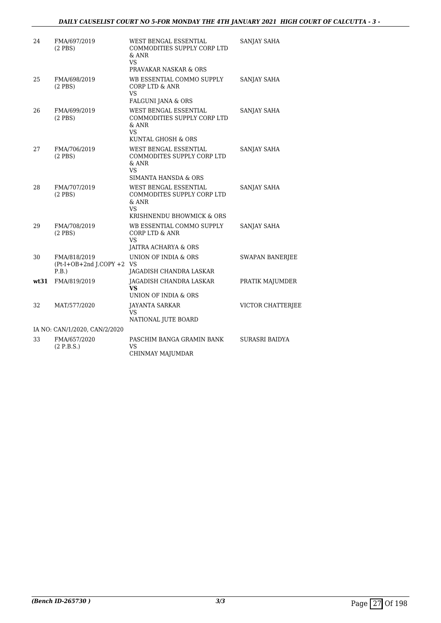## *DAILY CAUSELIST COURT NO 5-FOR MONDAY THE 4TH JANUARY 2021 HIGH COURT OF CALCUTTA - 3 -*

| 24   | FMA/697/2019<br>$(2$ PBS $)$                         | WEST BENGAL ESSENTIAL<br>COMMODITIES SUPPLY CORP LTD<br>& ANR<br>VS.<br>PRAVAKAR NASKAR & ORS                                        | SANJAY SAHA            |
|------|------------------------------------------------------|--------------------------------------------------------------------------------------------------------------------------------------|------------------------|
| 25   | FMA/698/2019<br>$(2$ PBS $)$                         | WB ESSENTIAL COMMO SUPPLY<br><b>CORP LTD &amp; ANR</b><br>VS                                                                         | SANJAY SAHA            |
| 26   | FMA/699/2019<br>$(2$ PBS $)$                         | <b>FALGUNI JANA &amp; ORS</b><br><b>WEST BENGAL ESSENTIAL</b><br>COMMODITIES SUPPLY CORP LTD<br>$&$ ANR<br>VS.<br>KUNTAL GHOSH & ORS | SANJAY SAHA            |
| 27   | FMA/706/2019<br>$(2$ PBS $)$                         | WEST BENGAL ESSENTIAL<br>COMMODITES SUPPLY CORP LTD<br>& ANR<br><b>VS</b><br>SIMANTA HANSDA & ORS                                    | SANJAY SAHA            |
| 28   | FMA/707/2019<br>$(2$ PBS $)$                         | WEST BENGAL ESSENTIAL<br>COMMODITES SUPPLY CORP LTD<br>& ANR<br><b>VS</b><br>KRISHNENDU BHOWMICK & ORS                               | SANJAY SAHA            |
| 29   | FMA/708/2019<br>$(2$ PBS $)$                         | WB ESSENTIAL COMMO SUPPLY<br><b>CORP LTD &amp; ANR</b><br>VS.<br>JAITRA ACHARYA & ORS                                                | SANJAY SAHA            |
| 30   | FMA/818/2019<br>$(Pt-I+OB+2nd J.COPY + 2 VS$<br>P.B. | UNION OF INDIA & ORS<br>JAGADISH CHANDRA LASKAR                                                                                      | <b>SWAPAN BANERJEE</b> |
| wt31 | FMA/819/2019                                         | JAGADISH CHANDRA LASKAR<br>VS.<br>UNION OF INDIA & ORS                                                                               | PRATIK MAJUMDER        |
| 32   | MAT/577/2020                                         | <b>JAYANTA SARKAR</b><br>VS.<br>NATIONAL JUTE BOARD                                                                                  | VICTOR CHATTERJEE      |
|      | IA NO: CAN/1/2020, CAN/2/2020                        |                                                                                                                                      |                        |
| 33   | FMA/657/2020<br>(2 P.B.S.)                           | PASCHIM BANGA GRAMIN BANK<br>VS<br>CHINMAY MAJUMDAR                                                                                  | SURASRI BAIDYA         |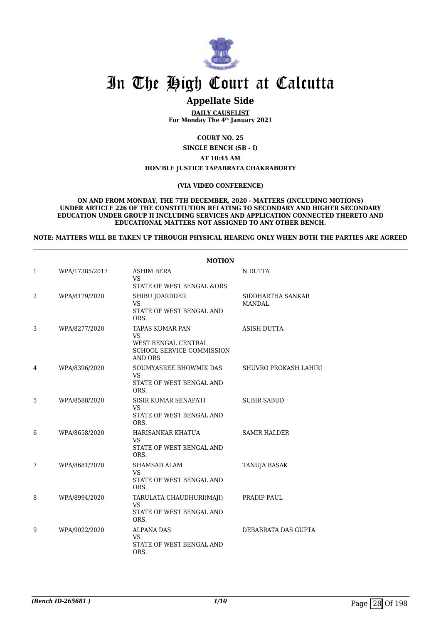

# **Appellate Side**

**DAILY CAUSELIST For Monday The 4th January 2021**

**COURT NO. 25**

**SINGLE BENCH (SB - I)**

**AT 10:45 AM**

#### **HON'BLE JUSTICE TAPABRATA CHAKRABORTY**

#### **(VIA VIDEO CONFERENCE)**

**ON AND FROM MONDAY, THE 7TH DECEMBER, 2020 - MATTERS (INCLUDING MOTIONS) UNDER ARTICLE 226 OF THE CONSTITUTION RELATING TO SECONDARY AND HIGHER SECONDARY EDUCATION UNDER GROUP II INCLUDING SERVICES AND APPLICATION CONNECTED THERETO AND EDUCATIONAL MATTERS NOT ASSIGNED TO ANY OTHER BENCH.**

**NOTE: MATTERS WILL BE TAKEN UP THROUGH PHYSICAL HEARING ONLY WHEN BOTH THE PARTIES ARE AGREED**

|   |                | <b>MOTION</b>                                                                                             |                             |
|---|----------------|-----------------------------------------------------------------------------------------------------------|-----------------------------|
| 1 | WPA/17385/2017 | <b>ASHIM BERA</b><br><b>VS</b><br>STATE OF WEST BENGAL &ORS                                               | N DUTTA                     |
| 2 | WPA/8179/2020  | SHIBU JOARDDER<br><b>VS</b><br>STATE OF WEST BENGAL AND<br>ORS.                                           | SIDDHARTHA SANKAR<br>MANDAL |
| 3 | WPA/8277/2020  | <b>TAPAS KUMAR PAN</b><br><b>VS</b><br>WEST BENGAL CENTRAL<br>SCHOOL SERVICE COMMISSION<br><b>AND ORS</b> | <b>ASISH DUTTA</b>          |
| 4 | WPA/8396/2020  | SOUMYASREE BHOWMIK DAS<br><b>VS</b><br>STATE OF WEST BENGAL AND<br>ORS.                                   | SHUVRO PROKASH LAHIRI       |
| 5 | WPA/8588/2020  | SISIR KUMAR SENAPATI<br><b>VS</b><br>STATE OF WEST BENGAL AND<br>ORS.                                     | <b>SUBIR SABUD</b>          |
| 6 | WPA/8658/2020  | HARISANKAR KHATUA<br><b>VS</b><br>STATE OF WEST BENGAL AND<br>ORS.                                        | <b>SAMIR HALDER</b>         |
| 7 | WPA/8681/2020  | <b>SHAMSAD ALAM</b><br><b>VS</b><br>STATE OF WEST BENGAL AND<br>ORS.                                      | TANUJA BASAK                |
| 8 | WPA/8994/2020  | TARULATA CHAUDHURI(MAJI)<br><b>VS</b><br>STATE OF WEST BENGAL AND<br>ORS.                                 | PRADIP PAUL                 |
| 9 | WPA/9022/2020  | <b>ALPANA DAS</b><br>VS<br>STATE OF WEST BENGAL AND<br>ORS.                                               | DEBABRATA DAS GUPTA         |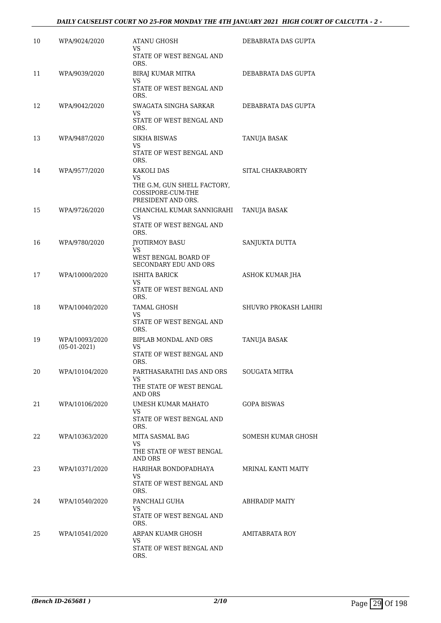### *DAILY CAUSELIST COURT NO 25-FOR MONDAY THE 4TH JANUARY 2021 HIGH COURT OF CALCUTTA - 2 -*

| 10 | WPA/9024/2020                    | ATANU GHOSH<br>VS.                                                     | DEBABRATA DAS GUPTA   |
|----|----------------------------------|------------------------------------------------------------------------|-----------------------|
|    |                                  | STATE OF WEST BENGAL AND<br>ORS.                                       |                       |
| 11 | WPA/9039/2020                    | BIRAJ KUMAR MITRA<br><b>VS</b>                                         | DEBABRATA DAS GUPTA   |
|    |                                  | STATE OF WEST BENGAL AND<br>ORS.                                       |                       |
| 12 | WPA/9042/2020                    | SWAGATA SINGHA SARKAR<br>VS.                                           | DEBABRATA DAS GUPTA   |
|    |                                  | STATE OF WEST BENGAL AND<br>ORS.                                       |                       |
| 13 | WPA/9487/2020                    | <b>SIKHA BISWAS</b><br>VS                                              | TANUJA BASAK          |
|    |                                  | STATE OF WEST BENGAL AND<br>ORS.                                       |                       |
| 14 | WPA/9577/2020                    | KAKOLI DAS<br>VS.                                                      | SITAL CHAKRABORTY     |
|    |                                  | THE G.M, GUN SHELL FACTORY,<br>COSSIPORE-CUM-THE<br>PRESIDENT AND ORS. |                       |
| 15 | WPA/9726/2020                    | CHANCHAL KUMAR SANNIGRAHI                                              | TANUJA BASAK          |
|    |                                  | VS.<br>STATE OF WEST BENGAL AND<br>ORS.                                |                       |
| 16 | WPA/9780/2020                    | JYOTIRMOY BASU<br>VS                                                   | SANJUKTA DUTTA        |
|    |                                  | WEST BENGAL BOARD OF<br>SECONDARY EDU AND ORS                          |                       |
| 17 | WPA/10000/2020                   | <b>ISHITA BARICK</b><br>VS.                                            | ASHOK KUMAR JHA       |
|    |                                  | STATE OF WEST BENGAL AND<br>ORS.                                       |                       |
| 18 | WPA/10040/2020                   | TAMAL GHOSH<br>VS                                                      | SHUVRO PROKASH LAHIRI |
|    |                                  | STATE OF WEST BENGAL AND<br>ORS.                                       |                       |
| 19 | WPA/10093/2020<br>$(05-01-2021)$ | BIPLAB MONDAL AND ORS<br>VS.                                           | TANUJA BASAK          |
|    |                                  | STATE OF WEST BENGAL AND<br>ORS.                                       |                       |
| 20 | WPA/10104/2020                   | PARTHASARATHI DAS AND ORS<br>VS                                        | SOUGATA MITRA         |
|    |                                  | THE STATE OF WEST BENGAL<br>AND ORS                                    |                       |
| 21 | WPA/10106/2020                   | UMESH KUMAR MAHATO                                                     | <b>GOPA BISWAS</b>    |
|    |                                  | <b>VS</b><br>STATE OF WEST BENGAL AND<br>ORS.                          |                       |
| 22 | WPA/10363/2020                   | MITA SASMAL BAG<br>VS.                                                 | SOMESH KUMAR GHOSH    |
|    |                                  | THE STATE OF WEST BENGAL<br>AND ORS                                    |                       |
| 23 | WPA/10371/2020                   | HARIHAR BONDOPADHAYA<br>VS                                             | MRINAL KANTI MAITY    |
|    |                                  | STATE OF WEST BENGAL AND<br>ORS.                                       |                       |
| 24 | WPA/10540/2020                   | PANCHALI GUHA<br>VS                                                    | <b>ABHRADIP MAITY</b> |
|    |                                  | STATE OF WEST BENGAL AND<br>ORS.                                       |                       |
| 25 | WPA/10541/2020                   | ARPAN KUAMR GHOSH<br>VS.                                               | AMITABRATA ROY        |
|    |                                  | STATE OF WEST BENGAL AND<br>ORS.                                       |                       |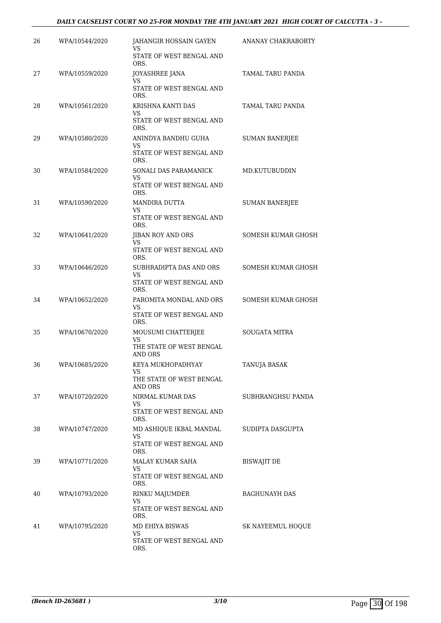### *DAILY CAUSELIST COURT NO 25-FOR MONDAY THE 4TH JANUARY 2021 HIGH COURT OF CALCUTTA - 3 -*

| 26 | WPA/10544/2020 | JAHANGIR HOSSAIN GAYEN<br>VS<br>STATE OF WEST BENGAL AND           | ANANAY CHAKRABORTY    |
|----|----------------|--------------------------------------------------------------------|-----------------------|
| 27 | WPA/10559/2020 | ORS.<br>JOYASHREE JANA                                             | TAMAL TARU PANDA      |
|    |                | VS<br>STATE OF WEST BENGAL AND<br>ORS.                             |                       |
| 28 | WPA/10561/2020 | KRISHNA KANTI DAS<br>VS<br>STATE OF WEST BENGAL AND<br>ORS.        | TAMAL TARU PANDA      |
| 29 | WPA/10580/2020 | ANINDYA BANDHU GUHA<br>VS.<br>STATE OF WEST BENGAL AND<br>ORS.     | <b>SUMAN BANERIEE</b> |
| 30 | WPA/10584/2020 | SONALI DAS PARAMANICK<br>VS<br>STATE OF WEST BENGAL AND<br>ORS.    | MD.KUTUBUDDIN         |
| 31 | WPA/10590/2020 | MANDIRA DUTTA<br>VS<br>STATE OF WEST BENGAL AND<br>ORS.            | <b>SUMAN BANERJEE</b> |
| 32 | WPA/10641/2020 | JIBAN ROY AND ORS<br><b>VS</b><br>STATE OF WEST BENGAL AND<br>ORS. | SOMESH KUMAR GHOSH    |
| 33 | WPA/10646/2020 | SUBHRADIPTA DAS AND ORS<br>VS<br>STATE OF WEST BENGAL AND<br>ORS.  | SOMESH KUMAR GHOSH    |
| 34 | WPA/10652/2020 | PAROMITA MONDAL AND ORS<br>VS<br>STATE OF WEST BENGAL AND<br>ORS.  | SOMESH KUMAR GHOSH    |
| 35 | WPA/10670/2020 | MOUSUMI CHATTERJEE<br>VS<br>THE STATE OF WEST BENGAL<br>AND ORS    | <b>SOUGATA MITRA</b>  |
| 36 | WPA/10685/2020 | KEYA MUKHOPADHYAY<br>VS<br>THE STATE OF WEST BENGAL<br>AND ORS     | TANUJA BASAK          |
| 37 | WPA/10720/2020 | NIRMAL KUMAR DAS<br>VS<br>STATE OF WEST BENGAL AND<br>ORS.         | SUBHRANGHSU PANDA     |
| 38 | WPA/10747/2020 | MD ASHIQUE IKBAL MANDAL<br>VS<br>STATE OF WEST BENGAL AND<br>ORS.  | SUDIPTA DASGUPTA      |
| 39 | WPA/10771/2020 | MALAY KUMAR SAHA<br>VS.<br>STATE OF WEST BENGAL AND<br>ORS.        | BISWAJIT DE           |
| 40 | WPA/10793/2020 | RINKU MAJUMDER<br>VS<br>STATE OF WEST BENGAL AND<br>ORS.           | RAGHUNAYH DAS         |
| 41 | WPA/10795/2020 | MD EHIYA BISWAS<br>VS<br>STATE OF WEST BENGAL AND<br>ORS.          | SK NAYEEMUL HOQUE     |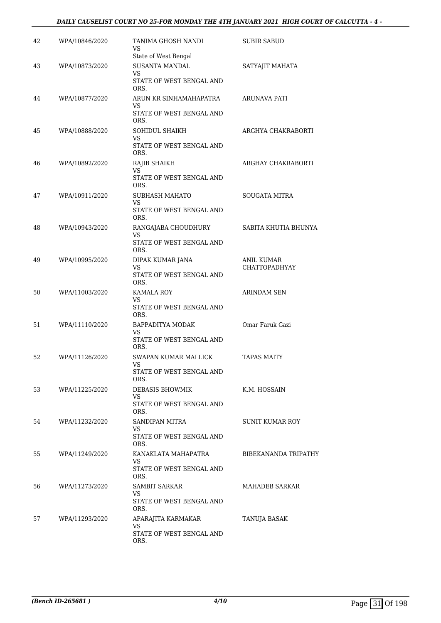### *DAILY CAUSELIST COURT NO 25-FOR MONDAY THE 4TH JANUARY 2021 HIGH COURT OF CALCUTTA - 4 -*

| 42 | WPA/10846/2020 | TANIMA GHOSH NANDI<br>VS                      | <b>SUBIR SABUD</b>          |
|----|----------------|-----------------------------------------------|-----------------------------|
| 43 | WPA/10873/2020 | State of West Bengal<br><b>SUSANTA MANDAL</b> | SATYAJIT MAHATA             |
|    |                | VS.<br>STATE OF WEST BENGAL AND<br>ORS.       |                             |
| 44 | WPA/10877/2020 | ARUN KR SINHAMAHAPATRA<br>VS                  | ARUNAVA PATI                |
|    |                | STATE OF WEST BENGAL AND<br>ORS.              |                             |
| 45 | WPA/10888/2020 | SOHIDUL SHAIKH<br>VS                          | ARGHYA CHAKRABORTI          |
|    |                | STATE OF WEST BENGAL AND<br>ORS.              |                             |
| 46 | WPA/10892/2020 | RAJIB SHAIKH<br>VS                            | ARGHAY CHAKRABORTI          |
|    |                | STATE OF WEST BENGAL AND<br>ORS.              |                             |
| 47 | WPA/10911/2020 | SUBHASH MAHATO<br>VS                          | <b>SOUGATA MITRA</b>        |
|    |                | STATE OF WEST BENGAL AND<br>ORS.              |                             |
| 48 | WPA/10943/2020 | RANGAJABA CHOUDHURY<br>VS                     | SABITA KHUTIA BHUNYA        |
|    |                | STATE OF WEST BENGAL AND<br>ORS.              |                             |
| 49 | WPA/10995/2020 | DIPAK KUMAR JANA<br><b>VS</b>                 | ANIL KUMAR<br>CHATTOPADHYAY |
|    |                | STATE OF WEST BENGAL AND<br>ORS.              |                             |
| 50 | WPA/11003/2020 | KAMALA ROY<br>VS.                             | <b>ARINDAM SEN</b>          |
|    |                | STATE OF WEST BENGAL AND<br>ORS.              |                             |
| 51 | WPA/11110/2020 | BAPPADITYA MODAK<br>VS                        | Omar Faruk Gazi             |
|    |                | STATE OF WEST BENGAL AND<br>ORS.              |                             |
| 52 | WPA/11126/2020 | SWAPAN KUMAR MALLICK<br>VS FOR STRUMP.        | <b>TAPAS MAITY</b>          |
|    |                | STATE OF WEST BENGAL AND<br>ORS.              |                             |
| 53 | WPA/11225/2020 | DEBASIS BHOWMIK<br>VS.                        | K.M. HOSSAIN                |
|    |                | STATE OF WEST BENGAL AND<br>ORS.              |                             |
| 54 | WPA/11232/2020 | SANDIPAN MITRA<br>VS                          | SUNIT KUMAR ROY             |
|    |                | STATE OF WEST BENGAL AND<br>ORS.              |                             |
| 55 | WPA/11249/2020 | KANAKLATA MAHAPATRA<br>VS                     | BIBEKANANDA TRIPATHY        |
|    |                | STATE OF WEST BENGAL AND<br>ORS.              |                             |
| 56 | WPA/11273/2020 | SAMBIT SARKAR<br>VS.                          | MAHADEB SARKAR              |
|    |                | STATE OF WEST BENGAL AND<br>ORS.              |                             |
| 57 | WPA/11293/2020 | APARAJITA KARMAKAR<br>VS.                     | TANUJA BASAK                |
|    |                | STATE OF WEST BENGAL AND<br>ORS.              |                             |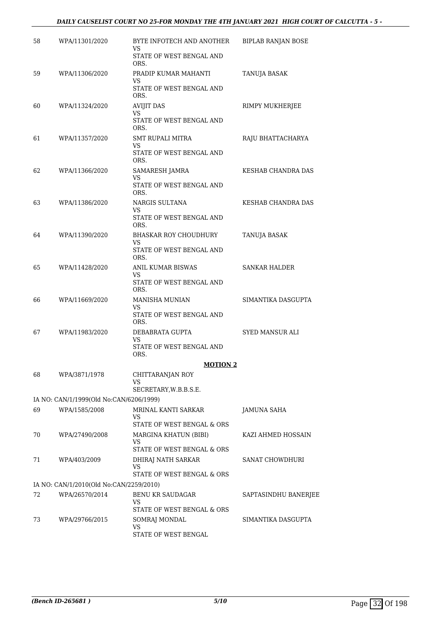### *DAILY CAUSELIST COURT NO 25-FOR MONDAY THE 4TH JANUARY 2021 HIGH COURT OF CALCUTTA - 5 -*

| 58 | WPA/11301/2020                          | BYTE INFOTECH AND ANOTHER<br>VS                         | <b>BIPLAB RANJAN BOSE</b> |
|----|-----------------------------------------|---------------------------------------------------------|---------------------------|
|    |                                         | STATE OF WEST BENGAL AND<br>ORS.                        |                           |
| 59 | WPA/11306/2020                          | PRADIP KUMAR MAHANTI<br>VS                              | TANUJA BASAK              |
|    |                                         | STATE OF WEST BENGAL AND<br>ORS.                        |                           |
| 60 | WPA/11324/2020                          | <b>AVIJIT DAS</b><br>VS                                 | RIMPY MUKHERJEE           |
|    |                                         | STATE OF WEST BENGAL AND<br>ORS.                        |                           |
| 61 | WPA/11357/2020                          | SMT RUPALI MITRA<br>VS                                  | RAJU BHATTACHARYA         |
|    |                                         | STATE OF WEST BENGAL AND<br>ORS.                        |                           |
| 62 | WPA/11366/2020                          | SAMARESH JAMRA<br>VS                                    | KESHAB CHANDRA DAS        |
|    |                                         | STATE OF WEST BENGAL AND<br>ORS.                        |                           |
| 63 | WPA/11386/2020                          | NARGIS SULTANA<br>VS                                    | KESHAB CHANDRA DAS        |
|    |                                         | STATE OF WEST BENGAL AND<br>ORS.                        |                           |
| 64 | WPA/11390/2020                          | <b>BHASKAR ROY CHOUDHURY</b><br>VS                      | TANUJA BASAK              |
|    |                                         | STATE OF WEST BENGAL AND<br>ORS.                        |                           |
| 65 | WPA/11428/2020                          | ANIL KUMAR BISWAS<br>VS                                 | <b>SANKAR HALDER</b>      |
|    |                                         | STATE OF WEST BENGAL AND<br>ORS.                        |                           |
| 66 | WPA/11669/2020                          | MANISHA MUNIAN<br>VS                                    | SIMANTIKA DASGUPTA        |
|    |                                         | STATE OF WEST BENGAL AND<br>ORS.                        |                           |
| 67 | WPA/11983/2020                          | DEBABRATA GUPTA<br>VS                                   | <b>SYED MANSUR ALI</b>    |
|    |                                         | STATE OF WEST BENGAL AND<br>ORS.                        |                           |
|    |                                         | <b>MOTION 2</b>                                         |                           |
| 68 | WPA/3871/1978                           | CHITTARANJAN ROY<br>VS                                  |                           |
|    |                                         | SECRETARY, W.B.B.S.E.                                   |                           |
|    | IA NO: CAN/1/1999(Old No:CAN/6206/1999) |                                                         |                           |
| 69 | WPA/1585/2008                           | MRINAL KANTI SARKAR<br>VS<br>STATE OF WEST BENGAL & ORS | JAMUNA SAHA               |
| 70 | WPA/27490/2008                          | MARGINA KHATUN (BIBI)                                   | KAZI AHMED HOSSAIN        |
|    |                                         | VS.<br>STATE OF WEST BENGAL & ORS                       |                           |
| 71 | WPA/403/2009                            | DHIRAJ NATH SARKAR                                      | SANAT CHOWDHURI           |
|    |                                         | VS<br>STATE OF WEST BENGAL & ORS                        |                           |
|    | IA NO: CAN/1/2010(Old No:CAN/2259/2010) |                                                         |                           |
| 72 | WPA/26570/2014                          | <b>BENU KR SAUDAGAR</b><br>VS                           | SAPTASINDHU BANERJEE      |
|    |                                         | STATE OF WEST BENGAL & ORS                              |                           |
| 73 | WPA/29766/2015                          | SOMRAJ MONDAL<br>VS.                                    | SIMANTIKA DASGUPTA        |
|    |                                         | STATE OF WEST BENGAL                                    |                           |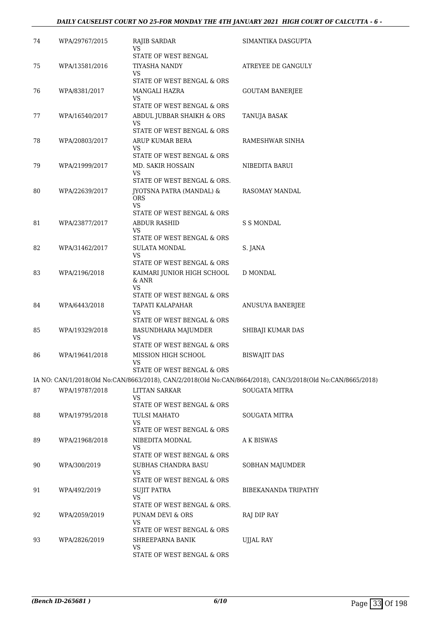### *DAILY CAUSELIST COURT NO 25-FOR MONDAY THE 4TH JANUARY 2021 HIGH COURT OF CALCUTTA - 6 -*

| 74 | WPA/29767/2015 | RAJIB SARDAR<br>VS                                  | SIMANTIKA DASGUPTA                                                                                          |
|----|----------------|-----------------------------------------------------|-------------------------------------------------------------------------------------------------------------|
|    |                | STATE OF WEST BENGAL                                |                                                                                                             |
| 75 | WPA/13581/2016 | TIYASHA NANDY<br>VS                                 | ATREYEE DE GANGULY                                                                                          |
|    |                | STATE OF WEST BENGAL & ORS                          |                                                                                                             |
| 76 | WPA/8381/2017  | MANGALI HAZRA                                       | <b>GOUTAM BANERJEE</b>                                                                                      |
|    |                | VS<br>STATE OF WEST BENGAL & ORS                    |                                                                                                             |
| 77 | WPA/16540/2017 | ABDUL JUBBAR SHAIKH & ORS                           | TANUJA BASAK                                                                                                |
|    |                | VS<br>STATE OF WEST BENGAL & ORS                    |                                                                                                             |
| 78 | WPA/20803/2017 | ARUP KUMAR BERA                                     | RAMESHWAR SINHA                                                                                             |
|    |                | VS                                                  |                                                                                                             |
|    |                | STATE OF WEST BENGAL & ORS                          |                                                                                                             |
| 79 | WPA/21999/2017 | MD. SAKIR HOSSAIN<br><b>VS</b>                      | NIBEDITA BARUI                                                                                              |
|    |                | STATE OF WEST BENGAL & ORS.                         |                                                                                                             |
| 80 | WPA/22639/2017 | JYOTSNA PATRA (MANDAL) &<br><b>ORS</b><br><b>VS</b> | RASOMAY MANDAL                                                                                              |
|    |                | STATE OF WEST BENGAL & ORS                          |                                                                                                             |
| 81 | WPA/23877/2017 | <b>ABDUR RASHID</b>                                 | <b>S S MONDAL</b>                                                                                           |
|    |                | VS<br>STATE OF WEST BENGAL & ORS                    |                                                                                                             |
| 82 | WPA/31462/2017 | <b>SULATA MONDAL</b>                                | S. JANA                                                                                                     |
|    |                | VS<br>STATE OF WEST BENGAL & ORS                    |                                                                                                             |
| 83 | WPA/2196/2018  | KAIMARI JUNIOR HIGH SCHOOL                          | D MONDAL                                                                                                    |
|    |                | & ANR<br>VS<br>STATE OF WEST BENGAL & ORS           |                                                                                                             |
| 84 | WPA/6443/2018  | TAPATI KALAPAHAR                                    | ANUSUYA BANERJEE                                                                                            |
|    |                | VS<br>STATE OF WEST BENGAL & ORS                    |                                                                                                             |
| 85 | WPA/19329/2018 | BASUNDHARA MAJUMDER                                 | SHIBAJI KUMAR DAS                                                                                           |
|    |                | VS<br>STATE OF WEST BENGAL & ORS                    |                                                                                                             |
| 86 | WPA/19641/2018 | MISSION HIGH SCHOOL                                 | <b>BISWAJIT DAS</b>                                                                                         |
|    |                | VS                                                  |                                                                                                             |
|    |                | STATE OF WEST BENGAL & ORS                          | IA NO: CAN/1/2018(Old No:CAN/8663/2018), CAN/2/2018(Old No:CAN/8664/2018), CAN/3/2018(Old No:CAN/8665/2018) |
| 87 | WPA/19787/2018 | <b>LITTAN SARKAR</b>                                | <b>SOUGATA MITRA</b>                                                                                        |
|    |                | VS                                                  |                                                                                                             |
|    |                | STATE OF WEST BENGAL & ORS                          |                                                                                                             |
| 88 | WPA/19795/2018 | TULSI MAHATO<br>VS                                  | <b>SOUGATA MITRA</b>                                                                                        |
|    |                | STATE OF WEST BENGAL & ORS                          |                                                                                                             |
| 89 | WPA/21968/2018 | NIBEDITA MODNAL<br>VS                               | <b>AK BISWAS</b>                                                                                            |
|    |                | STATE OF WEST BENGAL & ORS                          |                                                                                                             |
| 90 | WPA/300/2019   | SUBHAS CHANDRA BASU                                 | SOBHAN MAJUMDER                                                                                             |
|    |                | VS<br>STATE OF WEST BENGAL & ORS                    |                                                                                                             |
| 91 | WPA/492/2019   | <b>SUJIT PATRA</b>                                  | BIBEKANANDA TRIPATHY                                                                                        |
|    |                | VS                                                  |                                                                                                             |
|    |                | STATE OF WEST BENGAL & ORS.                         |                                                                                                             |
| 92 | WPA/2059/2019  | PUNAM DEVI & ORS<br>VS                              | RAJ DIP RAY                                                                                                 |
|    |                | STATE OF WEST BENGAL & ORS                          |                                                                                                             |
| 93 | WPA/2826/2019  | SHREEPARNA BANIK<br>VS                              | <b>UJJAL RAY</b>                                                                                            |
|    |                | STATE OF WEST BENGAL & ORS                          |                                                                                                             |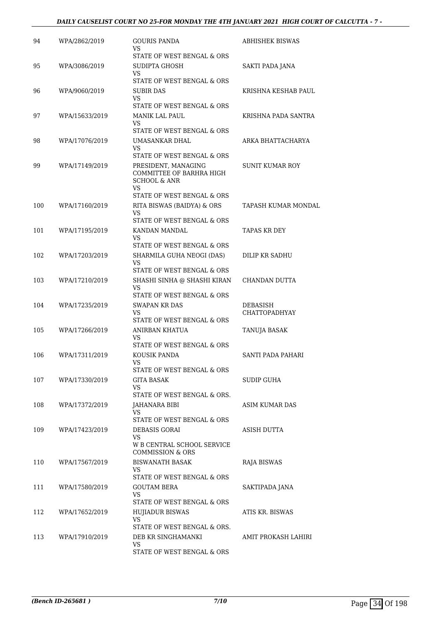### *DAILY CAUSELIST COURT NO 25-FOR MONDAY THE 4TH JANUARY 2021 HIGH COURT OF CALCUTTA - 7 -*

| 94<br>WPA/2862/2019<br><b>GOURIS PANDA</b><br><b>ABHISHEK BISWAS</b><br>VS<br>STATE OF WEST BENGAL & ORS<br>95<br>WPA/3086/2019<br>SUDIPTA GHOSH<br>SAKTI PADA JANA<br>VS<br>STATE OF WEST BENGAL & ORS<br>96<br>WPA/9060/2019<br>SUBIR DAS<br>KRISHNA KESHAB PAUL<br>VS<br>STATE OF WEST BENGAL & ORS<br>97<br>KRISHNA PADA SANTRA<br>WPA/15633/2019<br>MANIK LAL PAUL<br>VS<br>STATE OF WEST BENGAL & ORS<br>WPA/17076/2019<br>UMASANKAR DHAL<br>ARKA BHATTACHARYA<br>98<br>VS<br>STATE OF WEST BENGAL & ORS<br>99<br>SUNIT KUMAR ROY<br>WPA/17149/2019<br>PRESIDENT, MANAGING<br>COMMITTEE OF BARHRA HIGH<br><b>SCHOOL &amp; ANR</b><br><b>VS</b><br>STATE OF WEST BENGAL & ORS<br>100<br>WPA/17160/2019<br>RITA BISWAS (BAIDYA) & ORS<br>TAPASH KUMAR MONDAL<br><b>VS</b><br>STATE OF WEST BENGAL & ORS<br>101<br>TAPAS KR DEY<br>WPA/17195/2019<br>KANDAN MANDAL<br>VS<br>STATE OF WEST BENGAL & ORS<br>102<br>WPA/17203/2019<br>SHARMILA GUHA NEOGI (DAS)<br>DILIP KR SADHU<br>VS<br>STATE OF WEST BENGAL & ORS<br>103<br>WPA/17210/2019<br>SHASHI SINHA @ SHASHI KIRAN<br>CHANDAN DUTTA<br>VS<br>STATE OF WEST BENGAL & ORS<br><b>SWAPAN KR DAS</b><br>104<br>WPA/17235/2019<br>DEBASISH<br><b>CHATTOPADHYAY</b><br>VS<br>STATE OF WEST BENGAL & ORS<br>105<br>WPA/17266/2019<br>ANIRBAN KHATUA<br>TANUJA BASAK<br>VS<br>STATE OF WEST BENGAL & ORS<br>106<br>WPA/17311/2019<br>KOUSIK PANDA<br>SANTI PADA PAHARI<br>VS<br>STATE OF WEST BENGAL & ORS<br><b>GITA BASAK</b><br>107<br>WPA/17330/2019<br>SUDIP GUHA<br>VS<br>STATE OF WEST BENGAL & ORS.<br>108<br>ASIM KUMAR DAS<br>WPA/17372/2019<br>JAHANARA BIBI<br>VS<br>STATE OF WEST BENGAL & ORS<br>109<br>WPA/17423/2019<br>DEBASIS GORAI<br>ASISH DUTTA<br>VS.<br>W B CENTRAL SCHOOL SERVICE<br><b>COMMISSION &amp; ORS</b><br>110<br>WPA/17567/2019<br>BISWANATH BASAK<br>RAJA BISWAS<br>VS<br>STATE OF WEST BENGAL & ORS<br><b>GOUTAM BERA</b><br>111<br>WPA/17580/2019<br>SAKTIPADA JANA<br>VS.<br>STATE OF WEST BENGAL & ORS<br>ATIS KR. BISWAS<br>112<br>WPA/17652/2019<br><b>HUJIADUR BISWAS</b><br><b>VS</b><br>STATE OF WEST BENGAL & ORS.<br>113<br>WPA/17910/2019<br>DEB KR SINGHAMANKI<br>AMIT PROKASH LAHIRI<br>VS |  |                            |  |
|-----------------------------------------------------------------------------------------------------------------------------------------------------------------------------------------------------------------------------------------------------------------------------------------------------------------------------------------------------------------------------------------------------------------------------------------------------------------------------------------------------------------------------------------------------------------------------------------------------------------------------------------------------------------------------------------------------------------------------------------------------------------------------------------------------------------------------------------------------------------------------------------------------------------------------------------------------------------------------------------------------------------------------------------------------------------------------------------------------------------------------------------------------------------------------------------------------------------------------------------------------------------------------------------------------------------------------------------------------------------------------------------------------------------------------------------------------------------------------------------------------------------------------------------------------------------------------------------------------------------------------------------------------------------------------------------------------------------------------------------------------------------------------------------------------------------------------------------------------------------------------------------------------------------------------------------------------------------------------------------------------------------------------------------------------------------------------------------------------------------------------------------------------------------------------------------------|--|----------------------------|--|
|                                                                                                                                                                                                                                                                                                                                                                                                                                                                                                                                                                                                                                                                                                                                                                                                                                                                                                                                                                                                                                                                                                                                                                                                                                                                                                                                                                                                                                                                                                                                                                                                                                                                                                                                                                                                                                                                                                                                                                                                                                                                                                                                                                                               |  |                            |  |
|                                                                                                                                                                                                                                                                                                                                                                                                                                                                                                                                                                                                                                                                                                                                                                                                                                                                                                                                                                                                                                                                                                                                                                                                                                                                                                                                                                                                                                                                                                                                                                                                                                                                                                                                                                                                                                                                                                                                                                                                                                                                                                                                                                                               |  |                            |  |
|                                                                                                                                                                                                                                                                                                                                                                                                                                                                                                                                                                                                                                                                                                                                                                                                                                                                                                                                                                                                                                                                                                                                                                                                                                                                                                                                                                                                                                                                                                                                                                                                                                                                                                                                                                                                                                                                                                                                                                                                                                                                                                                                                                                               |  |                            |  |
|                                                                                                                                                                                                                                                                                                                                                                                                                                                                                                                                                                                                                                                                                                                                                                                                                                                                                                                                                                                                                                                                                                                                                                                                                                                                                                                                                                                                                                                                                                                                                                                                                                                                                                                                                                                                                                                                                                                                                                                                                                                                                                                                                                                               |  |                            |  |
|                                                                                                                                                                                                                                                                                                                                                                                                                                                                                                                                                                                                                                                                                                                                                                                                                                                                                                                                                                                                                                                                                                                                                                                                                                                                                                                                                                                                                                                                                                                                                                                                                                                                                                                                                                                                                                                                                                                                                                                                                                                                                                                                                                                               |  |                            |  |
|                                                                                                                                                                                                                                                                                                                                                                                                                                                                                                                                                                                                                                                                                                                                                                                                                                                                                                                                                                                                                                                                                                                                                                                                                                                                                                                                                                                                                                                                                                                                                                                                                                                                                                                                                                                                                                                                                                                                                                                                                                                                                                                                                                                               |  |                            |  |
|                                                                                                                                                                                                                                                                                                                                                                                                                                                                                                                                                                                                                                                                                                                                                                                                                                                                                                                                                                                                                                                                                                                                                                                                                                                                                                                                                                                                                                                                                                                                                                                                                                                                                                                                                                                                                                                                                                                                                                                                                                                                                                                                                                                               |  |                            |  |
|                                                                                                                                                                                                                                                                                                                                                                                                                                                                                                                                                                                                                                                                                                                                                                                                                                                                                                                                                                                                                                                                                                                                                                                                                                                                                                                                                                                                                                                                                                                                                                                                                                                                                                                                                                                                                                                                                                                                                                                                                                                                                                                                                                                               |  |                            |  |
|                                                                                                                                                                                                                                                                                                                                                                                                                                                                                                                                                                                                                                                                                                                                                                                                                                                                                                                                                                                                                                                                                                                                                                                                                                                                                                                                                                                                                                                                                                                                                                                                                                                                                                                                                                                                                                                                                                                                                                                                                                                                                                                                                                                               |  |                            |  |
|                                                                                                                                                                                                                                                                                                                                                                                                                                                                                                                                                                                                                                                                                                                                                                                                                                                                                                                                                                                                                                                                                                                                                                                                                                                                                                                                                                                                                                                                                                                                                                                                                                                                                                                                                                                                                                                                                                                                                                                                                                                                                                                                                                                               |  |                            |  |
|                                                                                                                                                                                                                                                                                                                                                                                                                                                                                                                                                                                                                                                                                                                                                                                                                                                                                                                                                                                                                                                                                                                                                                                                                                                                                                                                                                                                                                                                                                                                                                                                                                                                                                                                                                                                                                                                                                                                                                                                                                                                                                                                                                                               |  |                            |  |
|                                                                                                                                                                                                                                                                                                                                                                                                                                                                                                                                                                                                                                                                                                                                                                                                                                                                                                                                                                                                                                                                                                                                                                                                                                                                                                                                                                                                                                                                                                                                                                                                                                                                                                                                                                                                                                                                                                                                                                                                                                                                                                                                                                                               |  |                            |  |
|                                                                                                                                                                                                                                                                                                                                                                                                                                                                                                                                                                                                                                                                                                                                                                                                                                                                                                                                                                                                                                                                                                                                                                                                                                                                                                                                                                                                                                                                                                                                                                                                                                                                                                                                                                                                                                                                                                                                                                                                                                                                                                                                                                                               |  |                            |  |
|                                                                                                                                                                                                                                                                                                                                                                                                                                                                                                                                                                                                                                                                                                                                                                                                                                                                                                                                                                                                                                                                                                                                                                                                                                                                                                                                                                                                                                                                                                                                                                                                                                                                                                                                                                                                                                                                                                                                                                                                                                                                                                                                                                                               |  |                            |  |
|                                                                                                                                                                                                                                                                                                                                                                                                                                                                                                                                                                                                                                                                                                                                                                                                                                                                                                                                                                                                                                                                                                                                                                                                                                                                                                                                                                                                                                                                                                                                                                                                                                                                                                                                                                                                                                                                                                                                                                                                                                                                                                                                                                                               |  |                            |  |
|                                                                                                                                                                                                                                                                                                                                                                                                                                                                                                                                                                                                                                                                                                                                                                                                                                                                                                                                                                                                                                                                                                                                                                                                                                                                                                                                                                                                                                                                                                                                                                                                                                                                                                                                                                                                                                                                                                                                                                                                                                                                                                                                                                                               |  |                            |  |
|                                                                                                                                                                                                                                                                                                                                                                                                                                                                                                                                                                                                                                                                                                                                                                                                                                                                                                                                                                                                                                                                                                                                                                                                                                                                                                                                                                                                                                                                                                                                                                                                                                                                                                                                                                                                                                                                                                                                                                                                                                                                                                                                                                                               |  |                            |  |
|                                                                                                                                                                                                                                                                                                                                                                                                                                                                                                                                                                                                                                                                                                                                                                                                                                                                                                                                                                                                                                                                                                                                                                                                                                                                                                                                                                                                                                                                                                                                                                                                                                                                                                                                                                                                                                                                                                                                                                                                                                                                                                                                                                                               |  |                            |  |
|                                                                                                                                                                                                                                                                                                                                                                                                                                                                                                                                                                                                                                                                                                                                                                                                                                                                                                                                                                                                                                                                                                                                                                                                                                                                                                                                                                                                                                                                                                                                                                                                                                                                                                                                                                                                                                                                                                                                                                                                                                                                                                                                                                                               |  |                            |  |
|                                                                                                                                                                                                                                                                                                                                                                                                                                                                                                                                                                                                                                                                                                                                                                                                                                                                                                                                                                                                                                                                                                                                                                                                                                                                                                                                                                                                                                                                                                                                                                                                                                                                                                                                                                                                                                                                                                                                                                                                                                                                                                                                                                                               |  |                            |  |
|                                                                                                                                                                                                                                                                                                                                                                                                                                                                                                                                                                                                                                                                                                                                                                                                                                                                                                                                                                                                                                                                                                                                                                                                                                                                                                                                                                                                                                                                                                                                                                                                                                                                                                                                                                                                                                                                                                                                                                                                                                                                                                                                                                                               |  |                            |  |
|                                                                                                                                                                                                                                                                                                                                                                                                                                                                                                                                                                                                                                                                                                                                                                                                                                                                                                                                                                                                                                                                                                                                                                                                                                                                                                                                                                                                                                                                                                                                                                                                                                                                                                                                                                                                                                                                                                                                                                                                                                                                                                                                                                                               |  |                            |  |
|                                                                                                                                                                                                                                                                                                                                                                                                                                                                                                                                                                                                                                                                                                                                                                                                                                                                                                                                                                                                                                                                                                                                                                                                                                                                                                                                                                                                                                                                                                                                                                                                                                                                                                                                                                                                                                                                                                                                                                                                                                                                                                                                                                                               |  |                            |  |
|                                                                                                                                                                                                                                                                                                                                                                                                                                                                                                                                                                                                                                                                                                                                                                                                                                                                                                                                                                                                                                                                                                                                                                                                                                                                                                                                                                                                                                                                                                                                                                                                                                                                                                                                                                                                                                                                                                                                                                                                                                                                                                                                                                                               |  |                            |  |
|                                                                                                                                                                                                                                                                                                                                                                                                                                                                                                                                                                                                                                                                                                                                                                                                                                                                                                                                                                                                                                                                                                                                                                                                                                                                                                                                                                                                                                                                                                                                                                                                                                                                                                                                                                                                                                                                                                                                                                                                                                                                                                                                                                                               |  |                            |  |
|                                                                                                                                                                                                                                                                                                                                                                                                                                                                                                                                                                                                                                                                                                                                                                                                                                                                                                                                                                                                                                                                                                                                                                                                                                                                                                                                                                                                                                                                                                                                                                                                                                                                                                                                                                                                                                                                                                                                                                                                                                                                                                                                                                                               |  |                            |  |
|                                                                                                                                                                                                                                                                                                                                                                                                                                                                                                                                                                                                                                                                                                                                                                                                                                                                                                                                                                                                                                                                                                                                                                                                                                                                                                                                                                                                                                                                                                                                                                                                                                                                                                                                                                                                                                                                                                                                                                                                                                                                                                                                                                                               |  |                            |  |
|                                                                                                                                                                                                                                                                                                                                                                                                                                                                                                                                                                                                                                                                                                                                                                                                                                                                                                                                                                                                                                                                                                                                                                                                                                                                                                                                                                                                                                                                                                                                                                                                                                                                                                                                                                                                                                                                                                                                                                                                                                                                                                                                                                                               |  |                            |  |
|                                                                                                                                                                                                                                                                                                                                                                                                                                                                                                                                                                                                                                                                                                                                                                                                                                                                                                                                                                                                                                                                                                                                                                                                                                                                                                                                                                                                                                                                                                                                                                                                                                                                                                                                                                                                                                                                                                                                                                                                                                                                                                                                                                                               |  |                            |  |
|                                                                                                                                                                                                                                                                                                                                                                                                                                                                                                                                                                                                                                                                                                                                                                                                                                                                                                                                                                                                                                                                                                                                                                                                                                                                                                                                                                                                                                                                                                                                                                                                                                                                                                                                                                                                                                                                                                                                                                                                                                                                                                                                                                                               |  |                            |  |
|                                                                                                                                                                                                                                                                                                                                                                                                                                                                                                                                                                                                                                                                                                                                                                                                                                                                                                                                                                                                                                                                                                                                                                                                                                                                                                                                                                                                                                                                                                                                                                                                                                                                                                                                                                                                                                                                                                                                                                                                                                                                                                                                                                                               |  |                            |  |
|                                                                                                                                                                                                                                                                                                                                                                                                                                                                                                                                                                                                                                                                                                                                                                                                                                                                                                                                                                                                                                                                                                                                                                                                                                                                                                                                                                                                                                                                                                                                                                                                                                                                                                                                                                                                                                                                                                                                                                                                                                                                                                                                                                                               |  |                            |  |
|                                                                                                                                                                                                                                                                                                                                                                                                                                                                                                                                                                                                                                                                                                                                                                                                                                                                                                                                                                                                                                                                                                                                                                                                                                                                                                                                                                                                                                                                                                                                                                                                                                                                                                                                                                                                                                                                                                                                                                                                                                                                                                                                                                                               |  |                            |  |
|                                                                                                                                                                                                                                                                                                                                                                                                                                                                                                                                                                                                                                                                                                                                                                                                                                                                                                                                                                                                                                                                                                                                                                                                                                                                                                                                                                                                                                                                                                                                                                                                                                                                                                                                                                                                                                                                                                                                                                                                                                                                                                                                                                                               |  |                            |  |
|                                                                                                                                                                                                                                                                                                                                                                                                                                                                                                                                                                                                                                                                                                                                                                                                                                                                                                                                                                                                                                                                                                                                                                                                                                                                                                                                                                                                                                                                                                                                                                                                                                                                                                                                                                                                                                                                                                                                                                                                                                                                                                                                                                                               |  |                            |  |
|                                                                                                                                                                                                                                                                                                                                                                                                                                                                                                                                                                                                                                                                                                                                                                                                                                                                                                                                                                                                                                                                                                                                                                                                                                                                                                                                                                                                                                                                                                                                                                                                                                                                                                                                                                                                                                                                                                                                                                                                                                                                                                                                                                                               |  |                            |  |
|                                                                                                                                                                                                                                                                                                                                                                                                                                                                                                                                                                                                                                                                                                                                                                                                                                                                                                                                                                                                                                                                                                                                                                                                                                                                                                                                                                                                                                                                                                                                                                                                                                                                                                                                                                                                                                                                                                                                                                                                                                                                                                                                                                                               |  |                            |  |
|                                                                                                                                                                                                                                                                                                                                                                                                                                                                                                                                                                                                                                                                                                                                                                                                                                                                                                                                                                                                                                                                                                                                                                                                                                                                                                                                                                                                                                                                                                                                                                                                                                                                                                                                                                                                                                                                                                                                                                                                                                                                                                                                                                                               |  |                            |  |
|                                                                                                                                                                                                                                                                                                                                                                                                                                                                                                                                                                                                                                                                                                                                                                                                                                                                                                                                                                                                                                                                                                                                                                                                                                                                                                                                                                                                                                                                                                                                                                                                                                                                                                                                                                                                                                                                                                                                                                                                                                                                                                                                                                                               |  |                            |  |
|                                                                                                                                                                                                                                                                                                                                                                                                                                                                                                                                                                                                                                                                                                                                                                                                                                                                                                                                                                                                                                                                                                                                                                                                                                                                                                                                                                                                                                                                                                                                                                                                                                                                                                                                                                                                                                                                                                                                                                                                                                                                                                                                                                                               |  |                            |  |
|                                                                                                                                                                                                                                                                                                                                                                                                                                                                                                                                                                                                                                                                                                                                                                                                                                                                                                                                                                                                                                                                                                                                                                                                                                                                                                                                                                                                                                                                                                                                                                                                                                                                                                                                                                                                                                                                                                                                                                                                                                                                                                                                                                                               |  |                            |  |
|                                                                                                                                                                                                                                                                                                                                                                                                                                                                                                                                                                                                                                                                                                                                                                                                                                                                                                                                                                                                                                                                                                                                                                                                                                                                                                                                                                                                                                                                                                                                                                                                                                                                                                                                                                                                                                                                                                                                                                                                                                                                                                                                                                                               |  |                            |  |
|                                                                                                                                                                                                                                                                                                                                                                                                                                                                                                                                                                                                                                                                                                                                                                                                                                                                                                                                                                                                                                                                                                                                                                                                                                                                                                                                                                                                                                                                                                                                                                                                                                                                                                                                                                                                                                                                                                                                                                                                                                                                                                                                                                                               |  | STATE OF WEST BENGAL & ORS |  |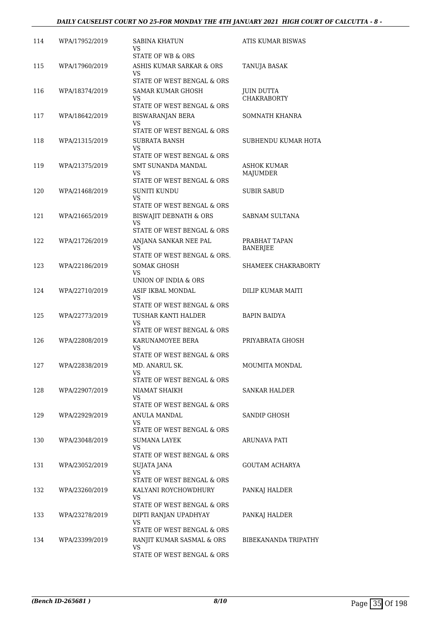| 114 | WPA/17952/2019 | SABINA KHATUN<br>VS<br>STATE OF WB & ORS                 | ATIS KUMAR BISWAS                       |
|-----|----------------|----------------------------------------------------------|-----------------------------------------|
| 115 | WPA/17960/2019 | ASHIS KUMAR SARKAR & ORS                                 | TANUJA BASAK                            |
|     |                | VS<br>STATE OF WEST BENGAL & ORS                         |                                         |
| 116 | WPA/18374/2019 | SAMAR KUMAR GHOSH<br>VS                                  | <b>JUIN DUTTA</b><br><b>CHAKRABORTY</b> |
|     |                | STATE OF WEST BENGAL & ORS                               |                                         |
| 117 | WPA/18642/2019 | BISWARANJAN BERA<br>VS<br>STATE OF WEST BENGAL & ORS     | SOMNATH KHANRA                          |
| 118 | WPA/21315/2019 | SUBRATA BANSH<br>VS                                      | SUBHENDU KUMAR HOTA                     |
|     |                | STATE OF WEST BENGAL & ORS                               |                                         |
| 119 | WPA/21375/2019 | SMT SUNANDA MANDAL<br>VS                                 | ASHOK KUMAR<br>MAJUMDER                 |
| 120 | WPA/21468/2019 | STATE OF WEST BENGAL & ORS<br><b>SUNITI KUNDU</b>        | <b>SUBIR SABUD</b>                      |
|     |                | <b>VS</b><br>STATE OF WEST BENGAL & ORS                  |                                         |
| 121 | WPA/21665/2019 | BISWAJIT DEBNATH & ORS                                   | SABNAM SULTANA                          |
|     |                | <b>VS</b><br>STATE OF WEST BENGAL & ORS                  |                                         |
| 122 | WPA/21726/2019 | ANJANA SANKAR NEE PAL                                    | PRABHAT TAPAN                           |
|     |                | VS<br>STATE OF WEST BENGAL & ORS.                        | <b>BANERJEE</b>                         |
| 123 | WPA/22186/2019 | SOMAK GHOSH                                              | SHAMEEK CHAKRABORTY                     |
|     |                | VS<br>UNION OF INDIA & ORS                               |                                         |
| 124 | WPA/22710/2019 | ASIF IKBAL MONDAL<br>VS                                  | DILIP KUMAR MAITI                       |
| 125 | WPA/22773/2019 | STATE OF WEST BENGAL & ORS<br>TUSHAR KANTI HALDER        | BAPIN BAIDYA                            |
|     |                | VS<br>STATE OF WEST BENGAL & ORS                         |                                         |
| 126 | WPA/22808/2019 | KARUNAMOYEE BERA                                         | PRIYABRATA GHOSH                        |
|     |                | VS<br>STATE OF WEST BENGAL & ORS                         |                                         |
| 127 | WPA/22838/2019 | MD. ANARUL SK.                                           | MOUMITA MONDAL                          |
|     |                | VS<br>STATE OF WEST BENGAL & ORS                         |                                         |
| 128 | WPA/22907/2019 | NIAMAT SHAIKH<br>VS.                                     | SANKAR HALDER                           |
|     |                | STATE OF WEST BENGAL & ORS                               |                                         |
| 129 | WPA/22929/2019 | <b>ANULA MANDAL</b><br>VS.<br>STATE OF WEST BENGAL & ORS | SANDIP GHOSH                            |
| 130 | WPA/23048/2019 | <b>SUMANA LAYEK</b>                                      | ARUNAVA PATI                            |
|     |                | VS<br>STATE OF WEST BENGAL & ORS                         |                                         |
| 131 | WPA/23052/2019 | SUJATA JANA                                              | GOUTAM ACHARYA                          |
|     |                | VS.<br>STATE OF WEST BENGAL & ORS                        |                                         |
| 132 | WPA/23260/2019 | KALYANI ROYCHOWDHURY                                     | PANKAJ HALDER                           |
|     |                | VS<br>STATE OF WEST BENGAL & ORS                         |                                         |
| 133 | WPA/23278/2019 | DIPTI RANJAN UPADHYAY                                    | PANKAJ HALDER                           |
|     |                | VS<br>STATE OF WEST BENGAL & ORS                         |                                         |
| 134 | WPA/23399/2019 | RANJIT KUMAR SASMAL & ORS                                | BIBEKANANDA TRIPATHY                    |
|     |                | VS<br>STATE OF WEST BENGAL & ORS                         |                                         |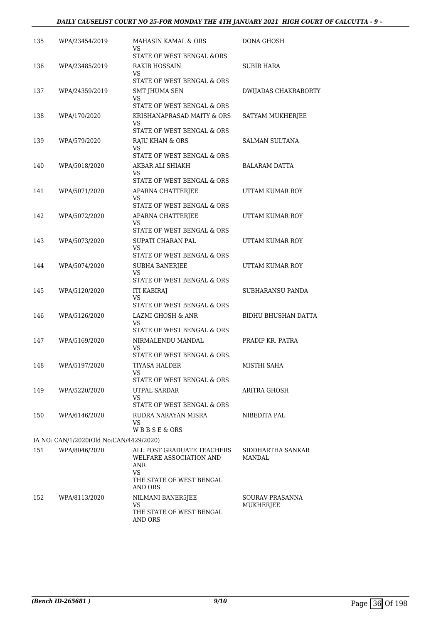## *DAILY CAUSELIST COURT NO 25-FOR MONDAY THE 4TH JANUARY 2021 HIGH COURT OF CALCUTTA - 9 -*

| 135 | WPA/23454/2019                          | MAHASIN KAMAL & ORS<br>VS                           | DONA GHOSH            |
|-----|-----------------------------------------|-----------------------------------------------------|-----------------------|
| 136 | WPA/23485/2019                          | STATE OF WEST BENGAL &ORS<br><b>RAKIB HOSSAIN</b>   | SUBIR HARA            |
|     |                                         | VS                                                  |                       |
| 137 |                                         | STATE OF WEST BENGAL & ORS                          |                       |
|     | WPA/24359/2019                          | SMT JHUMA SEN<br>VS                                 | DWIJADAS CHAKRABORTY  |
|     |                                         | STATE OF WEST BENGAL & ORS                          |                       |
| 138 | WPA/170/2020                            | KRISHANAPRASAD MAITY & ORS<br>VS                    | SATYAM MUKHERJEE      |
|     |                                         | STATE OF WEST BENGAL & ORS                          |                       |
| 139 | WPA/579/2020                            | RAJU KHAN & ORS<br>VS<br>STATE OF WEST BENGAL & ORS | <b>SALMAN SULTANA</b> |
| 140 | WPA/5018/2020                           | AKBAR ALI SHIAKH                                    | BALARAM DATTA         |
|     |                                         | VS                                                  |                       |
|     |                                         | STATE OF WEST BENGAL & ORS                          |                       |
| 141 | WPA/5071/2020                           | APARNA CHATTERJEE<br>VS                             | UTTAM KUMAR ROY       |
|     |                                         | STATE OF WEST BENGAL & ORS                          |                       |
| 142 | WPA/5072/2020                           | APARNA CHATTERJEE<br>VS                             | UTTAM KUMAR ROY       |
|     |                                         | STATE OF WEST BENGAL & ORS                          |                       |
| 143 | WPA/5073/2020                           | SUPATI CHARAN PAL<br><b>VS</b>                      | UTTAM KUMAR ROY       |
|     |                                         | STATE OF WEST BENGAL & ORS                          |                       |
| 144 | WPA/5074/2020                           | <b>SUBHA BANERJEE</b>                               | UTTAM KUMAR ROY       |
|     |                                         | VS<br>STATE OF WEST BENGAL & ORS                    |                       |
| 145 | WPA/5120/2020                           | <b>ITI KABIRAJ</b>                                  | SUBHARANSU PANDA      |
|     |                                         | VS<br>STATE OF WEST BENGAL & ORS                    |                       |
| 146 | WPA/5126/2020                           | LAZMI GHOSH & ANR                                   | BIDHU BHUSHAN DATTA   |
|     |                                         | VS                                                  |                       |
|     |                                         | STATE OF WEST BENGAL & ORS                          | PRADIP KR. PATRA      |
| 147 | WPA/5169/2020                           | NIRMALENDU MANDAL<br>VS                             |                       |
|     |                                         | STATE OF WEST BENGAL & ORS.                         |                       |
| 148 | WPA/5197/2020                           | TIYASA HALDER<br>VS                                 | MISTHI SAHA           |
|     |                                         | STATE OF WEST BENGAL & ORS                          |                       |
| 149 | WPA/5220/2020                           | UTPAL SARDAR                                        | ARITRA GHOSH          |
|     |                                         | VS<br>STATE OF WEST BENGAL & ORS                    |                       |
| 150 | WPA/6146/2020                           | RUDRA NARAYAN MISRA                                 | NIBEDITA PAL          |
|     |                                         | <b>VS</b><br>WBBSE&ORS                              |                       |
|     | IA NO: CAN/1/2020(Old No:CAN/4429/2020) |                                                     |                       |
| 151 | WPA/8046/2020                           | ALL POST GRADUATE TEACHERS                          | SIDDHARTHA SANKAR     |
|     |                                         | WELFARE ASSOCIATION AND<br>ANR<br>VS                | <b>MANDAL</b>         |
|     |                                         | THE STATE OF WEST BENGAL<br>AND ORS                 |                       |
| 152 | WPA/8113/2020                           | NILMANI BANER5JEE                                   | SOURAV PRASANNA       |
|     |                                         | VS<br>THE STATE OF WEST BENGAL<br>AND ORS           | MUKHERJEE             |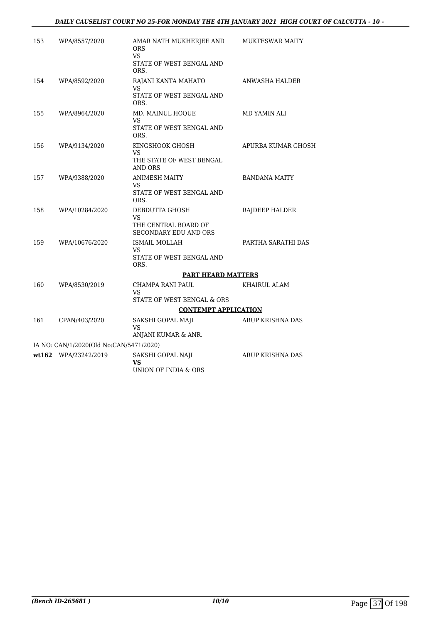| 153 | WPA/8557/2020                           | AMAR NATH MUKHERJEE AND<br>ORS<br>VS.                                        | MUKTESWAR MAITY       |
|-----|-----------------------------------------|------------------------------------------------------------------------------|-----------------------|
|     |                                         | STATE OF WEST BENGAL AND<br>ORS.                                             |                       |
| 154 | WPA/8592/2020                           | RAJANI KANTA MAHATO<br>VS<br>STATE OF WEST BENGAL AND<br>ORS.                | <b>ANWASHA HALDER</b> |
| 155 | WPA/8964/2020                           | MD. MAINUL HOQUE<br>VS<br>STATE OF WEST BENGAL AND<br>ORS.                   | MD YAMIN ALI          |
| 156 | WPA/9134/2020                           | KINGSHOOK GHOSH<br>VS<br>THE STATE OF WEST BENGAL<br><b>AND ORS</b>          | APURBA KUMAR GHOSH    |
| 157 | WPA/9388/2020                           | <b>ANIMESH MAITY</b><br>VS<br>STATE OF WEST BENGAL AND<br>ORS.               | <b>BANDANA MAITY</b>  |
| 158 | WPA/10284/2020                          | DEBDUTTA GHOSH<br>VS<br>THE CENTRAL BOARD OF<br><b>SECONDARY EDU AND ORS</b> | RAJDEEP HALDER        |
| 159 | WPA/10676/2020                          | ISMAIL MOLLAH<br>VS.<br>STATE OF WEST BENGAL AND<br>ORS.                     | PARTHA SARATHI DAS    |
|     |                                         | <b>PART HEARD MATTERS</b>                                                    |                       |
| 160 | WPA/8530/2019                           | CHAMPA RANI PAUL<br>VS.<br>STATE OF WEST BENGAL & ORS                        | KHAIRUL ALAM          |
|     |                                         | <b>CONTEMPT APPLICATION</b>                                                  |                       |
| 161 | CPAN/403/2020                           | SAKSHI GOPAL MAJI<br><b>VS</b>                                               | ARUP KRISHNA DAS      |
|     | IA NO: CAN/1/2020(Old No:CAN/5471/2020) | ANJANI KUMAR & ANR.                                                          |                       |
|     | wt162 WPA/23242/2019                    | SAKSHI GOPAL NAJI                                                            | ARUP KRISHNA DAS      |
|     |                                         | <b>VS</b><br>UNION OF INDIA & ORS                                            |                       |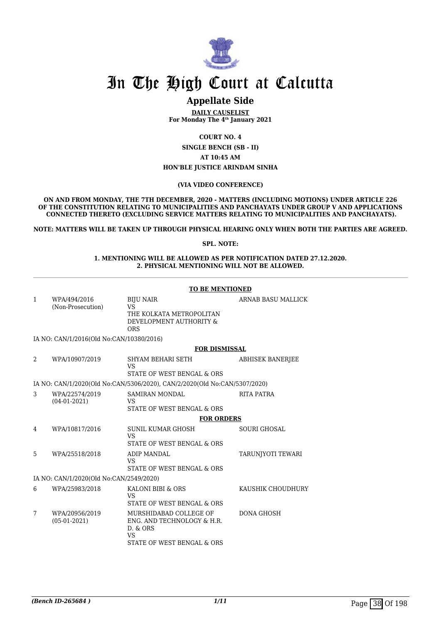

## **Appellate Side**

**DAILY CAUSELIST For Monday The 4th January 2021**

**COURT NO. 4**

**SINGLE BENCH (SB - II) AT 10:45 AM**

#### **HON'BLE JUSTICE ARINDAM SINHA**

#### **(VIA VIDEO CONFERENCE)**

**ON AND FROM MONDAY, THE 7TH DECEMBER, 2020 - MATTERS (INCLUDING MOTIONS) UNDER ARTICLE 226 OF THE CONSTITUTION RELATING TO MUNICIPALITIES AND PANCHAYATS UNDER GROUP V AND APPLICATIONS CONNECTED THERETO (EXCLUDING SERVICE MATTERS RELATING TO MUNICIPALITIES AND PANCHAYATS).**

**NOTE: MATTERS WILL BE TAKEN UP THROUGH PHYSICAL HEARING ONLY WHEN BOTH THE PARTIES ARE AGREED.**

**SPL. NOTE:**

#### **1. MENTIONING WILL BE ALLOWED AS PER NOTIFICATION DATED 27.12.2020. 2. PHYSICAL MENTIONING WILL NOT BE ALLOWED.**

|              |                                          | <b>TO BE MENTIONED</b>                                                                                      |                         |
|--------------|------------------------------------------|-------------------------------------------------------------------------------------------------------------|-------------------------|
| $\mathbf{1}$ | WPA/494/2016<br>(Non-Prosecution)        | <b>BIJU NAIR</b><br><b>VS</b><br>THE KOLKATA METROPOLITAN<br>DEVELOPMENT AUTHORITY &<br><b>ORS</b>          | ARNAB BASU MALLICK      |
|              | IA NO: CAN/1/2016(Old No:CAN/10380/2016) |                                                                                                             |                         |
|              |                                          | <b>FOR DISMISSAL</b>                                                                                        |                         |
| 2            | WPA/10907/2019                           | SHYAM BEHARI SETH<br><b>VS</b><br>STATE OF WEST BENGAL & ORS                                                | <b>ABHISEK BANERJEE</b> |
|              |                                          | IA NO: CAN/1/2020(Old No:CAN/5306/2020), CAN/2/2020(Old No:CAN/5307/2020)                                   |                         |
| 3            | WPA/22574/2019<br>$(04-01-2021)$         | SAMIRAN MONDAL<br>VS<br>STATE OF WEST BENGAL & ORS                                                          | RITA PATRA              |
|              |                                          | <b>FOR ORDERS</b>                                                                                           |                         |
| 4            | WPA/10817/2016                           | SUNIL KUMAR GHOSH<br><b>VS</b><br>STATE OF WEST BENGAL & ORS                                                | <b>SOURI GHOSAL</b>     |
| 5            | WPA/25518/2018                           | ADIP MANDAL<br><b>VS</b><br>STATE OF WEST BENGAL & ORS                                                      | TARUNJYOTI TEWARI       |
|              | IA NO: CAN/1/2020(Old No:CAN/2549/2020)  |                                                                                                             |                         |
| 6            | WPA/25983/2018                           | KALONI BIBI & ORS<br><b>VS</b><br>STATE OF WEST BENGAL & ORS                                                | KAUSHIK CHOUDHURY       |
| 7            | WPA/20956/2019<br>$(05-01-2021)$         | MURSHIDABAD COLLEGE OF<br>ENG. AND TECHNOLOGY & H.R.<br>D. & ORS<br><b>VS</b><br>STATE OF WEST BENGAL & ORS | <b>DONA GHOSH</b>       |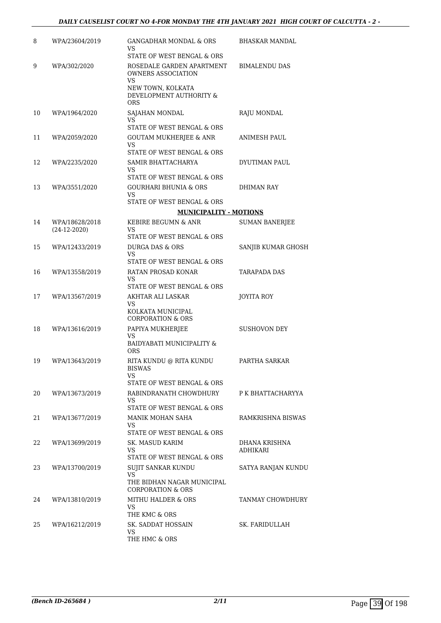| 8  | WPA/23604/2019                   | GANGADHAR MONDAL & ORS                                                                   | BHASKAR MANDAL            |
|----|----------------------------------|------------------------------------------------------------------------------------------|---------------------------|
|    |                                  | VS<br>STATE OF WEST BENGAL & ORS                                                         |                           |
| 9  | WPA/302/2020                     | ROSEDALE GARDEN APARTMENT<br><b>OWNERS ASSOCIATION</b><br><b>VS</b><br>NEW TOWN, KOLKATA | <b>BIMALENDU DAS</b>      |
|    |                                  | DEVELOPMENT AUTHORITY &<br><b>ORS</b>                                                    |                           |
| 10 | WPA/1964/2020                    | SAJAHAN MONDAL<br>VS.                                                                    | RAJU MONDAL               |
| 11 | WPA/2059/2020                    | STATE OF WEST BENGAL & ORS                                                               | ANIMESH PAUL              |
|    |                                  | GOUTAM MUKHERJEE & ANR<br>VS                                                             |                           |
|    |                                  | STATE OF WEST BENGAL & ORS                                                               |                           |
| 12 | WPA/2235/2020                    | SAMIR BHATTACHARYA<br>VS                                                                 | DYUTIMAN PAUL             |
|    |                                  | STATE OF WEST BENGAL & ORS                                                               |                           |
| 13 | WPA/3551/2020                    | <b>GOURHARI BHUNIA &amp; ORS</b><br>VS.                                                  | DHIMAN RAY                |
|    |                                  | STATE OF WEST BENGAL & ORS                                                               |                           |
|    |                                  | <b>MUNICIPALITY - MOTIONS</b>                                                            |                           |
| 14 | WPA/18628/2018<br>$(24-12-2020)$ | KEBIRE BEGUMN & ANR<br>VS                                                                | <b>SUMAN BANERJEE</b>     |
|    |                                  | STATE OF WEST BENGAL & ORS                                                               |                           |
| 15 | WPA/12433/2019                   | DURGA DAS & ORS<br>VS                                                                    | SANJIB KUMAR GHOSH        |
|    |                                  | STATE OF WEST BENGAL & ORS                                                               |                           |
| 16 | WPA/13558/2019                   | RATAN PROSAD KONAR<br>VS                                                                 | TARAPADA DAS              |
|    |                                  | STATE OF WEST BENGAL & ORS                                                               |                           |
| 17 | WPA/13567/2019                   | AKHTAR ALI LASKAR<br>VS                                                                  | JOYITA ROY                |
|    |                                  | KOLKATA MUNICIPAL<br><b>CORPORATION &amp; ORS</b>                                        |                           |
| 18 | WPA/13616/2019                   | PAPIYA MUKHERJEE<br>VS                                                                   | <b>SUSHOVON DEY</b>       |
|    |                                  | BAIDYABATI MUNICIPALITY &<br><b>ORS</b>                                                  |                           |
| 19 | WPA/13643/2019                   | RITA KUNDU @ RITA KUNDU<br>BISWAS                                                        | PARTHA SARKAR             |
|    |                                  | VS<br>STATE OF WEST BENGAL & ORS                                                         |                           |
| 20 | WPA/13673/2019                   | RABINDRANATH CHOWDHURY                                                                   | P K BHATTACHARYYA         |
|    |                                  | VS.<br>STATE OF WEST BENGAL & ORS                                                        |                           |
| 21 | WPA/13677/2019                   | MANIK MOHAN SAHA                                                                         | RAMKRISHNA BISWAS         |
|    |                                  | VS.                                                                                      |                           |
|    |                                  | STATE OF WEST BENGAL & ORS                                                               |                           |
| 22 | WPA/13699/2019                   | SK. MASUD KARIM<br>VS.<br>STATE OF WEST BENGAL & ORS                                     | DHANA KRISHNA<br>ADHIKARI |
| 23 | WPA/13700/2019                   | SUJIT SANKAR KUNDU                                                                       | SATYA RANJAN KUNDU        |
|    |                                  | VS.<br>THE BIDHAN NAGAR MUNICIPAL                                                        |                           |
|    |                                  | <b>CORPORATION &amp; ORS</b>                                                             |                           |
| 24 | WPA/13810/2019                   | MITHU HALDER & ORS<br>VS.                                                                | TANMAY CHOWDHURY          |
|    |                                  | THE KMC & ORS                                                                            |                           |
| 25 | WPA/16212/2019                   | SK. SADDAT HOSSAIN<br>VS.                                                                | SK. FARIDULLAH            |
|    |                                  | THE HMC & ORS                                                                            |                           |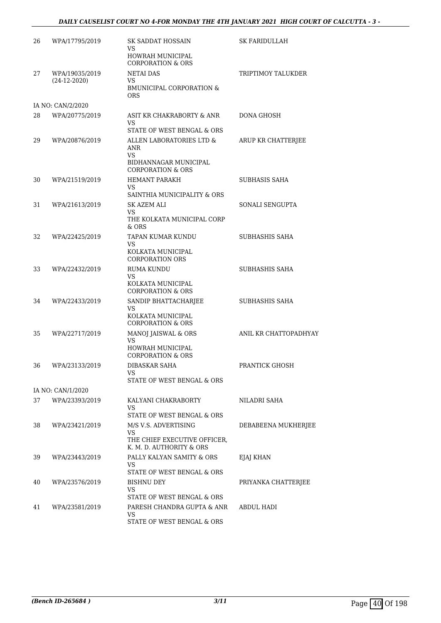## *DAILY CAUSELIST COURT NO 4-FOR MONDAY THE 4TH JANUARY 2021 HIGH COURT OF CALCUTTA - 3 -*

| 26 | WPA/17795/2019                   | SK SADDAT HOSSAIN<br>VS<br>HOWRAH MUNICIPAL<br><b>CORPORATION &amp; ORS</b>                     | SK FARIDULLAH         |
|----|----------------------------------|-------------------------------------------------------------------------------------------------|-----------------------|
| 27 | WPA/19035/2019<br>$(24-12-2020)$ | <b>NETAI DAS</b><br>VS.<br><b>BMUNICIPAL CORPORATION &amp;</b><br><b>ORS</b>                    | TRIPTIMOY TALUKDER    |
|    | IA NO: CAN/2/2020                |                                                                                                 |                       |
| 28 | WPA/20775/2019                   | ASIT KR CHAKRABORTY & ANR<br>VS.<br>STATE OF WEST BENGAL & ORS                                  | DONA GHOSH            |
| 29 | WPA/20876/2019                   | ALLEN LABORATORIES LTD &<br>ANR<br>VS.<br>BIDHANNAGAR MUNICIPAL<br><b>CORPORATION &amp; ORS</b> | ARUP KR CHATTERJEE    |
| 30 | WPA/21519/2019                   | <b>HEMANT PARAKH</b><br>VS                                                                      | <b>SUBHASIS SAHA</b>  |
| 31 | WPA/21613/2019                   | SAINTHIA MUNICIPALITY & ORS<br>SK AZEM ALI<br>VS<br>THE KOLKATA MUNICIPAL CORP<br>& ORS         | SONALI SENGUPTA       |
| 32 | WPA/22425/2019                   | TAPAN KUMAR KUNDU<br>VS<br>KOLKATA MUNICIPAL<br><b>CORPORATION ORS</b>                          | SUBHASHIS SAHA        |
| 33 | WPA/22432/2019                   | <b>RUMA KUNDU</b><br>VS<br>KOLKATA MUNICIPAL<br><b>CORPORATION &amp; ORS</b>                    | SUBHASHIS SAHA        |
| 34 | WPA/22433/2019                   | SANDIP BHATTACHARJEE<br>VS.<br>KOLKATA MUNICIPAL<br><b>CORPORATION &amp; ORS</b>                | SUBHASHIS SAHA        |
| 35 | WPA/22717/2019                   | MANOJ JAISWAL & ORS<br>VS<br>HOWRAH MUNICIPAL                                                   | ANIL KR CHATTOPADHYAY |
| 36 | WPA/23133/2019                   | <b>CORPORATION &amp; ORS</b><br>DIBASKAR SAHA<br>VS<br>STATE OF WEST BENGAL & ORS               | PRANTICK GHOSH        |
|    | IA NO: CAN/1/2020                |                                                                                                 |                       |
| 37 | WPA/23393/2019                   | KALYANI CHAKRABORTY<br><b>VS</b><br>STATE OF WEST BENGAL & ORS                                  | NILADRI SAHA          |
| 38 | WPA/23421/2019                   | M/S V.S. ADVERTISING<br>VS.<br>THE CHIEF EXECUTIVE OFFICER,<br>K. M. D. AUTHORITY & ORS         | DEBABEENA MUKHERJEE   |
| 39 | WPA/23443/2019                   | PALLY KALYAN SAMITY & ORS<br>VS<br>STATE OF WEST BENGAL & ORS                                   | EJAJ KHAN             |
| 40 | WPA/23576/2019                   | BISHNU DEY<br>VS<br>STATE OF WEST BENGAL & ORS                                                  | PRIYANKA CHATTERJEE   |
| 41 | WPA/23581/2019                   | PARESH CHANDRA GUPTA & ANR<br>VS<br>STATE OF WEST BENGAL & ORS                                  | ABDUL HADI            |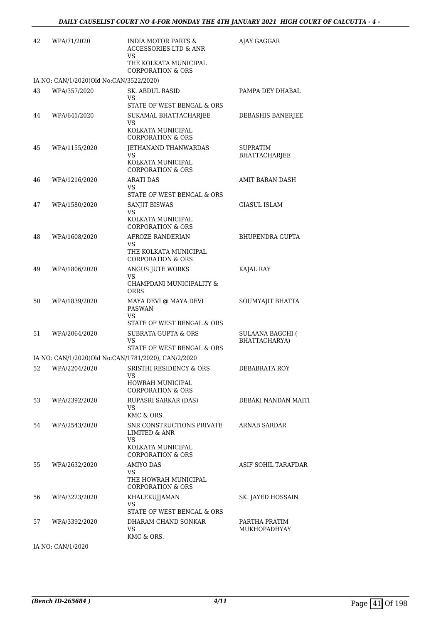| 42 | WPA/71/2020                             | <b>INDIA MOTOR PARTS &amp;</b><br><b>ACCESSORIES LTD &amp; ANR</b><br>VS               | AJAY GAGGAR                              |
|----|-----------------------------------------|----------------------------------------------------------------------------------------|------------------------------------------|
|    |                                         | THE KOLKATA MUNICIPAL<br><b>CORPORATION &amp; ORS</b>                                  |                                          |
|    | IA NO: CAN/1/2020(Old No:CAN/3522/2020) |                                                                                        |                                          |
| 43 | WPA/357/2020                            | <b>SK. ABDUL RASID</b><br>VS                                                           | PAMPA DEY DHABAL                         |
| 44 | WPA/641/2020                            | STATE OF WEST BENGAL & ORS<br>SUKAMAL BHATTACHARJEE<br>VS                              | DEBASHIS BANERJEE                        |
|    |                                         | KOLKATA MUNICIPAL<br><b>CORPORATION &amp; ORS</b>                                      |                                          |
| 45 | WPA/1155/2020                           | <b>JETHANAND THANWARDAS</b><br>VS<br>KOLKATA MUNICIPAL<br><b>CORPORATION &amp; ORS</b> | SUPRATIM<br>BHATTACHARJEE                |
| 46 | WPA/1216/2020                           | <b>ARATI DAS</b><br>VS<br>STATE OF WEST BENGAL & ORS                                   | AMIT BARAN DASH                          |
| 47 | WPA/1580/2020                           | SANJIT BISWAS<br>VS<br>KOLKATA MUNICIPAL<br><b>CORPORATION &amp; ORS</b>               | GIASUL ISLAM                             |
| 48 | WPA/1608/2020                           | <b>AFROZE RANDERIAN</b><br>VS<br>THE KOLKATA MUNICIPAL<br><b>CORPORATION &amp; ORS</b> | <b>BHUPENDRA GUPTA</b>                   |
| 49 | WPA/1806/2020                           | ANGUS JUTE WORKS<br>VS<br>CHAMPDANI MUNICIPALITY &<br>ORRS                             | KAJAL RAY                                |
| 50 | WPA/1839/2020                           | MAYA DEVI @ MAYA DEVI<br><b>PASWAN</b><br>VS<br>STATE OF WEST BENGAL & ORS             | SOUMYAJIT BHATTA                         |
| 51 | WPA/2064/2020                           | <b>SUBRATA GUPTA &amp; ORS</b><br>VS<br>STATE OF WEST BENGAL & ORS                     | <b>SULAANA BAGCHI (</b><br>BHATTACHARYA) |
|    |                                         | IA NO: CAN/1/2020(Old No:CAN/1781/2020), CAN/2/2020                                    |                                          |
|    |                                         | 52 WPA/2204/2020 SRISTHI RESIDENCY & ORS<br>VS                                         | DEBABRATA ROY                            |
|    |                                         | HOWRAH MUNICIPAL<br><b>CORPORATION &amp; ORS</b>                                       |                                          |
| 53 | WPA/2392/2020                           | RUPASRI SARKAR (DAS)<br>VS<br>KMC & ORS.                                               | DEBAKI NANDAN MAITI                      |
| 54 | WPA/2543/2020                           | SNR CONSTRUCTIONS PRIVATE<br><b>LIMITED &amp; ANR</b><br>VS<br>KOLKATA MUNICIPAL       | <b>ARNAB SARDAR</b>                      |
|    |                                         | <b>CORPORATION &amp; ORS</b>                                                           |                                          |
| 55 | WPA/2632/2020                           | AMIYO DAS<br>VS<br>THE HOWRAH MUNICIPAL<br><b>CORPORATION &amp; ORS</b>                | ASIF SOHIL TARAFDAR                      |
| 56 | WPA/3223/2020                           | <b>KHALEKUJJAMAN</b><br>VS<br>STATE OF WEST BENGAL & ORS                               | SK. JAYED HOSSAIN                        |
| 57 | WPA/3392/2020                           | DHARAM CHAND SONKAR<br>VS<br>KMC & ORS.                                                | PARTHA PRATIM<br>MUKHOPADHYAY            |
|    |                                         |                                                                                        |                                          |

IA NO: CAN/1/2020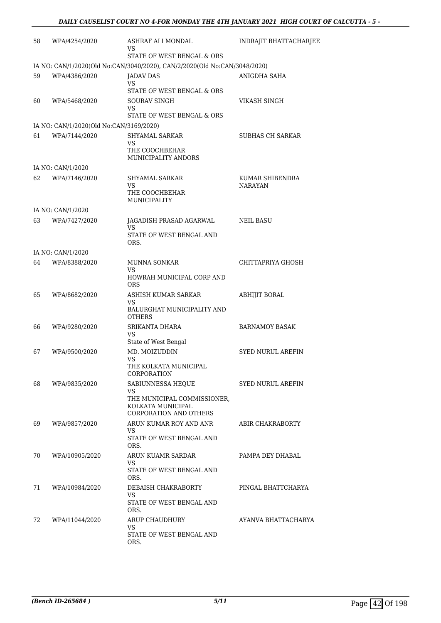| 58 | WPA/4254/2020                           | ASHRAF ALI MONDAL<br>VS                                                                  | INDRAJIT BHATTACHARJEE            |
|----|-----------------------------------------|------------------------------------------------------------------------------------------|-----------------------------------|
|    |                                         | STATE OF WEST BENGAL & ORS                                                               |                                   |
|    |                                         | IA NO: CAN/1/2020(Old No:CAN/3040/2020), CAN/2/2020(Old No:CAN/3048/2020)                |                                   |
| 59 | WPA/4386/2020                           | JADAV DAS<br>VS<br>STATE OF WEST BENGAL & ORS                                            | ANIGDHA SAHA                      |
| 60 | WPA/5468/2020                           | <b>SOURAV SINGH</b>                                                                      | VIKASH SINGH                      |
|    |                                         | VS<br>STATE OF WEST BENGAL & ORS                                                         |                                   |
|    | IA NO: CAN/1/2020(Old No:CAN/3169/2020) |                                                                                          |                                   |
| 61 | WPA/7144/2020                           | SHYAMAL SARKAR<br>VS<br>THE COOCHBEHAR<br>MUNICIPALITY ANDORS                            | <b>SUBHAS CH SARKAR</b>           |
|    | IA NO: CAN/1/2020                       |                                                                                          |                                   |
| 62 | WPA/7146/2020                           | SHYAMAL SARKAR<br>VS<br>THE COOCHBEHAR<br>MUNICIPALITY                                   | KUMAR SHIBENDRA<br><b>NARAYAN</b> |
|    | IA NO: CAN/1/2020                       |                                                                                          |                                   |
| 63 | WPA/7427/2020                           | JAGADISH PRASAD AGARWAL<br>VS<br>STATE OF WEST BENGAL AND<br>ORS.                        | <b>NEIL BASU</b>                  |
|    | IA NO: CAN/1/2020                       |                                                                                          |                                   |
| 64 | WPA/8388/2020                           | MUNNA SONKAR                                                                             | CHITTAPRIYA GHOSH                 |
|    |                                         | VS.<br>HOWRAH MUNICIPAL CORP AND<br><b>ORS</b>                                           |                                   |
| 65 | WPA/8682/2020                           | ASHISH KUMAR SARKAR<br>VS<br>BALURGHAT MUNICIPALITY AND                                  | ABHIJIT BORAL                     |
|    |                                         | <b>OTHERS</b>                                                                            |                                   |
| 66 | WPA/9280/2020                           | SRIKANTA DHARA<br>VS<br>State of West Bengal                                             | <b>BARNAMOY BASAK</b>             |
| 67 | WPA/9500/2020                           | MD. MOIZUDDIN                                                                            | <b>SYED NURUL AREFIN</b>          |
|    |                                         | VS<br>THE KOLKATA MUNICIPAL<br>CORPORATION                                               |                                   |
| 68 | WPA/9835/2020                           | SABIUNNESSA HEQUE                                                                        | <b>SYED NURUL AREFIN</b>          |
|    |                                         | VS.<br>THE MUNICIPAL COMMISSIONER,<br>KOLKATA MUNICIPAL<br><b>CORPORATION AND OTHERS</b> |                                   |
| 69 | WPA/9857/2020                           | ARUN KUMAR ROY AND ANR                                                                   | ABIR CHAKRABORTY                  |
|    |                                         | VS<br>STATE OF WEST BENGAL AND<br>ORS.                                                   |                                   |
| 70 | WPA/10905/2020                          | ARUN KUAMR SARDAR                                                                        | PAMPA DEY DHABAL                  |
|    |                                         | VS<br>STATE OF WEST BENGAL AND<br>ORS.                                                   |                                   |
| 71 | WPA/10984/2020                          | DEBAISH CHAKRABORTY                                                                      | PINGAL BHATTCHARYA                |
|    |                                         | VS<br>STATE OF WEST BENGAL AND<br>ORS.                                                   |                                   |
| 72 | WPA/11044/2020                          | ARUP CHAUDHURY                                                                           | AYANVA BHATTACHARYA               |
|    |                                         | VS.<br>STATE OF WEST BENGAL AND<br>ORS.                                                  |                                   |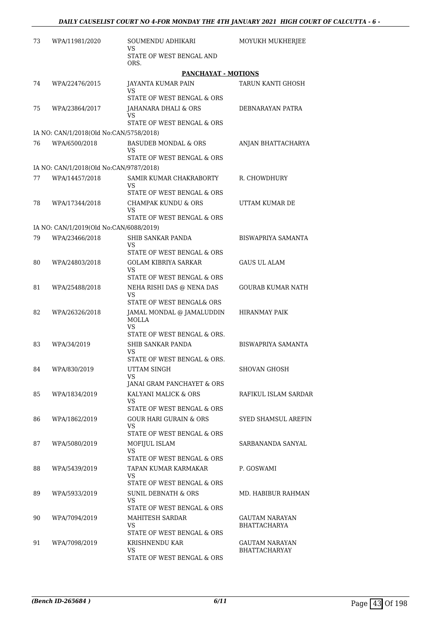| 73 | WPA/11981/2020                          | SOUMENDU ADHIKARI<br>VS                                            | MOYUKH MUKHERJEE                       |
|----|-----------------------------------------|--------------------------------------------------------------------|----------------------------------------|
|    |                                         | STATE OF WEST BENGAL AND<br>ORS.                                   |                                        |
|    |                                         | PANCHAYAT - MOTIONS                                                |                                        |
| 74 | WPA/22476/2015                          | <b>JAYANTA KUMAR PAIN</b><br>VS                                    | TARUN KANTI GHOSH                      |
|    |                                         | STATE OF WEST BENGAL & ORS                                         |                                        |
| 75 | WPA/23864/2017                          | JAHANARA DHALI & ORS<br>VS                                         | DEBNARAYAN PATRA                       |
|    |                                         | STATE OF WEST BENGAL & ORS                                         |                                        |
|    | IA NO: CAN/1/2018(Old No:CAN/5758/2018) |                                                                    |                                        |
| 76 | WPA/6500/2018                           | BASUDEB MONDAL & ORS<br>VS<br>STATE OF WEST BENGAL & ORS           | ANJAN BHATTACHARYA                     |
|    | IA NO: CAN/1/2018(Old No:CAN/9787/2018) |                                                                    |                                        |
| 77 | WPA/14457/2018                          | SAMIR KUMAR CHAKRABORTY<br>VS                                      | R. CHOWDHURY                           |
|    |                                         | STATE OF WEST BENGAL & ORS                                         |                                        |
| 78 | WPA/17344/2018                          | <b>CHAMPAK KUNDU &amp; ORS</b><br>VS<br>STATE OF WEST BENGAL & ORS | UTTAM KUMAR DE                         |
|    |                                         |                                                                    |                                        |
|    | IA NO: CAN/1/2019(Old No:CAN/6088/2019) |                                                                    |                                        |
| 79 | WPA/23466/2018                          | SHIB SANKAR PANDA<br>VS<br>STATE OF WEST BENGAL & ORS              | BISWAPRIYA SAMANTA                     |
| 80 | WPA/24803/2018                          | <b>GOLAM KIBRIYA SARKAR</b>                                        | <b>GAUS UL ALAM</b>                    |
|    |                                         | VS<br>STATE OF WEST BENGAL & ORS                                   |                                        |
| 81 | WPA/25488/2018                          | NEHA RISHI DAS @ NENA DAS<br>VS                                    | <b>GOURAB KUMAR NATH</b>               |
|    |                                         | STATE OF WEST BENGAL& ORS                                          |                                        |
| 82 | WPA/26326/2018                          | JAMAL MONDAL @ JAMALUDDIN<br>MOLLA<br>VS                           | <b>HIRANMAY PAIK</b>                   |
|    |                                         | STATE OF WEST BENGAL & ORS.                                        |                                        |
| 83 | WPA/34/2019                             | <b>SHIB SANKAR PANDA</b><br>VS                                     | <b>BISWAPRIYA SAMANTA</b>              |
|    |                                         | STATE OF WEST BENGAL & ORS.                                        |                                        |
| 84 | WPA/830/2019                            | UTTAM SINGH<br>VS<br>JANAI GRAM PANCHAYET & ORS                    | SHOVAN GHOSH                           |
| 85 | WPA/1834/2019                           | KALYANI MALICK & ORS                                               | RAFIKUL ISLAM SARDAR                   |
|    |                                         | VS<br>STATE OF WEST BENGAL & ORS                                   |                                        |
| 86 | WPA/1862/2019                           | <b>GOUR HARI GURAIN &amp; ORS</b>                                  | <b>SYED SHAMSUL AREFIN</b>             |
|    |                                         | VS<br>STATE OF WEST BENGAL & ORS                                   |                                        |
| 87 | WPA/5080/2019                           | MOFIJUL ISLAM                                                      | SARBANANDA SANYAL                      |
|    |                                         | VS<br>STATE OF WEST BENGAL & ORS                                   |                                        |
| 88 | WPA/5439/2019                           | TAPAN KUMAR KARMAKAR                                               | P. GOSWAMI                             |
|    |                                         | VS<br>STATE OF WEST BENGAL & ORS                                   |                                        |
| 89 | WPA/5933/2019                           | SUNIL DEBNATH & ORS                                                | MD. HABIBUR RAHMAN                     |
|    |                                         | VS<br>STATE OF WEST BENGAL & ORS                                   |                                        |
| 90 | WPA/7094/2019                           | MAHITESH SARDAR                                                    | GAUTAM NARAYAN                         |
|    |                                         | VS                                                                 | <b>BHATTACHARYA</b>                    |
|    |                                         | STATE OF WEST BENGAL & ORS                                         |                                        |
| 91 | WPA/7098/2019                           | KRISHNENDU KAR<br>VS.                                              | GAUTAM NARAYAN<br><b>BHATTACHARYAY</b> |
|    |                                         | STATE OF WEST BENGAL & ORS                                         |                                        |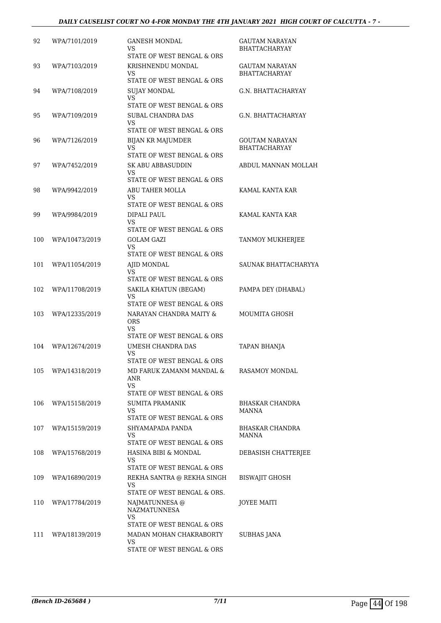| 92  | WPA/7101/2019  | GANESH MONDAL<br>VS<br>STATE OF WEST BENGAL & ORS                      | <b>GAUTAM NARAYAN</b><br><b>BHATTACHARYAY</b> |
|-----|----------------|------------------------------------------------------------------------|-----------------------------------------------|
| 93  | WPA/7103/2019  | KRISHNENDU MONDAL<br>VS.<br>STATE OF WEST BENGAL & ORS                 | GAUTAM NARAYAN<br><b>BHATTACHARYAY</b>        |
| 94  | WPA/7108/2019  | <b>SUJAY MONDAL</b><br>VS<br>STATE OF WEST BENGAL & ORS                | G.N. BHATTACHARYAY                            |
| 95  | WPA/7109/2019  | SUBAL CHANDRA DAS<br>VS.<br>STATE OF WEST BENGAL & ORS                 | G.N. BHATTACHARYAY                            |
| 96  | WPA/7126/2019  | <b>BIJAN KR MAJUMDER</b><br>VS<br>STATE OF WEST BENGAL & ORS           | <b>GOUTAM NARAYAN</b><br><b>BHATTACHARYAY</b> |
| 97  | WPA/7452/2019  | <b>SK ABU ABBASUDDIN</b><br>VS<br>STATE OF WEST BENGAL & ORS           | ABDUL MANNAN MOLLAH                           |
| 98  | WPA/9942/2019  | ABU TAHER MOLLA<br>VS.<br>STATE OF WEST BENGAL & ORS                   | KAMAL KANTA KAR                               |
| 99  | WPA/9984/2019  | DIPALI PAUL<br><b>VS</b><br>STATE OF WEST BENGAL & ORS                 | KAMAL KANTA KAR                               |
| 100 | WPA/10473/2019 | <b>GOLAM GAZI</b><br>VS.<br>STATE OF WEST BENGAL & ORS                 | TANMOY MUKHERJEE                              |
| 101 | WPA/11054/2019 | AJID MONDAL<br>VS.<br>STATE OF WEST BENGAL & ORS                       | SAUNAK BHATTACHARYYA                          |
| 102 | WPA/11708/2019 | SAKILA KHATUN (BEGAM)<br>VS<br>STATE OF WEST BENGAL & ORS              | PAMPA DEY (DHABAL)                            |
| 103 | WPA/12335/2019 | NARAYAN CHANDRA MAITY &<br>ORS<br>VS.<br>STATE OF WEST BENGAL & ORS    | MOUMITA GHOSH                                 |
| 104 | WPA/12674/2019 | UMESH CHANDRA DAS<br>VS<br>STATE OF WEST BENGAL & ORS                  | <b>TAPAN BHANJA</b>                           |
| 105 | WPA/14318/2019 | MD FARUK ZAMANM MANDAL &<br>ANR<br>VS<br>STATE OF WEST BENGAL & ORS    | RASAMOY MONDAL                                |
| 106 | WPA/15158/2019 | SUMITA PRAMANIK<br>VS<br>STATE OF WEST BENGAL & ORS                    | BHASKAR CHANDRA<br>MANNA                      |
| 107 | WPA/15159/2019 | SHYAMAPADA PANDA<br>VS.<br>STATE OF WEST BENGAL & ORS                  | <b>BHASKAR CHANDRA</b><br>MANNA               |
| 108 | WPA/15768/2019 | HASINA BIBI & MONDAL<br>VS.<br>STATE OF WEST BENGAL & ORS              | DEBASISH CHATTERJEE                           |
| 109 | WPA/16890/2019 | REKHA SANTRA @ REKHA SINGH<br><b>VS</b><br>STATE OF WEST BENGAL & ORS. | BISWAJIT GHOSH                                |
| 110 | WPA/17784/2019 | NAJMATUNNESA @<br>NAZMATUNNESA<br>VS<br>STATE OF WEST BENGAL & ORS     | <b>JOYEE MAITI</b>                            |
| 111 | WPA/18139/2019 | MADAN MOHAN CHAKRABORTY<br>VS<br>STATE OF WEST BENGAL & ORS            | SUBHAS JANA                                   |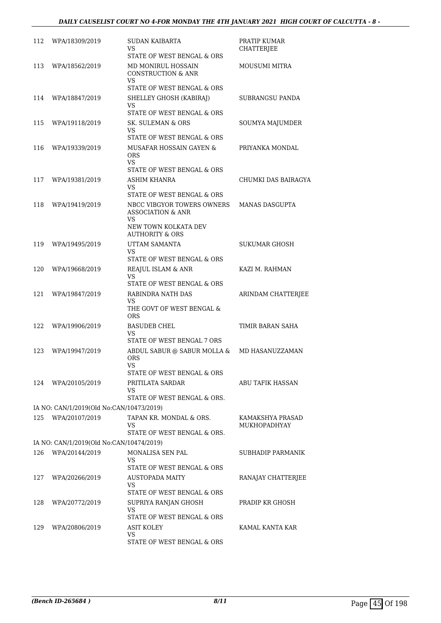| 112 | WPA/18309/2019                           | SUDAN KAIBARTA<br>VS<br>STATE OF WEST BENGAL & ORS                                                                                                   | PRATIP KUMAR<br><b>CHATTERJEE</b>       |
|-----|------------------------------------------|------------------------------------------------------------------------------------------------------------------------------------------------------|-----------------------------------------|
| 113 | WPA/18562/2019                           | MD MONIRUL HOSSAIN<br><b>CONSTRUCTION &amp; ANR</b><br>VS<br>STATE OF WEST BENGAL & ORS                                                              | MOUSUMI MITRA                           |
| 114 | WPA/18847/2019                           | SHELLEY GHOSH (KABIRAJ)<br>VS                                                                                                                        | SUBRANGSU PANDA                         |
|     |                                          | STATE OF WEST BENGAL & ORS                                                                                                                           |                                         |
| 115 | WPA/19118/2019                           | SK. SULEMAN & ORS<br>VS<br>STATE OF WEST BENGAL & ORS                                                                                                | <b>SOUMYA MAJUMDER</b>                  |
| 116 | WPA/19339/2019                           | MUSAFAR HOSSAIN GAYEN &<br><b>ORS</b><br>VS<br>STATE OF WEST BENGAL & ORS                                                                            | PRIYANKA MONDAL                         |
| 117 | WPA/19381/2019                           | ASHIM KHANRA<br>VS.                                                                                                                                  | CHUMKI DAS BAIRAGYA                     |
| 118 | WPA/19419/2019                           | STATE OF WEST BENGAL & ORS<br>NBCC VIBGYOR TOWERS OWNERS<br><b>ASSOCIATION &amp; ANR</b><br>VS<br>NEW TOWN KOLKATA DEV<br><b>AUTHORITY &amp; ORS</b> | <b>MANAS DASGUPTA</b>                   |
| 119 | WPA/19495/2019                           | UTTAM SAMANTA<br>VS                                                                                                                                  | SUKUMAR GHOSH                           |
| 120 | WPA/19668/2019                           | STATE OF WEST BENGAL & ORS<br><b>REAJUL ISLAM &amp; ANR</b><br>VS<br>STATE OF WEST BENGAL & ORS                                                      | KAZI M. RAHMAN                          |
| 121 | WPA/19847/2019                           | RABINDRA NATH DAS<br>VS<br>THE GOVT OF WEST BENGAL &<br>ORS                                                                                          | ARINDAM CHATTERJEE                      |
| 122 | WPA/19906/2019                           | <b>BASUDEB CHEL</b><br>VS<br>STATE OF WEST BENGAL 7 ORS                                                                                              | TIMIR BARAN SAHA                        |
| 123 | WPA/19947/2019                           | ABDUL SABUR $@$ SABUR MOLLA $\&$<br><b>ORS</b><br>VS<br>STATE OF WEST BENGAL & ORS                                                                   | MD HASANUZZAMAN                         |
| 124 | WPA/20105/2019                           | PRITILATA SARDAR<br>VS<br>STATE OF WEST BENGAL & ORS.                                                                                                | ABU TAFIK HASSAN                        |
|     | IA NO: CAN/1/2019(Old No:CAN/10473/2019) |                                                                                                                                                      |                                         |
| 125 | WPA/20107/2019                           | TAPAN KR. MONDAL & ORS.<br>VS<br>STATE OF WEST BENGAL & ORS.                                                                                         | KAMAKSHYA PRASAD<br><b>MUKHOPADHYAY</b> |
|     | IA NO: CAN/1/2019(Old No:CAN/10474/2019) |                                                                                                                                                      |                                         |
| 126 | WPA/20144/2019                           | MONALISA SEN PAL<br>VS                                                                                                                               | SUBHADIP PARMANIK                       |
| 127 | WPA/20266/2019                           | STATE OF WEST BENGAL & ORS<br><b>AUSTOPADA MAITY</b><br>VS<br>STATE OF WEST BENGAL & ORS                                                             | RANAJAY CHATTERJEE                      |
| 128 | WPA/20772/2019                           | SUPRIYA RANJAN GHOSH<br>VS<br>STATE OF WEST BENGAL & ORS                                                                                             | PRADIP KR GHOSH                         |
| 129 | WPA/20806/2019                           | ASIT KOLEY<br>VS<br>STATE OF WEST BENGAL & ORS                                                                                                       | KAMAL KANTA KAR                         |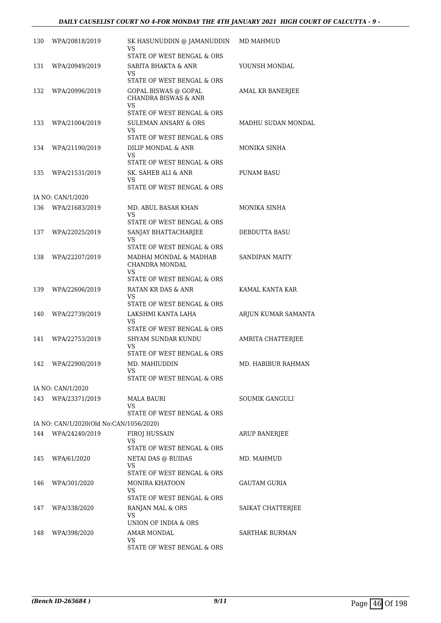| 130 | WPA/20818/2019                          | SK HASUNUDDIN @ JAMANUDDIN<br>VS                        | MD MAHMUD             |
|-----|-----------------------------------------|---------------------------------------------------------|-----------------------|
|     |                                         | STATE OF WEST BENGAL & ORS                              |                       |
| 131 | WPA/20949/2019                          | SABITA BHAKTA & ANR<br>VS.                              | YOUNSH MONDAL         |
|     |                                         | STATE OF WEST BENGAL & ORS                              |                       |
| 132 | WPA/20996/2019                          | GOPAL BISWAS @ GOPAL<br><b>CHANDRA BISWAS &amp; ANR</b> | AMAL KR BANERJEE      |
|     |                                         | VS<br>STATE OF WEST BENGAL & ORS                        |                       |
| 133 | WPA/21004/2019                          | SULEMAN ANSARY & ORS                                    | MADHU SUDAN MONDAL    |
|     |                                         | VS<br>STATE OF WEST BENGAL & ORS                        |                       |
| 134 | WPA/21190/2019                          | DILIP MONDAL & ANR                                      | MONIKA SINHA          |
|     |                                         | VS<br>STATE OF WEST BENGAL & ORS                        |                       |
| 135 | WPA/21531/2019                          | SK. SAHEB ALI & ANR                                     | PUNAM BASU            |
|     |                                         | VS.<br>STATE OF WEST BENGAL & ORS                       |                       |
|     | IA NO: CAN/1/2020                       |                                                         |                       |
| 136 | WPA/21683/2019                          | MD. ABUL BASAR KHAN                                     | MONIKA SINHA          |
|     |                                         | VS                                                      |                       |
|     |                                         | STATE OF WEST BENGAL & ORS                              |                       |
| 137 | WPA/22025/2019                          | SANJAY BHATTACHARJEE                                    | <b>DEBDUTTA BASU</b>  |
|     |                                         | VS<br>STATE OF WEST BENGAL & ORS                        |                       |
| 138 | WPA/22207/2019                          | MADHAI MONDAL & MADHAB                                  | <b>SANDIPAN MAITY</b> |
|     |                                         | CHANDRA MONDAL<br>VS                                    |                       |
|     |                                         | STATE OF WEST BENGAL & ORS                              |                       |
| 139 | WPA/22606/2019                          | RATAN KR DAS & ANR                                      | KAMAL KANTA KAR       |
|     |                                         | VS                                                      |                       |
|     |                                         | STATE OF WEST BENGAL & ORS                              |                       |
| 140 | WPA/22739/2019                          | LAKSHMI KANTA LAHA<br>VS.                               | ARJUN KUMAR SAMANTA   |
|     |                                         | STATE OF WEST BENGAL & ORS                              |                       |
| 141 | WPA/22753/2019                          | <b>SHYAM SUNDAR KUNDU</b><br>VS                         | AMRITA CHATTERJEE     |
|     |                                         | STATE OF WEST BENGAL & ORS                              |                       |
| 142 | WPA/22900/2019                          | MD. MAHIUDDIN<br>VS                                     | MD. HABIBUR RAHMAN    |
|     |                                         | STATE OF WEST BENGAL & ORS                              |                       |
|     | IA NO: CAN/1/2020                       |                                                         |                       |
| 143 | WPA/23371/2019                          | <b>MALA BAURI</b>                                       | SOUMIK GANGULI        |
|     |                                         | VS<br>STATE OF WEST BENGAL & ORS                        |                       |
|     | IA NO: CAN/1/2020(Old No:CAN/1056/2020) |                                                         |                       |
| 144 | WPA/24240/2019                          | FIROJ HUSSAIN                                           | <b>ARUP BANERJEE</b>  |
|     |                                         | VS                                                      |                       |
|     |                                         | STATE OF WEST BENGAL & ORS                              |                       |
| 145 | WPA/61/2020                             | NETAI DAS @ RUIDAS                                      | MD. MAHMUD            |
|     |                                         | VS<br>STATE OF WEST BENGAL & ORS                        |                       |
| 146 | WPA/301/2020                            | MONIRA KHATOON                                          | GAUTAM GURIA          |
|     |                                         | VS.                                                     |                       |
|     |                                         | STATE OF WEST BENGAL & ORS                              |                       |
| 147 | WPA/338/2020                            | RANJAN MAL & ORS                                        | SAIKAT CHATTERJEE     |
|     |                                         | VS.<br>UNION OF INDIA & ORS                             |                       |
| 148 | WPA/398/2020                            | AMAR MONDAL                                             | SARTHAK BURMAN        |
|     |                                         | VS                                                      |                       |
|     |                                         | STATE OF WEST BENGAL & ORS                              |                       |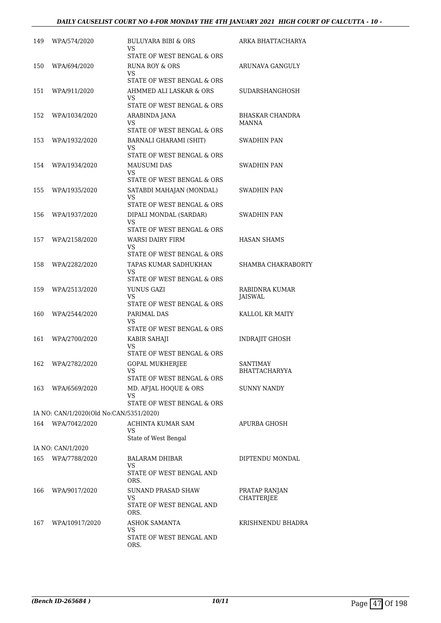## *DAILY CAUSELIST COURT NO 4-FOR MONDAY THE 4TH JANUARY 2021 HIGH COURT OF CALCUTTA - 10 -*

| 149 | WPA/574/2020                            | BULUYARA BIBI & ORS<br>VS                         | ARKA BHATTACHARYA                  |
|-----|-----------------------------------------|---------------------------------------------------|------------------------------------|
| 150 | WPA/694/2020                            | STATE OF WEST BENGAL & ORS<br>RUNA ROY & ORS      | ARUNAVA GANGULY                    |
|     |                                         | VS.<br>STATE OF WEST BENGAL & ORS                 |                                    |
| 151 | WPA/911/2020                            | AHMMED ALI LASKAR & ORS                           | SUDARSHANGHOSH                     |
|     |                                         | VS                                                |                                    |
|     |                                         | STATE OF WEST BENGAL & ORS                        |                                    |
| 152 | WPA/1034/2020                           | ARABINDA JANA<br>VS<br>STATE OF WEST BENGAL & ORS | BHASKAR CHANDRA<br><b>MANNA</b>    |
| 153 | WPA/1932/2020                           | BARNALI GHARAMI (SHIT)                            | SWADHIN PAN                        |
|     |                                         | VS                                                |                                    |
|     |                                         | STATE OF WEST BENGAL & ORS                        |                                    |
| 154 | WPA/1934/2020                           | MAUSUMI DAS<br>VS                                 | SWADHIN PAN                        |
|     |                                         | STATE OF WEST BENGAL & ORS                        |                                    |
| 155 | WPA/1935/2020                           | SATABDI MAHAJAN (MONDAL)<br>VS                    | SWADHIN PAN                        |
|     |                                         | STATE OF WEST BENGAL & ORS                        |                                    |
| 156 | WPA/1937/2020                           | DIPALI MONDAL (SARDAR)<br>VS                      | SWADHIN PAN                        |
|     |                                         | STATE OF WEST BENGAL & ORS                        |                                    |
| 157 | WPA/2158/2020                           | WARSI DAIRY FIRM                                  | <b>HASAN SHAMS</b>                 |
|     |                                         | VS<br>STATE OF WEST BENGAL & ORS                  |                                    |
| 158 | WPA/2282/2020                           | TAPAS KUMAR SADHUKHAN                             | SHAMBA CHAKRABORTY                 |
|     |                                         | VS                                                |                                    |
|     |                                         | STATE OF WEST BENGAL & ORS                        |                                    |
| 159 | WPA/2513/2020                           | YUNUS GAZI<br>VS                                  | RABIDNRA KUMAR<br>JAISWAL          |
|     |                                         | STATE OF WEST BENGAL & ORS                        |                                    |
| 160 | WPA/2544/2020                           | PARIMAL DAS<br>VS                                 | KALLOL KR MAITY                    |
|     |                                         | STATE OF WEST BENGAL & ORS                        |                                    |
| 161 | WPA/2700/2020                           | KABIR SAHAJI                                      | <b>INDRAIIT GHOSH</b>              |
|     |                                         | <b>VS</b><br>STATE OF WEST BENGAL & ORS           |                                    |
| 162 | WPA/2782/2020                           | <b>GOPAL MUKHERJEE</b>                            | <b>SANTIMAY</b>                    |
|     |                                         | VS                                                | <b>BHATTACHARYYA</b>               |
|     |                                         | STATE OF WEST BENGAL & ORS                        |                                    |
| 163 | WPA/6569/2020                           | MD. AFJAL HOQUE & ORS<br>VS                       | <b>SUNNY NANDY</b>                 |
|     |                                         | STATE OF WEST BENGAL & ORS                        |                                    |
|     | IA NO: CAN/1/2020(Old No:CAN/5351/2020) |                                                   |                                    |
| 164 | WPA/7042/2020                           | ACHINTA KUMAR SAM<br>VS                           | APURBA GHOSH                       |
|     |                                         | State of West Bengal                              |                                    |
|     | IA NO: CAN/1/2020                       |                                                   |                                    |
| 165 | WPA/7788/2020                           | <b>BALARAM DHIBAR</b><br>VS                       | DIPTENDU MONDAL                    |
|     |                                         | STATE OF WEST BENGAL AND<br>ORS.                  |                                    |
| 166 | WPA/9017/2020                           | SUNAND PRASAD SHAW<br>VS                          | PRATAP RANJAN<br><b>CHATTERJEE</b> |
|     |                                         | STATE OF WEST BENGAL AND<br>ORS.                  |                                    |
| 167 | WPA/10917/2020                          | ASHOK SAMANTA<br>VS                               | KRISHNENDU BHADRA                  |
|     |                                         | STATE OF WEST BENGAL AND<br>ORS.                  |                                    |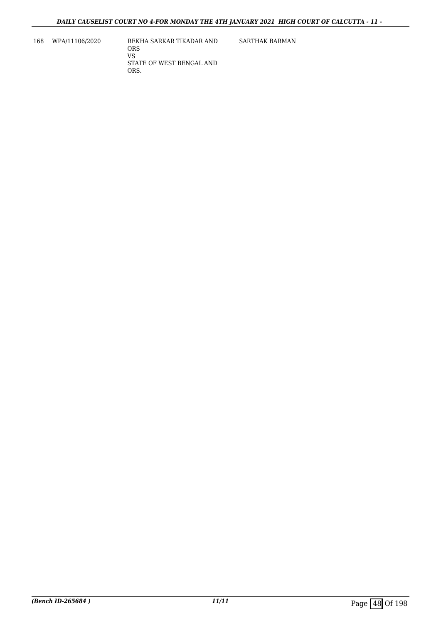168 WPA/11106/2020 REKHA SARKAR TIKADAR AND ORS VS STATE OF WEST BENGAL AND ORS.

SARTHAK BARMAN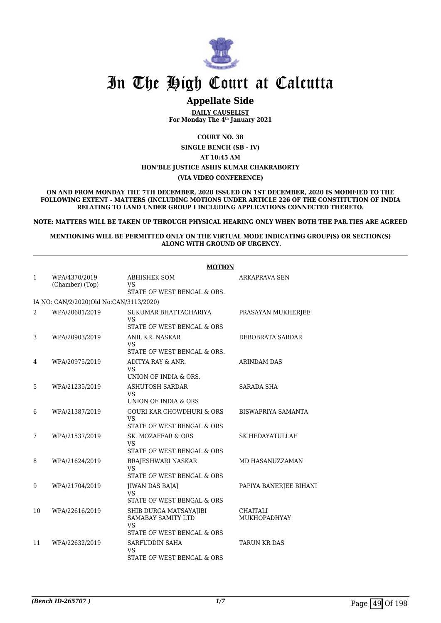

## **Appellate Side**

**DAILY CAUSELIST For Monday The 4th January 2021**

**COURT NO. 38**

**SINGLE BENCH (SB - IV)**

**AT 10:45 AM**

## **HON'BLE JUSTICE ASHIS KUMAR CHAKRABORTY**

**(VIA VIDEO CONFERENCE)**

**ON AND FROM MONDAY THE 7TH DECEMBER, 2020 ISSUED ON 1ST DECEMBER, 2020 IS MODIFIED TO THE FOLLOWING EXTENT - MATTERS (INCLUDING MOTIONS UNDER ARTICLE 226 OF THE CONSTITUTION OF INDIA RELATING TO LAND UNDER GROUP I INCLUDING APPLICATIONS CONNECTED THERETO.**

**NOTE: MATTERS WILL BE TAKEN UP THROUGH PHYSICAL HEARING ONLY WHEN BOTH THE PAR.TIES ARE AGREED**

**MENTIONING WILL BE PERMITTED ONLY ON THE VIRTUAL MODE INDICATING GROUP(S) OR SECTION(S) ALONG WITH GROUND OF URGENCY.**

|    | <b>MOTION</b>                           |                                                                                             |                                 |  |  |
|----|-----------------------------------------|---------------------------------------------------------------------------------------------|---------------------------------|--|--|
| 1  | WPA/4370/2019<br>(Chamber) (Top)        | <b>ABHISHEK SOM</b><br><b>VS</b><br>STATE OF WEST BENGAL & ORS.                             | ARKAPRAVA SEN                   |  |  |
|    | IA NO: CAN/2/2020(Old No:CAN/3113/2020) |                                                                                             |                                 |  |  |
| 2  | WPA/20681/2019                          | SUKUMAR BHATTACHARIYA<br><b>VS</b>                                                          | PRASAYAN MUKHERJEE              |  |  |
| 3  | WPA/20903/2019                          | STATE OF WEST BENGAL & ORS<br>ANIL KR. NASKAR<br><b>VS</b><br>STATE OF WEST BENGAL & ORS.   | DEBOBRATA SARDAR                |  |  |
| 4  | WPA/20975/2019                          | ADITYA RAY & ANR.<br><b>VS</b><br>UNION OF INDIA & ORS.                                     | <b>ARINDAM DAS</b>              |  |  |
| 5  | WPA/21235/2019                          | <b>ASHUTOSH SARDAR</b><br><b>VS</b><br>UNION OF INDIA & ORS                                 | <b>SARADA SHA</b>               |  |  |
| 6  | WPA/21387/2019                          | <b>GOURI KAR CHOWDHURI &amp; ORS</b><br><b>VS</b>                                           | <b>BISWAPRIYA SAMANTA</b>       |  |  |
| 7  | WPA/21537/2019                          | STATE OF WEST BENGAL & ORS<br>SK. MOZAFFAR & ORS<br><b>VS</b><br>STATE OF WEST BENGAL & ORS | <b>SK HEDAYATULLAH</b>          |  |  |
| 8  | WPA/21624/2019                          | <b>BRAJESHWARI NASKAR</b><br><b>VS</b><br>STATE OF WEST BENGAL & ORS                        | MD HASANUZZAMAN                 |  |  |
| 9  | WPA/21704/2019                          | JIWAN DAS BAJAJ<br><b>VS</b><br>STATE OF WEST BENGAL & ORS                                  | PAPIYA BANERJEE BIHANI          |  |  |
| 10 | WPA/22616/2019                          | SHIB DURGA MATSAYAJIBI<br>SAMABAY SAMITY LTD<br><b>VS</b><br>STATE OF WEST BENGAL & ORS     | <b>CHAITALI</b><br>MUKHOPADHYAY |  |  |
| 11 | WPA/22632/2019                          | SARFUDDIN SAHA<br><b>VS</b><br>STATE OF WEST BENGAL & ORS                                   | <b>TARUN KR DAS</b>             |  |  |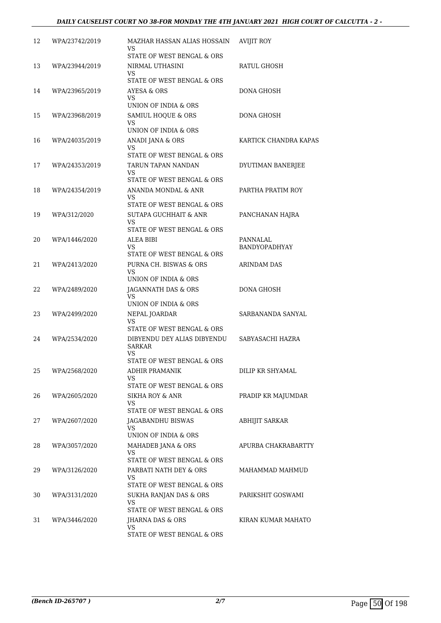| 12 | WPA/23742/2019 | MAZHAR HASSAN ALIAS HOSSAIN<br>VS<br>STATE OF WEST BENGAL & ORS                  | <b>AVIJIT ROY</b>         |
|----|----------------|----------------------------------------------------------------------------------|---------------------------|
| 13 | WPA/23944/2019 | NIRMAL UTHASINI<br>VS.<br>STATE OF WEST BENGAL & ORS                             | RATUL GHOSH               |
| 14 | WPA/23965/2019 | <b>AYESA &amp; ORS</b><br>VS<br>UNION OF INDIA & ORS                             | <b>DONA GHOSH</b>         |
| 15 | WPA/23968/2019 | SAMIUL HOQUE & ORS<br>VS.<br>UNION OF INDIA & ORS                                | DONA GHOSH                |
| 16 | WPA/24035/2019 | ANADI JANA & ORS<br>VS<br>STATE OF WEST BENGAL & ORS                             | KARTICK CHANDRA KAPAS     |
| 17 | WPA/24353/2019 | TARUN TAPAN NANDAN<br>VS<br>STATE OF WEST BENGAL & ORS                           | DYUTIMAN BANERJEE         |
| 18 | WPA/24354/2019 | ANANDA MONDAL & ANR<br>VS.<br>STATE OF WEST BENGAL & ORS                         | PARTHA PRATIM ROY         |
| 19 | WPA/312/2020   | <b>SUTAPA GUCHHAIT &amp; ANR</b><br><b>VS</b><br>STATE OF WEST BENGAL & ORS      | PANCHANAN HAJRA           |
| 20 | WPA/1446/2020  | ALEA BIBI<br>VS.<br>STATE OF WEST BENGAL & ORS                                   | PANNALAL<br>BANDYOPADHYAY |
| 21 | WPA/2413/2020  | PURNA CH. BISWAS & ORS<br>VS.<br>UNION OF INDIA & ORS                            | ARINDAM DAS               |
| 22 | WPA/2489/2020  | JAGANNATH DAS & ORS<br>VS<br>UNION OF INDIA & ORS                                | <b>DONA GHOSH</b>         |
| 23 | WPA/2499/2020  | NEPAL JOARDAR<br>VS<br>STATE OF WEST BENGAL & ORS                                | SARBANANDA SANYAL         |
| 24 | WPA/2534/2020  | DIBYENDU DEY ALIAS DIBYENDU<br><b>SARKAR</b><br>VS<br>STATE OF WEST BENGAL & ORS | SABYASACHI HAZRA          |
| 25 | WPA/2568/2020  | <b>ADHIR PRAMANIK</b><br><b>VS</b><br>STATE OF WEST BENGAL & ORS                 | DILIP KR SHYAMAL          |
| 26 | WPA/2605/2020  | SIKHA ROY & ANR<br>VS<br>STATE OF WEST BENGAL & ORS                              | PRADIP KR MAJUMDAR        |
| 27 | WPA/2607/2020  | <b>JAGABANDHU BISWAS</b><br>VS.<br>UNION OF INDIA & ORS                          | <b>ABHIJIT SARKAR</b>     |
| 28 | WPA/3057/2020  | MAHADEB JANA & ORS<br>VS<br>STATE OF WEST BENGAL & ORS                           | APURBA CHAKRABARTTY       |
| 29 | WPA/3126/2020  | PARBATI NATH DEY & ORS<br>VS.<br>STATE OF WEST BENGAL & ORS                      | MAHAMMAD MAHMUD           |
| 30 | WPA/3131/2020  | SUKHA RANJAN DAS & ORS<br><b>VS</b><br>STATE OF WEST BENGAL & ORS                | PARIKSHIT GOSWAMI         |
| 31 | WPA/3446/2020  | JHARNA DAS & ORS<br>VS<br>STATE OF WEST BENGAL & ORS                             | KIRAN KUMAR MAHATO        |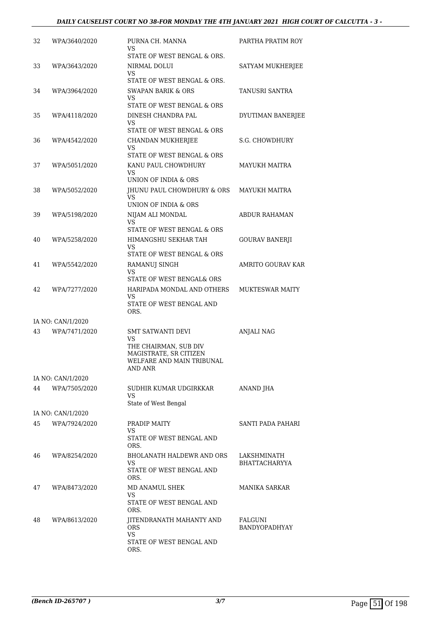| 32 | WPA/3640/2020     | PURNA CH. MANNA<br>VS<br>STATE OF WEST BENGAL & ORS.                                                                      | PARTHA PRATIM ROY                   |
|----|-------------------|---------------------------------------------------------------------------------------------------------------------------|-------------------------------------|
| 33 | WPA/3643/2020     | NIRMAL DOLUI<br>VS<br>STATE OF WEST BENGAL & ORS.                                                                         | SATYAM MUKHERJEE                    |
| 34 | WPA/3964/2020     | <b>SWAPAN BARIK &amp; ORS</b><br>VS                                                                                       | TANUSRI SANTRA                      |
| 35 | WPA/4118/2020     | STATE OF WEST BENGAL & ORS<br>DINESH CHANDRA PAL<br>VS<br>STATE OF WEST BENGAL & ORS                                      | DYUTIMAN BANERJEE                   |
| 36 | WPA/4542/2020     | <b>CHANDAN MUKHERJEE</b><br>VS<br>STATE OF WEST BENGAL & ORS                                                              | S.G. CHOWDHURY                      |
| 37 | WPA/5051/2020     | KANU PAUL CHOWDHURY<br>VS<br>UNION OF INDIA & ORS                                                                         | <b>MAYUKH MAITRA</b>                |
| 38 | WPA/5052/2020     | JHUNU PAUL CHOWDHURY & ORS<br>VS<br>UNION OF INDIA & ORS                                                                  | <b>MAYUKH MAITRA</b>                |
| 39 | WPA/5198/2020     | NIJAM ALI MONDAL<br>VS<br>STATE OF WEST BENGAL & ORS                                                                      | <b>ABDUR RAHAMAN</b>                |
| 40 | WPA/5258/2020     | HIMANGSHU SEKHAR TAH<br>VS<br>STATE OF WEST BENGAL & ORS                                                                  | GOURAV BANERJI                      |
| 41 | WPA/5542/2020     | RAMANUJ SINGH<br>VS<br>STATE OF WEST BENGAL& ORS                                                                          | AMRITO GOURAV KAR                   |
| 42 | WPA/7277/2020     | HARIPADA MONDAL AND OTHERS<br>VS<br>STATE OF WEST BENGAL AND<br>ORS.                                                      | <b>MUKTESWAR MAITY</b>              |
|    | IA NO: CAN/1/2020 |                                                                                                                           |                                     |
| 43 | WPA/7471/2020     | <b>SMT SATWANTI DEVI</b><br>VS<br>THE CHAIRMAN, SUB DIV<br>MAGISTRATE, SR CITIZEN<br>WELFARE AND MAIN TRIBUNAL<br>AND ANR | <b>ANJALI NAG</b>                   |
|    | IA NO: CAN/1/2020 |                                                                                                                           |                                     |
| 44 | WPA/7505/2020     | SUDHIR KUMAR UDGIRKKAR<br>VS<br>State of West Bengal                                                                      | ANAND JHA                           |
|    | IA NO: CAN/1/2020 |                                                                                                                           |                                     |
| 45 | WPA/7924/2020     | PRADIP MAITY<br>VS<br>STATE OF WEST BENGAL AND<br>ORS.                                                                    | SANTI PADA PAHARI                   |
| 46 | WPA/8254/2020     | <b>BHOLANATH HALDEWR AND ORS</b><br>VS<br>STATE OF WEST BENGAL AND<br>ORS.                                                | LAKSHMINATH<br><b>BHATTACHARYYA</b> |
| 47 | WPA/8473/2020     | MD ANAMUL SHEK<br>VS<br>STATE OF WEST BENGAL AND<br>ORS.                                                                  | <b>MANIKA SARKAR</b>                |
| 48 | WPA/8613/2020     | JITENDRANATH MAHANTY AND<br><b>ORS</b><br><b>VS</b><br>STATE OF WEST BENGAL AND<br>ORS.                                   | FALGUNI<br>BANDYOPADHYAY            |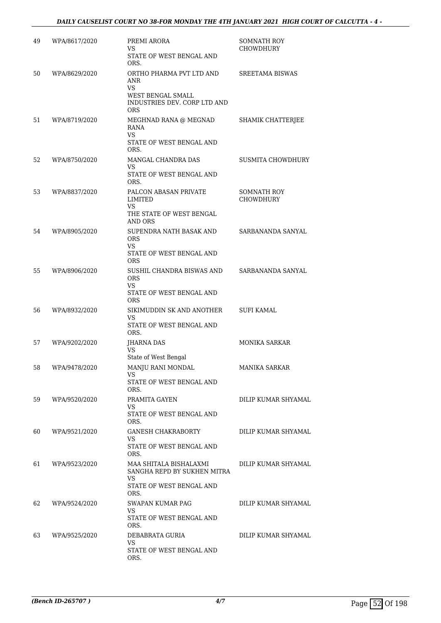| 49 | WPA/8617/2020 | PREMI ARORA<br>VS<br>STATE OF WEST BENGAL AND<br>ORS.                                                           | SOMNATH ROY<br><b>CHOWDHURY</b>        |
|----|---------------|-----------------------------------------------------------------------------------------------------------------|----------------------------------------|
| 50 | WPA/8629/2020 | ORTHO PHARMA PVT LTD AND<br>ANR<br><b>VS</b><br>WEST BENGAL SMALL<br>INDUSTRIES DEV. CORP LTD AND<br><b>ORS</b> | <b>SREETAMA BISWAS</b>                 |
| 51 | WPA/8719/2020 | MEGHNAD RANA @ MEGNAD<br>RANA<br><b>VS</b><br>STATE OF WEST BENGAL AND<br>ORS.                                  | SHAMIK CHATTERJEE                      |
| 52 | WPA/8750/2020 | MANGAL CHANDRA DAS<br>VS<br>STATE OF WEST BENGAL AND<br>ORS.                                                    | SUSMITA CHOWDHURY                      |
| 53 | WPA/8837/2020 | PALCON ABASAN PRIVATE<br>LIMITED<br><b>VS</b><br>THE STATE OF WEST BENGAL<br>AND ORS                            | <b>SOMNATH ROY</b><br><b>CHOWDHURY</b> |
| 54 | WPA/8905/2020 | SUPENDRA NATH BASAK AND<br><b>ORS</b><br><b>VS</b><br>STATE OF WEST BENGAL AND<br><b>ORS</b>                    | SARBANANDA SANYAL                      |
| 55 | WPA/8906/2020 | SUSHIL CHANDRA BISWAS AND<br><b>ORS</b><br>VS<br>STATE OF WEST BENGAL AND<br><b>ORS</b>                         | SARBANANDA SANYAL                      |
| 56 | WPA/8932/2020 | SIKIMUDDIN SK AND ANOTHER<br>VS<br>STATE OF WEST BENGAL AND<br>ORS.                                             | SUFI KAMAL                             |
| 57 | WPA/9202/2020 | JHARNA DAS<br>VS<br>State of West Bengal                                                                        | <b>MONIKA SARKAR</b>                   |
| 58 | WPA/9478/2020 | MANJU RANI MONDAL<br>VS<br>STATE OF WEST BENGAL AND<br>ORS.                                                     | MANIKA SARKAR                          |
| 59 | WPA/9520/2020 | PRAMITA GAYEN<br>VS.<br>STATE OF WEST BENGAL AND<br>ORS.                                                        | DILIP KUMAR SHYAMAL                    |
| 60 | WPA/9521/2020 | <b>GANESH CHAKRABORTY</b><br>VS.<br>STATE OF WEST BENGAL AND<br>ORS.                                            | DILIP KUMAR SHYAMAL                    |
| 61 | WPA/9523/2020 | MAA SHITALA BISHALAXMI<br>SANGHA REPD BY SUKHEN MITRA<br>VS<br>STATE OF WEST BENGAL AND<br>ORS.                 | DILIP KUMAR SHYAMAL                    |
| 62 | WPA/9524/2020 | SWAPAN KUMAR PAG<br>VS.<br>STATE OF WEST BENGAL AND<br>ORS.                                                     | DILIP KUMAR SHYAMAL                    |
| 63 | WPA/9525/2020 | DEBABRATA GURIA<br>VS<br>STATE OF WEST BENGAL AND<br>ORS.                                                       | DILIP KUMAR SHYAMAL                    |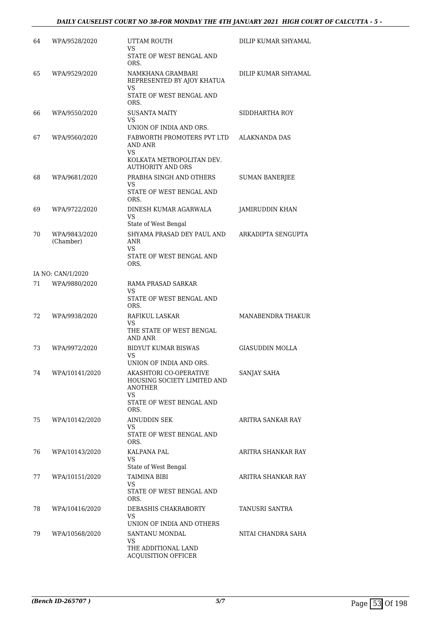| 64 | WPA/9528/2020              | UTTAM ROUTH<br>VS<br>STATE OF WEST BENGAL AND<br>ORS.                                                             | DILIP KUMAR SHYAMAL    |
|----|----------------------------|-------------------------------------------------------------------------------------------------------------------|------------------------|
| 65 | WPA/9529/2020              | NAMKHANA GRAMBARI<br>REPRESENTED BY AJOY KHATUA<br>VS<br>STATE OF WEST BENGAL AND<br>ORS.                         | DILIP KUMAR SHYAMAL    |
| 66 | WPA/9550/2020              | <b>SUSANTA MAITY</b><br>VS<br>UNION OF INDIA AND ORS.                                                             | SIDDHARTHA ROY         |
| 67 | WPA/9560/2020              | FABWORTH PROMOTERS PVT LTD<br>AND ANR<br>VS<br>KOLKATA METROPOLITAN DEV.<br><b>AUTHORITY AND ORS</b>              | ALAKNANDA DAS          |
| 68 | WPA/9681/2020              | PRABHA SINGH AND OTHERS<br>VS.<br>STATE OF WEST BENGAL AND<br>ORS.                                                | <b>SUMAN BANERJEE</b>  |
| 69 | WPA/9722/2020              | DINESH KUMAR AGARWALA<br><b>VS</b><br>State of West Bengal                                                        | JAMIRUDDIN KHAN        |
| 70 | WPA/9843/2020<br>(Chamber) | SHYAMA PRASAD DEY PAUL AND<br>ANR<br>VS<br>STATE OF WEST BENGAL AND<br>ORS.                                       | ARKADIPTA SENGUPTA     |
|    | IA NO: CAN/1/2020          |                                                                                                                   |                        |
| 71 | WPA/9880/2020              | RAMA PRASAD SARKAR<br>VS<br>STATE OF WEST BENGAL AND<br>ORS.                                                      |                        |
| 72 | WPA/9938/2020              | RAFIKUL LASKAR<br>VS<br>THE STATE OF WEST BENGAL<br>AND ANR                                                       | MANABENDRA THAKUR      |
| 73 | WPA/9972/2020              | <b>BIDYUT KUMAR BISWAS</b><br>VS<br>UNION OF INDIA AND ORS.                                                       | <b>GIASUDDIN MOLLA</b> |
| 74 | WPA/10141/2020             | AKASHTORI CO-OPERATIVE<br><b>HOUSING SOCIETY LIMITED AND</b><br>ANOTHER<br>VS<br>STATE OF WEST BENGAL AND<br>ORS. | SANJAY SAHA            |
| 75 | WPA/10142/2020             | AINUDDIN SEK<br>VS.<br>STATE OF WEST BENGAL AND<br>ORS.                                                           | ARITRA SANKAR RAY      |
| 76 | WPA/10143/2020             | KALPANA PAL<br>VS                                                                                                 | ARITRA SHANKAR RAY     |
| 77 | WPA/10151/2020             | State of West Bengal<br><b>TAIMINA BIBI</b><br>VS.<br>STATE OF WEST BENGAL AND<br>ORS.                            | ARITRA SHANKAR RAY     |
| 78 | WPA/10416/2020             | DEBASHIS CHAKRABORTY<br>VS<br>UNION OF INDIA AND OTHERS                                                           | TANUSRI SANTRA         |
| 79 | WPA/10568/2020             | SANTANU MONDAL<br>VS.<br>THE ADDITIONAL LAND<br><b>ACQUISITION OFFICER</b>                                        | NITAI CHANDRA SAHA     |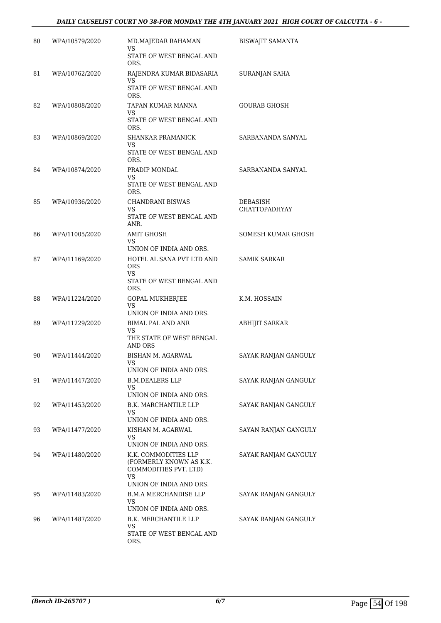## *DAILY CAUSELIST COURT NO 38-FOR MONDAY THE 4TH JANUARY 2021 HIGH COURT OF CALCUTTA - 6 -*

| WPA/10579/2020 | MD.MAJEDAR RAHAMAN<br>VS                                                        | <b>BISWAJIT SAMANTA</b>                                                                                                                                                                                           |
|----------------|---------------------------------------------------------------------------------|-------------------------------------------------------------------------------------------------------------------------------------------------------------------------------------------------------------------|
|                | STATE OF WEST BENGAL AND<br>ORS.                                                |                                                                                                                                                                                                                   |
| WPA/10762/2020 | RAJENDRA KUMAR BIDASARIA                                                        | SURANJAN SAHA                                                                                                                                                                                                     |
|                | STATE OF WEST BENGAL AND<br>ORS.                                                |                                                                                                                                                                                                                   |
| WPA/10808/2020 | TAPAN KUMAR MANNA                                                               | GOURAB GHOSH                                                                                                                                                                                                      |
|                | STATE OF WEST BENGAL AND<br>ORS.                                                |                                                                                                                                                                                                                   |
| WPA/10869/2020 | SHANKAR PRAMANICK                                                               | SARBANANDA SANYAL                                                                                                                                                                                                 |
|                | STATE OF WEST BENGAL AND<br>ORS.                                                |                                                                                                                                                                                                                   |
| WPA/10874/2020 | PRADIP MONDAL                                                                   | SARBANANDA SANYAL                                                                                                                                                                                                 |
|                | STATE OF WEST BENGAL AND<br>ORS.                                                |                                                                                                                                                                                                                   |
| WPA/10936/2020 | <b>CHANDRANI BISWAS</b>                                                         | <b>DEBASISH</b><br>CHATTOPADHYAY                                                                                                                                                                                  |
|                | STATE OF WEST BENGAL AND<br>ANR.                                                |                                                                                                                                                                                                                   |
| WPA/11005/2020 | <b>AMIT GHOSH</b>                                                               | SOMESH KUMAR GHOSH                                                                                                                                                                                                |
|                | UNION OF INDIA AND ORS.                                                         |                                                                                                                                                                                                                   |
| WPA/11169/2020 | HOTEL AL SANA PVT LTD AND<br><b>ORS</b><br>VS.<br>STATE OF WEST BENGAL AND      | <b>SAMIK SARKAR</b>                                                                                                                                                                                               |
|                | ORS.                                                                            |                                                                                                                                                                                                                   |
|                | <b>VS</b><br>UNION OF INDIA AND ORS.                                            | K.M. HOSSAIN                                                                                                                                                                                                      |
| WPA/11229/2020 | BIMAL PAL AND ANR                                                               | ABHIJIT SARKAR                                                                                                                                                                                                    |
|                | THE STATE OF WEST BENGAL<br><b>AND ORS</b>                                      |                                                                                                                                                                                                                   |
| WPA/11444/2020 | BISHAN M. AGARWAL<br>VS                                                         | SAYAK RANJAN GANGULY                                                                                                                                                                                              |
|                | <b>B.M.DEALERS LLP</b>                                                          | SAYAK RANJAN GANGULY                                                                                                                                                                                              |
|                | VS.                                                                             |                                                                                                                                                                                                                   |
|                |                                                                                 | SAYAK RANJAN GANGULY                                                                                                                                                                                              |
|                | VS<br>UNION OF INDIA AND ORS.                                                   |                                                                                                                                                                                                                   |
| WPA/11477/2020 | KISHAN M. AGARWAL                                                               | SAYAN RANJAN GANGULY                                                                                                                                                                                              |
|                | UNION OF INDIA AND ORS.                                                         |                                                                                                                                                                                                                   |
| WPA/11480/2020 | K.K. COMMODITIES LLP<br>(FORMERLY KNOWN AS K.K.<br>COMMODITIES PVT. LTD)<br>VS. | SAYAK RANJAM GANGULY                                                                                                                                                                                              |
| WPA/11483/2020 | <b>B.M.A MERCHANDISE LLP</b>                                                    | SAYAK RANJAN GANGULY                                                                                                                                                                                              |
|                | VS                                                                              |                                                                                                                                                                                                                   |
| WPA/11487/2020 | B.K. MERCHANTILE LLP                                                            | SAYAK RANJAN GANGULY                                                                                                                                                                                              |
|                | VS<br>STATE OF WEST BENGAL AND<br>ORS.                                          |                                                                                                                                                                                                                   |
|                | WPA/11224/2020<br>WPA/11447/2020<br>WPA/11453/2020                              | VS<br>VS<br>VS<br>VS<br><b>VS</b><br>VS<br><b>GOPAL MUKHERJEE</b><br>VS<br>UNION OF INDIA AND ORS.<br>UNION OF INDIA AND ORS.<br>B.K. MARCHANTILE LLP<br>VS<br>UNION OF INDIA AND ORS.<br>UNION OF INDIA AND ORS. |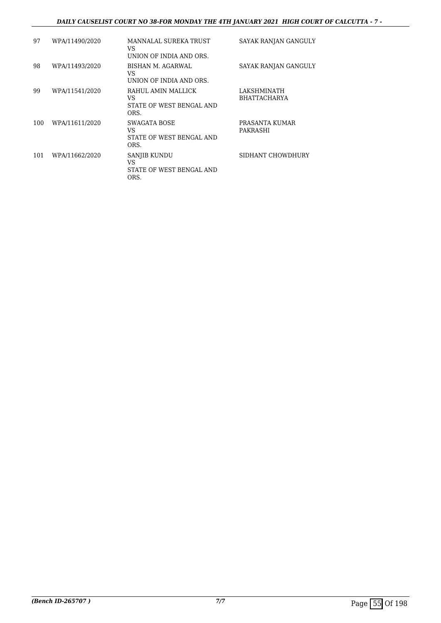## *DAILY CAUSELIST COURT NO 38-FOR MONDAY THE 4TH JANUARY 2021 HIGH COURT OF CALCUTTA - 7 -*

| 97  | WPA/11490/2020 | MANNALAL SUREKA TRUST<br>VS<br>UNION OF INDIA AND ORS.       | SAYAK RANJAN GANGULY               |
|-----|----------------|--------------------------------------------------------------|------------------------------------|
| 98  | WPA/11493/2020 | BISHAN M. AGARWAL<br>VS<br>UNION OF INDIA AND ORS.           | SAYAK RANJAN GANGULY               |
| 99  | WPA/11541/2020 | RAHUL AMIN MALLICK<br>VS<br>STATE OF WEST BENGAL AND<br>ORS. | LAKSHMINATH<br><b>BHATTACHARYA</b> |
| 100 | WPA/11611/2020 | SWAGATA BOSE<br>VS<br>STATE OF WEST BENGAL AND<br>ORS.       | PRASANTA KUMAR<br>PAKRASHI         |
| 101 | WPA/11662/2020 | SANJIB KUNDU<br>VS<br>STATE OF WEST BENGAL AND<br>ORS.       | SIDHANT CHOWDHURY                  |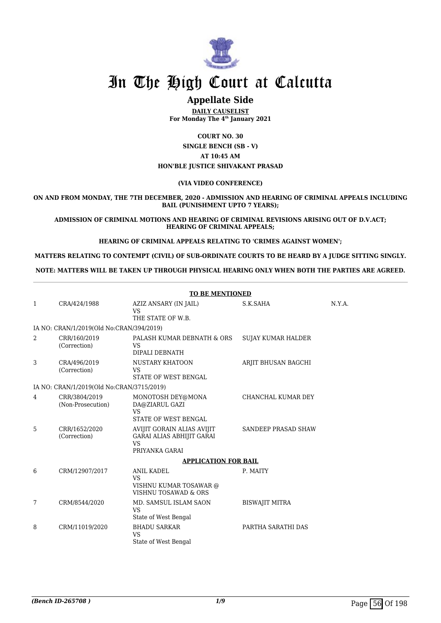

## **Appellate Side**

**DAILY CAUSELIST For Monday The 4th January 2021**

**COURT NO. 30 SINGLE BENCH (SB - V) AT 10:45 AM HON'BLE JUSTICE SHIVAKANT PRASAD**

#### **(VIA VIDEO CONFERENCE)**

**ON AND FROM MONDAY, THE 7TH DECEMBER, 2020 - ADMISSION AND HEARING OF CRIMINAL APPEALS INCLUDING BAIL (PUNISHMENT UPTO 7 YEARS);**

**ADMISSION OF CRIMINAL MOTIONS AND HEARING OF CRIMINAL REVISIONS ARISING OUT OF D.V.ACT; HEARING OF CRIMINAL APPEALS;**

**HEARING OF CRIMINAL APPEALS RELATING TO 'CRIMES AGAINST WOMEN';**

**MATTERS RELATING TO CONTEMPT (CIVIL) OF SUB-ORDINATE COURTS TO BE HEARD BY A JUDGE SITTING SINGLY.**

**NOTE: MATTERS WILL BE TAKEN UP THROUGH PHYSICAL HEARING ONLY WHEN BOTH THE PARTIES ARE AGREED.**

|   | <b>TO BE MENTIONED</b>                    |                                                                                               |                           |        |  |  |
|---|-------------------------------------------|-----------------------------------------------------------------------------------------------|---------------------------|--------|--|--|
| 1 | CRA/424/1988                              | AZIZ ANSARY (IN JAIL)<br><b>VS</b><br>THE STATE OF W.B.                                       | S.K.SAHA                  | N.Y.A. |  |  |
|   | IA NO: CRAN/1/2019(Old No:CRAN/394/2019)  |                                                                                               |                           |        |  |  |
| 2 | CRR/160/2019<br>(Correction)              | PALASH KUMAR DEBNATH & ORS<br><b>VS</b><br>DIPALI DEBNATH                                     | <b>SUJAY KUMAR HALDER</b> |        |  |  |
| 3 | CRA/496/2019<br>(Correction)              | NUSTARY KHATOON<br><b>VS</b><br>STATE OF WEST BENGAL                                          | ARJIT BHUSAN BAGCHI       |        |  |  |
|   | IA NO: CRAN/1/2019(Old No:CRAN/3715/2019) |                                                                                               |                           |        |  |  |
| 4 | CRR/3804/2019<br>(Non-Prosecution)        | MONOTOSH DEY@MONA<br>DA@ZIARUL GAZI<br><b>VS</b><br><b>STATE OF WEST BENGAL</b>               | CHANCHAL KUMAR DEY        |        |  |  |
| 5 | CRR/1652/2020<br>(Correction)             | AVIJIT GORAIN ALIAS AVIJIT<br><b>GARAI ALIAS ABHIJIT GARAI</b><br><b>VS</b><br>PRIYANKA GARAI | SANDEEP PRASAD SHAW       |        |  |  |
|   |                                           | <b>APPLICATION FOR BAIL</b>                                                                   |                           |        |  |  |
| 6 | CRM/12907/2017                            | <b>ANIL KADEL</b><br><b>VS</b><br>VISHNU KUMAR TOSAWAR @<br>VISHNU TOSAWAD & ORS              | P. MAITY                  |        |  |  |
| 7 | CRM/8544/2020                             | MD. SAMSUL ISLAM SAON<br><b>VS</b><br>State of West Bengal                                    | <b>BISWAJIT MITRA</b>     |        |  |  |
| 8 | CRM/11019/2020                            | <b>BHADU SARKAR</b><br><b>VS</b><br>State of West Bengal                                      | PARTHA SARATHI DAS        |        |  |  |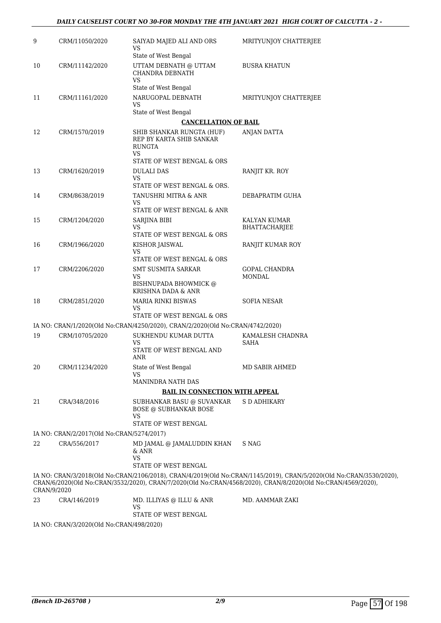| 9           | CRM/11050/2020                            | SAIYAD MAJED ALI AND ORS<br>VS                                                | MRITYUNJOY CHATTERJEE                                                                                                                                                                                                             |
|-------------|-------------------------------------------|-------------------------------------------------------------------------------|-----------------------------------------------------------------------------------------------------------------------------------------------------------------------------------------------------------------------------------|
|             |                                           | State of West Bengal                                                          |                                                                                                                                                                                                                                   |
| 10          | CRM/11142/2020                            | UTTAM DEBNATH @ UTTAM<br><b>CHANDRA DEBNATH</b><br><b>VS</b>                  | <b>BUSRA KHATUN</b>                                                                                                                                                                                                               |
|             |                                           | State of West Bengal                                                          |                                                                                                                                                                                                                                   |
| 11          | CRM/11161/2020                            | NARUGOPAL DEBNATH<br>VS                                                       | MRITYUNJOY CHATTERJEE                                                                                                                                                                                                             |
|             |                                           | State of West Bengal                                                          |                                                                                                                                                                                                                                   |
|             |                                           | <b>CANCELLATION OF BAIL</b>                                                   |                                                                                                                                                                                                                                   |
| 12          | CRM/1570/2019                             | SHIB SHANKAR RUNGTA (HUF)<br>REP BY KARTA SHIB SANKAR<br><b>RUNGTA</b><br>VS  | <b>ANJAN DATTA</b>                                                                                                                                                                                                                |
|             |                                           | STATE OF WEST BENGAL & ORS                                                    |                                                                                                                                                                                                                                   |
| 13          | CRM/1620/2019                             | <b>DULALI DAS</b><br>VS                                                       | RANJIT KR. ROY                                                                                                                                                                                                                    |
|             |                                           | STATE OF WEST BENGAL & ORS.                                                   |                                                                                                                                                                                                                                   |
| 14          | CRM/8638/2019                             | TANUSHRI MITRA & ANR<br>VS                                                    | DEBAPRATIM GUHA                                                                                                                                                                                                                   |
|             |                                           | STATE OF WEST BENGAL & ANR                                                    |                                                                                                                                                                                                                                   |
| 15          | CRM/1204/2020                             | SARJINA BIBI                                                                  | KALYAN KUMAR                                                                                                                                                                                                                      |
|             |                                           | VS<br>STATE OF WEST BENGAL & ORS                                              | BHATTACHARJEE                                                                                                                                                                                                                     |
| 16          | CRM/1966/2020                             | KISHOR JAISWAL<br>VS                                                          | RANJIT KUMAR ROY                                                                                                                                                                                                                  |
|             |                                           | STATE OF WEST BENGAL & ORS                                                    |                                                                                                                                                                                                                                   |
| 17          | CRM/2206/2020                             | <b>SMT SUSMITA SARKAR</b>                                                     | GOPAL CHANDRA                                                                                                                                                                                                                     |
|             |                                           | VS<br>BISHNUPADA BHOWMICK @<br>KRISHNA DADA & ANR                             | <b>MONDAL</b>                                                                                                                                                                                                                     |
| 18          | CRM/2851/2020                             | MARIA RINKI BISWAS<br>VS                                                      | <b>SOFIA NESAR</b>                                                                                                                                                                                                                |
|             |                                           | STATE OF WEST BENGAL & ORS                                                    |                                                                                                                                                                                                                                   |
|             |                                           | IA NO: CRAN/1/2020(Old No:CRAN/4250/2020), CRAN/2/2020(Old No:CRAN/4742/2020) |                                                                                                                                                                                                                                   |
| 19          | CRM/10705/2020                            | SUKHENDU KUMAR DUTTA<br>VS<br>STATE OF WEST BENGAL AND<br>ANR                 | KAMALESH CHADNRA<br>SAHA                                                                                                                                                                                                          |
| 20          | CRM/11234/2020                            | State of West Bengal<br>VS                                                    | MD SABIR AHMED                                                                                                                                                                                                                    |
|             |                                           | MANINDRA NATH DAS                                                             |                                                                                                                                                                                                                                   |
|             |                                           | <b>BAIL IN CONNECTION WITH APPEAL</b>                                         |                                                                                                                                                                                                                                   |
| 21          | CRA/348/2016                              | SUBHANKAR BASU @ SUVANKAR<br><b>BOSE @ SUBHANKAR BOSE</b>                     | S D ADHIKARY                                                                                                                                                                                                                      |
|             |                                           | VS                                                                            |                                                                                                                                                                                                                                   |
|             |                                           | STATE OF WEST BENGAL                                                          |                                                                                                                                                                                                                                   |
|             | IA NO: CRAN/2/2017(Old No:CRAN/5274/2017) |                                                                               |                                                                                                                                                                                                                                   |
| 22          | CRA/556/2017                              | MD JAMAL @ JAMALUDDIN KHAN<br>& ANR<br>VS                                     | S NAG                                                                                                                                                                                                                             |
|             |                                           | STATE OF WEST BENGAL                                                          |                                                                                                                                                                                                                                   |
| CRAN/9/2020 |                                           |                                                                               | IA NO: CRAN/3/2018(Old No:CRAN/2106/2018), CRAN/4/2019(Old No:CRAN/1145/2019), CRAN/5/2020(Old No:CRAN/3530/2020),<br>CRAN/6/2020(Old No:CRAN/3532/2020), CRAN/7/2020(Old No:CRAN/4568/2020), CRAN/8/2020(Old No:CRAN/4569/2020), |
| 23          | CRA/146/2019                              | MD. ILLIYAS @ ILLU & ANR                                                      | MD. AAMMAR ZAKI                                                                                                                                                                                                                   |
|             |                                           | VS.<br>STATE OF WEST BENGAL                                                   |                                                                                                                                                                                                                                   |

IA NO: CRAN/3/2020(Old No:CRAN/498/2020)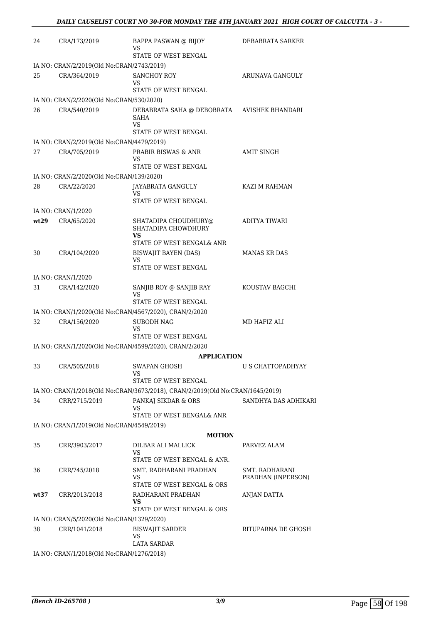| 24   | CRA/173/2019                              | BAPPA PASWAN @ BIJOY<br>VS<br>STATE OF WEST BENGAL                                                    | DEBABRATA SARKER     |
|------|-------------------------------------------|-------------------------------------------------------------------------------------------------------|----------------------|
|      | IA NO: CRAN/2/2019(Old No:CRAN/2743/2019) |                                                                                                       |                      |
| 25   | CRA/364/2019                              | <b>SANCHOY ROY</b><br>VS                                                                              | ARUNAVA GANGULY      |
|      |                                           | STATE OF WEST BENGAL                                                                                  |                      |
|      | IA NO: CRAN/2/2020(Old No:CRAN/530/2020)  |                                                                                                       |                      |
| 26   | CRA/540/2019                              | DEBABRATA SAHA @ DEBOBRATA AVISHEK BHANDARI<br>SAHA<br>VS.<br>STATE OF WEST BENGAL                    |                      |
|      | IA NO: CRAN/2/2019(Old No:CRAN/4479/2019) |                                                                                                       |                      |
| 27   | CRA/705/2019                              | PRABIR BISWAS & ANR<br>VS<br>STATE OF WEST BENGAL                                                     | AMIT SINGH           |
|      | IA NO: CRAN/2/2020(Old No:CRAN/139/2020)  |                                                                                                       |                      |
| 28   | CRA/22/2020                               | JAYABRATA GANGULY<br>VS<br>STATE OF WEST BENGAL                                                       | KAZI M RAHMAN        |
|      | IA NO: CRAN/1/2020                        |                                                                                                       |                      |
| wt29 | CRA/65/2020                               | SHATADIPA CHOUDHURY@<br>SHATADIPA CHOWDHURY<br>VS                                                     | ADITYA TIWARI        |
|      |                                           | STATE OF WEST BENGAL& ANR                                                                             |                      |
| 30   | CRA/104/2020                              | BISWAJIT BAYEN (DAS)<br>VS.<br>STATE OF WEST BENGAL                                                   | <b>MANAS KR DAS</b>  |
|      | IA NO: CRAN/1/2020                        |                                                                                                       |                      |
| 31   | CRA/142/2020                              | SANJIB ROY @ SANJIB RAY<br>VS<br>STATE OF WEST BENGAL                                                 | KOUSTAV BAGCHI       |
|      |                                           | IA NO: CRAN/1/2020(Old No:CRAN/4567/2020), CRAN/2/2020                                                |                      |
| 32   | CRA/156/2020                              | <b>SUBODH NAG</b>                                                                                     | MD HAFIZ ALI         |
|      |                                           | VS<br>STATE OF WEST BENGAL                                                                            |                      |
|      |                                           | IA NO: CRAN/1/2020(Old No:CRAN/4599/2020), CRAN/2/2020                                                |                      |
|      |                                           | <b>APPLICATION</b>                                                                                    |                      |
| 33   | CRA/505/2018                              | <b>SWAPAN GHOSH</b><br>VS                                                                             | U S CHATTOPADHYAY    |
|      |                                           | STATE OF WEST BENGAL<br>IA NO: CRAN/1/2018(Old No:CRAN/3673/2018), CRAN/2/2019(Old No:CRAN/1645/2019) |                      |
| 34   | CRR/2715/2019                             | PANKAJ SIKDAR & ORS                                                                                   | SANDHYA DAS ADHIKARI |
|      |                                           | VS<br>STATE OF WEST BENGAL& ANR                                                                       |                      |
|      | IA NO: CRAN/1/2019(Old No:CRAN/4549/2019) |                                                                                                       |                      |
|      |                                           | <u>MOTION</u>                                                                                         |                      |
| 35   | CRR/3903/2017                             | DILBAR ALI MALLICK<br>VS                                                                              | PARVEZ ALAM          |
| 36   | CRR/745/2018                              | STATE OF WEST BENGAL & ANR.<br>SMT. RADHARANI PRADHAN                                                 | SMT. RADHARANI       |
|      |                                           | VS<br>STATE OF WEST BENGAL & ORS                                                                      | PRADHAN (INPERSON)   |
| wt37 | CRR/2013/2018                             | RADHARANI PRADHAN<br>VS                                                                               | <b>ANJAN DATTA</b>   |
|      |                                           | STATE OF WEST BENGAL & ORS                                                                            |                      |
|      | IA NO: CRAN/5/2020(Old No:CRAN/1329/2020) |                                                                                                       |                      |
| 38   | CRR/1041/2018                             | <b>BISWAJIT SARDER</b><br>VS<br>LATA SARDAR                                                           | RITUPARNA DE GHOSH   |
|      | IA NO: CRAN/1/2018(Old No:CRAN/1276/2018) |                                                                                                       |                      |
|      |                                           |                                                                                                       |                      |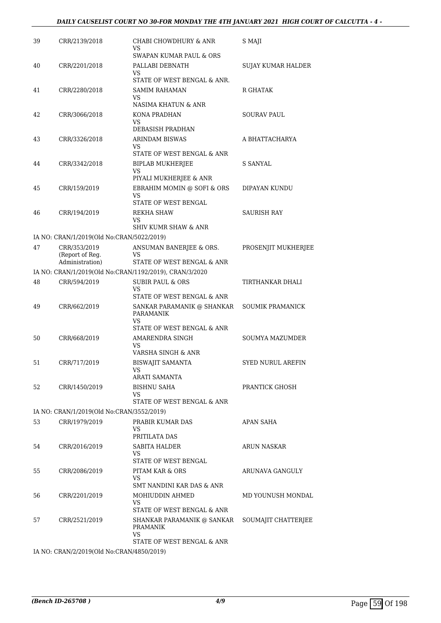### *DAILY CAUSELIST COURT NO 30-FOR MONDAY THE 4TH JANUARY 2021 HIGH COURT OF CALCUTTA - 4 -*

| 39 | CRR/2139/2018                             | CHABI CHOWDHURY & ANR<br>VS                            | S MAJI                   |
|----|-------------------------------------------|--------------------------------------------------------|--------------------------|
|    |                                           | SWAPAN KUMAR PAUL & ORS                                |                          |
| 40 | CRR/2201/2018                             | PALLABI DEBNATH<br>VS.                                 | SUJAY KUMAR HALDER       |
|    |                                           | STATE OF WEST BENGAL & ANR.                            |                          |
| 41 | CRR/2280/2018                             | SAMIM RAHAMAN                                          | R GHATAK                 |
|    |                                           | VS<br>NASIMA KHATUN & ANR                              |                          |
| 42 | CRR/3066/2018                             | KONA PRADHAN                                           | SOURAV PAUL              |
|    |                                           | VS<br>DEBASISH PRADHAN                                 |                          |
| 43 | CRR/3326/2018                             | ARINDAM BISWAS                                         | A BHATTACHARYA           |
|    |                                           | VS                                                     |                          |
|    |                                           | STATE OF WEST BENGAL & ANR                             |                          |
| 44 | CRR/3342/2018                             | <b>BIPLAB MUKHERJEE</b><br>VS                          | S SANYAL                 |
|    |                                           | PIYALI MUKHERJEE & ANR                                 |                          |
| 45 | CRR/159/2019                              | EBRAHIM MOMIN @ SOFI & ORS<br>VS                       | DIPAYAN KUNDU            |
|    |                                           | STATE OF WEST BENGAL                                   |                          |
| 46 | CRR/194/2019                              | REKHA SHAW<br>VS                                       | SAURISH RAY              |
|    |                                           | <b>SHIV KUMR SHAW &amp; ANR</b>                        |                          |
|    | IA NO: CRAN/1/2019(Old No:CRAN/5022/2019) |                                                        |                          |
| 47 | CRR/353/2019                              | ANSUMAN BANERJEE & ORS.                                | PROSENJIT MUKHERJEE      |
|    | (Report of Reg.<br>Administration)        | VS<br>STATE OF WEST BENGAL & ANR                       |                          |
|    |                                           | IA NO: CRAN/1/2019(Old No:CRAN/1192/2019), CRAN/3/2020 |                          |
| 48 | CRR/594/2019                              | <b>SUBIR PAUL &amp; ORS</b>                            | TIRTHANKAR DHALI         |
|    |                                           | VS                                                     |                          |
|    |                                           | STATE OF WEST BENGAL & ANR                             |                          |
| 49 | CRR/662/2019                              | SANKAR PARAMANIK @ SHANKAR<br>PARAMANIK<br>VS.         | <b>SOUMIK PRAMANICK</b>  |
|    |                                           | STATE OF WEST BENGAL & ANR                             |                          |
| 50 | CRR/668/2019                              | AMARENDRA SINGH<br>VS                                  | <b>SOUMYA MAZUMDER</b>   |
|    |                                           | VARSHA SINGH & ANR                                     |                          |
| 51 | CRR/717/2019                              | <b>BISWAJIT SAMANTA</b><br>VS                          | <b>SYED NURUL AREFIN</b> |
|    |                                           | ARATI SAMANTA                                          |                          |
| 52 | CRR/1450/2019                             | <b>BISHNU SAHA</b><br>VS                               | PRANTICK GHOSH           |
|    |                                           | STATE OF WEST BENGAL & ANR                             |                          |
|    | IA NO: CRAN/1/2019(Old No:CRAN/3552/2019) |                                                        |                          |
| 53 | CRR/1979/2019                             | PRABIR KUMAR DAS<br>VS                                 | APAN SAHA                |
|    |                                           | PRITILATA DAS                                          |                          |
| 54 | CRR/2016/2019                             | SABITA HALDER                                          | <b>ARUN NASKAR</b>       |
|    |                                           | VS<br>STATE OF WEST BENGAL                             |                          |
| 55 | CRR/2086/2019                             | PITAM KAR & ORS                                        | ARUNAVA GANGULY          |
|    |                                           | VS<br>SMT NANDINI KAR DAS & ANR                        |                          |
| 56 | CRR/2201/2019                             | MOHIUDDIN AHMED                                        | MD YOUNUSH MONDAL        |
|    |                                           | VS.<br>STATE OF WEST BENGAL & ANR                      |                          |
| 57 | CRR/2521/2019                             | SHANKAR PARAMANIK @ SANKAR<br>PRAMANIK                 | SOUMAJIT CHATTERJEE      |
|    |                                           | VS                                                     |                          |
|    |                                           | STATE OF WEST BENGAL & ANR                             |                          |

IA NO: CRAN/2/2019(Old No:CRAN/4850/2019)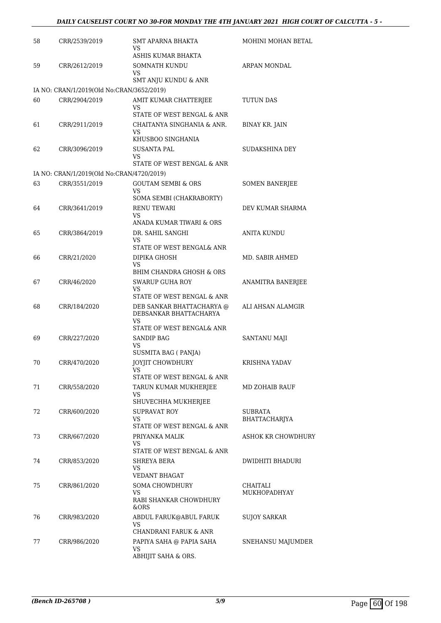| 58 | CRR/2539/2019                                              | <b>SMT APARNA BHAKTA</b><br>VS<br>ASHIS KUMAR BHAKTA | MOHINI MOHAN BETAL    |
|----|------------------------------------------------------------|------------------------------------------------------|-----------------------|
| 59 | CRR/2612/2019                                              | <b>SOMNATH KUNDU</b><br>VS                           | ARPAN MONDAL          |
|    |                                                            | SMT ANJU KUNDU & ANR                                 |                       |
| 60 | IA NO: CRAN/1/2019(Old No:CRAN/3652/2019)<br>CRR/2904/2019 | AMIT KUMAR CHATTERJEE                                | TUTUN DAS             |
|    |                                                            | VS                                                   |                       |
|    |                                                            | STATE OF WEST BENGAL & ANR                           |                       |
| 61 | CRR/2911/2019                                              | CHAITANYA SINGHANIA & ANR.                           | <b>BINAY KR. JAIN</b> |
|    |                                                            | VS<br>KHUSBOO SINGHANIA                              |                       |
| 62 | CRR/3096/2019                                              | SUSANTA PAL<br>VS                                    | SUDAKSHINA DEY        |
|    |                                                            | STATE OF WEST BENGAL & ANR                           |                       |
|    | IA NO: CRAN/1/2019(Old No:CRAN/4720/2019)                  |                                                      |                       |
| 63 | CRR/3551/2019                                              | <b>GOUTAM SEMBI &amp; ORS</b><br>VS                  | <b>SOMEN BANERJEE</b> |
|    |                                                            | SOMA SEMBI (CHAKRABORTY)                             |                       |
| 64 | CRR/3641/2019                                              | <b>RENU TEWARI</b><br>VS                             | DEV KUMAR SHARMA      |
|    |                                                            | ANADA KUMAR TIWARI & ORS                             |                       |
| 65 | CRR/3864/2019                                              | DR. SAHIL SANGHI                                     | <b>ANITA KUNDU</b>    |
|    |                                                            | VS<br>STATE OF WEST BENGAL& ANR                      |                       |
| 66 | CRR/21/2020                                                | DIPIKA GHOSH                                         | MD. SABIR AHMED       |
|    |                                                            | VS<br>BHIM CHANDRA GHOSH & ORS                       |                       |
| 67 | CRR/46/2020                                                | <b>SWARUP GUHA ROY</b>                               | ANAMITRA BANERJEE     |
|    |                                                            | VS<br>STATE OF WEST BENGAL & ANR                     |                       |
| 68 | CRR/184/2020                                               | DEB SANKAR BHATTACHARYA @<br>DEBSANKAR BHATTACHARYA  | ALI AHSAN ALAMGIR     |
|    |                                                            | VS<br>STATE OF WEST BENGAL& ANR                      |                       |
| 69 | CRR/227/2020                                               | <b>SANDIP BAG</b>                                    | SANTANU MAJI          |
|    |                                                            | VS                                                   |                       |
|    |                                                            | SUSMITA BAG ( PANJA)<br><b>JOYJIT CHOWDHURY</b>      |                       |
| 70 | CRR/470/2020                                               | VS                                                   | KRISHNA YADAV         |
|    |                                                            | STATE OF WEST BENGAL & ANR                           |                       |
| 71 | CRR/558/2020                                               | TARUN KUMAR MUKHERJEE<br>VS                          | MD ZOHAIB RAUF        |
|    |                                                            | SHUVECHHA MUKHERJEE                                  |                       |
| 72 | CRR/600/2020                                               | <b>SUPRAVAT ROY</b>                                  | SUBRATA               |
|    |                                                            | VS<br>STATE OF WEST BENGAL & ANR                     | BHATTACHARJYA         |
| 73 | CRR/667/2020                                               | PRIYANKA MALIK                                       | ASHOK KR CHOWDHURY    |
|    |                                                            | VS<br>STATE OF WEST BENGAL & ANR                     |                       |
| 74 | CRR/853/2020                                               | SHREYA BERA                                          | DWIDHITI BHADURI      |
|    |                                                            | VS<br><b>VEDANT BHAGAT</b>                           |                       |
| 75 | CRR/861/2020                                               | <b>SOMA CHOWDHURY</b>                                | CHAITALI              |
|    |                                                            | VS<br>RABI SHANKAR CHOWDHURY                         | MUKHOPADHYAY          |
|    |                                                            | &ORS                                                 |                       |
| 76 | CRR/983/2020                                               | ABDUL FARUK@ABUL FARUK<br>VS                         | <b>SUJOY SARKAR</b>   |
|    |                                                            | CHANDRANI FARUK & ANR                                |                       |
| 77 | CRR/986/2020                                               | PAPIYA SAHA @ PAPIA SAHA                             | SNEHANSU MAJUMDER     |
|    |                                                            | VS<br>ABHIJIT SAHA & ORS.                            |                       |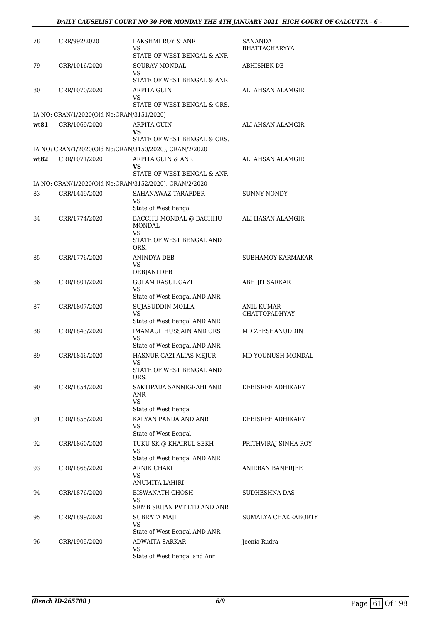| 78   | CRR/992/2020                                               | LAKSHMI ROY & ANR<br>VS.<br>STATE OF WEST BENGAL & ANR        | SANANDA<br><b>BHATTACHARYYA</b> |
|------|------------------------------------------------------------|---------------------------------------------------------------|---------------------------------|
| 79   | CRR/1016/2020                                              | SOURAV MONDAL<br>VS                                           | ABHISHEK DE                     |
| 80   | CRR/1070/2020                                              | STATE OF WEST BENGAL & ANR<br><b>ARPITA GUIN</b><br>VS        | ALI AHSAN ALAMGIR               |
|      |                                                            | STATE OF WEST BENGAL & ORS.                                   |                                 |
| wt81 | IA NO: CRAN/1/2020(Old No:CRAN/3151/2020)<br>CRR/1069/2020 |                                                               | ALI AHSAN ALAMGIR               |
|      |                                                            | ARPITA GUIN<br>VS.<br>STATE OF WEST BENGAL & ORS.             |                                 |
|      |                                                            | IA NO: CRAN/1/2020(Old No:CRAN/3150/2020), CRAN/2/2020        |                                 |
| wt82 | CRR/1071/2020                                              | <b>ARPITA GUIN &amp; ANR</b>                                  | ALI AHSAN ALAMGIR               |
|      |                                                            | VS                                                            |                                 |
|      |                                                            | STATE OF WEST BENGAL & ANR                                    |                                 |
|      |                                                            | IA NO: CRAN/1/2020(Old No:CRAN/3152/2020), CRAN/2/2020        |                                 |
| 83   | CRR/1449/2020                                              | SAHANAWAZ TARAFDER<br>VS.<br>State of West Bengal             | SUNNY NONDY                     |
| 84   | CRR/1774/2020                                              | BACCHU MONDAL @ BACHHU<br><b>MONDAL</b>                       | ALI HASAN ALAMGIR               |
|      |                                                            | VS.<br>STATE OF WEST BENGAL AND<br>ORS.                       |                                 |
| 85   | CRR/1776/2020                                              | <b>ANINDYA DEB</b><br>VS                                      | <b>SUBHAMOY KARMAKAR</b>        |
|      |                                                            | DEBJANI DEB                                                   |                                 |
| 86   | CRR/1801/2020                                              | <b>GOLAM RASUL GAZI</b><br>VS<br>State of West Bengal AND ANR | <b>ABHIJIT SARKAR</b>           |
| 87   | CRR/1807/2020                                              | SUJASUDDIN MOLLA                                              | ANIL KUMAR                      |
|      |                                                            | VS<br>State of West Bengal AND ANR                            | <b>CHATTOPADHYAY</b>            |
| 88   | CRR/1843/2020                                              | IMAMAUL HUSSAIN AND ORS<br>VS                                 | MD ZEESHANUDDIN                 |
|      |                                                            | State of West Bengal AND ANR                                  |                                 |
| 89   | CRR/1846/2020                                              | HASNUR GAZI ALIAS MEJUR                                       | MD YOUNUSH MONDAL               |
|      |                                                            | VS<br>STATE OF WEST BENGAL AND<br>ORS.                        |                                 |
| 90   | CRR/1854/2020                                              | SAKTIPADA SANNIGRAHI AND<br>ANR<br>VS                         | DEBISREE ADHIKARY               |
|      |                                                            | State of West Bengal                                          |                                 |
| 91   | CRR/1855/2020                                              | KALYAN PANDA AND ANR<br>VS.                                   | DEBISREE ADHIKARY               |
| 92   | CRR/1860/2020                                              | State of West Bengal<br>TUKU SK @ KHAIRUL SEKH                | PRITHVIRAJ SINHA ROY            |
|      |                                                            | VS                                                            |                                 |
| 93   | CRR/1868/2020                                              | State of West Bengal AND ANR<br>ARNIK CHAKI                   |                                 |
|      |                                                            | VS<br><b>ANUMITA LAHIRI</b>                                   | ANIRBAN BANERJEE                |
| 94   | CRR/1876/2020                                              | <b>BISWANATH GHOSH</b><br>VS                                  | SUDHESHNA DAS                   |
| 95   | CRR/1899/2020                                              | SRMB SRIJAN PVT LTD AND ANR<br><b>SUBRATA MAJI</b><br>VS      | SUMALYA CHAKRABORTY             |
|      |                                                            | State of West Bengal AND ANR                                  |                                 |
| 96   | CRR/1905/2020                                              | <b>ADWAITA SARKAR</b><br>VS                                   | Jeenia Rudra                    |
|      |                                                            | State of West Bengal and Anr                                  |                                 |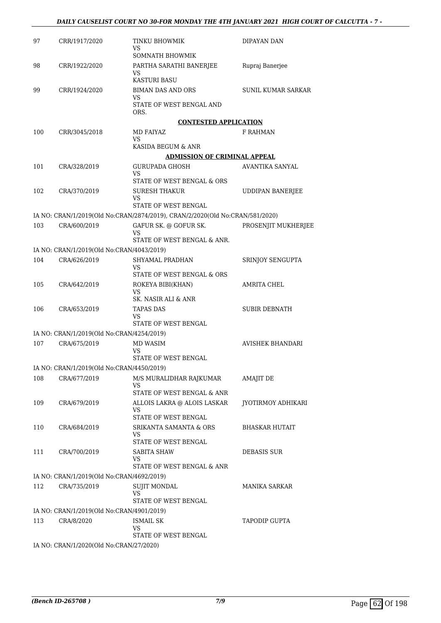| 97  | CRR/1917/2020                             | TINKU BHOWMIK<br>VS                                                          | DIPAYAN DAN             |
|-----|-------------------------------------------|------------------------------------------------------------------------------|-------------------------|
|     |                                           | <b>SOMNATH BHOWMIK</b>                                                       |                         |
| 98  | CRR/1922/2020                             | PARTHA SARATHI BANERJEE<br>VS                                                | Rupraj Banerjee         |
|     |                                           | <b>KASTURI BASU</b>                                                          |                         |
| 99  | CRR/1924/2020                             | <b>BIMAN DAS AND ORS</b><br>VS                                               | SUNIL KUMAR SARKAR      |
|     |                                           | STATE OF WEST BENGAL AND<br>ORS.                                             |                         |
|     |                                           | <b>CONTESTED APPLICATION</b>                                                 |                         |
| 100 | CRR/3045/2018                             | MD FAIYAZ                                                                    | F RAHMAN                |
|     |                                           | VS.<br>KASIDA BEGUM & ANR                                                    |                         |
|     |                                           | <b>ADMISSION OF CRIMINAL APPEAL</b>                                          |                         |
| 101 | CRA/328/2019                              | GURUPADA GHOSH<br>VS                                                         | AVANTIKA SANYAL         |
|     |                                           | STATE OF WEST BENGAL & ORS                                                   |                         |
| 102 | CRA/370/2019                              | <b>SURESH THAKUR</b><br>VS                                                   | <b>UDDIPAN BANERIEE</b> |
|     |                                           | STATE OF WEST BENGAL                                                         |                         |
|     |                                           | IA NO: CRAN/1/2019(Old No:CRAN/2874/2019), CRAN/2/2020(Old No:CRAN/581/2020) |                         |
| 103 | CRA/600/2019                              | GAFUR SK. @ GOFUR SK.<br>VS<br>STATE OF WEST BENGAL & ANR.                   | PROSENJIT MUKHERJEE     |
|     | IA NO: CRAN/1/2019(Old No:CRAN/4043/2019) |                                                                              |                         |
| 104 | CRA/626/2019                              | SHYAMAL PRADHAN                                                              | SRINJOY SENGUPTA        |
|     |                                           | <b>VS</b><br>STATE OF WEST BENGAL & ORS                                      |                         |
| 105 | CRA/642/2019                              | ROKEYA BIBI(KHAN)                                                            | AMRITA CHEL             |
|     |                                           | VS.<br>SK. NASIR ALI & ANR                                                   |                         |
| 106 | CRA/653/2019                              | TAPAS DAS                                                                    | <b>SUBIR DEBNATH</b>    |
|     |                                           | VS<br>STATE OF WEST BENGAL                                                   |                         |
|     | IA NO: CRAN/1/2019(Old No:CRAN/4254/2019) |                                                                              |                         |
| 107 | CRA/675/2019                              | MD WASIM<br>VS                                                               | AVISHEK BHANDARI        |
|     |                                           | STATE OF WEST BENGAL                                                         |                         |
|     | IA NO: CRAN/1/2019(Old No:CRAN/4450/2019) |                                                                              |                         |
| 108 | CRA/677/2019                              | M/S MURALIDHAR RAJKUMAR<br>VS                                                | AMAJIT DE               |
|     |                                           | STATE OF WEST BENGAL & ANR                                                   |                         |
| 109 | CRA/679/2019                              | ALLOIS LAKRA @ ALOIS LASKAR<br>VS<br>STATE OF WEST BENGAL                    | JYOTIRMOY ADHIKARI      |
| 110 | CRA/684/2019                              | SRIKANTA SAMANTA & ORS                                                       |                         |
|     |                                           | VS<br>STATE OF WEST BENGAL                                                   | BHASKAR HUTAIT          |
| 111 | CRA/700/2019                              | SABITA SHAW                                                                  | DEBASIS SUR             |
|     |                                           | VS<br>STATE OF WEST BENGAL & ANR                                             |                         |
|     | IA NO: CRAN/1/2019(Old No:CRAN/4692/2019) |                                                                              |                         |
| 112 | CRA/735/2019                              | SUJIT MONDAL<br>VS                                                           | MANIKA SARKAR           |
|     |                                           | STATE OF WEST BENGAL                                                         |                         |
|     | IA NO: CRAN/1/2019(Old No:CRAN/4901/2019) |                                                                              |                         |
| 113 | CRA/8/2020                                | ISMAIL SK<br>VS                                                              | TAPODIP GUPTA           |
|     |                                           | STATE OF WEST BENGAL                                                         |                         |
|     | IA NO: CRAN/1/2020(Old No:CRAN/27/2020)   |                                                                              |                         |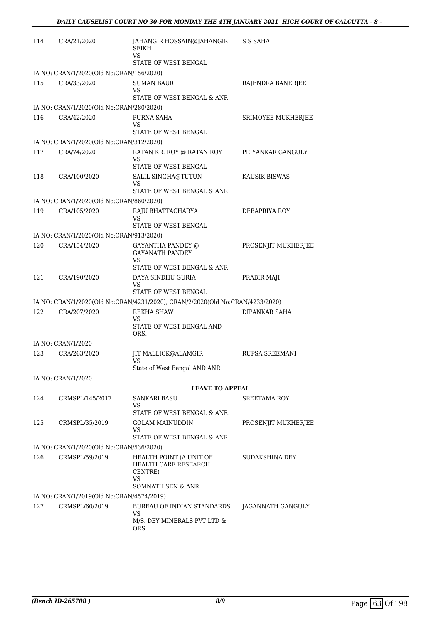| 114 | CRA/21/2020                               | JAHANGIR HOSSAIN@JAHANGIR<br><b>SEIKH</b><br>VS                                       | S S SAHA              |
|-----|-------------------------------------------|---------------------------------------------------------------------------------------|-----------------------|
|     |                                           | STATE OF WEST BENGAL                                                                  |                       |
|     | IA NO: CRAN/1/2020(Old No:CRAN/156/2020)  |                                                                                       |                       |
| 115 | CRA/33/2020                               | <b>SUMAN BAURI</b><br>VS                                                              | RAJENDRA BANERJEE     |
|     |                                           | STATE OF WEST BENGAL & ANR                                                            |                       |
|     | IA NO: CRAN/1/2020(Old No:CRAN/280/2020)  |                                                                                       |                       |
| 116 | CRA/42/2020                               | PURNA SAHA<br>VS<br>STATE OF WEST BENGAL                                              | SRIMOYEE MUKHERJEE    |
|     | IA NO: CRAN/1/2020(Old No:CRAN/312/2020)  |                                                                                       |                       |
| 117 | CRA/74/2020                               | RATAN KR. ROY @ RATAN ROY                                                             | PRIYANKAR GANGULY     |
|     |                                           | VS<br>STATE OF WEST BENGAL                                                            |                       |
| 118 | CRA/100/2020                              | SALIL SINGHA@TUTUN                                                                    | KAUSIK BISWAS         |
|     |                                           | VS<br>STATE OF WEST BENGAL & ANR                                                      |                       |
|     | IA NO: CRAN/1/2020(Old No:CRAN/860/2020)  |                                                                                       |                       |
| 119 | CRA/105/2020                              | RAJU BHATTACHARYA<br>VS                                                               | DEBAPRIYA ROY         |
|     |                                           | STATE OF WEST BENGAL                                                                  |                       |
|     | IA NO: CRAN/1/2020(Old No:CRAN/913/2020)  |                                                                                       |                       |
| 120 | CRA/154/2020                              | <b>GAYANTHA PANDEY @</b><br><b>GAYANATH PANDEY</b><br>VS                              | PROSENJIT MUKHERJEE   |
|     |                                           | STATE OF WEST BENGAL & ANR                                                            |                       |
| 121 | CRA/190/2020                              | DAYA SINDHU GURIA<br>VS<br>STATE OF WEST BENGAL                                       | PRABIR MAJI           |
|     |                                           | IA NO: CRAN/1/2020(Old No:CRAN/4231/2020), CRAN/2/2020(Old No:CRAN/4233/2020)         |                       |
| 122 | CRA/207/2020                              | <b>REKHA SHAW</b>                                                                     | DIPANKAR SAHA         |
|     |                                           | VS<br>STATE OF WEST BENGAL AND<br>ORS.                                                |                       |
|     | IA NO: CRAN/1/2020                        |                                                                                       |                       |
| 123 | CRA/263/2020                              | JIT MALLICK@ALAMGIR<br>VS                                                             | <b>RUPSA SREEMANI</b> |
|     |                                           | State of West Bengal AND ANR                                                          |                       |
|     | IA NO: CRAN/1/2020                        |                                                                                       |                       |
|     |                                           | <b>LEAVE TO APPEAL</b>                                                                |                       |
| 124 | CRMSPL/145/2017                           | SANKARI BASU                                                                          | <b>SREETAMA ROY</b>   |
|     |                                           | VS<br>STATE OF WEST BENGAL & ANR.                                                     |                       |
| 125 | CRMSPL/35/2019                            | <b>GOLAM MAINUDDIN</b>                                                                | PROSENJIT MUKHERJEE   |
|     |                                           | VS<br>STATE OF WEST BENGAL & ANR                                                      |                       |
|     | IA NO: CRAN/1/2020(Old No:CRAN/536/2020)  |                                                                                       |                       |
| 126 | CRMSPL/59/2019                            | HEALTH POINT (A UNIT OF<br>HEALTH CARE RESEARCH<br>CENTRE)<br>VS<br>SOMNATH SEN & ANR | <b>SUDAKSHINA DEY</b> |
|     | IA NO: CRAN/1/2019(Old No:CRAN/4574/2019) |                                                                                       |                       |
| 127 | CRMSPL/60/2019                            | BUREAU OF INDIAN STANDARDS                                                            | JAGANNATH GANGULY     |
|     |                                           | VS<br>M/S. DEY MINERALS PVT LTD &<br><b>ORS</b>                                       |                       |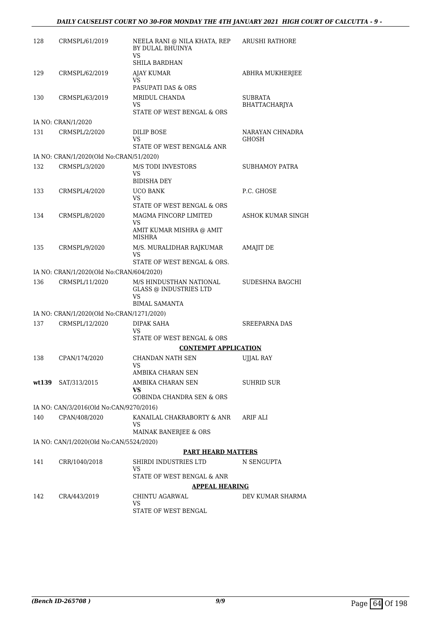| 128   | CRMSPL/61/2019                            | NEELA RANI @ NILA KHATA, REP<br>BY DULAL BHUINYA<br>VS.<br><b>SHILA BARDHAN</b> | ARUSHI RATHORE                  |
|-------|-------------------------------------------|---------------------------------------------------------------------------------|---------------------------------|
| 129   | CRMSPL/62/2019                            | <b>AJAY KUMAR</b><br>VS.                                                        | ABHRA MUKHERJEE                 |
|       |                                           | PASUPATI DAS & ORS                                                              |                                 |
| 130   | CRMSPL/63/2019                            | MRIDUL CHANDA<br>VS.<br>STATE OF WEST BENGAL & ORS                              | <b>SUBRATA</b><br>BHATTACHARJYA |
|       | IA NO: CRAN/1/2020                        |                                                                                 |                                 |
| 131   | CRMSPL/2/2020                             | DILIP BOSE<br>VS<br>STATE OF WEST BENGAL& ANR                                   | NARAYAN CHNADRA<br>GHOSH        |
|       | IA NO: CRAN/1/2020(Old No:CRAN/51/2020)   |                                                                                 |                                 |
| 132   | CRMSPL/3/2020                             | <b>M/S TODI INVESTORS</b><br>VS                                                 | SUBHAMOY PATRA                  |
|       |                                           | <b>BIDISHA DEY</b>                                                              |                                 |
| 133   | CRMSPL/4/2020                             | <b>UCO BANK</b><br>VS.<br>STATE OF WEST BENGAL & ORS                            | P.C. GHOSE                      |
| 134   | CRMSPL/8/2020                             | MAGMA FINCORP LIMITED<br>VS                                                     | <b>ASHOK KUMAR SINGH</b>        |
|       |                                           | AMIT KUMAR MISHRA @ AMIT<br><b>MISHRA</b>                                       |                                 |
| 135   | CRMSPL/9/2020                             | M/S. MURALIDHAR RAJKUMAR<br>VS<br>STATE OF WEST BENGAL & ORS.                   | <b>AMAJIT DE</b>                |
|       | IA NO: CRAN/1/2020(Old No:CRAN/604/2020)  |                                                                                 |                                 |
| 136   | CRMSPL/11/2020                            | M/S HINDUSTHAN NATIONAL                                                         | SUDESHNA BAGCHI                 |
|       |                                           | <b>GLASS @ INDUSTRIES LTD</b><br>VS                                             |                                 |
|       |                                           | <b>BIMAL SAMANTA</b>                                                            |                                 |
|       | IA NO: CRAN/1/2020(Old No:CRAN/1271/2020) |                                                                                 |                                 |
| 137   | CRMSPL/12/2020                            | <b>DIPAK SAHA</b><br>VS.<br>STATE OF WEST BENGAL & ORS                          | <b>SREEPARNA DAS</b>            |
|       |                                           | <b>CONTEMPT APPLICATION</b>                                                     |                                 |
| 138   | CPAN/174/2020                             | CHANDAN NATH SEN<br>VS.                                                         | <b>UJJAL RAY</b>                |
|       |                                           | AMBIKA CHARAN SEN                                                               |                                 |
| wt139 | SAT/313/2015                              | AMBIKA CHARAN SEN<br>VS.<br><b>GOBINDA CHANDRA SEN &amp; ORS</b>                | SUHRID SUR                      |
|       | IA NO: CAN/3/2016(Old No:CAN/9270/2016)   |                                                                                 |                                 |
| 140   | CPAN/408/2020                             | KANAILAL CHAKRABORTY & ANR<br>VS                                                | ARIF ALI                        |
|       | IA NO: CAN/1/2020(Old No:CAN/5524/2020)   | MAINAK BANERJEE & ORS                                                           |                                 |
|       |                                           | <b>PART HEARD MATTERS</b>                                                       |                                 |
| 141   | CRR/1040/2018                             | SHIRDI INDUSTRIES LTD<br>VS                                                     | N SENGUPTA                      |
|       |                                           | STATE OF WEST BENGAL & ANR                                                      |                                 |
|       |                                           | <b>APPEAL HEARING</b>                                                           |                                 |
| 142   | CRA/443/2019                              | CHINTU AGARWAL<br>VS<br>STATE OF WEST BENGAL                                    | DEV KUMAR SHARMA                |
|       |                                           |                                                                                 |                                 |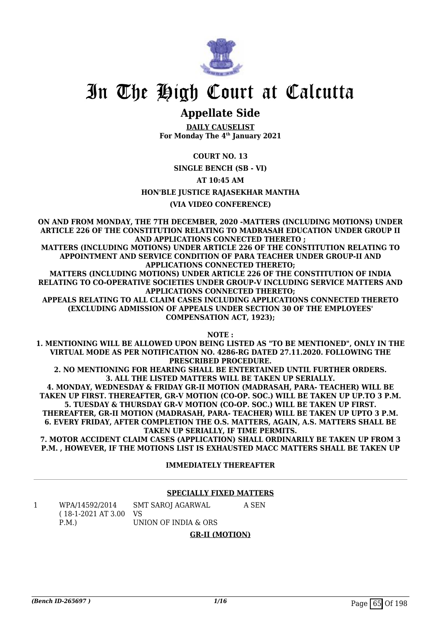

## **Appellate Side**

**DAILY CAUSELIST For Monday The 4th January 2021**

## **COURT NO. 13**

**SINGLE BENCH (SB - VI)**

## **AT 10:45 AM**

## **HON'BLE JUSTICE RAJASEKHAR MANTHA**

## **(VIA VIDEO CONFERENCE)**

**ON AND FROM MONDAY, THE 7TH DECEMBER, 2020 -MATTERS (INCLUDING MOTIONS) UNDER ARTICLE 226 OF THE CONSTITUTION RELATING TO MADRASAH EDUCATION UNDER GROUP II AND APPLICATIONS CONNECTED THERETO ;**

**MATTERS (INCLUDING MOTIONS) UNDER ARTICLE 226 OF THE CONSTITUTION RELATING TO APPOINTMENT AND SERVICE CONDITION OF PARA TEACHER UNDER GROUP-II AND APPLICATIONS CONNECTED THERETO;**

**MATTERS (INCLUDING MOTIONS) UNDER ARTICLE 226 OF THE CONSTITUTION OF INDIA RELATING TO CO-OPERATIVE SOCIETIES UNDER GROUP-V INCLUDING SERVICE MATTERS AND APPLICATIONS CONNECTED THERETO;**

**APPEALS RELATING TO ALL CLAIM CASES INCLUDING APPLICATIONS CONNECTED THERETO (EXCLUDING ADMISSION OF APPEALS UNDER SECTION 30 OF THE EMPLOYEES' COMPENSATION ACT, 1923);**

**NOTE :**

**1. MENTIONING WILL BE ALLOWED UPON BEING LISTED AS "TO BE MENTIONED", ONLY IN THE VIRTUAL MODE AS PER NOTIFICATION NO. 4286-RG DATED 27.11.2020. FOLLOWING THE PRESCRIBED PROCEDURE.**

**2. NO MENTIONING FOR HEARING SHALL BE ENTERTAINED UNTIL FURTHER ORDERS. 3. ALL THE LISTED MATTERS WILL BE TAKEN UP SERIALLY.**

**4. MONDAY, WEDNESDAY & FRIDAY GR-II MOTION (MADRASAH, PARA- TEACHER) WILL BE TAKEN UP FIRST. THEREAFTER, GR-V MOTION (CO-OP. SOC.) WILL BE TAKEN UP UP.TO 3 P.M. 5. TUESDAY & THURSDAY GR-V MOTION (CO-OP. SOC.) WILL BE TAKEN UP FIRST. THEREAFTER, GR-II MOTION (MADRASAH, PARA- TEACHER) WILL BE TAKEN UP UPTO 3 P.M.**

**6. EVERY FRIDAY, AFTER COMPLETION THE O.S. MATTERS, AGAIN, A.S. MATTERS SHALL BE TAKEN UP SERIALLY, IF TIME PERMITS.**

**7. MOTOR ACCIDENT CLAIM CASES (APPLICATION) SHALL ORDINARILY BE TAKEN UP FROM 3 P.M. , HOWEVER, IF THE MOTIONS LIST IS EXHAUSTED MACC MATTERS SHALL BE TAKEN UP**

## **IMMEDIATELY THEREAFTER**

## **SPECIALLY FIXED MATTERS**

| WPA/14592/2014                            | SMT SAROJ AGARWAL    | A SEN |
|-------------------------------------------|----------------------|-------|
| $(18-1-2021 \text{ AT } 3.00 \text{ VS})$ |                      |       |
| P.M.                                      | UNION OF INDIA & ORS |       |

## **GR-II (MOTION)**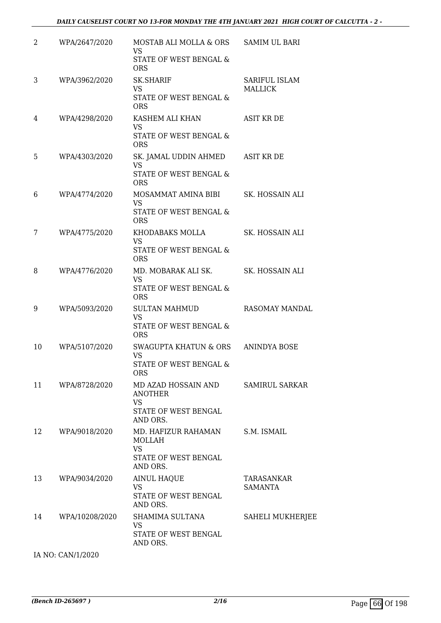| STATE OF WEST BENGAL &<br><b>ORS</b><br>3<br>WPA/3962/2020<br>SK.SHARIF<br>SARIFUL ISLAM<br>VS<br><b>MALLICK</b><br>STATE OF WEST BENGAL &<br><b>ORS</b><br><b>ASIT KR DE</b><br>WPA/4298/2020<br>KASHEM ALI KHAN<br>4<br><b>VS</b><br>STATE OF WEST BENGAL &<br><b>ORS</b><br>WPA/4303/2020<br>SK. JAMAL UDDIN AHMED<br>ASIT KR DE<br>5<br><b>VS</b> |  |
|-------------------------------------------------------------------------------------------------------------------------------------------------------------------------------------------------------------------------------------------------------------------------------------------------------------------------------------------------------|--|
|                                                                                                                                                                                                                                                                                                                                                       |  |
|                                                                                                                                                                                                                                                                                                                                                       |  |
|                                                                                                                                                                                                                                                                                                                                                       |  |
|                                                                                                                                                                                                                                                                                                                                                       |  |
| STATE OF WEST BENGAL &<br><b>ORS</b>                                                                                                                                                                                                                                                                                                                  |  |
| WPA/4774/2020<br>MOSAMMAT AMINA BIBI<br>SK. HOSSAIN ALI<br>6<br><b>VS</b><br>STATE OF WEST BENGAL &<br><b>ORS</b>                                                                                                                                                                                                                                     |  |
| KHODABAKS MOLLA<br>SK. HOSSAIN ALI<br>7<br>WPA/4775/2020<br><b>VS</b><br>STATE OF WEST BENGAL &<br><b>ORS</b>                                                                                                                                                                                                                                         |  |
| WPA/4776/2020<br>MD. MOBARAK ALI SK.<br>SK. HOSSAIN ALI<br>8<br><b>VS</b><br>STATE OF WEST BENGAL &<br><b>ORS</b>                                                                                                                                                                                                                                     |  |
| WPA/5093/2020<br><b>SULTAN MAHMUD</b><br>RASOMAY MANDAL<br>9<br>VS.<br>STATE OF WEST BENGAL &<br><b>ORS</b>                                                                                                                                                                                                                                           |  |
| 10<br>WPA/5107/2020<br>SWAGUPTA KHATUN & ORS<br>ANINDYA BOSE<br><b>VS</b><br>STATE OF WEST BENGAL &<br><b>ORS</b>                                                                                                                                                                                                                                     |  |
| 11<br>MD AZAD HOSSAIN AND<br>WPA/8728/2020<br>SAMIRUL SARKAR<br>ANOTHER<br>VS.<br>STATE OF WEST BENGAL<br>AND ORS.                                                                                                                                                                                                                                    |  |
| WPA/9018/2020<br>MD. HAFIZUR RAHAMAN<br>S.M. ISMAIL<br>12<br><b>MOLLAH</b><br><b>VS</b><br>STATE OF WEST BENGAL<br>AND ORS.                                                                                                                                                                                                                           |  |
| 13<br>WPA/9034/2020<br><b>AINUL HAQUE</b><br>TARASANKAR<br>VS.<br><b>SAMANTA</b><br>STATE OF WEST BENGAL<br>AND ORS.                                                                                                                                                                                                                                  |  |
| WPA/10208/2020<br>SHAMIMA SULTANA<br><b>SAHELI MUKHERJEE</b><br>14<br>VS<br>STATE OF WEST BENGAL<br>AND ORS.                                                                                                                                                                                                                                          |  |

IA NO: CAN/1/2020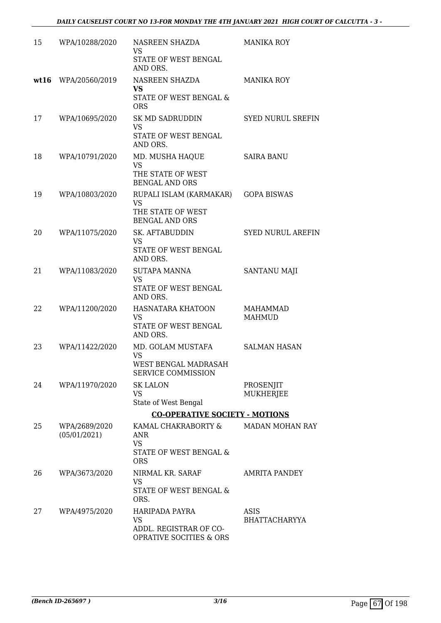| 15   | WPA/10288/2020                | NASREEN SHAZDA<br>VS.<br>STATE OF WEST BENGAL<br>AND ORS.                          | <b>MANIKA ROY</b>                |
|------|-------------------------------|------------------------------------------------------------------------------------|----------------------------------|
| wt16 | WPA/20560/2019                | NASREEN SHAZDA<br>VS<br>STATE OF WEST BENGAL &<br><b>ORS</b>                       | <b>MANIKA ROY</b>                |
| 17   | WPA/10695/2020                | SK MD SADRUDDIN<br><b>VS</b><br><b>STATE OF WEST BENGAL</b><br>AND ORS.            | <b>SYED NURUL SREFIN</b>         |
| 18   | WPA/10791/2020                | MD. MUSHA HAQUE<br><b>VS</b><br>THE STATE OF WEST<br><b>BENGAL AND ORS</b>         | <b>SAIRA BANU</b>                |
| 19   | WPA/10803/2020                | RUPALI ISLAM (KARMAKAR)<br><b>VS</b><br>THE STATE OF WEST<br><b>BENGAL AND ORS</b> | <b>GOPA BISWAS</b>               |
| 20   | WPA/11075/2020                | SK. AFTABUDDIN<br><b>VS</b><br>STATE OF WEST BENGAL<br>AND ORS.                    | <b>SYED NURUL AREFIN</b>         |
| 21   | WPA/11083/2020                | <b>SUTAPA MANNA</b><br><b>VS</b><br>STATE OF WEST BENGAL<br>AND ORS.               | SANTANU MAJI                     |
| 22   | WPA/11200/2020                | HASNATARA KHATOON<br><b>VS</b><br>STATE OF WEST BENGAL<br>AND ORS.                 | <b>MAHAMMAD</b><br><b>MAHMUD</b> |
| 23   | WPA/11422/2020                | MD. GOLAM MUSTAFA<br><b>VS</b><br>WEST BENGAL MADRASAH<br>SERVICE COMMISSION       | <b>SALMAN HASAN</b>              |
| 24   | WPA/11970/2020                | <b>SK LALON</b><br>VS<br>State of West Bengal                                      | PROSENJIT<br><b>MUKHERJEE</b>    |
|      |                               | <b>CO-OPERATIVE SOCIETY - MOTIONS</b>                                              |                                  |
| 25   | WPA/2689/2020<br>(05/01/2021) | KAMAL CHAKRABORTY &<br>ANR<br><b>VS</b><br>STATE OF WEST BENGAL &<br><b>ORS</b>    | <b>MADAN MOHAN RAY</b>           |
| 26   | WPA/3673/2020                 | NIRMAL KR. SARAF<br>VS<br>STATE OF WEST BENGAL &<br>ORS.                           | <b>AMRITA PANDEY</b>             |
| 27   | WPA/4975/2020                 | HARIPADA PAYRA<br>VS<br>ADDL. REGISTRAR OF CO-<br>OPRATIVE SOCITIES & ORS          | ASIS<br><b>BHATTACHARYYA</b>     |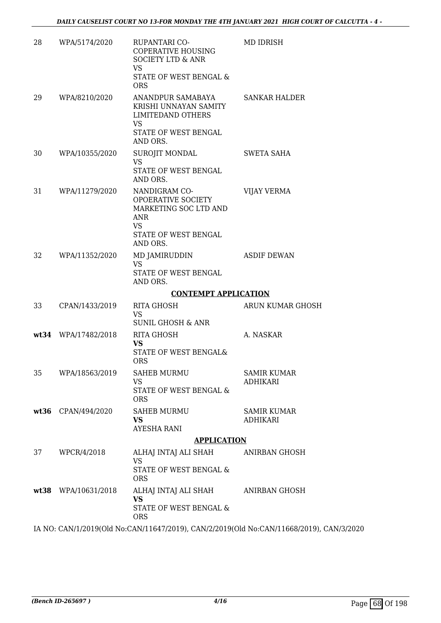| 28 | WPA/5174/2020       | RUPANTARI CO-<br><b>COPERATIVE HOUSING</b><br><b>SOCIETY LTD &amp; ANR</b><br><b>VS</b><br>STATE OF WEST BENGAL &<br><b>ORS</b> | MD IDRISH                             |
|----|---------------------|---------------------------------------------------------------------------------------------------------------------------------|---------------------------------------|
| 29 | WPA/8210/2020       | ANANDPUR SAMABAYA<br>KRISHI UNNAYAN SAMITY<br><b>LIMITEDAND OTHERS</b><br>VS<br>STATE OF WEST BENGAL<br>AND ORS.                | <b>SANKAR HALDER</b>                  |
| 30 | WPA/10355/2020      | SUROJIT MONDAL<br>VS<br>STATE OF WEST BENGAL<br>AND ORS.                                                                        | SWETA SAHA                            |
| 31 | WPA/11279/2020      | NANDIGRAM CO-<br><b>OPOERATIVE SOCIETY</b><br>MARKETING SOC LTD AND<br><b>ANR</b><br>VS.<br>STATE OF WEST BENGAL<br>AND ORS.    | <b>VIJAY VERMA</b>                    |
| 32 | WPA/11352/2020      | MD JAMIRUDDIN<br>VS.<br>STATE OF WEST BENGAL<br>AND ORS.                                                                        | <b>ASDIF DEWAN</b>                    |
|    |                     | <b>CONTEMPT APPLICATION</b>                                                                                                     |                                       |
| 33 | CPAN/1433/2019      | <b>RITA GHOSH</b><br><b>VS</b><br><b>SUNIL GHOSH &amp; ANR</b>                                                                  | ARUN KUMAR GHOSH                      |
|    | wt34 WPA/17482/2018 | <b>RITA GHOSH</b><br>VS<br>STATE OF WEST BENGAL&<br><b>ORS</b>                                                                  | A. NASKAR                             |
| 35 | WPA/18563/2019      | <b>SAHEB MURMU</b><br><b>VS</b><br>STATE OF WEST BENGAL &<br><b>ORS</b>                                                         | <b>SAMIR KUMAR</b><br><b>ADHIKARI</b> |
|    | wt36 CPAN/494/2020  | SAHEB MURMU<br><b>VS</b><br>AYESHA RANI                                                                                         | <b>SAMIR KUMAR</b><br>ADHIKARI        |
|    |                     | <b>APPLICATION</b>                                                                                                              |                                       |
| 37 | WPCR/4/2018         | ALHAJ INTAJ ALI SHAH ANIRBAN GHOSH<br>VS.<br>STATE OF WEST BENGAL &<br><b>ORS</b>                                               |                                       |
|    | wt38 WPA/10631/2018 | ALHAJ INTAJ ALI SHAH<br>VS.<br>STATE OF WEST BENGAL &<br><b>ORS</b>                                                             | ANIRBAN GHOSH                         |
|    |                     |                                                                                                                                 |                                       |

IA NO: CAN/1/2019(Old No:CAN/11647/2019), CAN/2/2019(Old No:CAN/11668/2019), CAN/3/2020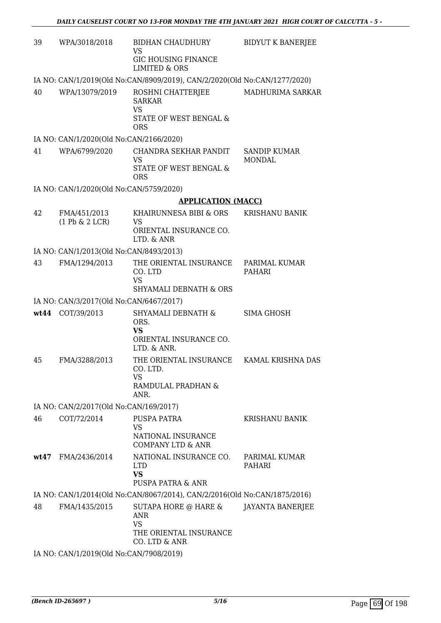| 39   | WPA/3018/2018                           | BIDHAN CHAUDHURY<br>VS                                                                         | <b>BIDYUT K BANERJEE</b>             |  |  |
|------|-----------------------------------------|------------------------------------------------------------------------------------------------|--------------------------------------|--|--|
|      |                                         | <b>GIC HOUSING FINANCE</b><br><b>LIMITED &amp; ORS</b>                                         |                                      |  |  |
|      |                                         | IA NO: CAN/1/2019(Old No:CAN/8909/2019), CAN/2/2020(Old No:CAN/1277/2020)                      |                                      |  |  |
| 40   | WPA/13079/2019                          | ROSHNI CHATTERJEE<br><b>SARKAR</b><br><b>VS</b>                                                | MADHURIMA SARKAR                     |  |  |
|      |                                         | STATE OF WEST BENGAL &<br><b>ORS</b>                                                           |                                      |  |  |
|      | IA NO: CAN/1/2020(Old No:CAN/2166/2020) |                                                                                                |                                      |  |  |
| 41   | WPA/6799/2020                           | CHANDRA SEKHAR PANDIT<br>VS<br>STATE OF WEST BENGAL &<br><b>ORS</b>                            | <b>SANDIP KUMAR</b><br><b>MONDAL</b> |  |  |
|      | IA NO: CAN/1/2020(Old No:CAN/5759/2020) |                                                                                                |                                      |  |  |
|      |                                         | <b>APPLICATION (MACC)</b>                                                                      |                                      |  |  |
| 42   | FMA/451/2013                            | KHAIRUNNESA BIBI & ORS                                                                         | <b>KRISHANU BANIK</b>                |  |  |
|      | $(1$ Pb & $2$ LCR)                      | VS<br>ORIENTAL INSURANCE CO.<br>LTD. & ANR                                                     |                                      |  |  |
|      | IA NO: CAN/1/2013(Old No:CAN/8493/2013) |                                                                                                |                                      |  |  |
| 43   | FMA/1294/2013                           | THE ORIENTAL INSURANCE<br>CO. LTD<br><b>VS</b><br><b>SHYAMALI DEBNATH &amp; ORS</b>            | PARIMAL KUMAR<br>PAHARI              |  |  |
|      | IA NO: CAN/3/2017(Old No:CAN/6467/2017) |                                                                                                |                                      |  |  |
|      | wt44 COT/39/2013                        | SHYAMALI DEBNATH &                                                                             | SIMA GHOSH                           |  |  |
|      |                                         | ORS.                                                                                           |                                      |  |  |
|      |                                         | <b>VS</b><br>ORIENTAL INSURANCE CO.                                                            |                                      |  |  |
|      |                                         | LTD. & ANR.                                                                                    |                                      |  |  |
| 45   | FMA/3288/2013                           | THE ORIENTAL INSURANCE<br>CO. LTD.<br>VS                                                       | KAMAL KRISHNA DAS                    |  |  |
|      |                                         | RAMDULAL PRADHAN &<br>ANR.                                                                     |                                      |  |  |
|      | IA NO: CAN/2/2017(Old No:CAN/169/2017)  |                                                                                                |                                      |  |  |
| 46   | COT/72/2014                             | PUSPA PATRA                                                                                    | KRISHANU BANIK                       |  |  |
|      |                                         | <b>VS</b>                                                                                      |                                      |  |  |
|      |                                         | NATIONAL INSURANCE<br><b>COMPANY LTD &amp; ANR</b>                                             |                                      |  |  |
| wt47 | FMA/2436/2014                           | NATIONAL INSURANCE CO.                                                                         | PARIMAL KUMAR                        |  |  |
|      |                                         | <b>LTD</b><br><b>VS</b>                                                                        | PAHARI                               |  |  |
|      |                                         | PUSPA PATRA & ANR<br>IA NO: CAN/1/2014(Old No:CAN/8067/2014), CAN/2/2016(Old No:CAN/1875/2016) |                                      |  |  |
| 48   | FMA/1435/2015                           | SUTAPA HORE @ HARE &                                                                           | <b>JAYANTA BANERJEE</b>              |  |  |
|      |                                         |                                                                                                |                                      |  |  |
|      |                                         | ANR<br><b>VS</b>                                                                               |                                      |  |  |
|      |                                         | THE ORIENTAL INSURANCE<br>CO. LTD & ANR                                                        |                                      |  |  |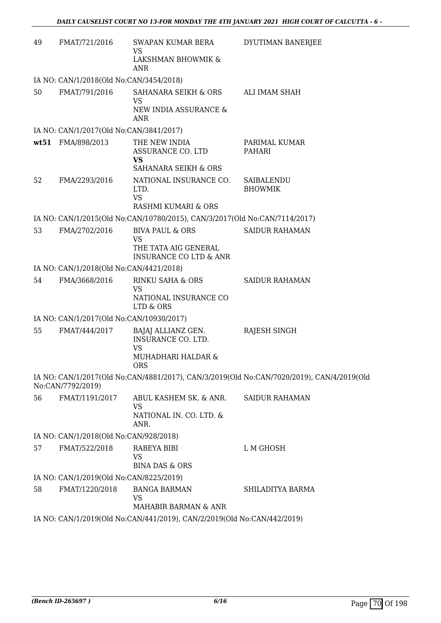| 49   | FMAT/721/2016                            | SWAPAN KUMAR BERA<br>VS                                                    | DYUTIMAN BANERJEE                                                                         |
|------|------------------------------------------|----------------------------------------------------------------------------|-------------------------------------------------------------------------------------------|
|      |                                          | LAKSHMAN BHOWMIK &<br>ANR                                                  |                                                                                           |
|      | IA NO: CAN/1/2018(Old No:CAN/3454/2018)  |                                                                            |                                                                                           |
| 50   | FMAT/791/2016                            | SAHANARA SEIKH & ORS                                                       | ALI IMAM SHAH                                                                             |
|      |                                          | VS<br>NEW INDIA ASSURANCE &<br><b>ANR</b>                                  |                                                                                           |
|      | IA NO: CAN/1/2017(Old No:CAN/3841/2017)  |                                                                            |                                                                                           |
| wt51 | FMA/898/2013                             | THE NEW INDIA<br>ASSURANCE CO. LTD<br>VS<br>SAHANARA SEIKH & ORS           | PARIMAL KUMAR<br>PAHARI                                                                   |
| 52   | FMA/2293/2016                            | NATIONAL INSURANCE CO.<br>LTD.<br><b>VS</b>                                | SAIBALENDU<br><b>BHOWMIK</b>                                                              |
|      |                                          | RASHMI KUMARI & ORS                                                        |                                                                                           |
|      |                                          | IA NO: CAN/1/2015(Old No:CAN/10780/2015), CAN/3/2017(Old No:CAN/7114/2017) |                                                                                           |
| 53   | FMA/2702/2016                            | <b>BIVA PAUL &amp; ORS</b>                                                 | <b>SAIDUR RAHAMAN</b>                                                                     |
|      |                                          | <b>VS</b><br>THE TATA AIG GENERAL<br><b>INSURANCE CO LTD &amp; ANR</b>     |                                                                                           |
|      | IA NO: CAN/1/2018(Old No:CAN/4421/2018)  |                                                                            |                                                                                           |
| 54   | FMA/3668/2016                            | RINKU SAHA & ORS                                                           | <b>SAIDUR RAHAMAN</b>                                                                     |
|      |                                          | <b>VS</b><br>NATIONAL INSURANCE CO<br>LTD & ORS                            |                                                                                           |
|      | IA NO: CAN/1/2017(Old No:CAN/10930/2017) |                                                                            |                                                                                           |
| 55   | FMAT/444/2017                            | BAJAJ ALLIANZ GEN.<br>INSURANCE CO. LTD.<br><b>VS</b>                      | RAJESH SINGH                                                                              |
|      |                                          | <b>MUHADHARI HALDAR &amp;</b><br><b>ORS</b>                                |                                                                                           |
|      | No:CAN/7792/2019)                        |                                                                            | IA NO: CAN/1/2017(Old No:CAN/4881/2017), CAN/3/2019(Old No:CAN/7020/2019), CAN/4/2019(Old |
| 56   | FMAT/1191/2017                           | ABUL KASHEM SK. & ANR.<br><b>VS</b><br>NATIONAL IN. CO. LTD. &<br>ANR.     | <b>SAIDUR RAHAMAN</b>                                                                     |
|      | IA NO: CAN/1/2018(Old No:CAN/928/2018)   |                                                                            |                                                                                           |
| 57   | FMAT/522/2018                            | RABEYA BIBI<br>VS<br><b>BINA DAS &amp; ORS</b>                             | L M GHOSH                                                                                 |
|      | IA NO: CAN/1/2019(Old No:CAN/8225/2019)  |                                                                            |                                                                                           |
| 58   | FMAT/1220/2018                           | <b>BANGA BARMAN</b>                                                        | SHILADITYA BARMA                                                                          |
|      |                                          | VS<br>MAHABIR BARMAN & ANR                                                 |                                                                                           |
|      |                                          | IA NO: CAN/1/2019(Old No:CAN/441/2019), CAN/2/2019(Old No:CAN/442/2019)    |                                                                                           |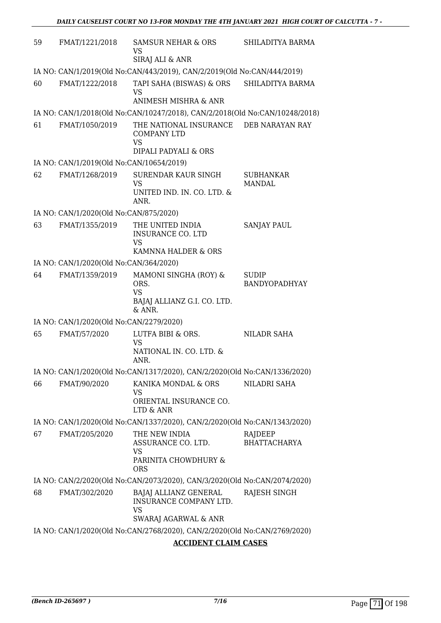| 59 | FMAT/1221/2018                           | SAMSUR NEHAR & ORS<br>VS<br>SIRAJ ALI & ANR                                         | SHILADITYA BARMA               |
|----|------------------------------------------|-------------------------------------------------------------------------------------|--------------------------------|
|    |                                          | IA NO: CAN/1/2019(Old No:CAN/443/2019), CAN/2/2019(Old No:CAN/444/2019)             |                                |
| 60 | FMAT/1222/2018                           | TAPI SAHA (BISWAS) & ORS<br><b>VS</b><br>ANIMESH MISHRA & ANR                       | SHILADITYA BARMA               |
|    |                                          | IA NO: CAN/1/2018(Old No:CAN/10247/2018), CAN/2/2018(Old No:CAN/10248/2018)         |                                |
| 61 | FMAT/1050/2019                           | THE NATIONAL INSURANCE<br><b>COMPANY LTD</b><br><b>VS</b><br>DIPALI PADYALI & ORS   | DEB NARAYAN RAY                |
|    | IA NO: CAN/1/2019(Old No:CAN/10654/2019) |                                                                                     |                                |
| 62 | FMAT/1268/2019                           | SURENDAR KAUR SINGH<br>VS<br>UNITED IND. IN. CO. LTD. &<br>ANR.                     | SUBHANKAR<br>MANDAL            |
|    | IA NO: CAN/1/2020(Old No:CAN/875/2020)   |                                                                                     |                                |
| 63 | FMAT/1355/2019                           | THE UNITED INDIA<br><b>INSURANCE CO. LTD</b><br><b>VS</b><br>KAMNNA HALDER & ORS    | <b>SANJAY PAUL</b>             |
|    | IA NO: CAN/1/2020(Old No:CAN/364/2020)   |                                                                                     |                                |
| 64 | FMAT/1359/2019                           | MAMONI SINGHA (ROY) &<br>ORS.<br><b>VS</b><br>BAJAJ ALLIANZ G.I. CO. LTD.<br>& ANR. | SUDIP<br>BANDYOPADHYAY         |
|    | IA NO: CAN/1/2020(Old No:CAN/2279/2020)  |                                                                                     |                                |
| 65 | FMAT/57/2020                             | LUTFA BIBI & ORS.<br>VS<br>NATIONAL IN. CO. LTD. &<br>ANR.                          | NILADR SAHA                    |
|    |                                          | IA NO: CAN/1/2020(Old No:CAN/1317/2020), CAN/2/2020(Old No:CAN/1336/2020)           |                                |
| 66 | FMAT/90/2020                             | KANIKA MONDAL & ORS<br>VS<br>ORIENTAL INSURANCE CO.<br>LTD & ANR                    | NILADRI SAHA                   |
|    |                                          | IA NO: CAN/1/2020(Old No:CAN/1337/2020), CAN/2/2020(Old No:CAN/1343/2020)           |                                |
| 67 | FMAT/205/2020                            | THE NEW INDIA<br>ASSURANCE CO. LTD.<br>VS<br>PARINITA CHOWDHURY &<br><b>ORS</b>     | RAJDEEP<br><b>BHATTACHARYA</b> |
|    |                                          | IA NO: CAN/2/2020(Old No:CAN/2073/2020), CAN/3/2020(Old No:CAN/2074/2020)           |                                |
| 68 | FMAT/302/2020                            | BAJAJ ALLIANZ GENERAL<br>INSURANCE COMPANY LTD.<br>VS<br>SWARAJ AGARWAL & ANR       | RAJESH SINGH                   |
|    |                                          | IA NO: CAN/1/2020(Old No:CAN/2768/2020), CAN/2/2020(Old No:CAN/2769/2020)           |                                |
|    |                                          | <b>ACCIDENT CLAIM CASES</b>                                                         |                                |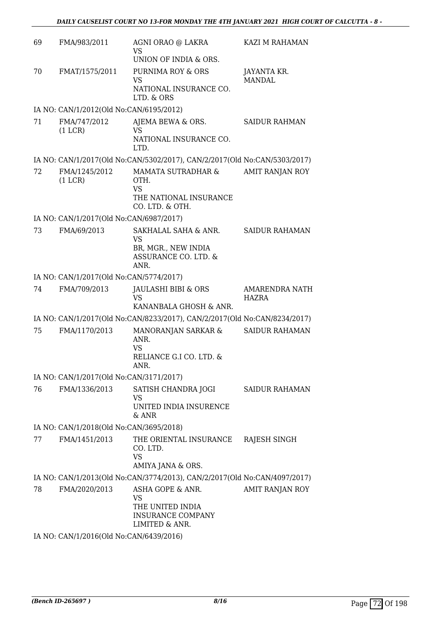| 69 | FMA/983/2011                            | AGNI ORAO @ LAKRA<br>VS<br>UNION OF INDIA & ORS.                                         | KAZI M RAHAMAN                 |
|----|-----------------------------------------|------------------------------------------------------------------------------------------|--------------------------------|
| 70 | FMAT/1575/2011                          | PURNIMA ROY & ORS<br><b>VS</b><br>NATIONAL INSURANCE CO.<br>LTD. & ORS                   | JAYANTA KR.<br><b>MANDAL</b>   |
|    | IA NO: CAN/1/2012(Old No:CAN/6195/2012) |                                                                                          |                                |
| 71 | FMA/747/2012<br>(1 LCR)                 | AJEMA BEWA & ORS.<br>VS<br>NATIONAL INSURANCE CO.<br>LTD.                                | <b>SAIDUR RAHMAN</b>           |
|    |                                         | IA NO: CAN/1/2017(Old No:CAN/5302/2017), CAN/2/2017(Old No:CAN/5303/2017)                |                                |
| 72 | FMA/1245/2012<br>(1 LCR)                | MAMATA SUTRADHAR &<br>OTH.<br><b>VS</b><br>THE NATIONAL INSURANCE                        | AMIT RANJAN ROY                |
|    | IA NO: CAN/1/2017(Old No:CAN/6987/2017) | CO. LTD. & OTH.                                                                          |                                |
| 73 | FMA/69/2013                             | SAKHALAL SAHA & ANR.<br><b>VS</b><br>BR, MGR., NEW INDIA<br>ASSURANCE CO. LTD. &<br>ANR. | <b>SAIDUR RAHAMAN</b>          |
|    | IA NO: CAN/1/2017(Old No:CAN/5774/2017) |                                                                                          |                                |
| 74 | FMA/709/2013                            | JAULASHI BIBI & ORS<br><b>VS</b>                                                         | <b>AMARENDRA NATH</b><br>HAZRA |
|    |                                         | KANANBALA GHOSH & ANR.                                                                   |                                |
|    |                                         | IA NO: CAN/1/2017(Old No:CAN/8233/2017), CAN/2/2017(Old No:CAN/8234/2017)                |                                |
| 75 | FMA/1170/2013                           | MANORANJAN SARKAR &<br>ANR.<br><b>VS</b><br>RELIANCE G.I CO. LTD. &<br>ANR.              | <b>SAIDUR RAHAMAN</b>          |
|    | IA NO: CAN/1/2017(Old No:CAN/3171/2017) |                                                                                          |                                |
| 76 | FMA/1336/2013                           | SATISH CHANDRA JOGI<br>VS<br>UNITED INDIA INSURENCE<br>$&$ ANR                           | SAIDUR RAHAMAN                 |
|    | IA NO: CAN/1/2018(Old No:CAN/3695/2018) |                                                                                          |                                |
| 77 | FMA/1451/2013                           | THE ORIENTAL INSURANCE<br>CO. LTD.<br><b>VS</b><br>AMIYA JANA & ORS.                     | RAJESH SINGH                   |
|    |                                         | IA NO: CAN/1/2013(Old No:CAN/3774/2013), CAN/2/2017(Old No:CAN/4097/2017)                |                                |
| 78 | FMA/2020/2013                           | ASHA GOPE & ANR.<br>VS<br>THE UNITED INDIA<br><b>INSURANCE COMPANY</b><br>LIMITED & ANR. | AMIT RANJAN ROY                |
|    | IA NO: CAN/1/2016(Old No:CAN/6439/2016) |                                                                                          |                                |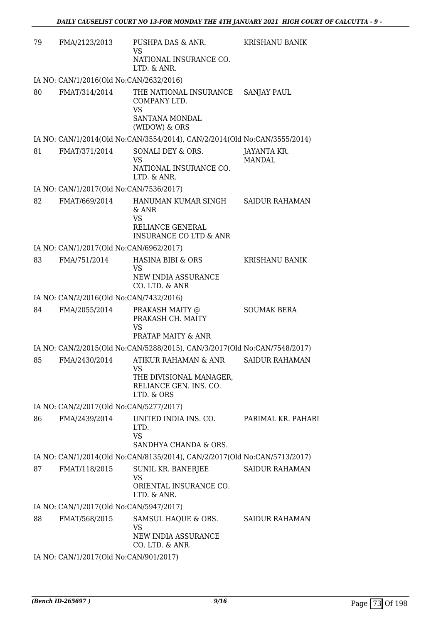| 79 | FMA/2123/2013                           | PUSHPA DAS & ANR.<br>VS<br>NATIONAL INSURANCE CO.                                                    | KRISHANU BANIK        |
|----|-----------------------------------------|------------------------------------------------------------------------------------------------------|-----------------------|
|    |                                         | LTD. & ANR.                                                                                          |                       |
|    | IA NO: CAN/1/2016(Old No:CAN/2632/2016) |                                                                                                      |                       |
| 80 | FMAT/314/2014                           | THE NATIONAL INSURANCE<br>COMPANY LTD.<br><b>VS</b><br>SANTANA MONDAL                                | <b>SANJAY PAUL</b>    |
|    |                                         | (WIDOW) & ORS                                                                                        |                       |
|    |                                         | IA NO: CAN/1/2014(Old No:CAN/3554/2014), CAN/2/2014(Old No:CAN/3555/2014)                            |                       |
| 81 | FMAT/371/2014                           | SONALI DEY & ORS.<br>VS<br>NATIONAL INSURANCE CO.<br>LTD. & ANR.                                     | JAYANTA KR.<br>MANDAL |
|    | IA NO: CAN/1/2017(Old No:CAN/7536/2017) |                                                                                                      |                       |
| 82 | FMAT/669/2014                           | HANUMAN KUMAR SINGH<br>$&$ ANR<br><b>VS</b><br>RELIANCE GENERAL<br><b>INSURANCE CO LTD &amp; ANR</b> | <b>SAIDUR RAHAMAN</b> |
|    | IA NO: CAN/1/2017(Old No:CAN/6962/2017) |                                                                                                      |                       |
| 83 | FMA/751/2014                            | HASINA BIBI & ORS<br><b>VS</b><br>NEW INDIA ASSURANCE                                                | <b>KRISHANU BANIK</b> |
|    |                                         | CO. LTD. & ANR                                                                                       |                       |
|    | IA NO: CAN/2/2016(Old No:CAN/7432/2016) |                                                                                                      |                       |
| 84 | FMA/2055/2014                           | PRAKASH MAITY @<br>PRAKASH CH. MAITY<br><b>VS</b><br>PRATAP MAITY & ANR                              | <b>SOUMAK BERA</b>    |
|    |                                         | IA NO: CAN/2/2015(Old No:CAN/5288/2015), CAN/3/2017(Old No:CAN/7548/2017)                            |                       |
| 85 | FMA/2430/2014                           | ATIKUR RAHAMAN & ANR<br><b>VS</b><br>THE DIVISIONAL MANAGER,<br>RELIANCE GEN. INS. CO.<br>LTD. & ORS | <b>SAIDUR RAHAMAN</b> |
|    | IA NO: CAN/2/2017(Old No:CAN/5277/2017) |                                                                                                      |                       |
| 86 | FMA/2439/2014                           | UNITED INDIA INS. CO.<br>LTD.<br><b>VS</b><br>SANDHYA CHANDA & ORS.                                  | PARIMAL KR. PAHARI    |
|    |                                         | IA NO: CAN/1/2014(Old No:CAN/8135/2014), CAN/2/2017(Old No:CAN/5713/2017)                            |                       |
| 87 | FMAT/118/2015                           | SUNIL KR. BANERJEE<br>VS<br>ORIENTAL INSURANCE CO.<br>LTD. & ANR.                                    | <b>SAIDUR RAHAMAN</b> |
|    | IA NO: CAN/1/2017(Old No:CAN/5947/2017) |                                                                                                      |                       |
| 88 | FMAT/568/2015                           | SAMSUL HAQUE & ORS.<br>VS<br>NEW INDIA ASSURANCE<br>CO. LTD. & ANR.                                  | SAIDUR RAHAMAN        |
|    | IA NO: CAN/1/2017(Old No:CAN/901/2017)  |                                                                                                      |                       |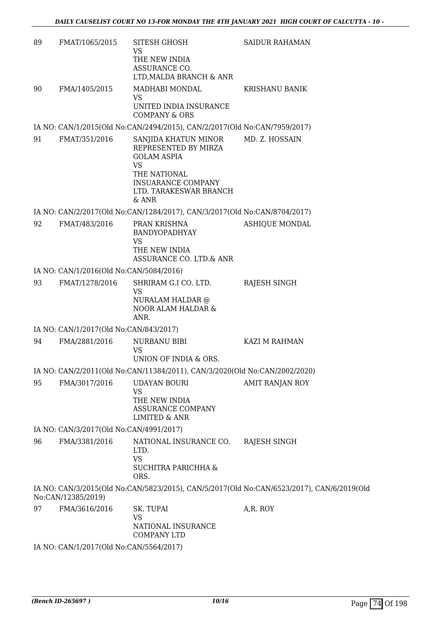| 89 | FMAT/1065/2015                                          | SITESH GHOSH<br>VS                                                                                                                                                | <b>SAIDUR RAHAMAN</b>                                                                     |
|----|---------------------------------------------------------|-------------------------------------------------------------------------------------------------------------------------------------------------------------------|-------------------------------------------------------------------------------------------|
|    |                                                         | THE NEW INDIA<br>ASSURANCE CO.<br>LTD, MALDA BRANCH & ANR                                                                                                         |                                                                                           |
| 90 | FMA/1405/2015                                           | MADHABI MONDAL                                                                                                                                                    | <b>KRISHANU BANIK</b>                                                                     |
|    |                                                         | VS<br>UNITED INDIA INSURANCE<br><b>COMPANY &amp; ORS</b>                                                                                                          |                                                                                           |
|    |                                                         | IA NO: CAN/1/2015(Old No:CAN/2494/2015), CAN/2/2017(Old No:CAN/7959/2017)                                                                                         |                                                                                           |
| 91 | FMAT/351/2016                                           | SANJIDA KHATUN MINOR<br>REPRESENTED BY MIRZA<br><b>GOLAM ASPIA</b><br><b>VS</b><br>THE NATIONAL<br><b>INSUARANCE COMPANY</b><br>LTD. TARAKESWAR BRANCH<br>$&$ ANR | MD. Z. HOSSAIN                                                                            |
|    |                                                         | IA NO: CAN/2/2017(Old No:CAN/1284/2017), CAN/3/2017(Old No:CAN/8704/2017)                                                                                         |                                                                                           |
| 92 | FMAT/483/2016                                           | PRAN KRISHNA<br>BANDYOPADHYAY<br><b>VS</b><br>THE NEW INDIA<br>ASSURANCE CO. LTD.& ANR                                                                            | <b>ASHIQUE MONDAL</b>                                                                     |
|    | IA NO: CAN/1/2016(Old No:CAN/5084/2016)                 |                                                                                                                                                                   |                                                                                           |
| 93 | FMAT/1278/2016                                          | SHRIRAM G.I CO. LTD.<br>VS<br>NURALAM HALDAR @<br>NOOR ALAM HALDAR &                                                                                              | RAJESH SINGH                                                                              |
|    |                                                         | ANR.                                                                                                                                                              |                                                                                           |
| 94 | IA NO: CAN/1/2017(Old No:CAN/843/2017)<br>FMA/2881/2016 | NURBANU BIBI                                                                                                                                                      | KAZI M RAHMAN                                                                             |
|    |                                                         | VS<br>UNION OF INDIA & ORS.                                                                                                                                       |                                                                                           |
|    |                                                         | IA NO: CAN/2/2011(Old No:CAN/11384/2011), CAN/3/2020(Old No:CAN/2002/2020)                                                                                        |                                                                                           |
| 95 | FMA/3017/2016                                           | <b>UDAYAN BOURI</b><br>VS<br>THE NEW INDIA<br><b>ASSURANCE COMPANY</b><br><b>LIMITED &amp; ANR</b>                                                                | AMIT RANJAN ROY                                                                           |
|    | IA NO: CAN/3/2017(Old No:CAN/4991/2017)                 |                                                                                                                                                                   |                                                                                           |
| 96 | FMA/3381/2016                                           | NATIONAL INSURANCE CO.<br>LTD.<br><b>VS</b><br>SUCHITRA PARICHHA &<br>ORS.                                                                                        | RAJESH SINGH                                                                              |
|    | No:CAN/12385/2019)                                      |                                                                                                                                                                   | IA NO: CAN/3/2015(Old No:CAN/5823/2015), CAN/5/2017(Old No:CAN/6523/2017), CAN/6/2019(Old |
| 97 | FMA/3616/2016                                           | SK. TUPAI<br>VS<br>NATIONAL INSURANCE<br><b>COMPANY LTD</b>                                                                                                       | A,R. ROY                                                                                  |
|    | IA NO. CANIJI (2017) OLI No. CANIEE CAIZO17)            |                                                                                                                                                                   |                                                                                           |

IA NO: CAN/1/2017(Old No:CAN/5564/2017)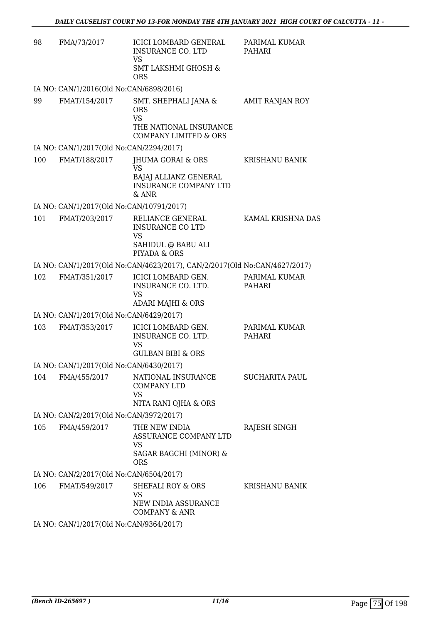| 98  | FMA/73/2017                                              | <b>ICICI LOMBARD GENERAL</b><br><b>INSURANCE CO. LTD</b><br>VS.<br><b>SMT LAKSHMI GHOSH &amp;</b><br><b>ORS</b> | PARIMAL KUMAR<br>PAHARI        |
|-----|----------------------------------------------------------|-----------------------------------------------------------------------------------------------------------------|--------------------------------|
|     | IA NO: CAN/1/2016(Old No:CAN/6898/2016)                  |                                                                                                                 |                                |
| 99  | FMAT/154/2017                                            | SMT. SHEPHALI JANA &<br><b>ORS</b><br><b>VS</b><br>THE NATIONAL INSURANCE                                       | <b>AMIT RANJAN ROY</b>         |
|     |                                                          | <b>COMPANY LIMITED &amp; ORS</b>                                                                                |                                |
| 100 | IA NO: CAN/1/2017(Old No:CAN/2294/2017)<br>FMAT/188/2017 | JHUMA GORAI & ORS                                                                                               | KRISHANU BANIK                 |
|     |                                                          | <b>VS</b><br>BAJAJ ALLIANZ GENERAL<br><b>INSURANCE COMPANY LTD</b><br>$&$ ANR                                   |                                |
|     | IA NO: CAN/1/2017(Old No:CAN/10791/2017)                 |                                                                                                                 |                                |
| 101 | FMAT/203/2017                                            | RELIANCE GENERAL<br><b>INSURANCE CO LTD</b><br><b>VS</b><br>SAHIDUL @ BABU ALI<br>PIYADA & ORS                  | KAMAL KRISHNA DAS              |
|     |                                                          | IA NO: CAN/1/2017(Old No:CAN/4623/2017), CAN/2/2017(Old No:CAN/4627/2017)                                       |                                |
| 102 | FMAT/351/2017                                            | ICICI LOMBARD GEN.<br>INSURANCE CO. LTD.<br><b>VS</b><br>ADARI MAJHI & ORS                                      | PARIMAL KUMAR<br>PAHARI        |
|     | IA NO: CAN/1/2017(Old No:CAN/6429/2017)                  |                                                                                                                 |                                |
| 103 | FMAT/353/2017                                            | ICICI LOMBARD GEN.<br>INSURANCE CO. LTD.<br><b>VS</b><br><b>GULBAN BIBI &amp; ORS</b>                           | PARIMAL KUMAR<br><b>PAHARI</b> |
|     | IA NO: CAN/1/2017(Old No:CAN/6430/2017)                  |                                                                                                                 |                                |
| 104 | FMA/455/2017                                             | NATIONAL INSURANCE<br><b>COMPANY LTD</b><br><b>VS</b><br>NITA RANI OJHA & ORS                                   | <b>SUCHARITA PAUL</b>          |
|     | IA NO: CAN/2/2017(Old No:CAN/3972/2017)                  |                                                                                                                 |                                |
| 105 | FMA/459/2017                                             | THE NEW INDIA<br>ASSURANCE COMPANY LTD<br>VS.<br>SAGAR BAGCHI (MINOR) &<br><b>ORS</b>                           | RAJESH SINGH                   |
|     | IA NO: CAN/2/2017(Old No:CAN/6504/2017)                  |                                                                                                                 |                                |
| 106 | FMAT/549/2017                                            | SHEFALI ROY & ORS<br>VS<br>NEW INDIA ASSURANCE<br><b>COMPANY &amp; ANR</b>                                      | <b>KRISHANU BANIK</b>          |
|     | IA NO: CAN/1/2017(Old No:CAN/9364/2017)                  |                                                                                                                 |                                |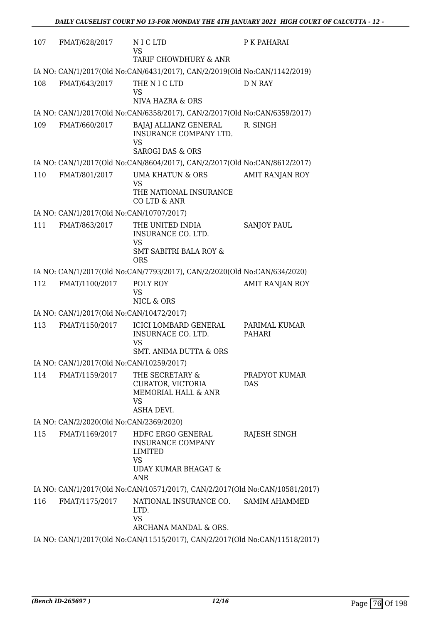| 107 | FMAT/628/2017                            | NICLTD<br>VS                                                                                               | P K PAHARAI                 |
|-----|------------------------------------------|------------------------------------------------------------------------------------------------------------|-----------------------------|
|     |                                          | TARIF CHOWDHURY & ANR                                                                                      |                             |
|     |                                          | IA NO: CAN/1/2017(Old No:CAN/6431/2017), CAN/2/2019(Old No:CAN/1142/2019)                                  |                             |
| 108 | FMAT/643/2017                            | THE N I C LTD<br>VS<br>NIVA HAZRA & ORS                                                                    | <b>D N RAY</b>              |
|     |                                          | IA NO: CAN/1/2017(Old No:CAN/6358/2017), CAN/2/2017(Old No:CAN/6359/2017)                                  |                             |
| 109 | FMAT/660/2017                            | BAJAJ ALLIANZ GENERAL<br>INSURANCE COMPANY LTD.<br>VS                                                      | R. SINGH                    |
|     |                                          | <b>SAROGI DAS &amp; ORS</b>                                                                                |                             |
|     |                                          | IA NO: CAN/1/2017(Old No:CAN/8604/2017), CAN/2/2017(Old No:CAN/8612/2017)                                  |                             |
| 110 | FMAT/801/2017                            | UMA KHATUN & ORS<br><b>VS</b><br>THE NATIONAL INSURANCE<br>CO LTD & ANR                                    | AMIT RANJAN ROY             |
|     | IA NO: CAN/1/2017(Old No:CAN/10707/2017) |                                                                                                            |                             |
| 111 | FMAT/863/2017                            | THE UNITED INDIA<br>INSURANCE CO. LTD.<br><b>VS</b><br><b>SMT SABITRI BALA ROY &amp;</b><br><b>ORS</b>     | <b>SANJOY PAUL</b>          |
|     |                                          | IA NO: CAN/1/2017(Old No:CAN/7793/2017), CAN/2/2020(Old No:CAN/634/2020)                                   |                             |
| 112 | FMAT/1100/2017                           | POLY ROY<br><b>VS</b><br>NICL & ORS                                                                        | <b>AMIT RANJAN ROY</b>      |
|     | IA NO: CAN/1/2017(Old No:CAN/10472/2017) |                                                                                                            |                             |
| 113 | FMAT/1150/2017                           | ICICI LOMBARD GENERAL<br>INSURNACE CO. LTD.<br><b>VS</b><br>SMT. ANIMA DUTTA & ORS                         | PARIMAL KUMAR<br>PAHARI     |
|     | IA NO: CAN/1/2017(Old No:CAN/10259/2017) |                                                                                                            |                             |
| 114 | FMAT/1159/2017                           | THE SECRETARY &<br>CURATOR, VICTORIA<br>MEMORIAL HALL & ANR<br><b>VS</b><br><b>ASHA DEVI.</b>              | PRADYOT KUMAR<br><b>DAS</b> |
|     | IA NO: CAN/2/2020(Old No:CAN/2369/2020)  |                                                                                                            |                             |
| 115 | FMAT/1169/2017                           | HDFC ERGO GENERAL<br><b>INSURANCE COMPANY</b><br><b>LIMITED</b><br><b>VS</b><br>UDAY KUMAR BHAGAT &<br>ANR | RAJESH SINGH                |
|     |                                          | IA NO: CAN/1/2017(Old No:CAN/10571/2017), CAN/2/2017(Old No:CAN/10581/2017)                                |                             |
| 116 | FMAT/1175/2017                           | NATIONAL INSURANCE CO.<br>LTD.<br><b>VS</b><br>ARCHANA MANDAL & ORS.                                       | <b>SAMIM AHAMMED</b>        |
|     |                                          | IA NO: CAN/1/2017(Old No:CAN/11515/2017), CAN/2/2017(Old No:CAN/11518/2017)                                |                             |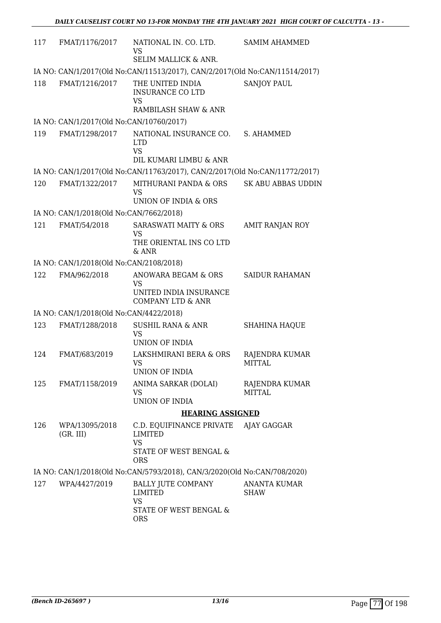| 117 | FMAT/1176/2017                           | NATIONAL IN. CO. LTD.<br>VS                                                       | <b>SAMIM AHAMMED</b>               |
|-----|------------------------------------------|-----------------------------------------------------------------------------------|------------------------------------|
|     |                                          | SELIM MALLICK & ANR.                                                              |                                    |
|     |                                          | IA NO: CAN/1/2017(Old No:CAN/11513/2017), CAN/2/2017(Old No:CAN/11514/2017)       |                                    |
| 118 | FMAT/1216/2017                           | THE UNITED INDIA<br><b>INSURANCE CO LTD</b><br><b>VS</b><br>RAMBILASH SHAW & ANR  | <b>SANJOY PAUL</b>                 |
|     | IA NO: CAN/1/2017(Old No:CAN/10760/2017) |                                                                                   |                                    |
| 119 | FMAT/1298/2017                           | NATIONAL INSURANCE CO.<br><b>LTD</b><br><b>VS</b><br>DIL KUMARI LIMBU & ANR       | S. AHAMMED                         |
|     |                                          | IA NO: CAN/1/2017(Old No:CAN/11763/2017), CAN/2/2017(Old No:CAN/11772/2017)       |                                    |
| 120 | FMAT/1322/2017                           | MITHURANI PANDA & ORS<br><b>VS</b><br>UNION OF INDIA & ORS                        | SK ABU ABBAS UDDIN                 |
|     | IA NO: CAN/1/2018(Old No:CAN/7662/2018)  |                                                                                   |                                    |
| 121 | FMAT/54/2018                             | <b>SARASWATI MAITY &amp; ORS</b><br><b>VS</b><br>THE ORIENTAL INS CO LTD<br>& ANR | AMIT RANJAN ROY                    |
|     | IA NO: CAN/1/2018(Old No:CAN/2108/2018)  |                                                                                   |                                    |
| 122 | FMA/962/2018                             | ANOWARA BEGAM & ORS                                                               | <b>SAIDUR RAHAMAN</b>              |
|     |                                          | VS<br>UNITED INDIA INSURANCE<br><b>COMPANY LTD &amp; ANR</b>                      |                                    |
|     | IA NO: CAN/1/2018(Old No:CAN/4422/2018)  |                                                                                   |                                    |
| 123 | FMAT/1288/2018                           | <b>SUSHIL RANA &amp; ANR</b><br>VS<br>UNION OF INDIA                              | <b>SHAHINA HAQUE</b>               |
| 124 | FMAT/683/2019                            | LAKSHMIRANI BERA & ORS<br><b>VS</b><br><b>UNION OF INDIA</b>                      | RAJENDRA KUMAR<br><b>MITTAL</b>    |
| 125 | FMAT/1158/2019                           | ANIMA SARKAR (DOLAI)<br>VS<br>UNION OF INDIA                                      | RAJENDRA KUMAR<br><b>MITTAL</b>    |
|     |                                          | <b>HEARING ASSIGNED</b>                                                           |                                    |
| 126 | WPA/13095/2018                           | C.D. EQUIFINANCE PRIVATE AJAY GAGGAR                                              |                                    |
|     | (GR. III)                                | <b>LIMITED</b>                                                                    |                                    |
|     |                                          | <b>VS</b><br>STATE OF WEST BENGAL &<br><b>ORS</b>                                 |                                    |
|     |                                          | IA NO: CAN/1/2018(Old No:CAN/5793/2018), CAN/3/2020(Old No:CAN/708/2020)          |                                    |
| 127 | WPA/4427/2019                            | <b>BALLY JUTE COMPANY</b><br>LIMITED<br><b>VS</b>                                 | <b>ANANTA KUMAR</b><br><b>SHAW</b> |
|     |                                          | STATE OF WEST BENGAL &<br><b>ORS</b>                                              |                                    |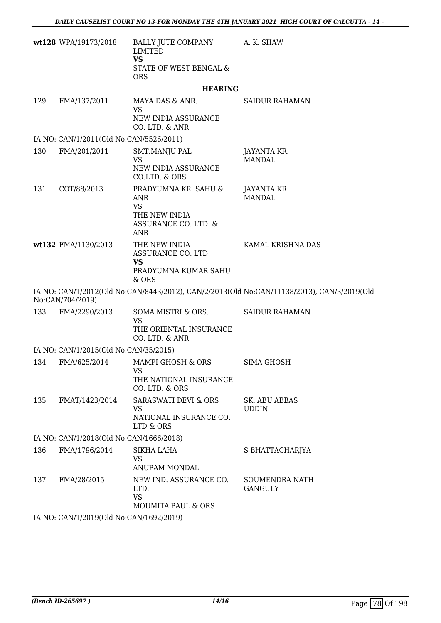|     | wt128 WPA/19173/2018                    | BALLY JUTE COMPANY<br><b>LIMITED</b>                                                     | A. K. SHAW                                                                                 |
|-----|-----------------------------------------|------------------------------------------------------------------------------------------|--------------------------------------------------------------------------------------------|
|     |                                         | <b>VS</b><br>STATE OF WEST BENGAL &<br><b>ORS</b>                                        |                                                                                            |
|     |                                         | <b>HEARING</b>                                                                           |                                                                                            |
| 129 | FMA/137/2011                            | MAYA DAS & ANR.<br>VS                                                                    | <b>SAIDUR RAHAMAN</b>                                                                      |
|     |                                         | NEW INDIA ASSURANCE<br>CO. LTD. & ANR.                                                   |                                                                                            |
|     | IA NO: CAN/1/2011(Old No:CAN/5526/2011) |                                                                                          |                                                                                            |
| 130 | FMA/201/2011                            | SMT.MANJU PAL<br>VS<br>NEW INDIA ASSURANCE<br>CO.LTD. & ORS                              | JAYANTA KR.<br><b>MANDAL</b>                                                               |
| 131 | COT/88/2013                             | PRADYUMNA KR. SAHU &<br>ANR<br><b>VS</b><br>THE NEW INDIA<br>ASSURANCE CO. LTD. &<br>ANR | JAYANTA KR.<br><b>MANDAL</b>                                                               |
|     | wt132 FMA/1130/2013                     | THE NEW INDIA<br>ASSURANCE CO. LTD<br><b>VS</b><br>PRADYUMNA KUMAR SAHU<br>& ORS         | KAMAL KRISHNA DAS                                                                          |
|     | No:CAN/704/2019)                        |                                                                                          | IA NO: CAN/1/2012(Old No:CAN/8443/2012), CAN/2/2013(Old No:CAN/11138/2013), CAN/3/2019(Old |
| 133 | FMA/2290/2013                           | SOMA MISTRI & ORS.<br><b>VS</b><br>THE ORIENTAL INSURANCE<br>CO. LTD. & ANR.             | <b>SAIDUR RAHAMAN</b>                                                                      |
|     | IA NO: CAN/1/2015(Old No:CAN/35/2015)   |                                                                                          |                                                                                            |
| 134 | FMA/625/2014                            | MAMPI GHOSH & ORS<br>VS <b>N</b>                                                         | SIMA GHOSH                                                                                 |
|     |                                         | THE NATIONAL INSURANCE<br>CO. LTD. & ORS                                                 |                                                                                            |
| 135 | FMAT/1423/2014                          | SARASWATI DEVI & ORS<br><b>VS</b><br>NATIONAL INSURANCE CO.<br>LTD & ORS                 | <b>SK. ABU ABBAS</b><br><b>UDDIN</b>                                                       |
|     | IA NO: CAN/1/2018(Old No:CAN/1666/2018) |                                                                                          |                                                                                            |
| 136 | FMA/1796/2014                           | SIKHA LAHA<br>VS<br>ANUPAM MONDAL                                                        | S BHATTACHARJYA                                                                            |
| 137 | FMA/28/2015                             | NEW IND. ASSURANCE CO.<br>LTD.<br><b>VS</b><br><b>MOUMITA PAUL &amp; ORS</b>             | <b>SOUMENDRA NATH</b><br><b>GANGULY</b>                                                    |
|     | IA NO: CAN/1/2019(Old No:CAN/1692/2019) |                                                                                          |                                                                                            |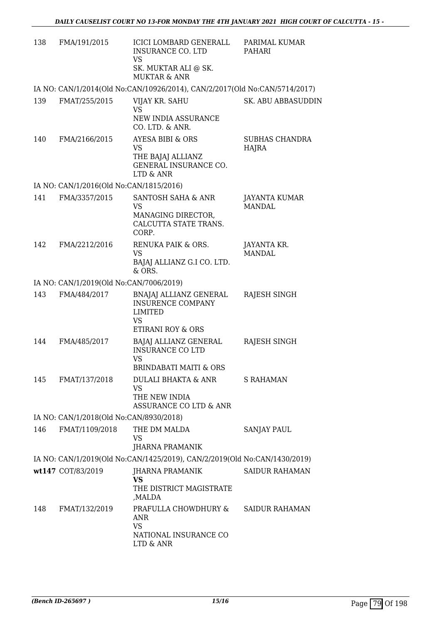| 138 | FMA/191/2015                            | ICICI LOMBARD GENERALL<br><b>INSURANCE CO. LTD</b><br><b>VS</b><br>SK. MUKTAR ALI @ SK.<br><b>MUKTAR &amp; ANR</b> | PARIMAL KUMAR<br>PAHARI        |
|-----|-----------------------------------------|--------------------------------------------------------------------------------------------------------------------|--------------------------------|
|     |                                         | IA NO: CAN/1/2014(Old No:CAN/10926/2014), CAN/2/2017(Old No:CAN/5714/2017)                                         |                                |
| 139 | FMAT/255/2015                           | VIJAY KR. SAHU<br><b>VS</b><br>NEW INDIA ASSURANCE                                                                 | SK. ABU ABBASUDDIN             |
|     |                                         | CO. LTD. & ANR.                                                                                                    |                                |
| 140 | FMA/2166/2015                           | AYESA BIBI & ORS<br><b>VS</b><br>THE BAJAJ ALLIANZ<br>GENERAL INSURANCE CO.<br>LTD & ANR                           | SUBHAS CHANDRA<br>HAJRA        |
|     | IA NO: CAN/1/2016(Old No:CAN/1815/2016) |                                                                                                                    |                                |
| 141 | FMA/3357/2015                           | SANTOSH SAHA & ANR<br>VS                                                                                           | JAYANTA KUMAR<br><b>MANDAL</b> |
|     |                                         | MANAGING DIRECTOR,<br>CALCUTTA STATE TRANS.<br>CORP.                                                               |                                |
| 142 | FMA/2212/2016                           | RENUKA PAIK & ORS.<br><b>VS</b><br>BAJAJ ALLIANZ G.I CO. LTD.<br>& ORS.                                            | JAYANTA KR.<br><b>MANDAL</b>   |
|     | IA NO: CAN/1/2019(Old No:CAN/7006/2019) |                                                                                                                    |                                |
| 143 | FMA/484/2017                            | BNAJAJ ALLIANZ GENERAL<br>INSURENCE COMPANY<br><b>LIMITED</b><br><b>VS</b><br>ETIRANI ROY & ORS                    | RAJESH SINGH                   |
| 144 | FMA/485/2017                            | BAJAJ ALLIANZ GENERAL<br><b>INSURANCE CO LTD</b><br><b>VS</b><br><b>BRINDABATI MAITI &amp; ORS</b>                 | RAJESH SINGH                   |
| 145 | FMAT/137/2018                           | DULALI BHAKTA & ANR<br><b>VS</b><br>THE NEW INDIA<br>ASSURANCE CO LTD & ANR                                        | S RAHAMAN                      |
|     | IA NO: CAN/1/2018(Old No:CAN/8930/2018) |                                                                                                                    |                                |
| 146 | FMAT/1109/2018                          | THE DM MALDA<br>VS                                                                                                 | <b>SANJAY PAUL</b>             |
|     |                                         | JHARNA PRAMANIK                                                                                                    |                                |
|     |                                         | IA NO: CAN/1/2019(Old No:CAN/1425/2019), CAN/2/2019(Old No:CAN/1430/2019)                                          |                                |
|     | wt147 COT/83/2019                       | JHARNA PRAMANIK<br><b>VS</b><br>THE DISTRICT MAGISTRATE<br>,MALDA                                                  | <b>SAIDUR RAHAMAN</b>          |
| 148 | FMAT/132/2019                           | PRAFULLA CHOWDHURY &<br>ANR<br><b>VS</b>                                                                           | <b>SAIDUR RAHAMAN</b>          |
|     |                                         | NATIONAL INSURANCE CO<br>LTD & ANR                                                                                 |                                |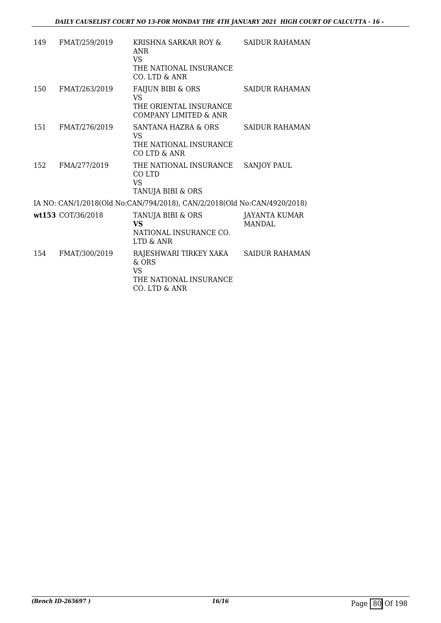| 149 | FMAT/259/2019     | KRISHNA SARKAR ROY &<br>ANR<br><b>VS</b><br>THE NATIONAL INSURANCE<br>$CO$ . LTD $\&$ ANR               | SAIDUR RAHAMAN                  |
|-----|-------------------|---------------------------------------------------------------------------------------------------------|---------------------------------|
| 150 | FMAT/263/2019     | <b>FAIJUN BIBI &amp; ORS</b><br><b>VS</b><br>THE ORIENTAL INSURANCE<br><b>COMPANY LIMITED &amp; ANR</b> | <b>SAIDUR RAHAMAN</b>           |
| 151 | FMAT/276/2019     | SANTANA HAZRA & ORS<br>VS.<br>THE NATIONAL INSURANCE<br>CO LTD & ANR                                    | <b>SAIDUR RAHAMAN</b>           |
| 152 | FMA/277/2019      | THE NATIONAL INSURANCE<br>CO LTD<br>VS<br>TANUJA BIBI & ORS                                             | <b>SANJOY PAUL</b>              |
|     |                   | IA NO: CAN/1/2018(Old No:CAN/794/2018), CAN/2/2018(Old No:CAN/4920/2018)                                |                                 |
|     | wt153 COT/36/2018 | TANUJA BIBI & ORS<br><b>VS</b><br>NATIONAL INSURANCE CO.<br>LTD & ANR                                   | <b>JAYANTA KUMAR</b><br>MANDAL. |
| 154 | FMAT/300/2019     | RAJESHWARI TIRKEY XAKA<br>$\&$ ORS<br><b>VS</b><br>THE NATIONAL INSURANCE<br>CO. LTD & ANR              | <b>SAIDUR RAHAMAN</b>           |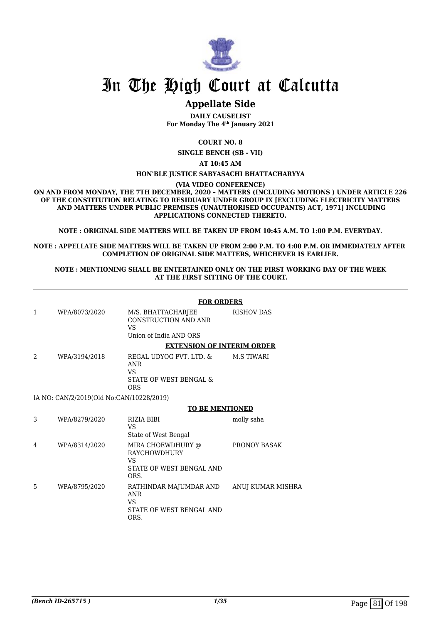

# In The High Court at Calcutta

# **Appellate Side**

**DAILY CAUSELIST For Monday The 4th January 2021**

**COURT NO. 8**

**SINGLE BENCH (SB - VII)**

**AT 10:45 AM**

#### **HON'BLE JUSTICE SABYASACHI BHATTACHARYYA**

**(VIA VIDEO CONFERENCE)**

**ON AND FROM MONDAY, THE 7TH DECEMBER, 2020 – MATTERS (INCLUDING MOTIONS ) UNDER ARTICLE 226 OF THE CONSTITUTION RELATING TO RESIDUARY UNDER GROUP IX [EXCLUDING ELECTRICITY MATTERS AND MATTERS UNDER PUBLIC PREMISES (UNAUTHORISED OCCUPANTS) ACT, 1971] INCLUDING APPLICATIONS CONNECTED THERETO.**

**NOTE : ORIGINAL SIDE MATTERS WILL BE TAKEN UP FROM 10:45 A.M. TO 1:00 P.M. EVERYDAY.**

**NOTE : APPELLATE SIDE MATTERS WILL BE TAKEN UP FROM 2:00 P.M. TO 4:00 P.M. OR IMMEDIATELY AFTER COMPLETION OF ORIGINAL SIDE MATTERS, WHICHEVER IS EARLIER.**

#### **NOTE : MENTIONING SHALL BE ENTERTAINED ONLY ON THE FIRST WORKING DAY OF THE WEEK AT THE FIRST SITTING OF THE COURT.**

| <b>FOR ORDERS</b> |                                          |                                                                                            |                   |  |
|-------------------|------------------------------------------|--------------------------------------------------------------------------------------------|-------------------|--|
| 1                 | WPA/8073/2020                            | M/S. BHATTACHARJEE<br><b>CONSTRUCTION AND ANR</b><br><b>VS</b><br>Union of India AND ORS   | <b>RISHOV DAS</b> |  |
|                   |                                          | <b>EXTENSION OF INTERIM ORDER</b>                                                          |                   |  |
| 2                 | WPA/3194/2018                            | REGAL UDYOG PVT. LTD. &<br><b>ANR</b><br><b>VS</b><br>STATE OF WEST BENGAL &<br><b>ORS</b> | <b>M.S TIWARI</b> |  |
|                   | IA NO: CAN/2/2019(Old No:CAN/10228/2019) |                                                                                            |                   |  |
|                   |                                          | <b>TO BE MENTIONED</b>                                                                     |                   |  |
| 3                 | WPA/8279/2020                            | RIZIA BIBI<br><b>VS</b><br>State of West Bengal                                            | molly saha        |  |
| 4                 | WPA/8314/2020                            | MIRA CHOEWDHURY @<br><b>RAYCHOWDHURY</b><br><b>VS</b><br>STATE OF WEST BENGAL AND<br>ORS.  | PRONOY BASAK      |  |
| 5                 | WPA/8795/2020                            | RATHINDAR MAJUMDAR AND<br><b>ANR</b><br><b>VS</b><br>STATE OF WEST BENGAL AND<br>ORS.      | ANUJ KUMAR MISHRA |  |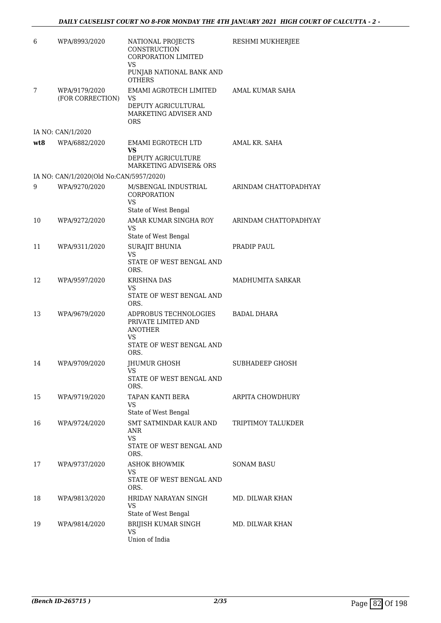| 6   | WPA/8993/2020                           | NATIONAL PROJECTS<br>CONSTRUCTION<br>CORPORATION LIMITED<br><b>VS</b>                            | RESHMI MUKHERJEE       |
|-----|-----------------------------------------|--------------------------------------------------------------------------------------------------|------------------------|
|     |                                         | PUNJAB NATIONAL BANK AND<br><b>OTHERS</b>                                                        |                        |
| 7   | WPA/9179/2020<br>(FOR CORRECTION)       | EMAMI AGROTECH LIMITED<br>VS<br>DEPUTY AGRICULTURAL<br>MARKETING ADVISER AND                     | AMAL KUMAR SAHA        |
|     |                                         | <b>ORS</b>                                                                                       |                        |
|     | IA NO: CAN/1/2020                       |                                                                                                  |                        |
| wt8 | WPA/6882/2020                           | EMAMI EGROTECH LTD<br>VS<br>DEPUTY AGRICULTURE                                                   | AMAL KR. SAHA          |
|     |                                         | MARKETING ADVISER& ORS                                                                           |                        |
|     | IA NO: CAN/1/2020(Old No:CAN/5957/2020) |                                                                                                  |                        |
| 9   | WPA/9270/2020                           | M/SBENGAL INDUSTRIAL<br>CORPORATION<br><b>VS</b>                                                 | ARINDAM CHATTOPADHYAY  |
|     |                                         | State of West Bengal                                                                             |                        |
| 10  | WPA/9272/2020                           | AMAR KUMAR SINGHA ROY<br><b>VS</b><br>State of West Bengal                                       | ARINDAM CHATTOPADHYAY  |
| 11  | WPA/9311/2020                           | SURAJIT BHUNIA                                                                                   | PRADIP PAUL            |
|     |                                         | VS<br>STATE OF WEST BENGAL AND<br>ORS.                                                           |                        |
| 12  | WPA/9597/2020                           | <b>KRISHNA DAS</b>                                                                               | MADHUMITA SARKAR       |
|     |                                         | VS<br>STATE OF WEST BENGAL AND<br>ORS.                                                           |                        |
| 13  | WPA/9679/2020                           | ADPROBUS TECHNOLOGIES<br>PRIVATE LIMITED AND<br><b>ANOTHER</b><br>VS<br>STATE OF WEST BENGAL AND | BADAL DHARA            |
| 14  | WPA/9709/2020                           | ORS.<br>JHUMUR GHOSH                                                                             | <b>SUBHADEEP GHOSH</b> |
|     |                                         | <b>VS</b>                                                                                        |                        |
|     |                                         | STATE OF WEST BENGAL AND<br>ORS.                                                                 |                        |
| 15  | WPA/9719/2020                           | TAPAN KANTI BERA<br><b>VS</b><br>State of West Bengal                                            | ARPITA CHOWDHURY       |
| 16  | WPA/9724/2020                           | SMT SATMINDAR KAUR AND<br>ANR<br>VS                                                              | TRIPTIMOY TALUKDER     |
|     |                                         | STATE OF WEST BENGAL AND<br>ORS.                                                                 |                        |
| 17  | WPA/9737/2020                           | <b>ASHOK BHOWMIK</b><br>VS<br>STATE OF WEST BENGAL AND<br>ORS.                                   | <b>SONAM BASU</b>      |
| 18  | WPA/9813/2020                           | HRIDAY NARAYAN SINGH<br>VS<br>State of West Bengal                                               | MD. DILWAR KHAN        |
| 19  | WPA/9814/2020                           | BRIJISH KUMAR SINGH<br><b>VS</b><br>Union of India                                               | MD. DILWAR KHAN        |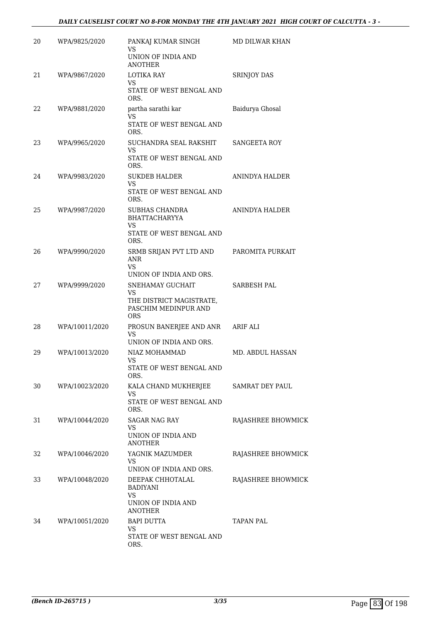### *DAILY CAUSELIST COURT NO 8-FOR MONDAY THE 4TH JANUARY 2021 HIGH COURT OF CALCUTTA - 3 -*

| 20 | WPA/9825/2020  | PANKAJ KUMAR SINGH<br>VS<br>UNION OF INDIA AND<br><b>ANOTHER</b>                                                           | MD DILWAR KHAN         |
|----|----------------|----------------------------------------------------------------------------------------------------------------------------|------------------------|
| 21 | WPA/9867/2020  | LOTIKA RAY<br>VS.<br>STATE OF WEST BENGAL AND<br>ORS.                                                                      | <b>SRINJOY DAS</b>     |
| 22 | WPA/9881/2020  | partha sarathi kar<br>VS<br>STATE OF WEST BENGAL AND<br>ORS.                                                               | Baidurya Ghosal        |
| 23 | WPA/9965/2020  | SUCHANDRA SEAL RAKSHIT<br><b>VS</b><br>STATE OF WEST BENGAL AND<br>ORS.                                                    | SANGEETA ROY           |
| 24 | WPA/9983/2020  | <b>SUKDEB HALDER</b><br>VS<br>STATE OF WEST BENGAL AND<br>ORS.                                                             | ANINDYA HALDER         |
| 25 | WPA/9987/2020  | SUBHAS CHANDRA<br><b>BHATTACHARYYA</b><br>VS<br>STATE OF WEST BENGAL AND                                                   | ANINDYA HALDER         |
| 26 | WPA/9990/2020  | ORS.<br>SRMB SRIJAN PVT LTD AND<br><b>ANR</b><br>VS                                                                        | PAROMITA PURKAIT       |
| 27 | WPA/9999/2020  | UNION OF INDIA AND ORS.<br>SNEHAMAY GUCHAIT<br><b>VS</b><br>THE DISTRICT MAGISTRATE,<br>PASCHIM MEDINPUR AND<br><b>ORS</b> | SARBESH PAL            |
| 28 | WPA/10011/2020 | PROSUN BANERJEE AND ANR<br>VS<br>UNION OF INDIA AND ORS.                                                                   | ARIF ALI               |
| 29 | WPA/10013/2020 | NIAZ MOHAMMAD<br>VS<br>STATE OF WEST BENGAL AND<br>ORS.                                                                    | MD. ABDUL HASSAN       |
| 30 | WPA/10023/2020 | KALA CHAND MUKHERJEE<br>VS<br>STATE OF WEST BENGAL AND<br>ORS.                                                             | <b>SAMRAT DEY PAUL</b> |
| 31 | WPA/10044/2020 | <b>SAGAR NAG RAY</b><br>VS.<br>UNION OF INDIA AND<br><b>ANOTHER</b>                                                        | RAJASHREE BHOWMICK     |
| 32 | WPA/10046/2020 | YAGNIK MAZUMDER<br>VS<br>UNION OF INDIA AND ORS.                                                                           | RAJASHREE BHOWMICK     |
| 33 | WPA/10048/2020 | DEEPAK CHHOTALAL<br><b>BADIYANI</b><br>VS.<br>UNION OF INDIA AND<br><b>ANOTHER</b>                                         | RAJASHREE BHOWMICK     |
| 34 | WPA/10051/2020 | BAPI DUTTA<br>VS<br>STATE OF WEST BENGAL AND<br>ORS.                                                                       | <b>TAPAN PAL</b>       |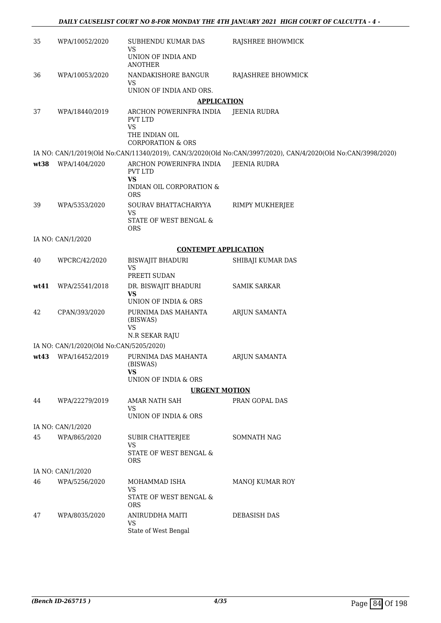| 35   | WPA/10052/2020                          | SUBHENDU KUMAR DAS<br><b>VS</b>                        | RAJSHREE BHOWMICK                                                                                            |
|------|-----------------------------------------|--------------------------------------------------------|--------------------------------------------------------------------------------------------------------------|
|      |                                         | UNION OF INDIA AND<br><b>ANOTHER</b>                   |                                                                                                              |
| 36   | WPA/10053/2020                          | NANDAKISHORE BANGUR<br>VS                              | RAJASHREE BHOWMICK                                                                                           |
|      |                                         | UNION OF INDIA AND ORS.                                |                                                                                                              |
|      |                                         | <b>APPLICATION</b>                                     |                                                                                                              |
| 37   | WPA/18440/2019                          | ARCHON POWERINFRA INDIA<br><b>PVT LTD</b><br><b>VS</b> | <b>JEENIA RUDRA</b>                                                                                          |
|      |                                         | THE INDIAN OIL<br><b>CORPORATION &amp; ORS</b>         |                                                                                                              |
|      |                                         |                                                        | IA NO: CAN/1/2019(Old No:CAN/11340/2019), CAN/3/2020(Old No:CAN/3997/2020), CAN/4/2020(Old No:CAN/3998/2020) |
| wt38 | WPA/1404/2020                           | ARCHON POWERINFRA INDIA<br>PVT LTD                     | <b>JEENIA RUDRA</b>                                                                                          |
|      |                                         | <b>VS</b><br>INDIAN OIL CORPORATION &<br>ORS           |                                                                                                              |
| 39   | WPA/5353/2020                           | SOURAV BHATTACHARYYA<br>VS                             | RIMPY MUKHERJEE                                                                                              |
|      |                                         | STATE OF WEST BENGAL &<br><b>ORS</b>                   |                                                                                                              |
|      | IA NO: CAN/1/2020                       |                                                        |                                                                                                              |
|      |                                         | <b>CONTEMPT APPLICATION</b>                            |                                                                                                              |
| 40   | WPCRC/42/2020                           | <b>BISWAJIT BHADURI</b><br><b>VS</b><br>PREETI SUDAN   | SHIBAJI KUMAR DAS                                                                                            |
| wt41 | WPA/25541/2018                          | DR. BISWAJIT BHADURI                                   | <b>SAMIK SARKAR</b>                                                                                          |
|      |                                         | <b>VS</b><br>UNION OF INDIA & ORS                      |                                                                                                              |
| 42   | CPAN/393/2020                           | PURNIMA DAS MAHANTA<br>(BISWAS)                        | ARJUN SAMANTA                                                                                                |
|      |                                         | <b>VS</b><br>N.R SEKAR RAJU                            |                                                                                                              |
|      | IA NO: CAN/1/2020(Old No:CAN/5205/2020) |                                                        |                                                                                                              |
| wt43 | WPA/16452/2019                          | PURNIMA DAS MAHANTA<br>(BISWAS)                        | ARJUN SAMANTA                                                                                                |
|      |                                         | <b>VS</b>                                              |                                                                                                              |
|      |                                         | UNION OF INDIA & ORS                                   |                                                                                                              |
|      |                                         | <b>URGENT MOTION</b>                                   |                                                                                                              |
| 44   | WPA/22279/2019                          | AMAR NATH SAH<br>VS<br>UNION OF INDIA & ORS            | PRAN GOPAL DAS                                                                                               |
|      | IA NO: CAN/1/2020                       |                                                        |                                                                                                              |
| 45   | WPA/865/2020                            | <b>SUBIR CHATTERJEE</b><br><b>VS</b>                   | SOMNATH NAG                                                                                                  |
|      |                                         | STATE OF WEST BENGAL &<br><b>ORS</b>                   |                                                                                                              |
|      | IA NO: CAN/1/2020                       |                                                        |                                                                                                              |
| 46   | WPA/5256/2020                           | MOHAMMAD ISHA<br>VS                                    | MANOJ KUMAR ROY                                                                                              |
|      |                                         | STATE OF WEST BENGAL &<br><b>ORS</b>                   |                                                                                                              |
| 47   | WPA/8035/2020                           | ANIRUDDHA MAITI<br><b>VS</b><br>State of West Bengal   | DEBASISH DAS                                                                                                 |
|      |                                         |                                                        |                                                                                                              |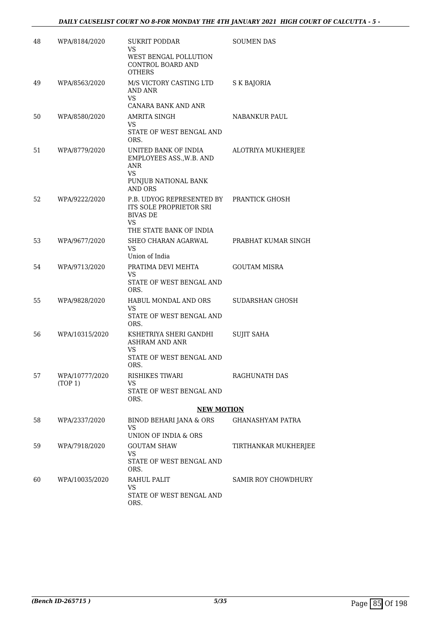| 48 | WPA/8184/2020             | <b>SUKRIT PODDAR</b><br>VS<br>WEST BENGAL POLLUTION<br>CONTROL BOARD AND<br><b>OTHERS</b>                | <b>SOUMEN DAS</b>       |
|----|---------------------------|----------------------------------------------------------------------------------------------------------|-------------------------|
| 49 | WPA/8563/2020             | M/S VICTORY CASTING LTD<br>AND ANR<br>VS<br>CANARA BANK AND ANR                                          | S K BAJORIA             |
| 50 | WPA/8580/2020             | AMRITA SINGH<br>VS<br>STATE OF WEST BENGAL AND<br>ORS.                                                   | NABANKUR PAUL           |
| 51 | WPA/8779/2020             | UNITED BANK OF INDIA<br>EMPLOYEES ASS., W.B. AND<br>ANR<br>VS<br>PUNJUB NATIONAL BANK<br><b>AND ORS</b>  | ALOTRIYA MUKHERJEE      |
| 52 | WPA/9222/2020             | P.B. UDYOG REPRESENTED BY<br>ITS SOLE PROPRIETOR SRI<br><b>BIVAS DE</b><br>VS<br>THE STATE BANK OF INDIA | PRANTICK GHOSH          |
| 53 | WPA/9677/2020             | SHEO CHARAN AGARWAL<br><b>VS</b><br>Union of India                                                       | PRABHAT KUMAR SINGH     |
| 54 | WPA/9713/2020             | PRATIMA DEVI MEHTA<br>VS.<br>STATE OF WEST BENGAL AND<br>ORS.                                            | <b>GOUTAM MISRA</b>     |
| 55 | WPA/9828/2020             | HABUL MONDAL AND ORS<br>VS.<br>STATE OF WEST BENGAL AND<br>ORS.                                          | SUDARSHAN GHOSH         |
| 56 | WPA/10315/2020            | KSHETRIYA SHERI GANDHI<br><b>ASHRAM AND ANR</b><br>VS<br>STATE OF WEST BENGAL AND<br>ORS.                | <b>SUJIT SAHA</b>       |
| 57 | WPA/10777/2020<br>(TOP 1) | RISHIKES TIWARI<br>VS<br>STATE OF WEST BENGAL AND<br>ORS.                                                | RAGHUNATH DAS           |
|    |                           | <b>NEW MOTION</b>                                                                                        |                         |
| 58 | WPA/2337/2020             | BINOD BEHARI JANA & ORS<br>VS<br>UNION OF INDIA & ORS                                                    | <b>GHANASHYAM PATRA</b> |
| 59 | WPA/7918/2020             | <b>GOUTAM SHAW</b><br>VS<br>STATE OF WEST BENGAL AND<br>ORS.                                             | TIRTHANKAR MUKHERJEE    |
| 60 | WPA/10035/2020            | RAHUL PALIT<br><b>VS</b><br>STATE OF WEST BENGAL AND<br>ORS.                                             | SAMIR ROY CHOWDHURY     |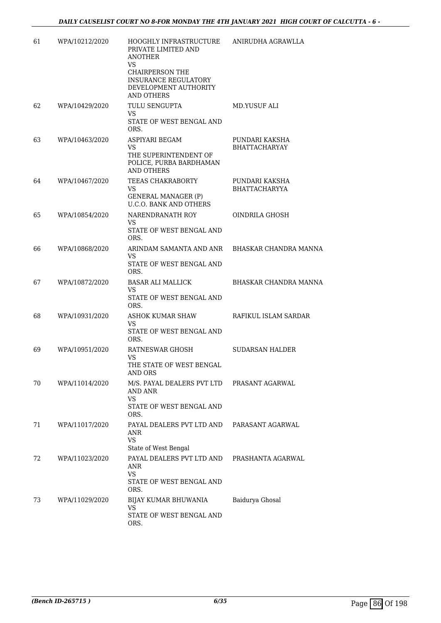| 61 | WPA/10212/2020 | HOOGHLY INFRASTRUCTURE<br>PRIVATE LIMITED AND<br><b>ANOTHER</b><br>VS<br><b>CHAIRPERSON THE</b><br><b>INSURANCE REGULATORY</b><br>DEVELOPMENT AUTHORITY<br><b>AND OTHERS</b> | ANIRUDHA AGRAWLLA                      |
|----|----------------|------------------------------------------------------------------------------------------------------------------------------------------------------------------------------|----------------------------------------|
| 62 | WPA/10429/2020 | TULU SENGUPTA<br>VS.<br>STATE OF WEST BENGAL AND<br>ORS.                                                                                                                     | MD.YUSUF ALI                           |
| 63 | WPA/10463/2020 | ASPIYARI BEGAM<br><b>VS</b><br>THE SUPERINTENDENT OF<br>POLICE, PURBA BARDHAMAN<br><b>AND OTHERS</b>                                                                         | PUNDARI KAKSHA<br><b>BHATTACHARYAY</b> |
| 64 | WPA/10467/2020 | TEEAS CHAKRABORTY<br>VS<br><b>GENERAL MANAGER (P)</b><br><b>U.C.O. BANK AND OTHERS</b>                                                                                       | PUNDARI KAKSHA<br><b>BHATTACHARYYA</b> |
| 65 | WPA/10854/2020 | NARENDRANATH ROY<br>VS.<br>STATE OF WEST BENGAL AND<br>ORS.                                                                                                                  | OINDRILA GHOSH                         |
| 66 | WPA/10868/2020 | ARINDAM SAMANTA AND ANR BHASKAR CHANDRA MANNA<br>VS.<br>STATE OF WEST BENGAL AND<br>ORS.                                                                                     |                                        |
| 67 | WPA/10872/2020 | <b>BASAR ALI MALLICK</b><br>VS.<br>STATE OF WEST BENGAL AND<br>ORS.                                                                                                          | BHASKAR CHANDRA MANNA                  |
| 68 | WPA/10931/2020 | ASHOK KUMAR SHAW<br>VS.<br>STATE OF WEST BENGAL AND<br>ORS.                                                                                                                  | RAFIKUL ISLAM SARDAR                   |
| 69 | WPA/10951/2020 | RATNESWAR GHOSH<br>VS<br>THE STATE OF WEST BENGAL<br>AND ORS                                                                                                                 | <b>SUDARSAN HALDER</b>                 |
| 70 | WPA/11014/2020 | M/S. PAYAL DEALERS PVT LTD<br>AND ANR<br>VS.<br>STATE OF WEST BENGAL AND<br>ORS.                                                                                             | PRASANT AGARWAL                        |
| 71 | WPA/11017/2020 | PAYAL DEALERS PVT LTD AND<br>ANR<br><b>VS</b><br>State of West Bengal                                                                                                        | PARASANT AGARWAL                       |
| 72 | WPA/11023/2020 | PAYAL DEALERS PVT LTD AND<br>ANR<br>VS.<br>STATE OF WEST BENGAL AND<br>ORS.                                                                                                  | PRASHANTA AGARWAL                      |
| 73 | WPA/11029/2020 | BIJAY KUMAR BHUWANIA<br>VS<br>STATE OF WEST BENGAL AND<br>ORS.                                                                                                               | Baidurya Ghosal                        |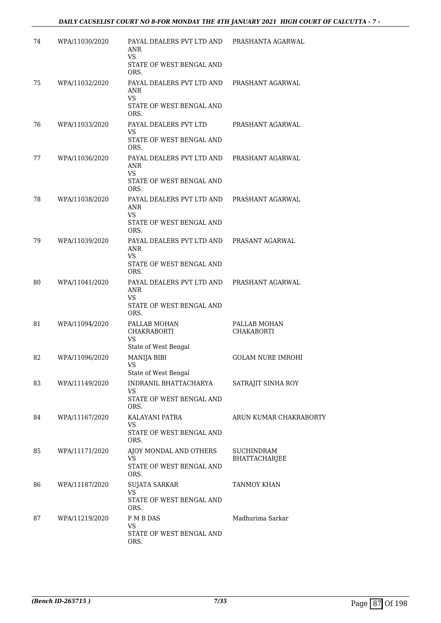| 74 | WPA/11030/2020 | PAYAL DEALERS PVT LTD AND<br>ANR<br><b>VS</b>                             | PRASHANTA AGARWAL                  |
|----|----------------|---------------------------------------------------------------------------|------------------------------------|
|    |                | STATE OF WEST BENGAL AND<br>ORS.                                          |                                    |
| 75 | WPA/11032/2020 | PAYAL DEALERS PVT LTD AND<br>ANR<br>VS                                    | PRASHANT AGARWAL                   |
|    |                | STATE OF WEST BENGAL AND<br>ORS.                                          |                                    |
| 76 | WPA/11033/2020 | PAYAL DEALERS PVT LTD<br>VS                                               | PRASHANT AGARWAL                   |
|    |                | STATE OF WEST BENGAL AND<br>ORS.                                          |                                    |
| 77 | WPA/11036/2020 | PAYAL DEALERS PVT LTD AND<br>ANR<br><b>VS</b>                             | PRASHANT AGARWAL                   |
|    |                | STATE OF WEST BENGAL AND<br>ORS.                                          |                                    |
| 78 | WPA/11038/2020 | PAYAL DEALERS PVT LTD AND<br>ANR<br>VS                                    | PRASHANT AGARWAL                   |
|    |                | STATE OF WEST BENGAL AND<br>ORS.                                          |                                    |
| 79 | WPA/11039/2020 | PAYAL DEALERS PVT LTD AND<br>ANR<br><b>VS</b>                             | PRASANT AGARWAL                    |
|    |                | STATE OF WEST BENGAL AND<br>ORS.                                          |                                    |
| 80 | WPA/11041/2020 | PAYAL DEALERS PVT LTD AND<br>ANR<br><b>VS</b><br>STATE OF WEST BENGAL AND | PRASHANT AGARWAL                   |
| 81 | WPA/11094/2020 | ORS.<br>PALLAB MOHAN                                                      | PALLAB MOHAN                       |
|    |                | <b>CHAKRABORTI</b><br>VS<br>State of West Bengal                          | <b>CHAKABORTI</b>                  |
| 82 | WPA/11096/2020 | <b>MANIJA BIBI</b><br>VS                                                  | <b>GOLAM NURE IMROHI</b>           |
| 83 | WPA/11149/2020 | State of West Bengal<br>INDRANIL BHATTACHARYA                             | SATRAJIT SINHA ROY                 |
|    |                | VS<br>STATE OF WEST BENGAL AND<br>ORS.                                    |                                    |
| 84 | WPA/11167/2020 | KALAYANI PATRA<br>VS                                                      | ARUN KUMAR CHAKRABORTY             |
|    |                | STATE OF WEST BENGAL AND<br>ORS.                                          |                                    |
| 85 | WPA/11171/2020 | AJOY MONDAL AND OTHERS<br>VS<br>STATE OF WEST BENGAL AND<br>ORS.          | <b>SUCHINDRAM</b><br>BHATTACHARJEE |
| 86 | WPA/11187/2020 | <b>SUJATA SARKAR</b><br>VS                                                | TANMOY KHAN                        |
|    |                | STATE OF WEST BENGAL AND<br>ORS.                                          |                                    |
| 87 | WPA/11219/2020 | P M B DAS<br>VS                                                           | Madhurima Sarkar                   |
|    |                | STATE OF WEST BENGAL AND<br>ORS.                                          |                                    |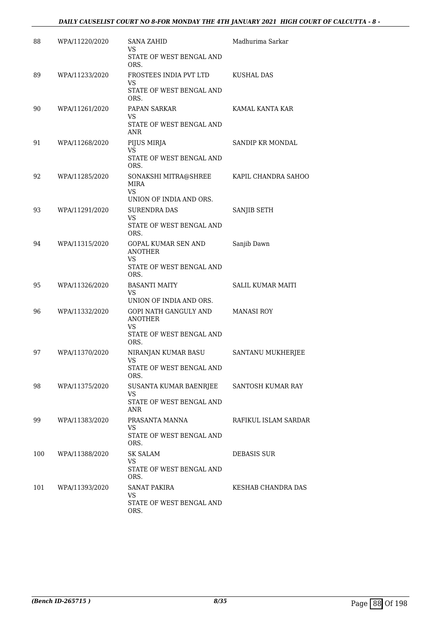## *DAILY CAUSELIST COURT NO 8-FOR MONDAY THE 4TH JANUARY 2021 HIGH COURT OF CALCUTTA - 8 -*

| 88  | WPA/11220/2020 | <b>SANA ZAHID</b><br>VS<br>STATE OF WEST BENGAL AND      | Madhurima Sarkar         |
|-----|----------------|----------------------------------------------------------|--------------------------|
|     |                | ORS.                                                     |                          |
| 89  | WPA/11233/2020 | FROSTEES INDIA PVT LTD<br>VS<br>STATE OF WEST BENGAL AND | KUSHAL DAS               |
|     |                | ORS.                                                     |                          |
| 90  | WPA/11261/2020 | PAPAN SARKAR                                             | KAMAL KANTA KAR          |
|     |                | VS<br>STATE OF WEST BENGAL AND<br>ANR                    |                          |
| 91  | WPA/11268/2020 | PIJUS MIRJA                                              | SANDIP KR MONDAL         |
|     |                | <b>VS</b><br>STATE OF WEST BENGAL AND<br>ORS.            |                          |
| 92  | WPA/11285/2020 | SONAKSHI MITRA@SHREE<br>MIRA<br>VS                       | KAPIL CHANDRA SAHOO      |
|     |                | UNION OF INDIA AND ORS.                                  |                          |
| 93  | WPA/11291/2020 | <b>SURENDRA DAS</b>                                      | SANJIB SETH              |
|     |                | VS<br>STATE OF WEST BENGAL AND<br>ORS.                   |                          |
| 94  | WPA/11315/2020 | <b>GOPAL KUMAR SEN AND</b><br><b>ANOTHER</b>             | Sanjib Dawn              |
|     |                | VS<br>STATE OF WEST BENGAL AND<br>ORS.                   |                          |
| 95  | WPA/11326/2020 | <b>BASANTI MAITY</b>                                     | <b>SALIL KUMAR MAITI</b> |
|     |                | <b>VS</b><br>UNION OF INDIA AND ORS.                     |                          |
| 96  | WPA/11332/2020 | GOPI NATH GANGULY AND<br><b>ANOTHER</b>                  | <b>MANASI ROY</b>        |
|     |                | <b>VS</b><br>STATE OF WEST BENGAL AND<br>ORS.            |                          |
| 97  | WPA/11370/2020 | NIRANJAN KUMAR BASU                                      | SANTANU MUKHERJEE        |
|     |                | VS<br>STATE OF WEST BENGAL AND<br>ORS.                   |                          |
| 98  | WPA/11375/2020 | SUSANTA KUMAR BAENRJEE                                   | SANTOSH KUMAR RAY        |
|     |                | VS<br>STATE OF WEST BENGAL AND<br>ANR                    |                          |
| 99  | WPA/11383/2020 | PRASANTA MANNA                                           | RAFIKUL ISLAM SARDAR     |
|     |                | VS.<br>STATE OF WEST BENGAL AND<br>ORS.                  |                          |
| 100 | WPA/11388/2020 | SK SALAM                                                 | DEBASIS SUR              |
|     |                | VS.<br>STATE OF WEST BENGAL AND<br>ORS.                  |                          |
| 101 | WPA/11393/2020 | SANAT PAKIRA                                             | KESHAB CHANDRA DAS       |
|     |                | <b>VS</b><br>STATE OF WEST BENGAL AND<br>ORS.            |                          |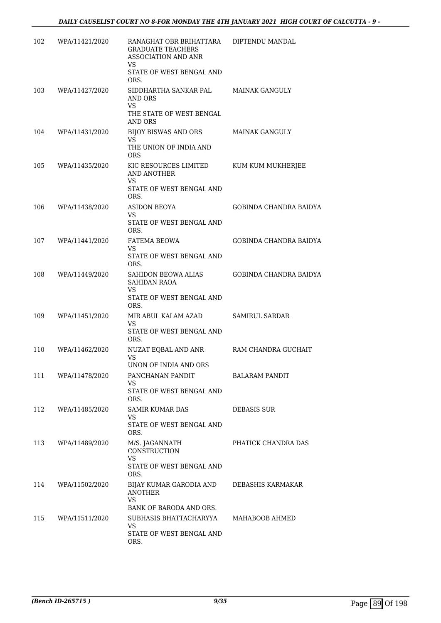| 102 | WPA/11421/2020 | RANAGHAT OBR BRIHATTARA<br><b>GRADUATE TEACHERS</b><br><b>ASSOCIATION AND ANR</b><br>VS<br>STATE OF WEST BENGAL AND<br>ORS. | DIPTENDU MANDAL               |
|-----|----------------|-----------------------------------------------------------------------------------------------------------------------------|-------------------------------|
| 103 | WPA/11427/2020 | SIDDHARTHA SANKAR PAL<br>AND ORS<br><b>VS</b><br>THE STATE OF WEST BENGAL<br>AND ORS                                        | <b>MAINAK GANGULY</b>         |
| 104 | WPA/11431/2020 | <b>BIJOY BISWAS AND ORS</b><br>VS<br>THE UNION OF INDIA AND<br><b>ORS</b>                                                   | MAINAK GANGULY                |
| 105 | WPA/11435/2020 | KIC RESOURCES LIMITED<br>AND ANOTHER<br>VS<br>STATE OF WEST BENGAL AND<br>ORS.                                              | KUM KUM MUKHERJEE             |
| 106 | WPA/11438/2020 | <b>ASIDON BEOYA</b><br>VS<br>STATE OF WEST BENGAL AND<br>ORS.                                                               | <b>GOBINDA CHANDRA BAIDYA</b> |
| 107 | WPA/11441/2020 | <b>FATEMA BEOWA</b><br><b>VS</b><br>STATE OF WEST BENGAL AND<br>ORS.                                                        | <b>GOBINDA CHANDRA BAIDYA</b> |
| 108 | WPA/11449/2020 | SAHIDON BEOWA ALIAS<br><b>SAHIDAN RAOA</b><br>VS<br>STATE OF WEST BENGAL AND<br>ORS.                                        | <b>GOBINDA CHANDRA BAIDYA</b> |
| 109 | WPA/11451/2020 | MIR ABUL KALAM AZAD<br>VS<br>STATE OF WEST BENGAL AND<br>ORS.                                                               | <b>SAMIRUL SARDAR</b>         |
| 110 | WPA/11462/2020 | NUZAT EQBAL AND ANR<br><b>VS</b><br>UNON OF INDIA AND ORS                                                                   | RAM CHANDRA GUCHAIT           |
| 111 | WPA/11478/2020 | PANCHANAN PANDIT<br><b>VS</b><br>STATE OF WEST BENGAL AND<br>ORS.                                                           | <b>BALARAM PANDIT</b>         |
| 112 | WPA/11485/2020 | SAMIR KUMAR DAS<br><b>VS</b><br>STATE OF WEST BENGAL AND<br>ORS.                                                            | <b>DEBASIS SUR</b>            |
| 113 | WPA/11489/2020 | M/S. JAGANNATH<br><b>CONSTRUCTION</b><br><b>VS</b><br>STATE OF WEST BENGAL AND<br>ORS.                                      | PHATICK CHANDRA DAS           |
| 114 | WPA/11502/2020 | BIJAY KUMAR GARODIA AND<br><b>ANOTHER</b><br><b>VS</b><br>BANK OF BARODA AND ORS.                                           | DEBASHIS KARMAKAR             |
| 115 | WPA/11511/2020 | SUBHASIS BHATTACHARYYA<br>VS<br>STATE OF WEST BENGAL AND<br>ORS.                                                            | MAHABOOB AHMED                |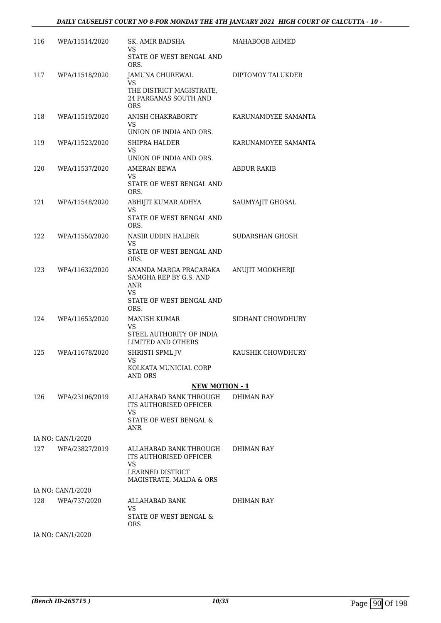| 116 | WPA/11514/2020    | SK. AMIR BADSHA<br>VS                                                                     | MAHABOOB AHMED      |
|-----|-------------------|-------------------------------------------------------------------------------------------|---------------------|
|     |                   | STATE OF WEST BENGAL AND<br>ORS.                                                          |                     |
| 117 | WPA/11518/2020    | JAMUNA CHUREWAL<br>VS                                                                     | DIPTOMOY TALUKDER   |
|     |                   | THE DISTRICT MAGISTRATE,<br><b>24 PARGANAS SOUTH AND</b><br><b>ORS</b>                    |                     |
| 118 | WPA/11519/2020    | ANISH CHAKRABORTY<br>VS<br>UNION OF INDIA AND ORS.                                        | KARUNAMOYEE SAMANTA |
| 119 | WPA/11523/2020    | <b>SHIPRA HALDER</b><br>VS<br>UNION OF INDIA AND ORS.                                     | KARUNAMOYEE SAMANTA |
| 120 | WPA/11537/2020    | AMERAN BEWA                                                                               | ABDUR RAKIB         |
|     |                   | <b>VS</b><br>STATE OF WEST BENGAL AND<br>ORS.                                             |                     |
| 121 | WPA/11548/2020    | ABHIJIT KUMAR ADHYA<br>VS                                                                 | SAUMYAJIT GHOSAL    |
|     |                   | STATE OF WEST BENGAL AND<br>ORS.                                                          |                     |
| 122 | WPA/11550/2020    | NASIR UDDIN HALDER<br>VS                                                                  | SUDARSHAN GHOSH     |
|     |                   | STATE OF WEST BENGAL AND<br>ORS.                                                          |                     |
| 123 | WPA/11632/2020    | ANANDA MARGA PRACARAKA<br>SAMGHA REP BY G.S. AND<br>ANR<br>VS<br>STATE OF WEST BENGAL AND | ANUJIT MOOKHERJI    |
|     |                   | ORS.                                                                                      |                     |
| 124 | WPA/11653/2020    | <b>MANISH KUMAR</b><br><b>VS</b><br>STEEL AUTHORITY OF INDIA<br><b>LIMITED AND OTHERS</b> | SIDHANT CHOWDHURY   |
| 125 | WPA/11678/2020    | SHRISTI SPML JV                                                                           | KAUSHIK CHOWDHURY   |
|     |                   | VS<br>KOLKATA MUNICIAL CORP<br>AND ORS                                                    |                     |
|     |                   | <b>NEW MOTION - 1</b>                                                                     |                     |
| 126 | WPA/23106/2019    | ALLAHABAD BANK THROUGH<br>ITS AUTHORISED OFFICER<br>VS                                    | <b>DHIMAN RAY</b>   |
|     |                   | STATE OF WEST BENGAL &<br>ANR                                                             |                     |
|     | IA NO: CAN/1/2020 |                                                                                           |                     |
| 127 | WPA/23827/2019    | ALLAHABAD BANK THROUGH<br><b>ITS AUTHORISED OFFICER</b><br>VS.                            | DHIMAN RAY          |
|     |                   | LEARNED DISTRICT<br>MAGISTRATE, MALDA & ORS                                               |                     |
|     | IA NO: CAN/1/2020 |                                                                                           |                     |
| 128 | WPA/737/2020      | ALLAHABAD BANK                                                                            | DHIMAN RAY          |
|     |                   | VS<br>STATE OF WEST BENGAL &<br>ORS.                                                      |                     |
|     | IA NO: CAN/1/2020 |                                                                                           |                     |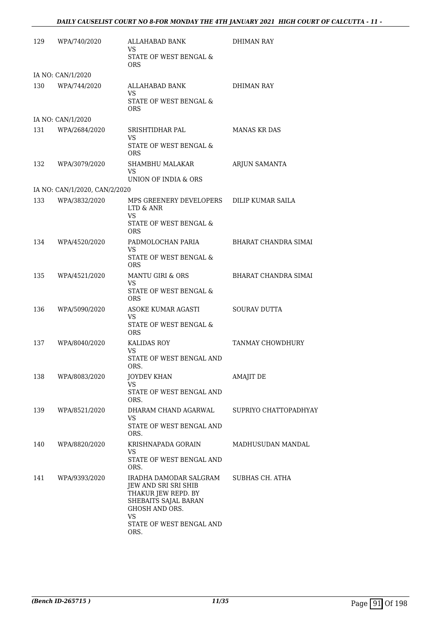| 129 | WPA/740/2020                  | ALLAHABAD BANK<br>VS<br>STATE OF WEST BENGAL &<br><b>ORS</b>                                                                                                     | <b>DHIMAN RAY</b>     |
|-----|-------------------------------|------------------------------------------------------------------------------------------------------------------------------------------------------------------|-----------------------|
|     | IA NO: CAN/1/2020             |                                                                                                                                                                  |                       |
| 130 | WPA/744/2020                  | ALLAHABAD BANK<br>VS<br>STATE OF WEST BENGAL &<br><b>ORS</b>                                                                                                     | DHIMAN RAY            |
|     | IA NO: CAN/1/2020             |                                                                                                                                                                  |                       |
| 131 | WPA/2684/2020                 | SRISHTIDHAR PAL                                                                                                                                                  | <b>MANAS KR DAS</b>   |
|     |                               | VS<br>STATE OF WEST BENGAL &<br><b>ORS</b>                                                                                                                       |                       |
| 132 | WPA/3079/2020                 | SHAMBHU MALAKAR<br><b>VS</b>                                                                                                                                     | ARJUN SAMANTA         |
|     |                               | UNION OF INDIA & ORS                                                                                                                                             |                       |
| 133 | IA NO: CAN/1/2020, CAN/2/2020 |                                                                                                                                                                  |                       |
|     | WPA/3832/2020                 | MPS GREENERY DEVELOPERS DILIP KUMAR SAILA<br>LTD & ANR<br>VS<br>STATE OF WEST BENGAL &<br><b>ORS</b>                                                             |                       |
| 134 | WPA/4520/2020                 | PADMOLOCHAN PARIA<br>VS.<br>STATE OF WEST BENGAL &<br><b>ORS</b>                                                                                                 | BHARAT CHANDRA SIMAI  |
| 135 | WPA/4521/2020                 | <b>MANTU GIRI &amp; ORS</b><br><b>VS</b><br>STATE OF WEST BENGAL &<br><b>ORS</b>                                                                                 | BHARAT CHANDRA SIMAI  |
| 136 | WPA/5090/2020                 | ASOKE KUMAR AGASTI<br>VS<br>STATE OF WEST BENGAL &                                                                                                               | SOURAV DUTTA          |
| 137 | WPA/8040/2020                 | <b>ORS</b><br><b>KALIDAS ROY</b><br>VS.<br>STATE OF WEST BENGAL AND                                                                                              | TANMAY CHOWDHURY      |
|     |                               | ORS.                                                                                                                                                             |                       |
| 138 | WPA/8083/2020                 | JOYDEV KHAN<br>VS<br>STATE OF WEST BENGAL AND<br>ORS.                                                                                                            | <b>AMAJIT DE</b>      |
| 139 | WPA/8521/2020                 | DHARAM CHAND AGARWAL<br>VS<br>STATE OF WEST BENGAL AND<br>ORS.                                                                                                   | SUPRIYO CHATTOPADHYAY |
| 140 | WPA/8820/2020                 | KRISHNAPADA GORAIN<br><b>VS</b><br>STATE OF WEST BENGAL AND<br>ORS.                                                                                              | MADHUSUDAN MANDAL     |
| 141 | WPA/9393/2020                 | IRADHA DAMODAR SALGRAM<br>JEW AND SRI SRI SHIB<br>THAKUR JEW REPD. BY<br>SHEBAITS SAJAL BARAN<br>GHOSH AND ORS.<br><b>VS</b><br>STATE OF WEST BENGAL AND<br>ORS. | SUBHAS CH. ATHA       |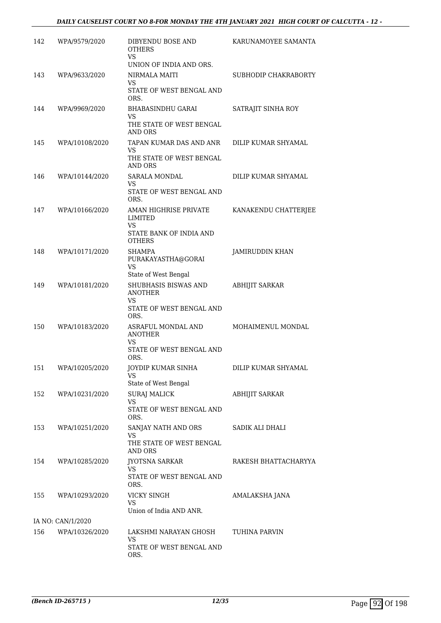| 142 | WPA/9579/2020     | DIBYENDU BOSE AND<br><b>OTHERS</b><br><b>VS</b>                                    | KARUNAMOYEE SAMANTA   |
|-----|-------------------|------------------------------------------------------------------------------------|-----------------------|
|     |                   | UNION OF INDIA AND ORS.                                                            |                       |
| 143 | WPA/9633/2020     | <b>NIRMALA MAITI</b><br>VS<br>STATE OF WEST BENGAL AND<br>ORS.                     | SUBHODIP CHAKRABORTY  |
| 144 | WPA/9969/2020     | <b>BHABASINDHU GARAI</b><br><b>VS</b><br>THE STATE OF WEST BENGAL<br>AND ORS       | SATRAJIT SINHA ROY    |
| 145 | WPA/10108/2020    | TAPAN KUMAR DAS AND ANR<br>VS<br>THE STATE OF WEST BENGAL<br>AND ORS               | DILIP KUMAR SHYAMAL   |
| 146 | WPA/10144/2020    | <b>SARALA MONDAL</b><br>VS<br>STATE OF WEST BENGAL AND<br>ORS.                     | DILIP KUMAR SHYAMAL   |
| 147 | WPA/10166/2020    | AMAN HIGHRISE PRIVATE<br>LIMITED<br>VS<br>STATE BANK OF INDIA AND<br><b>OTHERS</b> | KANAKENDU CHATTERJEE  |
| 148 | WPA/10171/2020    | SHAMPA<br>PURAKAYASTHA@GORAI<br><b>VS</b><br>State of West Bengal                  | JAMIRUDDIN KHAN       |
| 149 | WPA/10181/2020    | SHUBHASIS BISWAS AND<br><b>ANOTHER</b><br>VS<br>STATE OF WEST BENGAL AND<br>ORS.   | <b>ABHIJIT SARKAR</b> |
| 150 | WPA/10183/2020    | ASRAFUL MONDAL AND<br><b>ANOTHER</b><br>VS<br>STATE OF WEST BENGAL AND<br>ORS.     | MOHAIMENUL MONDAL     |
| 151 | WPA/10205/2020    | JOYDIP KUMAR SINHA<br>VS<br>State of West Bengal                                   | DILIP KUMAR SHYAMAL   |
| 152 | WPA/10231/2020    | <b>SURAJ MALICK</b><br><b>VS</b><br>STATE OF WEST BENGAL AND<br>ORS.               | ABHIJIT SARKAR        |
| 153 | WPA/10251/2020    | SANJAY NATH AND ORS<br>VS<br>THE STATE OF WEST BENGAL<br><b>AND ORS</b>            | SADIK ALI DHALI       |
| 154 | WPA/10285/2020    | JYOTSNA SARKAR<br><b>VS</b><br>STATE OF WEST BENGAL AND<br>ORS.                    | RAKESH BHATTACHARYYA  |
| 155 | WPA/10293/2020    | VICKY SINGH<br>VS<br>Union of India AND ANR.                                       | AMALAKSHA JANA        |
|     | IA NO: CAN/1/2020 |                                                                                    |                       |
| 156 | WPA/10326/2020    | LAKSHMI NARAYAN GHOSH<br><b>VS</b><br>STATE OF WEST BENGAL AND<br>ORS.             | TUHINA PARVIN         |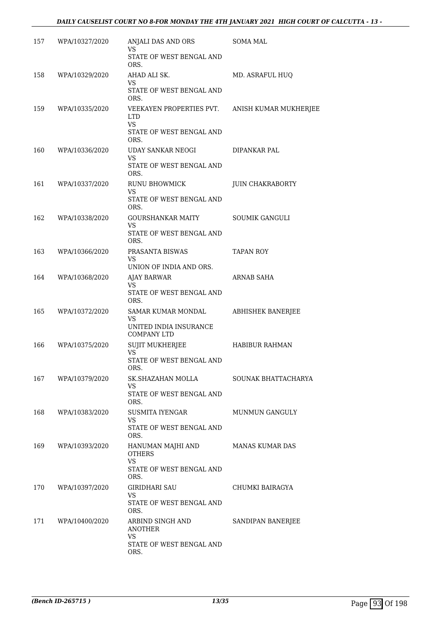| 157 | WPA/10327/2020 | ANJALI DAS AND ORS<br>VS.                                                               | SOMA MAL              |
|-----|----------------|-----------------------------------------------------------------------------------------|-----------------------|
|     |                | STATE OF WEST BENGAL AND<br>ORS.                                                        |                       |
| 158 | WPA/10329/2020 | AHAD ALI SK.<br>VS.<br>STATE OF WEST BENGAL AND<br>ORS.                                 | MD. ASRAFUL HUQ       |
| 159 | WPA/10335/2020 | VEEKAYEN PROPERTIES PVT.<br><b>LTD</b><br><b>VS</b><br>STATE OF WEST BENGAL AND<br>ORS. | ANISH KUMAR MUKHERJEE |
| 160 | WPA/10336/2020 | UDAY SANKAR NEOGI<br>VS<br>STATE OF WEST BENGAL AND<br>ORS.                             | DIPANKAR PAL          |
| 161 | WPA/10337/2020 | RUNU BHOWMICK<br>VS.<br>STATE OF WEST BENGAL AND<br>ORS.                                | JUIN CHAKRABORTY      |
| 162 | WPA/10338/2020 | GOURSHANKAR MAITY<br>VS<br>STATE OF WEST BENGAL AND<br>ORS.                             | <b>SOUMIK GANGULI</b> |
| 163 | WPA/10366/2020 | PRASANTA BISWAS<br>VS<br>UNION OF INDIA AND ORS.                                        | <b>TAPAN ROY</b>      |
| 164 | WPA/10368/2020 | <b>AJAY BARWAR</b><br><b>VS</b><br>STATE OF WEST BENGAL AND<br>ORS.                     | ARNAB SAHA            |
| 165 | WPA/10372/2020 | SAMAR KUMAR MONDAL<br><b>VS</b><br>UNITED INDIA INSURANCE<br><b>COMPANY LTD</b>         | ABHISHEK BANERJEE     |
| 166 | WPA/10375/2020 | <b>SUJIT MUKHERJEE</b><br>VS<br>STATE OF WEST BENGAL AND<br>ORS.                        | <b>HABIBUR RAHMAN</b> |
| 167 | WPA/10379/2020 | SK.SHAZAHAN MOLLA<br>VS<br>STATE OF WEST BENGAL AND<br>ORS.                             | SOUNAK BHATTACHARYA   |
| 168 | WPA/10383/2020 | SUSMITA IYENGAR<br>VS<br>STATE OF WEST BENGAL AND<br>ORS.                               | <b>MUNMUN GANGULY</b> |
| 169 | WPA/10393/2020 | HANUMAN MAJHI AND<br><b>OTHERS</b><br><b>VS</b><br>STATE OF WEST BENGAL AND<br>ORS.     | MANAS KUMAR DAS       |
| 170 | WPA/10397/2020 | GIRIDHARI SAU<br><b>VS</b><br>STATE OF WEST BENGAL AND<br>ORS.                          | CHUMKI BAIRAGYA       |
| 171 | WPA/10400/2020 | ARBIND SINGH AND<br><b>ANOTHER</b><br><b>VS</b><br>STATE OF WEST BENGAL AND<br>ORS.     | SANDIPAN BANERJEE     |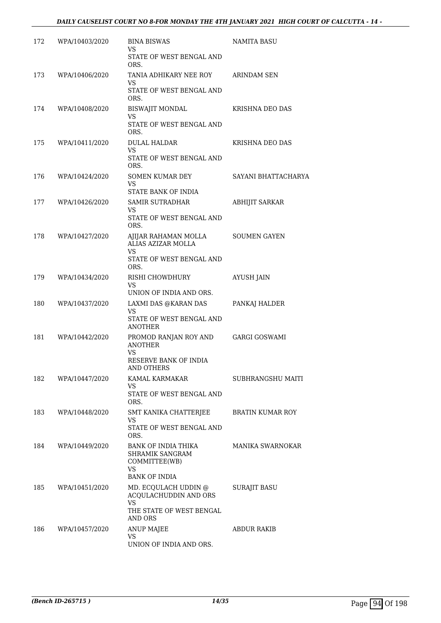| 172 | WPA/10403/2020 | <b>BINA BISWAS</b><br>VS                                                    | <b>NAMITA BASU</b>      |
|-----|----------------|-----------------------------------------------------------------------------|-------------------------|
|     |                | STATE OF WEST BENGAL AND<br>ORS.                                            |                         |
| 173 | WPA/10406/2020 | TANIA ADHIKARY NEE ROY<br>VS                                                | ARINDAM SEN             |
|     |                | STATE OF WEST BENGAL AND<br>ORS.                                            |                         |
| 174 | WPA/10408/2020 | <b>BISWAJIT MONDAL</b><br>VS                                                | KRISHNA DEO DAS         |
|     |                | STATE OF WEST BENGAL AND<br>ORS.                                            |                         |
| 175 | WPA/10411/2020 | <b>DULAL HALDAR</b><br><b>VS</b>                                            | KRISHNA DEO DAS         |
|     |                | STATE OF WEST BENGAL AND<br>ORS.                                            |                         |
| 176 | WPA/10424/2020 | SOMEN KUMAR DEY<br><b>VS</b>                                                | SAYANI BHATTACHARYA     |
|     |                | STATE BANK OF INDIA                                                         |                         |
| 177 | WPA/10426/2020 | <b>SAMIR SUTRADHAR</b><br>VS                                                | <b>ABHIJIT SARKAR</b>   |
|     |                | STATE OF WEST BENGAL AND<br>ORS.                                            |                         |
| 178 | WPA/10427/2020 | AJIJAR RAHAMAN MOLLA<br>ALIAS AZIZAR MOLLA                                  | <b>SOUMEN GAYEN</b>     |
|     |                | VS.<br>STATE OF WEST BENGAL AND<br>ORS.                                     |                         |
| 179 | WPA/10434/2020 | RISHI CHOWDHURY<br>VS                                                       | <b>AYUSH JAIN</b>       |
|     |                | UNION OF INDIA AND ORS.                                                     |                         |
| 180 | WPA/10437/2020 | LAXMI DAS @KARAN DAS<br>VS                                                  | PANKAJ HALDER           |
|     |                | STATE OF WEST BENGAL AND<br><b>ANOTHER</b>                                  |                         |
| 181 | WPA/10442/2020 | PROMOD RANJAN ROY AND<br><b>ANOTHER</b><br><b>VS</b>                        | <b>GARGI GOSWAMI</b>    |
|     |                | RESERVE BANK OF INDIA<br>AND OTHERS                                         |                         |
| 182 | WPA/10447/2020 | KAMAL KARMAKAR<br>VS                                                        | SUBHRANGSHU MAITI       |
|     |                | STATE OF WEST BENGAL AND<br>ORS.                                            |                         |
| 183 | WPA/10448/2020 | SMT KANIKA CHATTERJEE<br>VS                                                 | <b>BRATIN KUMAR ROY</b> |
|     |                | STATE OF WEST BENGAL AND<br>ORS.                                            |                         |
| 184 | WPA/10449/2020 | BANK OF INDIA THIKA<br><b>SHRAMIK SANGRAM</b><br>COMMITTEE(WB)<br><b>VS</b> | MANIKA SWARNOKAR        |
| 185 | WPA/10451/2020 | <b>BANK OF INDIA</b><br>MD. ECQULACH UDDIN @                                | <b>SURAJIT BASU</b>     |
|     |                | ACQULACHUDDIN AND ORS<br>VS.                                                |                         |
|     |                | THE STATE OF WEST BENGAL<br>AND ORS                                         |                         |
| 186 | WPA/10457/2020 | <b>ANUP MAJEE</b>                                                           | <b>ABDUR RAKIB</b>      |
|     |                | <b>VS</b><br>UNION OF INDIA AND ORS.                                        |                         |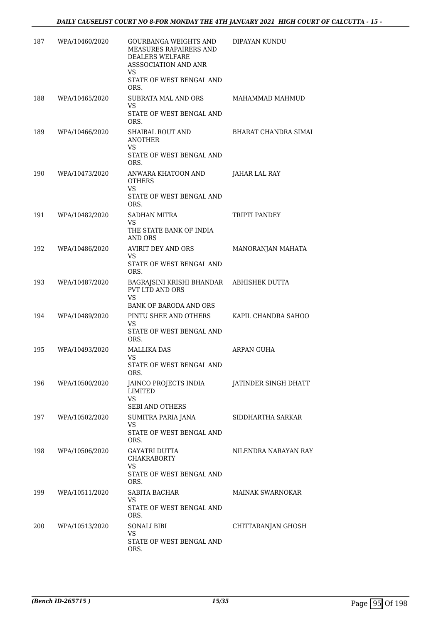| 187 | WPA/10460/2020 | <b>GOURBANGA WEIGHTS AND</b><br>MEASURES RAPAIRERS AND<br>DEALERS WELFARE<br><b>ASSSOCIATION AND ANR</b><br>VS<br>STATE OF WEST BENGAL AND<br>ORS. | DIPAYAN KUNDU               |
|-----|----------------|----------------------------------------------------------------------------------------------------------------------------------------------------|-----------------------------|
| 188 | WPA/10465/2020 | SUBRATA MAL AND ORS<br>VS.<br>STATE OF WEST BENGAL AND<br>ORS.                                                                                     | MAHAMMAD MAHMUD             |
| 189 | WPA/10466/2020 | <b>SHAIBAL ROUT AND</b><br><b>ANOTHER</b><br>VS.<br>STATE OF WEST BENGAL AND<br>ORS.                                                               | <b>BHARAT CHANDRA SIMAI</b> |
| 190 | WPA/10473/2020 | ANWARA KHATOON AND<br><b>OTHERS</b><br><b>VS</b><br>STATE OF WEST BENGAL AND<br>ORS.                                                               | JAHAR LAL RAY               |
| 191 | WPA/10482/2020 | SADHAN MITRA<br><b>VS</b><br>THE STATE BANK OF INDIA<br><b>AND ORS</b>                                                                             | TRIPTI PANDEY               |
| 192 | WPA/10486/2020 | AVIRIT DEY AND ORS<br>VS.<br>STATE OF WEST BENGAL AND<br>ORS.                                                                                      | MANORANJAN MAHATA           |
| 193 | WPA/10487/2020 | BAGRAJSINI KRISHI BHANDAR<br><b>PVT LTD AND ORS</b><br><b>VS</b><br>BANK OF BARODA AND ORS                                                         | ABHISHEK DUTTA              |
| 194 | WPA/10489/2020 | PINTU SHEE AND OTHERS<br>VS<br>STATE OF WEST BENGAL AND<br>ORS.                                                                                    | KAPIL CHANDRA SAHOO         |
| 195 | WPA/10493/2020 | <b>MALLIKA DAS</b><br><b>VS</b><br>STATE OF WEST BENGAL AND<br>ORS.                                                                                | ARPAN GUHA                  |
| 196 | WPA/10500/2020 | JAINCO PROJECTS INDIA<br>LIMITED<br>VS<br><b>SEBI AND OTHERS</b>                                                                                   | JATINDER SINGH DHATT        |
| 197 | WPA/10502/2020 | SUMITRA PARIA JANA<br>VS<br>STATE OF WEST BENGAL AND<br>ORS.                                                                                       | SIDDHARTHA SARKAR           |
| 198 | WPA/10506/2020 | GAYATRI DUTTA<br><b>CHAKRABORTY</b><br><b>VS</b><br>STATE OF WEST BENGAL AND<br>ORS.                                                               | NILENDRA NARAYAN RAY        |
| 199 | WPA/10511/2020 | SABITA BACHAR<br>VS<br>STATE OF WEST BENGAL AND<br>ORS.                                                                                            | MAINAK SWARNOKAR            |
| 200 | WPA/10513/2020 | <b>SONALI BIBI</b><br><b>VS</b><br>STATE OF WEST BENGAL AND<br>ORS.                                                                                | CHITTARANJAN GHOSH          |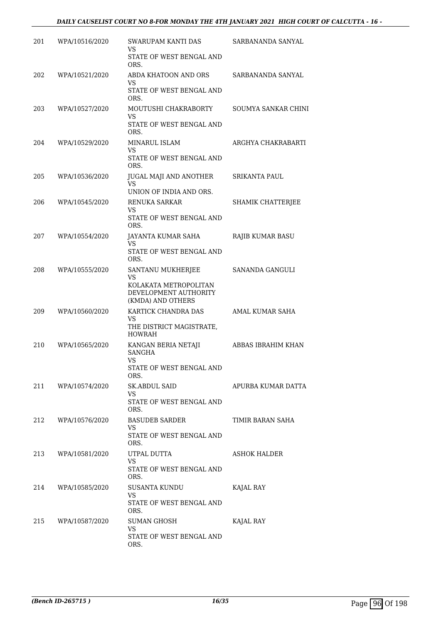| 201 | WPA/10516/2020 | <b>SWARUPAM KANTI DAS</b><br>VS<br>STATE OF WEST BENGAL AND<br>ORS.                                   | SARBANANDA SANYAL    |
|-----|----------------|-------------------------------------------------------------------------------------------------------|----------------------|
| 202 | WPA/10521/2020 | ABDA KHATOON AND ORS<br><b>VS</b><br>STATE OF WEST BENGAL AND<br>ORS.                                 | SARBANANDA SANYAL    |
| 203 | WPA/10527/2020 | MOUTUSHI CHAKRABORTY<br>VS<br>STATE OF WEST BENGAL AND<br>ORS.                                        | SOUMYA SANKAR CHINI  |
| 204 | WPA/10529/2020 | <b>MINARUL ISLAM</b><br>VS<br>STATE OF WEST BENGAL AND<br>ORS.                                        | ARGHYA CHAKRABARTI   |
| 205 | WPA/10536/2020 | JUGAL MAJI AND ANOTHER<br>VS.<br>UNION OF INDIA AND ORS.                                              | <b>SRIKANTA PAUL</b> |
| 206 | WPA/10545/2020 | RENUKA SARKAR<br>VS.<br>STATE OF WEST BENGAL AND<br>ORS.                                              | SHAMIK CHATTERJEE    |
| 207 | WPA/10554/2020 | JAYANTA KUMAR SAHA<br>VS<br>STATE OF WEST BENGAL AND<br>ORS.                                          | RAJIB KUMAR BASU     |
| 208 | WPA/10555/2020 | SANTANU MUKHERJEE<br><b>VS</b><br>KOLAKATA METROPOLITAN<br>DEVELOPMENT AUTHORITY<br>(KMDA) AND OTHERS | SANANDA GANGULI      |
| 209 | WPA/10560/2020 | KARTICK CHANDRA DAS<br>VS<br>THE DISTRICT MAGISTRATE,<br><b>HOWRAH</b>                                | AMAL KUMAR SAHA      |
| 210 | WPA/10565/2020 | KANGAN BERIA NETAJI<br>SANGHA<br>VS<br>STATE OF WEST BENGAL AND<br>ORS.                               | ABBAS IBRAHIM KHAN   |
| 211 | WPA/10574/2020 | SK.ABDUL SAID<br>VS<br>STATE OF WEST BENGAL AND<br>ORS.                                               | APURBA KUMAR DATTA   |
| 212 | WPA/10576/2020 | BASUDEB SARDER<br>VS.<br>STATE OF WEST BENGAL AND<br>ORS.                                             | TIMIR BARAN SAHA     |
| 213 | WPA/10581/2020 | UTPAL DUTTA<br><b>VS</b><br>STATE OF WEST BENGAL AND<br>ORS.                                          | <b>ASHOK HALDER</b>  |
| 214 | WPA/10585/2020 | SUSANTA KUNDU<br>VS.<br>STATE OF WEST BENGAL AND<br>ORS.                                              | KAJAL RAY            |
| 215 | WPA/10587/2020 | SUMAN GHOSH<br>VS<br>STATE OF WEST BENGAL AND<br>ORS.                                                 | KAJAL RAY            |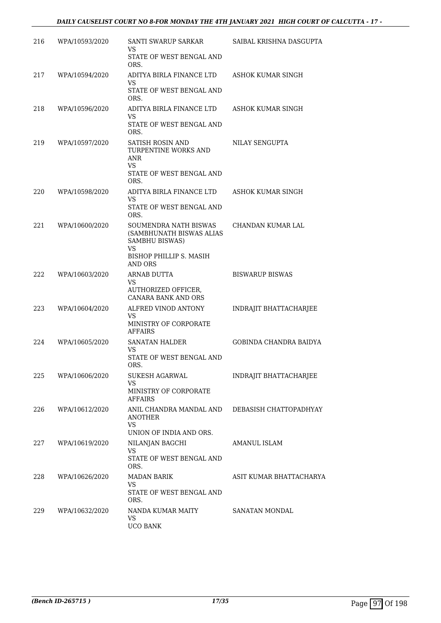| 216 | WPA/10593/2020 | SANTI SWARUP SARKAR<br>VS                                                        | SAIBAL KRISHNA DASGUPTA |
|-----|----------------|----------------------------------------------------------------------------------|-------------------------|
|     |                | STATE OF WEST BENGAL AND<br>ORS.                                                 |                         |
| 217 | WPA/10594/2020 | ADITYA BIRLA FINANCE LTD<br>VS                                                   | ASHOK KUMAR SINGH       |
|     |                | STATE OF WEST BENGAL AND<br>ORS.                                                 |                         |
| 218 | WPA/10596/2020 | ADITYA BIRLA FINANCE LTD<br>VS                                                   | ASHOK KUMAR SINGH       |
|     |                | STATE OF WEST BENGAL AND<br>ORS.                                                 |                         |
| 219 | WPA/10597/2020 | <b>SATISH ROSIN AND</b><br>TURPENTINE WORKS AND<br>ANR<br>VS.                    | NILAY SENGUPTA          |
|     |                | STATE OF WEST BENGAL AND<br>ORS.                                                 |                         |
| 220 | WPA/10598/2020 | ADITYA BIRLA FINANCE LTD<br>VS                                                   | ASHOK KUMAR SINGH       |
|     |                | STATE OF WEST BENGAL AND<br>ORS.                                                 |                         |
| 221 | WPA/10600/2020 | SOUMENDRA NATH BISWAS<br>(SAMBHUNATH BISWAS ALIAS<br>SAMBHU BISWAS)<br><b>VS</b> | CHANDAN KUMAR LAL       |
|     |                | BISHOP PHILLIP S. MASIH<br><b>AND ORS</b>                                        |                         |
| 222 | WPA/10603/2020 | ARNAB DUTTA<br>VS                                                                | <b>BISWARUP BISWAS</b>  |
|     |                | AUTHORIZED OFFICER,<br><b>CANARA BANK AND ORS</b>                                |                         |
| 223 | WPA/10604/2020 | ALFRED VINOD ANTONY<br>VS<br>MINISTRY OF CORPORATE<br>AFFAIRS                    | INDRAJIT BHATTACHARJEE  |
| 224 | WPA/10605/2020 | <b>SANATAN HALDER</b><br>VS                                                      | GOBINDA CHANDRA BAIDYA  |
|     |                | STATE OF WEST BENGAL AND<br>ORS.                                                 |                         |
| 225 | WPA/10606/2020 | SUKESH AGARWAL<br>VS                                                             | INDRAJIT BHATTACHARJEE  |
|     |                | MINISTRY OF CORPORATE<br>AFFAIRS                                                 |                         |
| 226 | WPA/10612/2020 | ANIL CHANDRA MANDAL AND DEBASISH CHATTOPADHYAY<br><b>ANOTHER</b><br><b>VS</b>    |                         |
|     |                | UNION OF INDIA AND ORS.                                                          |                         |
| 227 | WPA/10619/2020 | NILANJAN BAGCHI<br><b>VS</b><br>STATE OF WEST BENGAL AND<br>ORS.                 | AMANUL ISLAM            |
| 228 | WPA/10626/2020 | <b>MADAN BARIK</b><br>VS<br>STATE OF WEST BENGAL AND<br>ORS.                     | ASIT KUMAR BHATTACHARYA |
| 229 | WPA/10632/2020 | NANDA KUMAR MAITY<br>VS<br><b>UCO BANK</b>                                       | SANATAN MONDAL          |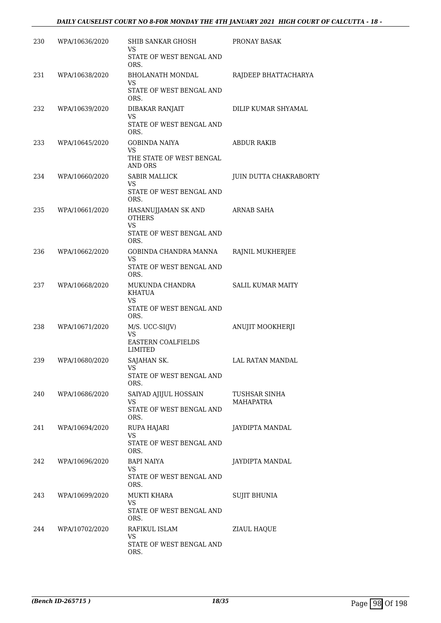| 230  | WPA/10636/2020 | <b>SHIB SANKAR GHOSH</b><br>VS                                                        | PRONAY BASAK                  |
|------|----------------|---------------------------------------------------------------------------------------|-------------------------------|
|      |                | STATE OF WEST BENGAL AND<br>ORS.                                                      |                               |
| 231  | WPA/10638/2020 | <b>BHOLANATH MONDAL</b><br>VS<br>STATE OF WEST BENGAL AND<br>ORS.                     | RAJDEEP BHATTACHARYA          |
| 232  | WPA/10639/2020 | DIBAKAR RANJAIT<br><b>VS</b><br>STATE OF WEST BENGAL AND<br>ORS.                      | DILIP KUMAR SHYAMAL           |
| 233  | WPA/10645/2020 | <b>GOBINDA NAIYA</b><br><b>VS</b><br>THE STATE OF WEST BENGAL<br><b>AND ORS</b>       | <b>ABDUR RAKIB</b>            |
| 234  | WPA/10660/2020 | <b>SABIR MALLICK</b><br>VS<br>STATE OF WEST BENGAL AND<br>ORS.                        | <b>JUIN DUTTA CHAKRABORTY</b> |
| 235  | WPA/10661/2020 | HASANUJJAMAN SK AND<br><b>OTHERS</b><br><b>VS</b><br>STATE OF WEST BENGAL AND<br>ORS. | <b>ARNAB SAHA</b>             |
| 236  | WPA/10662/2020 | GOBINDA CHANDRA MANNA<br>VS<br>STATE OF WEST BENGAL AND<br>ORS.                       | RAJNIL MUKHERJEE              |
| 237  | WPA/10668/2020 | MUKUNDA CHANDRA<br><b>KHATUA</b><br><b>VS</b><br>STATE OF WEST BENGAL AND<br>ORS.     | <b>SALIL KUMAR MAITY</b>      |
| 238  | WPA/10671/2020 | M/S. UCC-SI(JV)<br>VS<br><b>EASTERN COALFIELDS</b><br>LIMITED                         | ANUJIT MOOKHERJI              |
| 239  | WPA/10680/2020 | SAJAHAN SK.<br>STATE OF WEST BENGAL AND<br>ORS.                                       | LAL RATAN MANDAL              |
| 240  | WPA/10686/2020 | SAIYAD AJIJUL HOSSAIN<br>VS<br>STATE OF WEST BENGAL AND<br>ORS.                       | TUSHSAR SINHA<br>MAHAPATRA    |
| 241  | WPA/10694/2020 | RUPA HAJARI<br><b>VS</b><br>STATE OF WEST BENGAL AND<br>ORS.                          | JAYDIPTA MANDAL               |
| 242. | WPA/10696/2020 | BAPI NAIYA<br><b>VS</b><br>STATE OF WEST BENGAL AND<br>ORS.                           | JAYDIPTA MANDAL               |
| 243  | WPA/10699/2020 | MUKTI KHARA<br>VS<br>STATE OF WEST BENGAL AND<br>ORS.                                 | <b>SUJIT BHUNIA</b>           |
| 244  | WPA/10702/2020 | RAFIKUL ISLAM<br>VS<br>STATE OF WEST BENGAL AND<br>ORS.                               | ZIAUL HAQUE                   |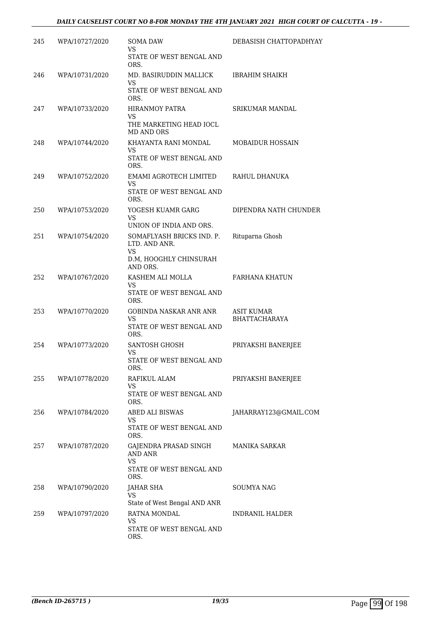| 245 | WPA/10727/2020 | <b>SOMA DAW</b><br>VS<br>STATE OF WEST BENGAL AND<br>ORS.                                     | DEBASISH CHATTOPADHYAY             |
|-----|----------------|-----------------------------------------------------------------------------------------------|------------------------------------|
| 246 | WPA/10731/2020 | MD. BASIRUDDIN MALLICK<br><b>VS</b><br>STATE OF WEST BENGAL AND<br>ORS.                       | <b>IBRAHIM SHAIKH</b>              |
| 247 | WPA/10733/2020 | <b>HIRANMOY PATRA</b><br>VS<br>THE MARKETING HEAD IOCL<br>MD AND ORS                          | <b>SRIKUMAR MANDAL</b>             |
| 248 | WPA/10744/2020 | KHAYANTA RANI MONDAL<br>VS<br>STATE OF WEST BENGAL AND<br>ORS.                                | <b>MOBAIDUR HOSSAIN</b>            |
| 249 | WPA/10752/2020 | EMAMI AGROTECH LIMITED<br>VS.<br>STATE OF WEST BENGAL AND<br>ORS.                             | RAHUL DHANUKA                      |
| 250 | WPA/10753/2020 | YOGESH KUAMR GARG<br><b>VS</b><br>UNION OF INDIA AND ORS.                                     | DIPENDRA NATH CHUNDER              |
| 251 | WPA/10754/2020 | SOMAFLYASH BRICKS IND. P.<br>LTD. AND ANR.<br><b>VS</b><br>D.M, HOOGHLY CHINSURAH<br>AND ORS. | Rituparna Ghosh                    |
| 252 | WPA/10767/2020 | KASHEM ALI MOLLA<br>VS<br>STATE OF WEST BENGAL AND<br>ORS.                                    | FARHANA KHATUN                     |
| 253 | WPA/10770/2020 | GOBINDA NASKAR ANR ANR<br><b>VS</b><br>STATE OF WEST BENGAL AND<br>ORS.                       | <b>ASIT KUMAR</b><br>BHATTACHARAYA |
| 254 | WPA/10773/2020 | SANTOSH GHOSH<br>VS<br>STATE OF WEST BENGAL AND<br>ORS.                                       | PRIYAKSHI BANERJEE                 |
| 255 | WPA/10778/2020 | RAFIKUL ALAM<br>VS<br>STATE OF WEST BENGAL AND<br>ORS.                                        | PRIYAKSHI BANERJEE                 |
| 256 | WPA/10784/2020 | <b>ABED ALI BISWAS</b><br>VS<br>STATE OF WEST BENGAL AND<br>ORS.                              | JAHARRAY123@GMAIL.COM              |
| 257 | WPA/10787/2020 | GAJENDRA PRASAD SINGH<br>AND ANR<br><b>VS</b><br>STATE OF WEST BENGAL AND<br>ORS.             | <b>MANIKA SARKAR</b>               |
| 258 | WPA/10790/2020 | JAHAR SHA<br><b>VS</b><br>State of West Bengal AND ANR                                        | SOUMYA NAG                         |
| 259 | WPA/10797/2020 | RATNA MONDAL<br><b>VS</b><br>STATE OF WEST BENGAL AND<br>ORS.                                 | <b>INDRANIL HALDER</b>             |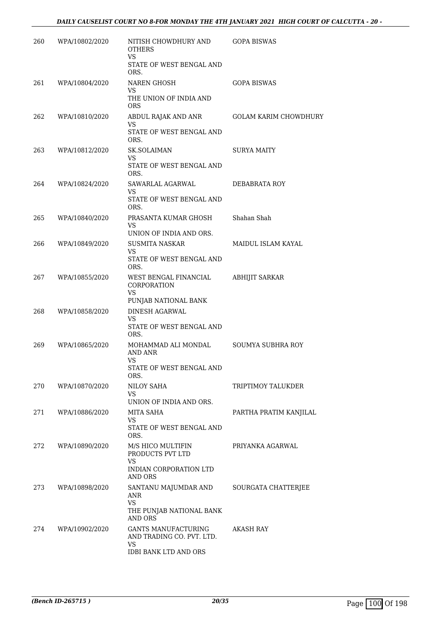| 260 | WPA/10802/2020 | NITISH CHOWDHURY AND<br><b>OTHERS</b><br><b>VS</b><br>STATE OF WEST BENGAL AND                       | <b>GOPA BISWAS</b>           |
|-----|----------------|------------------------------------------------------------------------------------------------------|------------------------------|
| 261 | WPA/10804/2020 | ORS.<br>NAREN GHOSH                                                                                  | <b>GOPA BISWAS</b>           |
|     |                | VS<br>THE UNION OF INDIA AND<br><b>ORS</b>                                                           |                              |
| 262 | WPA/10810/2020 | ABDUL RAJAK AND ANR<br>VS<br>STATE OF WEST BENGAL AND<br>ORS.                                        | <b>GOLAM KARIM CHOWDHURY</b> |
| 263 | WPA/10812/2020 | <b>SK.SOLAIMAN</b><br>VS<br>STATE OF WEST BENGAL AND<br>ORS.                                         | SURYA MAITY                  |
| 264 | WPA/10824/2020 | SAWARLAL AGARWAL<br>VS<br>STATE OF WEST BENGAL AND<br>ORS.                                           | DEBABRATA ROY                |
| 265 | WPA/10840/2020 | PRASANTA KUMAR GHOSH<br>VS<br>UNION OF INDIA AND ORS.                                                | Shahan Shah                  |
| 266 | WPA/10849/2020 | SUSMITA NASKAR<br>VS<br>STATE OF WEST BENGAL AND<br>ORS.                                             | MAIDUL ISLAM KAYAL           |
| 267 | WPA/10855/2020 | WEST BENGAL FINANCIAL<br>CORPORATION<br><b>VS</b><br>PUNJAB NATIONAL BANK                            | ABHIJIT SARKAR               |
| 268 | WPA/10858/2020 | DINESH AGARWAL<br>VS<br>STATE OF WEST BENGAL AND<br>ORS.                                             |                              |
| 269 | WPA/10865/2020 | MOHAMMAD ALI MONDAL<br>AND ANR<br>VS<br>STATE OF WEST BENGAL AND<br>ORS.                             | SOUMYA SUBHRA ROY            |
| 270 | WPA/10870/2020 | NILOY SAHA<br>VS<br>UNION OF INDIA AND ORS.                                                          | TRIPTIMOY TALUKDER           |
| 271 | WPA/10886/2020 | MITA SAHA<br>VS<br>STATE OF WEST BENGAL AND<br>ORS.                                                  | PARTHA PRATIM KANJILAL       |
| 272 | WPA/10890/2020 | M/S HICO MULTIFIN<br>PRODUCTS PVT LTD<br><b>VS</b><br>INDIAN CORPORATION LTD<br>AND ORS              | PRIYANKA AGARWAL             |
| 273 | WPA/10898/2020 | SANTANU MAJUMDAR AND<br>ANR<br><b>VS</b><br>THE PUNJAB NATIONAL BANK<br><b>AND ORS</b>               | SOURGATA CHATTERJEE          |
| 274 | WPA/10902/2020 | <b>GANTS MANUFACTURING</b><br>AND TRADING CO. PVT. LTD.<br><b>VS</b><br><b>IDBI BANK LTD AND ORS</b> | AKASH RAY                    |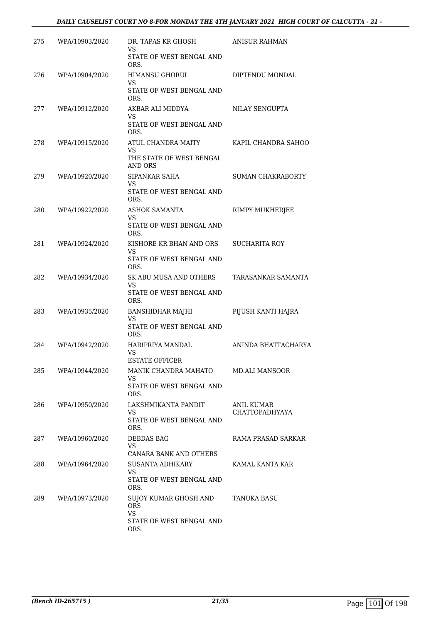| 275 | WPA/10903/2020 | DR. TAPAS KR GHOSH<br>VS                        | <b>ANISUR RAHMAN</b>                       |
|-----|----------------|-------------------------------------------------|--------------------------------------------|
|     |                | STATE OF WEST BENGAL AND<br>ORS.                |                                            |
| 276 | WPA/10904/2020 | <b>HIMANSU GHORUI</b><br>VS                     | DIPTENDU MONDAL                            |
|     |                | STATE OF WEST BENGAL AND<br>ORS.                |                                            |
| 277 | WPA/10912/2020 | AKBAR ALI MIDDYA<br>VS                          | NILAY SENGUPTA                             |
|     |                | STATE OF WEST BENGAL AND<br>ORS.                |                                            |
| 278 | WPA/10915/2020 | ATUL CHANDRA MAITY<br>VS                        | KAPIL CHANDRA SAHOO                        |
|     |                | THE STATE OF WEST BENGAL<br>AND ORS             |                                            |
| 279 | WPA/10920/2020 | SIPANKAR SAHA<br>VS                             | <b>SUMAN CHAKRABORTY</b>                   |
|     |                | STATE OF WEST BENGAL AND<br>ORS.                |                                            |
| 280 | WPA/10922/2020 | <b>ASHOK SAMANTA</b><br>VS                      | RIMPY MUKHERJEE                            |
|     |                | STATE OF WEST BENGAL AND<br>ORS.                |                                            |
| 281 | WPA/10924/2020 | KISHORE KR BHAN AND ORS<br>VS                   | <b>SUCHARITA ROY</b>                       |
|     |                | STATE OF WEST BENGAL AND<br>ORS.                |                                            |
| 282 | WPA/10934/2020 | SK ABU MUSA AND OTHERS<br>VS                    | TARASANKAR SAMANTA                         |
|     |                | STATE OF WEST BENGAL AND<br>ORS.                |                                            |
| 283 | WPA/10935/2020 | <b>BANSHIDHAR MAJHI</b><br>VS                   | PIJUSH KANTI HAJRA                         |
|     |                | STATE OF WEST BENGAL AND<br>ORS.                |                                            |
| 284 | WPA/10942/2020 | HARIPRIYA MANDAL<br>VS<br><b>ESTATE OFFICER</b> | ANINDA BHATTACHARYA                        |
| 285 | WPA/10944/2020 | MANIK CHANDRA MAHATO                            | <b>MD.ALI MANSOOR</b>                      |
|     |                | VS<br>STATE OF WEST BENGAL AND<br>ORS.          |                                            |
| 286 | WPA/10950/2020 | LAKSHMIKANTA PANDIT<br>VS                       | <b>ANIL KUMAR</b><br><b>CHATTOPADHYAYA</b> |
|     |                | STATE OF WEST BENGAL AND<br>ORS.                |                                            |
| 287 | WPA/10960/2020 | DEBDAS BAG<br>VS                                | RAMA PRASAD SARKAR                         |
|     |                | CANARA BANK AND OTHERS                          |                                            |
| 288 | WPA/10964/2020 | <b>SUSANTA ADHIKARY</b><br>VS.                  | KAMAL KANTA KAR                            |
|     |                | STATE OF WEST BENGAL AND<br>ORS.                |                                            |
| 289 | WPA/10973/2020 | SUJOY KUMAR GHOSH AND<br><b>ORS</b>             | <b>TANUKA BASU</b>                         |
|     |                | <b>VS</b><br>STATE OF WEST BENGAL AND<br>ORS.   |                                            |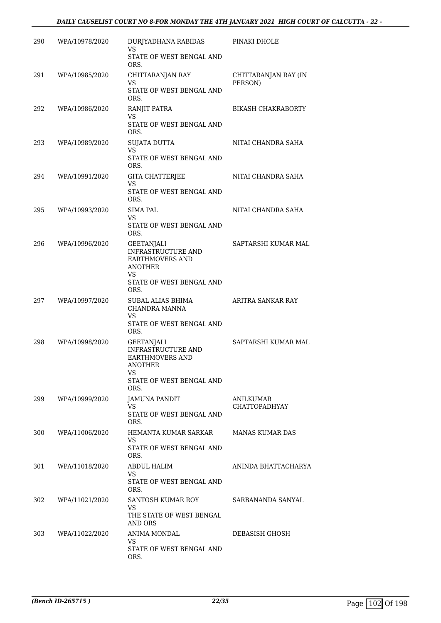#### *DAILY CAUSELIST COURT NO 8-FOR MONDAY THE 4TH JANUARY 2021 HIGH COURT OF CALCUTTA - 22 -*

| 290 | WPA/10978/2020 | DURJYADHANA RABIDAS<br>VS<br>STATE OF WEST BENGAL AND<br>ORS.                                                                 | PINAKI DHOLE                    |
|-----|----------------|-------------------------------------------------------------------------------------------------------------------------------|---------------------------------|
| 291 | WPA/10985/2020 | CHITTARANJAN RAY<br>VS<br>STATE OF WEST BENGAL AND<br>ORS.                                                                    | CHITTARANJAN RAY (IN<br>PERSON) |
| 292 | WPA/10986/2020 | RANJIT PATRA<br>VS<br>STATE OF WEST BENGAL AND<br>ORS.                                                                        | <b>BIKASH CHAKRABORTY</b>       |
| 293 | WPA/10989/2020 | <b>SUJATA DUTTA</b><br><b>VS</b><br>STATE OF WEST BENGAL AND<br>ORS.                                                          | NITAI CHANDRA SAHA              |
| 294 | WPA/10991/2020 | <b>GITA CHATTERJEE</b><br>VS<br>STATE OF WEST BENGAL AND<br>ORS.                                                              | NITAI CHANDRA SAHA              |
| 295 | WPA/10993/2020 | <b>SIMA PAL</b><br>VS<br>STATE OF WEST BENGAL AND<br>ORS.                                                                     | NITAI CHANDRA SAHA              |
| 296 | WPA/10996/2020 | GEETANJALI<br><b>INFRASTRUCTURE AND</b><br><b>EARTHMOVERS AND</b><br><b>ANOTHER</b><br>VS<br>STATE OF WEST BENGAL AND<br>ORS. | SAPTARSHI KUMAR MAL             |
| 297 | WPA/10997/2020 | SUBAL ALIAS BHIMA<br>CHANDRA MANNA<br>VS<br>STATE OF WEST BENGAL AND<br>ORS.                                                  | ARITRA SANKAR RAY               |
| 298 | WPA/10998/2020 | GEETANJALI<br>INFRASTRUCTURE AND<br><b>EARTHMOVERS AND</b><br>ANOTHER<br>VS<br>STATE OF WEST BENGAL AND<br>ORS.               | SAPTARSHI KUMAR MAL             |
| 299 | WPA/10999/2020 | JAMUNA PANDIT<br>VS<br>STATE OF WEST BENGAL AND<br>ORS.                                                                       | ANILKUMAR<br>CHATTOPADHYAY      |
| 300 | WPA/11006/2020 | HEMANTA KUMAR SARKAR<br>VS<br>STATE OF WEST BENGAL AND<br>ORS.                                                                | <b>MANAS KUMAR DAS</b>          |
| 301 | WPA/11018/2020 | <b>ABDUL HALIM</b><br>VS<br>STATE OF WEST BENGAL AND<br>ORS.                                                                  | ANINDA BHATTACHARYA             |
| 302 | WPA/11021/2020 | SANTOSH KUMAR ROY<br>VS<br>THE STATE OF WEST BENGAL<br>AND ORS                                                                | SARBANANDA SANYAL               |
| 303 | WPA/11022/2020 | ANIMA MONDAL<br>VS<br>STATE OF WEST BENGAL AND<br>ORS.                                                                        | DEBASISH GHOSH                  |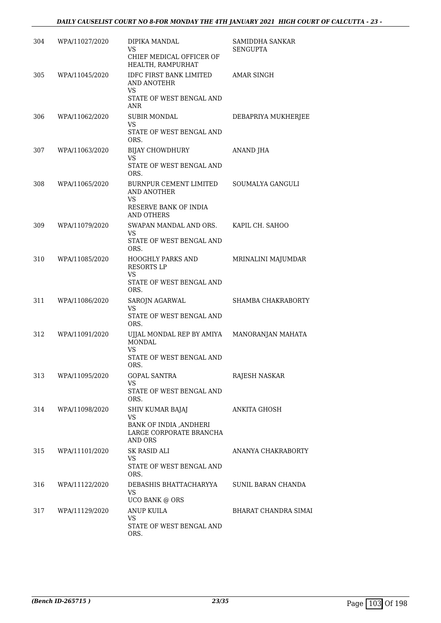| 304 | WPA/11027/2020 | DIPIKA MANDAL<br><b>VS</b><br>CHIEF MEDICAL OFFICER OF<br>HEALTH, RAMPURHAT                          | SAMIDDHA SANKAR<br><b>SENGUPTA</b> |
|-----|----------------|------------------------------------------------------------------------------------------------------|------------------------------------|
| 305 | WPA/11045/2020 | <b>IDFC FIRST BANK LIMITED</b><br><b>AND ANOTEHR</b><br><b>VS</b><br>STATE OF WEST BENGAL AND<br>ANR | <b>AMAR SINGH</b>                  |
| 306 | WPA/11062/2020 | <b>SUBIR MONDAL</b><br>VS<br>STATE OF WEST BENGAL AND<br>ORS.                                        | DEBAPRIYA MUKHERJEE                |
| 307 | WPA/11063/2020 | <b>BIJAY CHOWDHURY</b><br>VS<br>STATE OF WEST BENGAL AND<br>ORS.                                     | ANAND JHA                          |
| 308 | WPA/11065/2020 | <b>BURNPUR CEMENT LIMITED</b><br><b>AND ANOTHER</b><br>VS<br>RESERVE BANK OF INDIA<br>AND OTHERS     | SOUMALYA GANGULI                   |
| 309 | WPA/11079/2020 | SWAPAN MANDAL AND ORS.<br>VS<br>STATE OF WEST BENGAL AND<br>ORS.                                     | KAPIL CH. SAHOO                    |
| 310 | WPA/11085/2020 | <b>HOOGHLY PARKS AND</b><br><b>RESORTS LP</b><br>VS<br>STATE OF WEST BENGAL AND<br>ORS.              | MRINALINI MAJUMDAR                 |
| 311 | WPA/11086/2020 | SAROJN AGARWAL<br>VS<br>STATE OF WEST BENGAL AND<br>ORS.                                             | SHAMBA CHAKRABORTY                 |
| 312 | WPA/11091/2020 | UJJAL MONDAL REP BY AMIYA<br><b>MONDAL</b><br>VS.<br>STATE OF WEST BENGAL AND<br>ORS.                | MANORANJAN MAHATA                  |
| 313 | WPA/11095/2020 | <b>GOPAL SANTRA</b><br>VS<br>STATE OF WEST BENGAL AND<br>ORS.                                        | RAJESH NASKAR                      |
| 314 | WPA/11098/2020 | SHIV KUMAR BAJAJ<br>VS<br>BANK OF INDIA , ANDHERI<br>LARGE CORPORATE BRANCHA<br>AND ORS              | ANKITA GHOSH                       |
| 315 | WPA/11101/2020 | SK RASID ALI<br>VS<br>STATE OF WEST BENGAL AND<br>ORS.                                               | ANANYA CHAKRABORTY                 |
| 316 | WPA/11122/2020 | DEBASHIS BHATTACHARYYA<br>VS<br><b>UCO BANK @ ORS</b>                                                | SUNIL BARAN CHANDA                 |
| 317 | WPA/11129/2020 | ANUP KUILA<br>VS<br>STATE OF WEST BENGAL AND<br>ORS.                                                 | BHARAT CHANDRA SIMAI               |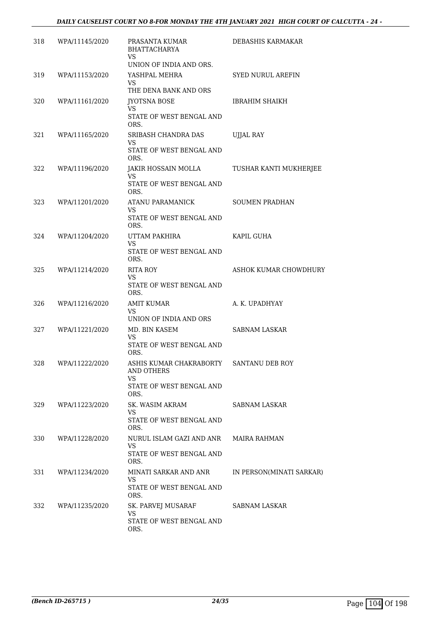| 318 | WPA/11145/2020 | PRASANTA KUMAR<br><b>BHATTACHARYA</b><br>VS<br>UNION OF INDIA AND ORS.                  | <b>DEBASHIS KARMAKAR</b> |
|-----|----------------|-----------------------------------------------------------------------------------------|--------------------------|
| 319 | WPA/11153/2020 | YASHPAL MEHRA<br>VS.<br>THE DENA BANK AND ORS                                           | SYED NURUL AREFIN        |
| 320 | WPA/11161/2020 | JYOTSNA BOSE<br>VS<br>STATE OF WEST BENGAL AND<br>ORS.                                  | <b>IBRAHIM SHAIKH</b>    |
| 321 | WPA/11165/2020 | SRIBASH CHANDRA DAS<br>VS<br>STATE OF WEST BENGAL AND<br>ORS.                           | UJJAL RAY                |
| 322 | WPA/11196/2020 | JAKIR HOSSAIN MOLLA<br>VS<br>STATE OF WEST BENGAL AND<br>ORS.                           | TUSHAR KANTI MUKHERJEE   |
| 323 | WPA/11201/2020 | ATANU PARAMANICK<br>VS.<br>STATE OF WEST BENGAL AND<br>ORS.                             | <b>SOUMEN PRADHAN</b>    |
| 324 | WPA/11204/2020 | UTTAM PAKHIRA<br>VS<br>STATE OF WEST BENGAL AND<br>ORS.                                 | KAPIL GUHA               |
| 325 | WPA/11214/2020 | <b>RITA ROY</b><br>VS<br>STATE OF WEST BENGAL AND<br>ORS.                               | ASHOK KUMAR CHOWDHURY    |
| 326 | WPA/11216/2020 | <b>AMIT KUMAR</b><br>VS<br>UNION OF INDIA AND ORS                                       | A. K. UPADHYAY           |
| 327 | WPA/11221/2020 | MD. BIN KASEM<br>VS<br>STATE OF WEST BENGAL AND<br>ORS.                                 | <b>SABNAM LASKAR</b>     |
| 328 | WPA/11222/2020 | ASHIS KUMAR CHAKRABORTY<br><b>AND OTHERS</b><br>VS.<br>STATE OF WEST BENGAL AND<br>ORS. | SANTANU DEB ROY          |
| 329 | WPA/11223/2020 | SK. WASIM AKRAM<br>VS<br>STATE OF WEST BENGAL AND<br>ORS.                               | SABNAM LASKAR            |
| 330 | WPA/11228/2020 | NURUL ISLAM GAZI AND ANR<br>VS<br>STATE OF WEST BENGAL AND<br>ORS.                      | MAIRA RAHMAN             |
| 331 | WPA/11234/2020 | MINATI SARKAR AND ANR<br>VS.<br>STATE OF WEST BENGAL AND<br>ORS.                        | IN PERSON(MINATI SARKAR) |
| 332 | WPA/11235/2020 | SK. PARVEJ MUSARAF<br>VS<br>STATE OF WEST BENGAL AND<br>ORS.                            | SABNAM LASKAR            |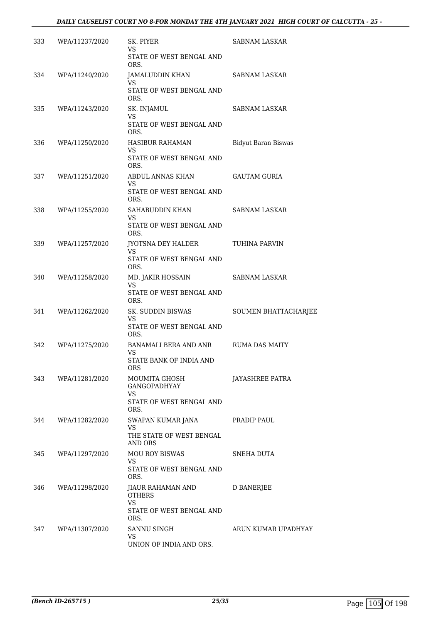### *DAILY CAUSELIST COURT NO 8-FOR MONDAY THE 4TH JANUARY 2021 HIGH COURT OF CALCUTTA - 25 -*

| 333 | WPA/11237/2020 | SK. PIYER<br>VS<br>STATE OF WEST BENGAL AND<br>ORS.                                 | <b>SABNAM LASKAR</b>       |
|-----|----------------|-------------------------------------------------------------------------------------|----------------------------|
| 334 | WPA/11240/2020 | JAMALUDDIN KHAN<br>VS<br>STATE OF WEST BENGAL AND<br>ORS.                           | SABNAM LASKAR              |
| 335 | WPA/11243/2020 | SK. INJAMUL<br>VS<br>STATE OF WEST BENGAL AND<br>ORS.                               | <b>SABNAM LASKAR</b>       |
| 336 | WPA/11250/2020 | <b>HASIBUR RAHAMAN</b><br>VS.<br>STATE OF WEST BENGAL AND<br>ORS.                   | <b>Bidyut Baran Biswas</b> |
| 337 | WPA/11251/2020 | ABDUL ANNAS KHAN<br>VS<br>STATE OF WEST BENGAL AND<br>ORS.                          | <b>GAUTAM GURIA</b>        |
| 338 | WPA/11255/2020 | SAHABUDDIN KHAN<br>VS<br>STATE OF WEST BENGAL AND<br>ORS.                           | SABNAM LASKAR              |
| 339 | WPA/11257/2020 | JYOTSNA DEY HALDER<br>VS<br>STATE OF WEST BENGAL AND<br>ORS.                        | <b>TUHINA PARVIN</b>       |
| 340 | WPA/11258/2020 | MD. JAKIR HOSSAIN<br>VS<br>STATE OF WEST BENGAL AND<br>ORS.                         | <b>SABNAM LASKAR</b>       |
| 341 | WPA/11262/2020 | SK. SUDDIN BISWAS<br>VS<br>STATE OF WEST BENGAL AND<br>ORS.                         | SOUMEN BHATTACHARJEE       |
| 342 | WPA/11275/2020 | <b>BANAMALI BERA AND ANR</b><br>VS<br>STATE BANK OF INDIA AND<br>ORS.               | <b>RUMA DAS MAITY</b>      |
| 343 | WPA/11281/2020 | MOUMITA GHOSH<br>GANGOPADHYAY<br>VS.<br>STATE OF WEST BENGAL AND<br>ORS.            | JAYASHREE PATRA            |
| 344 | WPA/11282/2020 | SWAPAN KUMAR JANA<br><b>VS</b><br>THE STATE OF WEST BENGAL<br>AND ORS               | PRADIP PAUL                |
| 345 | WPA/11297/2020 | <b>MOU ROY BISWAS</b><br>VS.<br>STATE OF WEST BENGAL AND<br>ORS.                    | SNEHA DUTA                 |
| 346 | WPA/11298/2020 | JIAUR RAHAMAN AND<br><b>OTHERS</b><br><b>VS</b><br>STATE OF WEST BENGAL AND<br>ORS. | D BANERJEE                 |
| 347 | WPA/11307/2020 | SANNU SINGH<br>VS<br>UNION OF INDIA AND ORS.                                        | ARUN KUMAR UPADHYAY        |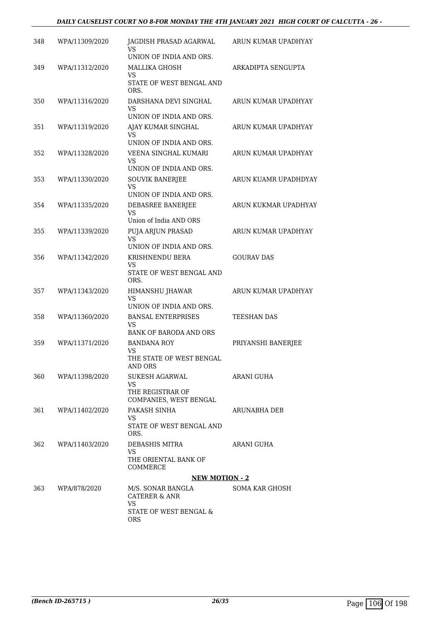#### *DAILY CAUSELIST COURT NO 8-FOR MONDAY THE 4TH JANUARY 2021 HIGH COURT OF CALCUTTA - 26 -*

| 348  | WPA/11309/2020 | JAGDISH PRASAD AGARWAL<br>VS<br>UNION OF INDIA AND ORS. | ARUN KUMAR UPADHYAY  |
|------|----------------|---------------------------------------------------------|----------------------|
| 349  | WPA/11312/2020 | <b>MALLIKA GHOSH</b><br>VS                              | ARKADIPTA SENGUPTA   |
|      |                | STATE OF WEST BENGAL AND<br>ORS.                        |                      |
| 350  | WPA/11316/2020 | DARSHANA DEVI SINGHAL<br>VS                             | ARUN KUMAR UPADHYAY  |
|      |                | UNION OF INDIA AND ORS.                                 |                      |
| 351  | WPA/11319/2020 | AJAY KUMAR SINGHAL<br>VS                                | ARUN KUMAR UPADHYAY  |
|      |                | UNION OF INDIA AND ORS.                                 |                      |
| 352  | WPA/11328/2020 | VEENA SINGHAL KUMARI<br>VS<br>UNION OF INDIA AND ORS.   | ARUN KUMAR UPADHYAY  |
| 353  | WPA/11330/2020 | <b>SOUVIK BANERJEE</b>                                  | ARUN KUAMR UPADHDYAY |
|      |                | <b>VS</b><br>UNION OF INDIA AND ORS.                    |                      |
| 354  | WPA/11335/2020 | DEBASREE BANERJEE                                       | ARUN KUKMAR UPADHYAY |
|      |                | VS<br>Union of India AND ORS                            |                      |
| 355  | WPA/11339/2020 | PUJA ARJUN PRASAD                                       | ARUN KUMAR UPADHYAY  |
|      |                | <b>VS</b><br>UNION OF INDIA AND ORS.                    |                      |
| 356  | WPA/11342/2020 | KRISHNENDU BERA                                         | <b>GOURAV DAS</b>    |
|      |                | VS<br>STATE OF WEST BENGAL AND<br>ORS.                  |                      |
| 357  | WPA/11343/2020 | HIMANSHU JHAWAR                                         | ARUN KUMAR UPADHYAY  |
|      |                | VS<br>UNION OF INDIA AND ORS.                           |                      |
| 358  | WPA/11360/2020 | <b>BANSAL ENTERPRISES</b><br>VS                         | TEESHAN DAS          |
|      |                | BANK OF BARODA AND ORS                                  |                      |
| 359  | WPA/11371/2020 | <b>BANDANA ROY</b><br><b>VS</b>                         | PRIYANSHI BANERJEE   |
|      |                | THE STATE OF WEST BENGAL<br><b>AND ORS</b>              |                      |
| 360. | WPA/11398/2020 | SUKESH AGARWAL<br><b>VS</b>                             | ARANI GUHA           |
|      |                | THE REGISTRAR OF<br>COMPANIES, WEST BENGAL              |                      |
| 361  | WPA/11402/2020 | PAKASH SINHA                                            | ARUNABHA DEB         |
|      |                | VS.<br>STATE OF WEST BENGAL AND<br>ORS.                 |                      |
| 362  | WPA/11403/2020 | DEBASHIS MITRA                                          | ARANI GUHA           |
|      |                | <b>VS</b><br>THE ORIENTAL BANK OF<br>COMMERCE           |                      |
|      |                | <b>NEW MOTION - 2</b>                                   |                      |
| 363  | WPA/878/2020   | M/S. SONAR BANGLA<br><b>CATERER &amp; ANR</b>           | SOMA KAR GHOSH       |
|      |                | VS<br>STATE OF WEST BENGAL &<br><b>ORS</b>              |                      |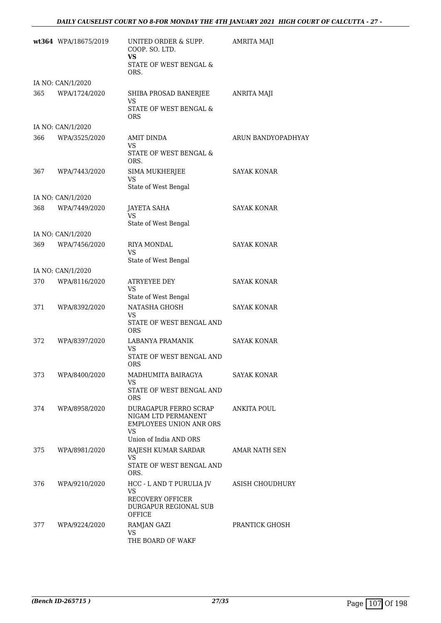|     | wt364 WPA/18675/2019 | UNITED ORDER & SUPP.<br>COOP. SO. LTD.<br><b>VS</b>                                         | <b>AMRITA MAJI</b> |
|-----|----------------------|---------------------------------------------------------------------------------------------|--------------------|
|     |                      | STATE OF WEST BENGAL &<br>ORS.                                                              |                    |
|     | IA NO: CAN/1/2020    |                                                                                             |                    |
| 365 | WPA/1724/2020        | SHIBA PROSAD BANERJEE                                                                       | <b>ANRITA MAJI</b> |
|     |                      | VS<br>STATE OF WEST BENGAL &<br>ORS                                                         |                    |
|     | IA NO: CAN/1/2020    |                                                                                             |                    |
| 366 | WPA/3525/2020        | AMIT DINDA<br>VS.<br>STATE OF WEST BENGAL &                                                 | ARUN BANDYOPADHYAY |
|     |                      | ORS.                                                                                        |                    |
| 367 | WPA/7443/2020        | SIMA MUKHERJEE<br>VS                                                                        | SAYAK KONAR        |
|     |                      | State of West Bengal                                                                        |                    |
|     | IA NO: CAN/1/2020    |                                                                                             |                    |
| 368 | WPA/7449/2020        | <b>JAYETA SAHA</b><br>VS                                                                    | <b>SAYAK KONAR</b> |
|     |                      | State of West Bengal                                                                        |                    |
|     | IA NO: CAN/1/2020    |                                                                                             |                    |
| 369 | WPA/7456/2020        | RIYA MONDAL<br>VS                                                                           | SAYAK KONAR        |
|     |                      | State of West Bengal                                                                        |                    |
|     | IA NO: CAN/1/2020    |                                                                                             |                    |
| 370 | WPA/8116/2020        | ATRYEYEE DEY<br>VS<br>State of West Bengal                                                  | <b>SAYAK KONAR</b> |
| 371 | WPA/8392/2020        | NATASHA GHOSH                                                                               | <b>SAYAK KONAR</b> |
|     |                      | VS.<br>STATE OF WEST BENGAL AND<br><b>ORS</b>                                               |                    |
| 372 | WPA/8397/2020        | LABANYA PRAMANIK                                                                            | <b>SAYAK KONAR</b> |
|     |                      | VS<br>STATE OF WEST BENGAL AND<br>ORS                                                       |                    |
| 373 | WPA/8400/2020        | MADHUMITA BAIRAGYA                                                                          | <b>SAYAK KONAR</b> |
|     |                      | VS.                                                                                         |                    |
|     |                      | STATE OF WEST BENGAL AND<br><b>ORS</b>                                                      |                    |
| 374 | WPA/8958/2020        | DURAGAPUR FERRO SCRAP<br>NIGAM LTD PERMANENT<br><b>EMPLOYEES UNION ANR ORS</b><br><b>VS</b> | <b>ANKITA POUL</b> |
|     |                      | Union of India AND ORS                                                                      |                    |
| 375 | WPA/8981/2020        | RAJESH KUMAR SARDAR<br>VS                                                                   | AMAR NATH SEN      |
|     |                      | STATE OF WEST BENGAL AND<br>ORS.                                                            |                    |
| 376 | WPA/9210/2020        | HCC - L AND T PURULIA JV<br><b>VS</b>                                                       | ASISH CHOUDHURY    |
|     |                      | <b>RECOVERY OFFICER</b><br>DURGAPUR REGIONAL SUB<br>OFFICE                                  |                    |
| 377 | WPA/9224/2020        | RAMJAN GAZI<br>VS                                                                           | PRANTICK GHOSH     |
|     |                      | THE BOARD OF WAKF                                                                           |                    |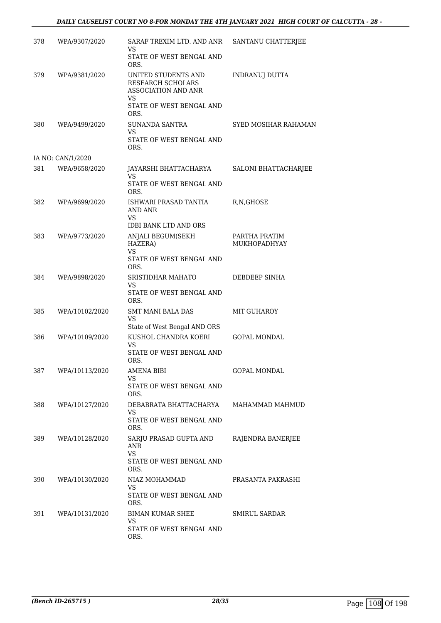| 378 | WPA/9307/2020     | SARAF TREXIM LTD. AND ANR<br>VS<br>STATE OF WEST BENGAL AND                                           | SANTANU CHATTERJEE                   |
|-----|-------------------|-------------------------------------------------------------------------------------------------------|--------------------------------------|
| 379 | WPA/9381/2020     | ORS.<br>UNITED STUDENTS AND<br>RESEARCH SCHOLARS<br><b>ASSOCIATION AND ANR</b>                        | INDRANUJ DUTTA                       |
|     |                   | <b>VS</b><br>STATE OF WEST BENGAL AND<br>ORS.                                                         |                                      |
| 380 | WPA/9499/2020     | SUNANDA SANTRA<br>VS<br>STATE OF WEST BENGAL AND<br>ORS.                                              | SYED MOSIHAR RAHAMAN                 |
|     | IA NO: CAN/1/2020 |                                                                                                       |                                      |
| 381 | WPA/9658/2020     | JAYARSHI BHATTACHARYA<br>VS<br>STATE OF WEST BENGAL AND<br>ORS.                                       | SALONI BHATTACHARJEE                 |
| 382 | WPA/9699/2020     | ISHWARI PRASAD TANTIA<br>AND ANR<br><b>VS</b><br><b>IDBI BANK LTD AND ORS</b>                         | R, N, GHOSE                          |
| 383 | WPA/9773/2020     | ANJALI BEGUM(SEKH<br>HAZERA)<br><b>VS</b><br>STATE OF WEST BENGAL AND<br>ORS.                         | PARTHA PRATIM<br><b>MUKHOPADHYAY</b> |
| 384 | WPA/9898/2020     | <b>SRISTIDHAR MAHATO</b><br>VS<br>STATE OF WEST BENGAL AND<br>ORS.                                    | DEBDEEP SINHA                        |
| 385 | WPA/10102/2020    | <b>SMT MANI BALA DAS</b><br><b>VS</b>                                                                 | MIT GUHAROY                          |
| 386 | WPA/10109/2020    | State of West Bengal AND ORS<br>KUSHOL CHANDRA KOERI<br><b>VS</b><br>STATE OF WEST BENGAL AND<br>ORS. | <b>GOPAL MONDAL</b>                  |
| 387 | WPA/10113/2020    | <b>AMENA BIBI</b><br>VS<br>STATE OF WEST BENGAL AND<br>ORS.                                           | <b>GOPAL MONDAL</b>                  |
| 388 | WPA/10127/2020    | DEBABRATA BHATTACHARYA<br>VS<br>STATE OF WEST BENGAL AND                                              | MAHAMMAD MAHMUD                      |
| 389 | WPA/10128/2020    | ORS.<br>SARJU PRASAD GUPTA AND<br>ANR<br>VS<br>STATE OF WEST BENGAL AND                               | RAJENDRA BANERJEE                    |
|     |                   | ORS.                                                                                                  |                                      |
| 390 | WPA/10130/2020    | NIAZ MOHAMMAD<br>VS.<br>STATE OF WEST BENGAL AND<br>ORS.                                              | PRASANTA PAKRASHI                    |
| 391 | WPA/10131/2020    | <b>BIMAN KUMAR SHEE</b><br><b>VS</b><br>STATE OF WEST BENGAL AND<br>ORS.                              | <b>SMIRUL SARDAR</b>                 |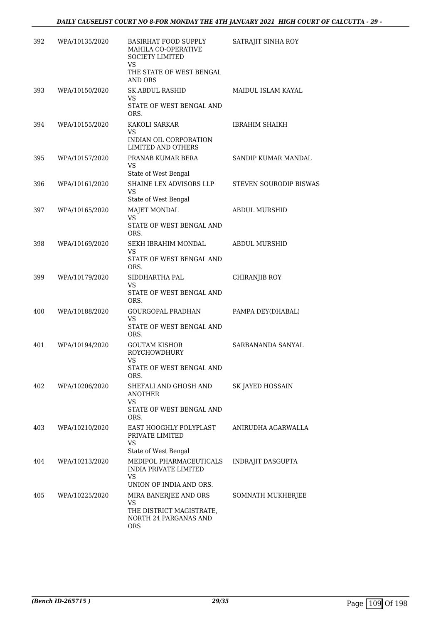| 392 | WPA/10135/2020 | BASIRHAT FOOD SUPPLY<br>MAHILA CO-OPERATIVE<br><b>SOCIETY LIMITED</b><br><b>VS</b>              | SATRAJIT SINHA ROY            |
|-----|----------------|-------------------------------------------------------------------------------------------------|-------------------------------|
|     |                | THE STATE OF WEST BENGAL<br>AND ORS                                                             |                               |
| 393 | WPA/10150/2020 | <b>SK.ABDUL RASHID</b><br>VS.<br>STATE OF WEST BENGAL AND<br>ORS.                               | <b>MAIDUL ISLAM KAYAL</b>     |
| 394 | WPA/10155/2020 | KAKOLI SARKAR<br>VS<br>INDIAN OIL CORPORATION<br>LIMITED AND OTHERS                             | <b>IBRAHIM SHAIKH</b>         |
| 395 | WPA/10157/2020 | PRANAB KUMAR BERA<br><b>VS</b><br>State of West Bengal                                          | SANDIP KUMAR MANDAL           |
| 396 | WPA/10161/2020 | SHAINE LEX ADVISORS LLP<br><b>VS</b><br>State of West Bengal                                    | <b>STEVEN SOURODIP BISWAS</b> |
| 397 | WPA/10165/2020 | <b>MAJET MONDAL</b><br><b>VS</b><br>STATE OF WEST BENGAL AND<br>ORS.                            | <b>ABDUL MURSHID</b>          |
| 398 | WPA/10169/2020 | SEKH IBRAHIM MONDAL<br>VS<br>STATE OF WEST BENGAL AND<br>ORS.                                   | <b>ABDUL MURSHID</b>          |
| 399 | WPA/10179/2020 | SIDDHARTHA PAL<br><b>VS</b><br>STATE OF WEST BENGAL AND<br>ORS.                                 | CHIRANJIB ROY                 |
| 400 | WPA/10188/2020 | GOURGOPAL PRADHAN<br><b>VS</b><br>STATE OF WEST BENGAL AND<br>ORS.                              | PAMPA DEY(DHABAL)             |
| 401 | WPA/10194/2020 | <b>GOUTAM KISHOR</b><br><b>ROYCHOWDHURY</b><br>VS<br>STATE OF WEST BENGAL AND<br>ORS.           | SARBANANDA SANYAL             |
| 402 | WPA/10206/2020 | SHEFALI AND GHOSH AND<br>ANOTHER<br>VS.<br>STATE OF WEST BENGAL AND<br>ORS.                     | SK JAYED HOSSAIN              |
| 403 | WPA/10210/2020 | EAST HOOGHLY POLYPLAST<br>PRIVATE LIMITED<br><b>VS</b><br>State of West Bengal                  | ANIRUDHA AGARWALLA            |
| 404 | WPA/10213/2020 | MEDIPOL PHARMACEUTICALS<br><b>INDIA PRIVATE LIMITED</b><br><b>VS</b><br>UNION OF INDIA AND ORS. | INDRAJIT DASGUPTA             |
| 405 | WPA/10225/2020 | MIRA BANERJEE AND ORS<br>VS<br>THE DISTRICT MAGISTRATE,<br>NORTH 24 PARGANAS AND<br><b>ORS</b>  | SOMNATH MUKHERJEE             |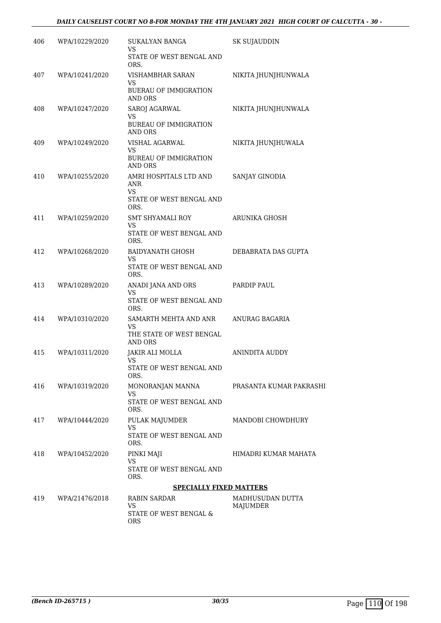| 406 | WPA/10229/2020     | SUKALYAN BANGA<br>VS<br>STATE OF WEST BENGAL AND<br>ORS.                      | <b>SK SUJAUDDIN</b>          |
|-----|--------------------|-------------------------------------------------------------------------------|------------------------------|
| 407 | WPA/10241/2020     | VISHAMBHAR SARAN<br><b>VS</b><br><b>BUERAU OF IMMIGRATION</b><br>AND ORS      | NIKITA JHUNJHUNWALA          |
| 408 | WPA/10247/2020     | SAROJ AGARWAL<br>VS<br><b>BUREAU OF IMMIGRATION</b><br>AND ORS                | NIKITA JHUNJHUNWALA          |
| 409 | WPA/10249/2020     | VISHAL AGARWAL<br><b>VS</b><br><b>BUREAU OF IMMIGRATION</b><br><b>AND ORS</b> | NIKITA JHUNJHUWALA           |
| 410 | WPA/10255/2020     | AMRI HOSPITALS LTD AND<br>ANR<br>VS<br>STATE OF WEST BENGAL AND<br>ORS.       | SANJAY GINODIA               |
| 411 | WPA/10259/2020     | SMT SHYAMALI ROY<br>VS<br>STATE OF WEST BENGAL AND<br>ORS.                    | ARUNIKA GHOSH                |
| 412 | WPA/10268/2020     | BAIDYANATH GHOSH<br>VS<br>STATE OF WEST BENGAL AND<br>ORS.                    | DEBABRATA DAS GUPTA          |
| 413 | WPA/10289/2020     | ANADI JANA AND ORS<br>VS<br>STATE OF WEST BENGAL AND<br>ORS.                  | PARDIP PAUL                  |
| 414 | WPA/10310/2020     | SAMARTH MEHTA AND ANR<br>VS<br>THE STATE OF WEST BENGAL<br>AND ORS            | ANURAG BAGARIA               |
| 415 | WPA/10311/2020     | JAKIR ALI MOLLA<br>VS<br>STATE OF WEST BENGAL AND<br>ORS.                     | ANINDITA AUDDY               |
| 416 | WPA/10319/2020     | MONORANJAN MANNA<br>VS<br>STATE OF WEST BENGAL AND<br>ORS.                    | PRASANTA KUMAR PAKRASHI      |
|     | 417 WPA/10444/2020 | PULAK MAJUMDER<br>VS<br>STATE OF WEST BENGAL AND<br>ORS.                      | MANDOBI CHOWDHURY            |
| 418 | WPA/10452/2020     | PINKI MAJI<br>VS<br>STATE OF WEST BENGAL AND<br>ORS.                          | HIMADRI KUMAR MAHATA         |
|     |                    | <b>SPECIALLY FIXED MATTERS</b>                                                |                              |
| 419 | WPA/21476/2018     | RABIN SARDAR<br>VS<br>STATE OF WEST BENGAL &<br><b>ORS</b>                    | MADHUSUDAN DUTTA<br>MAJUMDER |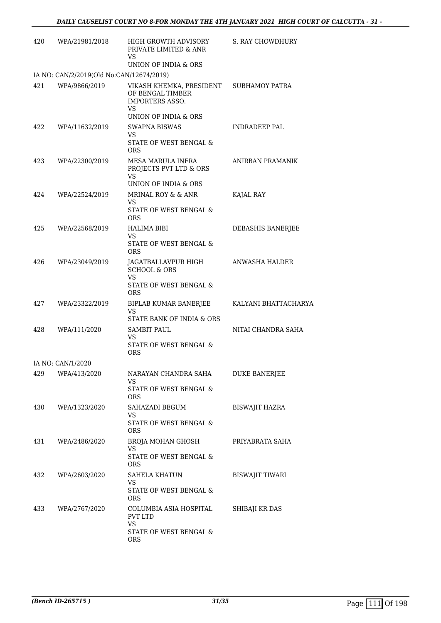| 420 | WPA/21981/2018                                            | HIGH GROWTH ADVISORY<br>PRIVATE LIMITED & ANR<br>VS                                        | S. RAY CHOWDHURY       |
|-----|-----------------------------------------------------------|--------------------------------------------------------------------------------------------|------------------------|
|     |                                                           | UNION OF INDIA & ORS                                                                       |                        |
| 421 | IA NO: CAN/2/2019(Old No:CAN/12674/2019)<br>WPA/9866/2019 | VIKASH KHEMKA, PRESIDENT<br>OF BENGAL TIMBER<br><b>IMPORTERS ASSO.</b><br>VS.              | <b>SUBHAMOY PATRA</b>  |
| 422 | WPA/11632/2019                                            | UNION OF INDIA & ORS<br><b>SWAPNA BISWAS</b><br><b>VS</b><br>STATE OF WEST BENGAL &<br>ORS | <b>INDRADEEP PAL</b>   |
| 423 | WPA/22300/2019                                            | <b>MESA MARULA INFRA</b><br>PROJECTS PVT LTD & ORS<br>VS<br>UNION OF INDIA & ORS           | ANIRBAN PRAMANIK       |
| 424 | WPA/22524/2019                                            | MRINAL ROY & & ANR<br>VS<br>STATE OF WEST BENGAL &<br><b>ORS</b>                           | KAJAL RAY              |
| 425 | WPA/22568/2019                                            | <b>HALIMA BIBI</b><br>VS.<br>STATE OF WEST BENGAL &<br>ORS                                 | DEBASHIS BANERJEE      |
| 426 | WPA/23049/2019                                            | JAGATBALLAVPUR HIGH<br><b>SCHOOL &amp; ORS</b><br>VS<br>STATE OF WEST BENGAL &<br>ORS      | ANWASHA HALDER         |
| 427 | WPA/23322/2019                                            | BIPLAB KUMAR BANERJEE<br><b>VS</b><br>STATE BANK OF INDIA & ORS                            | KALYANI BHATTACHARYA   |
| 428 | WPA/111/2020                                              | <b>SAMBIT PAUL</b><br>VS.<br>STATE OF WEST BENGAL &<br><b>ORS</b>                          | NITAI CHANDRA SAHA     |
|     | IA NO: CAN/1/2020                                         |                                                                                            |                        |
| 429 | WPA/413/2020                                              | NARAYAN CHANDRA SAHA<br>VS<br>STATE OF WEST BENGAL &                                       | DUKE BANERJEE          |
| 430 | WPA/1323/2020                                             | ORS<br>SAHAZADI BEGUM<br>VS<br>STATE OF WEST BENGAL &<br>ORS                               | <b>BISWAJIT HAZRA</b>  |
| 431 | WPA/2486/2020                                             | BROJA MOHAN GHOSH<br>VS<br>STATE OF WEST BENGAL &<br>ORS                                   | PRIYABRATA SAHA        |
| 432 | WPA/2603/2020                                             | SAHELA KHATUN<br>VS<br>STATE OF WEST BENGAL &<br>ORS                                       | <b>BISWAJIT TIWARI</b> |
| 433 | WPA/2767/2020                                             | COLUMBIA ASIA HOSPITAL<br>PVT LTD<br>VS.<br>STATE OF WEST BENGAL &<br><b>ORS</b>           | SHIBAJI KR DAS         |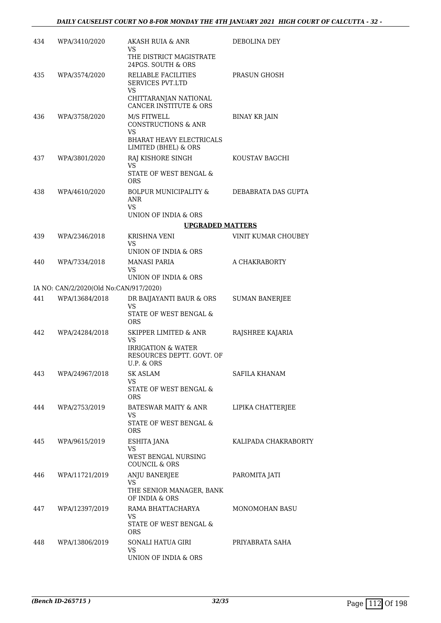| 434 | WPA/3410/2020                          | AKASH RUIA & ANR                                                         | DEBOLINA DEY          |
|-----|----------------------------------------|--------------------------------------------------------------------------|-----------------------|
|     |                                        | VS<br>THE DISTRICT MAGISTRATE<br>24PGS. SOUTH & ORS                      |                       |
| 435 | WPA/3574/2020                          | RELIABLE FACILITIES<br><b>SERVICES PVT.LTD</b><br>VS                     | PRASUN GHOSH          |
|     |                                        | CHITTARANJAN NATIONAL<br><b>CANCER INSTITUTE &amp; ORS</b>               |                       |
| 436 | WPA/3758/2020                          | M/S FITWELL<br><b>CONSTRUCTIONS &amp; ANR</b><br>VS                      | <b>BINAY KR JAIN</b>  |
|     |                                        | <b>BHARAT HEAVY ELECTRICALS</b><br>LIMITED (BHEL) & ORS                  |                       |
| 437 | WPA/3801/2020                          | RAJ KISHORE SINGH<br>VS                                                  | KOUSTAV BAGCHI        |
|     |                                        | STATE OF WEST BENGAL &<br>ORS                                            |                       |
| 438 | WPA/4610/2020                          | <b>BOLPUR MUNICIPALITY &amp;</b><br><b>ANR</b><br>VS                     | DEBABRATA DAS GUPTA   |
|     |                                        | UNION OF INDIA & ORS                                                     |                       |
|     |                                        | <b>UPGRADED MATTERS</b>                                                  |                       |
| 439 | WPA/2346/2018                          | <b>KRISHNA VENI</b><br>VS                                                | VINIT KUMAR CHOUBEY   |
|     |                                        | UNION OF INDIA & ORS                                                     |                       |
| 440 | WPA/7334/2018                          | <b>MANASI PARIA</b><br>VS                                                | A CHAKRABORTY         |
|     | IA NO: CAN/2/2020(Old No:CAN/917/2020) | UNION OF INDIA & ORS                                                     |                       |
| 441 | WPA/13684/2018                         | DR BAIJAYANTI BAUR & ORS                                                 | <b>SUMAN BANERJEE</b> |
|     |                                        | VS<br>STATE OF WEST BENGAL &<br>ORS                                      |                       |
| 442 | WPA/24284/2018                         | SKIPPER LIMITED & ANR<br>VS                                              | RAJSHREE KAJARIA      |
|     |                                        | <b>IRRIGATION &amp; WATER</b><br>RESOURCES DEPTT. GOVT. OF<br>U.P. & ORS |                       |
| 443 | WPA/24967/2018                         | <b>SK ASLAM</b>                                                          | <b>SAFILA KHANAM</b>  |
|     |                                        | VS<br>STATE OF WEST BENGAL &<br><b>ORS</b>                               |                       |
| 444 | WPA/2753/2019                          | BATESWAR MAITY & ANR                                                     | LIPIKA CHATTERJEE     |
|     |                                        | VS<br>STATE OF WEST BENGAL &<br><b>ORS</b>                               |                       |
| 445 | WPA/9615/2019                          | ESHITA JANA                                                              | KALIPADA CHAKRABORTY  |
|     |                                        | VS<br><b>WEST BENGAL NURSING</b><br>COUNCIL & ORS                        |                       |
| 446 | WPA/11721/2019                         | ANJU BANERJEE                                                            | PAROMITA JATI         |
|     |                                        | VS<br>THE SENIOR MANAGER, BANK<br>OF INDIA & ORS                         |                       |
| 447 | WPA/12397/2019                         | RAMA BHATTACHARYA<br>VS                                                  | MONOMOHAN BASU        |
|     |                                        | STATE OF WEST BENGAL &<br><b>ORS</b>                                     |                       |
| 448 | WPA/13806/2019                         | SONALI HATUA GIRI<br>VS<br>UNION OF INDIA & ORS                          | PRIYABRATA SAHA       |
|     |                                        |                                                                          |                       |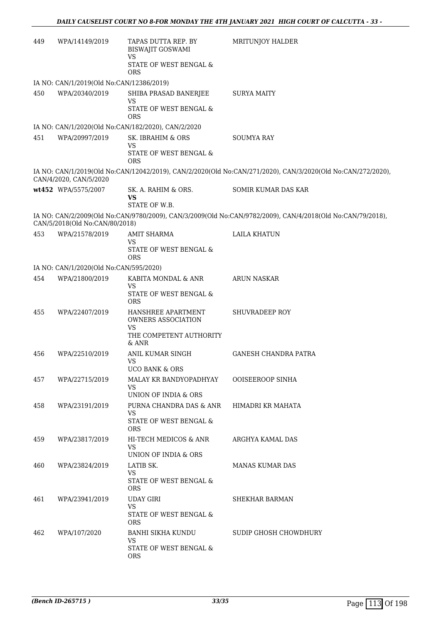| 449 | WPA/14149/2019                           | TAPAS DUTTA REP. BY<br><b>BISWAJIT GOSWAMI</b><br>VS    | MRITUNJOY HALDER                                                                                            |
|-----|------------------------------------------|---------------------------------------------------------|-------------------------------------------------------------------------------------------------------------|
|     |                                          | STATE OF WEST BENGAL &<br>ORS                           |                                                                                                             |
|     | IA NO: CAN/1/2019(Old No:CAN/12386/2019) |                                                         |                                                                                                             |
| 450 | WPA/20340/2019                           | SHIBA PRASAD BANERJEE<br><b>VS</b>                      | <b>SURYA MAITY</b>                                                                                          |
|     |                                          | STATE OF WEST BENGAL &<br><b>ORS</b>                    |                                                                                                             |
|     |                                          | IA NO: CAN/1/2020(Old No:CAN/182/2020), CAN/2/2020      |                                                                                                             |
| 451 | WPA/20997/2019                           | SK. IBRAHIM & ORS<br><b>VS</b>                          | <b>SOUMYA RAY</b>                                                                                           |
|     |                                          | STATE OF WEST BENGAL &<br><b>ORS</b>                    |                                                                                                             |
|     | CAN/4/2020, CAN/5/2020                   |                                                         | IA NO: CAN/1/2019(Old No:CAN/12042/2019), CAN/2/2020(Old No:CAN/271/2020), CAN/3/2020(Old No:CAN/272/2020), |
|     | wt452 WPA/5575/2007                      | SK. A. RAHIM & ORS.<br>VS                               | SOMIR KUMAR DAS KAR                                                                                         |
|     |                                          | STATE OF W.B.                                           |                                                                                                             |
|     | CAN/5/2018(Old No:CAN/80/2018)           |                                                         | IA NO: CAN/2/2009(Old No:CAN/9780/2009), CAN/3/2009(Old No:CAN/9782/2009), CAN/4/2018(Old No:CAN/79/2018),  |
| 453 | WPA/21578/2019                           | <b>AMIT SHARMA</b><br><b>VS</b>                         | <b>LAILA KHATUN</b>                                                                                         |
|     |                                          | STATE OF WEST BENGAL &<br><b>ORS</b>                    |                                                                                                             |
|     | IA NO: CAN/1/2020(Old No:CAN/595/2020)   |                                                         |                                                                                                             |
| 454 | WPA/21800/2019                           | KABITA MONDAL & ANR<br><b>VS</b>                        | <b>ARUN NASKAR</b>                                                                                          |
|     |                                          | STATE OF WEST BENGAL &<br><b>ORS</b>                    |                                                                                                             |
| 455 | WPA/22407/2019                           | HANSHREE APARTMENT<br>OWNERS ASSOCIATION<br><b>VS</b>   | <b>SHUVRADEEP ROY</b>                                                                                       |
|     |                                          | THE COMPETENT AUTHORITY<br>& ANR                        |                                                                                                             |
| 456 | WPA/22510/2019                           | ANIL KUMAR SINGH<br>VS                                  | <b>GANESH CHANDRA PATRA</b>                                                                                 |
|     |                                          | <b>UCO BANK &amp; ORS</b>                               |                                                                                                             |
| 457 | WPA/22715/2019                           | MALAY KR BANDYOPADHYAY<br>VS                            | <b>OOISEEROOP SINHA</b>                                                                                     |
|     |                                          | UNION OF INDIA & ORS                                    |                                                                                                             |
| 458 | WPA/23191/2019                           | PURNA CHANDRA DAS & ANR<br>VS<br>STATE OF WEST BENGAL & | HIMADRI KR MAHATA                                                                                           |
|     |                                          | <b>ORS</b>                                              |                                                                                                             |
| 459 | WPA/23817/2019                           | HI-TECH MEDICOS & ANR<br>VS                             | ARGHYA KAMAL DAS                                                                                            |
|     |                                          | UNION OF INDIA & ORS                                    |                                                                                                             |
| 460 | WPA/23824/2019                           | LATIB SK.<br><b>VS</b>                                  | <b>MANAS KUMAR DAS</b>                                                                                      |
|     |                                          | STATE OF WEST BENGAL &<br><b>ORS</b>                    |                                                                                                             |
| 461 | WPA/23941/2019                           | <b>UDAY GIRI</b><br><b>VS</b>                           | SHEKHAR BARMAN                                                                                              |
|     |                                          | STATE OF WEST BENGAL &<br><b>ORS</b>                    |                                                                                                             |
| 462 | WPA/107/2020                             | BANHI SIKHA KUNDU<br><b>VS</b>                          | SUDIP GHOSH CHOWDHURY                                                                                       |
|     |                                          | STATE OF WEST BENGAL &<br><b>ORS</b>                    |                                                                                                             |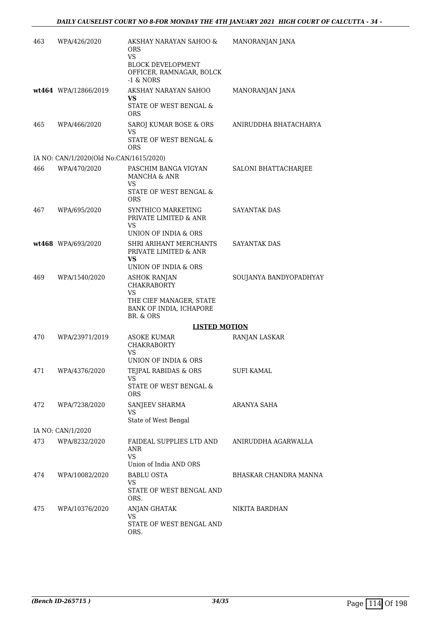| 463 | WPA/426/2020                            | AKSHAY NARAYAN SAHOO &<br><b>ORS</b><br><b>VS</b>                   | MANORANJAN JANA        |
|-----|-----------------------------------------|---------------------------------------------------------------------|------------------------|
|     |                                         | <b>BLOCK DEVELOPMENT</b><br>OFFICER, RAMNAGAR, BOLCK<br>$-1$ & NORS |                        |
|     | wt464 WPA/12866/2019                    | AKSHAY NARAYAN SAHOO<br>VS                                          | MANORANJAN JANA        |
|     |                                         | STATE OF WEST BENGAL &<br>ORS                                       |                        |
| 465 | WPA/466/2020                            | SAROJ KUMAR BOSE & ORS<br>VS                                        | ANIRUDDHA BHATACHARYA  |
|     |                                         | STATE OF WEST BENGAL &<br><b>ORS</b>                                |                        |
|     | IA NO: CAN/1/2020(Old No:CAN/1615/2020) |                                                                     |                        |
| 466 | WPA/470/2020                            | PASCHIM BANGA VIGYAN<br>MANCHA & ANR<br>VS                          | SALONI BHATTACHARJEE   |
|     |                                         | STATE OF WEST BENGAL &<br><b>ORS</b>                                |                        |
| 467 | WPA/695/2020                            | SYNTHICO MARKETING<br>PRIVATE LIMITED & ANR<br>VS                   | <b>SAYANTAK DAS</b>    |
|     |                                         | UNION OF INDIA & ORS                                                |                        |
|     | wt468 WPA/693/2020                      | SHRI ARIHANT MERCHANTS<br>PRIVATE LIMITED & ANR<br>VS               | <b>SAYANTAK DAS</b>    |
|     |                                         | UNION OF INDIA & ORS                                                |                        |
| 469 | WPA/1540/2020                           | <b>ASHOK RANJAN</b><br><b>CHAKRABORTY</b><br>VS                     | SOUJANYA BANDYOPADHYAY |
|     |                                         | THE CIEF MANAGER, STATE<br>BANK OF INDIA, ICHAPORE<br>BR. & ORS     |                        |
|     |                                         | <b>LISTED MOTION</b>                                                |                        |
| 470 | WPA/23971/2019                          | <b>ASOKE KUMAR</b><br><b>CHAKRABORTY</b><br>VS                      | RANJAN LASKAR          |
| 471 |                                         | UNION OF INDIA & ORS                                                |                        |
|     | WPA/4376/2020                           | TEJPAL RABIDAS & ORS                                                | <b>SUFI KAMAL</b>      |
|     |                                         | VS.<br>STATE OF WEST BENGAL &<br><b>ORS</b>                         |                        |
| 472 | WPA/7238/2020                           | SANJEEV SHARMA                                                      | ARANYA SAHA            |
|     |                                         | VS<br>State of West Bengal                                          |                        |
|     | IA NO: CAN/1/2020                       |                                                                     |                        |
| 473 | WPA/8232/2020                           | FAIDEAL SUPPLIES LTD AND ANIRUDDHA AGARWALLA<br>ANR<br>VS.          |                        |
|     |                                         | Union of India AND ORS                                              |                        |
| 474 | WPA/10082/2020                          | <b>BABLU OSTA</b><br>VS                                             | BHASKAR CHANDRA MANNA  |
|     |                                         | STATE OF WEST BENGAL AND<br>ORS.                                    |                        |
| 475 | WPA/10376/2020                          | ANJAN GHATAK<br>VS                                                  | NIKITA BARDHAN         |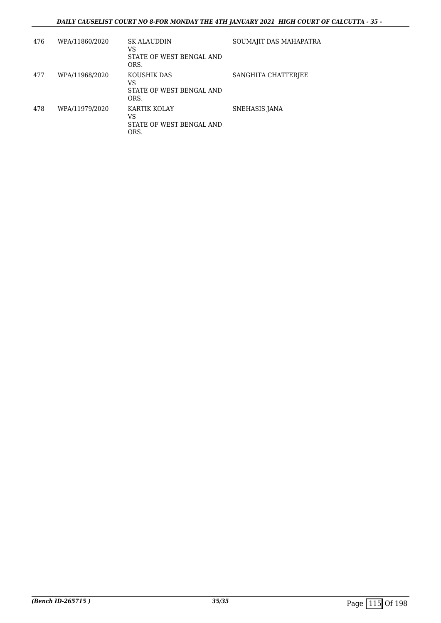## *DAILY CAUSELIST COURT NO 8-FOR MONDAY THE 4TH JANUARY 2021 HIGH COURT OF CALCUTTA - 35 -*

| 476 | WPA/11860/2020 | <b>SK ALAUDDIN</b><br>VS<br>STATE OF WEST BENGAL AND<br>ORS. | SOUMAJIT DAS MAHAPATRA |
|-----|----------------|--------------------------------------------------------------|------------------------|
| 477 | WPA/11968/2020 | KOUSHIK DAS<br>VS<br>STATE OF WEST BENGAL AND<br>ORS.        | SANGHITA CHATTERJEE    |
| 478 | WPA/11979/2020 | KARTIK KOLAY<br>VS<br>STATE OF WEST BENGAL AND<br>ORS.       | SNEHASIS JANA          |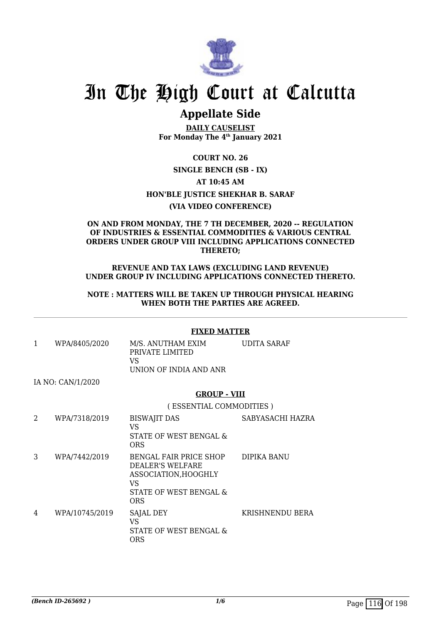

# In The High Court at Calcutta

## **Appellate Side**

**DAILY CAUSELIST For Monday The 4th January 2021**

**COURT NO. 26**

## **SINGLE BENCH (SB - IX)**

**AT 10:45 AM**

**HON'BLE JUSTICE SHEKHAR B. SARAF**

## **(VIA VIDEO CONFERENCE)**

## **ON AND FROM MONDAY, THE 7 TH DECEMBER, 2020 -- REGULATION OF INDUSTRIES & ESSENTIAL COMMODITIES & VARIOUS CENTRAL ORDERS UNDER GROUP VIII INCLUDING APPLICATIONS CONNECTED THERETO;**

## **REVENUE AND TAX LAWS (EXCLUDING LAND REVENUE) UNDER GROUP IV INCLUDING APPLICATIONS CONNECTED THERETO.**

## **NOTE : MATTERS WILL BE TAKEN UP THROUGH PHYSICAL HEARING WHEN BOTH THE PARTIES ARE AGREED.**

## **FIXED MATTER**

1 WPA/8405/2020 M/S. ANUTHAM EXIM PRIVATE LIMITED VS UNION OF INDIA AND ANR UDITA SARAF

IA NO: CAN/1/2020

## **GROUP - VIII**

( ESSENTIAL COMMODITIES )

| 2 | WPA/7318/2019  | <b>BISWAJIT DAS</b><br>VS<br>STATE OF WEST BENGAL &<br><b>ORS</b>                                                      | SABYASACHI HAZRA |
|---|----------------|------------------------------------------------------------------------------------------------------------------------|------------------|
| 3 | WPA/7442/2019  | <b>BENGAL FAIR PRICE SHOP</b><br>DEALER'S WELFARE<br>ASSOCIATION.HOOGHLY<br>VS<br>STATE OF WEST BENGAL &<br><b>ORS</b> | DIPIKA BANU      |
| 4 | WPA/10745/2019 | SAJAL DEY<br>VS<br>STATE OF WEST BENGAL &<br>ORS                                                                       | KRISHNENDU BERA  |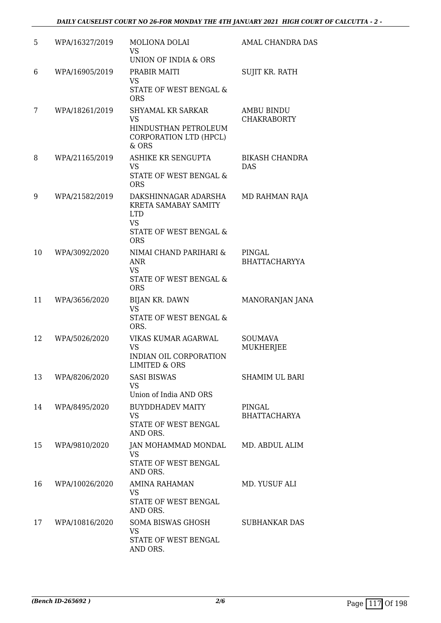| 5  | WPA/16327/2019 | <b>MOLIONA DOLAI</b><br>VS<br>UNION OF INDIA & ORS                                                              | AMAL CHANDRA DAS                        |
|----|----------------|-----------------------------------------------------------------------------------------------------------------|-----------------------------------------|
| 6  | WPA/16905/2019 | PRABIR MAITI<br><b>VS</b><br>STATE OF WEST BENGAL &<br><b>ORS</b>                                               | SUJIT KR. RATH                          |
| 7  | WPA/18261/2019 | <b>SHYAMAL KR SARKAR</b><br><b>VS</b><br>HINDUSTHAN PETROLEUM<br>CORPORATION LTD (HPCL)<br>& ORS                | <b>AMBU BINDU</b><br><b>CHAKRABORTY</b> |
| 8  | WPA/21165/2019 | ASHIKE KR SENGUPTA<br><b>VS</b><br>STATE OF WEST BENGAL &<br><b>ORS</b>                                         | <b>BIKASH CHANDRA</b><br><b>DAS</b>     |
| 9  | WPA/21582/2019 | DAKSHINNAGAR ADARSHA<br>KRETA SAMABAY SAMITY<br><b>LTD</b><br><b>VS</b><br>STATE OF WEST BENGAL &<br><b>ORS</b> | MD RAHMAN RAJA                          |
| 10 | WPA/3092/2020  | NIMAI CHAND PARIHARI &<br><b>ANR</b><br><b>VS</b><br>STATE OF WEST BENGAL &<br><b>ORS</b>                       | PINGAL<br><b>BHATTACHARYYA</b>          |
| 11 | WPA/3656/2020  | BIJAN KR. DAWN<br><b>VS</b><br>STATE OF WEST BENGAL &<br>ORS.                                                   | MANORANJAN JANA                         |
| 12 | WPA/5026/2020  | VIKAS KUMAR AGARWAL<br><b>VS</b><br>INDIAN OIL CORPORATION<br><b>LIMITED &amp; ORS</b>                          | <b>SOUMAVA</b><br><b>MUKHERJEE</b>      |
| 13 | WPA/8206/2020  | <b>SASI BISWAS</b><br><b>VS</b><br>Union of India AND ORS                                                       | <b>SHAMIM UL BARI</b>                   |
| 14 | WPA/8495/2020  | <b>BUYDDHADEV MAITY</b><br><b>VS</b><br>STATE OF WEST BENGAL<br>AND ORS.                                        | PINGAL<br><b>BHATTACHARYA</b>           |
| 15 | WPA/9810/2020  | JAN MOHAMMAD MONDAL<br><b>VS</b><br>STATE OF WEST BENGAL<br>AND ORS.                                            | MD. ABDUL ALIM                          |
| 16 | WPA/10026/2020 | AMINA RAHAMAN<br>VS<br>STATE OF WEST BENGAL<br>AND ORS.                                                         | MD. YUSUF ALI                           |
| 17 | WPA/10816/2020 | SOMA BISWAS GHOSH<br><b>VS</b><br>STATE OF WEST BENGAL<br>AND ORS.                                              | <b>SUBHANKAR DAS</b>                    |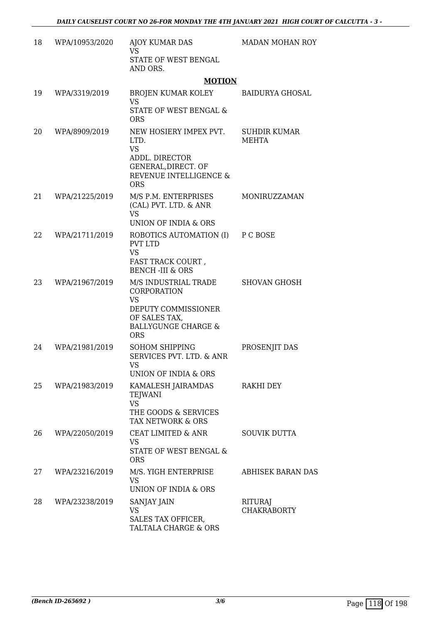| 18 | WPA/10953/2020 | AJOY KUMAR DAS<br><b>VS</b>                                                                                                              | MADAN MOHAN ROY                      |
|----|----------------|------------------------------------------------------------------------------------------------------------------------------------------|--------------------------------------|
|    |                | STATE OF WEST BENGAL<br>AND ORS.                                                                                                         |                                      |
|    |                | <b>MOTION</b>                                                                                                                            |                                      |
| 19 | WPA/3319/2019  | BROJEN KUMAR KOLEY<br><b>VS</b>                                                                                                          | BAIDURYA GHOSAL                      |
|    |                | STATE OF WEST BENGAL &<br><b>ORS</b>                                                                                                     |                                      |
| 20 | WPA/8909/2019  | NEW HOSIERY IMPEX PVT.<br>LTD.<br><b>VS</b>                                                                                              | <b>SUHDIR KUMAR</b><br>MEHTA         |
|    |                | ADDL. DIRECTOR<br>GENERAL, DIRECT. OF<br>REVENUE INTELLIGENCE &<br><b>ORS</b>                                                            |                                      |
| 21 | WPA/21225/2019 | M/S P.M. ENTERPRISES<br>(CAL) PVT. LTD. & ANR<br><b>VS</b>                                                                               | MONIRUZZAMAN                         |
|    |                | UNION OF INDIA & ORS                                                                                                                     |                                      |
| 22 | WPA/21711/2019 | ROBOTICS AUTOMATION (I) P C BOSE<br><b>PVT LTD</b><br><b>VS</b>                                                                          |                                      |
|    |                | FAST TRACK COURT,<br><b>BENCH-III &amp; ORS</b>                                                                                          |                                      |
| 23 | WPA/21967/2019 | M/S INDUSTRIAL TRADE<br>CORPORATION<br><b>VS</b><br>DEPUTY COMMISSIONER<br>OF SALES TAX,<br><b>BALLYGUNGE CHARGE &amp;</b><br><b>ORS</b> | <b>SHOVAN GHOSH</b>                  |
| 24 | WPA/21981/2019 | <b>SOHOM SHIPPING</b><br>SERVICES PVT. LTD. & ANR<br>VS<br>UNION OF INDIA & ORS                                                          | PROSENJIT DAS                        |
| 25 | WPA/21983/2019 | KAMALESH JAIRAMDAS<br>TEJWANI<br><b>VS</b><br>THE GOODS & SERVICES<br>TAX NETWORK & ORS                                                  | RAKHI DEY                            |
| 26 | WPA/22050/2019 | CEAT LIMITED & ANR<br>VS.<br>STATE OF WEST BENGAL &<br><b>ORS</b>                                                                        | <b>SOUVIK DUTTA</b>                  |
| 27 | WPA/23216/2019 | M/S. YIGH ENTERPRISE<br><b>VS</b><br>UNION OF INDIA & ORS                                                                                | <b>ABHISEK BARAN DAS</b>             |
| 28 | WPA/23238/2019 | SANJAY JAIN<br><b>VS</b><br>SALES TAX OFFICER,<br>TALTALA CHARGE & ORS                                                                   | <b>RITURAJ</b><br><b>CHAKRABORTY</b> |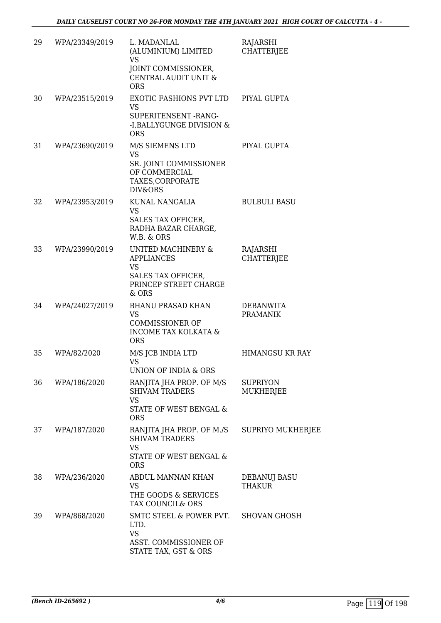| 29 | WPA/23349/2019 | L. MADANLAL<br>(ALUMINIUM) LIMITED<br><b>VS</b><br>JOINT COMMISSIONER,<br>CENTRAL AUDIT UNIT &<br><b>ORS</b>        | RAJARSHI<br><b>CHATTERJEE</b>       |
|----|----------------|---------------------------------------------------------------------------------------------------------------------|-------------------------------------|
| 30 | WPA/23515/2019 | EXOTIC FASHIONS PVT LTD<br><b>VS</b><br>SUPERITENSENT-RANG-<br>-I, BALLYGUNGE DIVISION &<br><b>ORS</b>              | PIYAL GUPTA                         |
| 31 | WPA/23690/2019 | M/S SIEMENS LTD<br><b>VS</b><br>SR. JOINT COMMISSIONER<br>OF COMMERCIAL<br>TAXES, CORPORATE<br>DIV&ORS              | PIYAL GUPTA                         |
| 32 | WPA/23953/2019 | KUNAL NANGALIA<br><b>VS</b><br>SALES TAX OFFICER,<br>RADHA BAZAR CHARGE,<br>W.B. & ORS                              | <b>BULBULI BASU</b>                 |
| 33 | WPA/23990/2019 | UNITED MACHINERY &<br><b>APPLIANCES</b><br><b>VS</b><br><b>SALES TAX OFFICER,</b><br>PRINCEP STREET CHARGE<br>& ORS | RAJARSHI<br><b>CHATTERJEE</b>       |
| 34 | WPA/24027/2019 | <b>BHANU PRASAD KHAN</b><br><b>VS</b><br><b>COMMISSIONER OF</b><br><b>INCOME TAX KOLKATA &amp;</b><br><b>ORS</b>    | <b>DEBANWITA</b><br><b>PRAMANIK</b> |
| 35 | WPA/82/2020    | M/S JCB INDIA LTD<br><b>VS</b><br>UNION OF INDIA & ORS                                                              | <b>HIMANGSU KR RAY</b>              |
| 36 | WPA/186/2020   | RANJITA JHA PROP. OF M/S<br><b>SHIVAM TRADERS</b><br><b>VS</b><br>STATE OF WEST BENGAL &<br><b>ORS</b>              | <b>SUPRIYON</b><br><b>MUKHERJEE</b> |
| 37 | WPA/187/2020   | RANJITA JHA PROP. OF M./S<br><b>SHIVAM TRADERS</b><br><b>VS</b><br>STATE OF WEST BENGAL &<br><b>ORS</b>             | SUPRIYO MUKHERJEE                   |
| 38 | WPA/236/2020   | ABDUL MANNAN KHAN<br><b>VS</b><br>THE GOODS & SERVICES<br>TAX COUNCIL& ORS                                          | DEBANUJ BASU<br><b>THAKUR</b>       |
| 39 | WPA/868/2020   | SMTC STEEL & POWER PVT.<br>LTD.<br><b>VS</b><br>ASST. COMMISSIONER OF<br>STATE TAX, GST & ORS                       | <b>SHOVAN GHOSH</b>                 |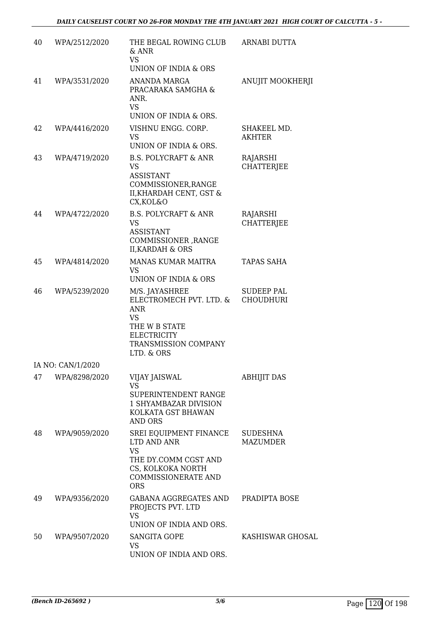| 40 | WPA/2512/2020     | THE BEGAL ROWING CLUB<br>$&$ ANR<br><b>VS</b><br>UNION OF INDIA & ORS                                                                       | ARNABI DUTTA                          |
|----|-------------------|---------------------------------------------------------------------------------------------------------------------------------------------|---------------------------------------|
| 41 | WPA/3531/2020     | ANANDA MARGA<br>PRACARAKA SAMGHA &<br>ANR.<br><b>VS</b><br>UNION OF INDIA & ORS.                                                            | ANUJIT MOOKHERJI                      |
| 42 | WPA/4416/2020     | VISHNU ENGG. CORP.<br><b>VS</b><br>UNION OF INDIA & ORS.                                                                                    | SHAKEEL MD.<br>AKHTER                 |
| 43 | WPA/4719/2020     | <b>B.S. POLYCRAFT &amp; ANR</b><br><b>VS</b><br><b>ASSISTANT</b><br>COMMISSIONER, RANGE<br>II, KHARDAH CENT, GST &<br>CX, KOL&O             | RAJARSHI<br><b>CHATTERJEE</b>         |
| 44 | WPA/4722/2020     | <b>B.S. POLYCRAFT &amp; ANR</b><br>VS<br><b>ASSISTANT</b><br>COMMISSIONER , RANGE<br><b>II, KARDAH &amp; ORS</b>                            | RAJARSHI<br><b>CHATTERJEE</b>         |
| 45 | WPA/4814/2020     | <b>MANAS KUMAR MAITRA</b><br><b>VS</b><br>UNION OF INDIA & ORS                                                                              | TAPAS SAHA                            |
| 46 | WPA/5239/2020     | M/S. JAYASHREE<br>ELECTROMECH PVT. LTD. &<br>ANR<br><b>VS</b><br>THE W B STATE<br><b>ELECTRICITY</b><br>TRANSMISSION COMPANY<br>LTD. & ORS  | <b>SUDEEP PAL</b><br><b>CHOUDHURI</b> |
|    | IA NO: CAN/1/2020 |                                                                                                                                             |                                       |
| 47 | WPA/8298/2020     | <b>VIJAY JAISWAL</b><br>VS<br>SUPERINTENDENT RANGE<br>1 SHYAMBAZAR DIVISION<br>KOLKATA GST BHAWAN<br><b>AND ORS</b>                         | <b>ABHIJIT DAS</b>                    |
| 48 | WPA/9059/2020     | SREI EQUIPMENT FINANCE<br>LTD AND ANR<br><b>VS</b><br>THE DY.COMM CGST AND<br>CS, KOLKOKA NORTH<br><b>COMMISSIONERATE AND</b><br><b>ORS</b> | <b>SUDESHNA</b><br><b>MAZUMDER</b>    |
| 49 | WPA/9356/2020     | GABANA AGGREGATES AND<br>PROJECTS PVT. LTD<br><b>VS</b><br>UNION OF INDIA AND ORS.                                                          | PRADIPTA BOSE                         |
| 50 | WPA/9507/2020     | SANGITA GOPE<br><b>VS</b><br>UNION OF INDIA AND ORS.                                                                                        | KASHISWAR GHOSAL                      |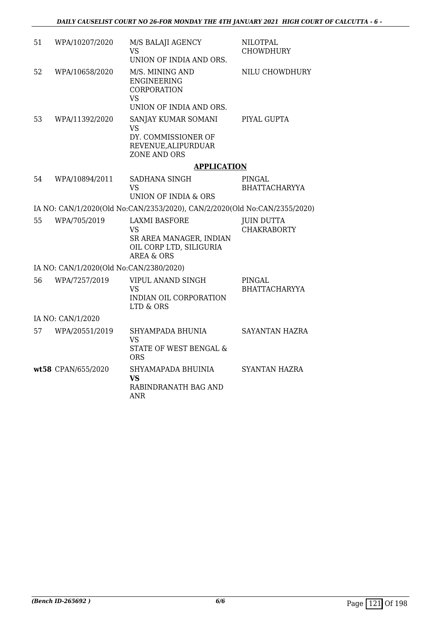| 51 | WPA/10207/2020                          | M/S BALAJI AGENCY<br><b>VS</b>                                                                                   | <b>NILOTPAL</b><br><b>CHOWDHURY</b>     |
|----|-----------------------------------------|------------------------------------------------------------------------------------------------------------------|-----------------------------------------|
|    |                                         | UNION OF INDIA AND ORS.                                                                                          |                                         |
| 52 | WPA/10658/2020                          | M/S. MINING AND<br><b>ENGINEERING</b><br><b>CORPORATION</b><br>VS.                                               | NILU CHOWDHURY                          |
|    |                                         | UNION OF INDIA AND ORS.                                                                                          |                                         |
| 53 | WPA/11392/2020                          | SANJAY KUMAR SOMANI<br>VS<br>DY. COMMISSIONER OF<br>REVENUE, ALIPURDUAR<br>ZONE AND ORS                          | PIYAL GUPTA                             |
|    |                                         | <b>APPLICATION</b>                                                                                               |                                         |
| 54 | WPA/10894/2011                          | SADHANA SINGH<br>VS.<br>UNION OF INDIA & ORS                                                                     | PINGAL<br><b>BHATTACHARYYA</b>          |
|    |                                         | IA NO: CAN/1/2020(Old No:CAN/2353/2020), CAN/2/2020(Old No:CAN/2355/2020)                                        |                                         |
| 55 | WPA/705/2019                            | <b>LAXMI BASFORE</b><br><b>VS</b><br>SR AREA MANAGER, INDIAN<br>OIL CORP LTD, SILIGURIA<br><b>AREA &amp; ORS</b> | <b>JUIN DUTTA</b><br><b>CHAKRABORTY</b> |
|    | IA NO: CAN/1/2020(Old No:CAN/2380/2020) |                                                                                                                  |                                         |
| 56 | WPA/7257/2019                           | <b>VIPUL ANAND SINGH</b><br>VS<br>INDIAN OIL CORPORATION<br>LTD & ORS                                            | <b>PINGAL</b><br><b>BHATTACHARYYA</b>   |
|    | IA NO: CAN/1/2020                       |                                                                                                                  |                                         |
| 57 | WPA/20551/2019                          | SHYAMPADA BHUNIA<br>VS<br>STATE OF WEST BENGAL &<br><b>ORS</b>                                                   | <b>SAYANTAN HAZRA</b>                   |
|    | wt58 CPAN/655/2020                      | SHYAMAPADA BHUINIA<br><b>VS</b><br>RABINDRANATH BAG AND<br>ANR                                                   | <b>SYANTAN HAZRA</b>                    |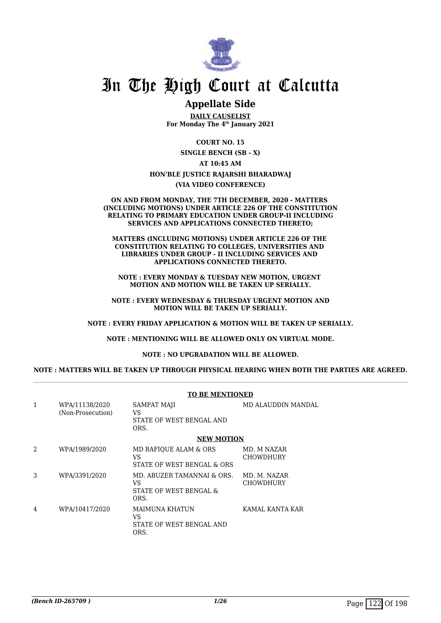

## In The High Court at Calcutta

## **Appellate Side**

**DAILY CAUSELIST For Monday The 4th January 2021**

**COURT NO. 15**

**SINGLE BENCH (SB - X) AT 10:45 AM HON'BLE JUSTICE RAJARSHI BHARADWAJ (VIA VIDEO CONFERENCE)**

#### **ON AND FROM MONDAY, THE 7TH DECEMBER, 2020 - MATTERS (INCLUDING MOTIONS) UNDER ARTICLE 226 OF THE CONSTITUTION RELATING TO PRIMARY EDUCATION UNDER GROUP-II INCLUDING SERVICES AND APPLICATIONS CONNECTED THERETO;**

**MATTERS (INCLUDING MOTIONS) UNDER ARTICLE 226 OF THE CONSTITUTION RELATING TO COLLEGES, UNIVERSITIES AND LIBRARIES UNDER GROUP - II INCLUDING SERVICES AND APPLICATIONS CONNECTED THERETO.**

**NOTE : EVERY MONDAY & TUESDAY NEW MOTION, URGENT MOTION AND MOTION WILL BE TAKEN UP SERIALLY.**

**NOTE : EVERY WEDNESDAY & THURSDAY URGENT MOTION AND MOTION WILL BE TAKEN UP SERIALLY.**

**NOTE : EVERY FRIDAY APPLICATION & MOTION WILL BE TAKEN UP SERIALLY.**

**NOTE : MENTIONING WILL BE ALLOWED ONLY ON VIRTUAL MODE.**

**NOTE : NO UPGRADATION WILL BE ALLOWED.**

**NOTE : MATTERS WILL BE TAKEN UP THROUGH PHYSICAL HEARING WHEN BOTH THE PARTIES ARE AGREED.**

|                |                                     | TO BE MENTIONED                                                     |                           |
|----------------|-------------------------------------|---------------------------------------------------------------------|---------------------------|
| 1              | WPA/11138/2020<br>(Non-Prosecution) | SAMPAT MAJI<br>VS.<br>STATE OF WEST BENGAL AND<br>ORS.              | MD ALAUDDIN MANDAL        |
|                |                                     | <b>NEW MOTION</b>                                                   |                           |
| $\mathfrak{D}$ | WPA/1989/2020                       | MD RAFIOUE ALAM & ORS<br>VS<br>STATE OF WEST BENGAL & ORS           | MD. M NAZAR<br>CHOWDHURY  |
| 3              | WPA/3391/2020                       | MD. ABUZER TAMANNAI & ORS.<br>VS.<br>STATE OF WEST BENGAL &<br>ORS. | MD. M. NAZAR<br>CHOWDHURY |
| 4              | WPA/10417/2020                      | MAIMUNA KHATUN<br>VS<br>STATE OF WEST BENGAL AND<br>ORS.            | KAMAL KANTA KAR           |

## **TO BE MENTIONED**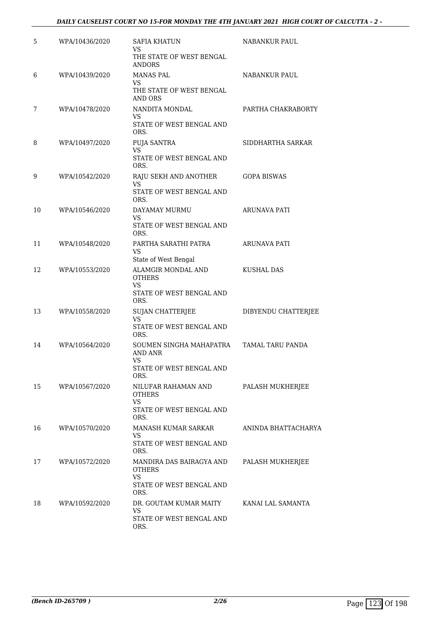| 5  | WPA/10436/2020 | <b>SAFIA KHATUN</b><br>VS<br>THE STATE OF WEST BENGAL                  | <b>NABANKUR PAUL</b> |
|----|----------------|------------------------------------------------------------------------|----------------------|
|    |                | ANDORS                                                                 |                      |
| 6  | WPA/10439/2020 | <b>MANAS PAL</b><br><b>VS</b>                                          | NABANKUR PAUL        |
|    |                | THE STATE OF WEST BENGAL<br><b>AND ORS</b>                             |                      |
| 7  | WPA/10478/2020 | NANDITA MONDAL<br><b>VS</b>                                            | PARTHA CHAKRABORTY   |
|    |                | STATE OF WEST BENGAL AND<br>ORS.                                       |                      |
| 8  | WPA/10497/2020 | PUJA SANTRA                                                            | SIDDHARTHA SARKAR    |
|    |                | VS<br>STATE OF WEST BENGAL AND<br>ORS.                                 |                      |
| 9  | WPA/10542/2020 | RAJU SEKH AND ANOTHER<br>VS                                            | <b>GOPA BISWAS</b>   |
|    |                | STATE OF WEST BENGAL AND<br>ORS.                                       |                      |
| 10 | WPA/10546/2020 | DAYAMAY MURMU                                                          | ARUNAVA PATI         |
|    |                | VS<br>STATE OF WEST BENGAL AND<br>ORS.                                 |                      |
| 11 | WPA/10548/2020 | PARTHA SARATHI PATRA<br><b>VS</b>                                      | ARUNAVA PATI         |
|    |                | State of West Bengal                                                   |                      |
| 12 | WPA/10553/2020 | ALAMGIR MONDAL AND<br><b>OTHERS</b><br>VS.<br>STATE OF WEST BENGAL AND | KUSHAL DAS           |
| 13 | WPA/10558/2020 | ORS.<br><b>SUJAN CHATTERJEE</b>                                        | DIBYENDU CHATTERJEE  |
|    |                | VS<br>STATE OF WEST BENGAL AND<br>ORS.                                 |                      |
| 14 | WPA/10564/2020 | SOUMEN SINGHA MAHAPATRA<br><b>AND ANR</b><br><b>VS</b>                 | TAMAL TARU PANDA     |
|    |                | STATE OF WEST BENGAL AND<br>ORS.                                       |                      |
| 15 | WPA/10567/2020 | NILUFAR RAHAMAN AND<br><b>OTHERS</b>                                   | PALASH MUKHERJEE     |
|    |                | <b>VS</b><br>STATE OF WEST BENGAL AND<br>ORS.                          |                      |
| 16 | WPA/10570/2020 | MANASH KUMAR SARKAR<br>VS.                                             | ANINDA BHATTACHARYA  |
|    |                | STATE OF WEST BENGAL AND<br>ORS.                                       |                      |
| 17 | WPA/10572/2020 | MANDIRA DAS BAIRAGYA AND<br><b>OTHERS</b><br><b>VS</b>                 | PALASH MUKHERJEE     |
|    |                | STATE OF WEST BENGAL AND<br>ORS.                                       |                      |
| 18 | WPA/10592/2020 | DR. GOUTAM KUMAR MAITY<br><b>VS</b>                                    | KANAI LAL SAMANTA    |
|    |                | STATE OF WEST BENGAL AND<br>ORS.                                       |                      |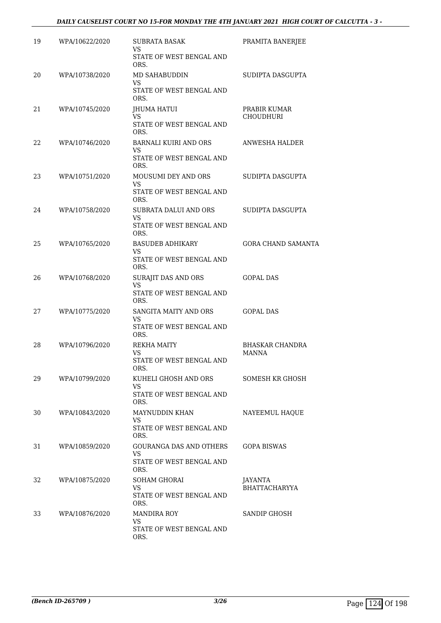## *DAILY CAUSELIST COURT NO 15-FOR MONDAY THE 4TH JANUARY 2021 HIGH COURT OF CALCUTTA - 3 -*

| 19 | WPA/10622/2020 | <b>SUBRATA BASAK</b><br>VS<br>STATE OF WEST BENGAL AND | PRAMITA BANERJEE                 |
|----|----------------|--------------------------------------------------------|----------------------------------|
|    |                | ORS.                                                   |                                  |
| 20 | WPA/10738/2020 | MD SAHABUDDIN<br><b>VS</b>                             | SUDIPTA DASGUPTA                 |
|    |                | STATE OF WEST BENGAL AND<br>ORS.                       |                                  |
| 21 | WPA/10745/2020 | JHUMA HATUI<br>VS.                                     | PRABIR KUMAR<br><b>CHOUDHURI</b> |
|    |                | STATE OF WEST BENGAL AND<br>ORS.                       |                                  |
| 22 | WPA/10746/2020 | <b>BARNALI KUIRI AND ORS</b><br>VS                     | ANWESHA HALDER                   |
|    |                | STATE OF WEST BENGAL AND<br>ORS.                       |                                  |
| 23 | WPA/10751/2020 | MOUSUMI DEY AND ORS                                    | SUDIPTA DASGUPTA                 |
|    |                | VS<br>STATE OF WEST BENGAL AND<br>ORS.                 |                                  |
| 24 | WPA/10758/2020 | SUBRATA DALUI AND ORS<br>VS                            | SUDIPTA DASGUPTA                 |
|    |                | STATE OF WEST BENGAL AND<br>ORS.                       |                                  |
| 25 | WPA/10765/2020 | <b>BASUDEB ADHIKARY</b><br>VS.                         | <b>GORA CHAND SAMANTA</b>        |
|    |                | STATE OF WEST BENGAL AND<br>ORS.                       |                                  |
| 26 | WPA/10768/2020 | SURAJIT DAS AND ORS<br>VS                              | <b>GOPAL DAS</b>                 |
|    |                | STATE OF WEST BENGAL AND<br>ORS.                       |                                  |
| 27 | WPA/10775/2020 | SANGITA MAITY AND ORS<br>VS                            | <b>GOPAL DAS</b>                 |
|    |                | STATE OF WEST BENGAL AND<br>ORS.                       |                                  |
| 28 | WPA/10796/2020 | REKHA MAITY                                            | BHASKAR CHANDRA                  |
|    |                | VS<br>STATE OF WEST BENGAL AND<br>ORS.                 | MANNA                            |
| 29 | WPA/10799/2020 | KUHELI GHOSH AND ORS<br>VS                             | SOMESH KR GHOSH                  |
|    |                | STATE OF WEST BENGAL AND<br>ORS.                       |                                  |
| 30 | WPA/10843/2020 | MAYNUDDIN KHAN<br>VS.                                  | NAYEEMUL HAQUE                   |
|    |                | STATE OF WEST BENGAL AND<br>ORS.                       |                                  |
| 31 | WPA/10859/2020 | <b>GOURANGA DAS AND OTHERS</b><br>VS                   | <b>GOPA BISWAS</b>               |
|    |                | STATE OF WEST BENGAL AND<br>ORS.                       |                                  |
| 32 | WPA/10875/2020 | <b>SOHAM GHORAI</b><br>VS.                             | JAYANTA<br><b>BHATTACHARYYA</b>  |
|    |                | STATE OF WEST BENGAL AND<br>ORS.                       |                                  |
| 33 | WPA/10876/2020 | <b>MANDIRA ROY</b><br><b>VS</b>                        | SANDIP GHOSH                     |
|    |                | STATE OF WEST BENGAL AND<br>ORS.                       |                                  |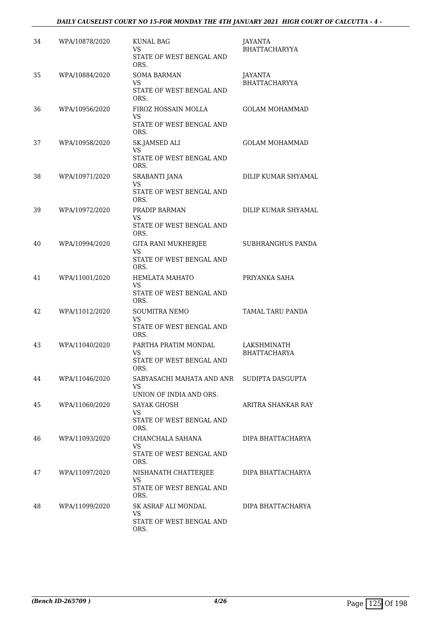## *DAILY CAUSELIST COURT NO 15-FOR MONDAY THE 4TH JANUARY 2021 HIGH COURT OF CALCUTTA - 4 -*

| 34 | WPA/10878/2020 | <b>KUNAL BAG</b><br>VS<br><b>STATE OF WEST BENGAL AND</b><br>ORS.             | JAYANTA<br><b>BHATTACHARYYA</b>    |
|----|----------------|-------------------------------------------------------------------------------|------------------------------------|
| 35 | WPA/10884/2020 | <b>SOMA BARMAN</b><br><b>VS</b><br><b>STATE OF WEST BENGAL AND</b><br>ORS.    | JAYANTA<br><b>BHATTACHARYYA</b>    |
| 36 | WPA/10956/2020 | FIROZ HOSSAIN MOLLA<br>VS<br>STATE OF WEST BENGAL AND                         | <b>GOLAM MOHAMMAD</b>              |
| 37 | WPA/10958/2020 | ORS.<br>SK.JAMSED ALI<br><b>VS</b><br>STATE OF WEST BENGAL AND<br>ORS.        | <b>GOLAM MOHAMMAD</b>              |
| 38 | WPA/10971/2020 | SRABANTI JANA<br>VS<br>STATE OF WEST BENGAL AND<br>ORS.                       | DILIP KUMAR SHYAMAL                |
| 39 | WPA/10972/2020 | PRADIP BARMAN<br>VS<br>STATE OF WEST BENGAL AND                               | DILIP KUMAR SHYAMAL                |
| 40 | WPA/10994/2020 | ORS.<br>GITA RANI MUKHERJEE<br>VS<br>STATE OF WEST BENGAL AND                 | SUBHRANGHUS PANDA                  |
| 41 | WPA/11001/2020 | ORS.<br>HEMLATA MAHATO<br>VS<br>STATE OF WEST BENGAL AND                      | PRIYANKA SAHA                      |
| 42 | WPA/11012/2020 | ORS.<br><b>SOUMITRA NEMO</b><br><b>VS</b><br>STATE OF WEST BENGAL AND<br>ORS. | TAMAL TARU PANDA                   |
| 43 | WPA/11040/2020 | PARTHA PRATIM MONDAL<br>VS<br>STATE OF WEST BENGAL AND<br>ORS.                | LAKSHMINATH<br><b>BHATTACHARYA</b> |
| 44 | WPA/11046/2020 | SABYASACHI MAHATA AND ANR<br>VS<br>UNION OF INDIA AND ORS.                    | SUDIPTA DASGUPTA                   |
| 45 | WPA/11060/2020 | <b>SAYAK GHOSH</b><br>VS<br>STATE OF WEST BENGAL AND<br>ORS.                  | ARITRA SHANKAR RAY                 |
| 46 | WPA/11093/2020 | CHANCHALA SAHANA<br>VS<br>STATE OF WEST BENGAL AND<br>ORS.                    | DIPA BHATTACHARYA                  |
| 47 | WPA/11097/2020 | NISHANATH CHATTERJEE<br>VS<br>STATE OF WEST BENGAL AND<br>ORS.                | DIPA BHATTACHARYA                  |
| 48 | WPA/11099/2020 | SK ASRAF ALI MONDAL<br>VS.<br>STATE OF WEST BENGAL AND<br>ORS.                | DIPA BHATTACHARYA                  |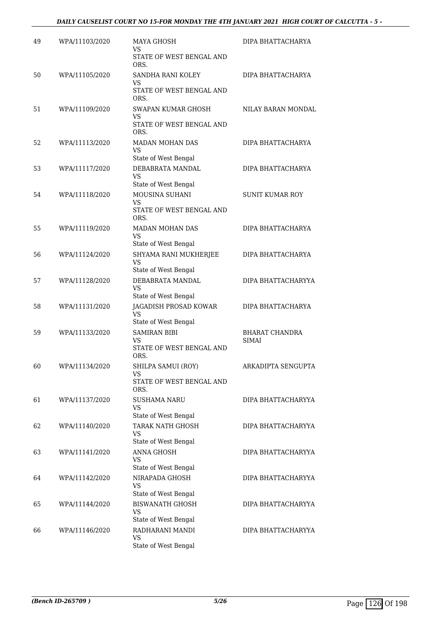| 49 | WPA/11103/2020 | MAYA GHOSH<br>VS<br>STATE OF WEST BENGAL AND<br>ORS.                | DIPA BHATTACHARYA              |
|----|----------------|---------------------------------------------------------------------|--------------------------------|
| 50 | WPA/11105/2020 | SANDHA RANI KOLEY<br>VS.<br>STATE OF WEST BENGAL AND<br>ORS.        | DIPA BHATTACHARYA              |
| 51 | WPA/11109/2020 | SWAPAN KUMAR GHOSH<br>VS<br><b>STATE OF WEST BENGAL AND</b><br>ORS. | NILAY BARAN MONDAL             |
| 52 | WPA/11113/2020 | MADAN MOHAN DAS<br><b>VS</b><br>State of West Bengal                | DIPA BHATTACHARYA              |
| 53 | WPA/11117/2020 | DEBABRATA MANDAL<br>VS<br>State of West Bengal                      | DIPA BHATTACHARYA              |
| 54 | WPA/11118/2020 | MOUSINA SUHANI<br>VS.<br>STATE OF WEST BENGAL AND<br>ORS.           | <b>SUNIT KUMAR ROY</b>         |
| 55 | WPA/11119/2020 | <b>MADAN MOHAN DAS</b><br>VS<br>State of West Bengal                | DIPA BHATTACHARYA              |
| 56 | WPA/11124/2020 | SHYAMA RANI MUKHERJEE<br>VS<br>State of West Bengal                 | DIPA BHATTACHARYA              |
| 57 | WPA/11128/2020 | DEBABRATA MANDAL<br>VS.<br>State of West Bengal                     | DIPA BHATTACHARYYA             |
| 58 | WPA/11131/2020 | JAGADISH PROSAD KOWAR<br>VS<br>State of West Bengal                 | DIPA BHATTACHARYA              |
| 59 | WPA/11133/2020 | <b>SAMIRAN BIBI</b><br>VS.<br>STATE OF WEST BENGAL AND<br>ORS.      | <b>BHARAT CHANDRA</b><br>SIMAI |
| 60 | WPA/11134/2020 | SHILPA SAMUI (ROY)<br>VS<br>STATE OF WEST BENGAL AND<br>ORS.        | ARKADIPTA SENGUPTA             |
| 61 | WPA/11137/2020 | <b>SUSHAMA NARU</b><br><b>VS</b><br>State of West Bengal            | DIPA BHATTACHARYYA             |
| 62 | WPA/11140/2020 | TARAK NATH GHOSH<br>VS.<br>State of West Bengal                     | DIPA BHATTACHARYYA             |
| 63 | WPA/11141/2020 | <b>ANNA GHOSH</b><br>VS<br>State of West Bengal                     | DIPA BHATTACHARYYA             |
| 64 | WPA/11142/2020 | NIRAPADA GHOSH<br><b>VS</b><br>State of West Bengal                 | DIPA BHATTACHARYYA             |
| 65 | WPA/11144/2020 | <b>BISWANATH GHOSH</b><br>VS<br>State of West Bengal                | DIPA BHATTACHARYYA             |
| 66 | WPA/11146/2020 | RADHARANI MANDI<br>VS<br>State of West Bengal                       | DIPA BHATTACHARYYA             |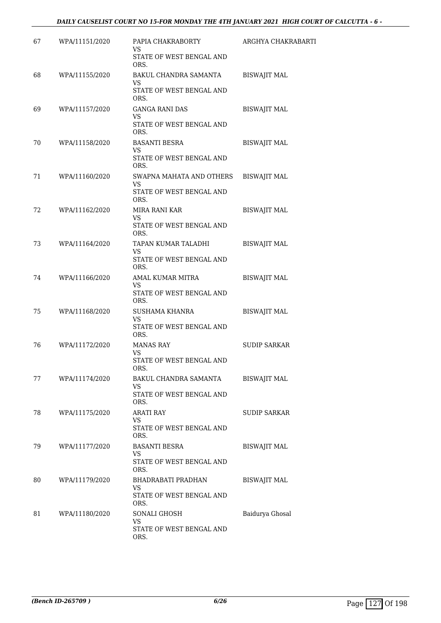| 67 | WPA/11151/2020 | PAPIA CHAKRABORTY<br>VS<br>STATE OF WEST BENGAL AND | ARGHYA CHAKRABARTI  |
|----|----------------|-----------------------------------------------------|---------------------|
|    |                | ORS.                                                |                     |
| 68 | WPA/11155/2020 | BAKUL CHANDRA SAMANTA<br>VS.                        | <b>BISWAJIT MAL</b> |
|    |                | STATE OF WEST BENGAL AND<br>ORS.                    |                     |
| 69 | WPA/11157/2020 | <b>GANGA RANI DAS</b><br>VS.                        | <b>BISWAJIT MAL</b> |
|    |                | STATE OF WEST BENGAL AND<br>ORS.                    |                     |
| 70 | WPA/11158/2020 | <b>BASANTI BESRA</b><br>VS                          | <b>BISWAJIT MAL</b> |
|    |                | STATE OF WEST BENGAL AND<br>ORS.                    |                     |
| 71 | WPA/11160/2020 | SWAPNA MAHATA AND OTHERS<br>VS                      | <b>BISWAJIT MAL</b> |
|    |                | STATE OF WEST BENGAL AND<br>ORS.                    |                     |
| 72 | WPA/11162/2020 | MIRA RANI KAR<br>VS                                 | <b>BISWAJIT MAL</b> |
|    |                | STATE OF WEST BENGAL AND<br>ORS.                    |                     |
| 73 | WPA/11164/2020 | TAPAN KUMAR TALADHI<br>VS.                          | <b>BISWAJIT MAL</b> |
|    |                | STATE OF WEST BENGAL AND<br>ORS.                    |                     |
| 74 | WPA/11166/2020 | AMAL KUMAR MITRA<br>VS.                             | <b>BISWAJIT MAL</b> |
|    |                | STATE OF WEST BENGAL AND<br>ORS.                    |                     |
| 75 | WPA/11168/2020 | SUSHAMA KHANRA<br><b>VS</b>                         | <b>BISWAJIT MAL</b> |
|    |                | STATE OF WEST BENGAL AND<br>ORS.                    |                     |
| 76 | WPA/11172/2020 | <b>MANAS RAY</b><br>VS                              | <b>SUDIP SARKAR</b> |
|    |                | STATE OF WEST BENGAL AND<br>ORS.                    |                     |
| 77 | WPA/11174/2020 | BAKUL CHANDRA SAMANTA<br>VS                         | <b>BISWAJIT MAL</b> |
|    |                | STATE OF WEST BENGAL AND<br>ORS.                    |                     |
| 78 | WPA/11175/2020 | <b>ARATI RAY</b><br>VS.                             | <b>SUDIP SARKAR</b> |
|    |                | STATE OF WEST BENGAL AND<br>ORS.                    |                     |
| 79 | WPA/11177/2020 | <b>BASANTI BESRA</b><br>VS                          | <b>BISWAJIT MAL</b> |
|    |                | STATE OF WEST BENGAL AND<br>ORS.                    |                     |
| 80 | WPA/11179/2020 | BHADRABATI PRADHAN<br>VS.                           | BISWAJIT MAL        |
|    |                | STATE OF WEST BENGAL AND<br>ORS.                    |                     |
| 81 | WPA/11180/2020 | SONALI GHOSH<br><b>VS</b>                           | Baidurya Ghosal     |
|    |                | STATE OF WEST BENGAL AND<br>ORS.                    |                     |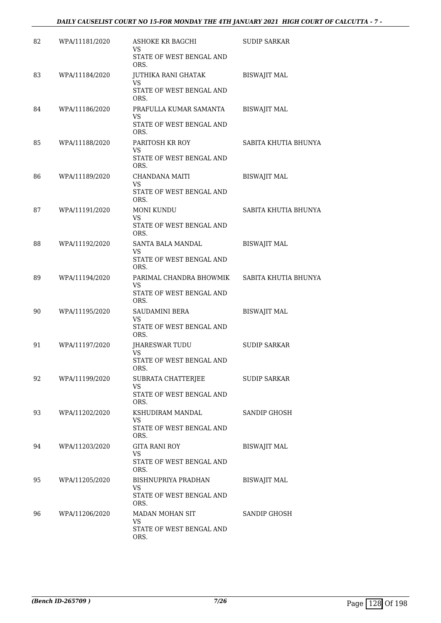## *DAILY CAUSELIST COURT NO 15-FOR MONDAY THE 4TH JANUARY 2021 HIGH COURT OF CALCUTTA - 7 -*

| 82 | WPA/11181/2020 | <b>ASHOKE KR BAGCHI</b><br>VS.                            | <b>SUDIP SARKAR</b>  |
|----|----------------|-----------------------------------------------------------|----------------------|
|    |                | STATE OF WEST BENGAL AND<br>ORS.                          |                      |
| 83 | WPA/11184/2020 | JUTHIKA RANI GHATAK<br><b>VS</b>                          | <b>BISWAJIT MAL</b>  |
|    |                | STATE OF WEST BENGAL AND<br>ORS.                          |                      |
| 84 | WPA/11186/2020 | PRAFULLA KUMAR SAMANTA<br>VS                              | <b>BISWAJIT MAL</b>  |
|    |                | STATE OF WEST BENGAL AND<br>ORS.                          |                      |
| 85 | WPA/11188/2020 | PARITOSH KR ROY<br>VS<br>STATE OF WEST BENGAL AND<br>ORS. | SABITA KHUTIA BHUNYA |
| 86 | WPA/11189/2020 | CHANDANA MAITI                                            | <b>BISWAJIT MAL</b>  |
|    |                | VS<br>STATE OF WEST BENGAL AND<br>ORS.                    |                      |
| 87 | WPA/11191/2020 | <b>MONI KUNDU</b><br>VS.                                  | SABITA KHUTIA BHUNYA |
|    |                | STATE OF WEST BENGAL AND<br>ORS.                          |                      |
| 88 | WPA/11192/2020 | SANTA BALA MANDAL<br>VS.                                  | <b>BISWAJIT MAL</b>  |
|    |                | STATE OF WEST BENGAL AND<br>ORS.                          |                      |
| 89 | WPA/11194/2020 | PARIMAL CHANDRA BHOWMIK<br>VS                             | SABITA KHUTIA BHUNYA |
|    |                | STATE OF WEST BENGAL AND<br>ORS.                          |                      |
| 90 | WPA/11195/2020 | SAUDAMINI BERA<br><b>VS</b>                               | <b>BISWAJIT MAL</b>  |
|    |                | STATE OF WEST BENGAL AND<br>ORS.                          |                      |
| 91 | WPA/11197/2020 | JHARESWAR TUDU<br>VS                                      | <b>SUDIP SARKAR</b>  |
|    |                | STATE OF WEST BENGAL AND<br>ORS.                          |                      |
| 92 | WPA/11199/2020 | SUBRATA CHATTERJEE<br><b>VS</b>                           | <b>SUDIP SARKAR</b>  |
|    |                | STATE OF WEST BENGAL AND<br>ORS.                          |                      |
| 93 | WPA/11202/2020 | KSHUDIRAM MANDAL<br>VS                                    | SANDIP GHOSH         |
|    |                | STATE OF WEST BENGAL AND<br>ORS.                          |                      |
| 94 | WPA/11203/2020 | <b>GITA RANI ROY</b><br>VS                                | <b>BISWAJIT MAL</b>  |
|    |                | STATE OF WEST BENGAL AND<br>ORS.                          |                      |
| 95 | WPA/11205/2020 | BISHNUPRIYA PRADHAN<br>VS                                 | <b>BISWAJIT MAL</b>  |
|    |                | STATE OF WEST BENGAL AND<br>ORS.                          |                      |
| 96 | WPA/11206/2020 | MADAN MOHAN SIT<br><b>VS</b>                              | SANDIP GHOSH         |
|    |                | STATE OF WEST BENGAL AND<br>ORS.                          |                      |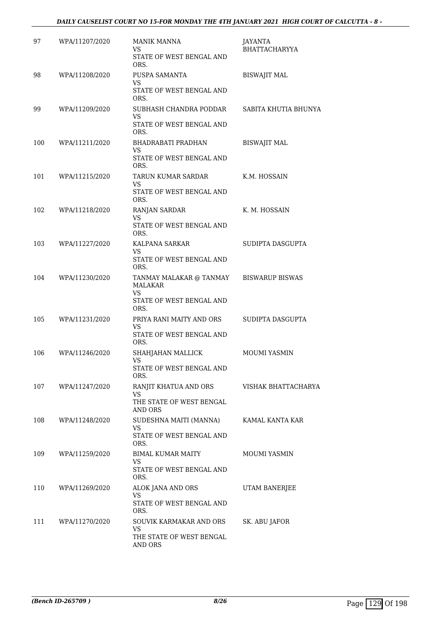## *DAILY CAUSELIST COURT NO 15-FOR MONDAY THE 4TH JANUARY 2021 HIGH COURT OF CALCUTTA - 8 -*

| 97  | WPA/11207/2020 | MANIK MANNA<br>VS.<br>STATE OF WEST BENGAL AND<br>ORS.                            | JAYANTA<br><b>BHATTACHARYYA</b> |
|-----|----------------|-----------------------------------------------------------------------------------|---------------------------------|
| 98  | WPA/11208/2020 | PUSPA SAMANTA<br><b>VS</b><br>STATE OF WEST BENGAL AND<br>ORS.                    | <b>BISWAJIT MAL</b>             |
| 99  | WPA/11209/2020 | SUBHASH CHANDRA PODDAR<br><b>VS</b><br>STATE OF WEST BENGAL AND<br>ORS.           | SABITA KHUTIA BHUNYA            |
| 100 | WPA/11211/2020 | BHADRABATI PRADHAN<br>VS<br>STATE OF WEST BENGAL AND<br>ORS.                      | <b>BISWAJIT MAL</b>             |
| 101 | WPA/11215/2020 | TARUN KUMAR SARDAR<br>VS.<br>STATE OF WEST BENGAL AND<br>ORS.                     | K.M. HOSSAIN                    |
| 102 | WPA/11218/2020 | <b>RANJAN SARDAR</b><br>VS<br>STATE OF WEST BENGAL AND<br>ORS.                    | K. M. HOSSAIN                   |
| 103 | WPA/11227/2020 | KALPANA SARKAR<br>VS<br>STATE OF WEST BENGAL AND<br>ORS.                          | SUDIPTA DASGUPTA                |
| 104 | WPA/11230/2020 | TANMAY MALAKAR @ TANMAY<br><b>MALAKAR</b><br>VS<br>STATE OF WEST BENGAL AND       | <b>BISWARUP BISWAS</b>          |
| 105 | WPA/11231/2020 | ORS.<br>PRIYA RANI MAITY AND ORS<br><b>VS</b><br>STATE OF WEST BENGAL AND<br>ORS. | SUDIPTA DASGUPTA                |
| 106 | WPA/11246/2020 | SHAHJAHAN MALLICK<br>VS<br>STATE OF WEST BENGAL AND<br>ORS.                       | <b>MOUMI YASMIN</b>             |
| 107 | WPA/11247/2020 | RANJIT KHATUA AND ORS<br>VS<br>THE STATE OF WEST BENGAL<br>AND ORS                | VISHAK BHATTACHARYA             |
| 108 | WPA/11248/2020 | SUDESHNA MAITI (MANNA)<br>VS.<br>STATE OF WEST BENGAL AND<br>ORS.                 | KAMAL KANTA KAR                 |
| 109 | WPA/11259/2020 | BIMAL KUMAR MAITY<br>VS.<br>STATE OF WEST BENGAL AND<br>ORS.                      | <b>MOUMI YASMIN</b>             |
| 110 | WPA/11269/2020 | ALOK JANA AND ORS<br><b>VS</b><br>STATE OF WEST BENGAL AND<br>ORS.                | UTAM BANERJEE                   |
| 111 | WPA/11270/2020 | SOUVIK KARMAKAR AND ORS<br>VS<br>THE STATE OF WEST BENGAL<br>AND ORS              | SK. ABU JAFOR                   |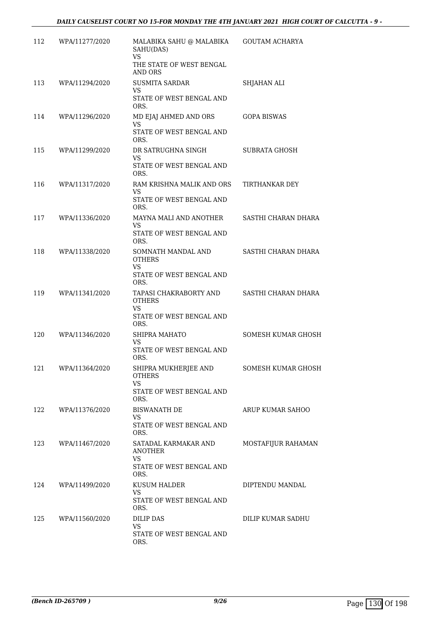| 112 | WPA/11277/2020     | MALABIKA SAHU @ MALABIKA GOUTAM ACHARYA<br>SAHU(DAS)<br><b>VS</b>                        |                           |
|-----|--------------------|------------------------------------------------------------------------------------------|---------------------------|
|     |                    | THE STATE OF WEST BENGAL<br>AND ORS                                                      |                           |
| 113 | WPA/11294/2020     | <b>SUSMITA SARDAR</b><br><b>VS</b><br>STATE OF WEST BENGAL AND<br>ORS.                   | SHJAHAN ALI               |
| 114 | WPA/11296/2020     | MD EJAJ AHMED AND ORS<br>VS.<br>STATE OF WEST BENGAL AND<br>ORS.                         | <b>GOPA BISWAS</b>        |
| 115 | WPA/11299/2020     | DR SATRUGHNA SINGH<br>VS.<br>STATE OF WEST BENGAL AND<br>ORS.                            | <b>SUBRATA GHOSH</b>      |
| 116 | WPA/11317/2020     | RAM KRISHNA MALIK AND ORS<br>VS<br>STATE OF WEST BENGAL AND<br>ORS.                      | TIRTHANKAR DEY            |
| 117 | WPA/11336/2020     | MAYNA MALI AND ANOTHER<br>VS<br>STATE OF WEST BENGAL AND<br>ORS.                         | SASTHI CHARAN DHARA       |
| 118 | WPA/11338/2020     | SOMNATH MANDAL AND<br><b>OTHERS</b><br><b>VS</b><br>STATE OF WEST BENGAL AND             | SASTHI CHARAN DHARA       |
| 119 | WPA/11341/2020     | ORS.<br>TAPASI CHAKRABORTY AND<br><b>OTHERS</b><br>VS.<br>STATE OF WEST BENGAL AND       | SASTHI CHARAN DHARA       |
| 120 | WPA/11346/2020     | ORS.<br>SHIPRA MAHATO<br>VS.<br>STATE OF WEST BENGAL AND                                 | SOMESH KUMAR GHOSH        |
|     | 121 WPA/11364/2020 | ORS.<br>SHIPRA MUKHERJEE AND<br><b>OTHERS</b><br>VS.<br>STATE OF WEST BENGAL AND<br>ORS. | <b>SOMESH KUMAR GHOSH</b> |
| 122 | WPA/11376/2020     | <b>BISWANATH DE</b><br><b>VS</b><br>STATE OF WEST BENGAL AND<br>ORS.                     | ARUP KUMAR SAHOO          |
| 123 | WPA/11467/2020     | SATADAL KARMAKAR AND<br>ANOTHER<br><b>VS</b><br>STATE OF WEST BENGAL AND<br>ORS.         | MOSTAFIJUR RAHAMAN        |
| 124 | WPA/11499/2020     | KUSUM HALDER<br>VS.<br>STATE OF WEST BENGAL AND<br>ORS.                                  | DIPTENDU MANDAL           |
| 125 | WPA/11560/2020     | DILIP DAS<br>VS.<br>STATE OF WEST BENGAL AND<br>ORS.                                     | DILIP KUMAR SADHU         |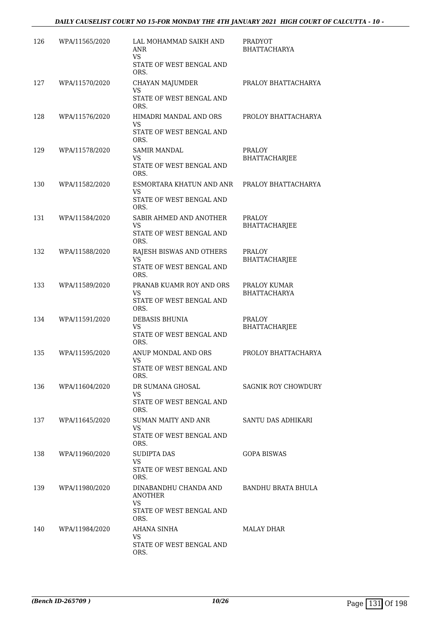## *DAILY CAUSELIST COURT NO 15-FOR MONDAY THE 4TH JANUARY 2021 HIGH COURT OF CALCUTTA - 10 -*

| 126 | WPA/11565/2020 | LAL MOHAMMAD SAIKH AND<br>ANR<br><b>VS</b>                                | <b>PRADYOT</b><br><b>BHATTACHARYA</b> |
|-----|----------------|---------------------------------------------------------------------------|---------------------------------------|
|     |                | STATE OF WEST BENGAL AND<br>ORS.                                          |                                       |
| 127 | WPA/11570/2020 | CHAYAN MAJUMDER<br><b>VS</b>                                              | PRALOY BHATTACHARYA                   |
|     |                | STATE OF WEST BENGAL AND<br>ORS.                                          |                                       |
| 128 | WPA/11576/2020 | HIMADRI MANDAL AND ORS<br><b>VS</b><br>STATE OF WEST BENGAL AND<br>ORS.   | PROLOY BHATTACHARYA                   |
| 129 | WPA/11578/2020 | <b>SAMIR MANDAL</b><br>VS<br>STATE OF WEST BENGAL AND<br>ORS.             | PRALOY<br><b>BHATTACHARJEE</b>        |
| 130 | WPA/11582/2020 | ESMORTARA KHATUN AND ANR<br><b>VS</b><br>STATE OF WEST BENGAL AND<br>ORS. | PRALOY BHATTACHARYA                   |
| 131 | WPA/11584/2020 | SABIR AHMED AND ANOTHER<br>VS<br>STATE OF WEST BENGAL AND<br>ORS.         | PRALOY<br>BHATTACHARJEE               |
| 132 | WPA/11588/2020 | RAJESH BISWAS AND OTHERS<br>VS.<br>STATE OF WEST BENGAL AND<br>ORS.       | <b>PRALOY</b><br>BHATTACHARJEE        |
| 133 | WPA/11589/2020 | PRANAB KUAMR ROY AND ORS<br><b>VS</b><br>STATE OF WEST BENGAL AND<br>ORS. | PRALOY KUMAR<br>BHATTACHARYA          |
| 134 | WPA/11591/2020 | DEBASIS BHUNIA<br>VS<br>STATE OF WEST BENGAL AND<br>ORS.                  | PRALOY<br><b>BHATTACHARJEE</b>        |
| 135 | WPA/11595/2020 | ANUP MONDAL AND ORS<br>VS<br>STATE OF WEST BENGAL AND<br>ORS.             | PROLOY BHATTACHARYA                   |
| 136 | WPA/11604/2020 | DR SUMANA GHOSAL<br>VS.<br>STATE OF WEST BENGAL AND<br>ORS.               | SAGNIK ROY CHOWDURY                   |
| 137 | WPA/11645/2020 | SUMAN MAITY AND ANR<br>VS<br>STATE OF WEST BENGAL AND<br>ORS.             | SANTU DAS ADHIKARI                    |
| 138 | WPA/11960/2020 | SUDIPTA DAS<br><b>VS</b><br>STATE OF WEST BENGAL AND<br>ORS.              | <b>GOPA BISWAS</b>                    |
| 139 | WPA/11980/2020 | DINABANDHU CHANDA AND<br>ANOTHER<br><b>VS</b><br>STATE OF WEST BENGAL AND | BANDHU BRATA BHULA                    |
| 140 | WPA/11984/2020 | ORS.<br>AHANA SINHA<br>VS<br>STATE OF WEST BENGAL AND<br>ORS.             | MALAY DHAR                            |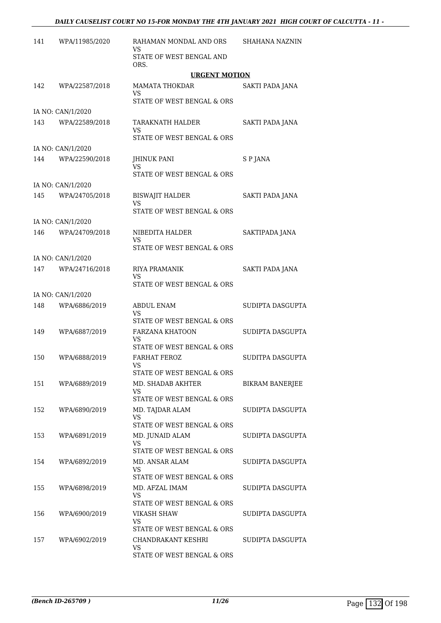| 141 | WPA/11985/2020    | RAHAMAN MONDAL AND ORS<br>VS                               | <b>SHAHANA NAZNIN</b> |
|-----|-------------------|------------------------------------------------------------|-----------------------|
|     |                   | STATE OF WEST BENGAL AND<br>ORS.                           |                       |
|     |                   | <b>URGENT MOTION</b>                                       |                       |
| 142 | WPA/22587/2018    | <b>MAMATA THOKDAR</b><br>VS                                | SAKTI PADA JANA       |
|     |                   | STATE OF WEST BENGAL & ORS                                 |                       |
|     | IA NO: CAN/1/2020 |                                                            |                       |
| 143 | WPA/22589/2018    | TARAKNATH HALDER<br>VS                                     | SAKTI PADA JANA       |
|     |                   | STATE OF WEST BENGAL & ORS                                 |                       |
|     | IA NO: CAN/1/2020 |                                                            |                       |
| 144 | WPA/22590/2018    | <b>JHINUK PANI</b><br>VS                                   | S P JANA              |
|     |                   | STATE OF WEST BENGAL & ORS                                 |                       |
|     | IA NO: CAN/1/2020 |                                                            |                       |
| 145 | WPA/24705/2018    | <b>BISWAJIT HALDER</b><br>VS                               | SAKTI PADA JANA       |
|     |                   | STATE OF WEST BENGAL & ORS                                 |                       |
|     | IA NO: CAN/1/2020 |                                                            |                       |
| 146 | WPA/24709/2018    | NIBEDITA HALDER<br>VS                                      | SAKTIPADA JANA        |
|     |                   | STATE OF WEST BENGAL & ORS                                 |                       |
|     | IA NO: CAN/1/2020 |                                                            |                       |
| 147 | WPA/24716/2018    | RIYA PRAMANIK<br>VS                                        | SAKTI PADA JANA       |
|     |                   | STATE OF WEST BENGAL & ORS                                 |                       |
|     | IA NO: CAN/1/2020 |                                                            |                       |
| 148 | WPA/6886/2019     | <b>ABDUL ENAM</b><br>VS                                    | SUDIPTA DASGUPTA      |
|     |                   | STATE OF WEST BENGAL & ORS                                 |                       |
| 149 | WPA/6887/2019     | <b>FARZANA KHATOON</b><br>VS<br>STATE OF WEST BENGAL & ORS | SUDIPTA DASGUPTA      |
|     |                   | <b>FARHAT FEROZ</b>                                        |                       |
| 150 | WPA/6888/2019     | VS<br>STATE OF WEST BENGAL & ORS                           | SUDITPA DASGUPTA      |
| 151 | WPA/6889/2019     | MD. SHADAB AKHTER                                          | BIKRAM BANERJEE       |
|     |                   | VS<br>STATE OF WEST BENGAL & ORS                           |                       |
| 152 | WPA/6890/2019     | MD. TAJDAR ALAM                                            | SUDIPTA DASGUPTA      |
|     |                   | VS<br>STATE OF WEST BENGAL & ORS                           |                       |
| 153 | WPA/6891/2019     | MD. JUNAID ALAM<br>VS                                      | SUDIPTA DASGUPTA      |
|     |                   | STATE OF WEST BENGAL & ORS                                 |                       |
| 154 | WPA/6892/2019     | MD. ANSAR ALAM<br><b>VS</b>                                | SUDIPTA DASGUPTA      |
|     |                   | STATE OF WEST BENGAL & ORS                                 |                       |
| 155 | WPA/6898/2019     | MD. AFZAL IMAM<br>VS                                       | SUDIPTA DASGUPTA      |
|     |                   | STATE OF WEST BENGAL & ORS                                 |                       |
| 156 | WPA/6900/2019     | VIKASH SHAW                                                | SUDIPTA DASGUPTA      |
|     |                   | VS                                                         |                       |
|     |                   | STATE OF WEST BENGAL & ORS                                 |                       |
| 157 | WPA/6902/2019     | CHANDRAKANT KESHRI<br>VS                                   | SUDIPTA DASGUPTA      |
|     |                   | STATE OF WEST BENGAL & ORS                                 |                       |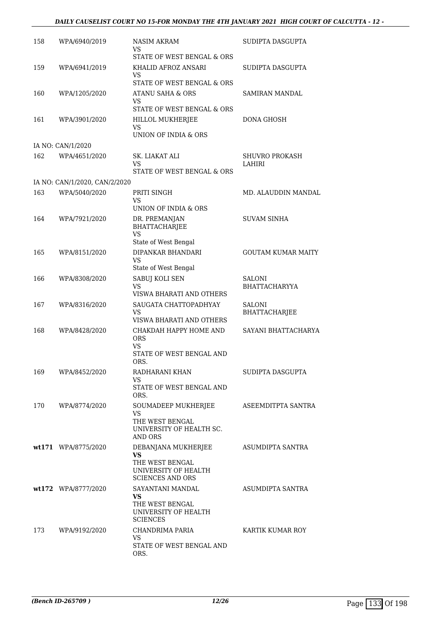| 158 | WPA/6940/2019                 | NASIM AKRAM<br>VS                                                  | SUDIPTA DASGUPTA               |
|-----|-------------------------------|--------------------------------------------------------------------|--------------------------------|
| 159 | WPA/6941/2019                 | STATE OF WEST BENGAL & ORS<br>KHALID AFROZ ANSARI                  | SUDIPTA DASGUPTA               |
|     |                               | VS<br>STATE OF WEST BENGAL & ORS                                   |                                |
| 160 | WPA/1205/2020                 | ATANU SAHA & ORS                                                   | SAMIRAN MANDAL                 |
|     |                               | VS<br>STATE OF WEST BENGAL & ORS                                   |                                |
| 161 | WPA/3901/2020                 | HILLOL MUKHERJEE<br>VS                                             | DONA GHOSH                     |
|     |                               | UNION OF INDIA & ORS                                               |                                |
|     | IA NO: CAN/1/2020             |                                                                    |                                |
| 162 | WPA/4651/2020                 | SK. LIAKAT ALI<br>VS<br>STATE OF WEST BENGAL & ORS                 | SHUVRO PROKASH<br>LAHIRI       |
|     | IA NO: CAN/1/2020, CAN/2/2020 |                                                                    |                                |
| 163 | WPA/5040/2020                 | PRITI SINGH<br>VS                                                  | MD. ALAUDDIN MANDAL            |
|     |                               | UNION OF INDIA & ORS                                               |                                |
| 164 | WPA/7921/2020                 | DR. PREMANJAN<br><b>BHATTACHARJEE</b><br><b>VS</b>                 | SUVAM SINHA                    |
|     |                               | State of West Bengal                                               |                                |
| 165 | WPA/8151/2020                 | DIPANKAR BHANDARI<br>VS                                            | <b>GOUTAM KUMAR MAITY</b>      |
|     |                               | State of West Bengal                                               |                                |
| 166 | WPA/8308/2020                 | SABUJ KOLI SEN<br>VS<br>VISWA BHARATI AND OTHERS                   | SALONI<br><b>BHATTACHARYYA</b> |
| 167 | WPA/8316/2020                 | SAUGATA CHATTOPADHYAY                                              | <b>SALONI</b>                  |
|     |                               | VS<br>VISWA BHARATI AND OTHERS                                     | BHATTACHARJEE                  |
| 168 | WPA/8428/2020                 | CHAKDAH HAPPY HOME AND<br><b>ORS</b><br>VS.                        | SAYANI BHATTACHARYA            |
|     |                               | STATE OF WEST BENGAL AND<br>ORS.                                   |                                |
| 169 | WPA/8452/2020                 | RADHARANI KHAN<br>VS.                                              | SUDIPTA DASGUPTA               |
|     |                               | STATE OF WEST BENGAL AND<br>ORS.                                   |                                |
| 170 | WPA/8774/2020                 | SOUMADEEP MUKHERJEE<br><b>VS</b>                                   | ASEEMDITPTA SANTRA             |
|     |                               | THE WEST BENGAL<br>UNIVERSITY OF HEALTH SC.<br><b>AND ORS</b>      |                                |
|     | wt171 WPA/8775/2020           | DEBANJANA MUKHERJEE<br><b>VS</b>                                   | ASUMDIPTA SANTRA               |
|     |                               | THE WEST BENGAL<br>UNIVERSITY OF HEALTH<br><b>SCIENCES AND ORS</b> |                                |
|     | wt172 WPA/8777/2020           | SAYANTANI MANDAL<br>VS                                             | ASUMDIPTA SANTRA               |
|     |                               | THE WEST BENGAL<br>UNIVERSITY OF HEALTH<br><b>SCIENCES</b>         |                                |
| 173 | WPA/9192/2020                 | CHANDRIMA PARIA<br>VS.                                             | KARTIK KUMAR ROY               |
|     |                               | STATE OF WEST BENGAL AND<br>ORS.                                   |                                |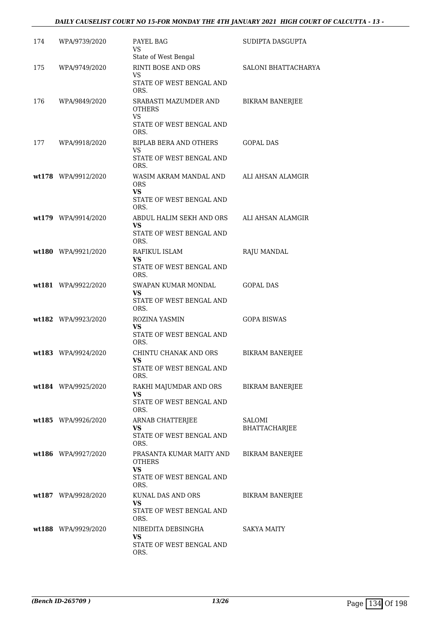## *DAILY CAUSELIST COURT NO 15-FOR MONDAY THE 4TH JANUARY 2021 HIGH COURT OF CALCUTTA - 13 -*

| 174 | WPA/9739/2020       | PAYEL BAG<br>VS                                                                     | SUDIPTA DASGUPTA        |
|-----|---------------------|-------------------------------------------------------------------------------------|-------------------------|
| 175 | WPA/9749/2020       | State of West Bengal<br>RINTI BOSE AND ORS<br>VS                                    | SALONI BHATTACHARYA     |
|     |                     | STATE OF WEST BENGAL AND<br>ORS.                                                    |                         |
| 176 | WPA/9849/2020       | SRABASTI MAZUMDER AND<br><b>OTHERS</b><br>VS<br>STATE OF WEST BENGAL AND<br>ORS.    | <b>BIKRAM BANERJEE</b>  |
| 177 | WPA/9918/2020       | <b>BIPLAB BERA AND OTHERS</b><br>VS<br>STATE OF WEST BENGAL AND<br>ORS.             | <b>GOPAL DAS</b>        |
|     | wt178 WPA/9912/2020 | WASIM AKRAM MANDAL AND<br>ORS<br>VS<br>STATE OF WEST BENGAL AND<br>ORS.             | ALI AHSAN ALAMGIR       |
|     | wt179 WPA/9914/2020 | ABDUL HALIM SEKH AND ORS<br>VS<br>STATE OF WEST BENGAL AND<br>ORS.                  | ALI AHSAN ALAMGIR       |
|     | wt180 WPA/9921/2020 | RAFIKUL ISLAM<br>VS<br>STATE OF WEST BENGAL AND<br>ORS.                             | RAJU MANDAL             |
|     | wt181 WPA/9922/2020 | SWAPAN KUMAR MONDAL<br>VS<br>STATE OF WEST BENGAL AND<br>ORS.                       | <b>GOPAL DAS</b>        |
|     | wt182 WPA/9923/2020 | ROZINA YASMIN<br><b>VS</b><br>STATE OF WEST BENGAL AND<br>ORS.                      | <b>GOPA BISWAS</b>      |
|     | wt183 WPA/9924/2020 | CHINTU CHANAK AND ORS<br>VS<br>STATE OF WEST BENGAL AND<br>ORS.                     | <b>BIKRAM BANERJEE</b>  |
|     | wt184 WPA/9925/2020 | RAKHI MAJUMDAR AND ORS<br>VS<br>STATE OF WEST BENGAL AND<br>ORS.                    | <b>BIKRAM BANERJEE</b>  |
|     | wt185 WPA/9926/2020 | ARNAB CHATTERJEE<br>VS<br>STATE OF WEST BENGAL AND<br>ORS.                          | SALOMI<br>BHATTACHARJEE |
|     | wt186 WPA/9927/2020 | PRASANTA KUMAR MAITY AND<br><b>OTHERS</b><br>VS<br>STATE OF WEST BENGAL AND<br>ORS. | <b>BIKRAM BANERJEE</b>  |
|     | wt187 WPA/9928/2020 | KUNAL DAS AND ORS<br>VS<br>STATE OF WEST BENGAL AND<br>ORS.                         | <b>BIKRAM BANERJEE</b>  |
|     | wt188 WPA/9929/2020 | NIBEDITA DEBSINGHA<br>VS<br>STATE OF WEST BENGAL AND<br>ORS.                        | SAKYA MAITY             |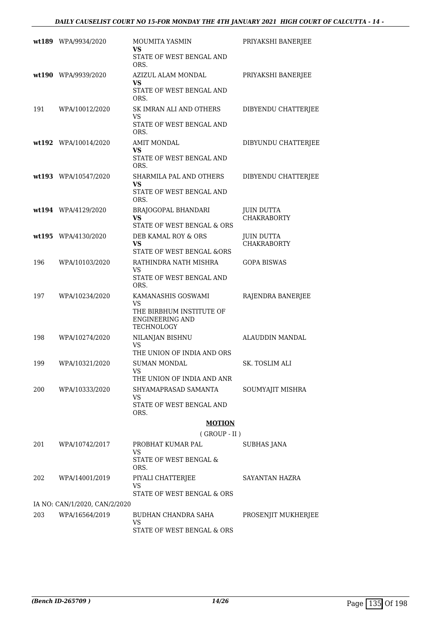|     | wt189 WPA/9934/2020           | MOUMITA YASMIN<br>VS                                             | PRIYAKSHI BANERJEE                      |
|-----|-------------------------------|------------------------------------------------------------------|-----------------------------------------|
|     |                               | STATE OF WEST BENGAL AND<br>ORS.                                 |                                         |
|     | wt190 WPA/9939/2020           | AZIZUL ALAM MONDAL<br>VS                                         | PRIYAKSHI BANERJEE                      |
|     |                               | STATE OF WEST BENGAL AND<br>ORS.                                 |                                         |
| 191 | WPA/10012/2020                | SK IMRAN ALI AND OTHERS<br>VS                                    | DIBYENDU CHATTERJEE                     |
|     |                               | STATE OF WEST BENGAL AND<br>ORS.                                 |                                         |
|     | wt192 WPA/10014/2020          | <b>AMIT MONDAL</b><br>VS                                         | DIBYUNDU CHATTERJEE                     |
|     |                               | STATE OF WEST BENGAL AND<br>ORS.                                 |                                         |
|     | wt193 WPA/10547/2020          | SHARMILA PAL AND OTHERS<br>VS                                    | DIBYENDU CHATTERJEE                     |
|     |                               | STATE OF WEST BENGAL AND<br>ORS.                                 |                                         |
|     | wt194 WPA/4129/2020           | BRAJOGOPAL BHANDARI<br>VS                                        | <b>JUIN DUTTA</b><br><b>CHAKRABORTY</b> |
|     |                               | STATE OF WEST BENGAL & ORS                                       |                                         |
|     | wt195 WPA/4130/2020           | DEB KAMAL ROY & ORS<br>VS<br>STATE OF WEST BENGAL &ORS           | <b>JUIN DUTTA</b><br><b>CHAKRABORTY</b> |
| 196 | WPA/10103/2020                | RATHINDRA NATH MISHRA<br>VS                                      | <b>GOPA BISWAS</b>                      |
|     |                               | STATE OF WEST BENGAL AND<br>ORS.                                 |                                         |
| 197 | WPA/10234/2020                | KAMANASHIS GOSWAMI<br>VS                                         | RAJENDRA BANERJEE                       |
|     |                               | THE BIRBHUM INSTITUTE OF<br><b>ENGINEERING AND</b><br>TECHNOLOGY |                                         |
| 198 | WPA/10274/2020                | NILANJAN BISHNU<br>VS<br>THE UNION OF INDIA AND ORS              | ALAUDDIN MANDAL                         |
| 199 | WPA/10321/2020                | SUMAN MONDAL                                                     | SK. TOSLIM ALI                          |
|     |                               | <b>VS</b><br>THE UNION OF INDIA AND ANR                          |                                         |
| 200 | WPA/10333/2020                | SHYAMAPRASAD SAMANTA                                             | SOUMYAJIT MISHRA                        |
|     |                               | VS<br>STATE OF WEST BENGAL AND<br>ORS.                           |                                         |
|     |                               | <b>MOTION</b>                                                    |                                         |
|     |                               | $($ GROUP - II $)$                                               |                                         |
| 201 | WPA/10742/2017                | PROBHAT KUMAR PAL<br><b>VS</b>                                   | SUBHAS JANA                             |
|     |                               | STATE OF WEST BENGAL &<br>ORS.                                   |                                         |
| 202 | WPA/14001/2019                | PIYALI CHATTERJEE<br><b>VS</b>                                   | SAYANTAN HAZRA                          |
|     |                               | STATE OF WEST BENGAL & ORS                                       |                                         |
|     | IA NO: CAN/1/2020, CAN/2/2020 |                                                                  |                                         |
| 203 | WPA/16564/2019                | BUDHAN CHANDRA SAHA<br>VS                                        | PROSENJIT MUKHERJEE                     |

STATE OF WEST BENGAL & ORS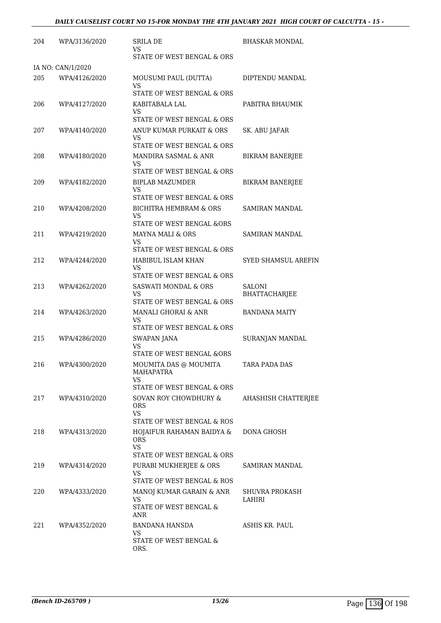| 204 | WPA/3136/2020     | <b>SRILA DE</b><br>VS                             | <b>BHASKAR MONDAL</b>  |
|-----|-------------------|---------------------------------------------------|------------------------|
|     |                   | STATE OF WEST BENGAL & ORS                        |                        |
|     | IA NO: CAN/1/2020 |                                                   |                        |
| 205 | WPA/4126/2020     | MOUSUMI PAUL (DUTTA)<br>VS                        | DIPTENDU MANDAL        |
|     |                   | STATE OF WEST BENGAL & ORS                        |                        |
| 206 | WPA/4127/2020     | KABITABALA LAL<br>VS                              | PABITRA BHAUMIK        |
|     |                   | STATE OF WEST BENGAL & ORS                        |                        |
| 207 | WPA/4140/2020     | ANUP KUMAR PURKAIT & ORS<br>VS                    | SK. ABU JAFAR          |
|     |                   | STATE OF WEST BENGAL & ORS                        |                        |
| 208 | WPA/4180/2020     | MANDIRA SASMAL & ANR<br>VS                        | <b>BIKRAM BANERJEE</b> |
|     |                   | STATE OF WEST BENGAL & ORS                        |                        |
| 209 | WPA/4182/2020     | BIPLAB MAZUMDER<br>VS                             | <b>BIKRAM BANERJEE</b> |
|     |                   | STATE OF WEST BENGAL & ORS                        |                        |
| 210 | WPA/4208/2020     | <b>BICHITRA HEMBRAM &amp; ORS</b><br>VS           | SAMIRAN MANDAL         |
|     |                   | STATE OF WEST BENGAL &ORS                         |                        |
| 211 | WPA/4219/2020     | MAYNA MALI & ORS<br>VS                            | SAMIRAN MANDAL         |
|     |                   | STATE OF WEST BENGAL & ORS                        |                        |
| 212 | WPA/4244/2020     | HABIBUL ISLAM KHAN<br>VS                          | SYED SHAMSUL AREFIN    |
|     |                   | STATE OF WEST BENGAL & ORS                        |                        |
| 213 | WPA/4262/2020     | <b>SASWATI MONDAL &amp; ORS</b>                   | <b>SALONI</b>          |
|     |                   | VS<br>STATE OF WEST BENGAL & ORS                  | BHATTACHARJEE          |
| 214 | WPA/4263/2020     | MANALI GHORAI & ANR                               | <b>BANDANA MAITY</b>   |
|     |                   | VS<br>STATE OF WEST BENGAL & ORS                  |                        |
| 215 | WPA/4286/2020     | <b>SWAPAN JANA</b>                                | SURANJAN MANDAL        |
|     |                   | <b>VS</b><br><b>STATE OF WEST BENGAL &amp;ORS</b> |                        |
| 216 | WPA/4300/2020     | MOUMITA DAS @ MOUMITA<br>MAHAPATRA                | TARA PADA DAS          |
|     |                   | VS.<br>STATE OF WEST BENGAL & ORS                 |                        |
|     |                   |                                                   |                        |
| 217 | WPA/4310/2020     | SOVAN ROY CHOWDHURY &<br>ORS.<br><b>VS</b>        | AHASHISH CHATTERJEE    |
|     |                   | STATE OF WEST BENGAL & ROS                        |                        |
| 218 | WPA/4313/2020     | HOJAIFUR RAHAMAN BAIDYA &<br>ORS.                 | DONA GHOSH             |
|     |                   | <b>VS</b><br>STATE OF WEST BENGAL & ORS           |                        |
| 219 | WPA/4314/2020     | PURABI MUKHERJEE & ORS                            | SAMIRAN MANDAL         |
|     |                   | VS.<br>STATE OF WEST BENGAL & ROS                 |                        |
| 220 | WPA/4333/2020     | MANOJ KUMAR GARAIN & ANR                          | SHUVRA PROKASH         |
|     |                   | <b>VS</b><br>STATE OF WEST BENGAL &               | LAHIRI                 |
|     |                   | ANR                                               |                        |
| 221 | WPA/4352/2020     | <b>BANDANA HANSDA</b><br>VS.                      | ASHIS KR. PAUL         |
|     |                   | STATE OF WEST BENGAL &<br>ORS.                    |                        |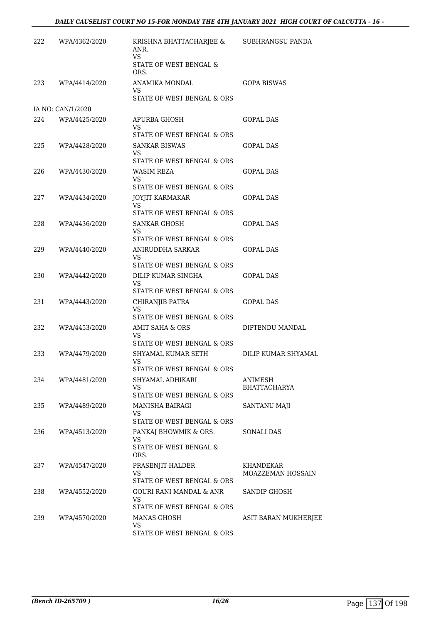| 222 | WPA/4362/2020     | KRISHNA BHATTACHARJEE &<br>ANR.<br><b>VS</b>                            | <b>SUBHRANGSU PANDA</b> |
|-----|-------------------|-------------------------------------------------------------------------|-------------------------|
|     |                   | STATE OF WEST BENGAL &<br>ORS.                                          |                         |
| 223 | WPA/4414/2020     | ANAMIKA MONDAL<br>VS                                                    | <b>GOPA BISWAS</b>      |
|     |                   | STATE OF WEST BENGAL & ORS                                              |                         |
|     | IA NO: CAN/1/2020 |                                                                         |                         |
| 224 | WPA/4425/2020     | APURBA GHOSH<br><b>VS</b>                                               | GOPAL DAS               |
|     |                   | STATE OF WEST BENGAL & ORS                                              |                         |
| 225 | WPA/4428/2020     | <b>SANKAR BISWAS</b><br>VS<br>STATE OF WEST BENGAL & ORS                | <b>GOPAL DAS</b>        |
| 226 | WPA/4430/2020     | WASIM REZA<br>VS                                                        | <b>GOPAL DAS</b>        |
|     |                   | STATE OF WEST BENGAL & ORS                                              |                         |
| 227 | WPA/4434/2020     | JOYJIT KARMAKAR                                                         | <b>GOPAL DAS</b>        |
|     |                   | VS.<br>STATE OF WEST BENGAL & ORS                                       |                         |
| 228 | WPA/4436/2020     | <b>SANKAR GHOSH</b>                                                     | <b>GOPAL DAS</b>        |
|     |                   | VS.                                                                     |                         |
|     |                   | STATE OF WEST BENGAL & ORS                                              |                         |
| 229 | WPA/4440/2020     | ANIRUDDHA SARKAR<br>VS.<br>STATE OF WEST BENGAL & ORS                   | <b>GOPAL DAS</b>        |
| 230 | WPA/4442/2020     | DILIP KUMAR SINGHA                                                      | <b>GOPAL DAS</b>        |
|     |                   | VS.<br>STATE OF WEST BENGAL & ORS                                       |                         |
| 231 | WPA/4443/2020     | CHIRANJIB PATRA                                                         | GOPAL DAS               |
|     |                   | VS.<br>STATE OF WEST BENGAL & ORS                                       |                         |
| 232 | WPA/4453/2020     | AMIT SAHA & ORS                                                         | DIPTENDU MANDAL         |
|     |                   | VS                                                                      |                         |
|     |                   | STATE OF WEST BENGAL & ORS                                              |                         |
| 233 | WPA/4479/2020     | SHYAMAL KUMAR SETH<br>VS<br>STATE OF WEST BENGAL & ORS                  | DILIP KUMAR SHYAMAL     |
| 234 | WPA/4481/2020     | SHYAMAL ADHIKARI                                                        | ANIMESH                 |
|     |                   | VS                                                                      | <b>BHATTACHARYA</b>     |
|     |                   | STATE OF WEST BENGAL & ORS                                              |                         |
| 235 | WPA/4489/2020     | <b>MANISHA BAIRAGI</b><br>VS<br>STATE OF WEST BENGAL & ORS              | SANTANU MAJI            |
| 236 | WPA/4513/2020     | PANKAJ BHOWMIK & ORS.                                                   | SONALI DAS              |
|     |                   | VS.<br>STATE OF WEST BENGAL &<br>ORS.                                   |                         |
| 237 | WPA/4547/2020     | PRASENJIT HALDER                                                        | KHANDEKAR               |
|     |                   | VS                                                                      | MOAZZEMAN HOSSAIN       |
|     |                   | STATE OF WEST BENGAL & ORS                                              |                         |
| 238 | WPA/4552/2020     | <b>GOURI RANI MANDAL &amp; ANR</b><br>VS.<br>STATE OF WEST BENGAL & ORS | <b>SANDIP GHOSH</b>     |
| 239 | WPA/4570/2020     | <b>MANAS GHOSH</b>                                                      | ASIT BARAN MUKHERJEE    |
|     |                   | VS                                                                      |                         |
|     |                   | STATE OF WEST BENGAL & ORS                                              |                         |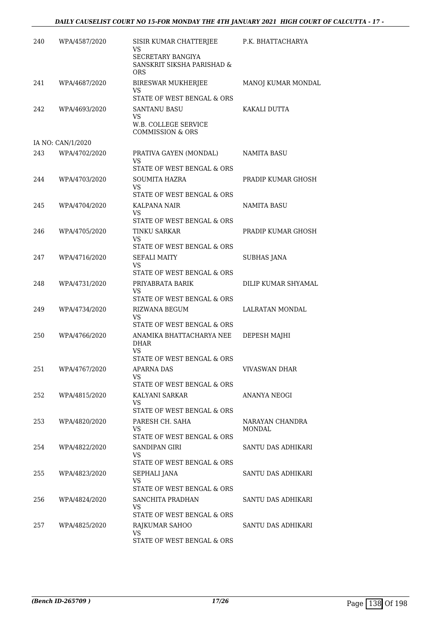| 240 | WPA/4587/2020     | SISIR KUMAR CHATTERJEE<br>VS<br><b>SECRETARY BANGIYA</b> | P.K. BHATTACHARYA   |
|-----|-------------------|----------------------------------------------------------|---------------------|
|     |                   | SANSKRIT SIKSHA PARISHAD &<br><b>ORS</b>                 |                     |
| 241 | WPA/4687/2020     | BIRESWAR MUKHERJEE<br>VS                                 | MANOJ KUMAR MONDAL  |
|     |                   | STATE OF WEST BENGAL & ORS                               |                     |
| 242 | WPA/4693/2020     | <b>SANTANU BASU</b><br><b>VS</b>                         | KAKALI DUTTA        |
|     |                   | W.B. COLLEGE SERVICE<br><b>COMMISSION &amp; ORS</b>      |                     |
|     | IA NO: CAN/1/2020 |                                                          |                     |
| 243 | WPA/4702/2020     | PRATIVA GAYEN (MONDAL)<br><b>VS</b>                      | NAMITA BASU         |
|     |                   | STATE OF WEST BENGAL & ORS                               |                     |
| 244 | WPA/4703/2020     | <b>SOUMITA HAZRA</b><br>VS                               | PRADIP KUMAR GHOSH  |
|     |                   | STATE OF WEST BENGAL & ORS                               | <b>NAMITA BASU</b>  |
| 245 | WPA/4704/2020     | <b>KALPANA NAIR</b><br><b>VS</b>                         |                     |
|     |                   | STATE OF WEST BENGAL & ORS                               |                     |
| 246 | WPA/4705/2020     | <b>TINKU SARKAR</b>                                      | PRADIP KUMAR GHOSH  |
|     |                   | VS<br>STATE OF WEST BENGAL & ORS                         |                     |
| 247 | WPA/4716/2020     | SEFALI MAITY<br>VS                                       | <b>SUBHAS JANA</b>  |
|     |                   | STATE OF WEST BENGAL & ORS                               |                     |
| 248 | WPA/4731/2020     | PRIYABRATA BARIK                                         | DILIP KUMAR SHYAMAL |
|     |                   | VS.                                                      |                     |
| 249 | WPA/4734/2020     | STATE OF WEST BENGAL & ORS<br><b>RIZWANA BEGUM</b>       | LALRATAN MONDAL     |
|     |                   | VS                                                       |                     |
|     |                   | STATE OF WEST BENGAL & ORS                               |                     |
| 250 | WPA/4766/2020     | ANAMIKA BHATTACHARYA NEE<br><b>DHAR</b><br>VS.           | DEPESH MAJHI        |
|     |                   | STATE OF WEST BENGAL & ORS                               |                     |
| 251 | WPA/4767/2020     | <b>APARNA DAS</b>                                        | VIVASWAN DHAR       |
|     |                   | VS<br>STATE OF WEST BENGAL & ORS                         |                     |
| 252 | WPA/4815/2020     | KALYANI SARKAR                                           | ANANYA NEOGI        |
|     |                   | VS.                                                      |                     |
| 253 | WPA/4820/2020     | STATE OF WEST BENGAL & ORS<br>PARESH CH. SAHA            | NARAYAN CHANDRA     |
|     |                   | VS.                                                      | MONDAL              |
|     |                   | STATE OF WEST BENGAL & ORS                               |                     |
| 254 | WPA/4822/2020     | SANDIPAN GIRI<br>VS.                                     | SANTU DAS ADHIKARI  |
|     |                   | STATE OF WEST BENGAL & ORS                               |                     |
| 255 | WPA/4823/2020     | SEPHALI JANA                                             | SANTU DAS ADHIKARI  |
|     |                   | VS<br>STATE OF WEST BENGAL & ORS                         |                     |
| 256 | WPA/4824/2020     | SANCHITA PRADHAN                                         | SANTU DAS ADHIKARI  |
|     |                   | VS                                                       |                     |
|     |                   | STATE OF WEST BENGAL & ORS                               |                     |
| 257 | WPA/4825/2020     | RAJKUMAR SAHOO<br><b>VS</b>                              | SANTU DAS ADHIKARI  |
|     |                   | STATE OF WEST BENGAL & ORS                               |                     |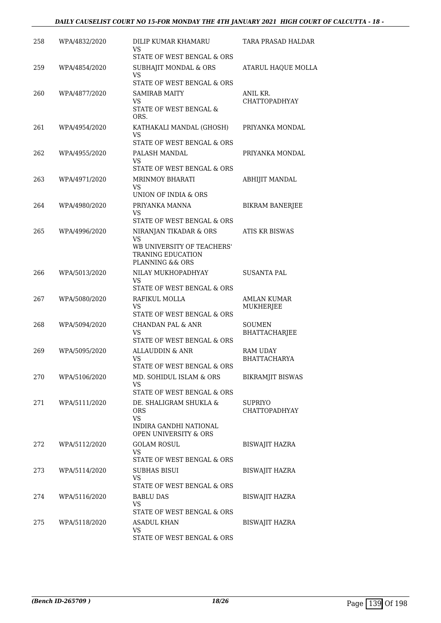| 258 | WPA/4832/2020 | DILIP KUMAR KHAMARU<br>VS<br>STATE OF WEST BENGAL & ORS                                                   | TARA PRASAD HALDAR                     |
|-----|---------------|-----------------------------------------------------------------------------------------------------------|----------------------------------------|
| 259 | WPA/4854/2020 | SUBHAJIT MONDAL & ORS<br><b>VS</b>                                                                        | ATARUL HAQUE MOLLA                     |
| 260 | WPA/4877/2020 | STATE OF WEST BENGAL & ORS<br>SAMIRAB MAITY<br>VS.<br>STATE OF WEST BENGAL &<br>ORS.                      | ANIL KR.<br><b>CHATTOPADHYAY</b>       |
| 261 | WPA/4954/2020 | KATHAKALI MANDAL (GHOSH)<br>VS<br>STATE OF WEST BENGAL & ORS                                              | PRIYANKA MONDAL                        |
| 262 | WPA/4955/2020 | PALASH MANDAL<br>VS<br>STATE OF WEST BENGAL & ORS                                                         | PRIYANKA MONDAL                        |
| 263 | WPA/4971/2020 | <b>MRINMOY BHARATI</b><br>VS<br>UNION OF INDIA & ORS                                                      | ABHIJIT MANDAL                         |
| 264 | WPA/4980/2020 | PRIYANKA MANNA<br>VS<br>STATE OF WEST BENGAL & ORS                                                        | <b>BIKRAM BANERJEE</b>                 |
| 265 | WPA/4996/2020 | NIRANJAN TIKADAR & ORS<br>VS<br>WB UNIVERSITY OF TEACHERS'<br><b>TRANING EDUCATION</b><br>PLANNING && ORS | <b>ATIS KR BISWAS</b>                  |
| 266 | WPA/5013/2020 | NILAY MUKHOPADHYAY<br>VS<br>STATE OF WEST BENGAL & ORS                                                    | SUSANTA PAL                            |
| 267 | WPA/5080/2020 | RAFIKUL MOLLA<br>VS<br>STATE OF WEST BENGAL & ORS                                                         | AMLAN KUMAR<br>MUKHERJEE               |
| 268 | WPA/5094/2020 | CHANDAN PAL & ANR<br>VS<br>STATE OF WEST BENGAL & ORS                                                     | <b>SOUMEN</b><br><b>BHATTACHARJEE</b>  |
| 269 | WPA/5095/2020 | ALLAUDDIN & ANR<br>VS<br>STATE OF WEST BENGAL & ORS                                                       | <b>RAM UDAY</b><br><b>BHATTACHARYA</b> |
| 270 | WPA/5106/2020 | MD. SOHIDUL ISLAM & ORS<br>VS.<br>STATE OF WEST BENGAL & ORS                                              | <b>BIKRAMJIT BISWAS</b>                |
| 271 | WPA/5111/2020 | DE. SHALIGRAM SHUKLA &<br><b>ORS</b><br><b>VS</b><br>INDIRA GANDHI NATIONAL<br>OPEN UNIVERSITY & ORS      | <b>SUPRIYO</b><br>CHATTOPADHYAY        |
| 272 | WPA/5112/2020 | <b>GOLAM ROSUL</b><br>VS.<br>STATE OF WEST BENGAL & ORS                                                   | <b>BISWAJIT HAZRA</b>                  |
| 273 | WPA/5114/2020 | <b>SUBHAS BISUI</b><br>VS.<br>STATE OF WEST BENGAL & ORS                                                  | BISWAJIT HAZRA                         |
| 274 | WPA/5116/2020 | <b>BABLU DAS</b><br>VS.<br>STATE OF WEST BENGAL & ORS                                                     | <b>BISWAJIT HAZRA</b>                  |
| 275 | WPA/5118/2020 | ASADUL KHAN<br><b>VS</b><br>STATE OF WEST BENGAL & ORS                                                    | <b>BISWAJIT HAZRA</b>                  |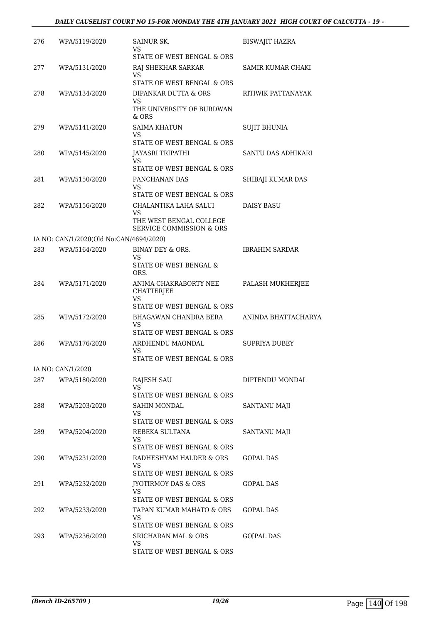| 276 | WPA/5119/2020                           | SAINUR SK.<br>VS.                                                                                                 | <b>BISWAJIT HAZRA</b> |
|-----|-----------------------------------------|-------------------------------------------------------------------------------------------------------------------|-----------------------|
| 277 | WPA/5131/2020                           | STATE OF WEST BENGAL & ORS<br>RAJ SHEKHAR SARKAR<br>VS                                                            | SAMIR KUMAR CHAKI     |
| 278 | WPA/5134/2020                           | STATE OF WEST BENGAL & ORS<br>DIPANKAR DUTTA & ORS<br>VS<br>THE UNIVERSITY OF BURDWAN                             | RITIWIK PATTANAYAK    |
| 279 | WPA/5141/2020                           | & ORS<br><b>SAIMA KHATUN</b><br>VS<br>STATE OF WEST BENGAL & ORS                                                  | <b>SUJIT BHUNIA</b>   |
| 280 | WPA/5145/2020                           | JAYASRI TRIPATHI<br>VS                                                                                            | SANTU DAS ADHIKARI    |
| 281 | WPA/5150/2020                           | STATE OF WEST BENGAL & ORS<br>PANCHANAN DAS<br>VS.                                                                | SHIBAJI KUMAR DAS     |
| 282 | WPA/5156/2020                           | STATE OF WEST BENGAL & ORS<br>CHALANTIKA LAHA SALUI<br>VS.<br>THE WEST BENGAL COLLEGE<br>SERVICE COMMISSION & ORS | DAISY BASU            |
|     | IA NO: CAN/1/2020(Old No:CAN/4694/2020) |                                                                                                                   |                       |
| 283 | WPA/5164/2020                           | BINAY DEY & ORS.<br>VS<br>STATE OF WEST BENGAL &                                                                  | <b>IBRAHIM SARDAR</b> |
| 284 | WPA/5171/2020                           | ORS.<br>ANIMA CHAKRABORTY NEE<br>CHATTERJEE<br>VS                                                                 | PALASH MUKHERJEE      |
|     |                                         | STATE OF WEST BENGAL & ORS                                                                                        |                       |
| 285 | WPA/5172/2020                           | BHAGAWAN CHANDRA BERA<br>VS.<br>STATE OF WEST BENGAL & ORS                                                        | ANINDA BHATTACHARYA   |
| 286 | WPA/5176/2020                           | ARDHENDU MAONDAL<br>VS<br>STATE OF WEST BENGAL & ORS                                                              | <b>SUPRIYA DUBEY</b>  |
|     | IA NO: CAN/1/2020                       |                                                                                                                   |                       |
| 287 | WPA/5180/2020                           | RAJESH SAU<br>VS<br>STATE OF WEST BENGAL & ORS                                                                    | DIPTENDU MONDAL       |
| 288 | WPA/5203/2020                           | <b>SAHIN MONDAL</b><br>VS                                                                                         | SANTANU MAJI          |
| 289 | WPA/5204/2020                           | STATE OF WEST BENGAL & ORS<br>REBEKA SULTANA<br><b>VS</b>                                                         | SANTANU MAJI          |
| 290 | WPA/5231/2020                           | STATE OF WEST BENGAL & ORS<br>RADHESHYAM HALDER & ORS<br>VS.                                                      | GOPAL DAS             |
| 291 | WPA/5232/2020                           | STATE OF WEST BENGAL & ORS<br>JYOTIRMOY DAS & ORS<br>VS.                                                          | GOPAL DAS             |
| 292 | WPA/5233/2020                           | STATE OF WEST BENGAL & ORS<br>TAPAN KUMAR MAHATO & ORS<br>VS                                                      | GOPAL DAS             |
| 293 | WPA/5236/2020                           | STATE OF WEST BENGAL & ORS<br><b>SRICHARAN MAL &amp; ORS</b><br>VS<br>STATE OF WEST BENGAL & ORS                  | GO[PAL DAS            |
|     |                                         |                                                                                                                   |                       |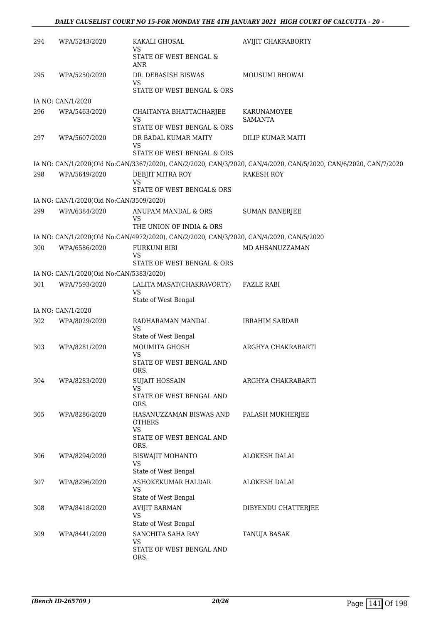## *DAILY CAUSELIST COURT NO 15-FOR MONDAY THE 4TH JANUARY 2021 HIGH COURT OF CALCUTTA - 20 -*

| 294 | WPA/5243/2020                           | KAKALI GHOSAL<br>VS                                                                     | <b>AVIJIT CHAKRABORTY</b>                                                                                       |
|-----|-----------------------------------------|-----------------------------------------------------------------------------------------|-----------------------------------------------------------------------------------------------------------------|
|     |                                         | STATE OF WEST BENGAL &<br>ANR                                                           |                                                                                                                 |
| 295 | WPA/5250/2020                           | DR. DEBASISH BISWAS<br>VS                                                               | MOUSUMI BHOWAL                                                                                                  |
|     |                                         | STATE OF WEST BENGAL & ORS                                                              |                                                                                                                 |
|     | IA NO: CAN/1/2020                       |                                                                                         |                                                                                                                 |
| 296 | WPA/5463/2020                           | CHAITANYA BHATTACHARJEE<br>VS<br>STATE OF WEST BENGAL & ORS                             | KARUNAMOYEE<br><b>SAMANTA</b>                                                                                   |
| 297 | WPA/5607/2020                           | DR BADAL KUMAR MAITY                                                                    | DILIP KUMAR MAITI                                                                                               |
|     |                                         | VS<br>STATE OF WEST BENGAL & ORS                                                        |                                                                                                                 |
|     |                                         |                                                                                         | IA NO: CAN/1/2020(Old No:CAN/3367/2020), CAN/2/2020, CAN/3/2020, CAN/4/2020, CAN/5/2020, CAN/6/2020, CAN/7/2020 |
| 298 | WPA/5649/2020                           | DEBJIT MITRA ROY<br>VS                                                                  | <b>RAKESH ROY</b>                                                                                               |
|     |                                         | STATE OF WEST BENGAL& ORS                                                               |                                                                                                                 |
|     | IA NO: CAN/1/2020(Old No:CAN/3509/2020) |                                                                                         |                                                                                                                 |
| 299 | WPA/6384/2020                           | ANUPAM MANDAL & ORS<br>VS<br>THE UNION OF INDIA & ORS                                   | <b>SUMAN BANERJEE</b>                                                                                           |
|     |                                         | IA NO: CAN/1/2020(Old No:CAN/4972/2020), CAN/2/2020, CAN/3/2020, CAN/4/2020, CAN/5/2020 |                                                                                                                 |
| 300 | WPA/6586/2020                           | <b>FURKUNI BIBI</b>                                                                     | MD AHSANUZZAMAN                                                                                                 |
|     |                                         | VS<br>STATE OF WEST BENGAL & ORS                                                        |                                                                                                                 |
|     | IA NO: CAN/1/2020(Old No:CAN/5383/2020) |                                                                                         |                                                                                                                 |
| 301 | WPA/7593/2020                           | LALITA MASAT(CHAKRAVORTY)<br><b>VS</b><br>State of West Bengal                          | <b>FAZLE RABI</b>                                                                                               |
|     | IA NO: CAN/1/2020                       |                                                                                         |                                                                                                                 |
| 302 | WPA/8029/2020                           | RADHARAMAN MANDAL<br>VS                                                                 | <b>IBRAHIM SARDAR</b>                                                                                           |
|     |                                         | State of West Bengal                                                                    |                                                                                                                 |
| 303 | WPA/8281/2020                           | MOUMITA GHOSH<br><b>VS</b><br>STATE OF WEST BENGAL AND<br>ORS.                          | ARGHYA CHAKRABARTI                                                                                              |
| 304 | WPA/8283/2020                           | <b>SUJAIT HOSSAIN</b>                                                                   | ARGHYA CHAKRABARTI                                                                                              |
|     |                                         | <b>VS</b><br>STATE OF WEST BENGAL AND                                                   |                                                                                                                 |
|     |                                         | ORS.                                                                                    |                                                                                                                 |
| 305 | WPA/8286/2020                           | HASANUZZAMAN BISWAS AND<br><b>OTHERS</b><br><b>VS</b><br>STATE OF WEST BENGAL AND       | PALASH MUKHERJEE                                                                                                |
|     |                                         | ORS.                                                                                    |                                                                                                                 |
| 306 | WPA/8294/2020                           | <b>BISWAJIT MOHANTO</b><br><b>VS</b><br>State of West Bengal                            | <b>ALOKESH DALAI</b>                                                                                            |
| 307 | WPA/8296/2020                           | ASHOKEKUMAR HALDAR<br>VS<br>State of West Bengal                                        | <b>ALOKESH DALAI</b>                                                                                            |
| 308 | WPA/8418/2020                           | <b>AVIJIT BARMAN</b><br><b>VS</b>                                                       | DIBYENDU CHATTERJEE                                                                                             |
| 309 | WPA/8441/2020                           | State of West Bengal<br>SANCHITA SAHA RAY<br>VS<br>STATE OF WEST BENGAL AND<br>ORS.     | TANUJA BASAK                                                                                                    |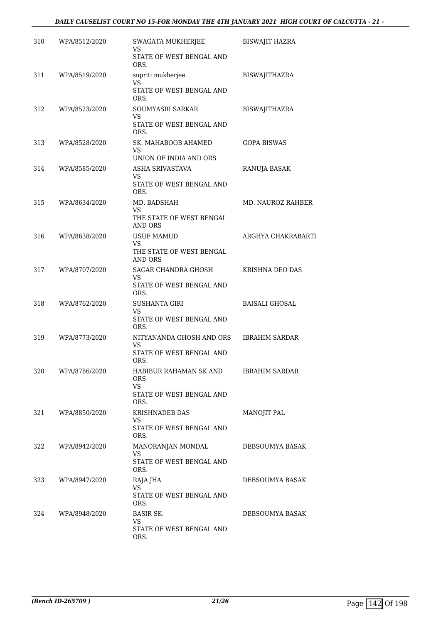## *DAILY CAUSELIST COURT NO 15-FOR MONDAY THE 4TH JANUARY 2021 HIGH COURT OF CALCUTTA - 21 -*

| 310 | WPA/8512/2020 | SWAGATA MUKHERJEE<br>VS<br>STATE OF WEST BENGAL AND                                 | <b>BISWAJIT HAZRA</b> |
|-----|---------------|-------------------------------------------------------------------------------------|-----------------------|
| 311 | WPA/8519/2020 | ORS.<br>supriti mukherjee                                                           | <b>BISWAJITHAZRA</b>  |
|     |               | VS<br><b>STATE OF WEST BENGAL AND</b><br>ORS.                                       |                       |
| 312 | WPA/8523/2020 | SOUMYASRI SARKAR<br>VS<br>STATE OF WEST BENGAL AND                                  | <b>BISWAJITHAZRA</b>  |
| 313 | WPA/8528/2020 | ORS.<br>SK. MAHABOOB AHAMED<br>VS.                                                  | <b>GOPA BISWAS</b>    |
| 314 | WPA/8585/2020 | UNION OF INDIA AND ORS<br>ASHA SRIVASTAVA<br>VS<br>STATE OF WEST BENGAL AND<br>ORS. | RANUJA BASAK          |
| 315 | WPA/8634/2020 | MD. BADSHAH<br>VS<br>THE STATE OF WEST BENGAL<br>AND ORS                            | MD. NAUROZ RAHBER     |
| 316 | WPA/8638/2020 | <b>USUF MAMUD</b><br>VS<br>THE STATE OF WEST BENGAL<br><b>AND ORS</b>               | ARGHYA CHAKRABARTI    |
| 317 | WPA/8707/2020 | SAGAR CHANDRA GHOSH<br>VS<br>STATE OF WEST BENGAL AND                               | KRISHNA DEO DAS       |
| 318 | WPA/8762/2020 | ORS.<br><b>SUSHANTA GIRI</b><br>VS<br>STATE OF WEST BENGAL AND<br>ORS.              | <b>BAISALI GHOSAL</b> |
| 319 | WPA/8773/2020 | NITYANANDA GHOSH AND ORS<br>VS<br>STATE OF WEST BENGAL AND<br>ORS.                  | <b>IBRAHIM SARDAR</b> |
| 320 | WPA/8786/2020 | HABIBUR RAHAMAN SK AND<br>ORS.<br><b>VS</b><br>STATE OF WEST BENGAL AND<br>ORS.     | <b>IBRAHIM SARDAR</b> |
| 321 | WPA/8850/2020 | <b>KRISHNADEB DAS</b><br>VS.<br>STATE OF WEST BENGAL AND<br>ORS.                    | MANOJIT PAL           |
| 322 | WPA/8942/2020 | MANORANJAN MONDAL<br>VS.<br>STATE OF WEST BENGAL AND<br>ORS.                        | DEBSOUMYA BASAK       |
| 323 | WPA/8947/2020 | RAJA JHA<br>VS.<br>STATE OF WEST BENGAL AND<br>ORS.                                 | DEBSOUMYA BASAK       |
| 324 | WPA/8948/2020 | <b>BASIR SK.</b><br><b>VS</b><br>STATE OF WEST BENGAL AND<br>ORS.                   | DEBSOUMYA BASAK       |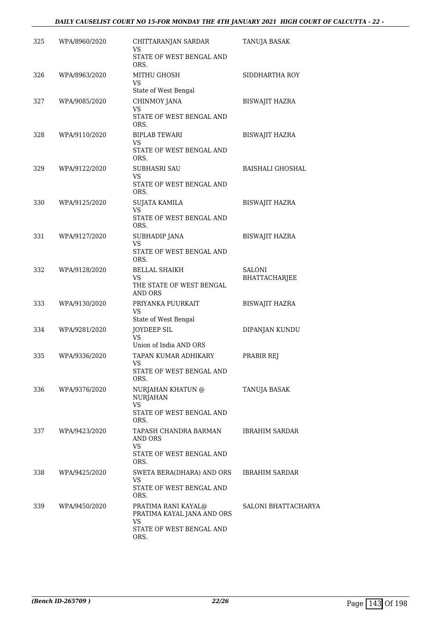#### *DAILY CAUSELIST COURT NO 15-FOR MONDAY THE 4TH JANUARY 2021 HIGH COURT OF CALCUTTA - 22 -*

| 325 | WPA/8960/2020 | CHITTARANJAN SARDAR<br>VS                                                                          | TANUJA BASAK                   |
|-----|---------------|----------------------------------------------------------------------------------------------------|--------------------------------|
|     |               | STATE OF WEST BENGAL AND<br>ORS.                                                                   |                                |
| 326 | WPA/8963/2020 | MITHU GHOSH<br><b>VS</b><br>State of West Bengal                                                   | SIDDHARTHA ROY                 |
| 327 | WPA/9085/2020 | CHINMOY JANA                                                                                       | <b>BISWAJIT HAZRA</b>          |
|     |               | <b>VS</b><br>STATE OF WEST BENGAL AND<br>ORS.                                                      |                                |
| 328 | WPA/9110/2020 | <b>BIPLAB TEWARI</b><br>VS.<br>STATE OF WEST BENGAL AND<br>ORS.                                    | <b>BISWAJIT HAZRA</b>          |
| 329 | WPA/9122/2020 | <b>SUBHASRI SAU</b><br><b>VS</b><br>STATE OF WEST BENGAL AND<br>ORS.                               | <b>BAISHALI GHOSHAL</b>        |
| 330 | WPA/9125/2020 | <b>SUJATA KAMILA</b><br>VS<br>STATE OF WEST BENGAL AND                                             | <b>BISWAJIT HAZRA</b>          |
| 331 | WPA/9127/2020 | ORS.<br><b>SUBHADIP JANA</b>                                                                       | <b>BISWAJIT HAZRA</b>          |
|     |               | <b>VS</b><br>STATE OF WEST BENGAL AND<br>ORS.                                                      |                                |
| 332 | WPA/9128/2020 | <b>BELLAL SHAIKH</b><br>VS.<br>THE STATE OF WEST BENGAL<br><b>AND ORS</b>                          | <b>SALONI</b><br>BHATTACHARJEE |
| 333 | WPA/9130/2020 | PRIYANKA PUURKAIT<br>VS<br>State of West Bengal                                                    | <b>BISWAJIT HAZRA</b>          |
| 334 | WPA/9281/2020 | JOYDEEP SIL<br>VS<br>Union of India AND ORS                                                        | DIPANJAN KUNDU                 |
| 335 | WPA/9336/2020 | TAPAN KUMAR ADHIKARY<br><b>VS</b><br>STATE OF WEST BENGAL AND<br>ORS.                              | PRABIR REJ                     |
| 336 | WPA/9376/2020 | NURJAHAN KHATUN @<br>NURJAHAN<br><b>VS</b><br>STATE OF WEST BENGAL AND                             | TANUJA BASAK                   |
| 337 | WPA/9423/2020 | ORS.<br>TAPASH CHANDRA BARMAN<br>AND ORS<br>VS.                                                    | <b>IBRAHIM SARDAR</b>          |
|     |               | STATE OF WEST BENGAL AND<br>ORS.                                                                   |                                |
| 338 | WPA/9425/2020 | SWETA BERA(DHARA) AND ORS<br>VS<br>STATE OF WEST BENGAL AND<br>ORS.                                | IBRAHIM SARDAR                 |
| 339 | WPA/9450/2020 | PRATIMA RANI KAYAL@<br>PRATIMA KAYAL JANA AND ORS<br><b>VS</b><br>STATE OF WEST BENGAL AND<br>ORS. | SALONI BHATTACHARYA            |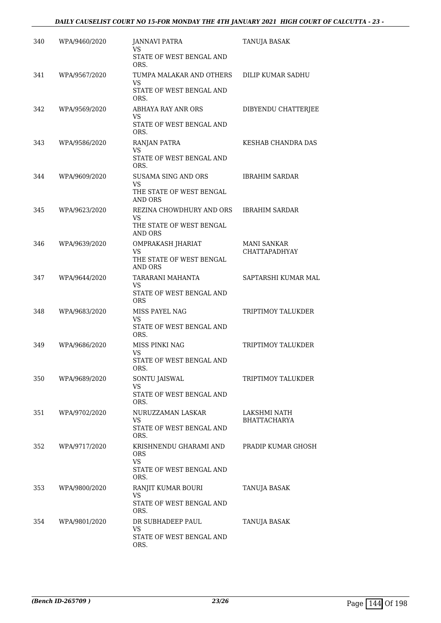| 340 | WPA/9460/2020 | <b>JANNAVI PATRA</b><br>VS                 | TANUJA BASAK                               |
|-----|---------------|--------------------------------------------|--------------------------------------------|
|     |               | STATE OF WEST BENGAL AND<br>ORS.           |                                            |
| 341 | WPA/9567/2020 | TUMPA MALAKAR AND OTHERS<br><b>VS</b>      | DILIP KUMAR SADHU                          |
|     |               | STATE OF WEST BENGAL AND<br>ORS.           |                                            |
| 342 | WPA/9569/2020 | ABHAYA RAY ANR ORS<br>VS                   | DIBYENDU CHATTERJEE                        |
|     |               | STATE OF WEST BENGAL AND<br>ORS.           |                                            |
| 343 | WPA/9586/2020 | RANJAN PATRA<br><b>VS</b>                  | <b>KESHAB CHANDRA DAS</b>                  |
|     |               | STATE OF WEST BENGAL AND<br>ORS.           |                                            |
| 344 | WPA/9609/2020 | SUSAMA SING AND ORS<br>VS                  | <b>IBRAHIM SARDAR</b>                      |
|     |               | THE STATE OF WEST BENGAL<br>AND ORS        |                                            |
| 345 | WPA/9623/2020 | REZINA CHOWDHURY AND ORS<br>VS             | <b>IBRAHIM SARDAR</b>                      |
|     |               | THE STATE OF WEST BENGAL<br>AND ORS        |                                            |
| 346 | WPA/9639/2020 | OMPRAKASH JHARIAT<br>VS                    | <b>MANI SANKAR</b><br><b>CHATTAPADHYAY</b> |
|     |               | THE STATE OF WEST BENGAL<br><b>AND ORS</b> |                                            |
| 347 | WPA/9644/2020 | TARARANI MAHANTA<br>VS                     | SAPTARSHI KUMAR MAL                        |
|     |               | STATE OF WEST BENGAL AND<br><b>ORS</b>     |                                            |
| 348 | WPA/9683/2020 | MISS PAYEL NAG<br><b>VS</b>                | TRIPTIMOY TALUKDER                         |
|     |               | STATE OF WEST BENGAL AND<br>ORS.           |                                            |
| 349 | WPA/9686/2020 | MISS PINKI NAG<br>VS                       | TRIPTIMOY TALUKDER                         |
|     |               | STATE OF WEST BENGAL AND<br>ORS.           |                                            |
| 350 | WPA/9689/2020 | SONTU JAISWAL<br><b>VS</b>                 | TRIPTIMOY TALUKDER                         |
|     |               | STATE OF WEST BENGAL AND<br>ORS.           |                                            |
| 351 | WPA/9702/2020 | NURUZZAMAN LASKAR<br>VS                    | LAKSHMI NATH<br><b>BHATTACHARYA</b>        |
|     |               | STATE OF WEST BENGAL AND<br>ORS.           |                                            |
| 352 | WPA/9717/2020 | KRISHNENDU GHARAMI AND<br>ORS              | PRADIP KUMAR GHOSH                         |
|     |               | VS<br>STATE OF WEST BENGAL AND             |                                            |
| 353 | WPA/9800/2020 | ORS.<br>RANJIT KUMAR BOURI                 | TANUJA BASAK                               |
|     |               | <b>VS</b><br>STATE OF WEST BENGAL AND      |                                            |
|     |               | ORS.                                       |                                            |
| 354 | WPA/9801/2020 | DR SUBHADEEP PAUL<br>VS                    | TANUJA BASAK                               |
|     |               | STATE OF WEST BENGAL AND<br>ORS.           |                                            |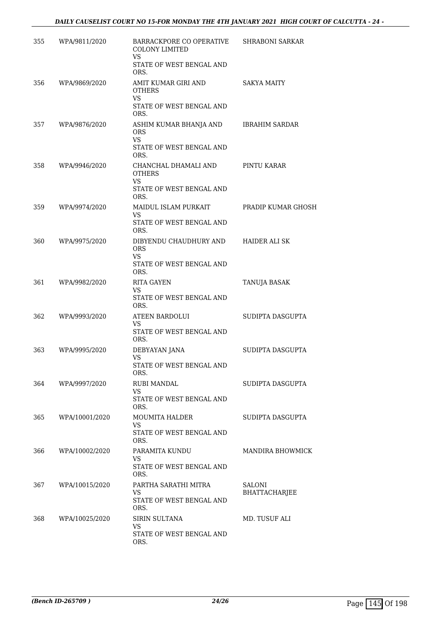| 355 | WPA/9811/2020  | BARRACKPORE CO OPERATIVE<br><b>COLONY LIMITED</b><br><b>VS</b> | <b>SHRABONI SARKAR</b>         |
|-----|----------------|----------------------------------------------------------------|--------------------------------|
|     |                | STATE OF WEST BENGAL AND<br>ORS.                               |                                |
| 356 | WPA/9869/2020  | AMIT KUMAR GIRI AND<br><b>OTHERS</b><br><b>VS</b>              | SAKYA MAITY                    |
|     |                | STATE OF WEST BENGAL AND<br>ORS.                               |                                |
| 357 | WPA/9876/2020  | ASHIM KUMAR BHANJA AND<br><b>ORS</b><br><b>VS</b>              | <b>IBRAHIM SARDAR</b>          |
|     |                | STATE OF WEST BENGAL AND<br>ORS.                               |                                |
| 358 | WPA/9946/2020  | CHANCHAL DHAMALI AND<br><b>OTHERS</b><br>VS.                   | PINTU KARAR                    |
|     |                | STATE OF WEST BENGAL AND<br>ORS.                               |                                |
| 359 | WPA/9974/2020  | MAIDUL ISLAM PURKAIT<br>VS                                     | PRADIP KUMAR GHOSH             |
|     |                | STATE OF WEST BENGAL AND<br>ORS.                               |                                |
| 360 | WPA/9975/2020  | DIBYENDU CHAUDHURY AND<br><b>ORS</b><br><b>VS</b>              | <b>HAIDER ALI SK</b>           |
|     |                | STATE OF WEST BENGAL AND<br>ORS.                               |                                |
| 361 | WPA/9982/2020  | <b>RITA GAYEN</b><br>VS                                        | TANUJA BASAK                   |
|     |                | STATE OF WEST BENGAL AND<br>ORS.                               |                                |
| 362 | WPA/9993/2020  | <b>ATEEN BARDOLUI</b><br>VS<br>STATE OF WEST BENGAL AND        | SUDIPTA DASGUPTA               |
| 363 | WPA/9995/2020  | ORS.<br>DEBYAYAN JANA                                          | SUDIPTA DASGUPTA               |
|     |                | VS<br>STATE OF WEST BENGAL AND<br>ORS.                         |                                |
| 364 | WPA/9997/2020  | <b>RUBI MANDAL</b><br><b>VS</b>                                | SUDIPTA DASGUPTA               |
|     |                | STATE OF WEST BENGAL AND<br>ORS.                               |                                |
| 365 | WPA/10001/2020 | <b>MOUMITA HALDER</b><br><b>VS</b>                             | SUDIPTA DASGUPTA               |
|     |                | STATE OF WEST BENGAL AND<br>ORS.                               |                                |
| 366 | WPA/10002/2020 | PARAMITA KUNDU<br>VS                                           | MANDIRA BHOWMICK               |
|     |                | STATE OF WEST BENGAL AND<br>ORS.                               |                                |
| 367 | WPA/10015/2020 | PARTHA SARATHI MITRA<br>VS                                     | <b>SALONI</b><br>BHATTACHARJEE |
|     |                | STATE OF WEST BENGAL AND<br>ORS.                               |                                |
| 368 | WPA/10025/2020 | <b>SIRIN SULTANA</b><br>VS                                     | MD. TUSUF ALI                  |
|     |                | STATE OF WEST BENGAL AND<br>ORS.                               |                                |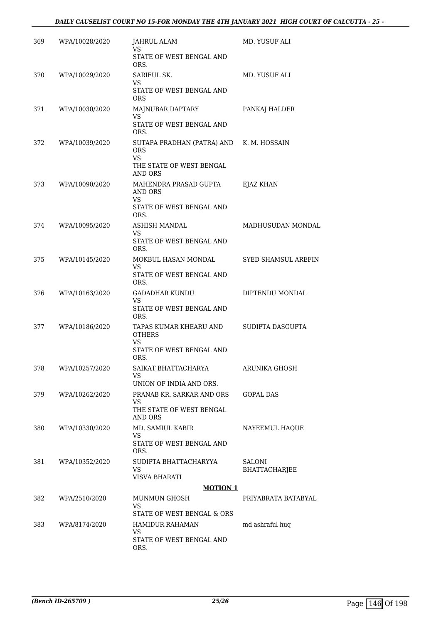| 369 | WPA/10028/2020 | JAHRUL ALAM<br>VS.                                     | MD. YUSUF ALI                  |
|-----|----------------|--------------------------------------------------------|--------------------------------|
|     |                | STATE OF WEST BENGAL AND<br>ORS.                       |                                |
| 370 | WPA/10029/2020 | SARIFUL SK.<br>VS.                                     | MD. YUSUF ALI                  |
|     |                | STATE OF WEST BENGAL AND<br><b>ORS</b>                 |                                |
| 371 | WPA/10030/2020 | MAJNUBAR DAPTARY<br><b>VS</b>                          | PANKAJ HALDER                  |
|     |                | STATE OF WEST BENGAL AND<br>ORS.                       |                                |
| 372 | WPA/10039/2020 | SUTAPA PRADHAN (PATRA) AND K. M. HOSSAIN<br><b>ORS</b> |                                |
|     |                | <b>VS</b><br>THE STATE OF WEST BENGAL<br>AND ORS       |                                |
| 373 | WPA/10090/2020 | MAHENDRA PRASAD GUPTA<br>AND ORS                       | EJAZ KHAN                      |
|     |                | VS.<br>STATE OF WEST BENGAL AND<br>ORS.                |                                |
| 374 | WPA/10095/2020 | <b>ASHISH MANDAL</b><br>VS.                            | MADHUSUDAN MONDAL              |
|     |                | STATE OF WEST BENGAL AND<br>ORS.                       |                                |
| 375 | WPA/10145/2020 | MOKBUL HASAN MONDAL<br><b>VS</b>                       | SYED SHAMSUL AREFIN            |
|     |                | STATE OF WEST BENGAL AND<br>ORS.                       |                                |
| 376 | WPA/10163/2020 | <b>GADADHAR KUNDU</b><br><b>VS</b>                     | DIPTENDU MONDAL                |
|     |                | STATE OF WEST BENGAL AND<br>ORS.                       |                                |
| 377 | WPA/10186/2020 | TAPAS KUMAR KHEARU AND<br><b>OTHERS</b><br>VS.         | SUDIPTA DASGUPTA               |
|     |                | STATE OF WEST BENGAL AND<br>ORS.                       |                                |
| 378 | WPA/10257/2020 | SAIKAT BHATTACHARYA<br>VS.                             | ARUNIKA GHOSH                  |
|     |                | UNION OF INDIA AND ORS.                                |                                |
| 379 | WPA/10262/2020 | PRANAB KR. SARKAR AND ORS<br>VS.                       | <b>GOPAL DAS</b>               |
|     |                | THE STATE OF WEST BENGAL<br>AND ORS                    |                                |
| 380 | WPA/10330/2020 | MD. SAMIUL KABIR<br>VS.                                | NAYEEMUL HAQUE                 |
|     |                | STATE OF WEST BENGAL AND<br>ORS.                       |                                |
| 381 | WPA/10352/2020 | SUDIPTA BHATTACHARYYA<br><b>VS</b><br>VISVA BHARATI    | <b>SALONI</b><br>BHATTACHARJEE |
|     |                | <b>MOTION 1</b>                                        |                                |
| 382 | WPA/2510/2020  | <b>MUNMUN GHOSH</b>                                    | PRIYABRATA BATABYAL            |
|     |                | VS.<br>STATE OF WEST BENGAL & ORS                      |                                |
| 383 | WPA/8174/2020  | HAMIDUR RAHAMAN                                        | md ashraful huq                |
|     |                | <b>VS</b><br>STATE OF WEST BENGAL AND<br>ORS.          |                                |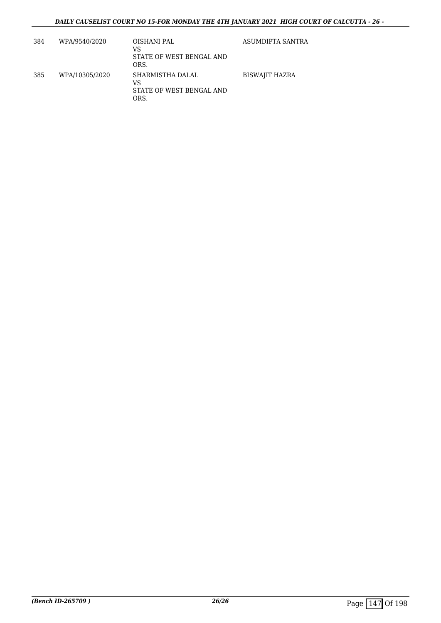| 384 | WPA/9540/2020  | OISHANI PAL<br>VS<br>STATE OF WEST BENGAL AND<br>ORS.      | ASUMDIPTA SANTRA      |
|-----|----------------|------------------------------------------------------------|-----------------------|
| 385 | WPA/10305/2020 | SHARMISTHA DALAL<br>VS<br>STATE OF WEST BENGAL AND<br>ORS. | <b>BISWAJIT HAZRA</b> |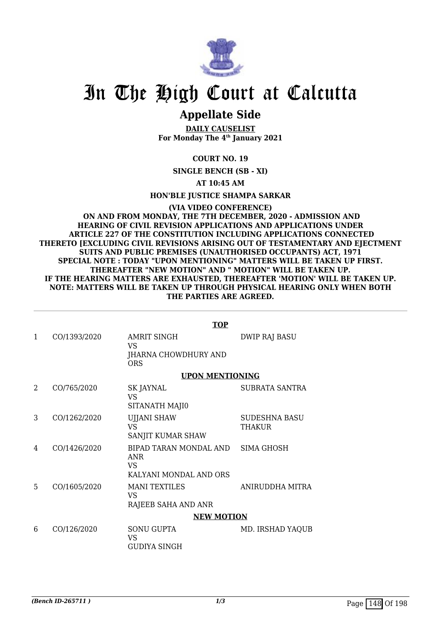

### **Appellate Side**

**DAILY CAUSELIST For Monday The 4th January 2021**

**COURT NO. 19**

**SINGLE BENCH (SB - XI)**

**AT 10:45 AM**

**HON'BLE JUSTICE SHAMPA SARKAR**

**(VIA VIDEO CONFERENCE) ON AND FROM MONDAY, THE 7TH DECEMBER, 2020 - ADMISSION AND HEARING OF CIVIL REVISION APPLICATIONS AND APPLICATIONS UNDER ARTICLE 227 OF THE CONSTITUTION INCLUDING APPLICATIONS CONNECTED THERETO [EXCLUDING CIVIL REVISIONS ARISING OUT OF TESTAMENTARY AND EJECTMENT SUITS AND PUBLIC PREMISES (UNAUTHORISED OCCUPANTS) ACT, 1971 SPECIAL NOTE : TODAY "UPON MENTIONING" MATTERS WILL BE TAKEN UP FIRST. THEREAFTER "NEW MOTION" AND " MOTION" WILL BE TAKEN UP. IF THE HEARING MATTERS ARE EXHAUSTED, THEREAFTER 'MOTION' WILL BE TAKEN UP. NOTE: MATTERS WILL BE TAKEN UP THROUGH PHYSICAL HEARING ONLY WHEN BOTH THE PARTIES ARE AGREED.**

|              |              | <b>TOP</b>                                                                      |                                |  |
|--------------|--------------|---------------------------------------------------------------------------------|--------------------------------|--|
| $\mathbf{1}$ | CO/1393/2020 | <b>AMRIT SINGH</b><br>VS<br>JHARNA CHOWDHURY AND<br><b>ORS</b>                  | <b>DWIP RAJ BASU</b>           |  |
|              |              | <b>UPON MENTIONING</b>                                                          |                                |  |
| 2            | CO/765/2020  | SK JAYNAL<br><b>VS</b><br>SITANATH MAJI0                                        | SUBRATA SANTRA                 |  |
| 3            | CO/1262/2020 | <b>UJJANI SHAW</b><br><b>VS</b><br>SANJIT KUMAR SHAW                            | <b>SUDESHNA BASU</b><br>THAKUR |  |
| 4            | CO/1426/2020 | BIPAD TARAN MONDAL AND SIMA GHOSH<br>ANR<br><b>VS</b><br>KALYANI MONDAL AND ORS |                                |  |
| 5            | CO/1605/2020 | <b>MANI TEXTILES</b><br>VS<br>RAJEEB SAHA AND ANR                               | ANIRUDDHA MITRA                |  |
|              |              | <b>NEW MOTION</b>                                                               |                                |  |
| 6            | CO/126/2020  | <b>SONU GUPTA</b><br><b>VS</b><br><b>GUDIYA SINGH</b>                           | MD. IRSHAD YAQUB               |  |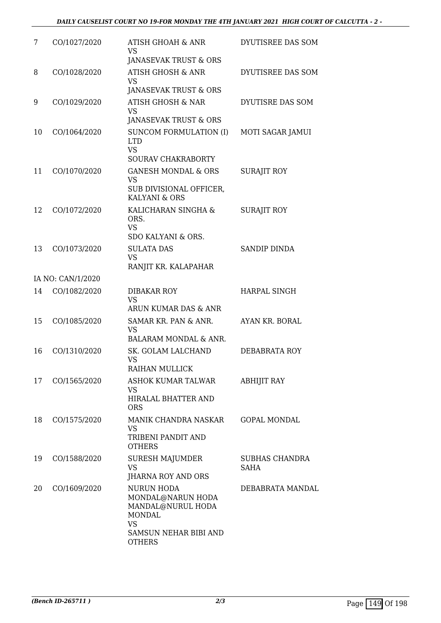| 7  | CO/1027/2020      | <b>ATISH GHOAH &amp; ANR</b><br><b>VS</b><br>JANASEVAK TRUST & ORS                                                                         | DYUTISREE DAS SOM                    |
|----|-------------------|--------------------------------------------------------------------------------------------------------------------------------------------|--------------------------------------|
| 8  | CO/1028/2020      | <b>ATISH GHOSH &amp; ANR</b><br><b>VS</b><br>JANASEVAK TRUST & ORS                                                                         | DYUTISREE DAS SOM                    |
| 9  | CO/1029/2020      | <b>ATISH GHOSH &amp; NAR</b><br><b>VS</b><br>JANASEVAK TRUST & ORS                                                                         | DYUTISRE DAS SOM                     |
| 10 | CO/1064/2020      | SUNCOM FORMULATION (I)<br><b>LTD</b><br><b>VS</b><br><b>SOURAV CHAKRABORTY</b>                                                             | <b>MOTI SAGAR JAMUI</b>              |
| 11 | CO/1070/2020      | <b>GANESH MONDAL &amp; ORS</b><br><b>VS</b><br>SUB DIVISIONAL OFFICER,<br>KALYANI & ORS                                                    | <b>SURAJIT ROY</b>                   |
| 12 | CO/1072/2020      | KALICHARAN SINGHA &<br>ORS.<br><b>VS</b><br>SDO KALYANI & ORS.                                                                             | <b>SURAJIT ROY</b>                   |
| 13 | CO/1073/2020      | <b>SULATA DAS</b><br><b>VS</b><br>RANJIT KR. KALAPAHAR                                                                                     | <b>SANDIP DINDA</b>                  |
|    | IA NO: CAN/1/2020 |                                                                                                                                            |                                      |
| 14 | CO/1082/2020      | DIBAKAR ROY<br><b>VS</b><br>ARUN KUMAR DAS & ANR                                                                                           | <b>HARPAL SINGH</b>                  |
| 15 | CO/1085/2020      | SAMAR KR. PAN & ANR.<br><b>VS</b><br>BALARAM MONDAL & ANR.                                                                                 | AYAN KR. BORAL                       |
| 16 | CO/1310/2020      | SK. GOLAM LALCHAND<br><b>VS</b><br><b>RAIHAN MULLICK</b>                                                                                   | DEBABRATA ROY                        |
| 17 | CO/1565/2020      | ASHOK KUMAR TALWAR<br><b>VS</b><br>HIRALAL BHATTER AND<br><b>ORS</b>                                                                       | ABHIJIT RAY                          |
| 18 | CO/1575/2020      | MANIK CHANDRA NASKAR<br>VS<br>TRIBENI PANDIT AND<br><b>OTHERS</b>                                                                          | <b>GOPAL MONDAL</b>                  |
| 19 | CO/1588/2020      | <b>SURESH MAJUMDER</b><br><b>VS</b><br>JHARNA ROY AND ORS                                                                                  | <b>SUBHAS CHANDRA</b><br><b>SAHA</b> |
| 20 | CO/1609/2020      | <b>NURUN HODA</b><br>MONDAL@NARUN HODA<br>MANDAL@NURUL HODA<br><b>MONDAL</b><br><b>VS</b><br><b>SAMSUN NEHAR BIBI AND</b><br><b>OTHERS</b> | DEBABRATA MANDAL                     |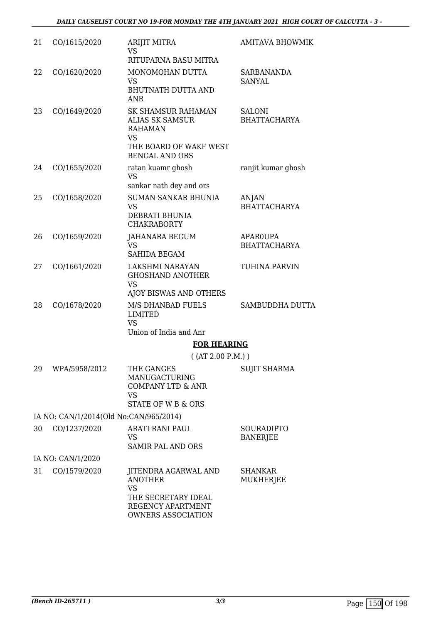| 21 | CO/1615/2020                           | <b>ARIJIT MITRA</b><br>VS                                                                                                             | AMITAVA BHOWMIK                      |
|----|----------------------------------------|---------------------------------------------------------------------------------------------------------------------------------------|--------------------------------------|
|    |                                        | RITUPARNA BASU MITRA                                                                                                                  |                                      |
| 22 | CO/1620/2020                           | MONOMOHAN DUTTA<br><b>VS</b>                                                                                                          | <b>SARBANANDA</b><br><b>SANYAL</b>   |
|    |                                        | <b>BHUTNATH DUTTA AND</b><br><b>ANR</b>                                                                                               |                                      |
| 23 | CO/1649/2020                           | <b>SK SHAMSUR RAHAMAN</b><br><b>ALIAS SK SAMSUR</b><br><b>RAHAMAN</b><br><b>VS</b><br>THE BOARD OF WAKF WEST<br><b>BENGAL AND ORS</b> | <b>SALONI</b><br><b>BHATTACHARYA</b> |
| 24 | CO/1655/2020                           | ratan kuamr ghosh<br><b>VS</b><br>sankar nath dey and ors                                                                             | ranjit kumar ghosh                   |
| 25 | CO/1658/2020                           | <b>SUMAN SANKAR BHUNIA</b>                                                                                                            | ANJAN                                |
|    |                                        | <b>VS</b><br>DEBRATI BHUNIA<br><b>CHAKRABORTY</b>                                                                                     | <b>BHATTACHARYA</b>                  |
| 26 | CO/1659/2020                           | JAHANARA BEGUM                                                                                                                        | <b>APAROUPA</b>                      |
|    |                                        | <b>VS</b><br><b>SAHIDA BEGAM</b>                                                                                                      | <b>BHATTACHARYA</b>                  |
| 27 | CO/1661/2020                           | LAKSHMI NARAYAN<br><b>GHOSHAND ANOTHER</b><br><b>VS</b>                                                                               | TUHINA PARVIN                        |
|    |                                        | AJOY BISWAS AND OTHERS                                                                                                                |                                      |
| 28 | CO/1678/2020                           | M/S DHANBAD FUELS<br><b>LIMITED</b><br><b>VS</b>                                                                                      | <b>SAMBUDDHA DUTTA</b>               |
|    |                                        | Union of India and Anr                                                                                                                |                                      |
|    |                                        | <b>FOR HEARING</b><br>( (AT 2.00 P.M.) )                                                                                              |                                      |
| 29 | WPA/5958/2012                          | THE GANGES<br>MANUGACTURING<br><b>COMPANY LTD &amp; ANR</b><br>VS                                                                     | <b>SUJIT SHARMA</b>                  |
|    |                                        | STATE OF W B & ORS                                                                                                                    |                                      |
|    | IA NO: CAN/1/2014(Old No:CAN/965/2014) |                                                                                                                                       |                                      |
| 30 | CO/1237/2020                           | <b>ARATI RANI PAUL</b><br>VS<br><b>SAMIR PAL AND ORS</b>                                                                              | SOURADIPTO<br><b>BANERJEE</b>        |
|    | IA NO: CAN/1/2020                      |                                                                                                                                       |                                      |
| 31 | CO/1579/2020                           | JITENDRA AGARWAL AND<br><b>ANOTHER</b><br><b>VS</b><br>THE SECRETARY IDEAL                                                            | <b>SHANKAR</b><br>MUKHERJEE          |
|    |                                        | REGENCY APARTMENT<br><b>OWNERS ASSOCIATION</b>                                                                                        |                                      |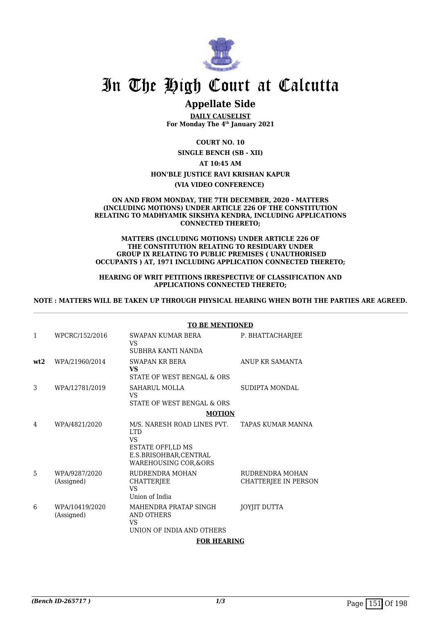

### **Appellate Side**

**DAILY CAUSELIST For Monday The 4th January 2021**

**COURT NO. 10**

**SINGLE BENCH (SB - XII) AT 10:45 AM HON'BLE JUSTICE RAVI KRISHAN KAPUR**

**(VIA VIDEO CONFERENCE)** 

#### **ON AND FROM MONDAY, THE 7TH DECEMBER, 2020 - MATTERS (INCLUDING MOTIONS) UNDER ARTICLE 226 OF THE CONSTITUTION RELATING TO MADHYAMIK SIKSHYA KENDRA, INCLUDING APPLICATIONS CONNECTED THERETO;**

#### **MATTERS (INCLUDING MOTIONS) UNDER ARTICLE 226 OF THE CONSTITUTION RELATING TO RESIDUARY UNDER GROUP IX RELATING TO PUBLIC PREMISES ( UNAUTHORISED OCCUPANTS ) AT, 1971 INCLUDING APPLICATION CONNECTED THERETO;**

#### **HEARING OF WRIT PETITIONS IRRESPECTIVE OF CLASSIFICATION AND APPLICATIONS CONNECTED THERETO;**

#### **NOTE : MATTERS WILL BE TAKEN UP THROUGH PHYSICAL HEARING WHEN BOTH THE PARTIES ARE AGREED.**

|              |                              | <b>TO BE MENTIONED</b>                                                                                                  |                                         |  |
|--------------|------------------------------|-------------------------------------------------------------------------------------------------------------------------|-----------------------------------------|--|
| $\mathbf{1}$ | WPCRC/152/2016               | SWAPAN KUMAR BERA<br>VS<br>SUBHRA KANTI NANDA                                                                           | P. BHATTACHARJEE                        |  |
| wt2          | WPA/21960/2014               | SWAPAN KR BERA<br>VS<br>STATE OF WEST BENGAL & ORS                                                                      | ANUP KR SAMANTA                         |  |
| 3            | WPA/12781/2019               | SAHARUL MOLLA<br>VS<br>STATE OF WEST BENGAL & ORS                                                                       | SUDIPTA MONDAL                          |  |
|              |                              | <b>MOTION</b>                                                                                                           |                                         |  |
| 4            | WPA/4821/2020                | M/S. NARESH ROAD LINES PVT.<br><b>LTD</b><br>VS<br>ESTATE OFFI,LD MS<br>E.S.BRISOHBAR,CENTRAL<br>WAREHOUSING COR, & ORS | TAPAS KUMAR MANNA                       |  |
| 5            | WPA/9287/2020<br>(Assigned)  | RUDRENDRA MOHAN<br>CHATTERJEE<br><b>VS</b><br>Union of India                                                            | RUDRENDRA MOHAN<br>CHATTERJEE IN PERSON |  |
| 6            | WPA/10419/2020<br>(Assigned) | MAHENDRA PRATAP SINGH<br>AND OTHERS<br>VS<br>UNION OF INDIA AND OTHERS                                                  | JOYJIT DUTTA                            |  |
|              |                              | <b>FOR HEARING</b>                                                                                                      |                                         |  |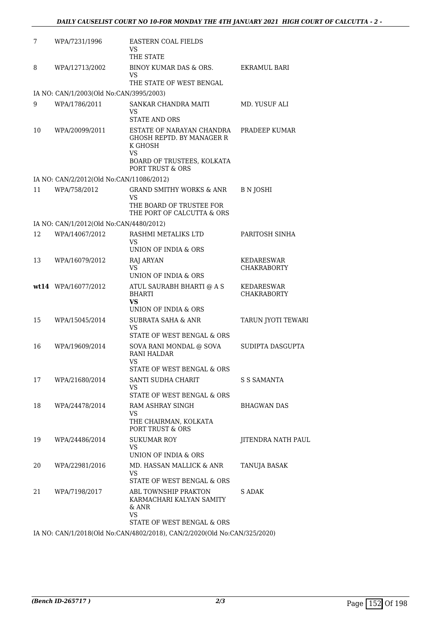| 7  | WPA/7231/1996                            | <b>EASTERN COAL FIELDS</b><br>VS<br>THE STATE                                                                                               |                                  |
|----|------------------------------------------|---------------------------------------------------------------------------------------------------------------------------------------------|----------------------------------|
| 8  | WPA/12713/2002                           | BINOY KUMAR DAS & ORS.<br>VS<br>THE STATE OF WEST BENGAL                                                                                    | EKRAMUL BARI                     |
|    | IA NO: CAN/1/2003(Old No:CAN/3995/2003)  |                                                                                                                                             |                                  |
| 9  | WPA/1786/2011                            | SANKAR CHANDRA MAITI<br>VS<br><b>STATE AND ORS</b>                                                                                          | MD. YUSUF ALI                    |
| 10 | WPA/20099/2011                           | ESTATE OF NARAYAN CHANDRA<br><b>GHOSH REPTD. BY MANAGER R</b><br>K GHOSH<br>VS<br>BOARD OF TRUSTEES, KOLKATA<br><b>PORT TRUST &amp; ORS</b> | PRADEEP KUMAR                    |
|    | IA NO: CAN/2/2012(Old No:CAN/11086/2012) |                                                                                                                                             |                                  |
| 11 | WPA/758/2012                             | <b>GRAND SMITHY WORKS &amp; ANR</b><br>VS                                                                                                   | B N JOSHI                        |
|    |                                          | THE BOARD OF TRUSTEE FOR<br>THE PORT OF CALCUTTA & ORS                                                                                      |                                  |
|    | IA NO: CAN/1/2012(Old No:CAN/4480/2012)  |                                                                                                                                             |                                  |
| 12 | WPA/14067/2012                           | RASHMI METALIKS LTD<br>VS                                                                                                                   | PARITOSH SINHA                   |
|    |                                          | UNION OF INDIA & ORS                                                                                                                        |                                  |
| 13 | WPA/16079/2012                           | RAJ ARYAN<br><b>VS</b><br>UNION OF INDIA & ORS                                                                                              | KEDARESWAR<br><b>CHAKRABORTY</b> |
|    | wt14 WPA/16077/2012                      | ATUL SAURABH BHARTI @ A S<br><b>BHARTI</b><br>VS.                                                                                           | KEDARESWAR<br><b>CHAKRABORTY</b> |
|    |                                          | UNION OF INDIA & ORS                                                                                                                        |                                  |
| 15 | WPA/15045/2014                           | <b>SUBRATA SAHA &amp; ANR</b><br><b>VS</b><br>STATE OF WEST BENGAL & ORS                                                                    | TARUN JYOTI TEWARI               |
| 16 | WPA/19609/2014                           | SOVA RANI MONDAL @ SOVA<br><b>RANI HALDAR</b><br><b>VS</b><br>STATE OF WEST BENGAL & ORS                                                    | SUDIPTA DASGUPTA                 |
| 17 | WPA/21680/2014                           | SANTI SUDHA CHARIT                                                                                                                          | S S SAMANTA                      |
|    |                                          | VS<br>STATE OF WEST BENGAL & ORS                                                                                                            |                                  |
| 18 | WPA/24478/2014                           | RAM ASHRAY SINGH<br><b>VS</b><br>THE CHAIRMAN, KOLKATA<br>PORT TRUST & ORS                                                                  | <b>BHAGWAN DAS</b>               |
| 19 | WPA/24486/2014                           | <b>SUKUMAR ROY</b>                                                                                                                          | JITENDRA NATH PAUL               |
|    |                                          | VS<br>UNION OF INDIA & ORS                                                                                                                  |                                  |
| 20 | WPA/22981/2016                           | MD. HASSAN MALLICK & ANR<br><b>VS</b>                                                                                                       | TANUJA BASAK                     |
|    |                                          | STATE OF WEST BENGAL & ORS                                                                                                                  |                                  |
| 21 | WPA/7198/2017                            | ABL TOWNSHIP PRAKTON<br>KARMACHARI KALYAN SAMITY<br>$&$ ANR<br>VS.                                                                          | S ADAK                           |
|    |                                          | STATE OF WEST BENGAL & ORS                                                                                                                  |                                  |

IA NO: CAN/1/2018(Old No:CAN/4802/2018), CAN/2/2020(Old No:CAN/325/2020)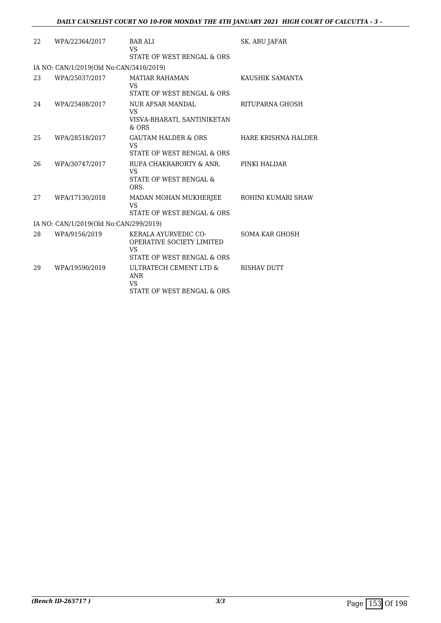| 22 | WPA/22364/2017                          | <b>BAB ALI</b><br>VS.<br>STATE OF WEST BENGAL & ORS                                                        | SK. ABU JAFAR         |
|----|-----------------------------------------|------------------------------------------------------------------------------------------------------------|-----------------------|
|    | IA NO: CAN/1/2019(Old No:CAN/3416/2019) |                                                                                                            |                       |
| 23 | WPA/25037/2017                          | <b>MATIAR RAHAMAN</b><br><b>VS</b><br>STATE OF WEST BENGAL & ORS                                           | KAUSHIK SAMANTA       |
| 24 | WPA/25408/2017                          | <b>NUR AFSAR MANDAL</b><br>VS<br>VISVA-BHARATI, SANTINIKETAN<br>$&$ ORS                                    | RITUPARNA GHOSH       |
| 25 | WPA/28518/2017                          | <b>GAUTAM HALDER &amp; ORS</b><br><b>VS</b><br>STATE OF WEST BENGAL & ORS                                  | HARE KRISHNA HALDER   |
| 26 | WPA/30747/2017                          | RUPA CHAKRABORTY & ANR.<br>VS<br>STATE OF WEST BENGAL &<br>ORS.                                            | PINKI HALDAR          |
| 27 | WPA/17130/2018                          | MADAN MOHAN MUKHERJEE<br>VS<br>STATE OF WEST BENGAL & ORS                                                  | ROHINI KUMARI SHAW    |
|    | IA NO: CAN/1/2019(Old No:CAN/299/2019)  |                                                                                                            |                       |
| 28 | WPA/9156/2019                           | <b>KERALA AYURVEDIC CO-</b><br><b>OPERATIVE SOCIETY LIMITED</b><br><b>VS</b><br>STATE OF WEST BENGAL & ORS | <b>SOMA KAR GHOSH</b> |
| 29 | WPA/19590/2019                          | ULTRATECH CEMENT LTD &<br><b>ANR</b><br><b>VS</b><br>STATE OF WEST BENGAL & ORS                            | <b>RISHAV DUTT</b>    |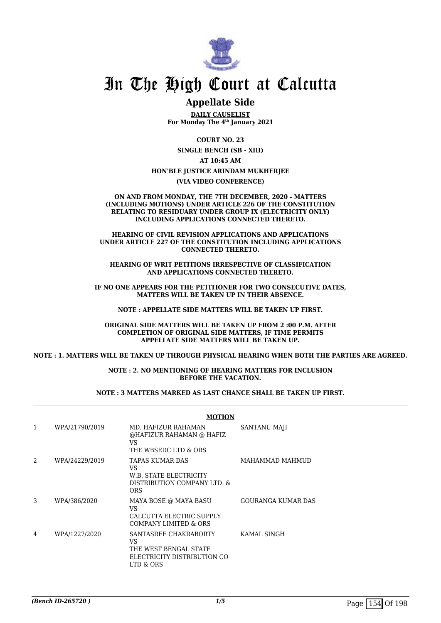

### **Appellate Side**

**DAILY CAUSELIST For Monday The 4th January 2021**

**COURT NO. 23 SINGLE BENCH (SB - XIII)**

**AT 10:45 AM**

#### **HON'BLE JUSTICE ARINDAM MUKHERJEE**

**(VIA VIDEO CONFERENCE)**

**ON AND FROM MONDAY, THE 7TH DECEMBER, 2020 - MATTERS (INCLUDING MOTIONS) UNDER ARTICLE 226 OF THE CONSTITUTION RELATING TO RESIDUARY UNDER GROUP IX (ELECTRICITY ONLY) INCLUDING APPLICATIONS CONNECTED THERETO.**

**HEARING OF CIVIL REVISION APPLICATIONS AND APPLICATIONS UNDER ARTICLE 227 OF THE CONSTITUTION INCLUDING APPLICATIONS CONNECTED THERETO.**

**HEARING OF WRIT PETITIONS IRRESPECTIVE OF CLASSIFICATION AND APPLICATIONS CONNECTED THERETO.**

**IF NO ONE APPEARS FOR THE PETITIONER FOR TWO CONSECUTIVE DATES, MATTERS WILL BE TAKEN UP IN THEIR ABSENCE.**

**NOTE : APPELLATE SIDE MATTERS WILL BE TAKEN UP FIRST.**

**ORIGINAL SIDE MATTERS WILL BE TAKEN UP FROM 2 :00 P.M. AFTER COMPLETION OF ORIGINAL SIDE MATTERS, IF TIME PERMITS APPELLATE SIDE MATTERS WILL BE TAKEN UP.**

**NOTE : 1. MATTERS WILL BE TAKEN UP THROUGH PHYSICAL HEARING WHEN BOTH THE PARTIES ARE AGREED.**

**NOTE : 2. NO MENTIONING OF HEARING MATTERS FOR INCLUSION BEFORE THE VACATION.**

#### **NOTE : 3 MATTERS MARKED AS LAST CHANCE SHALL BE TAKEN UP FIRST.**

|                |                | <b>MOTION</b>                                                                                    |                     |  |
|----------------|----------------|--------------------------------------------------------------------------------------------------|---------------------|--|
| 1              | WPA/21790/2019 | MD. HAFIZUR RAHAMAN<br>@HAFIZUR RAHAMAN @ HAFIZ<br>VS<br>THE WBSEDC LTD & ORS                    | <b>SANTANU MAJI</b> |  |
| $\mathfrak{D}$ | WPA/24229/2019 | TAPAS KUMAR DAS<br>VS<br>W.B. STATE ELECTRICITY<br>DISTRIBUTION COMPANY LTD. &<br><b>ORS</b>     | MAHAMMAD MAHMUD     |  |
| 3              | WPA/386/2020   | MAYA BOSE @ MAYA BASU<br>VS<br>CALCUTTA ELECTRIC SUPPLY<br><b>COMPANY LIMITED &amp; ORS</b>      | GOURANGA KUMAR DAS  |  |
| 4              | WPA/1227/2020  | SANTASREE CHAKRABORTY<br>VS<br>THE WEST BENGAL STATE<br>ELECTRICITY DISTRIBUTION CO<br>LTD & ORS | KAMAL SINGH         |  |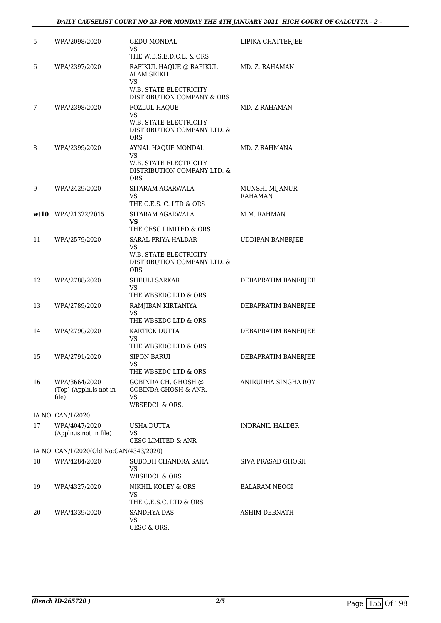| 5  | WPA/2098/2020                                    | <b>GEDU MONDAL</b><br>VS<br>THE W.B.S.E.D.C.L. & ORS                                                              | LIPIKA CHATTERJEE                |
|----|--------------------------------------------------|-------------------------------------------------------------------------------------------------------------------|----------------------------------|
| 6  | WPA/2397/2020                                    | RAFIKUL HAQUE @ RAFIKUL<br><b>ALAM SEIKH</b><br><b>VS</b><br>W.B. STATE ELECTRICITY<br>DISTRIBUTION COMPANY & ORS | MD. Z. RAHAMAN                   |
| 7  | WPA/2398/2020                                    | <b>FOZLUL HAQUE</b><br><b>VS</b>                                                                                  | MD. Z RAHAMAN                    |
|    |                                                  | W.B. STATE ELECTRICITY<br>DISTRIBUTION COMPANY LTD. &<br><b>ORS</b>                                               |                                  |
| 8  | WPA/2399/2020                                    | AYNAL HAQUE MONDAL<br>VS<br>W.B. STATE ELECTRICITY<br>DISTRIBUTION COMPANY LTD. &<br><b>ORS</b>                   | MD. Z RAHMANA                    |
| 9  | WPA/2429/2020                                    | SITARAM AGARWALA<br>VS<br>THE C.E.S. C. LTD & ORS                                                                 | MUNSHI MIJANUR<br><b>RAHAMAN</b> |
|    | wt10 WPA/21322/2015                              | SITARAM AGARWALA                                                                                                  | M.M. RAHMAN                      |
|    |                                                  | VS<br>THE CESC LIMITED & ORS                                                                                      |                                  |
| 11 | WPA/2579/2020                                    | <b>SARAL PRIYA HALDAR</b><br>VS.<br>W.B. STATE ELECTRICITY<br>DISTRIBUTION COMPANY LTD. &<br><b>ORS</b>           | <b>UDDIPAN BANERJEE</b>          |
| 12 | WPA/2788/2020                                    | <b>SHEULI SARKAR</b><br>VS<br>THE WBSEDC LTD & ORS                                                                | DEBAPRATIM BANERJEE              |
| 13 | WPA/2789/2020                                    | RAMJIBAN KIRTANIYA<br>VS<br>THE WBSEDC LTD & ORS                                                                  | DEBAPRATIM BANERJEE              |
| 14 | WPA/2790/2020                                    | KARTICK DUTTA<br>VS<br>THE WBSEDC LTD & ORS                                                                       | DEBAPRATIM BANERJEE              |
| 15 | WPA/2791/2020                                    | <b>SIPON BARUI</b><br>VS<br>THE WBSEDC LTD & ORS                                                                  | DEBAPRATIM BANERJEE              |
| 16 | WPA/3664/2020<br>(Top) (Appln.is not in<br>file) | GOBINDA CH. GHOSH @<br><b>GOBINDA GHOSH &amp; ANR.</b><br><b>VS</b><br>WBSEDCL & ORS.                             | ANIRUDHA SINGHA ROY              |
|    | IA NO: CAN/1/2020                                |                                                                                                                   |                                  |
| 17 | WPA/4047/2020<br>(Appln.is not in file)          | <b>USHA DUTTA</b><br>VS.<br><b>CESC LIMITED &amp; ANR</b>                                                         | <b>INDRANIL HALDER</b>           |
|    | IA NO: CAN/1/2020(Old No:CAN/4343/2020)          |                                                                                                                   |                                  |
| 18 | WPA/4284/2020                                    | SUBODH CHANDRA SAHA<br><b>VS</b><br><b>WBSEDCL &amp; ORS</b>                                                      | SIVA PRASAD GHOSH                |
| 19 | WPA/4327/2020                                    | NIKHIL KOLEY & ORS<br>VS<br>THE C.E.S.C. LTD & ORS                                                                | <b>BALARAM NEOGI</b>             |
| 20 | WPA/4339/2020                                    | <b>SANDHYA DAS</b><br>VS<br>CESC & ORS.                                                                           | ASHIM DEBNATH                    |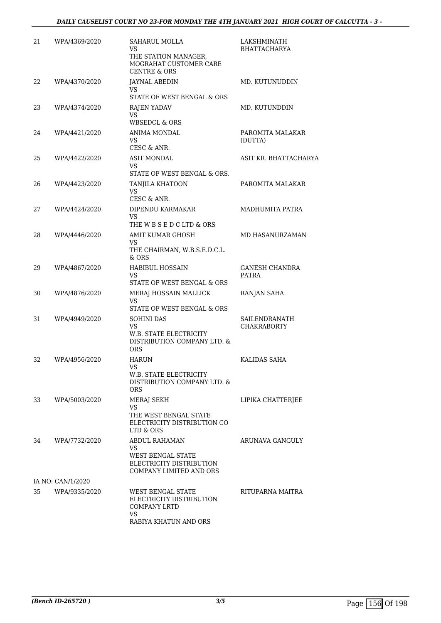| 21 | WPA/4369/2020     | SAHARUL MOLLA<br>VS.<br>THE STATION MANAGER,<br>MOGRAHAT CUSTOMER CARE<br><b>CENTRE &amp; ORS</b>             | LAKSHMINATH<br><b>BHATTACHARYA</b>  |
|----|-------------------|---------------------------------------------------------------------------------------------------------------|-------------------------------------|
| 22 | WPA/4370/2020     | JAYNAL ABEDIN<br>VS.<br>STATE OF WEST BENGAL & ORS                                                            | MD. KUTUNUDDIN                      |
| 23 | WPA/4374/2020     | <b>RAJEN YADAV</b><br>VS.<br><b>WBSEDCL &amp; ORS</b>                                                         | MD. KUTUNDDIN                       |
| 24 | WPA/4421/2020     | ANIMA MONDAL<br>VS.<br>CESC & ANR.                                                                            | PAROMITA MALAKAR<br>(DUTTA)         |
| 25 | WPA/4422/2020     | <b>ASIT MONDAL</b><br>VS.<br>STATE OF WEST BENGAL & ORS.                                                      | ASIT KR. BHATTACHARYA               |
| 26 | WPA/4423/2020     | TANJILA KHATOON<br>VS<br>CESC & ANR.                                                                          | PAROMITA MALAKAR                    |
| 27 | WPA/4424/2020     | DIPENDU KARMAKAR<br>VS.<br>THE W B S E D C LTD & ORS                                                          | MADHUMITA PATRA                     |
| 28 | WPA/4446/2020     | AMIT KUMAR GHOSH<br>VS<br>THE CHAIRMAN, W.B.S.E.D.C.L.<br>$&$ ORS                                             | MD HASANURZAMAN                     |
| 29 | WPA/4867/2020     | <b>HABIBUL HOSSAIN</b><br>VS<br>STATE OF WEST BENGAL & ORS                                                    | GANESH CHANDRA<br><b>PATRA</b>      |
| 30 | WPA/4876/2020     | MERAJ HOSSAIN MALLICK<br><b>VS</b><br>STATE OF WEST BENGAL & ORS                                              | RANJAN SAHA                         |
| 31 | WPA/4949/2020     | <b>SOHINI DAS</b><br>VS.<br><b>W.B. STATE ELECTRICITY</b><br>DISTRIBUTION COMPANY LTD. &<br><b>ORS</b>        | SAILENDRANATH<br><b>CHAKRABORTY</b> |
| 32 | WPA/4956/2020     | <b>HARUN</b><br>VS.<br>W.B. STATE ELECTRICITY<br>DISTRIBUTION COMPANY LTD. &<br>ORS                           | KALIDAS SAHA                        |
| 33 | WPA/5003/2020     | MERAJ SEKH<br>VS<br>THE WEST BENGAL STATE<br>ELECTRICITY DISTRIBUTION CO<br>LTD & ORS                         | LIPIKA CHATTERJEE                   |
| 34 | WPA/7732/2020     | <b>ABDUL RAHAMAN</b><br>VS<br>WEST BENGAL STATE<br>ELECTRICITY DISTRIBUTION<br><b>COMPANY LIMITED AND ORS</b> | ARUNAVA GANGULY                     |
|    | IA NO: CAN/1/2020 |                                                                                                               |                                     |
| 35 | WPA/9335/2020     | WEST BENGAL STATE<br>ELECTRICITY DISTRIBUTION<br><b>COMPANY LRTD</b><br><b>VS</b><br>RABIYA KHATUN AND ORS    | RITUPARNA MAITRA                    |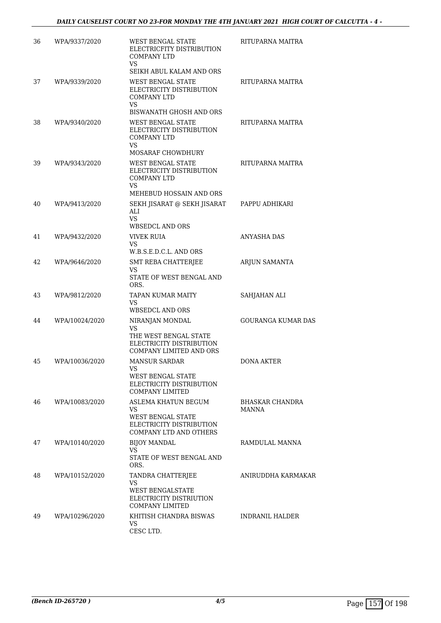| 36 | WPA/9337/2020  | WEST BENGAL STATE<br>ELECTRICFITY DISTRIBUTION<br><b>COMPANY LTD</b><br>VS.                                                       | RITUPARNA MAITRA          |
|----|----------------|-----------------------------------------------------------------------------------------------------------------------------------|---------------------------|
| 37 | WPA/9339/2020  | SEIKH ABUL KALAM AND ORS<br><b>WEST BENGAL STATE</b><br>ELECTRICITY DISTRIBUTION<br><b>COMPANY LTD</b><br>VS.                     | RITUPARNA MAITRA          |
| 38 | WPA/9340/2020  | <b>BISWANATH GHOSH AND ORS</b><br>WEST BENGAL STATE<br>ELECTRICITY DISTRIBUTION<br><b>COMPANY LTD</b><br>VS.<br>MOSARAF CHOWDHURY | RITUPARNA MAITRA          |
| 39 | WPA/9343/2020  | <b>WEST BENGAL STATE</b><br>ELECTRICITY DISTRIBUTION<br><b>COMPANY LTD</b><br>VS.<br>MEHEBUD HOSSAIN AND ORS                      | RITUPARNA MAITRA          |
| 40 | WPA/9413/2020  | SEKH JISARAT @ SEKH JISARAT<br>ALI<br><b>VS</b><br><b>WBSEDCL AND ORS</b>                                                         | PAPPU ADHIKARI            |
| 41 | WPA/9432/2020  | <b>VIVEK RUIA</b><br>VS<br>W.B.S.E.D.C.L. AND ORS                                                                                 | ANYASHA DAS               |
| 42 | WPA/9646/2020  | <b>SMT REBA CHATTERJEE</b><br>VS<br>STATE OF WEST BENGAL AND<br>ORS.                                                              | ARJUN SAMANTA             |
| 43 | WPA/9812/2020  | <b>TAPAN KUMAR MAITY</b><br>VS<br>WBSEDCL AND ORS                                                                                 | SAHJAHAN ALI              |
| 44 | WPA/10024/2020 | NIRANJAN MONDAL<br><b>VS</b><br>THE WEST BENGAL STATE<br>ELECTRICITY DISTRIBUTION<br>COMPANY LIMITED AND ORS                      | <b>GOURANGA KUMAR DAS</b> |
| 45 | WPA/10036/2020 | <b>MANSUR SARDAR</b><br>VS<br><b>WEST BENGAL STATE</b><br>ELECTRICITY DISTRIBUTION<br><b>COMPANY LIMITED</b>                      | DONA AKTER                |
| 46 | WPA/10083/2020 | ASLEMA KHATUN BEGUM<br>VS.<br>WEST BENGAL STATE<br>ELECTRICITY DISTRIBUTION<br><b>COMPANY LTD AND OTHERS</b>                      | BHASKAR CHANDRA<br>MANNA  |
| 47 | WPA/10140/2020 | <b>BIJOY MANDAL</b><br>VS.<br>STATE OF WEST BENGAL AND<br>ORS.                                                                    | RAMDULAL MANNA            |
| 48 | WPA/10152/2020 | TANDRA CHATTERJEE<br>VS<br><b>WEST BENGALSTATE</b><br>ELECTRICITY DISTRIUTION<br><b>COMPANY LIMITED</b>                           | ANIRUDDHA KARMAKAR        |
| 49 | WPA/10296/2020 | KHITISH CHANDRA BISWAS<br>VS.<br>CESC LTD.                                                                                        | INDRANIL HALDER           |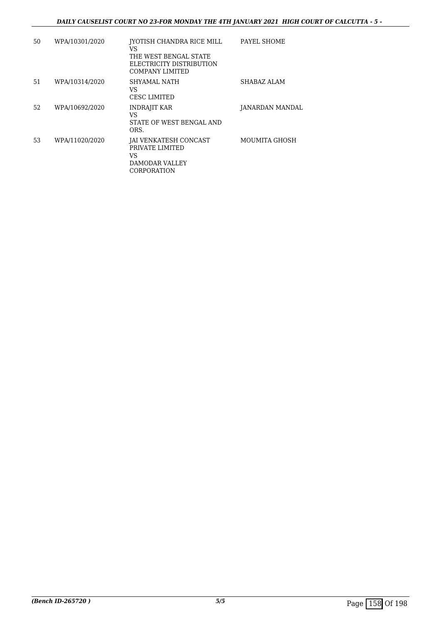| 50 | WPA/10301/2020 | IYOTISH CHANDRA RICE MILL<br>VS<br>THE WEST BENGAL STATE<br>ELECTRICITY DISTRIBUTION<br><b>COMPANY LIMITED</b> | PAYEL SHOME            |
|----|----------------|----------------------------------------------------------------------------------------------------------------|------------------------|
| 51 | WPA/10314/2020 | SHYAMAL NATH<br>VS<br><b>CESC LIMITED</b>                                                                      | SHABAZ ALAM            |
| 52 | WPA/10692/2020 | <b>INDRAJIT KAR</b><br>VS<br>STATE OF WEST BENGAL AND<br>ORS.                                                  | <b>JANARDAN MANDAL</b> |
| 53 | WPA/11020/2020 | <b>JAI VENKATESH CONCAST</b><br>PRIVATE LIMITED<br>VS<br><b>DAMODAR VALLEY</b><br>CORPORATION                  | MOUMITA GHOSH          |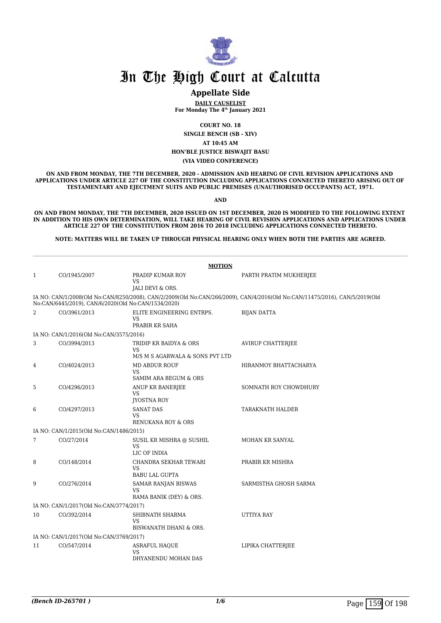

#### **Appellate Side**

**DAILY CAUSELIST For Monday The 4th January 2021**

**COURT NO. 18**

**SINGLE BENCH (SB - XIV)**

**AT 10:45 AM**

**HON'BLE JUSTICE BISWAJIT BASU**

**(VIA VIDEO CONFERENCE)**

**ON AND FROM MONDAY, THE 7TH DECEMBER, 2020 - ADMISSION AND HEARING OF CIVIL REVISION APPLICATIONS AND APPLICATIONS UNDER ARTICLE 227 OF THE CONSTITUTION INCLUDING APPLICATIONS CONNECTED THERETO ARISING OUT OF TESTAMENTARY AND EJECTMENT SUITS AND PUBLIC PREMISES (UNAUTHORISED OCCUPANTS) ACT, 1971.**

**AND**

**ON AND FROM MONDAY, THE 7TH DECEMBER, 2020 ISSUED ON 1ST DECEMBER, 2020 IS MODIFIED TO THE FOLLOWING EXTENT IN ADDITION TO HIS OWN DETERMINATION, WILL TAKE HEARING OF CIVIL REVISION APPLICATIONS AND APPLICATIONS UNDER ARTICLE 227 OF THE CONSTITUTION FROM 2016 TO 2018 INCLUDING APPLICATIONS CONNECTED THERETO.**

**NOTE: MATTERS WILL BE TAKEN UP THROUGH PHYSICAL HEARING ONLY WHEN BOTH THE PARTIES ARE AGREED.**

|              |                                         | <b>MOTION</b>                                               |                                                                                                                             |
|--------------|-----------------------------------------|-------------------------------------------------------------|-----------------------------------------------------------------------------------------------------------------------------|
| $\mathbf{1}$ | CO/1945/2007                            | PRADIP KUMAR ROY<br><b>VS</b><br>JALI DEVI & ORS.           | PARTH PRATIM MUKHERJEE                                                                                                      |
|              |                                         | No:CAN/6445/2019), CAN/6/2020(Old No:CAN/1534/2020)         | IA NO: CAN/1/2008(Old No:CAN/8250/2008), CAN/2/2009(Old No:CAN/266/2009), CAN/4/2016(Old No:CAN/11475/2016), CAN/5/2019(Old |
| 2            | CO/3961/2013                            | ELITE ENGINEERING ENTRPS.<br>VS<br>PRABIR KR SAHA           | <b>BIJAN DATTA</b>                                                                                                          |
|              | IA NO: CAN/1/2016(Old No:CAN/3575/2016) |                                                             |                                                                                                                             |
| 3            | CO/3994/2013                            | TRIDIP KR BAIDYA & ORS<br><b>VS</b>                         | <b>AVIRUP CHATTERJEE</b>                                                                                                    |
|              |                                         | M/S M S AGARWALA & SONS PVT LTD                             |                                                                                                                             |
| 4            | CO/4024/2013                            | MD ABDUR ROUF<br><b>VS</b><br>SAMIM ARA BEGUM & ORS         | HIRANMOY BHATTACHARYA                                                                                                       |
| 5            | CO/4296/2013                            | ANUP KR BANERJEE<br><b>VS</b><br>JYOSTNA ROY                | SOMNATH ROY CHOWDHURY                                                                                                       |
| 6            | CO/4297/2013                            | <b>SANAT DAS</b><br><b>VS</b><br>RENUKANA ROY & ORS         | TARAKNATH HALDER                                                                                                            |
|              | IA NO: CAN/1/2015(Old No:CAN/1486/2015) |                                                             |                                                                                                                             |
| 7            | CO/27/2014                              | SUSIL KR MISHRA @ SUSHIL<br><b>VS</b><br>LIC OF INDIA       | MOHAN KR SANYAL                                                                                                             |
| 8            | CO/148/2014                             | CHANDRA SEKHAR TEWARI<br><b>VS</b><br><b>BABU LAL GUPTA</b> | PRABIR KR MISHRA                                                                                                            |
| 9            | CO/276/2014                             | SAMAR RANJAN BISWAS<br><b>VS</b><br>RAMA BANIK (DEY) & ORS. | SARMISTHA GHOSH SARMA                                                                                                       |
|              | IA NO: CAN/1/2017(Old No:CAN/3774/2017) |                                                             |                                                                                                                             |
| 10           | CO/392/2014                             | SHIBNATH SHARMA<br>VS<br>BISWANATH DHANI & ORS.             | UTTIYA RAY                                                                                                                  |
|              | IA NO: CAN/1/2017(Old No:CAN/3769/2017) |                                                             |                                                                                                                             |
| 11           | CO/547/2014                             | <b>ASRAFUL HAQUE</b><br>VS<br>DHYANENDU MOHAN DAS           | LIPIKA CHATTERJEE                                                                                                           |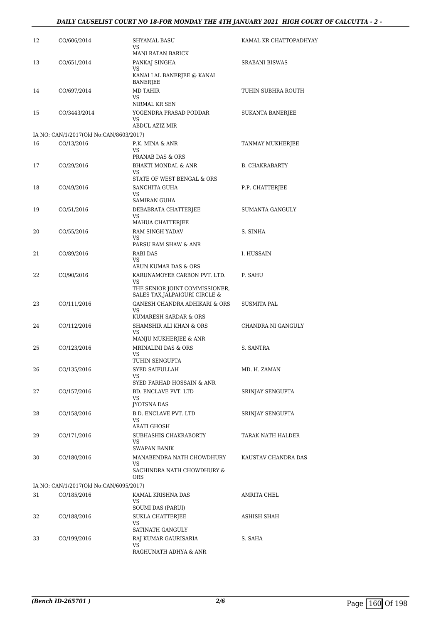| 12 | CO/606/2014                             | <b>SHYAMAL BASU</b><br>VS                                                                          | KAMAL KR CHATTOPADHYAY |
|----|-----------------------------------------|----------------------------------------------------------------------------------------------------|------------------------|
| 13 | CO/651/2014                             | MANI RATAN BARICK<br>PANKAJ SINGHA                                                                 | <b>SRABANI BISWAS</b>  |
|    |                                         | VS<br>KANAI LAL BANERJEE @ KANAI<br><b>BANERJEE</b>                                                |                        |
| 14 | CO/697/2014                             | <b>MD TAHIR</b><br>VS.                                                                             | TUHIN SUBHRA ROUTH     |
| 15 | CO/3443/2014                            | NIRMAL KR SEN<br>YOGENDRA PRASAD PODDAR<br>VS.<br><b>ABDUL AZIZ MIR</b>                            | SUKANTA BANERJEE       |
|    | IA NO: CAN/1/2017(Old No:CAN/8603/2017) |                                                                                                    |                        |
| 16 | CO/13/2016                              | P.K. MINA & ANR<br>VS<br>PRANAB DAS & ORS                                                          | TANMAY MUKHERJEE       |
| 17 | CO/29/2016                              | <b>BHAKTI MONDAL &amp; ANR</b><br>VS.                                                              | <b>B. CHAKRABARTY</b>  |
| 18 | CO/49/2016                              | STATE OF WEST BENGAL & ORS<br><b>SANCHITA GUHA</b><br>VS.                                          | P.P. CHATTERJEE        |
| 19 | CO/51/2016                              | <b>SAMIRAN GUHA</b><br>DEBABRATA CHATTERJEE<br>VS.                                                 | SUMANTA GANGULY        |
| 20 | CO/55/2016                              | MAHUA CHATTERJEE<br>RAM SINGH YADAV<br>VS                                                          | S. SINHA               |
| 21 | CO/89/2016                              | PARSU RAM SHAW & ANR<br>RABI DAS<br>VS.                                                            | I. HUSSAIN             |
| 22 | CO/90/2016                              | ARUN KUMAR DAS & ORS<br>KARUNAMOYEE CARBON PVT. LTD.<br>VS.<br>THE SENIOR JOINT COMMISSIONER,      | P. SAHU                |
| 23 | CO/111/2016                             | SALES TAX, JALPAIGURI CIRCLE &<br>GANESH CHANDRA ADHIKARI & ORS<br>VS                              | <b>SUSMITA PAL</b>     |
| 24 | CO/112/2016                             | KUMARESH SARDAR & ORS<br>SHAMSHIR ALI KHAN & ORS<br>VS                                             | CHANDRA NI GANGULY     |
| 25 | CO/123/2016                             | MANJU MUKHERJEE & ANR<br><b>MRINALINI DAS &amp; ORS</b><br>VS                                      | S. SANTRA              |
| 26 | CO/135/2016                             | TUHIN SENGUPTA<br>SYED SAIFULLAH<br>VS                                                             | MD. H. ZAMAN           |
| 27 | CO/157/2016                             | SYED FARHAD HOSSAIN & ANR<br>BD. ENCLAVE PVT. LTD<br>VS.                                           | SRINJAY SENGUPTA       |
| 28 | CO/158/2016                             | JYOTSNA DAS<br>B.D. ENCLAVE PVT. LTD<br>VS                                                         | SRINJAY SENGUPTA       |
| 29 | CO/171/2016                             | ARATI GHOSH<br>SUBHASHIS CHAKRABORTY<br>VS.                                                        | TARAK NATH HALDER      |
| 30 | CO/180/2016                             | <b>SWAPAN BANIK</b><br>MANABENDRA NATH CHOWDHURY<br>VS<br>SACHINDRA NATH CHOWDHURY &<br><b>ORS</b> | KAUSTAV CHANDRA DAS    |
|    | IA NO: CAN/1/2017(Old No:CAN/6095/2017) |                                                                                                    |                        |
| 31 | CO/185/2016                             | KAMAL KRISHNA DAS<br>VS<br><b>SOUMI DAS (PARUI)</b>                                                | AMRITA CHEL            |
| 32 | CO/188/2016                             | SUKLA CHATTERJEE<br>VS<br>SATINATH GANGULY                                                         | ASHISH SHAH            |
| 33 | CO/199/2016                             | RAJ KUMAR GAURISARIA<br>VS<br>RAGHUNATH ADHYA & ANR                                                | S. SAHA                |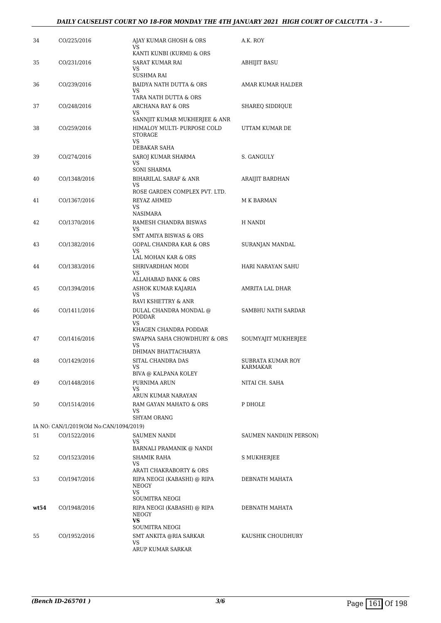#### *DAILY CAUSELIST COURT NO 18-FOR MONDAY THE 4TH JANUARY 2021 HIGH COURT OF CALCUTTA - 3 -*

| 34   | CO/225/2016                             | AJAY KUMAR GHOSH & ORS<br>VS                         | A.K. ROY                      |
|------|-----------------------------------------|------------------------------------------------------|-------------------------------|
|      |                                         | KANTI KUNBI (KURMI) & ORS                            |                               |
| 35   | CO/231/2016                             | SARAT KUMAR RAI<br>VS                                | <b>ABHIJIT BASU</b>           |
|      |                                         | SUSHMA RAI                                           |                               |
| 36   | CO/239/2016                             | BAIDYA NATH DUTTA & ORS<br>VS                        | AMAR KUMAR HALDER             |
|      |                                         | TARA NATH DUTTA & ORS                                |                               |
| 37   | CO/248/2016                             | ARCHANA RAY & ORS<br>VS                              | SHAREQ SIDDIQUE               |
|      |                                         | SANNJIT KUMAR MUKHERJEE & ANR                        |                               |
| 38   | CO/259/2016                             | HIMALOY MULTI- PURPOSE COLD<br><b>STORAGE</b><br>VS. | UTTAM KUMAR DE                |
|      |                                         | DEBAKAR SAHA                                         |                               |
| 39   | CO/274/2016                             | SAROJ KUMAR SHARMA                                   | S. GANGULY                    |
|      |                                         | VS<br>SONI SHARMA                                    |                               |
| 40   | CO/1348/2016                            | <b>BIHARILAL SARAF &amp; ANR</b>                     | ARAIJIT BARDHAN               |
|      |                                         | VS                                                   |                               |
|      |                                         | ROSE GARDEN COMPLEX PVT. LTD.                        |                               |
| 41   | CO/1367/2016                            | REYAZ AHMED                                          | M K BARMAN                    |
|      |                                         | VS<br><b>NASIMARA</b>                                |                               |
|      |                                         |                                                      |                               |
| 42   | CO/1370/2016                            | RAMESH CHANDRA BISWAS<br>VS                          | H NANDI                       |
|      |                                         | <b>SMT AMIYA BISWAS &amp; ORS</b>                    |                               |
| 43   | CO/1382/2016                            | <b>GOPAL CHANDRA KAR &amp; ORS</b>                   | SURANJAN MANDAL               |
|      |                                         | VS.                                                  |                               |
|      |                                         | LAL MOHAN KAR & ORS                                  |                               |
| 44   | CO/1383/2016                            | SHRIVARDHAN MODI                                     | HARI NARAYAN SAHU             |
|      |                                         | VS                                                   |                               |
|      |                                         | ALLAHABAD BANK & ORS                                 |                               |
| 45   | CO/1394/2016                            | ASHOK KUMAR KAJARIA<br>VS                            | AMRITA LAL DHAR               |
|      |                                         | RAVI KSHETTRY & ANR                                  |                               |
| 46   | CO/1411/2016                            | DULAL CHANDRA MONDAL @<br>PODDAR                     | SAMBHU NATH SARDAR            |
|      |                                         | VS                                                   |                               |
|      |                                         | KHAGEN CHANDRA PODDAR                                |                               |
| 47   | CO/1416/2016                            | SWAPNA SAHA CHOWDHURY & ORS                          | SOUMYAJIT MUKHERJEE           |
|      |                                         | VS                                                   |                               |
|      |                                         | DHIMAN BHATTACHARYA                                  |                               |
| 48   | CO/1429/2016                            | SITAL CHANDRA DAS<br>VS                              | SUBRATA KUMAR ROY<br>KARMAKAR |
|      |                                         | BIVA @ KALPANA KOLEY                                 |                               |
| 49   | CO/1448/2016                            | PURNIMA ARUN                                         | NITAI CH. SAHA                |
|      |                                         | VS.                                                  |                               |
|      |                                         | ARUN KUMAR NARAYAN                                   |                               |
| 50   | CO/1514/2016                            | RAM GAYAN MAHATO & ORS                               | P DHOLE                       |
|      |                                         | VS                                                   |                               |
|      |                                         | SHYAM ORANG                                          |                               |
|      | IA NO: CAN/1/2019(Old No:CAN/1094/2019) |                                                      |                               |
| 51   | CO/1522/2016                            | <b>SAUMEN NANDI</b><br>VS.                           | SAUMEN NANDI(IN PERSON)       |
|      |                                         | BARNALI PRAMANIK @ NANDI                             |                               |
| 52   | CO/1523/2016                            | SHAMIK RAHA                                          | S MUKHERJEE                   |
|      |                                         | <b>VS</b>                                            |                               |
|      |                                         | ARATI CHAKRABORTY & ORS                              |                               |
| 53   | CO/1947/2016                            | RIPA NEOGI (KABASHI) @ RIPA                          | DEBNATH MAHATA                |
|      |                                         | NEOGY<br>VS.                                         |                               |
|      |                                         | SOUMITRA NEOGI                                       |                               |
| wt54 | CO/1948/2016                            | RIPA NEOGI (KABASHI) @ RIPA                          | DEBNATH MAHATA                |
|      |                                         | NEOGY                                                |                               |
|      |                                         | <b>VS</b>                                            |                               |
|      |                                         | SOUMITRA NEOGI                                       |                               |
| 55   | CO/1952/2016                            | SMT ANKITA @RIA SARKAR<br>VS.                        | KAUSHIK CHOUDHURY             |
|      |                                         | ARUP KUMAR SARKAR                                    |                               |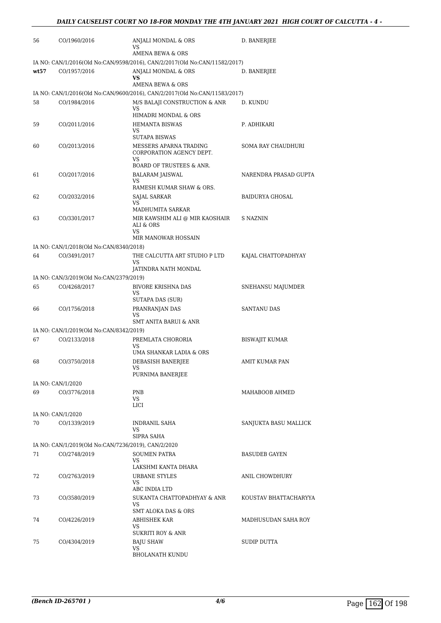| 56   | CO/1960/2016                                                        | ANJALI MONDAL & ORS<br>VS                                                  | D. BANERJEE            |
|------|---------------------------------------------------------------------|----------------------------------------------------------------------------|------------------------|
|      |                                                                     | AMENA BEWA & ORS                                                           |                        |
|      |                                                                     | IA NO: CAN/1/2016(Old No:CAN/9598/2016), CAN/2/2017(Old No:CAN/11582/2017) |                        |
| wt57 | CO/1957/2016                                                        | ANJALI MONDAL & ORS<br>VS<br>AMENA BEWA & ORS                              | D. BANERJEE            |
|      |                                                                     | IA NO: CAN/1/2016(Old No:CAN/9600/2016), CAN/2/2017(Old No:CAN/11583/2017) |                        |
| 58   | CO/1984/2016                                                        | M/S BALAJI CONSTRUCTION & ANR<br>VS                                        | D. KUNDU               |
|      |                                                                     | HIMADRI MONDAL & ORS                                                       |                        |
| 59   | CO/2011/2016                                                        | <b>HEMANTA BISWAS</b><br>VS                                                | P. ADHIKARI            |
|      |                                                                     | <b>SUTAPA BISWAS</b>                                                       |                        |
| 60   | CO/2013/2016                                                        | MESSERS APARNA TRADING<br>CORPORATION AGENCY DEPT.<br>VS                   | SOMA RAY CHAUDHURI     |
|      |                                                                     | BOARD OF TRUSTEES & ANR.                                                   |                        |
| 61   | CO/2017/2016                                                        | BALARAM JAISWAL<br>VS                                                      | NARENDRA PRASAD GUPTA  |
| 62   | CO/2032/2016                                                        | RAMESH KUMAR SHAW & ORS.<br>SAJAL SARKAR                                   | <b>BAIDURYA GHOSAL</b> |
|      |                                                                     | VS<br>MADHUMITA SARKAR                                                     |                        |
| 63   | CO/3301/2017                                                        | MIR KAWSHIM ALI @ MIR KAOSHAIR<br>ALI & ORS                                | S NAZNIN               |
|      |                                                                     | <b>VS</b><br>MIR MANOWAR HOSSAIN                                           |                        |
|      | IA NO: CAN/1/2018(Old No:CAN/8340/2018)                             |                                                                            |                        |
| 64   | CO/3491/2017                                                        | THE CALCUTTA ART STUDIO P LTD                                              | KAJAL CHATTOPADHYAY    |
|      |                                                                     | VS<br>JATINDRA NATH MONDAL                                                 |                        |
|      | IA NO: CAN/3/2019(Old No:CAN/2379/2019)                             |                                                                            |                        |
| 65   | CO/4268/2017                                                        | <b>BIVORE KRISHNA DAS</b>                                                  | SNEHANSU MAJUMDER      |
|      |                                                                     | VS                                                                         |                        |
| 66   | CO/1756/2018                                                        | SUTAPA DAS (SUR)<br>PRANRANJAN DAS                                         | <b>SANTANU DAS</b>     |
|      |                                                                     | VS<br>SMT ANITA BARUI & ANR                                                |                        |
|      | IA NO: CAN/1/2019(Old No:CAN/8342/2019)                             |                                                                            |                        |
| 67   | CO/2133/2018                                                        | PREMLATA CHORORIA                                                          | BISWAJIT KUMAR         |
|      |                                                                     | VS                                                                         |                        |
|      |                                                                     | UMA SHANKAR LADIA & ORS                                                    |                        |
| 68   | CO/3750/2018                                                        | DEBASISH BANERJEE<br>VS                                                    | AMIT KUMAR PAN         |
|      |                                                                     | PURNIMA BANERJEE                                                           |                        |
| 69   | IA NO: CAN/1/2020                                                   | PNB                                                                        |                        |
|      | CO/3776/2018                                                        | VS<br>LICI                                                                 | MAHABOOB AHMED         |
|      | IA NO: CAN/1/2020                                                   |                                                                            |                        |
| 70   | CO/1339/2019                                                        | INDRANIL SAHA<br>VS                                                        | SANJUKTA BASU MALLICK  |
|      |                                                                     | SIPRA SAHA                                                                 |                        |
| 71   | IA NO: CAN/1/2019(Old No:CAN/7236/2019), CAN/2/2020<br>CO/2748/2019 | <b>SOUMEN PATRA</b>                                                        | <b>BASUDEB GAYEN</b>   |
|      |                                                                     | VS.<br>LAKSHMI KANTA DHARA                                                 |                        |
| 72   | CO/2763/2019                                                        | URBANE STYLES                                                              | ANIL CHOWDHURY         |
|      |                                                                     | VS<br>ABC INDIA LTD                                                        |                        |
| 73   | CO/3580/2019                                                        | SUKANTA CHATTOPADHYAY & ANR                                                | KOUSTAV BHATTACHARYYA  |
|      |                                                                     | VS<br>SMT ALOKA DAS & ORS                                                  |                        |
| 74   | CO/4226/2019                                                        | ABHISHEK KAR                                                               | MADHUSUDAN SAHA ROY    |
|      |                                                                     | VS<br><b>SUKRITI ROY &amp; ANR</b>                                         |                        |
| 75   | CO/4304/2019                                                        | <b>BAJU SHAW</b>                                                           | SUDIP DUTTA            |
|      |                                                                     | VS<br><b>BHOLANATH KUNDU</b>                                               |                        |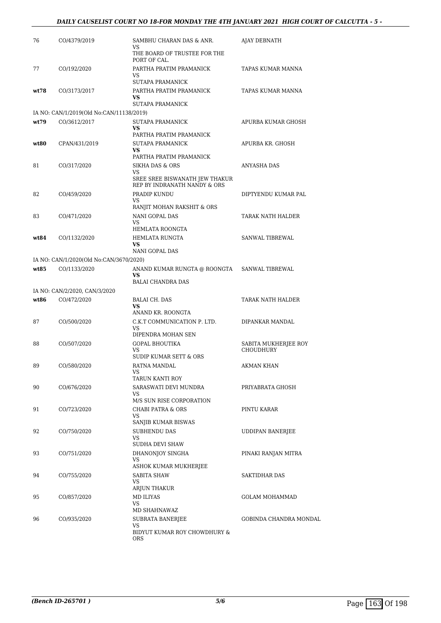#### *DAILY CAUSELIST COURT NO 18-FOR MONDAY THE 4TH JANUARY 2021 HIGH COURT OF CALCUTTA - 5 -*

| 76   | CO/4379/2019                             | SAMBHU CHARAN DAS & ANR.<br>VS                                                           | AJAY DEBNATH            |
|------|------------------------------------------|------------------------------------------------------------------------------------------|-------------------------|
|      |                                          | THE BOARD OF TRUSTEE FOR THE<br>PORT OF CAL.                                             |                         |
| 77   | CO/192/2020                              | PARTHA PRATIM PRAMANICK<br>VS                                                            | TAPAS KUMAR MANNA       |
|      |                                          | SUTAPA PRAMANICK                                                                         |                         |
| wt78 | CO/3173/2017                             | PARTHA PRATIM PRAMANICK<br><b>VS</b><br>SUTAPA PRAMANICK                                 | TAPAS KUMAR MANNA       |
|      | IA NO: CAN/1/2019(Old No:CAN/11138/2019) |                                                                                          |                         |
| wt79 | CO/3612/2017                             | SUTAPA PRAMANICK<br><b>VS</b>                                                            | APURBA KUMAR GHOSH      |
|      |                                          | PARTHA PRATIM PRAMANICK                                                                  |                         |
| wt80 | CPAN/431/2019                            | SUTAPA PRAMANICK<br><b>VS</b><br>PARTHA PRATIM PRAMANICK                                 | APURBA KR. GHOSH        |
| 81   | CO/317/2020                              | <b>SIKHA DAS &amp; ORS</b>                                                               | <b>ANYASHA DAS</b>      |
|      |                                          | VS<br>SREE SREE BISWANATH JEW THAKUR<br>REP BY INDRANATH NANDY & ORS                     |                         |
| 82   | CO/459/2020                              | PRADIP KUNDU<br>VS                                                                       | DIPTYENDU KUMAR PAL     |
|      |                                          | RANJIT MOHAN RAKSHIT & ORS                                                               |                         |
| 83   | CO/471/2020                              | NANI GOPAL DAS                                                                           | TARAK NATH HALDER       |
|      |                                          | <b>VS</b><br>HEMLATA ROONGTA                                                             |                         |
| wt84 | CO/1132/2020                             | HEMLATA RUNGTA                                                                           | SANWAL TIBREWAL         |
|      |                                          | <b>VS</b>                                                                                |                         |
|      |                                          | NANI GOPAL DAS                                                                           |                         |
| wt85 | IA NO: CAN/1/2020(Old No:CAN/3670/2020)  |                                                                                          |                         |
|      | CO/1133/2020                             | ANAND KUMAR RUNGTA @ ROONGTA    SANWAL TIBREWAL<br><b>VS</b><br><b>BALAI CHANDRA DAS</b> |                         |
|      | IA NO: CAN/2/2020, CAN/3/2020            |                                                                                          |                         |
| wt86 | CO/472/2020                              | BALAI CH. DAS<br><b>VS</b>                                                               | TARAK NATH HALDER       |
|      |                                          | ANAND KR. ROONGTA                                                                        |                         |
| 87   | CO/500/2020                              | C.K.T COMMUNICATION P. LTD.<br><b>VS</b><br>DIPENDRA MOHAN SEN                           | DIPANKAR MANDAL         |
| 88   | CO/507/2020                              | <b>GOPAL BHOUTIKA</b>                                                                    | SABITA MUKHERJEE ROY    |
|      |                                          | VS<br>SUDIP KUMAR SETT & ORS                                                             | <b>CHOUDHURY</b>        |
| 89   | CO/580/2020                              | RATNA MANDAL                                                                             | AKMAN KHAN              |
|      |                                          | VS<br>TARUN KANTI ROY                                                                    |                         |
| 90   | CO/676/2020                              | SARASWATI DEVI MUNDRA                                                                    | PRIYABRATA GHOSH        |
|      |                                          | VS                                                                                       |                         |
| 91   | CO/723/2020                              | M/S SUN RISE CORPORATION<br>CHABI PATRA & ORS                                            | PINTU KARAR             |
|      |                                          | VS.<br>SANJIB KUMAR BISWAS                                                               |                         |
| 92   | CO/750/2020                              | <b>SUBHENDU DAS</b>                                                                      | <b>UDDIPAN BANERJEE</b> |
|      |                                          | VS<br>SUDHA DEVI SHAW                                                                    |                         |
| 93   | CO/751/2020                              | DHANONJOY SINGHA<br>VS.                                                                  | PINAKI RANJAN MITRA     |
|      |                                          | ASHOK KUMAR MUKHERJEE                                                                    |                         |
| 94   | CO/755/2020                              | SABITA SHAW<br>VS<br>ARJUN THAKUR                                                        | SAKTIDHAR DAS           |
| 95   | CO/857/2020                              | MD ILIYAS                                                                                | GOLAM MOHAMMAD          |
|      |                                          | VS.<br>MD SHAHNAWAZ                                                                      |                         |
| 96   | CO/935/2020                              | SUBRATA BANERJEE<br>VS.                                                                  | GOBINDA CHANDRA MONDAL  |
|      |                                          | BIDYUT KUMAR ROY CHOWDHURY &<br><b>ORS</b>                                               |                         |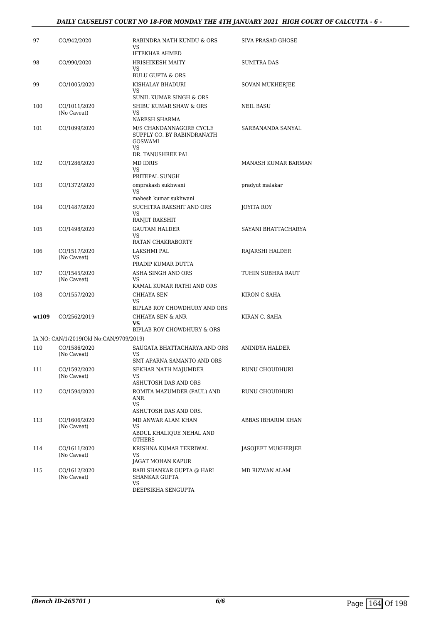#### *DAILY CAUSELIST COURT NO 18-FOR MONDAY THE 4TH JANUARY 2021 HIGH COURT OF CALCUTTA - 6 -*

| 97    | CO/942/2020                             | RABINDRA NATH KUNDU & ORS<br>VS<br><b>IFTEKHAR AHMED</b>                                                  | <b>SIVA PRASAD GHOSE</b> |
|-------|-----------------------------------------|-----------------------------------------------------------------------------------------------------------|--------------------------|
| 98    | CO/990/2020                             | <b>HRISHIKESH MAITY</b><br><b>VS</b><br><b>BULU GUPTA &amp; ORS</b>                                       | <b>SUMITRA DAS</b>       |
| 99    | CO/1005/2020                            | KISHALAY BHADURI<br>VS                                                                                    | SOVAN MUKHERJEE          |
| 100   | CO/1011/2020<br>(No Caveat)             | SUNIL KUMAR SINGH & ORS<br>SHIBU KUMAR SHAW & ORS<br>VS<br>NARESH SHARMA                                  | NEIL BASU                |
| 101   | CO/1099/2020                            | M/S CHANDANNAGORE CYCLE<br>SUPPLY CO. BY RABINDRANATH<br><b>GOSWAMI</b><br><b>VS</b><br>DR. TANUSHREE PAL | SARBANANDA SANYAL        |
| 102   | CO/1286/2020                            | <b>MD IDRIS</b><br>VS<br>PRITEPAL SUNGH                                                                   | MANASH KUMAR BARMAN      |
| 103   | CO/1372/2020                            | omprakash sukhwani<br>VS                                                                                  | pradyut malakar          |
| 104   | CO/1487/2020                            | mahesh kumar sukhwani<br>SUCHITRA RAKSHIT AND ORS<br>VS                                                   | JOYITA ROY               |
| 105   | CO/1498/2020                            | RANJIT RAKSHIT<br><b>GAUTAM HALDER</b><br><b>VS</b>                                                       | SAYANI BHATTACHARYA      |
| 106   | CO/1517/2020<br>(No Caveat)             | RATAN CHAKRABORTY<br><b>LAKSHMI PAL</b><br>VS<br>PRADIP KUMAR DUTTA                                       | RAJARSHI HALDER          |
| 107   | CO/1545/2020<br>(No Caveat)             | ASHA SINGH AND ORS<br><b>VS</b><br>KAMAL KUMAR RATHI AND ORS                                              | TUHIN SUBHRA RAUT        |
| 108   | CO/1557/2020                            | CHHAYA SEN<br>VS<br>BIPLAB ROY CHOWDHURY AND ORS                                                          | KIRON C SAHA             |
| wt109 | CO/2562/2019                            | CHHAYA SEN & ANR<br><b>VS</b><br>BIPLAB ROY CHOWDHURY & ORS                                               | KIRAN C. SAHA            |
|       | IA NO: CAN/1/2019(Old No:CAN/9709/2019) |                                                                                                           |                          |
| 110   | CO/1586/2020<br>(No Caveat)             | SAUGATA BHATTACHARYA AND ORS<br>VS                                                                        | ANINDYA HALDER           |
| 111   | CO/1592/2020<br>(No Caveat)             | SMT APARNA SAMANTO AND ORS<br>SEKHAR NATH MAJUMDER<br>VS.<br>ASHUTOSH DAS AND ORS                         | RUNU CHOUDHURI           |
| 112   | CO/1594/2020                            | ROMITA MAZUMDER (PAUL) AND<br>ANR.<br><b>VS</b>                                                           | RUNU CHOUDHURI           |
| 113   | CO/1606/2020<br>(No Caveat)             | ASHUTOSH DAS AND ORS.<br>MD ANWAR ALAM KHAN<br><b>VS</b><br>ABDUL KHALIQUE NEHAL AND<br>OTHERS            | ABBAS IBHARIM KHAN       |
| 114   | CO/1611/2020<br>(No Caveat)             | KRISHNA KUMAR TEKRIWAL<br>VS.                                                                             | JASOJEET MUKHERJEE       |
| 115   | CO/1612/2020<br>(No Caveat)             | JAGAT MOHAN KAPUR<br>RABI SHANKAR GUPTA @ HARI<br>SHANKAR GUPTA<br>VS.<br>DEEPSIKHA SENGUPTA              | MD RIZWAN ALAM           |
|       |                                         |                                                                                                           |                          |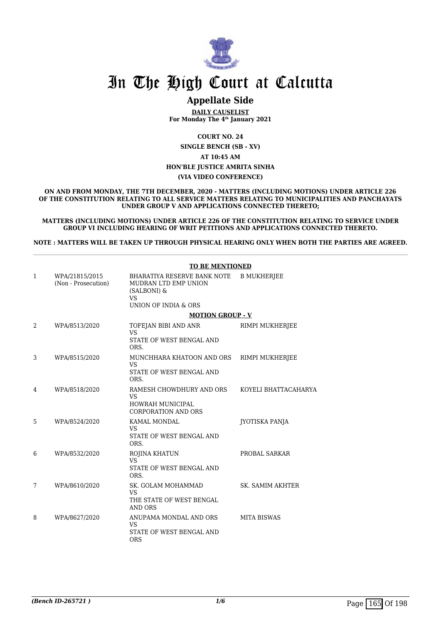

### **Appellate Side**

**DAILY CAUSELIST For Monday The 4th January 2021**

**COURT NO. 24 SINGLE BENCH (SB - XV) AT 10:45 AM HON'BLE JUSTICE AMRITA SINHA (VIA VIDEO CONFERENCE)**

**ON AND FROM MONDAY, THE 7TH DECEMBER, 2020 - MATTERS (INCLUDING MOTIONS) UNDER ARTICLE 226 OF THE CONSTITUTION RELATING TO ALL SERVICE MATTERS RELATING TO MUNICIPALITIES AND PANCHAYATS UNDER GROUP V AND APPLICATIONS CONNECTED THERETO;**

**MATTERS (INCLUDING MOTIONS) UNDER ARTICLE 226 OF THE CONSTITUTION RELATING TO SERVICE UNDER GROUP VI INCLUDING HEARING OF WRIT PETITIONS AND APPLICATIONS CONNECTED THERETO.**

**NOTE : MATTERS WILL BE TAKEN UP THROUGH PHYSICAL HEARING ONLY WHEN BOTH THE PARTIES ARE AGREED.**

|   |                                       | <b>TO BE MENTIONED</b>                                                                                  |                         |  |
|---|---------------------------------------|---------------------------------------------------------------------------------------------------------|-------------------------|--|
| 1 | WPA/21815/2015<br>(Non - Prosecution) | BHARATIYA RESERVE BANK NOTE<br>MUDRAN LTD EMP UNION<br>(SALBONI) &<br><b>VS</b><br>UNION OF INDIA & ORS | <b>B MUKHERJEE</b>      |  |
|   |                                       | <b>MOTION GROUP - V</b>                                                                                 |                         |  |
| 2 | WPA/8513/2020                         | TOFEJAN BIBI AND ANR<br><b>VS</b><br>STATE OF WEST BENGAL AND<br>ORS.                                   | RIMPI MUKHERJEE         |  |
| 3 | WPA/8515/2020                         | MUNCHHARA KHATOON AND ORS<br><b>VS</b><br>STATE OF WEST BENGAL AND<br>ORS.                              | RIMPI MUKHERJEE         |  |
| 4 | WPA/8518/2020                         | RAMESH CHOWDHURY AND ORS<br><b>VS</b><br><b>HOWRAH MUNICIPAL</b><br><b>CORPORATION AND ORS</b>          | KOYELI BHATTACAHARYA    |  |
| 5 | WPA/8524/2020                         | KAMAL MONDAL<br><b>VS</b><br>STATE OF WEST BENGAL AND<br>ORS.                                           | JYOTISKA PANJA          |  |
| 6 | WPA/8532/2020                         | ROJINA KHATUN<br><b>VS</b><br>STATE OF WEST BENGAL AND<br>ORS.                                          | PROBAL SARKAR           |  |
| 7 | WPA/8610/2020                         | SK. GOLAM MOHAMMAD<br>VS<br>THE STATE OF WEST BENGAL<br>AND ORS                                         | <b>SK. SAMIM AKHTER</b> |  |
| 8 | WPA/8627/2020                         | ANUPAMA MONDAL AND ORS<br>VS.<br>STATE OF WEST BENGAL AND<br><b>ORS</b>                                 | <b>MITA BISWAS</b>      |  |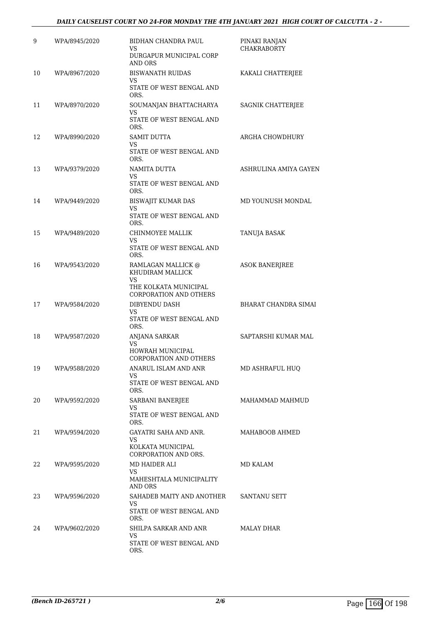#### *DAILY CAUSELIST COURT NO 24-FOR MONDAY THE 4TH JANUARY 2021 HIGH COURT OF CALCUTTA - 2 -*

| 9  | WPA/8945/2020 | BIDHAN CHANDRA PAUL<br>VS<br>DURGAPUR MUNICIPAL CORP<br>AND ORS                                        | PINAKI RANJAN<br><b>CHAKRABORTY</b> |
|----|---------------|--------------------------------------------------------------------------------------------------------|-------------------------------------|
| 10 | WPA/8967/2020 | <b>BISWANATH RUIDAS</b><br>VS<br>STATE OF WEST BENGAL AND<br>ORS.                                      | KAKALI CHATTERJEE                   |
| 11 | WPA/8970/2020 | SOUMANJAN BHATTACHARYA<br>VS<br>STATE OF WEST BENGAL AND<br>ORS.                                       | SAGNIK CHATTERJEE                   |
| 12 | WPA/8990/2020 | <b>SAMIT DUTTA</b><br>VS<br>STATE OF WEST BENGAL AND<br>ORS.                                           | ARGHA CHOWDHURY                     |
| 13 | WPA/9379/2020 | NAMITA DUTTA<br>VS<br>STATE OF WEST BENGAL AND<br>ORS.                                                 | ASHRULINA AMIYA GAYEN               |
| 14 | WPA/9449/2020 | <b>BISWAJIT KUMAR DAS</b><br>VS<br>STATE OF WEST BENGAL AND<br>ORS.                                    | MD YOUNUSH MONDAL                   |
| 15 | WPA/9489/2020 | CHINMOYEE MALLIK<br>VS<br>STATE OF WEST BENGAL AND<br>ORS.                                             | TANUJA BASAK                        |
| 16 | WPA/9543/2020 | RAMLAGAN MALLICK @<br>KHUDIRAM MALLICK<br>VS<br>THE KOLKATA MUNICIPAL<br><b>CORPORATION AND OTHERS</b> | <b>ASOK BANERJREE</b>               |
| 17 | WPA/9584/2020 | DIBYENDU DASH<br>VS<br>STATE OF WEST BENGAL AND<br>ORS.                                                | BHARAT CHANDRA SIMAI                |
| 18 | WPA/9587/2020 | ANJANA SARKAR<br>VS<br>HOWRAH MUNICIPAL<br>CORPORATION AND OTHERS                                      | SAPTARSHI KUMAR MAL                 |
| 19 | WPA/9588/2020 | ANARUL ISLAM AND ANR<br>VS.<br>STATE OF WEST BENGAL AND<br>ORS.                                        | MD ASHRAFUL HUQ                     |
| 20 | WPA/9592/2020 | SARBANI BANERJEE<br>VS<br>STATE OF WEST BENGAL AND<br>ORS.                                             | MAHAMMAD MAHMUD                     |
| 21 | WPA/9594/2020 | GAYATRI SAHA AND ANR.<br>VS.<br>KOLKATA MUNICIPAL<br>CORPORATION AND ORS.                              | MAHABOOB AHMED                      |
| 22 | WPA/9595/2020 | MD HAIDER ALI<br>VS.<br>MAHESHTALA MUNICIPALITY<br>AND ORS                                             | MD KALAM                            |
| 23 | WPA/9596/2020 | SAHADEB MAITY AND ANOTHER<br>VS.<br>STATE OF WEST BENGAL AND<br>ORS.                                   | SANTANU SETT                        |
| 24 | WPA/9602/2020 | SHILPA SARKAR AND ANR<br>VS.<br>STATE OF WEST BENGAL AND<br>ORS.                                       | MALAY DHAR                          |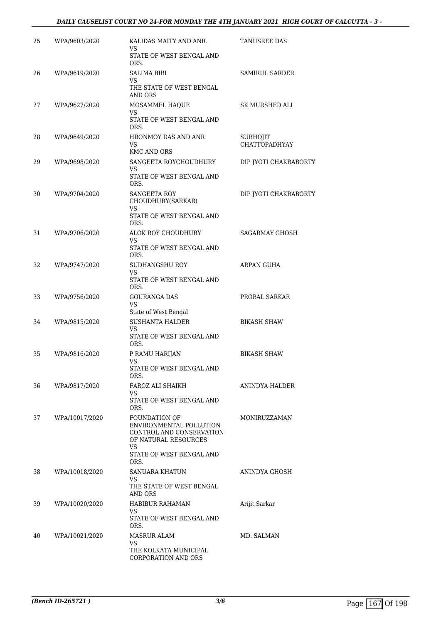#### *DAILY CAUSELIST COURT NO 24-FOR MONDAY THE 4TH JANUARY 2021 HIGH COURT OF CALCUTTA - 3 -*

| 25 | WPA/9603/2020  | KALIDAS MAITY AND ANR.<br>VS.                                                                                                                 | <b>TANUSREE DAS</b>                     |
|----|----------------|-----------------------------------------------------------------------------------------------------------------------------------------------|-----------------------------------------|
|    |                | STATE OF WEST BENGAL AND<br>ORS.                                                                                                              |                                         |
| 26 | WPA/9619/2020  | SALIMA BIBI<br>VS<br>THE STATE OF WEST BENGAL<br><b>AND ORS</b>                                                                               | <b>SAMIRUL SARDER</b>                   |
| 27 | WPA/9627/2020  | MOSAMMEL HAQUE<br>VS.<br>STATE OF WEST BENGAL AND<br>ORS.                                                                                     | SK MURSHED ALI                          |
| 28 | WPA/9649/2020  | HRONMOY DAS AND ANR<br>VS.<br><b>KMC AND ORS</b>                                                                                              | <b>SUBHOJIT</b><br><b>CHATTOPADHYAY</b> |
| 29 | WPA/9698/2020  | SANGEETA ROYCHOUDHURY<br>VS<br>STATE OF WEST BENGAL AND<br>ORS.                                                                               | DIP JYOTI CHAKRABORTY                   |
| 30 | WPA/9704/2020  | SANGEETA ROY<br>CHOUDHURY(SARKAR)<br>VS<br>STATE OF WEST BENGAL AND                                                                           | DIP JYOTI CHAKRABORTY                   |
| 31 | WPA/9706/2020  | ORS.<br>ALOK ROY CHOUDHURY<br>VS.<br>STATE OF WEST BENGAL AND                                                                                 | SAGARMAY GHOSH                          |
| 32 | WPA/9747/2020  | ORS.<br>SUDHANGSHU ROY<br>VS.<br>STATE OF WEST BENGAL AND<br>ORS.                                                                             | ARPAN GUHA                              |
| 33 | WPA/9756/2020  | <b>GOURANGA DAS</b><br>VS<br>State of West Bengal                                                                                             | PROBAL SARKAR                           |
| 34 | WPA/9815/2020  | <b>SUSHANTA HALDER</b><br>VS.<br>STATE OF WEST BENGAL AND<br>ORS.                                                                             | <b>BIKASH SHAW</b>                      |
| 35 | WPA/9816/2020  | P RAMU HARIJAN<br>VS<br>STATE OF WEST BENGAL AND<br>ORS.                                                                                      | <b>BIKASH SHAW</b>                      |
| 36 | WPA/9817/2020  | FAROZ ALI SHAIKH<br>VS.<br>STATE OF WEST BENGAL AND<br>ORS.                                                                                   | ANINDYA HALDER                          |
| 37 | WPA/10017/2020 | <b>FOUNDATION OF</b><br>ENVIRONMENTAL POLLUTION<br>CONTROL AND CONSERVATION<br>OF NATURAL RESOURCES<br>VS<br>STATE OF WEST BENGAL AND<br>ORS. | MONIRUZZAMAN                            |
| 38 | WPA/10018/2020 | SANUARA KHATUN<br>VS.<br>THE STATE OF WEST BENGAL                                                                                             | ANINDYA GHOSH                           |
| 39 | WPA/10020/2020 | AND ORS<br>HABIBUR RAHAMAN<br>VS.<br>STATE OF WEST BENGAL AND<br>ORS.                                                                         | Arijit Sarkar                           |
| 40 | WPA/10021/2020 | MASRUR ALAM<br>VS.<br>THE KOLKATA MUNICIPAL<br>CORPORATION AND ORS                                                                            | MD. SALMAN                              |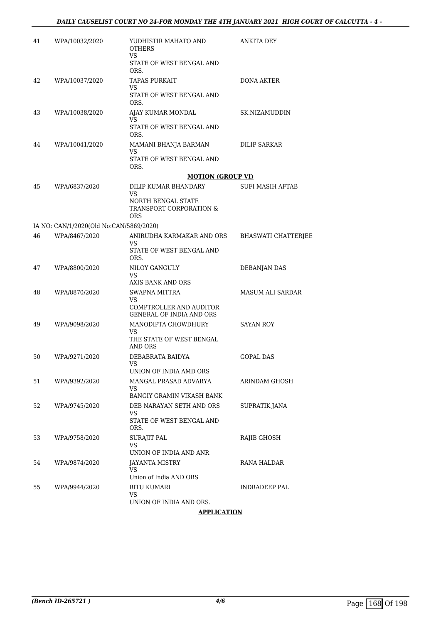| 41 | WPA/10032/2020                          | YUDHISTIR MAHATO AND<br><b>OTHERS</b><br>VS                | ANKITA DEY                 |
|----|-----------------------------------------|------------------------------------------------------------|----------------------------|
|    |                                         | STATE OF WEST BENGAL AND<br>ORS.                           |                            |
| 42 | WPA/10037/2020                          | <b>TAPAS PURKAIT</b><br>VS                                 | <b>DONA AKTER</b>          |
|    |                                         | STATE OF WEST BENGAL AND<br>ORS.                           |                            |
| 43 | WPA/10038/2020                          | AJAY KUMAR MONDAL<br>VS                                    | SK.NIZAMUDDIN              |
|    |                                         | STATE OF WEST BENGAL AND<br>ORS.                           |                            |
| 44 | WPA/10041/2020                          | MAMANI BHANJA BARMAN<br>VS                                 | DILIP SARKAR               |
|    |                                         | STATE OF WEST BENGAL AND<br>ORS.                           |                            |
|    |                                         | <b>MOTION (GROUP VI)</b>                                   |                            |
| 45 | WPA/6837/2020                           | DILIP KUMAR BHANDARY<br>VS                                 | SUFI MASIH AFTAB           |
|    |                                         | NORTH BENGAL STATE<br>TRANSPORT CORPORATION &<br>ORS       |                            |
|    | IA NO: CAN/1/2020(Old No:CAN/5869/2020) |                                                            |                            |
| 46 | WPA/8467/2020                           | ANIRUDHA KARMAKAR AND ORS<br>VS.                           | <b>BHASWATI CHATTERJEE</b> |
|    |                                         | STATE OF WEST BENGAL AND<br>ORS.                           |                            |
| 47 | WPA/8800/2020                           | NILOY GANGULY<br>VS<br>AXIS BANK AND ORS                   | <b>DEBANJAN DAS</b>        |
| 48 | WPA/8870/2020                           | SWAPNA MITTRA                                              | <b>MASUM ALI SARDAR</b>    |
|    |                                         | VS                                                         |                            |
|    |                                         | COMPTROLLER AND AUDITOR<br><b>GENERAL OF INDIA AND ORS</b> |                            |
| 49 | WPA/9098/2020                           | MANODIPTA CHOWDHURY                                        | <b>SAYAN ROY</b>           |
|    |                                         | VS.<br>THE STATE OF WEST BENGAL<br>AND ORS                 |                            |
| 50 | WPA/9271/2020                           | DEBABRATA BAIDYA                                           | <b>GOPAL DAS</b>           |
|    |                                         | <b>VS</b><br>UNION OF INDIA AMD ORS                        |                            |
| 51 | WPA/9392/2020                           | MANGAL PRASAD ADVARYA                                      | ARINDAM GHOSH              |
|    |                                         | VS<br><b>BANGIY GRAMIN VIKASH BANK</b>                     |                            |
| 52 | WPA/9745/2020                           | DEB NARAYAN SETH AND ORS                                   | SUPRATIK JANA              |
|    |                                         | VS<br>STATE OF WEST BENGAL AND<br>ORS.                     |                            |
| 53 | WPA/9758/2020                           | <b>SURAJIT PAL</b><br>VS                                   | RAJIB GHOSH                |
|    |                                         | UNION OF INDIA AND ANR                                     |                            |
| 54 | WPA/9874/2020                           | JAYANTA MISTRY<br>VS                                       | RANA HALDAR                |
|    |                                         | Union of India AND ORS                                     |                            |
| 55 | WPA/9944/2020                           | RITU KUMARI<br>VS<br>UNION OF INDIA AND ORS.               | INDRADEEP PAL              |
|    |                                         |                                                            |                            |

#### **APPLICATION**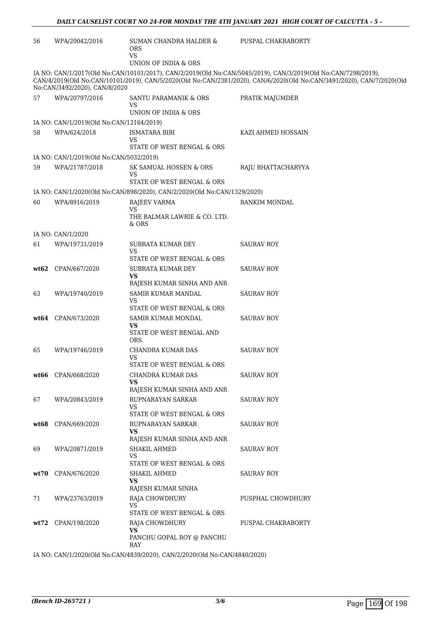| 56   | WPA/20042/2016                           | SUMAN CHANDRA HALDER &<br><b>ORS</b><br><b>VS</b>                                        | PUSPAL CHAKRABORTY                                                                                                                                                                                                                     |
|------|------------------------------------------|------------------------------------------------------------------------------------------|----------------------------------------------------------------------------------------------------------------------------------------------------------------------------------------------------------------------------------------|
|      |                                          | UNION OF INDIA & ORS                                                                     |                                                                                                                                                                                                                                        |
|      | No:CAN/3492/2020), CAN/8/2020            |                                                                                          | IA NO: CAN/1/2017(Old No:CAN/10101/2017), CAN/2/2019(Old No:CAN/5045/2019), CAN/3/2019(Old No:CAN/7298/2019),<br>CAN/4/2019(Old No:CAN/10101/2019), CAN/5/2020(Old No:CAN/2381/2020), CAN/6/2020(Old No:CAN/3491/2020), CAN/7/2020(Old |
| 57   | WPA/20797/2016                           | SANTU PARAMANIK & ORS<br>VS<br>UNION OF INDIA & ORS                                      | PRATIK MAJUMDER                                                                                                                                                                                                                        |
|      | IA NO: CAN/1/2019(Old No:CAN/12164/2019) |                                                                                          |                                                                                                                                                                                                                                        |
| 58   | WPA/624/2018                             | ISMATARA BIBI<br>VS<br>STATE OF WEST BENGAL & ORS                                        | KAZI AHMED HOSSAIN                                                                                                                                                                                                                     |
|      | IA NO: CAN/1/2019(Old No:CAN/5032/2019)  |                                                                                          |                                                                                                                                                                                                                                        |
| 59   | WPA/21787/2018                           | SK SAMUAL HOSSEN & ORS                                                                   | RAJU BHATTACHARYYA                                                                                                                                                                                                                     |
|      |                                          | VS                                                                                       |                                                                                                                                                                                                                                        |
|      |                                          | STATE OF WEST BENGAL & ORS                                                               |                                                                                                                                                                                                                                        |
| 60   | WPA/8916/2019                            | IA NO: CAN/1/2020(Old No:CAN/898/2020), CAN/2/2020(Old No:CAN/1329/2020)<br>RAJEEV VARMA | <b>BANKIM MONDAL</b>                                                                                                                                                                                                                   |
|      |                                          | <b>VS</b><br>THE BALMAR LAWRIE & CO. LTD.<br>& ORS                                       |                                                                                                                                                                                                                                        |
|      | IA NO: CAN/1/2020                        |                                                                                          |                                                                                                                                                                                                                                        |
| 61   | WPA/19731/2019                           | SUBRATA KUMAR DEY<br><b>VS</b>                                                           | <b>SAURAV ROY</b>                                                                                                                                                                                                                      |
| wt62 | CPAN/667/2020                            | STATE OF WEST BENGAL & ORS<br>SUBRATA KUMAR DEY                                          | <b>SAURAV ROY</b>                                                                                                                                                                                                                      |
|      |                                          | VS<br>RAJESH KUMAR SINHA AND ANR                                                         |                                                                                                                                                                                                                                        |
| 63   | WPA/19740/2019                           | SAMIR KUMAR MANDAL<br>VS                                                                 | <b>SAURAV ROY</b>                                                                                                                                                                                                                      |
|      |                                          | STATE OF WEST BENGAL & ORS                                                               |                                                                                                                                                                                                                                        |
|      | <b>wt64</b> CPAN/673/2020                | SAMIR KUMAR MONDAL<br>VS<br>STATE OF WEST BENGAL AND<br>ORS.                             | <b>SAURAV ROY</b>                                                                                                                                                                                                                      |
| 65   | WPA/19746/2019                           | CHANDRA KUMAR DAS<br>VS                                                                  | <b>SAURAV ROY</b>                                                                                                                                                                                                                      |
|      |                                          | STATE OF WEST BENGAL & ORS                                                               |                                                                                                                                                                                                                                        |
|      | wt66 CPAN/668/2020                       | CHANDRA KUMAR DAS<br>VS<br>RAJESH KUMAR SINHA AND ANR                                    | <b>SAURAV ROY</b>                                                                                                                                                                                                                      |
| 67   | WPA/20843/2019                           | RUPNARAYAN SARKAR<br><b>VS</b><br>STATE OF WEST BENGAL & ORS                             | <b>SAURAV ROY</b>                                                                                                                                                                                                                      |
| wt68 | CPAN/669/2020                            | RUPNARAYAN SARKAR<br>VS                                                                  | <b>SAURAV ROY</b>                                                                                                                                                                                                                      |
| 69   | WPA/20871/2019                           | RAJESH KUMAR SINHA AND ANR<br>SHAKIL AHMED<br>VS                                         | SAURAV ROY                                                                                                                                                                                                                             |
|      |                                          | STATE OF WEST BENGAL & ORS                                                               |                                                                                                                                                                                                                                        |
| wt70 | CPAN/676/2020                            | SHAKIL AHMED<br>VS<br>RAJESH KUMAR SINHA                                                 | <b>SAURAV ROY</b>                                                                                                                                                                                                                      |
| 71   | WPA/23763/2019                           | RAJA CHOWDHURY<br>VS                                                                     | PUSPHAL CHOWDHURY                                                                                                                                                                                                                      |
|      |                                          | STATE OF WEST BENGAL & ORS                                                               |                                                                                                                                                                                                                                        |
|      | wt72 CPAN/198/2020                       | RAJA CHOWDHURY<br><b>VS</b>                                                              | PUSPAL CHAKRABORTY                                                                                                                                                                                                                     |
|      |                                          | PANCHU GOPAL ROY @ PANCHU<br>RAY                                                         |                                                                                                                                                                                                                                        |

IA NO: CAN/1/2020(Old No:CAN/4839/2020), CAN/2/2020(Old No:CAN/4840/2020)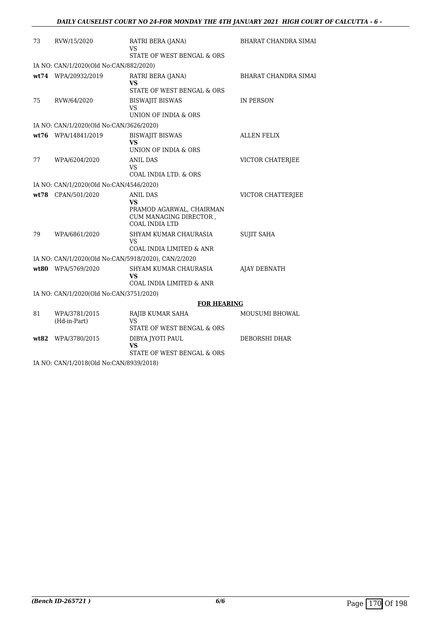| 73   | RVW/15/2020                                         | RATRI BERA (JANA)<br>VS                                                                                     | <b>BHARAT CHANDRA SIMAI</b> |
|------|-----------------------------------------------------|-------------------------------------------------------------------------------------------------------------|-----------------------------|
|      |                                                     | STATE OF WEST BENGAL & ORS                                                                                  |                             |
|      | IA NO: CAN/1/2020(Old No:CAN/882/2020)              |                                                                                                             |                             |
|      | wt74 WPA/20932/2019                                 | RATRI BERA (JANA)<br>VS                                                                                     | <b>BHARAT CHANDRA SIMAI</b> |
|      |                                                     | STATE OF WEST BENGAL & ORS                                                                                  |                             |
| 75   | RVW/64/2020                                         | <b>BISWAJIT BISWAS</b><br>VS<br>UNION OF INDIA & ORS                                                        | IN PERSON                   |
|      | IA NO: CAN/1/2020(Old No:CAN/3626/2020)             |                                                                                                             |                             |
|      | wt76 WPA/14841/2019                                 | <b>BISWAJIT BISWAS</b>                                                                                      | <b>ALLEN FELIX</b>          |
|      |                                                     | VS                                                                                                          |                             |
|      |                                                     | UNION OF INDIA & ORS                                                                                        |                             |
| 77   | WPA/6204/2020                                       | <b>ANIL DAS</b>                                                                                             | <b>VICTOR CHATERJEE</b>     |
|      |                                                     | VS.<br>COAL INDIA LTD. & ORS                                                                                |                             |
|      |                                                     |                                                                                                             |                             |
|      | IA NO: CAN/1/2020(Old No:CAN/4546/2020)             |                                                                                                             |                             |
|      | wt78 CPAN/501/2020                                  | <b>ANIL DAS</b><br><b>VS</b><br>PRAMOD AGARWAL, CHAIRMAN<br>CUM MANAGING DIRECTOR,<br><b>COAL INDIA LTD</b> | VICTOR CHATTERJEE           |
| 79   | WPA/6861/2020                                       | SHYAM KUMAR CHAURASIA<br>VS<br>COAL INDIA LIMITED & ANR                                                     | <b>SUJIT SAHA</b>           |
|      | IA NO: CAN/1/2020(Old No:CAN/5918/2020), CAN/2/2020 |                                                                                                             |                             |
|      | wt80 WPA/5769/2020                                  | SHYAM KUMAR CHAURASIA                                                                                       | <b>AJAY DEBNATH</b>         |
|      |                                                     | VS                                                                                                          |                             |
|      |                                                     | COAL INDIA LIMITED & ANR                                                                                    |                             |
|      | IA NO: CAN/1/2020(Old No:CAN/3751/2020)             |                                                                                                             |                             |
|      |                                                     | <b>FOR HEARING</b>                                                                                          |                             |
| 81   | WPA/3781/2015<br>(Hd-in-Part)                       | RAJIB KUMAR SAHA<br>VS<br>STATE OF WEST BENGAL & ORS                                                        | <b>MOUSUMI BHOWAL</b>       |
| wt82 | WPA/3780/2015                                       | DIBYA JYOTI PAUL<br>VS<br>STATE OF WEST BENGAL & ORS                                                        | DEBORSHI DHAR               |
|      |                                                     |                                                                                                             |                             |

IA NO: CAN/1/2018(Old No:CAN/8939/2018)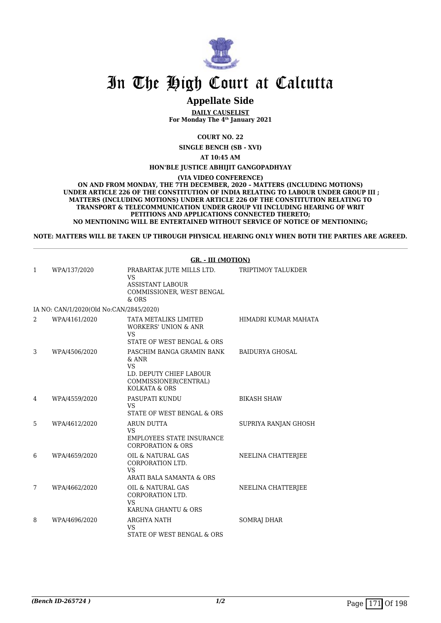

### **Appellate Side**

**DAILY CAUSELIST For Monday The 4th January 2021**

**COURT NO. 22**

**SINGLE BENCH (SB - XVI)**

**AT 10:45 AM**

**HON'BLE JUSTICE ABHIJIT GANGOPADHYAY**

**(VIA VIDEO CONFERENCE)**

**ON AND FROM MONDAY, THE 7TH DECEMBER, 2020 – MATTERS (INCLUDING MOTIONS) UNDER ARTICLE 226 OF THE CONSTITUTION OF INDIA RELATING TO LABOUR UNDER GROUP III ; MATTERS (INCLUDING MOTIONS) UNDER ARTICLE 226 OF THE CONSTITUTION RELATING TO TRANSPORT & TELECOMMUNICATION UNDER GROUP VII INCLUDING HEARING OF WRIT PETITIONS AND APPLICATIONS CONNECTED THERETO; NO MENTIONING WILL BE ENTERTAINED WITHOUT SERVICE OF NOTICE OF MENTIONING;**

**NOTE: MATTERS WILL BE TAKEN UP THROUGH PHYSICAL HEARING ONLY WHEN BOTH THE PARTIES ARE AGREED.**

|   |                                         | <b>GR. - III (MOTION)</b>                                                                                              |                        |
|---|-----------------------------------------|------------------------------------------------------------------------------------------------------------------------|------------------------|
| 1 | WPA/137/2020                            | PRABARTAK JUTE MILLS LTD.<br><b>VS</b><br><b>ASSISTANT LABOUR</b><br>COMMISSIONER, WEST BENGAL<br>$&$ ORS              | TRIPTIMOY TALUKDER     |
|   | IA NO: CAN/1/2020(Old No:CAN/2845/2020) |                                                                                                                        |                        |
| 2 | WPA/4161/2020                           | TATA METALIKS LIMITED<br><b>WORKERS' UNION &amp; ANR</b><br><b>VS</b><br>STATE OF WEST BENGAL & ORS                    | HIMADRI KUMAR MAHATA   |
| 3 | WPA/4506/2020                           | PASCHIM BANGA GRAMIN BANK<br>$&$ ANR<br><b>VS</b><br>LD. DEPUTY CHIEF LABOUR<br>COMMISSIONER(CENTRAL)<br>KOLKATA & ORS | <b>BAIDURYA GHOSAL</b> |
| 4 | WPA/4559/2020                           | PASUPATI KUNDU<br><b>VS</b><br>STATE OF WEST BENGAL & ORS                                                              | <b>BIKASH SHAW</b>     |
| 5 | WPA/4612/2020                           | ARUN DUTTA<br><b>VS</b><br><b>EMPLOYEES STATE INSURANCE</b><br><b>CORPORATION &amp; ORS</b>                            | SUPRIYA RANJAN GHOSH   |
| 6 | WPA/4659/2020                           | OIL & NATURAL GAS<br>CORPORATION LTD.<br><b>VS</b><br>ARATI BALA SAMANTA & ORS                                         | NEELINA CHATTERJEE     |
| 7 | WPA/4662/2020                           | OIL & NATURAL GAS<br>CORPORATION LTD.<br><b>VS</b><br>KARUNA GHANTU & ORS                                              | NEELINA CHATTERJEE     |
| 8 | WPA/4696/2020                           | ARGHYA NATH<br><b>VS</b><br>STATE OF WEST BENGAL & ORS                                                                 | SOMRAJ DHAR            |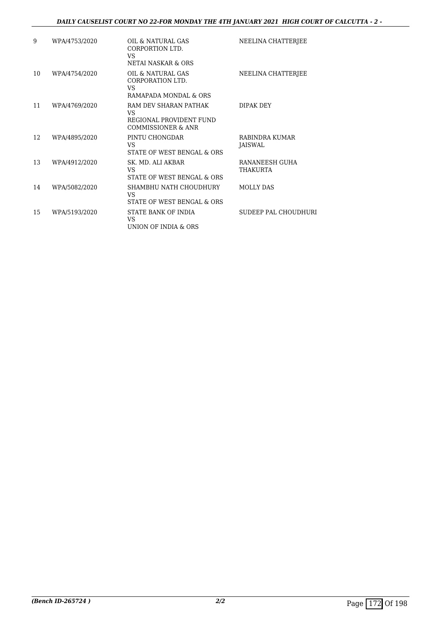#### *DAILY CAUSELIST COURT NO 22-FOR MONDAY THE 4TH JANUARY 2021 HIGH COURT OF CALCUTTA - 2 -*

| 9  | WPA/4753/2020 | OIL & NATURAL GAS<br>CORPORTION LTD.<br>VS<br>NETAI NASKAR & ORS             | NEELINA CHATTERJEE                |
|----|---------------|------------------------------------------------------------------------------|-----------------------------------|
| 10 | WPA/4754/2020 | OIL & NATURAL GAS<br>CORPORATION LTD.<br>VS<br>RAMAPADA MONDAL & ORS         | NEELINA CHATTERJEE                |
| 11 | WPA/4769/2020 | RAM DEV SHARAN PATHAK<br>VS<br>REGIONAL PROVIDENT FUND<br>COMMISSIONER & ANR | DIPAK DEY                         |
| 12 | WPA/4895/2020 | PINTU CHONGDAR<br>VS<br>STATE OF WEST BENGAL & ORS                           | RABINDRA KUMAR<br>JAISWAL         |
| 13 | WPA/4912/2020 | SK. MD. ALI AKBAR<br>VS<br>STATE OF WEST BENGAL & ORS                        | RANANEESH GUHA<br><b>THAKURTA</b> |
| 14 | WPA/5082/2020 | SHAMBHU NATH CHOUDHURY<br>VS<br>STATE OF WEST BENGAL & ORS                   | <b>MOLLY DAS</b>                  |
| 15 | WPA/5193/2020 | STATE BANK OF INDIA<br>VS<br>UNION OF INDIA & ORS                            | SUDEEP PAL CHOUDHURI              |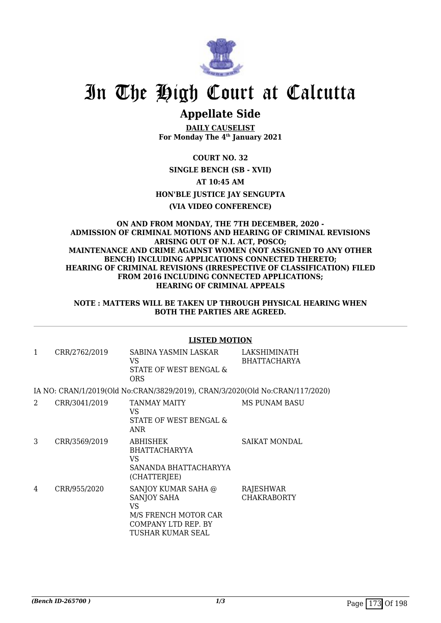

### **Appellate Side**

**DAILY CAUSELIST For Monday The 4th January 2021**

**COURT NO. 32 SINGLE BENCH (SB - XVII) AT 10:45 AM HON'BLE JUSTICE JAY SENGUPTA (VIA VIDEO CONFERENCE)**

#### **ON AND FROM MONDAY, THE 7TH DECEMBER, 2020 - ADMISSION OF CRIMINAL MOTIONS AND HEARING OF CRIMINAL REVISIONS ARISING OUT OF N.I. ACT, POSCO; MAINTENANCE AND CRIME AGAINST WOMEN (NOT ASSIGNED TO ANY OTHER BENCH) INCLUDING APPLICATIONS CONNECTED THERETO; HEARING OF CRIMINAL REVISIONS (IRRESPECTIVE OF CLASSIFICATION) FILED FROM 2016 INCLUDING CONNECTED APPLICATIONS; HEARING OF CRIMINAL APPEALS**

**NOTE : MATTERS WILL BE TAKEN UP THROUGH PHYSICAL HEARING WHEN BOTH THE PARTIES ARE AGREED.**

|   |               | <b>LISTED MOTION</b>                                                                                                |                                     |
|---|---------------|---------------------------------------------------------------------------------------------------------------------|-------------------------------------|
| 1 | CRR/2762/2019 | SABINA YASMIN LASKAR<br>VS<br>STATE OF WEST BENGAL &<br><b>ORS</b>                                                  | LAKSHIMINATH<br><b>BHATTACHARYA</b> |
|   |               | IA NO: CRAN/1/2019(Old No:CRAN/3829/2019), CRAN/3/2020(Old No:CRAN/117/2020)                                        |                                     |
| 2 | CRR/3041/2019 | TANMAY MAITY<br>VS.<br>STATE OF WEST BENGAL &<br><b>ANR</b>                                                         | MS PUNAM BASU                       |
| 3 | CRR/3569/2019 | <b>ABHISHEK</b><br><b>BHATTACHARYYA</b><br>VS<br>SANANDA BHATTACHARYYA<br>(CHATTERJEE)                              | <b>SAIKAT MONDAL</b>                |
| 4 | CRR/955/2020  | SANJOY KUMAR SAHA @<br><b>SANJOY SAHA</b><br>VS<br>M/S FRENCH MOTOR CAR<br>COMPANY LTD REP. BY<br>TUSHAR KUMAR SEAL | RAJESHWAR<br><b>CHAKRABORTY</b>     |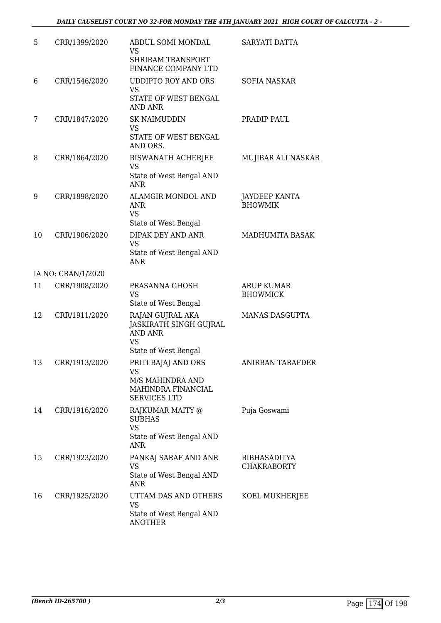| 5  | CRR/1399/2020      | ABDUL SOMI MONDAL<br><b>VS</b><br>SHRIRAM TRANSPORT<br>FINANCE COMPANY LTD                 | SARYATI DATTA                             |
|----|--------------------|--------------------------------------------------------------------------------------------|-------------------------------------------|
| 6  | CRR/1546/2020      | <b>UDDIPTO ROY AND ORS</b><br><b>VS</b><br>STATE OF WEST BENGAL<br><b>AND ANR</b>          | <b>SOFIA NASKAR</b>                       |
| 7  | CRR/1847/2020      | <b>SK NAIMUDDIN</b><br><b>VS</b><br>STATE OF WEST BENGAL<br>AND ORS.                       | PRADIP PAUL                               |
| 8  | CRR/1864/2020      | <b>BISWANATH ACHERJEE</b><br>VS<br>State of West Bengal AND<br><b>ANR</b>                  | MUJIBAR ALI NASKAR                        |
| 9  | CRR/1898/2020      | ALAMGIR MONDOL AND<br><b>ANR</b><br><b>VS</b><br>State of West Bengal                      | <b>JAYDEEP KANTA</b><br><b>BHOWMIK</b>    |
| 10 | CRR/1906/2020      | DIPAK DEY AND ANR<br><b>VS</b><br>State of West Bengal AND<br><b>ANR</b>                   | MADHUMITA BASAK                           |
|    | IA NO: CRAN/1/2020 |                                                                                            |                                           |
| 11 | CRR/1908/2020      | PRASANNA GHOSH<br><b>VS</b><br>State of West Bengal                                        | ARUP KUMAR<br><b>BHOWMICK</b>             |
| 12 | CRR/1911/2020      | RAJAN GUJRAL AKA<br>JASKIRATH SINGH GUJRAL<br>AND ANR<br><b>VS</b><br>State of West Bengal | <b>MANAS DASGUPTA</b>                     |
| 13 | CRR/1913/2020      | PRITI BAJAJ AND ORS<br>VS<br>M/S MAHINDRA AND<br>MAHINDRA FINANCIAL<br><b>SERVICES LTD</b> | ANIRBAN TARAFDER                          |
| 14 | CRR/1916/2020      | RAJKUMAR MAITY @<br><b>SUBHAS</b><br><b>VS</b><br>State of West Bengal AND<br>ANR          | Puja Goswami                              |
| 15 | CRR/1923/2020      | PANKAJ SARAF AND ANR<br><b>VS</b><br>State of West Bengal AND<br>ANR                       | <b>BIBHASADITYA</b><br><b>CHAKRABORTY</b> |
| 16 | CRR/1925/2020      | UTTAM DAS AND OTHERS<br><b>VS</b><br>State of West Bengal AND<br><b>ANOTHER</b>            | KOEL MUKHERJEE                            |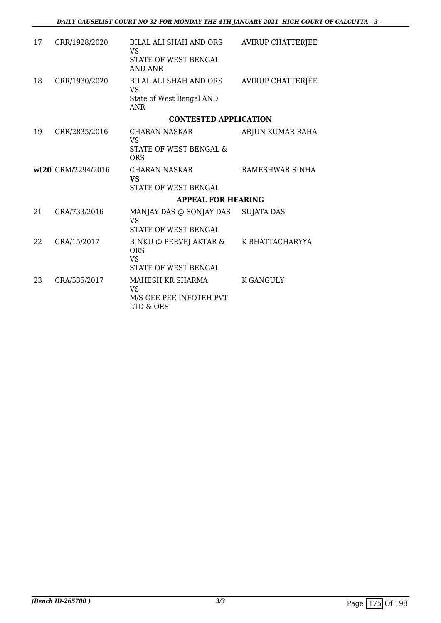| 17 | CRR/1928/2020      | BILAL ALI SHAH AND ORS<br>VS<br>STATE OF WEST BENGAL<br>AND ANR               | <b>AVIRUP CHATTERJEE</b> |
|----|--------------------|-------------------------------------------------------------------------------|--------------------------|
| 18 | CRR/1930/2020      | BILAL ALI SHAH AND ORS<br><b>VS</b><br>State of West Bengal AND<br><b>ANR</b> | <b>AVIRUP CHATTERJEE</b> |
|    |                    | <b>CONTESTED APPLICATION</b>                                                  |                          |
| 19 | CRR/2835/2016      | CHARAN NASKAR<br><b>VS</b><br>STATE OF WEST BENGAL &<br><b>ORS</b>            | ARJUN KUMAR RAHA         |
|    | wt20 CRM/2294/2016 | CHARAN NASKAR<br><b>VS</b><br>STATE OF WEST BENGAL                            | RAMESHWAR SINHA          |
|    |                    | <b>APPEAL FOR HEARING</b>                                                     |                          |
| 21 | CRA/733/2016       | MANJAY DAS @ SONJAY DAS<br><b>VS</b><br>STATE OF WEST BENGAL                  | <b>SUJATA DAS</b>        |
| 22 | CRA/15/2017        | BINKU @ PERVEJ AKTAR &<br><b>ORS</b><br>VS.<br>STATE OF WEST BENGAL           | K BHATTACHARYYA          |
| 23 | CRA/535/2017       | MAHESH KR SHARMA<br><b>VS</b><br>M/S GEE PEE INFOTEH PVT<br>LTD & ORS         | <b>K GANGULY</b>         |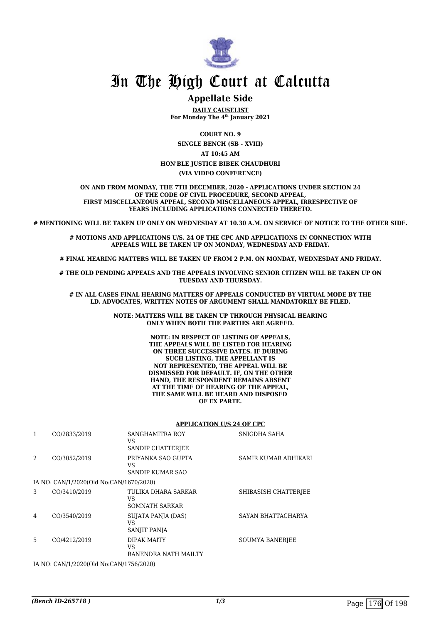

#### **Appellate Side**

**DAILY CAUSELIST For Monday The 4th January 2021**

**COURT NO. 9**

**SINGLE BENCH (SB - XVIII)**

**AT 10:45 AM**

**HON'BLE JUSTICE BIBEK CHAUDHURI**

**(VIA VIDEO CONFERENCE)**

**ON AND FROM MONDAY, THE 7TH DECEMBER, 2020 - APPLICATIONS UNDER SECTION 24 OF THE CODE OF CIVIL PROCEDURE, SECOND APPEAL, FIRST MISCELLANEOUS APPEAL, SECOND MISCELLANEOUS APPEAL, IRRESPECTIVE OF YEARS INCLUDING APPLICATIONS CONNECTED THERETO.**

**# MENTIONING WILL BE TAKEN UP ONLY ON WEDNESDAY AT 10.30 A.M. ON SERVICE OF NOTICE TO THE OTHER SIDE.**

**# MOTIONS AND APPLICATIONS U/S. 24 OF THE CPC AND APPLICATIONS IN CONNECTION WITH APPEALS WILL BE TAKEN UP ON MONDAY, WEDNESDAY AND FRIDAY.**

**# FINAL HEARING MATTERS WILL BE TAKEN UP FROM 2 P.M. ON MONDAY, WEDNESDAY AND FRIDAY.**

**# THE OLD PENDING APPEALS AND THE APPEALS INVOLVING SENIOR CITIZEN WILL BE TAKEN UP ON TUESDAY AND THURSDAY.**

**# IN ALL CASES FINAL HEARING MATTERS OF APPEALS CONDUCTED BY VIRTUAL MODE BY THE LD. ADVOCATES, WRITTEN NOTES OF ARGUMENT SHALL MANDATORILY BE FILED.**

> **NOTE: MATTERS WILL BE TAKEN UP THROUGH PHYSICAL HEARING ONLY WHEN BOTH THE PARTIES ARE AGREED.**

> > **NOTE: IN RESPECT OF LISTING OF APPEALS, THE APPEALS WILL BE LISTED FOR HEARING ON THREE SUCCESSIVE DATES. IF DURING SUCH LISTING, THE APPELLANT IS NOT REPRESENTED, THE APPEAL WILL BE DISMISSED FOR DEFAULT. IF, ON THE OTHER HAND, THE RESPONDENT REMAINS ABSENT AT THE TIME OF HEARING OF THE APPEAL, THE SAME WILL BE HEARD AND DISPOSED OF EX PARTE.**

#### **APPLICATION U/S 24 OF CPC**

| 1 | CO/2833/2019                            | SANGHAMITRA ROY<br>VS<br><b>SANDIP CHATTERJEE</b> | SNIGDHA SAHA           |
|---|-----------------------------------------|---------------------------------------------------|------------------------|
| 2 | CO/3052/2019                            | PRIYANKA SAO GUPTA<br>VS<br>SANDIP KUMAR SAO      | SAMIR KUMAR ADHIKARI   |
|   | IA NO: CAN/1/2020(Old No:CAN/1670/2020) |                                                   |                        |
| 3 | CO/3410/2019                            | TULIKA DHARA SARKAR<br>VS<br>SOMNATH SARKAR       | SHIBASISH CHATTERJEE   |
| 4 | CO/3540/2019                            | SUJATA PANJA (DAS)<br>VS<br>SANJIT PANJA          | SAYAN BHATTACHARYA     |
| 5 | CO/4212/2019                            | DIPAK MAITY<br>VS<br>RANENDRA NATH MAILTY         | <b>SOUMYA BANERJEE</b> |
|   |                                         |                                                   |                        |

IA NO: CAN/1/2020(Old No:CAN/1756/2020)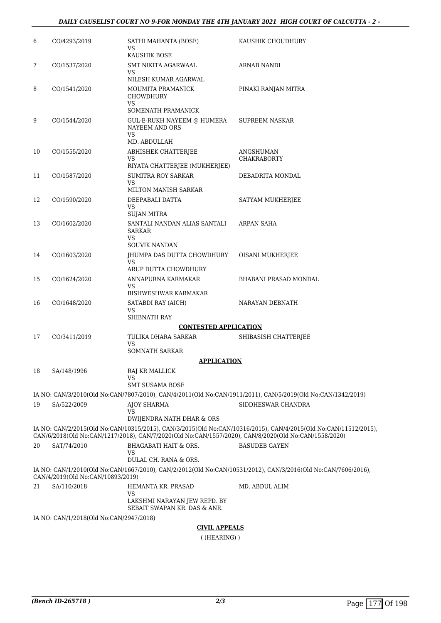| 6  | CO/4293/2019                            | SATHI MAHANTA (BOSE)<br>VS                                                                           | KAUSHIK CHOUDHURY                                                                                               |
|----|-----------------------------------------|------------------------------------------------------------------------------------------------------|-----------------------------------------------------------------------------------------------------------------|
|    |                                         | KAUSHIK BOSE                                                                                         |                                                                                                                 |
| 7  | CO/1537/2020                            | SMT NIKITA AGARWAAL<br>VS                                                                            | <b>ARNAB NANDI</b>                                                                                              |
|    |                                         | NILESH KUMAR AGARWAL                                                                                 |                                                                                                                 |
| 8  | CO/1541/2020                            | MOUMITA PRAMANICK<br>CHOWDHURY<br>VS.                                                                | PINAKI RANJAN MITRA                                                                                             |
|    |                                         | SOMENATH PRAMANICK                                                                                   |                                                                                                                 |
| 9  | CO/1544/2020                            | GUL-E-RUKH NAYEEM @ HUMERA<br>NAYEEM AND ORS<br>VS.                                                  | SUPREEM NASKAR                                                                                                  |
|    |                                         | MD. ABDULLAH                                                                                         |                                                                                                                 |
| 10 | CO/1555/2020                            | ABHISHEK CHATTERJEE                                                                                  | ANGSHUMAN                                                                                                       |
|    |                                         | VS<br>RIYATA CHATTERJEE (MUKHERJEE)                                                                  | CHAKRABORTY                                                                                                     |
| 11 | CO/1587/2020                            | <b>SUMITRA ROY SARKAR</b>                                                                            | DEBADRITA MONDAL                                                                                                |
|    |                                         | VS<br>MILTON MANISH SARKAR                                                                           |                                                                                                                 |
| 12 | CO/1590/2020                            | DEEPABALI DATTA                                                                                      | SATYAM MUKHERJEE                                                                                                |
|    |                                         | VS                                                                                                   |                                                                                                                 |
| 13 | CO/1602/2020                            | <b>SUJAN MITRA</b><br>SANTALI NANDAN ALIAS SANTALI<br>SARKAR                                         | ARPAN SAHA                                                                                                      |
|    |                                         | VS<br><b>SOUVIK NANDAN</b>                                                                           |                                                                                                                 |
| 14 | CO/1603/2020                            | JHUMPA DAS DUTTA CHOWDHURY                                                                           | OISANI MUKHERJEE                                                                                                |
|    |                                         | VS.<br>ARUP DUTTA CHOWDHURY                                                                          |                                                                                                                 |
| 15 | CO/1624/2020                            | ANNAPURNA KARMAKAR                                                                                   | BHABANI PRASAD MONDAL                                                                                           |
|    |                                         | VS<br>BISHWESHWAR KARMAKAR                                                                           |                                                                                                                 |
| 16 | CO/1648/2020                            | SATABDI RAY (AICH)                                                                                   | NARAYAN DEBNATH                                                                                                 |
|    |                                         | VS                                                                                                   |                                                                                                                 |
|    |                                         | SHIBNATH RAY                                                                                         |                                                                                                                 |
|    |                                         | <b>CONTESTED APPLICATION</b>                                                                         |                                                                                                                 |
| 17 | CO/3411/2019                            | TULIKA DHARA SARKAR<br>VS<br><b>SOMNATH SARKAR</b>                                                   | SHIBASISH CHATTERJEE                                                                                            |
|    |                                         | <u>APPLICATION</u>                                                                                   |                                                                                                                 |
| 18 | SA/148/1996                             | RAJ KR MALLICK                                                                                       |                                                                                                                 |
|    |                                         | VS                                                                                                   |                                                                                                                 |
|    |                                         | <b>SMT SUSAMA BOSE</b>                                                                               |                                                                                                                 |
|    |                                         |                                                                                                      | IA NO: CAN/3/2010(Old No:CAN/7807/2010), CAN/4/2011(Old No:CAN/1911/2011), CAN/5/2019(Old No:CAN/1342/2019)     |
| 19 | SA/522/2009                             | <b>AJOY SHARMA</b><br>VS<br>DWIJENDRA NATH DHAR & ORS                                                | SIDDHESWAR CHANDRA                                                                                              |
|    |                                         |                                                                                                      | IA NO: CAN/2/2015(Old No:CAN/10315/2015), CAN/3/2015(Old No:CAN/10316/2015), CAN/4/2015(Old No:CAN/11512/2015), |
|    |                                         | CAN/6/2018(Old No:CAN/1217/2018), CAN/7/2020(Old No:CAN/1557/2020), CAN/8/2020(Old No:CAN/1558/2020) |                                                                                                                 |
| 20 | SAT/74/2010                             | <b>BHAGABATI HAIT &amp; ORS.</b><br>VS<br>DULAL CH. RANA & ORS.                                      | <b>BASUDEB GAYEN</b>                                                                                            |
|    | CAN/4/2019(Old No:CAN/10893/2019)       |                                                                                                      | IA NO: CAN/1/2010(Old No:CAN/1667/2010), CAN/2/2012(Old No:CAN/10531/2012), CAN/3/2016(Old No:CAN/7606/2016),   |
| 21 | SA/110/2018                             | HEMANTA KR. PRASAD                                                                                   | MD. ABDUL ALIM                                                                                                  |
|    |                                         | VS<br>LAKSHMI NARAYAN JEW REPD. BY<br>SEBAIT SWAPAN KR. DAS & ANR.                                   |                                                                                                                 |
|    | IA NO: CAN/1/2018(Old No:CAN/2947/2018) |                                                                                                      |                                                                                                                 |
|    |                                         | <b>CIVIL APPEALS</b>                                                                                 |                                                                                                                 |

( (HEARING) )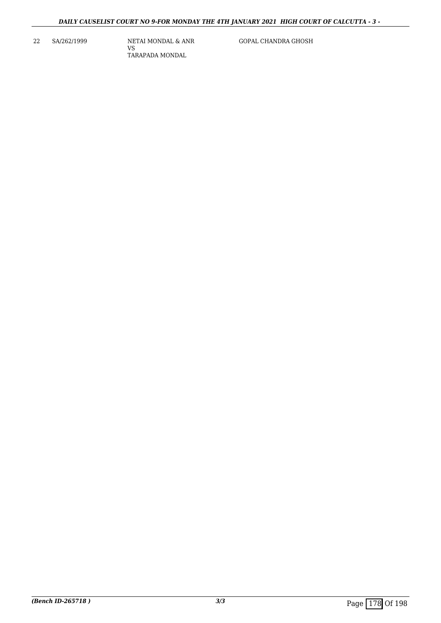22 SA/262/1999 NETAI MONDAL & ANR VS TARAPADA MONDAL

GOPAL CHANDRA GHOSH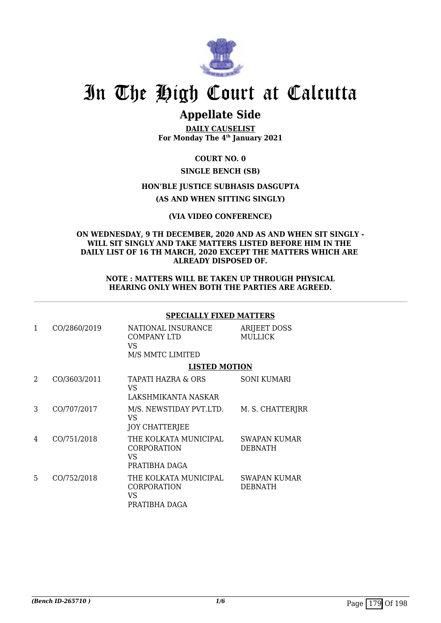

# In The High Court at Calcutta

## **Appellate Side**

**DAILY CAUSELIST For Monday The 4th January 2021**

### **COURT NO. 0**

### **SINGLE BENCH (SB)**

### **HON'BLE JUSTICE SUBHASIS DASGUPTA**

**(AS AND WHEN SITTING SINGLY)**

### **(VIA VIDEO CONFERENCE)**

#### **ON WEDNESDAY, 9 TH DECEMBER, 2020 AND AS AND WHEN SIT SINGLY - WILL SIT SINGLY AND TAKE MATTERS LISTED BEFORE HIM IN THE DAILY LIST OF 16 TH MARCH, 2020 EXCEPT THE MATTERS WHICH ARE ALREADY DISPOSED OF.**

#### **NOTE : MATTERS WILL BE TAKEN UP THROUGH PHYSICAL HEARING ONLY WHEN BOTH THE PARTIES ARE AGREED.**

### **SPECIALLY FIXED MATTERS**

| 1 | CO/2860/2019 | NATIONAL INSURANCE<br>COMPANY LTD<br>VS<br>M/S MMTC LIMITED | <b>ARIJEET DOSS</b><br><b>MULLICK</b> |
|---|--------------|-------------------------------------------------------------|---------------------------------------|
|   |              | <b>LISTED MOTION</b>                                        |                                       |
| 2 | CO/3603/2011 | TAPATI HAZRA & ORS<br>VS<br>LAKSHMIKANTA NASKAR             | <b>SONI KUMARI</b>                    |
| 3 | CO/707/2017  | M/S. NEWSTIDAY PVT.LTD.<br>VS<br><b>JOY CHATTERJEE</b>      | M. S. CHATTERJRR                      |
| 4 | CO/751/2018  | THE KOLKATA MUNICIPAL<br>CORPORATION<br>VS<br>PRATIBHA DAGA | SWAPAN KUMAR<br><b>DEBNATH</b>        |
| 5 | CO/752/2018  | THE KOLKATA MUNICIPAL<br>CORPORATION<br>VS<br>PRATIBHA DAGA | SWAPAN KUMAR<br><b>DEBNATH</b>        |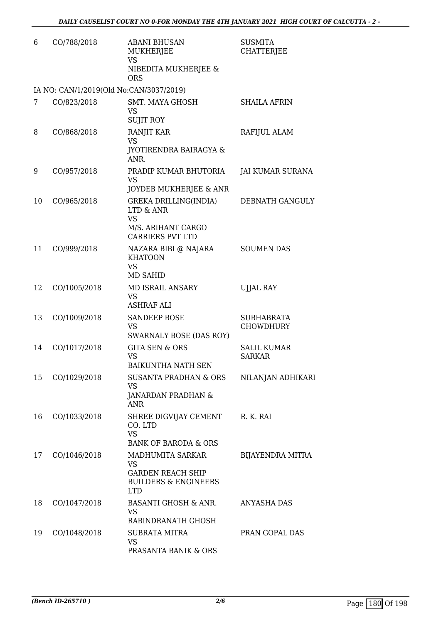| 6  | CO/788/2018                             | <b>ABANI BHUSAN</b><br>MUKHERJEE<br><b>VS</b><br>NIBEDITA MUKHERJEE &<br><b>ORS</b>                        | <b>SUSMITA</b><br><b>CHATTERJEE</b>   |
|----|-----------------------------------------|------------------------------------------------------------------------------------------------------------|---------------------------------------|
|    | IA NO: CAN/1/2019(Old No:CAN/3037/2019) |                                                                                                            |                                       |
| 7  | CO/823/2018                             | <b>SMT. MAYA GHOSH</b><br>VS<br><b>SUJIT ROY</b>                                                           | <b>SHAILA AFRIN</b>                   |
| 8  | CO/868/2018                             | RANJIT KAR<br><b>VS</b><br><b>JYOTIRENDRA BAIRAGYA &amp;</b><br>ANR.                                       | RAFIJUL ALAM                          |
| 9  | CO/957/2018                             | PRADIP KUMAR BHUTORIA<br><b>VS</b><br>JOYDEB MUKHERJEE & ANR                                               | JAI KUMAR SURANA                      |
| 10 | CO/965/2018                             | <b>GREKA DRILLING(INDIA)</b><br><b>LTD &amp; ANR</b><br><b>VS</b><br>M/S. ARIHANT CARGO                    | DEBNATH GANGULY                       |
| 11 | CO/999/2018                             | <b>CARRIERS PVT LTD</b><br>NAZARA BIBI @ NAJARA<br><b>KHATOON</b><br><b>VS</b><br><b>MD SAHID</b>          | <b>SOUMEN DAS</b>                     |
| 12 | CO/1005/2018                            | MD ISRAIL ANSARY<br><b>VS</b><br><b>ASHRAF ALI</b>                                                         | <b>UJJAL RAY</b>                      |
| 13 | CO/1009/2018                            | <b>SANDEEP BOSE</b><br><b>VS</b><br>SWARNALY BOSE (DAS ROY)                                                | <b>SUBHABRATA</b><br><b>CHOWDHURY</b> |
| 14 | CO/1017/2018                            | <b>GITA SEN &amp; ORS</b><br><b>VS</b><br><b>BAIKUNTHA NATH SEN</b>                                        | <b>SALIL KUMAR</b><br><b>SARKAR</b>   |
| 15 | CO/1029/2018                            | SUSANTA PRADHAN & ORS<br><b>VS</b><br><b>JANARDAN PRADHAN &amp;</b><br><b>ANR</b>                          | NILANJAN ADHIKARI                     |
| 16 | CO/1033/2018                            | SHREE DIGVIJAY CEMENT<br>CO. LTD<br><b>VS</b><br><b>BANK OF BARODA &amp; ORS</b>                           | R. K. RAI                             |
| 17 | CO/1046/2018                            | MADHUMITA SARKAR<br><b>VS</b><br><b>GARDEN REACH SHIP</b><br><b>BUILDERS &amp; ENGINEERS</b><br><b>LTD</b> | BIJAYENDRA MITRA                      |
| 18 | CO/1047/2018                            | <b>BASANTI GHOSH &amp; ANR.</b><br><b>VS</b><br>RABINDRANATH GHOSH                                         | <b>ANYASHA DAS</b>                    |
| 19 | CO/1048/2018                            | <b>SUBRATA MITRA</b><br><b>VS</b><br>PRASANTA BANIK & ORS                                                  | PRAN GOPAL DAS                        |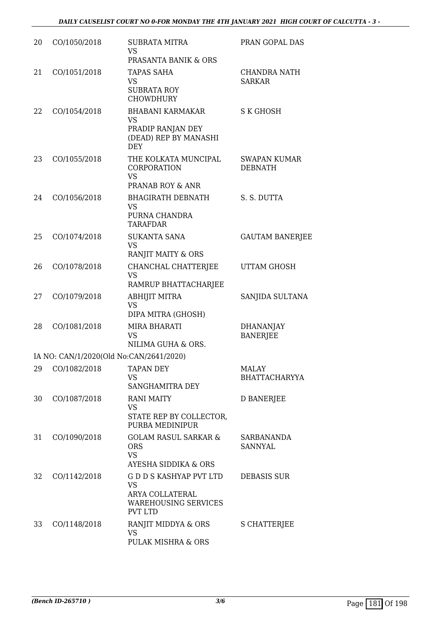| 20 | CO/1050/2018 | <b>SUBRATA MITRA</b><br><b>VS</b><br>PRASANTA BANIK & ORS                                                    | PRAN GOPAL DAS                        |
|----|--------------|--------------------------------------------------------------------------------------------------------------|---------------------------------------|
| 21 | CO/1051/2018 | <b>TAPAS SAHA</b><br><b>VS</b><br><b>SUBRATA ROY</b><br><b>CHOWDHURY</b>                                     | <b>CHANDRA NATH</b><br><b>SARKAR</b>  |
| 22 | CO/1054/2018 | <b>BHABANI KARMAKAR</b><br><b>VS</b><br>PRADIP RANJAN DEY<br>(DEAD) REP BY MANASHI<br><b>DEY</b>             | S K GHOSH                             |
| 23 | CO/1055/2018 | THE KOLKATA MUNCIPAL<br>CORPORATION<br><b>VS</b><br>PRANAB ROY & ANR                                         | <b>SWAPAN KUMAR</b><br><b>DEBNATH</b> |
| 24 | CO/1056/2018 | <b>BHAGIRATH DEBNATH</b><br><b>VS</b><br>PURNA CHANDRA<br><b>TARAFDAR</b>                                    | S. S. DUTTA                           |
| 25 | CO/1074/2018 | <b>SUKANTA SANA</b><br><b>VS</b><br>RANJIT MAITY & ORS                                                       | <b>GAUTAM BANERJEE</b>                |
| 26 | CO/1078/2018 | CHANCHAL CHATTERJEE<br><b>VS</b><br>RAMRUP BHATTACHARJEE                                                     | UTTAM GHOSH                           |
| 27 | CO/1079/2018 | <b>ABHIJIT MITRA</b><br><b>VS</b><br>DIPA MITRA (GHOSH)                                                      | SANJIDA SULTANA                       |
| 28 | CO/1081/2018 | MIRA BHARATI<br><b>VS</b><br>NILIMA GUHA & ORS.                                                              | <b>DHANANJAY</b><br><b>BANERJEE</b>   |
|    |              | IA NO: CAN/1/2020(Old No:CAN/2641/2020)                                                                      |                                       |
| 29 | CO/1082/2018 | <b>TAPAN DEY</b><br>VS<br>SANGHAMITRA DEY                                                                    | <b>MALAY</b><br><b>BHATTACHARYYA</b>  |
| 30 | CO/1087/2018 | <b>RANI MAITY</b><br><b>VS</b><br>STATE REP BY COLLECTOR,<br>PURBA MEDINIPUR                                 | <b>D BANERJEE</b>                     |
| 31 | CO/1090/2018 | <b>GOLAM RASUL SARKAR &amp;</b><br><b>ORS</b><br><b>VS</b><br>AYESHA SIDDIKA & ORS                           | <b>SARBANANDA</b><br>SANNYAL          |
| 32 | CO/1142/2018 | <b>GDDS KASHYAP PVT LTD</b><br><b>VS</b><br>ARYA COLLATERAL<br><b>WAREHOUSING SERVICES</b><br><b>PVT LTD</b> | <b>DEBASIS SUR</b>                    |
| 33 | CO/1148/2018 | RANJIT MIDDYA & ORS<br><b>VS</b><br>PULAK MISHRA & ORS                                                       | S CHATTERJEE                          |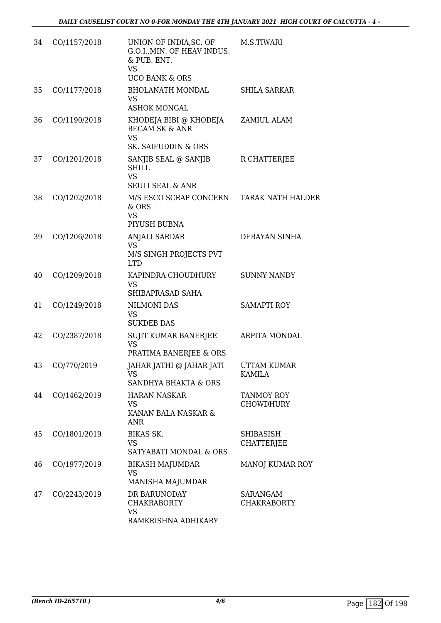| 34 | CO/1157/2018 | UNION OF INDIA, SC. OF<br>G.O.I., MIN. OF HEAV INDUS.<br>& PUB. ENT.<br><b>VS</b><br><b>UCO BANK &amp; ORS</b> | M.S.TIWARI                            |
|----|--------------|----------------------------------------------------------------------------------------------------------------|---------------------------------------|
| 35 | CO/1177/2018 | <b>BHOLANATH MONDAL</b><br><b>VS</b><br><b>ASHOK MONGAL</b>                                                    | <b>SHILA SARKAR</b>                   |
| 36 | CO/1190/2018 | KHODEJA BIBI @ KHODEJA<br><b>BEGAM SK &amp; ANR</b><br><b>VS</b><br>SK. SAIFUDDIN & ORS                        | ZAMIUL ALAM                           |
| 37 | CO/1201/2018 | SANJIB SEAL @ SANJIB<br><b>SHILL</b><br><b>VS</b><br><b>SEULI SEAL &amp; ANR</b>                               | R CHATTERJEE                          |
| 38 | CO/1202/2018 | M/S ESCO SCRAP CONCERN TARAK NATH HALDER<br>& ORS<br><b>VS</b><br>PIYUSH BUBNA                                 |                                       |
| 39 | CO/1206/2018 | <b>ANJALI SARDAR</b><br><b>VS</b><br>M/S SINGH PROJECTS PVT<br><b>LTD</b>                                      | DEBAYAN SINHA                         |
| 40 | CO/1209/2018 | KAPINDRA CHOUDHURY<br><b>VS</b><br>SHIBAPRASAD SAHA                                                            | <b>SUNNY NANDY</b>                    |
| 41 | CO/1249/2018 | <b>NILMONI DAS</b><br><b>VS</b><br><b>SUKDEB DAS</b>                                                           | <b>SAMAPTI ROY</b>                    |
| 42 | CO/2387/2018 | SUJIT KUMAR BANERJEE<br><b>VS</b><br>PRATIMA BANERJEE & ORS                                                    | <b>ARPITA MONDAL</b>                  |
| 43 | CO/770/2019  | JAHAR JATHI @ JAHAR JATI<br>VS<br>SANDHYA BHAKTA & ORS                                                         | <b>UTTAM KUMAR</b><br>KAMILA          |
| 44 | CO/1462/2019 | <b>HARAN NASKAR</b><br><b>VS</b><br>KANAN BALA NASKAR &<br><b>ANR</b>                                          | <b>TANMOY ROY</b><br><b>CHOWDHURY</b> |
| 45 | CO/1801/2019 | <b>BIKAS SK.</b><br><b>VS</b><br>SATYABATI MONDAL & ORS                                                        | SHIBASISH<br>CHATTERJEE               |
| 46 | CO/1977/2019 | <b>BIKASH MAJUMDAR</b><br><b>VS</b><br>MANISHA MAJUMDAR                                                        | MANOJ KUMAR ROY                       |
| 47 | CO/2243/2019 | DR BARUNODAY<br><b>CHAKRABORTY</b><br><b>VS</b><br>RAMKRISHNA ADHIKARY                                         | SARANGAM<br><b>CHAKRABORTY</b>        |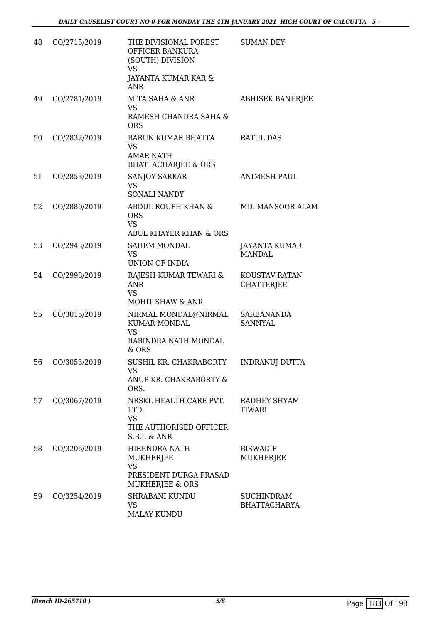| 48 | CO/2715/2019 | THE DIVISIONAL POREST<br>OFFICER BANKURA<br>(SOUTH) DIVISION<br><b>VS</b><br>JAYANTA KUMAR KAR &<br><b>ANR</b> | <b>SUMAN DEY</b>                         |
|----|--------------|----------------------------------------------------------------------------------------------------------------|------------------------------------------|
| 49 | CO/2781/2019 | MITA SAHA & ANR<br><b>VS</b><br>RAMESH CHANDRA SAHA &<br><b>ORS</b>                                            | <b>ABHISEK BANERJEE</b>                  |
| 50 | CO/2832/2019 | <b>BARUN KUMAR BHATTA</b><br><b>VS</b><br><b>AMAR NATH</b><br><b>BHATTACHARJEE &amp; ORS</b>                   | <b>RATUL DAS</b>                         |
| 51 | CO/2853/2019 | <b>SANJOY SARKAR</b><br><b>VS</b><br><b>SONALI NANDY</b>                                                       | <b>ANIMESH PAUL</b>                      |
| 52 | CO/2880/2019 | ABDUL ROUPH KHAN &<br><b>ORS</b><br><b>VS</b><br>ABUL KHAYER KHAN & ORS                                        | MD. MANSOOR ALAM                         |
| 53 | CO/2943/2019 | <b>SAHEM MONDAL</b><br><b>VS</b><br><b>UNION OF INDIA</b>                                                      | <b>JAYANTA KUMAR</b><br><b>MANDAL</b>    |
| 54 | CO/2998/2019 | RAJESH KUMAR TEWARI &<br><b>ANR</b><br><b>VS</b><br><b>MOHIT SHAW &amp; ANR</b>                                | KOUSTAV RATAN<br><b>CHATTERJEE</b>       |
| 55 | CO/3015/2019 | NIRMAL MONDAL@NIRMAL<br><b>KUMAR MONDAL</b><br><b>VS</b><br>RABINDRA NATH MONDAL<br>& ORS                      | SARBANANDA<br><b>SANNYAL</b>             |
| 56 | CO/3053/2019 | SUSHIL KR. CHAKRABORTY<br>VS<br>ANUP KR. CHAKRABORTY &<br>ORS.                                                 | <b>INDRANUJ DUTTA</b>                    |
| 57 | CO/3067/2019 | NRSKL HEALTH CARE PVT.<br>LTD.<br><b>VS</b><br>THE AUTHORISED OFFICER<br>S.B.I. & ANR                          | RADHEY SHYAM<br>TIWARI                   |
| 58 | CO/3206/2019 | HIRENDRA NATH<br>MUKHERJEE<br><b>VS</b><br>PRESIDENT DURGA PRASAD<br>MUKHERJEE & ORS                           | <b>BISWADIP</b><br>MUKHERJEE             |
| 59 | CO/3254/2019 | <b>SHRABANI KUNDU</b><br><b>VS</b><br><b>MALAY KUNDU</b>                                                       | <b>SUCHINDRAM</b><br><b>BHATTACHARYA</b> |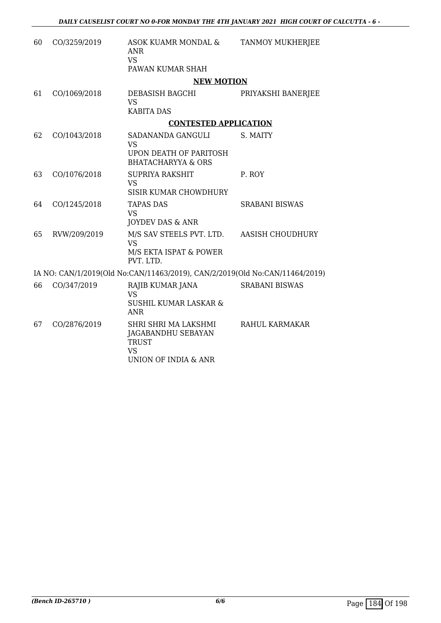| 60 | CO/3259/2019 | ASOK KUAMR MONDAL &<br>ANR<br><b>VS</b><br>PAWAN KUMAR SHAH                                            | <b>TANMOY MUKHERJEE</b> |
|----|--------------|--------------------------------------------------------------------------------------------------------|-------------------------|
|    |              | <b>NEW MOTION</b>                                                                                      |                         |
| 61 | CO/1069/2018 | DEBASISH BAGCHI<br><b>VS</b><br><b>KABITA DAS</b>                                                      | PRIYAKSHI BANERJEE      |
|    |              | <b>CONTESTED APPLICATION</b>                                                                           |                         |
| 62 | CO/1043/2018 | SADANANDA GANGULI<br><b>VS</b>                                                                         | S. MAITY                |
|    |              | UPON DEATH OF PARITOSH<br><b>BHATACHARYYA &amp; ORS</b>                                                |                         |
| 63 | CO/1076/2018 | <b>SUPRIYA RAKSHIT</b><br><b>VS</b><br><b>SISIR KUMAR CHOWDHURY</b>                                    | P. ROY                  |
| 64 | CO/1245/2018 | <b>TAPAS DAS</b><br><b>VS</b><br>JOYDEV DAS & ANR                                                      | <b>SRABANI BISWAS</b>   |
| 65 | RVW/209/2019 | M/S SAV STEELS PVT. LTD.<br><b>VS</b><br>M/S EKTA ISPAT & POWER<br>PVT. LTD.                           | <b>AASISH CHOUDHURY</b> |
|    |              | IA NO: CAN/1/2019(Old No:CAN/11463/2019), CAN/2/2019(Old No:CAN/11464/2019)                            |                         |
| 66 | CO/347/2019  | RAJIB KUMAR JANA<br><b>VS</b><br><b>SUSHIL KUMAR LASKAR &amp;</b><br><b>ANR</b>                        | <b>SRABANI BISWAS</b>   |
| 67 | CO/2876/2019 | SHRI SHRI MA LAKSHMI<br><b>JAGABANDHU SEBAYAN</b><br><b>TRUST</b><br><b>VS</b><br>UNION OF INDIA & ANR | RAHUL KARMAKAR          |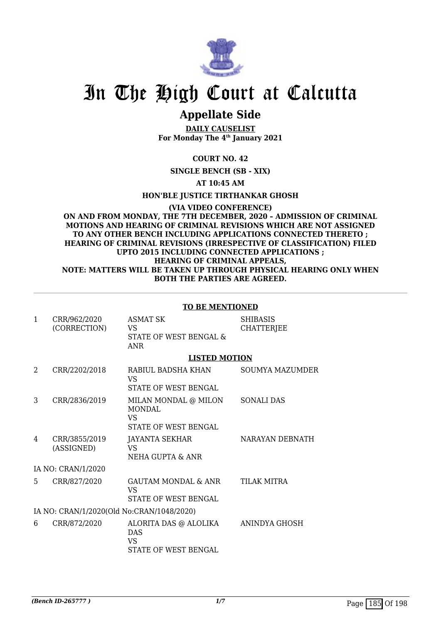

## In The High Court at Calcutta

### **Appellate Side**

**DAILY CAUSELIST For Monday The 4th January 2021**

**COURT NO. 42**

**SINGLE BENCH (SB - XIX)**

**AT 10:45 AM**

**HON'BLE JUSTICE TIRTHANKAR GHOSH**

**(VIA VIDEO CONFERENCE) ON AND FROM MONDAY, THE 7TH DECEMBER, 2020 – ADMISSION OF CRIMINAL MOTIONS AND HEARING OF CRIMINAL REVISIONS WHICH ARE NOT ASSIGNED TO ANY OTHER BENCH INCLUDING APPLICATIONS CONNECTED THERETO ; HEARING OF CRIMINAL REVISIONS (IRRESPECTIVE OF CLASSIFICATION) FILED UPTO 2015 INCLUDING CONNECTED APPLICATIONS ; HEARING OF CRIMINAL APPEALS, NOTE: MATTERS WILL BE TAKEN UP THROUGH PHYSICAL HEARING ONLY WHEN BOTH THE PARTIES ARE AGREED.**

### **TO BE MENTIONED**

| $\mathbf{1}$   | CRR/962/2020<br>(CORRECTION)              | <b>ASMAT SK</b><br>VS<br>STATE OF WEST BENGAL &<br><b>ANR</b>               | <b>SHIBASIS</b><br>CHATTERJEE |
|----------------|-------------------------------------------|-----------------------------------------------------------------------------|-------------------------------|
|                |                                           | <b>LISTED MOTION</b>                                                        |                               |
| $\mathfrak{D}$ | CRR/2202/2018                             | RABIUL BADSHA KHAN<br>VS<br>STATE OF WEST BENGAL                            | SOUMYA MAZUMDER               |
| 3              | CRR/2836/2019                             | MILAN MONDAL @ MILON<br>MONDAL.<br><b>VS</b><br><b>STATE OF WEST BENGAL</b> | <b>SONALI DAS</b>             |
| 4              | CRR/3855/2019<br>(ASSIGNED)               | JAYANTA SEKHAR<br>VS<br>NEHA GUPTA & ANR                                    | NARAYAN DEBNATH               |
|                | IA NO: CRAN/1/2020                        |                                                                             |                               |
| 5.             | CRR/827/2020                              | <b>GAUTAM MONDAL &amp; ANR</b><br>VS<br>STATE OF WEST BENGAL                | TILAK MITRA                   |
|                | IA NO: CRAN/1/2020(Old No:CRAN/1048/2020) |                                                                             |                               |
| 6              | CRR/872/2020                              | ALORITA DAS @ ALOLIKA<br><b>DAS</b><br>VS<br>STATE OF WEST BENGAL           | ANINDYA GHOSH                 |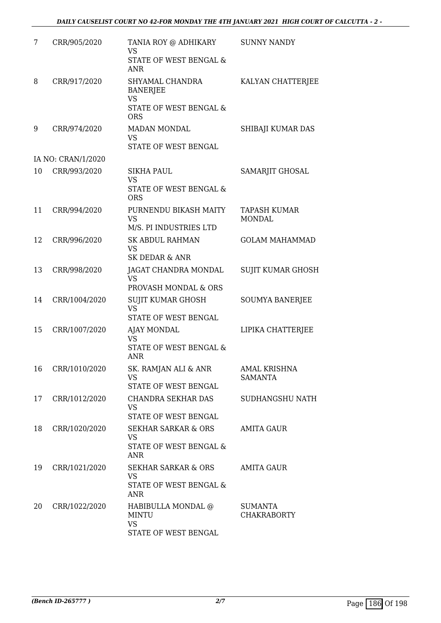| 7  | CRR/905/2020       | TANIA ROY @ ADHIKARY<br><b>VS</b><br><b>STATE OF WEST BENGAL &amp;</b><br><b>ANR</b>    | <b>SUNNY NANDY</b>                    |
|----|--------------------|-----------------------------------------------------------------------------------------|---------------------------------------|
| 8  | CRR/917/2020       | SHYAMAL CHANDRA<br><b>BANERJEE</b><br><b>VS</b><br>STATE OF WEST BENGAL &<br><b>ORS</b> | KALYAN CHATTERJEE                     |
| 9  | CRR/974/2020       | <b>MADAN MONDAL</b><br><b>VS</b><br>STATE OF WEST BENGAL                                | SHIBAJI KUMAR DAS                     |
|    | IA NO: CRAN/1/2020 |                                                                                         |                                       |
| 10 | CRR/993/2020       | <b>SIKHA PAUL</b><br><b>VS</b><br><b>STATE OF WEST BENGAL &amp;</b><br><b>ORS</b>       | SAMARJIT GHOSAL                       |
| 11 | CRR/994/2020       | PURNENDU BIKASH MAITY<br><b>VS</b><br>M/S. PI INDUSTRIES LTD                            | TAPASH KUMAR<br><b>MONDAL</b>         |
| 12 | CRR/996/2020       | <b>SK ABDUL RAHMAN</b><br><b>VS</b><br><b>SK DEDAR &amp; ANR</b>                        | <b>GOLAM MAHAMMAD</b>                 |
| 13 | CRR/998/2020       | JAGAT CHANDRA MONDAL<br><b>VS</b><br>PROVASH MONDAL & ORS                               | <b>SUJIT KUMAR GHOSH</b>              |
| 14 | CRR/1004/2020      | <b>SUJIT KUMAR GHOSH</b><br><b>VS</b><br>STATE OF WEST BENGAL                           | <b>SOUMYA BANERJEE</b>                |
| 15 | CRR/1007/2020      | <b>AJAY MONDAL</b><br><b>VS</b><br><b>STATE OF WEST BENGAL &amp;</b><br><b>ANR</b>      | LIPIKA CHATTERJEE                     |
| 16 | CRR/1010/2020      | SK. RAMJAN ALI & ANR<br><b>VS</b><br>STATE OF WEST BENGAL                               | <b>AMAL KRISHNA</b><br><b>SAMANTA</b> |
| 17 | CRR/1012/2020      | CHANDRA SEKHAR DAS<br><b>VS</b><br>STATE OF WEST BENGAL                                 | SUDHANGSHU NATH                       |
| 18 | CRR/1020/2020      | SEKHAR SARKAR & ORS<br><b>VS</b><br><b>STATE OF WEST BENGAL &amp;</b><br>ANR            | AMITA GAUR                            |
| 19 | CRR/1021/2020      | <b>SEKHAR SARKAR &amp; ORS</b><br><b>VS</b><br>STATE OF WEST BENGAL &<br><b>ANR</b>     | AMITA GAUR                            |
| 20 | CRR/1022/2020      | HABIBULLA MONDAL @<br><b>MINTU</b><br><b>VS</b><br>STATE OF WEST BENGAL                 | <b>SUMANTA</b><br><b>CHAKRABORTY</b>  |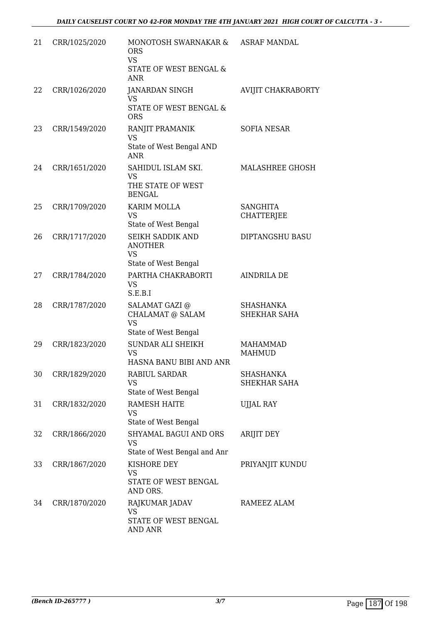| 21 | CRR/1025/2020 | MONOTOSH SWARNAKAR &<br><b>ORS</b><br><b>VS</b><br>STATE OF WEST BENGAL &<br><b>ANR</b> | ASRAF MANDAL                         |
|----|---------------|-----------------------------------------------------------------------------------------|--------------------------------------|
| 22 | CRR/1026/2020 | JANARDAN SINGH<br>VS.<br>STATE OF WEST BENGAL &<br><b>ORS</b>                           | AVIJIT CHAKRABORTY                   |
| 23 | CRR/1549/2020 | RANJIT PRAMANIK<br><b>VS</b><br>State of West Bengal AND<br><b>ANR</b>                  | <b>SOFIA NESAR</b>                   |
| 24 | CRR/1651/2020 | SAHIDUL ISLAM SKI.<br><b>VS</b><br>THE STATE OF WEST<br><b>BENGAL</b>                   | MALASHREE GHOSH                      |
| 25 | CRR/1709/2020 | <b>KARIM MOLLA</b><br><b>VS</b><br>State of West Bengal                                 | <b>SANGHITA</b><br><b>CHATTERJEE</b> |
| 26 | CRR/1717/2020 | SEIKH SADDIK AND<br><b>ANOTHER</b><br><b>VS</b><br>State of West Bengal                 | <b>DIPTANGSHU BASU</b>               |
| 27 | CRR/1784/2020 | PARTHA CHAKRABORTI<br><b>VS</b><br>S.E.B.I                                              | <b>AINDRILA DE</b>                   |
| 28 | CRR/1787/2020 | SALAMAT GAZI @<br><b>CHALAMAT @ SALAM</b><br><b>VS</b><br>State of West Bengal          | SHASHANKA<br>SHEKHAR SAHA            |
| 29 | CRR/1823/2020 | SUNDAR ALI SHEIKH<br><b>VS</b><br>HASNA BANU BIBI AND ANR                               | <b>MAHAMMAD</b><br><b>MAHMUD</b>     |
| 30 | CRR/1829/2020 | RABIUL SARDAR<br><b>VS</b><br>State of West Bengal                                      | <b>SHASHANKA</b><br>SHEKHAR SAHA     |
| 31 | CRR/1832/2020 | <b>RAMESH HAITE</b><br><b>VS</b><br>State of West Bengal                                | <b>UJJAL RAY</b>                     |
| 32 | CRR/1866/2020 | <b>SHYAMAL BAGUI AND ORS</b><br><b>VS</b><br>State of West Bengal and Anr               | <b>ARIJIT DEY</b>                    |
| 33 | CRR/1867/2020 | KISHORE DEY<br>VS<br>STATE OF WEST BENGAL<br>AND ORS.                                   | PRIYANJIT KUNDU                      |
| 34 | CRR/1870/2020 | RAJKUMAR JADAV<br>VS.<br>STATE OF WEST BENGAL<br><b>AND ANR</b>                         | RAMEEZ ALAM                          |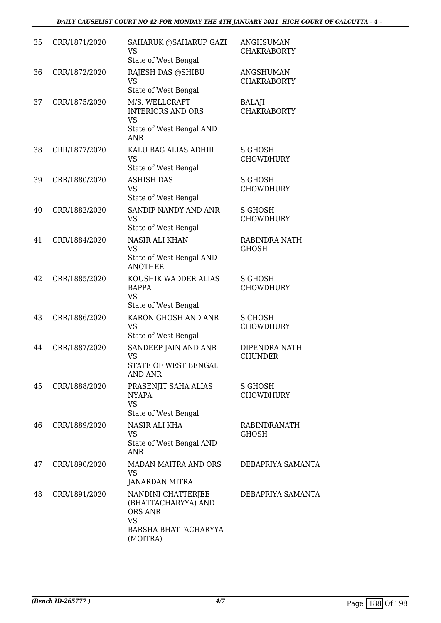| 35 | CRR/1871/2020 | SAHARUK @SAHARUP GAZI<br>VS<br>State of West Bengal                                                          | <b>ANGHSUMAN</b><br><b>CHAKRABORTY</b> |
|----|---------------|--------------------------------------------------------------------------------------------------------------|----------------------------------------|
| 36 | CRR/1872/2020 | RAJESH DAS @SHIBU<br><b>VS</b><br>State of West Bengal                                                       | <b>ANGSHUMAN</b><br><b>CHAKRABORTY</b> |
| 37 | CRR/1875/2020 | M/S. WELLCRAFT<br><b>INTERIORS AND ORS</b><br><b>VS</b><br>State of West Bengal AND<br><b>ANR</b>            | BALAJI<br><b>CHAKRABORTY</b>           |
| 38 | CRR/1877/2020 | KALU BAG ALIAS ADHIR<br><b>VS</b><br>State of West Bengal                                                    | S GHOSH<br><b>CHOWDHURY</b>            |
| 39 | CRR/1880/2020 | <b>ASHISH DAS</b><br><b>VS</b><br>State of West Bengal                                                       | S GHOSH<br><b>CHOWDHURY</b>            |
| 40 | CRR/1882/2020 | SANDIP NANDY AND ANR<br>VS<br>State of West Bengal                                                           | S GHOSH<br><b>CHOWDHURY</b>            |
| 41 | CRR/1884/2020 | <b>NASIR ALI KHAN</b><br><b>VS</b><br>State of West Bengal AND<br><b>ANOTHER</b>                             | RABINDRA NATH<br><b>GHOSH</b>          |
| 42 | CRR/1885/2020 | KOUSHIK WADDER ALIAS<br><b>BAPPA</b><br><b>VS</b><br>State of West Bengal                                    | S GHOSH<br><b>CHOWDHURY</b>            |
| 43 | CRR/1886/2020 | KARON GHOSH AND ANR<br><b>VS</b><br>State of West Bengal                                                     | S CHOSH<br><b>CHOWDHURY</b>            |
| 44 | CRR/1887/2020 | SANDEEP JAIN AND ANR<br><b>VS</b><br>STATE OF WEST BENGAL<br><b>AND ANR</b>                                  | DIPENDRA NATH<br><b>CHUNDER</b>        |
| 45 | CRR/1888/2020 | PRASENJIT SAHA ALIAS<br><b>NYAPA</b><br><b>VS</b><br>State of West Bengal                                    | S GHOSH<br><b>CHOWDHURY</b>            |
| 46 | CRR/1889/2020 | <b>NASIR ALI KHA</b><br><b>VS</b><br>State of West Bengal AND<br><b>ANR</b>                                  | RABINDRANATH<br>GHOSH                  |
| 47 | CRR/1890/2020 | <b>MADAN MAITRA AND ORS</b><br>VS<br><b>JANARDAN MITRA</b>                                                   | DEBAPRIYA SAMANTA                      |
| 48 | CRR/1891/2020 | NANDINI CHATTERJEE<br>(BHATTACHARYYA) AND<br><b>ORS ANR</b><br><b>VS</b><br>BARSHA BHATTACHARYYA<br>(MOITRA) | DEBAPRIYA SAMANTA                      |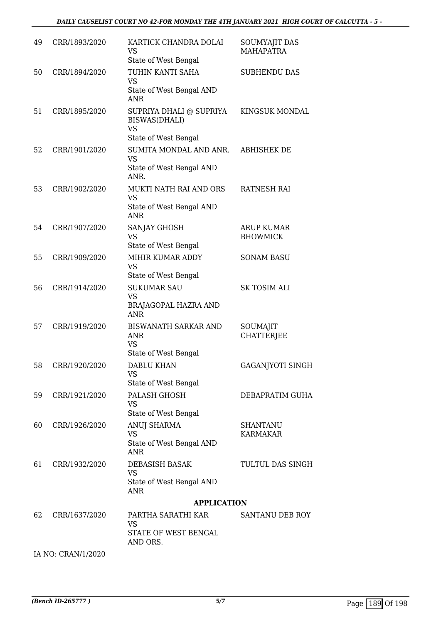| 49 | CRR/1893/2020 | KARTICK CHANDRA DOLAI<br>VS<br>State of West Bengal                            | <b>SOUMYAJIT DAS</b><br><b>MAHAPATRA</b> |
|----|---------------|--------------------------------------------------------------------------------|------------------------------------------|
| 50 | CRR/1894/2020 | TUHIN KANTI SAHA<br><b>VS</b><br>State of West Bengal AND<br><b>ANR</b>        | <b>SUBHENDU DAS</b>                      |
| 51 | CRR/1895/2020 | SUPRIYA DHALI @ SUPRIYA<br>BISWAS(DHALI)<br><b>VS</b><br>State of West Bengal  | KINGSUK MONDAL                           |
| 52 | CRR/1901/2020 | SUMITA MONDAL AND ANR.<br><b>VS</b><br>State of West Bengal AND<br>ANR.        | <b>ABHISHEK DE</b>                       |
| 53 | CRR/1902/2020 | MUKTI NATH RAI AND ORS<br><b>VS</b><br>State of West Bengal AND<br><b>ANR</b>  | <b>RATNESH RAI</b>                       |
| 54 | CRR/1907/2020 | SANJAY GHOSH<br>VS<br>State of West Bengal                                     | <b>ARUP KUMAR</b><br><b>BHOWMICK</b>     |
| 55 | CRR/1909/2020 | MIHIR KUMAR ADDY<br><b>VS</b><br>State of West Bengal                          | <b>SONAM BASU</b>                        |
| 56 | CRR/1914/2020 | <b>SUKUMAR SAU</b><br><b>VS</b><br><b>BRAJAGOPAL HAZRA AND</b><br><b>ANR</b>   | <b>SK TOSIM ALI</b>                      |
| 57 | CRR/1919/2020 | <b>BISWANATH SARKAR AND</b><br><b>ANR</b><br><b>VS</b><br>State of West Bengal | SOUMAJIT<br><b>CHATTERJEE</b>            |
| 58 | CRR/1920/2020 | <b>DABLU KHAN</b><br>VS<br>State of West Bengal                                | <b>GAGANJYOTI SINGH</b>                  |
| 59 | CRR/1921/2020 | PALASH GHOSH<br><b>VS</b><br>State of West Bengal                              | DEBAPRATIM GUHA                          |
| 60 | CRR/1926/2020 | ANUJ SHARMA<br>VS<br>State of West Bengal AND<br><b>ANR</b>                    | <b>SHANTANU</b><br><b>KARMAKAR</b>       |
| 61 | CRR/1932/2020 | DEBASISH BASAK<br><b>VS</b><br>State of West Bengal AND<br><b>ANR</b>          | TULTUL DAS SINGH                         |
|    |               | <b>APPLICATION</b>                                                             |                                          |
| 62 | CRR/1637/2020 | PARTHA SARATHI KAR<br><b>VS</b><br>STATE OF WEST BENGAL<br>AND ORS.            | SANTANU DEB ROY                          |

IA NO: CRAN/1/2020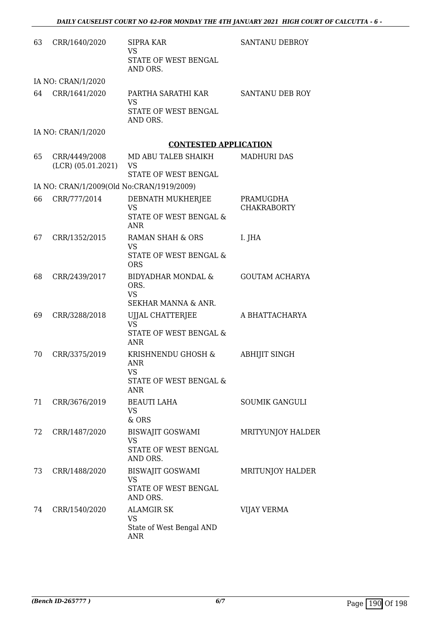| 63 | CRR/1640/2020                             | SIPRA KAR<br><b>VS</b><br>STATE OF WEST BENGAL<br>AND ORS.                        | <b>SANTANU DEBROY</b>           |
|----|-------------------------------------------|-----------------------------------------------------------------------------------|---------------------------------|
|    | IA NO: CRAN/1/2020                        |                                                                                   |                                 |
| 64 | CRR/1641/2020                             | PARTHA SARATHI KAR<br><b>VS</b><br>STATE OF WEST BENGAL<br>AND ORS.               | SANTANU DEB ROY                 |
|    | IA NO: CRAN/1/2020                        |                                                                                   |                                 |
|    |                                           | <b>CONTESTED APPLICATION</b>                                                      |                                 |
| 65 | CRR/4449/2008<br>(LCR) (05.01.2021)       | MD ABU TALEB SHAIKH<br><b>VS</b><br>STATE OF WEST BENGAL                          | MADHURI DAS                     |
|    | IA NO: CRAN/1/2009(Old No:CRAN/1919/2009) |                                                                                   |                                 |
| 66 | CRR/777/2014                              | DEBNATH MUKHERJEE<br><b>VS</b><br><b>STATE OF WEST BENGAL &amp;</b><br><b>ANR</b> | PRAMUGDHA<br><b>CHAKRABORTY</b> |
| 67 | CRR/1352/2015                             | <b>RAMAN SHAH &amp; ORS</b><br><b>VS</b><br>STATE OF WEST BENGAL &<br><b>ORS</b>  | I. JHA                          |
| 68 | CRR/2439/2017                             | <b>BIDYADHAR MONDAL &amp;</b><br>ORS.<br><b>VS</b><br>SEKHAR MANNA & ANR.         | <b>GOUTAM ACHARYA</b>           |
| 69 | CRR/3288/2018                             | UJJAL CHATTERJEE<br><b>VS</b><br>STATE OF WEST BENGAL &<br><b>ANR</b>             | A BHATTACHARYA                  |
| 70 | CRR/3375/2019                             | KRISHNENDU GHOSH &<br>ANR<br>VS<br>STATE OF WEST BENGAL &<br><b>ANR</b>           | <b>ABHIJIT SINGH</b>            |
| 71 | CRR/3676/2019                             | <b>BEAUTI LAHA</b><br><b>VS</b><br>& ORS                                          | <b>SOUMIK GANGULI</b>           |
| 72 | CRR/1487/2020                             | <b>BISWAJIT GOSWAMI</b><br><b>VS</b><br>STATE OF WEST BENGAL<br>AND ORS.          | MRITYUNJOY HALDER               |
| 73 | CRR/1488/2020                             | <b>BISWAJIT GOSWAMI</b><br><b>VS</b><br>STATE OF WEST BENGAL<br>AND ORS.          | MRITUNJOY HALDER                |
| 74 | CRR/1540/2020                             | <b>ALAMGIR SK</b><br>VS<br>State of West Bengal AND<br><b>ANR</b>                 | VIJAY VERMA                     |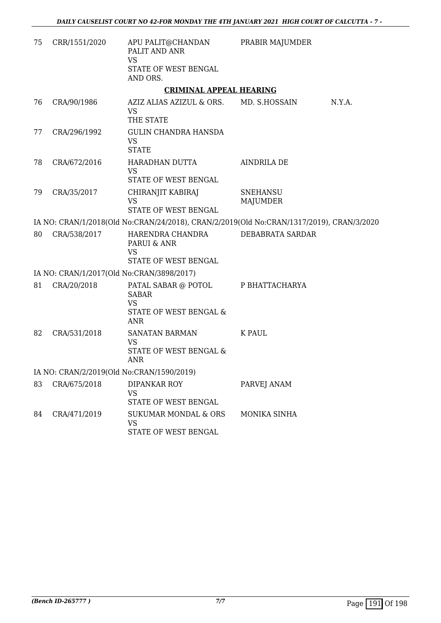| 75                                        | CRR/1551/2020                             | APU PALIT@CHANDAN<br>PALIT AND ANR<br><b>VS</b>                                          | PRABIR MAJUMDER             |        |
|-------------------------------------------|-------------------------------------------|------------------------------------------------------------------------------------------|-----------------------------|--------|
|                                           |                                           | STATE OF WEST BENGAL<br>AND ORS.                                                         |                             |        |
|                                           |                                           | <b>CRIMINAL APPEAL HEARING</b>                                                           |                             |        |
| 76                                        | CRA/90/1986                               | AZIZ ALIAS AZIZUL & ORS. MD. S.HOSSAIN<br><b>VS</b><br>THE STATE                         |                             | N.Y.A. |
| 77                                        | CRA/296/1992                              | <b>GULIN CHANDRA HANSDA</b><br><b>VS</b><br><b>STATE</b>                                 |                             |        |
| 78                                        | CRA/672/2016                              | HARADHAN DUTTA<br><b>VS</b><br>STATE OF WEST BENGAL                                      | AINDRILA DE                 |        |
| 79                                        | CRA/35/2017                               | CHIRANJIT KABIRAJ<br><b>VS</b><br>STATE OF WEST BENGAL                                   | <b>SNEHANSU</b><br>MAJUMDER |        |
|                                           |                                           | IA NO: CRAN/1/2018(Old No:CRAN/24/2018), CRAN/2/2019(Old No:CRAN/1317/2019), CRAN/3/2020 |                             |        |
| 80                                        | CRA/538/2017                              | HARENDRA CHANDRA<br>PARUI & ANR<br>VS<br>STATE OF WEST BENGAL                            | DEBABRATA SARDAR            |        |
|                                           | IA NO: CRAN/1/2017(Old No:CRAN/3898/2017) |                                                                                          |                             |        |
| 81                                        | CRA/20/2018                               | PATAL SABAR @ POTOL<br><b>SABAR</b><br><b>VS</b><br>STATE OF WEST BENGAL &<br><b>ANR</b> | P BHATTACHARYA              |        |
| 82                                        | CRA/531/2018                              | SANATAN BARMAN<br><b>VS</b><br>STATE OF WEST BENGAL &<br><b>ANR</b>                      | <b>K PAUL</b>               |        |
| IA NO: CRAN/2/2019(Old No:CRAN/1590/2019) |                                           |                                                                                          |                             |        |
| 83                                        | CRA/675/2018                              | DIPANKAR ROY<br>VS<br>STATE OF WEST BENGAL                                               | PARVEJ ANAM                 |        |
| 84                                        | CRA/471/2019                              | <b>SUKUMAR MONDAL &amp; ORS</b><br><b>VS</b><br>STATE OF WEST BENGAL                     | MONIKA SINHA                |        |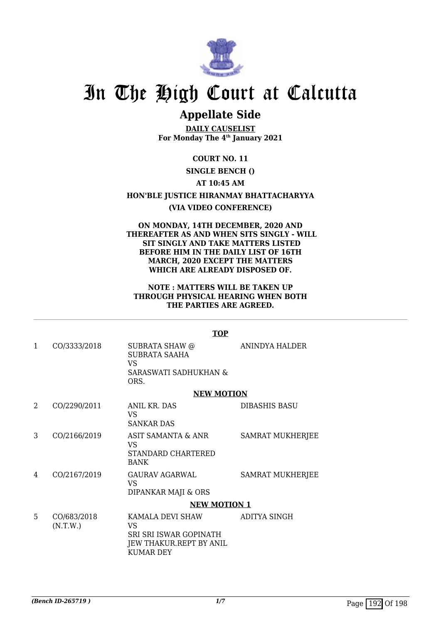

## In The High Court at Calcutta

## **Appellate Side**

**DAILY CAUSELIST For Monday The 4th January 2021**

**COURT NO. 11**

### **SINGLE BENCH ()**

**AT 10:45 AM**

**HON'BLE JUSTICE HIRANMAY BHATTACHARYYA**

### **(VIA VIDEO CONFERENCE)**

**ON MONDAY, 14TH DECEMBER, 2020 AND THEREAFTER AS AND WHEN SITS SINGLY - WILL SIT SINGLY AND TAKE MATTERS LISTED BEFORE HIM IN THE DAILY LIST OF 16TH MARCH, 2020 EXCEPT THE MATTERS WHICH ARE ALREADY DISPOSED OF.**

### **NOTE : MATTERS WILL BE TAKEN UP THROUGH PHYSICAL HEARING WHEN BOTH THE PARTIES ARE AGREED.**

|   |                         | <b>TOP</b>                                                                                      |                         |
|---|-------------------------|-------------------------------------------------------------------------------------------------|-------------------------|
| 1 | CO/3333/2018            | SUBRATA SHAW @<br><b>SUBRATA SAAHA</b><br>VS<br>SARASWATI SADHUKHAN &<br>ORS.                   | ANINDYA HALDER          |
|   |                         | <b>NEW MOTION</b>                                                                               |                         |
| 2 | CO/2290/2011            | ANIL KR. DAS<br>VS.<br><b>SANKAR DAS</b>                                                        | DIBASHIS BASU           |
| 3 | CO/2166/2019            | ASIT SAMANTA & ANR<br>VS<br>STANDARD CHARTERED<br><b>BANK</b>                                   | <b>SAMRAT MUKHERJEE</b> |
| 4 | CO/2167/2019            | <b>GAURAV AGARWAL</b><br><b>VS</b><br>DIPANKAR MAJI & ORS                                       | <b>SAMRAT MUKHERJEE</b> |
|   |                         | <b>NEW MOTION 1</b>                                                                             |                         |
| 5 | CO/683/2018<br>(N.T.W.) | KAMALA DEVI SHAW<br>VS<br>SRI SRI ISWAR GOPINATH<br>JEW THAKUR.REPT BY ANIL<br><b>KUMAR DEY</b> | <b>ADITYA SINGH</b>     |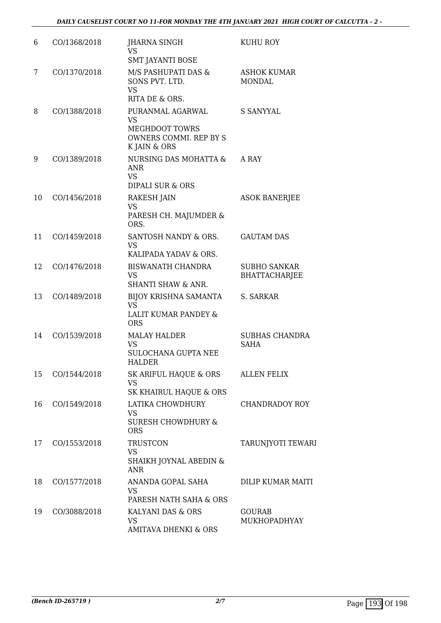| 6  | CO/1368/2018 | JHARNA SINGH<br><b>VS</b><br><b>SMT JAYANTI BOSE</b>                                       | KUHU ROY                                    |
|----|--------------|--------------------------------------------------------------------------------------------|---------------------------------------------|
| 7  | CO/1370/2018 | M/S PASHUPATI DAS &<br>SONS PVT. LTD.<br><b>VS</b><br>RITA DE & ORS.                       | <b>ASHOK KUMAR</b><br><b>MONDAL</b>         |
| 8  | CO/1388/2018 | PURANMAL AGARWAL<br><b>VS</b><br>MEGHDOOT TOWRS<br>OWNERS COMMI. REP BY S<br>K JAIN & ORS  | <b>S SANYYAL</b>                            |
| 9  | CO/1389/2018 | <b>NURSING DAS MOHATTA &amp;</b><br><b>ANR</b><br><b>VS</b><br><b>DIPALI SUR &amp; ORS</b> | A RAY                                       |
| 10 | CO/1456/2018 | RAKESH JAIN<br><b>VS</b><br>PARESH CH. MAJUMDER &<br>ORS.                                  | <b>ASOK BANERJEE</b>                        |
| 11 | CO/1459/2018 | SANTOSH NANDY & ORS.<br><b>VS</b><br>KALIPADA YADAV & ORS.                                 | <b>GAUTAM DAS</b>                           |
| 12 | CO/1476/2018 | <b>BISWANATH CHANDRA</b><br><b>VS</b><br>SHANTI SHAW & ANR.                                | <b>SUBHO SANKAR</b><br><b>BHATTACHARJEE</b> |
| 13 | CO/1489/2018 | BIJOY KRISHNA SAMANTA<br><b>VS</b><br>LALIT KUMAR PANDEY &<br><b>ORS</b>                   | S. SARKAR                                   |
| 14 | CO/1539/2018 | <b>MALAY HALDER</b><br><b>VS</b><br>SULOCHANA GUPTA NEE<br>HALDER                          | SUBHAS CHANDRA<br>SAHA                      |
| 15 | CO/1544/2018 | SK ARIFUL HAQUE & ORS<br><b>VS</b><br>SK KHAIRUL HAQUE & ORS                               | <b>ALLEN FELIX</b>                          |
| 16 | CO/1549/2018 | LATIKA CHOWDHURY<br><b>VS</b><br><b>SURESH CHOWDHURY &amp;</b><br><b>ORS</b>               | <b>CHANDRADOY ROY</b>                       |
| 17 | CO/1553/2018 | <b>TRUSTCON</b><br><b>VS</b><br>SHAIKH JOYNAL ABEDIN &<br><b>ANR</b>                       | TARUNJYOTI TEWARI                           |
| 18 | CO/1577/2018 | ANANDA GOPAL SAHA<br>VS<br>PARESH NATH SAHA & ORS                                          | DILIP KUMAR MAITI                           |
| 19 | CO/3088/2018 | KALYANI DAS & ORS<br><b>VS</b><br><b>AMITAVA DHENKI &amp; ORS</b>                          | <b>GOURAB</b><br>MUKHOPADHYAY               |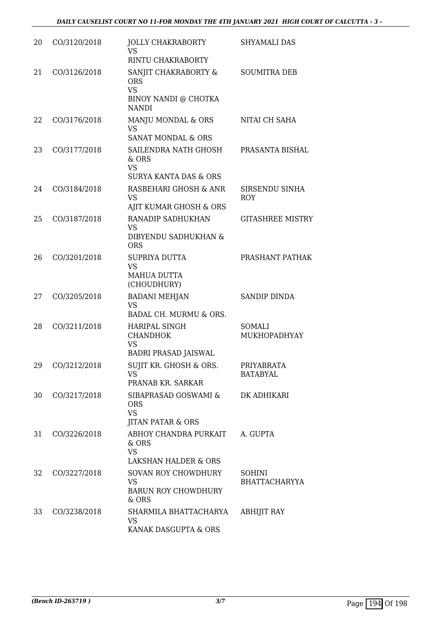| 20 | CO/3120/2018    | <b>JOLLY CHAKRABORTY</b><br>VS<br>RINTU CHAKRABORTY                                     | SHYAMALI DAS                          |
|----|-----------------|-----------------------------------------------------------------------------------------|---------------------------------------|
| 21 | CO/3126/2018    | SANJIT CHAKRABORTY &<br><b>ORS</b><br><b>VS</b><br>BINOY NANDI @ CHOTKA<br><b>NANDI</b> | <b>SOUMITRA DEB</b>                   |
| 22 | CO/3176/2018    | MANJU MONDAL & ORS<br><b>VS</b><br>SANAT MONDAL & ORS                                   | NITAI CH SAHA                         |
| 23 | CO/3177/2018    | SAILENDRA NATH GHOSH<br>& ORS<br>VS<br><b>SURYA KANTA DAS &amp; ORS</b>                 | PRASANTA BISHAL                       |
| 24 | CO/3184/2018    | RASBEHARI GHOSH & ANR<br><b>VS</b><br>AJIT KUMAR GHOSH & ORS                            | SIRSENDU SINHA<br><b>ROY</b>          |
| 25 | CO/3187/2018    | RANADIP SADHUKHAN<br><b>VS</b><br>DIBYENDU SADHUKHAN &<br><b>ORS</b>                    | <b>GITASHREE MISTRY</b>               |
| 26 | CO/3201/2018    | SUPRIYA DUTTA<br><b>VS</b><br><b>MAHUA DUTTA</b><br>(CHOUDHURY)                         | PRASHANT PATHAK                       |
| 27 | CO/3205/2018    | <b>BADANI MEHJAN</b><br><b>VS</b><br>BADAL CH. MURMU & ORS.                             | <b>SANDIP DINDA</b>                   |
| 28 | CO/3211/2018    | <b>HARIPAL SINGH</b><br><b>CHANDHOK</b><br><b>VS</b><br><b>BADRI PRASAD JAISWAL</b>     | <b>SOMALI</b><br><b>MUKHOPADHYAY</b>  |
|    | 29 CO/3212/2018 | SUJIT KR. GHOSH & ORS.<br>VS.<br>PRANAB KR. SARKAR                                      | PRIYABRATA<br><b>BATABYAL</b>         |
| 30 | CO/3217/2018    | SIBAPRASAD GOSWAMI &<br><b>ORS</b><br><b>VS</b><br><b>JITAN PATAR &amp; ORS</b>         | DK ADHIKARI                           |
| 31 | CO/3226/2018    | ABHOY CHANDRA PURKAIT<br>& ORS<br><b>VS</b><br><b>LAKSHAN HALDER &amp; ORS</b>          | A. GUPTA                              |
| 32 | CO/3227/2018    | <b>SOVAN ROY CHOWDHURY</b><br><b>VS</b><br><b>BARUN ROY CHOWDHURY</b><br>& ORS          | <b>SOHINI</b><br><b>BHATTACHARYYA</b> |
| 33 | CO/3238/2018    | SHARMILA BHATTACHARYA<br><b>VS</b><br>KANAK DASGUPTA & ORS                              | <b>ABHIJIT RAY</b>                    |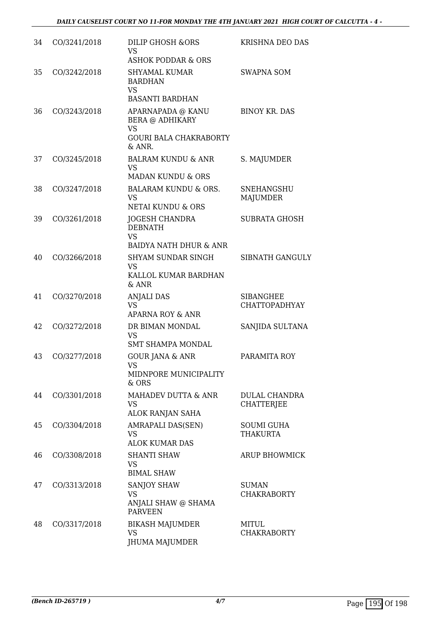| 34 | CO/3241/2018 | <b>DILIP GHOSH &amp;ORS</b><br><b>VS</b><br>ASHOK PODDAR & ORS                                                                                                                                                                                                                                 | KRISHNA DEO DAS                           |
|----|--------------|------------------------------------------------------------------------------------------------------------------------------------------------------------------------------------------------------------------------------------------------------------------------------------------------|-------------------------------------------|
| 35 | CO/3242/2018 | <b>SHYAMAL KUMAR</b><br><b>BARDHAN</b><br><b>VS</b><br><b>BASANTI BARDHAN</b>                                                                                                                                                                                                                  | <b>SWAPNA SOM</b>                         |
| 36 | CO/3243/2018 | APARNAPADA @ KANU<br><b>BERA @ ADHIKARY</b><br><b>VS</b><br><b>GOURI BALA CHAKRABORTY</b>                                                                                                                                                                                                      | <b>BINOY KR. DAS</b>                      |
| 37 | CO/3245/2018 | & ANR.<br><b>BALRAM KUNDU &amp; ANR</b><br><b>VS</b><br><b>MADAN KUNDU &amp; ORS</b>                                                                                                                                                                                                           | S. MAJUMDER                               |
| 38 | CO/3247/2018 | <b>BALARAM KUNDU &amp; ORS.</b><br><b>VS</b><br>NETAI KUNDU & ORS                                                                                                                                                                                                                              | <b>SNEHANGSHU</b><br><b>MAJUMDER</b>      |
| 39 | CO/3261/2018 | <b>JOGESH CHANDRA</b><br><b>DEBNATH</b><br><b>VS</b><br><b>BAIDYA NATH DHUR &amp; ANR</b>                                                                                                                                                                                                      | <b>SUBRATA GHOSH</b>                      |
| 40 | CO/3266/2018 | <b>SHYAM SUNDAR SINGH</b><br><b>VS</b><br>KALLOL KUMAR BARDHAN<br>& ANR                                                                                                                                                                                                                        | <b>SIBNATH GANGULY</b>                    |
| 41 | CO/3270/2018 | <b>ANJALI DAS</b><br><b>VS</b><br><b>APARNA ROY &amp; ANR</b>                                                                                                                                                                                                                                  | <b>SIBANGHEE</b><br><b>CHATTOPADHYAY</b>  |
| 42 | CO/3272/2018 | DR BIMAN MONDAL<br><b>VS</b><br><b>SMT SHAMPA MONDAL</b>                                                                                                                                                                                                                                       | SANJIDA SULTANA                           |
| 43 | CO/3277/2018 | <b>GOUR JANA &amp; ANR</b><br>VS FOR THE VIOLENCE STATE STATE STATE STATE STATE STATE STATE STATE STATE STATE STATE STATE STATE STATE STATE STATE STATE STATE STATE STATE STATE STATE STATE STATE STATE STATE STATE STATE STATE STATE STATE STATE STATE STAT<br>MIDNPORE MUNICIPALITY<br>& ORS | PARAMITA ROY                              |
| 44 | CO/3301/2018 | MAHADEV DUTTA & ANR<br>VS.<br>ALOK RANJAN SAHA                                                                                                                                                                                                                                                 | <b>DULAL CHANDRA</b><br><b>CHATTERJEE</b> |
| 45 | CO/3304/2018 | AMRAPALI DAS(SEN)<br><b>VS</b><br><b>ALOK KUMAR DAS</b>                                                                                                                                                                                                                                        | <b>SOUMI GUHA</b><br><b>THAKURTA</b>      |
| 46 | CO/3308/2018 | <b>SHANTI SHAW</b><br><b>VS</b><br><b>BIMAL SHAW</b>                                                                                                                                                                                                                                           | ARUP BHOWMICK                             |
| 47 | CO/3313/2018 | <b>SANJOY SHAW</b><br><b>VS</b><br>ANJALI SHAW @ SHAMA<br><b>PARVEEN</b>                                                                                                                                                                                                                       | <b>SUMAN</b><br><b>CHAKRABORTY</b>        |
| 48 | CO/3317/2018 | <b>BIKASH MAJUMDER</b><br>VS<br>JHUMA MAJUMDER                                                                                                                                                                                                                                                 | <b>MITUL</b><br><b>CHAKRABORTY</b>        |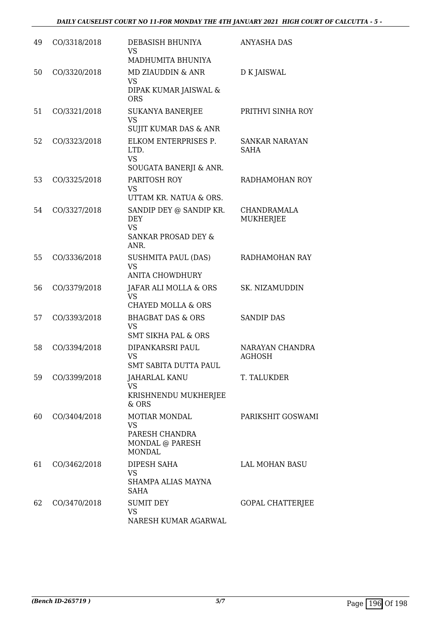| 49 | CO/3318/2018 | DEBASISH BHUNIYA<br><b>VS</b><br>MADHUMITA BHUNIYA                                           | ANYASHA DAS                      |
|----|--------------|----------------------------------------------------------------------------------------------|----------------------------------|
| 50 | CO/3320/2018 | <b>MD ZIAUDDIN &amp; ANR</b><br><b>VS</b><br>DIPAK KUMAR JAISWAL &<br><b>ORS</b>             | D K JAISWAL                      |
| 51 | CO/3321/2018 | <b>SUKANYA BANERJEE</b><br><b>VS</b><br>SUJIT KUMAR DAS & ANR                                | PRITHVI SINHA ROY                |
| 52 | CO/3323/2018 | ELKOM ENTERPRISES P.<br>LTD.<br><b>VS</b><br>SOUGATA BANERJI & ANR.                          | <b>SANKAR NARAYAN</b><br>SAHA    |
| 53 | CO/3325/2018 | PARITOSH ROY<br><b>VS</b><br>UTTAM KR. NATUA & ORS.                                          | RADHAMOHAN ROY                   |
| 54 | CO/3327/2018 | SANDIP DEY @ SANDIP KR.<br><b>DEY</b><br><b>VS</b><br><b>SANKAR PROSAD DEY &amp;</b><br>ANR. | CHANDRAMALA<br>MUKHERJEE         |
| 55 | CO/3336/2018 | <b>SUSHMITA PAUL (DAS)</b><br><b>VS</b><br><b>ANITA CHOWDHURY</b>                            | RADHAMOHAN RAY                   |
| 56 | CO/3379/2018 | JAFAR ALI MOLLA & ORS<br><b>VS</b><br><b>CHAYED MOLLA &amp; ORS</b>                          | SK. NIZAMUDDIN                   |
| 57 | CO/3393/2018 | <b>BHAGBAT DAS &amp; ORS</b><br><b>VS</b><br>SMT SIKHA PAL & ORS                             | <b>SANDIP DAS</b>                |
| 58 | CO/3394/2018 | DIPANKARSRI PAUL<br><b>VS</b><br><b>SMT SABITA DUTTA PAUL</b>                                | NARAYAN CHANDRA<br><b>AGHOSH</b> |
| 59 | CO/3399/2018 | JAHARLAL KANU<br><b>VS</b><br>KRISHNENDU MUKHERJEE<br>& ORS                                  | T. TALUKDER                      |
| 60 | CO/3404/2018 | <b>MOTIAR MONDAL</b><br><b>VS</b><br>PARESH CHANDRA<br>MONDAL @ PARESH<br><b>MONDAL</b>      | PARIKSHIT GOSWAMI                |
| 61 | CO/3462/2018 | DIPESH SAHA<br>VS<br>SHAMPA ALIAS MAYNA<br>SAHA                                              | LAL MOHAN BASU                   |
| 62 | CO/3470/2018 | <b>SUMIT DEY</b><br><b>VS</b><br>NARESH KUMAR AGARWAL                                        | GOPAL CHATTERJEE                 |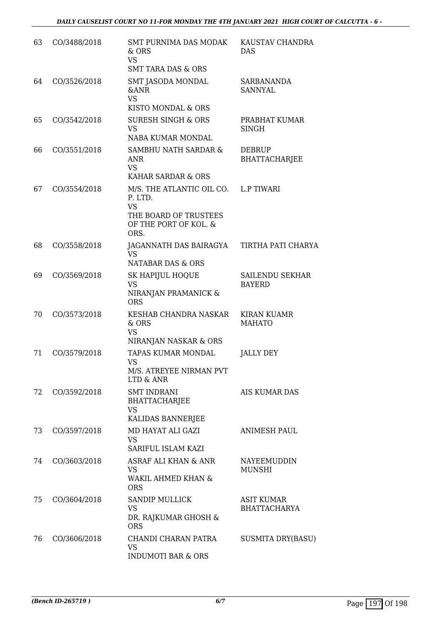| 63 | CO/3488/2018 | SMT PURNIMA DAS MODAK<br>& ORS<br><b>VS</b><br><b>SMT TARA DAS &amp; ORS</b>                                | KAUSTAV CHANDRA<br><b>DAS</b>           |
|----|--------------|-------------------------------------------------------------------------------------------------------------|-----------------------------------------|
| 64 | CO/3526/2018 | SMT JASODA MONDAL<br><b>&amp;ANR</b><br><b>VS</b><br>KISTO MONDAL & ORS                                     | SARBANANDA<br><b>SANNYAL</b>            |
| 65 | CO/3542/2018 | <b>SURESH SINGH &amp; ORS</b><br><b>VS</b><br><b>NABA KUMAR MONDAL</b>                                      | PRABHAT KUMAR<br><b>SINGH</b>           |
| 66 | CO/3551/2018 | SAMBHU NATH SARDAR &<br>ANR<br><b>VS</b><br>KAHAR SARDAR & ORS                                              | <b>DEBRUP</b><br><b>BHATTACHARJEE</b>   |
| 67 | CO/3554/2018 | M/S. THE ATLANTIC OIL CO.<br>P. LTD.<br><b>VS</b><br>THE BOARD OF TRUSTEES<br>OF THE PORT OF KOL. &<br>ORS. | <b>L.P TIWARI</b>                       |
| 68 | CO/3558/2018 | JAGANNATH DAS BAIRAGYA<br><b>VS</b><br>NATABAR DAS & ORS                                                    | TIRTHA PATI CHARYA                      |
| 69 | CO/3569/2018 | <b>SK HAPIJUL HOQUE</b><br><b>VS</b><br>NIRANJAN PRAMANICK &<br><b>ORS</b>                                  | <b>SAILENDU SEKHAR</b><br><b>BAYERD</b> |
| 70 | CO/3573/2018 | KESHAB CHANDRA NASKAR<br>& ORS<br><b>VS</b><br>NIRANJAN NASKAR & ORS                                        | KIRAN KUAMR<br><b>MAHATO</b>            |
| 71 | CO/3579/2018 | TAPAS KUMAR MONDAL<br><b>VS</b><br>M/S. ATREYEE NIRMAN PVT<br>LTD & ANR                                     | JALLY DEY                               |
| 72 | CO/3592/2018 | <b>SMT INDRANI</b><br><b>BHATTACHARJEE</b><br><b>VS</b><br>KALIDAS BANNERJEE                                | AIS KUMAR DAS                           |
| 73 | CO/3597/2018 | MD HAYAT ALI GAZI<br><b>VS</b><br>SARIFUL ISLAM KAZI                                                        | <b>ANIMESH PAUL</b>                     |
| 74 | CO/3603/2018 | ASRAF ALI KHAN & ANR<br><b>VS</b><br>WAKIL AHMED KHAN &<br><b>ORS</b>                                       | NAYEEMUDDIN<br><b>MUNSHI</b>            |
| 75 | CO/3604/2018 | <b>SANDIP MULLICK</b><br><b>VS</b><br>DR. RAJKUMAR GHOSH &<br><b>ORS</b>                                    | ASIT KUMAR<br><b>BHATTACHARYA</b>       |
| 76 | CO/3606/2018 | CHANDI CHARAN PATRA<br><b>VS</b><br><b>INDUMOTI BAR &amp; ORS</b>                                           | <b>SUSMITA DRY(BASU)</b>                |